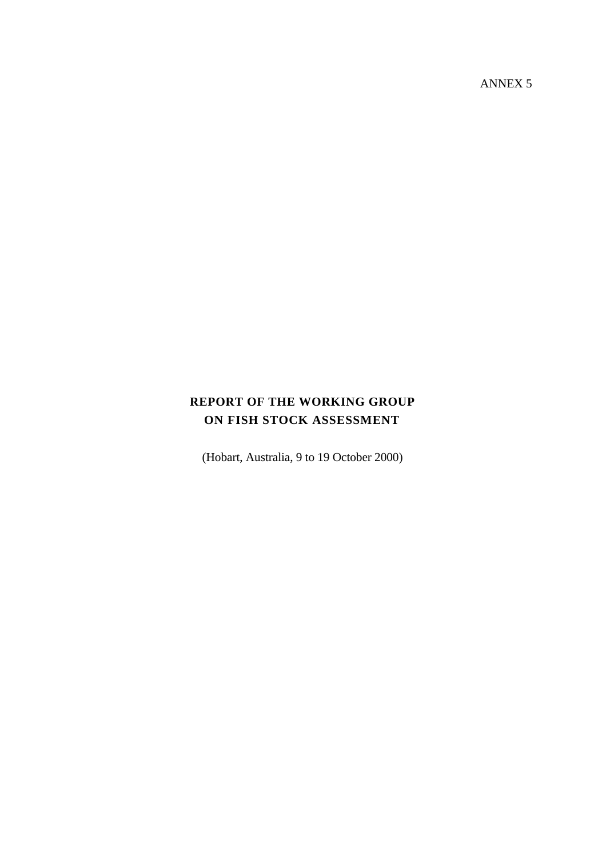ANNEX 5

# **REPORT OF THE WORKING GROUP ON FISH STOCK ASSESSMENT**

(Hobart, Australia, 9 to 19 October 2000)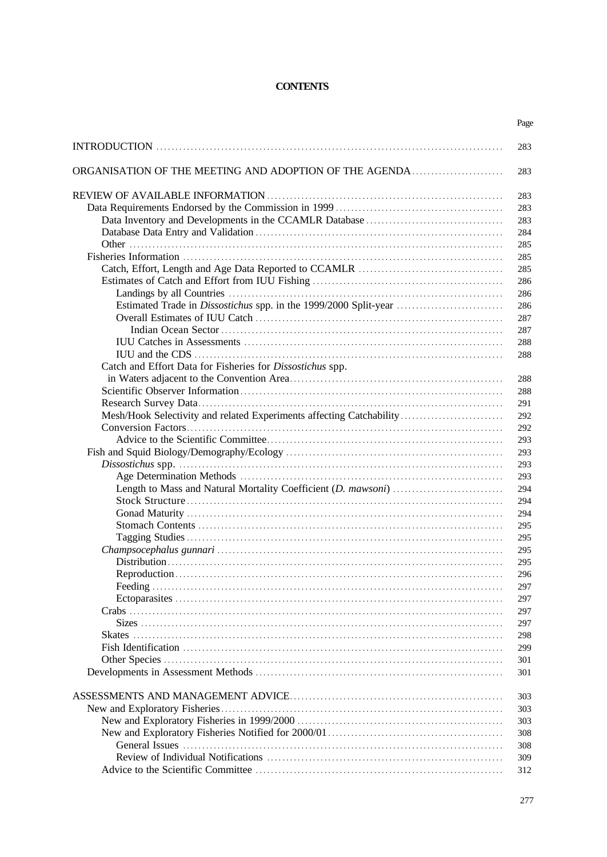## **CONTENTS**

|                                                                      | Page |
|----------------------------------------------------------------------|------|
|                                                                      | 283  |
| ORGANISATION OF THE MEETING AND ADOPTION OF THE AGENDA               | 283  |
|                                                                      | 283  |
|                                                                      | 283  |
|                                                                      | 283  |
|                                                                      | 284  |
|                                                                      | 285  |
|                                                                      | 285  |
|                                                                      | 285  |
|                                                                      | 286  |
|                                                                      | 286  |
| Estimated Trade in Dissostichus spp. in the 1999/2000 Split-year     | 286  |
|                                                                      | 287  |
|                                                                      | 287  |
|                                                                      | 288  |
|                                                                      | 288  |
| Catch and Effort Data for Fisheries for Dissostichus spp.            |      |
|                                                                      | 288  |
|                                                                      | 288  |
|                                                                      | 291  |
| Mesh/Hook Selectivity and related Experiments affecting Catchability | 292  |
|                                                                      | 292  |
|                                                                      | 293  |
|                                                                      | 293  |
|                                                                      | 293  |
|                                                                      | 293  |
|                                                                      | 294  |
|                                                                      | 294  |
|                                                                      | 294  |
|                                                                      | 295  |
|                                                                      | 295  |
|                                                                      | 295  |
|                                                                      | 295  |
|                                                                      | 296  |
|                                                                      | 297  |
|                                                                      | 297  |
|                                                                      | 297  |
|                                                                      | 297  |
|                                                                      | 298  |
|                                                                      | 299  |
|                                                                      | 301  |
|                                                                      | 301  |
|                                                                      | 303  |
|                                                                      | 303  |
|                                                                      | 303  |
|                                                                      | 308  |
|                                                                      | 308  |
|                                                                      | 309  |
|                                                                      | 312  |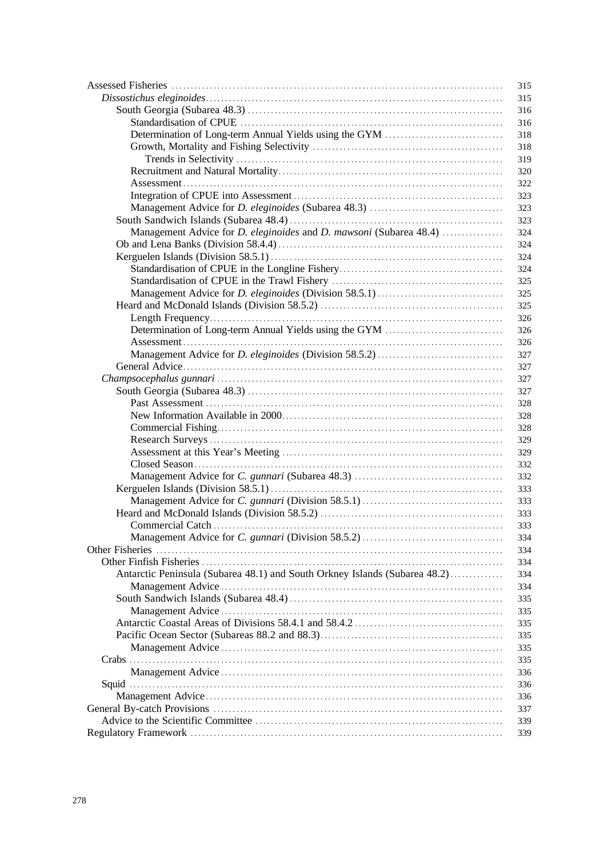|                                                                                  | 315 |
|----------------------------------------------------------------------------------|-----|
|                                                                                  | 315 |
|                                                                                  | 316 |
|                                                                                  | 316 |
|                                                                                  | 318 |
|                                                                                  | 318 |
|                                                                                  | 319 |
|                                                                                  | 320 |
|                                                                                  | 322 |
|                                                                                  | 323 |
|                                                                                  | 323 |
|                                                                                  | 323 |
| Management Advice for <i>D. eleginoides</i> and <i>D. mawsoni</i> (Subarea 48.4) | 324 |
|                                                                                  | 324 |
|                                                                                  | 324 |
|                                                                                  | 324 |
|                                                                                  | 325 |
|                                                                                  | 325 |
|                                                                                  | 325 |
|                                                                                  | 326 |
|                                                                                  | 326 |
|                                                                                  | 326 |
|                                                                                  | 327 |
|                                                                                  | 327 |
|                                                                                  | 327 |
|                                                                                  | 327 |
|                                                                                  |     |
|                                                                                  | 328 |
|                                                                                  | 328 |
|                                                                                  | 328 |
|                                                                                  | 329 |
|                                                                                  | 329 |
|                                                                                  | 332 |
|                                                                                  | 332 |
|                                                                                  | 333 |
|                                                                                  | 333 |
|                                                                                  | 333 |
|                                                                                  | 333 |
|                                                                                  | 334 |
|                                                                                  | 334 |
|                                                                                  | 334 |
| Antarctic Peninsula (Subarea 48.1) and South Orkney Islands (Subarea 48.2)       | 334 |
|                                                                                  | 334 |
|                                                                                  | 335 |
|                                                                                  | 335 |
|                                                                                  | 335 |
| Pacific Ocean Sector (Subareas 88.2 and 88.3).                                   | 335 |
|                                                                                  | 335 |
|                                                                                  | 335 |
|                                                                                  | 336 |
|                                                                                  | 336 |
|                                                                                  | 336 |
|                                                                                  | 337 |
|                                                                                  | 339 |
|                                                                                  | 339 |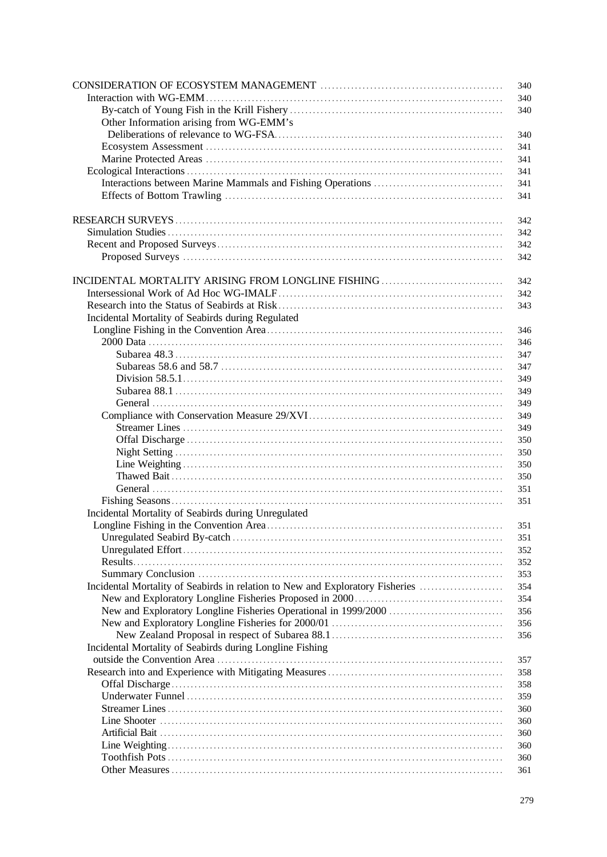|                                                                               | 340        |
|-------------------------------------------------------------------------------|------------|
| Interaction with WG-EMM.                                                      | 340        |
|                                                                               | 340        |
| Other Information arising from WG-EMM's                                       |            |
|                                                                               | 340        |
|                                                                               | 341        |
|                                                                               | 341        |
|                                                                               | 341        |
|                                                                               | 341        |
|                                                                               | 341        |
|                                                                               |            |
|                                                                               | 342        |
|                                                                               | 342        |
|                                                                               | 342        |
|                                                                               | 342        |
|                                                                               |            |
|                                                                               | 342        |
|                                                                               | 342        |
|                                                                               | 343        |
| Incidental Mortality of Seabirds during Regulated                             |            |
|                                                                               | 346        |
|                                                                               | 346        |
|                                                                               | 347        |
|                                                                               | 347        |
|                                                                               | 349        |
|                                                                               | 349        |
|                                                                               | 349        |
|                                                                               | 349        |
|                                                                               | 349        |
|                                                                               | 350        |
|                                                                               | 350        |
|                                                                               | 350        |
|                                                                               | 350        |
|                                                                               | 351        |
|                                                                               | 351        |
| Incidental Mortality of Seabirds during Unregulated                           |            |
|                                                                               | 351        |
|                                                                               | 351        |
|                                                                               | 352        |
|                                                                               | 352        |
|                                                                               | 353        |
| Incidental Mortality of Seabirds in relation to New and Exploratory Fisheries | 354        |
|                                                                               | 354<br>356 |
|                                                                               |            |
|                                                                               | 356<br>356 |
| Incidental Mortality of Seabirds during Longline Fishing                      |            |
|                                                                               | 357        |
|                                                                               | 358        |
|                                                                               | 358        |
|                                                                               | 359        |
|                                                                               | 360        |
|                                                                               | 360        |
|                                                                               | 360        |
|                                                                               | 360        |
|                                                                               | 360        |
|                                                                               | 361        |
|                                                                               |            |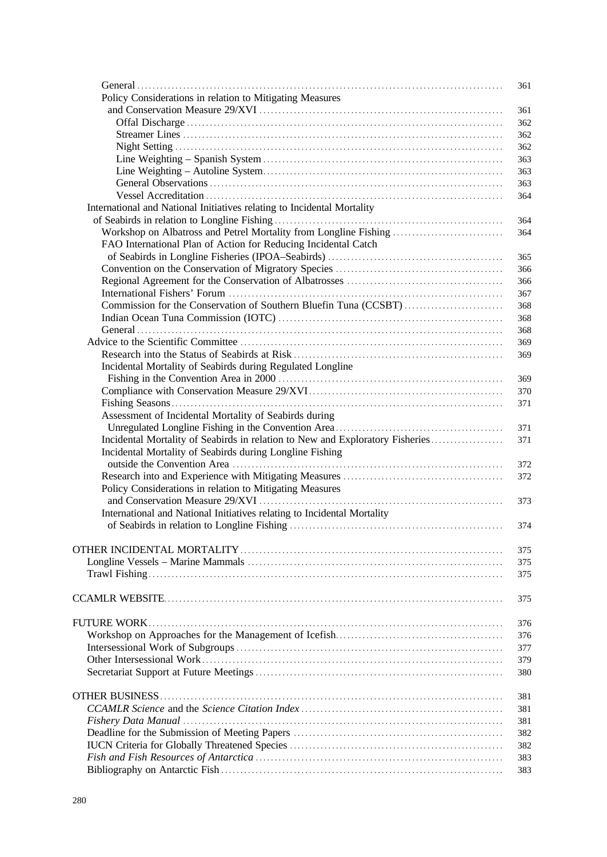|                                                                               | 361        |
|-------------------------------------------------------------------------------|------------|
| Policy Considerations in relation to Mitigating Measures                      |            |
|                                                                               | 361        |
|                                                                               | 362        |
|                                                                               | 362        |
|                                                                               | 362        |
|                                                                               | 363        |
|                                                                               | 363        |
|                                                                               | 363        |
|                                                                               | 364        |
| International and National Initiatives relating to Incidental Mortality       |            |
|                                                                               | 364        |
| Workshop on Albatross and Petrel Mortality from Longline Fishing              | 364        |
| FAO International Plan of Action for Reducing Incidental Catch                |            |
|                                                                               | 365        |
|                                                                               | 366        |
|                                                                               | 366        |
|                                                                               | 367        |
|                                                                               |            |
| Commission for the Conservation of Southern Bluefin Tuna (CCSBT)              | 368        |
|                                                                               | 368        |
|                                                                               | 368        |
|                                                                               | 369        |
|                                                                               | 369        |
| Incidental Mortality of Seabirds during Regulated Longline                    |            |
|                                                                               | 369        |
|                                                                               | 370        |
|                                                                               | 371        |
| Assessment of Incidental Mortality of Seabirds during                         |            |
|                                                                               | 371        |
| Incidental Mortality of Seabirds in relation to New and Exploratory Fisheries | 371        |
| Incidental Mortality of Seabirds during Longline Fishing                      |            |
| outside the Convention Area                                                   | 372        |
|                                                                               | 372        |
| Policy Considerations in relation to Mitigating Measures                      |            |
|                                                                               | 373        |
| International and National Initiatives relating to Incidental Mortality       |            |
|                                                                               | 374        |
|                                                                               |            |
|                                                                               | 375        |
|                                                                               | 375        |
|                                                                               | 375        |
|                                                                               |            |
|                                                                               | 375        |
|                                                                               |            |
| FUTURE WORK.                                                                  | 376        |
|                                                                               | 376        |
|                                                                               | 377        |
|                                                                               | 379        |
|                                                                               | 380        |
|                                                                               |            |
| OTHER BUSINESS.                                                               | 381        |
|                                                                               | 381        |
|                                                                               | 381        |
|                                                                               | 382        |
|                                                                               |            |
|                                                                               | 382<br>383 |
|                                                                               |            |
|                                                                               | 383        |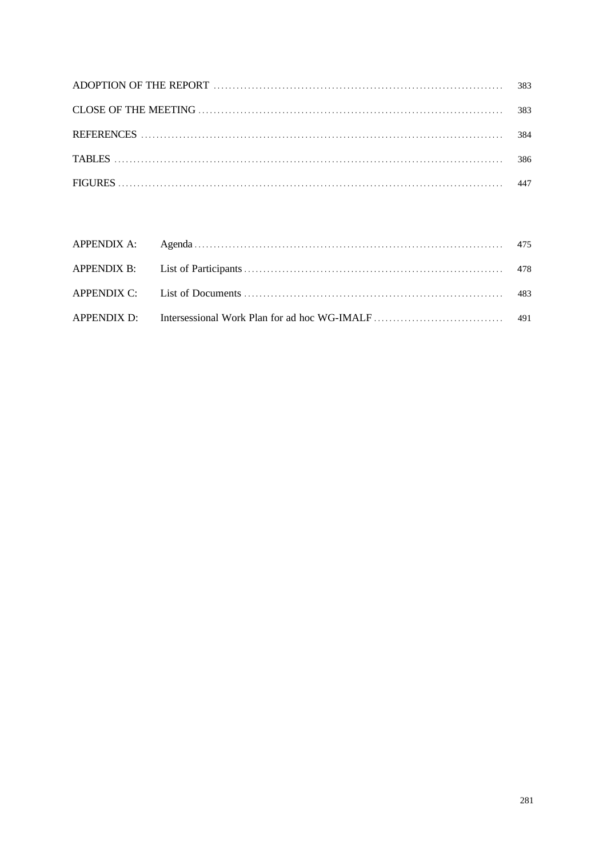| 383 |
|-----|
| 383 |
| 384 |
| 386 |
| 447 |

|  | 483 |
|--|-----|
|  |     |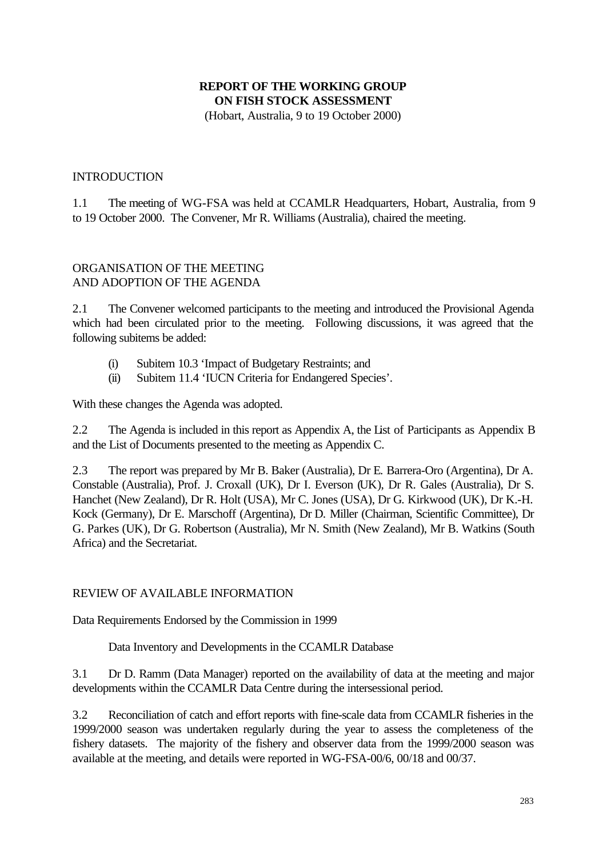## **REPORT OF THE WORKING GROUP ON FISH STOCK ASSESSMENT** (Hobart, Australia, 9 to 19 October 2000)

#### INTRODUCTION

1.1 The meeting of WG-FSA was held at CCAMLR Headquarters, Hobart, Australia, from 9 to 19 October 2000. The Convener, Mr R. Williams (Australia), chaired the meeting.

## ORGANISATION OF THE MEETING AND ADOPTION OF THE AGENDA

2.1 The Convener welcomed participants to the meeting and introduced the Provisional Agenda which had been circulated prior to the meeting. Following discussions, it was agreed that the following subitems be added:

- (i) Subitem 10.3 'Impact of Budgetary Restraints; and
- (ii) Subitem 11.4 'IUCN Criteria for Endangered Species'.

With these changes the Agenda was adopted.

2.2 The Agenda is included in this report as Appendix A, the List of Participants as Appendix B and the List of Documents presented to the meeting as Appendix C.

2.3 The report was prepared by Mr B. Baker (Australia), Dr E. Barrera-Oro (Argentina), Dr A. Constable (Australia), Prof. J. Croxall (UK), Dr I. Everson (UK), Dr R. Gales (Australia), Dr S. Hanchet (New Zealand), Dr R. Holt (USA), Mr C. Jones (USA), Dr G. Kirkwood (UK), Dr K.-H. Kock (Germany), Dr E. Marschoff (Argentina), Dr D. Miller (Chairman, Scientific Committee), Dr G. Parkes (UK), Dr G. Robertson (Australia), Mr N. Smith (New Zealand), Mr B. Watkins (South Africa) and the Secretariat.

#### REVIEW OF AVAILABLE INFORMATION

Data Requirements Endorsed by the Commission in 1999

Data Inventory and Developments in the CCAMLR Database

3.1 Dr D. Ramm (Data Manager) reported on the availability of data at the meeting and major developments within the CCAMLR Data Centre during the intersessional period.

3.2 Reconciliation of catch and effort reports with fine-scale data from CCAMLR fisheries in the 1999/2000 season was undertaken regularly during the year to assess the completeness of the fishery datasets. The majority of the fishery and observer data from the 1999/2000 season was available at the meeting, and details were reported in WG-FSA-00/6, 00/18 and 00/37.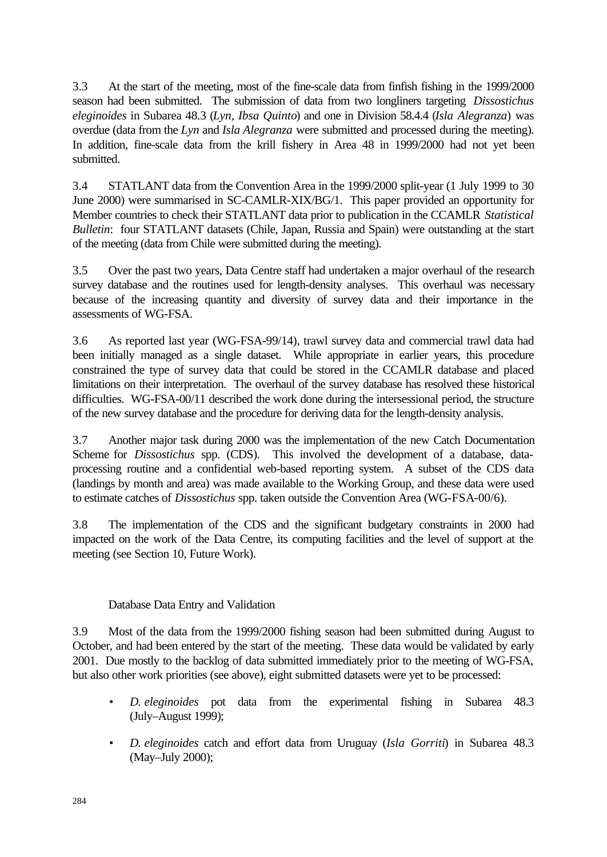3.3 At the start of the meeting, most of the fine-scale data from finfish fishing in the 1999/2000 season had been submitted. The submission of data from two longliners targeting *Dissostichus eleginoides* in Subarea 48.3 (*Lyn, Ibsa Quinto*) and one in Division 58.4.4 (*Isla Alegranza*) was overdue (data from the *Lyn* and *Isla Alegranza* were submitted and processed during the meeting). In addition, fine-scale data from the krill fishery in Area 48 in 1999/2000 had not yet been submitted.

3.4 STATLANT data from the Convention Area in the 1999/2000 split-year (1 July 1999 to 30 June 2000) were summarised in SC-CAMLR-XIX/BG/1. This paper provided an opportunity for Member countries to check their STATLANT data prior to publication in the CCAMLR *Statistical Bulletin*: four STATLANT datasets (Chile, Japan, Russia and Spain) were outstanding at the start of the meeting (data from Chile were submitted during the meeting).

3.5 Over the past two years, Data Centre staff had undertaken a major overhaul of the research survey database and the routines used for length-density analyses. This overhaul was necessary because of the increasing quantity and diversity of survey data and their importance in the assessments of WG-FSA.

3.6 As reported last year (WG-FSA-99/14), trawl survey data and commercial trawl data had been initially managed as a single dataset. While appropriate in earlier years, this procedure constrained the type of survey data that could be stored in the CCAMLR database and placed limitations on their interpretation. The overhaul of the survey database has resolved these historical difficulties. WG-FSA-00/11 described the work done during the intersessional period, the structure of the new survey database and the procedure for deriving data for the length-density analysis.

3.7 Another major task during 2000 was the implementation of the new Catch Documentation Scheme for *Dissostichus* spp. (CDS). This involved the development of a database, dataprocessing routine and a confidential web-based reporting system. A subset of the CDS data (landings by month and area) was made available to the Working Group, and these data were used to estimate catches of *Dissostichus* spp. taken outside the Convention Area (WG-FSA-00/6).

3.8 The implementation of the CDS and the significant budgetary constraints in 2000 had impacted on the work of the Data Centre, its computing facilities and the level of support at the meeting (see Section 10, Future Work).

## Database Data Entry and Validation

3.9 Most of the data from the 1999/2000 fishing season had been submitted during August to October, and had been entered by the start of the meeting. These data would be validated by early 2001. Due mostly to the backlog of data submitted immediately prior to the meeting of WG-FSA, but also other work priorities (see above), eight submitted datasets were yet to be processed:

- *D. eleginoides* pot data from the experimental fishing in Subarea 48.3 (July–August 1999);
- *D. eleginoides* catch and effort data from Uruguay (*Isla Gorriti*) in Subarea 48.3 (May–July 2000);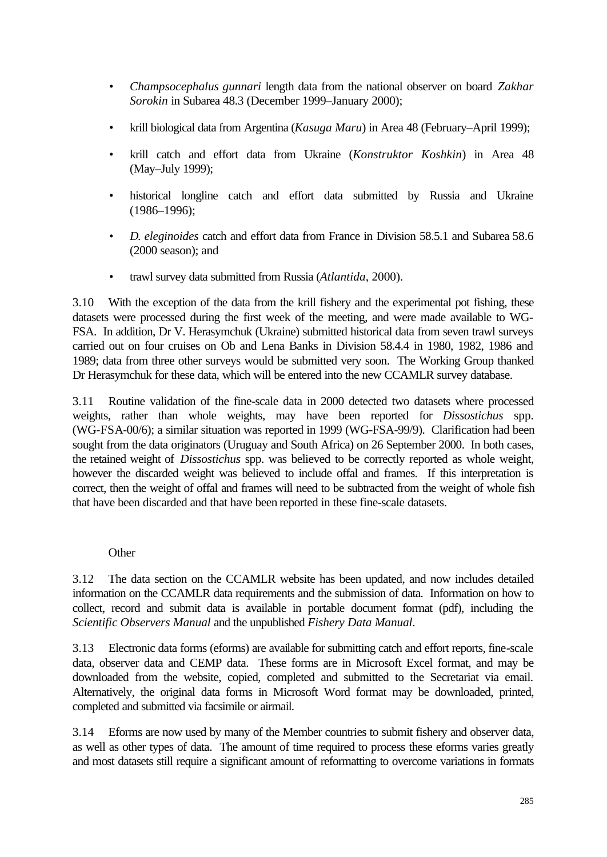- *Champsocephalus gunnari* length data from the national observer on board *Zakhar Sorokin* in Subarea 48.3 (December 1999–January 2000);
- krill biological data from Argentina (*Kasuga Maru*) in Area 48 (February–April 1999);
- krill catch and effort data from Ukraine (*Konstruktor Koshkin*) in Area 48 (May–July 1999);
- historical longline catch and effort data submitted by Russia and Ukraine (1986–1996);
- *D. eleginoides* catch and effort data from France in Division 58.5.1 and Subarea 58.6 (2000 season); and
- trawl survey data submitted from Russia (*Atlantida*, 2000).

3.10 With the exception of the data from the krill fishery and the experimental pot fishing, these datasets were processed during the first week of the meeting, and were made available to WG-FSA. In addition, Dr V. Herasymchuk (Ukraine) submitted historical data from seven trawl surveys carried out on four cruises on Ob and Lena Banks in Division 58.4.4 in 1980, 1982, 1986 and 1989; data from three other surveys would be submitted very soon. The Working Group thanked Dr Herasymchuk for these data, which will be entered into the new CCAMLR survey database.

3.11 Routine validation of the fine-scale data in 2000 detected two datasets where processed weights, rather than whole weights, may have been reported for *Dissostichus* spp. (WG-FSA-00/6); a similar situation was reported in 1999 (WG-FSA-99/9). Clarification had been sought from the data originators (Uruguay and South Africa) on 26 September 2000. In both cases, the retained weight of *Dissostichus* spp. was believed to be correctly reported as whole weight, however the discarded weight was believed to include offal and frames. If this interpretation is correct, then the weight of offal and frames will need to be subtracted from the weight of whole fish that have been discarded and that have been reported in these fine-scale datasets.

## **Other**

3.12 The data section on the CCAMLR website has been updated, and now includes detailed information on the CCAMLR data requirements and the submission of data. Information on how to collect, record and submit data is available in portable document format (pdf), including the *Scientific Observers Manual* and the unpublished *Fishery Data Manual*.

3.13 Electronic data forms (eforms) are available for submitting catch and effort reports, fine-scale data, observer data and CEMP data. These forms are in Microsoft Excel format, and may be downloaded from the website, copied, completed and submitted to the Secretariat via email. Alternatively, the original data forms in Microsoft Word format may be downloaded, printed, completed and submitted via facsimile or airmail.

3.14 Eforms are now used by many of the Member countries to submit fishery and observer data, as well as other types of data. The amount of time required to process these eforms varies greatly and most datasets still require a significant amount of reformatting to overcome variations in formats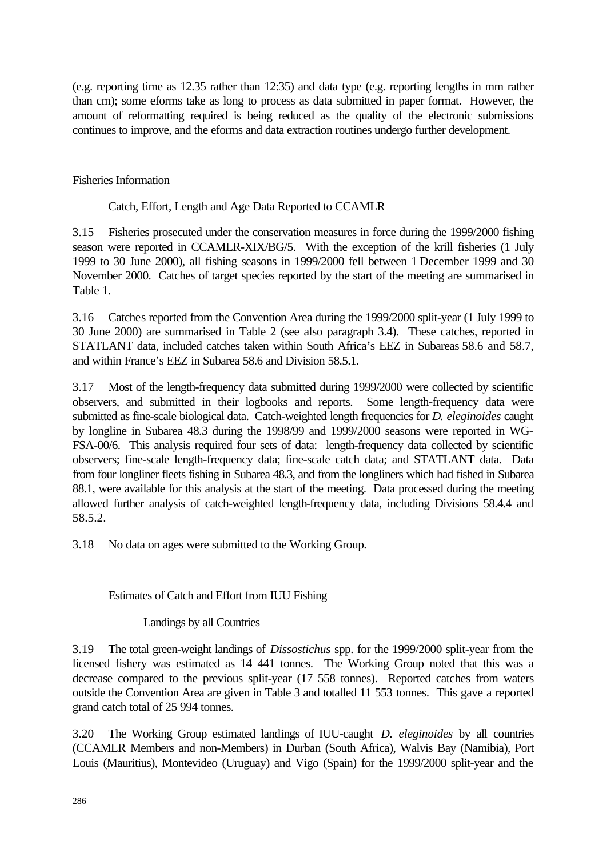(e.g. reporting time as 12.35 rather than 12:35) and data type (e.g. reporting lengths in mm rather than cm); some eforms take as long to process as data submitted in paper format. However, the amount of reformatting required is being reduced as the quality of the electronic submissions continues to improve, and the eforms and data extraction routines undergo further development.

Fisheries Information

Catch, Effort, Length and Age Data Reported to CCAMLR

3.15 Fisheries prosecuted under the conservation measures in force during the 1999/2000 fishing season were reported in CCAMLR-XIX/BG/5. With the exception of the krill fisheries (1 July 1999 to 30 June 2000), all fishing seasons in 1999/2000 fell between 1 December 1999 and 30 November 2000. Catches of target species reported by the start of the meeting are summarised in Table 1.

3.16 Catches reported from the Convention Area during the 1999/2000 split-year (1 July 1999 to 30 June 2000) are summarised in Table 2 (see also paragraph 3.4). These catches, reported in STATLANT data, included catches taken within South Africa's EEZ in Subareas 58.6 and 58.7, and within France's EEZ in Subarea 58.6 and Division 58.5.1.

3.17 Most of the length-frequency data submitted during 1999/2000 were collected by scientific observers, and submitted in their logbooks and reports. Some length-frequency data were submitted as fine-scale biological data. Catch-weighted length frequencies for *D. eleginoides* caught by longline in Subarea 48.3 during the 1998/99 and 1999/2000 seasons were reported in WG-FSA-00/6. This analysis required four sets of data: length-frequency data collected by scientific observers; fine-scale length-frequency data; fine-scale catch data; and STATLANT data. Data from four longliner fleets fishing in Subarea 48.3, and from the longliners which had fished in Subarea 88.1, were available for this analysis at the start of the meeting. Data processed during the meeting allowed further analysis of catch-weighted length-frequency data, including Divisions 58.4.4 and 58.5.2.

3.18 No data on ages were submitted to the Working Group.

## Estimates of Catch and Effort from IUU Fishing

Landings by all Countries

3.19 The total green-weight landings of *Dissostichus* spp. for the 1999/2000 split-year from the licensed fishery was estimated as 14 441 tonnes. The Working Group noted that this was a decrease compared to the previous split-year (17 558 tonnes). Reported catches from waters outside the Convention Area are given in Table 3 and totalled 11 553 tonnes. This gave a reported grand catch total of 25 994 tonnes.

3.20 The Working Group estimated landings of IUU-caught *D. eleginoides* by all countries (CCAMLR Members and non-Members) in Durban (South Africa), Walvis Bay (Namibia), Port Louis (Mauritius), Montevideo (Uruguay) and Vigo (Spain) for the 1999/2000 split-year and the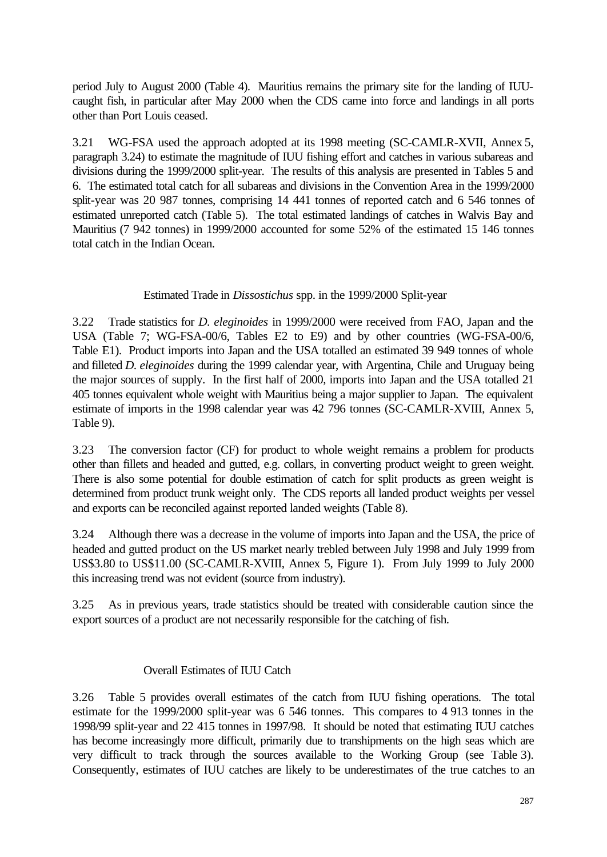period July to August 2000 (Table 4). Mauritius remains the primary site for the landing of IUUcaught fish, in particular after May 2000 when the CDS came into force and landings in all ports other than Port Louis ceased.

3.21 WG-FSA used the approach adopted at its 1998 meeting (SC-CAMLR-XVII, Annex 5, paragraph 3.24) to estimate the magnitude of IUU fishing effort and catches in various subareas and divisions during the 1999/2000 split-year. The results of this analysis are presented in Tables 5 and 6. The estimated total catch for all subareas and divisions in the Convention Area in the 1999/2000 split-year was 20 987 tonnes, comprising 14 441 tonnes of reported catch and 6 546 tonnes of estimated unreported catch (Table 5). The total estimated landings of catches in Walvis Bay and Mauritius (7 942 tonnes) in 1999/2000 accounted for some 52% of the estimated 15 146 tonnes total catch in the Indian Ocean.

## Estimated Trade in *Dissostichus* spp. in the 1999/2000 Split-year

3.22 Trade statistics for *D. eleginoides* in 1999/2000 were received from FAO, Japan and the USA (Table 7; WG-FSA-00/6, Tables E2 to E9) and by other countries (WG-FSA-00/6, Table E1). Product imports into Japan and the USA totalled an estimated 39 949 tonnes of whole and filleted *D. eleginoides* during the 1999 calendar year, with Argentina, Chile and Uruguay being the major sources of supply. In the first half of 2000, imports into Japan and the USA totalled 21 405 tonnes equivalent whole weight with Mauritius being a major supplier to Japan. The equivalent estimate of imports in the 1998 calendar year was 42 796 tonnes (SC-CAMLR-XVIII, Annex 5, Table 9).

3.23 The conversion factor (CF) for product to whole weight remains a problem for products other than fillets and headed and gutted, e.g. collars, in converting product weight to green weight. There is also some potential for double estimation of catch for split products as green weight is determined from product trunk weight only. The CDS reports all landed product weights per vessel and exports can be reconciled against reported landed weights (Table 8).

3.24 Although there was a decrease in the volume of imports into Japan and the USA, the price of headed and gutted product on the US market nearly trebled between July 1998 and July 1999 from US\$3.80 to US\$11.00 (SC-CAMLR-XVIII, Annex 5, Figure 1). From July 1999 to July 2000 this increasing trend was not evident (source from industry).

3.25 As in previous years, trade statistics should be treated with considerable caution since the export sources of a product are not necessarily responsible for the catching of fish.

## Overall Estimates of IUU Catch

3.26 Table 5 provides overall estimates of the catch from IUU fishing operations. The total estimate for the 1999/2000 split-year was 6 546 tonnes. This compares to 4 913 tonnes in the 1998/99 split-year and 22 415 tonnes in 1997/98. It should be noted that estimating IUU catches has become increasingly more difficult, primarily due to transhipments on the high seas which are very difficult to track through the sources available to the Working Group (see Table 3). Consequently, estimates of IUU catches are likely to be underestimates of the true catches to an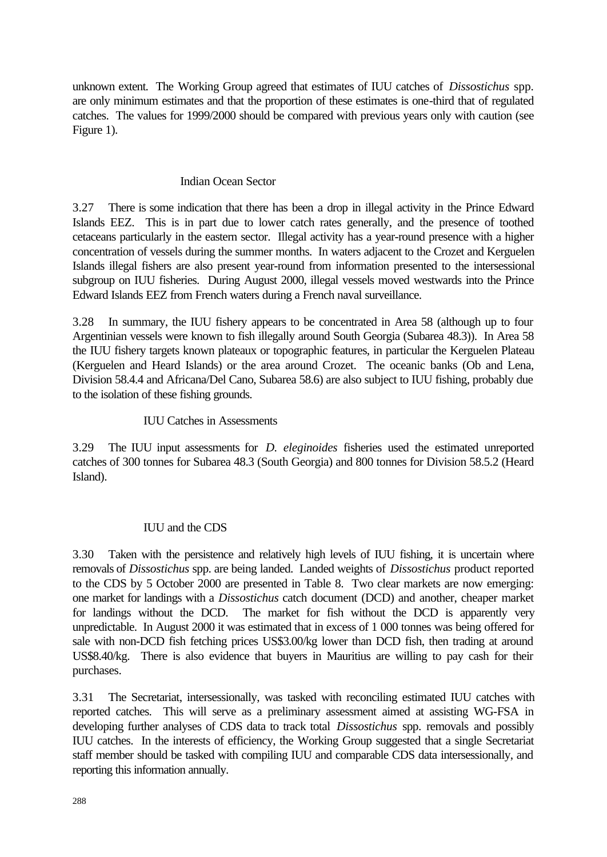unknown extent. The Working Group agreed that estimates of IUU catches of *Dissostichus* spp. are only minimum estimates and that the proportion of these estimates is one-third that of regulated catches. The values for 1999/2000 should be compared with previous years only with caution (see Figure 1).

## Indian Ocean Sector

3.27 There is some indication that there has been a drop in illegal activity in the Prince Edward Islands EEZ. This is in part due to lower catch rates generally, and the presence of toothed cetaceans particularly in the eastern sector. Illegal activity has a year-round presence with a higher concentration of vessels during the summer months. In waters adjacent to the Crozet and Kerguelen Islands illegal fishers are also present year-round from information presented to the intersessional subgroup on IUU fisheries. During August 2000, illegal vessels moved westwards into the Prince Edward Islands EEZ from French waters during a French naval surveillance.

3.28 In summary, the IUU fishery appears to be concentrated in Area 58 (although up to four Argentinian vessels were known to fish illegally around South Georgia (Subarea 48.3)). In Area 58 the IUU fishery targets known plateaux or topographic features, in particular the Kerguelen Plateau (Kerguelen and Heard Islands) or the area around Crozet. The oceanic banks (Ob and Lena, Division 58.4.4 and Africana/Del Cano, Subarea 58.6) are also subject to IUU fishing, probably due to the isolation of these fishing grounds.

## IUU Catches in Assessments

3.29 The IUU input assessments for *D. eleginoides* fisheries used the estimated unreported catches of 300 tonnes for Subarea 48.3 (South Georgia) and 800 tonnes for Division 58.5.2 (Heard Island).

## IUU and the CDS

3.30 Taken with the persistence and relatively high levels of IUU fishing, it is uncertain where removals of *Dissostichus* spp. are being landed. Landed weights of *Dissostichus* product reported to the CDS by 5 October 2000 are presented in Table 8. Two clear markets are now emerging: one market for landings with a *Dissostichus* catch document (DCD) and another, cheaper market for landings without the DCD. The market for fish without the DCD is apparently very unpredictable. In August 2000 it was estimated that in excess of 1 000 tonnes was being offered for sale with non-DCD fish fetching prices US\$3.00/kg lower than DCD fish, then trading at around US\$8.40/kg. There is also evidence that buyers in Mauritius are willing to pay cash for their purchases.

3.31 The Secretariat, intersessionally, was tasked with reconciling estimated IUU catches with reported catches. This will serve as a preliminary assessment aimed at assisting WG-FSA in developing further analyses of CDS data to track total *Dissostichus* spp. removals and possibly IUU catches. In the interests of efficiency, the Working Group suggested that a single Secretariat staff member should be tasked with compiling IUU and comparable CDS data intersessionally, and reporting this information annually.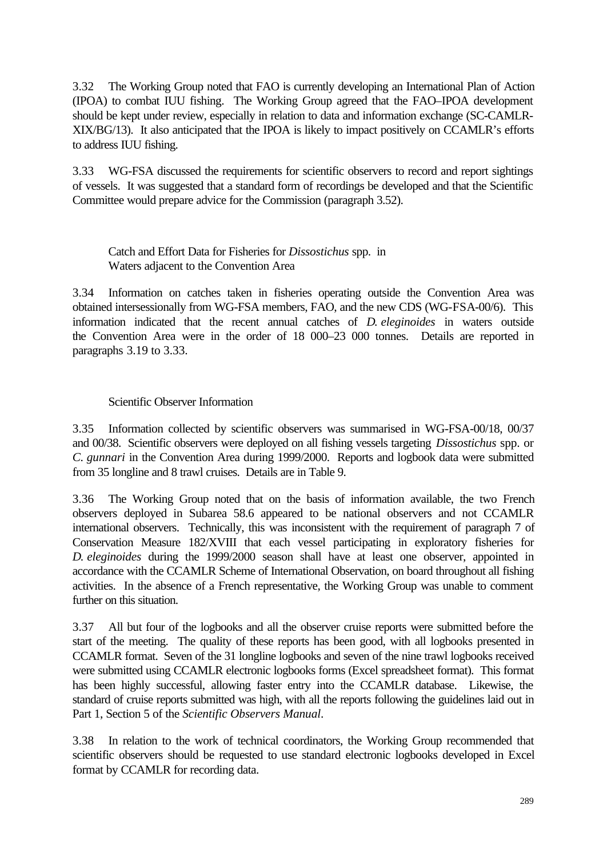3.32 The Working Group noted that FAO is currently developing an International Plan of Action (IPOA) to combat IUU fishing. The Working Group agreed that the FAO–IPOA development should be kept under review, especially in relation to data and information exchange (SC-CAMLR-XIX/BG/13). It also anticipated that the IPOA is likely to impact positively on CCAMLR's efforts to address IUU fishing.

3.33 WG-FSA discussed the requirements for scientific observers to record and report sightings of vessels. It was suggested that a standard form of recordings be developed and that the Scientific Committee would prepare advice for the Commission (paragraph 3.52).

Catch and Effort Data for Fisheries for *Dissostichus* spp. in Waters adjacent to the Convention Area

3.34 Information on catches taken in fisheries operating outside the Convention Area was obtained intersessionally from WG-FSA members, FAO, and the new CDS (WG-FSA-00/6). This information indicated that the recent annual catches of *D. eleginoides* in waters outside the Convention Area were in the order of 18 000–23 000 tonnes. Details are reported in paragraphs 3.19 to 3.33.

## Scientific Observer Information

3.35 Information collected by scientific observers was summarised in WG-FSA-00/18, 00/37 and 00/38. Scientific observers were deployed on all fishing vessels targeting *Dissostichus* spp. or *C. gunnari* in the Convention Area during 1999/2000. Reports and logbook data were submitted from 35 longline and 8 trawl cruises. Details are in Table 9.

3.36 The Working Group noted that on the basis of information available, the two French observers deployed in Subarea 58.6 appeared to be national observers and not CCAMLR international observers. Technically, this was inconsistent with the requirement of paragraph 7 of Conservation Measure 182/XVIII that each vessel participating in exploratory fisheries for *D. eleginoides* during the 1999/2000 season shall have at least one observer, appointed in accordance with the CCAMLR Scheme of International Observation, on board throughout all fishing activities. In the absence of a French representative, the Working Group was unable to comment further on this situation.

3.37 All but four of the logbooks and all the observer cruise reports were submitted before the start of the meeting. The quality of these reports has been good, with all logbooks presented in CCAMLR format. Seven of the 31 longline logbooks and seven of the nine trawl logbooks received were submitted using CCAMLR electronic logbooks forms (Excel spreadsheet format). This format has been highly successful, allowing faster entry into the CCAMLR database. Likewise, the standard of cruise reports submitted was high, with all the reports following the guidelines laid out in Part 1, Section 5 of the *Scientific Observers Manual*.

3.38 In relation to the work of technical coordinators, the Working Group recommended that scientific observers should be requested to use standard electronic logbooks developed in Excel format by CCAMLR for recording data.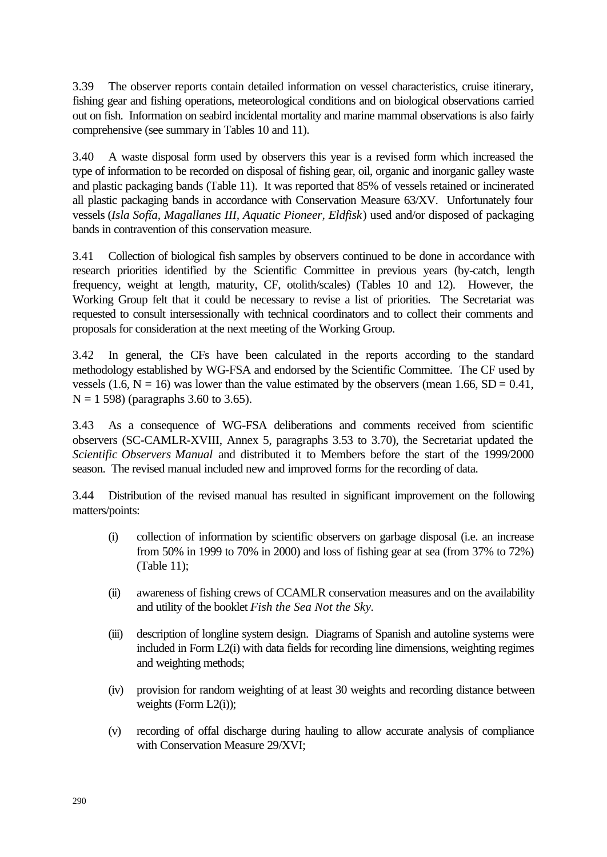3.39 The observer reports contain detailed information on vessel characteristics, cruise itinerary, fishing gear and fishing operations, meteorological conditions and on biological observations carried out on fish. Information on seabird incidental mortality and marine mammal observations is also fairly comprehensive (see summary in Tables 10 and 11).

3.40 A waste disposal form used by observers this year is a revised form which increased the type of information to be recorded on disposal of fishing gear, oil, organic and inorganic galley waste and plastic packaging bands (Table 11). It was reported that 85% of vessels retained or incinerated all plastic packaging bands in accordance with Conservation Measure 63/XV. Unfortunately four vessels (*Isla Sofía, Magallanes III, Aquatic Pioneer, Eldfisk*) used and/or disposed of packaging bands in contravention of this conservation measure.

3.41 Collection of biological fish samples by observers continued to be done in accordance with research priorities identified by the Scientific Committee in previous years (by-catch, length frequency, weight at length, maturity, CF, otolith/scales) (Tables 10 and 12). However, the Working Group felt that it could be necessary to revise a list of priorities. The Secretariat was requested to consult intersessionally with technical coordinators and to collect their comments and proposals for consideration at the next meeting of the Working Group.

3.42 In general, the CFs have been calculated in the reports according to the standard methodology established by WG-FSA and endorsed by the Scientific Committee. The CF used by vessels (1.6,  $N = 16$ ) was lower than the value estimated by the observers (mean 1.66,  $SD = 0.41$ ,  $N = 1$  598) (paragraphs 3.60 to 3.65).

3.43 As a consequence of WG-FSA deliberations and comments received from scientific observers (SC-CAMLR-XVIII, Annex 5, paragraphs 3.53 to 3.70), the Secretariat updated the *Scientific Observers Manual* and distributed it to Members before the start of the 1999/2000 season. The revised manual included new and improved forms for the recording of data.

3.44 Distribution of the revised manual has resulted in significant improvement on the following matters/points:

- (i) collection of information by scientific observers on garbage disposal (i.e. an increase from 50% in 1999 to 70% in 2000) and loss of fishing gear at sea (from 37% to 72%) (Table 11);
- (ii) awareness of fishing crews of CCAMLR conservation measures and on the availability and utility of the booklet *Fish the Sea Not the Sky.*
- (iii) description of longline system design. Diagrams of Spanish and autoline systems were included in Form L2(i) with data fields for recording line dimensions, weighting regimes and weighting methods;
- (iv) provision for random weighting of at least 30 weights and recording distance between weights (Form L2(i));
- (v) recording of offal discharge during hauling to allow accurate analysis of compliance with Conservation Measure 29/XVI;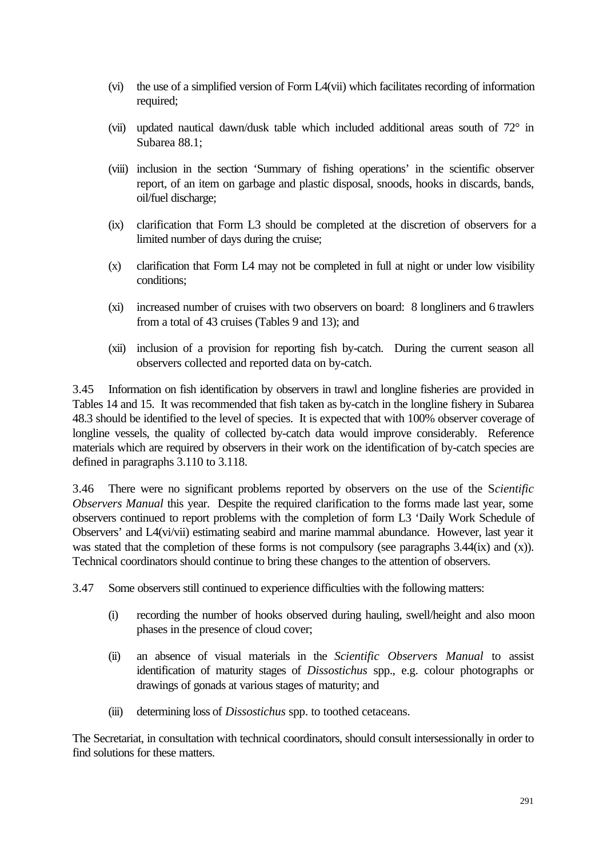- (vi) the use of a simplified version of Form L4(vii) which facilitates recording of information required;
- (vii) updated nautical dawn/dusk table which included additional areas south of 72° in Subarea 88.1;
- (viii) inclusion in the section 'Summary of fishing operations' in the scientific observer report, of an item on garbage and plastic disposal, snoods, hooks in discards, bands, oil/fuel discharge;
- (ix) clarification that Form L3 should be completed at the discretion of observers for a limited number of days during the cruise;
- (x) clarification that Form L4 may not be completed in full at night or under low visibility conditions;
- (xi) increased number of cruises with two observers on board: 8 longliners and 6 trawlers from a total of 43 cruises (Tables 9 and 13); and
- (xii) inclusion of a provision for reporting fish by-catch. During the current season all observers collected and reported data on by-catch.

3.45 Information on fish identification by observers in trawl and longline fisheries are provided in Tables 14 and 15. It was recommended that fish taken as by-catch in the longline fishery in Subarea 48.3 should be identified to the level of species. It is expected that with 100% observer coverage of longline vessels, the quality of collected by-catch data would improve considerably. Reference materials which are required by observers in their work on the identification of by-catch species are defined in paragraphs 3.110 to 3.118.

3.46 There were no significant problems reported by observers on the use of the S*cientific Observers Manual* this year. Despite the required clarification to the forms made last year, some observers continued to report problems with the completion of form L3 'Daily Work Schedule of Observers' and L4(vi/vii) estimating seabird and marine mammal abundance. However, last year it was stated that the completion of these forms is not compulsory (see paragraphs 3.44(ix) and (x)). Technical coordinators should continue to bring these changes to the attention of observers.

- 3.47 Some observers still continued to experience difficulties with the following matters:
	- (i) recording the number of hooks observed during hauling, swell/height and also moon phases in the presence of cloud cover;
	- (ii) an absence of visual materials in the *Scientific Observers Manual* to assist identification of maturity stages of *Dissostichus* spp., e.g. colour photographs or drawings of gonads at various stages of maturity; and
	- (iii) determining loss of *Dissostichus* spp. to toothed cetaceans.

The Secretariat, in consultation with technical coordinators, should consult intersessionally in order to find solutions for these matters.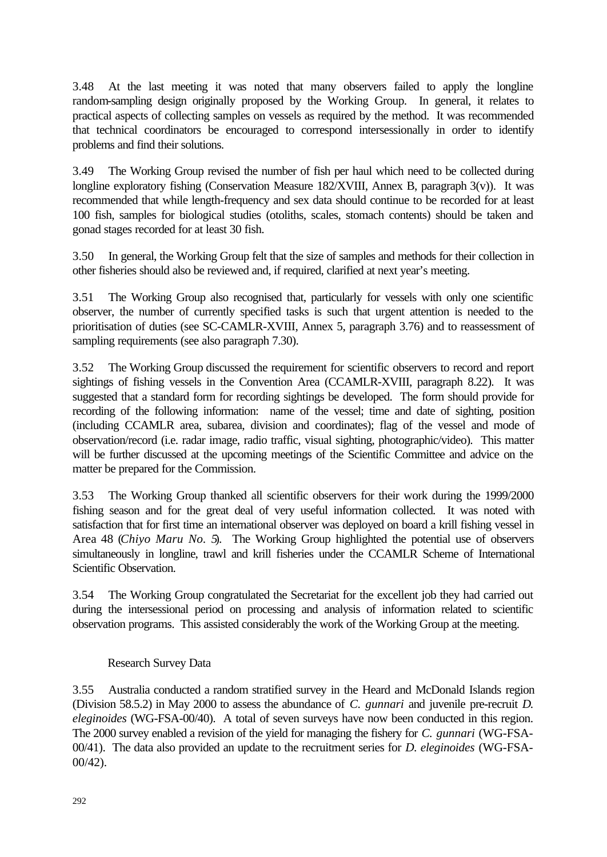3.48 At the last meeting it was noted that many observers failed to apply the longline random-sampling design originally proposed by the Working Group. In general, it relates to practical aspects of collecting samples on vessels as required by the method. It was recommended that technical coordinators be encouraged to correspond intersessionally in order to identify problems and find their solutions.

3.49 The Working Group revised the number of fish per haul which need to be collected during longline exploratory fishing (Conservation Measure 182/XVIII, Annex B, paragraph 3(v)). It was recommended that while length-frequency and sex data should continue to be recorded for at least 100 fish, samples for biological studies (otoliths, scales, stomach contents) should be taken and gonad stages recorded for at least 30 fish.

3.50 In general, the Working Group felt that the size of samples and methods for their collection in other fisheries should also be reviewed and, if required, clarified at next year's meeting.

3.51 The Working Group also recognised that, particularly for vessels with only one scientific observer, the number of currently specified tasks is such that urgent attention is needed to the prioritisation of duties (see SC-CAMLR-XVIII, Annex 5, paragraph 3.76) and to reassessment of sampling requirements (see also paragraph 7.30).

3.52 The Working Group discussed the requirement for scientific observers to record and report sightings of fishing vessels in the Convention Area (CCAMLR-XVIII, paragraph 8.22). It was suggested that a standard form for recording sightings be developed. The form should provide for recording of the following information: name of the vessel; time and date of sighting, position (including CCAMLR area, subarea, division and coordinates); flag of the vessel and mode of observation/record (i.e. radar image, radio traffic, visual sighting, photographic/video). This matter will be further discussed at the upcoming meetings of the Scientific Committee and advice on the matter be prepared for the Commission.

3.53 The Working Group thanked all scientific observers for their work during the 1999/2000 fishing season and for the great deal of very useful information collected. It was noted with satisfaction that for first time an international observer was deployed on board a krill fishing vessel in Area 48 (*Chiyo Maru No. 5*). The Working Group highlighted the potential use of observers simultaneously in longline, trawl and krill fisheries under the CCAMLR Scheme of International Scientific Observation.

3.54 The Working Group congratulated the Secretariat for the excellent job they had carried out during the intersessional period on processing and analysis of information related to scientific observation programs. This assisted considerably the work of the Working Group at the meeting.

## Research Survey Data

3.55 Australia conducted a random stratified survey in the Heard and McDonald Islands region (Division 58.5.2) in May 2000 to assess the abundance of *C. gunnari* and juvenile pre-recruit *D. eleginoides* (WG-FSA-00/40). A total of seven surveys have now been conducted in this region. The 2000 survey enabled a revision of the yield for managing the fishery for *C. gunnari* (WG-FSA-00/41). The data also provided an update to the recruitment series for *D. eleginoides* (WG-FSA-00/42).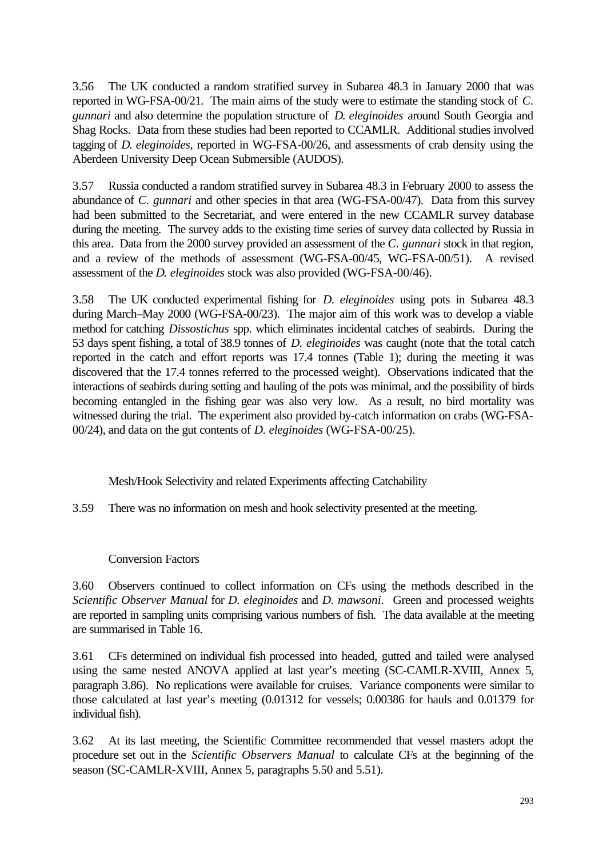3.56 The UK conducted a random stratified survey in Subarea 48.3 in January 2000 that was reported in WG-FSA-00/21. The main aims of the study were to estimate the standing stock of *C. gunnari* and also determine the population structure of *D. eleginoides* around South Georgia and Shag Rocks. Data from these studies had been reported to CCAMLR. Additional studies involved tagging of *D. eleginoides*, reported in WG-FSA-00/26, and assessments of crab density using the Aberdeen University Deep Ocean Submersible (AUDOS).

3.57 Russia conducted a random stratified survey in Subarea 48.3 in February 2000 to assess the abundance of *C. gunnari* and other species in that area (WG-FSA-00/47). Data from this survey had been submitted to the Secretariat, and were entered in the new CCAMLR survey database during the meeting. The survey adds to the existing time series of survey data collected by Russia in this area. Data from the 2000 survey provided an assessment of the *C. gunnari* stock in that region, and a review of the methods of assessment (WG-FSA-00/45, WG-FSA-00/51). A revised assessment of the *D. eleginoides* stock was also provided (WG-FSA-00/46).

3.58 The UK conducted experimental fishing for *D. eleginoides* using pots in Subarea 48.3 during March–May 2000 (WG-FSA-00/23). The major aim of this work was to develop a viable method for catching *Dissostichus* spp. which eliminates incidental catches of seabirds. During the 53 days spent fishing, a total of 38.9 tonnes of *D. eleginoides* was caught (note that the total catch reported in the catch and effort reports was 17.4 tonnes (Table 1); during the meeting it was discovered that the 17.4 tonnes referred to the processed weight). Observations indicated that the interactions of seabirds during setting and hauling of the pots was minimal, and the possibility of birds becoming entangled in the fishing gear was also very low. As a result, no bird mortality was witnessed during the trial. The experiment also provided by-catch information on crabs (WG-FSA-00/24), and data on the gut contents of *D. eleginoides* (WG-FSA-00/25).

Mesh/Hook Selectivity and related Experiments affecting Catchability

3.59 There was no information on mesh and hook selectivity presented at the meeting.

Conversion Factors

3.60 Observers continued to collect information on CFs using the methods described in the *Scientific Observer Manual* for *D. eleginoides* and *D. mawsoni*. Green and processed weights are reported in sampling units comprising various numbers of fish. The data available at the meeting are summarised in Table 16.

3.61 CFs determined on individual fish processed into headed, gutted and tailed were analysed using the same nested ANOVA applied at last year's meeting (SC-CAMLR-XVIII, Annex 5, paragraph 3.86). No replications were available for cruises. Variance components were similar to those calculated at last year's meeting (0.01312 for vessels; 0.00386 for hauls and 0.01379 for individual fish).

3.62 At its last meeting, the Scientific Committee recommended that vessel masters adopt the procedure set out in the *Scientific Observers Manual* to calculate CFs at the beginning of the season (SC-CAMLR-XVIII, Annex 5, paragraphs 5.50 and 5.51).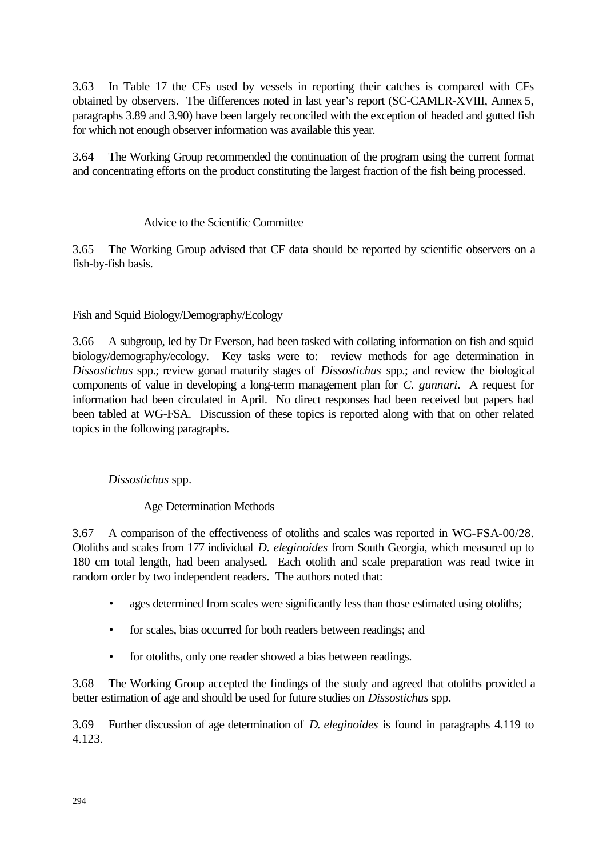3.63 In Table 17 the CFs used by vessels in reporting their catches is compared with CFs obtained by observers. The differences noted in last year's report (SC-CAMLR-XVIII, Annex 5, paragraphs 3.89 and 3.90) have been largely reconciled with the exception of headed and gutted fish for which not enough observer information was available this year.

3.64 The Working Group recommended the continuation of the program using the current format and concentrating efforts on the product constituting the largest fraction of the fish being processed.

## Advice to the Scientific Committee

3.65 The Working Group advised that CF data should be reported by scientific observers on a fish-by-fish basis.

## Fish and Squid Biology/Demography/Ecology

3.66 A subgroup, led by Dr Everson, had been tasked with collating information on fish and squid biology/demography/ecology. Key tasks were to: review methods for age determination in *Dissostichus* spp.; review gonad maturity stages of *Dissostichus* spp.; and review the biological components of value in developing a long-term management plan for *C. gunnari*. A request for information had been circulated in April. No direct responses had been received but papers had been tabled at WG-FSA. Discussion of these topics is reported along with that on other related topics in the following paragraphs.

## *Dissostichus* spp.

## Age Determination Methods

3.67 A comparison of the effectiveness of otoliths and scales was reported in WG-FSA-00/28. Otoliths and scales from 177 individual *D. eleginoides* from South Georgia, which measured up to 180 cm total length, had been analysed. Each otolith and scale preparation was read twice in random order by two independent readers. The authors noted that:

- ages determined from scales were significantly less than those estimated using otoliths;
- for scales, bias occurred for both readers between readings; and
- for otoliths, only one reader showed a bias between readings.

3.68 The Working Group accepted the findings of the study and agreed that otoliths provided a better estimation of age and should be used for future studies on *Dissostichus* spp.

3.69 Further discussion of age determination of *D. eleginoides* is found in paragraphs 4.119 to 4.123.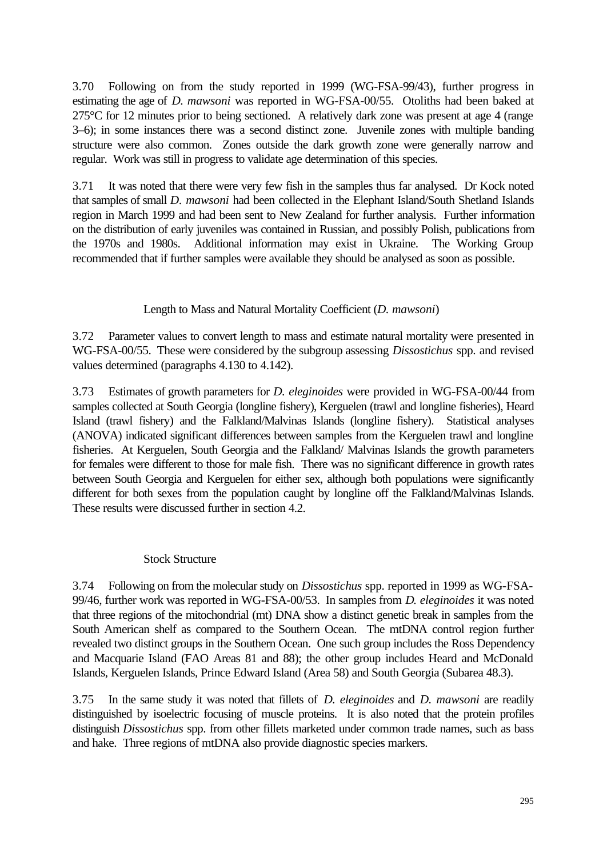3.70 Following on from the study reported in 1999 (WG-FSA-99/43), further progress in estimating the age of *D. mawsoni* was reported in WG-FSA-00/55. Otoliths had been baked at 275°C for 12 minutes prior to being sectioned. A relatively dark zone was present at age 4 (range 3–6); in some instances there was a second distinct zone. Juvenile zones with multiple banding structure were also common. Zones outside the dark growth zone were generally narrow and regular. Work was still in progress to validate age determination of this species.

3.71 It was noted that there were very few fish in the samples thus far analysed. Dr Kock noted that samples of small *D. mawsoni* had been collected in the Elephant Island/South Shetland Islands region in March 1999 and had been sent to New Zealand for further analysis. Further information on the distribution of early juveniles was contained in Russian, and possibly Polish, publications from the 1970s and 1980s. Additional information may exist in Ukraine. The Working Group recommended that if further samples were available they should be analysed as soon as possible.

## Length to Mass and Natural Mortality Coefficient (*D. mawsoni*)

3.72 Parameter values to convert length to mass and estimate natural mortality were presented in WG-FSA-00/55. These were considered by the subgroup assessing *Dissostichus* spp. and revised values determined (paragraphs 4.130 to 4.142).

3.73 Estimates of growth parameters for *D. eleginoides* were provided in WG-FSA-00/44 from samples collected at South Georgia (longline fishery), Kerguelen (trawl and longline fisheries), Heard Island (trawl fishery) and the Falkland/Malvinas Islands (longline fishery). Statistical analyses (ANOVA) indicated significant differences between samples from the Kerguelen trawl and longline fisheries. At Kerguelen, South Georgia and the Falkland/ Malvinas Islands the growth parameters for females were different to those for male fish. There was no significant difference in growth rates between South Georgia and Kerguelen for either sex, although both populations were significantly different for both sexes from the population caught by longline off the Falkland/Malvinas Islands. These results were discussed further in section 4.2.

## Stock Structure

3.74 Following on from the molecular study on *Dissostichus* spp. reported in 1999 as WG-FSA-99/46, further work was reported in WG-FSA-00/53. In samples from *D. eleginoides* it was noted that three regions of the mitochondrial (mt) DNA show a distinct genetic break in samples from the South American shelf as compared to the Southern Ocean. The mtDNA control region further revealed two distinct groups in the Southern Ocean. One such group includes the Ross Dependency and Macquarie Island (FAO Areas 81 and 88); the other group includes Heard and McDonald Islands, Kerguelen Islands, Prince Edward Island (Area 58) and South Georgia (Subarea 48.3).

3.75 In the same study it was noted that fillets of *D. eleginoides* and *D. mawsoni* are readily distinguished by isoelectric focusing of muscle proteins. It is also noted that the protein profiles distinguish *Dissostichus* spp. from other fillets marketed under common trade names, such as bass and hake. Three regions of mtDNA also provide diagnostic species markers.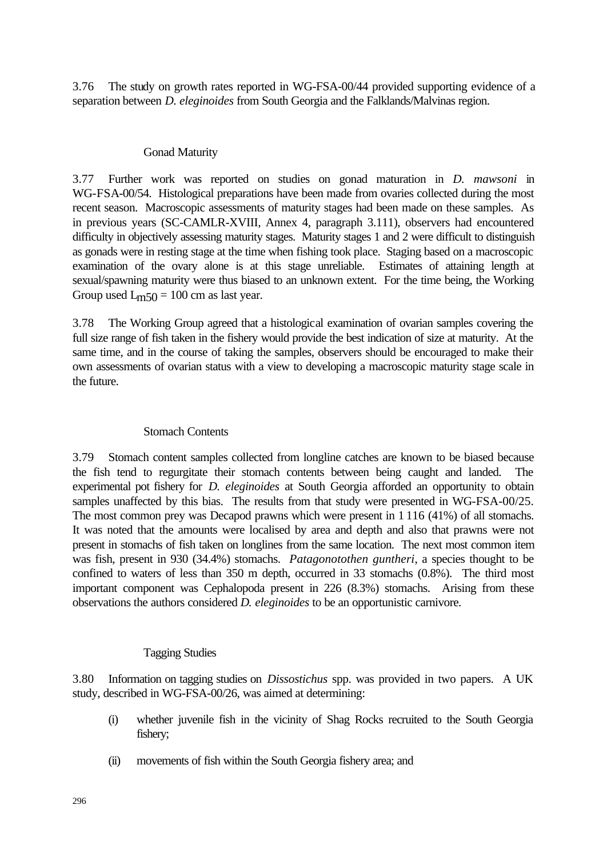3.76 The study on growth rates reported in WG-FSA-00/44 provided supporting evidence of a separation between *D. eleginoides* from South Georgia and the Falklands/Malvinas region.

#### Gonad Maturity

3.77 Further work was reported on studies on gonad maturation in *D. mawsoni* in WG-FSA-00/54. Histological preparations have been made from ovaries collected during the most recent season. Macroscopic assessments of maturity stages had been made on these samples. As in previous years (SC-CAMLR-XVIII, Annex 4, paragraph 3.111), observers had encountered difficulty in objectively assessing maturity stages. Maturity stages 1 and 2 were difficult to distinguish as gonads were in resting stage at the time when fishing took place. Staging based on a macroscopic examination of the ovary alone is at this stage unreliable. Estimates of attaining length at sexual/spawning maturity were thus biased to an unknown extent. For the time being, the Working Group used  $L<sub>m50</sub> = 100$  cm as last year.

3.78 The Working Group agreed that a histological examination of ovarian samples covering the full size range of fish taken in the fishery would provide the best indication of size at maturity. At the same time, and in the course of taking the samples, observers should be encouraged to make their own assessments of ovarian status with a view to developing a macroscopic maturity stage scale in the future.

## Stomach Contents

3.79 Stomach content samples collected from longline catches are known to be biased because the fish tend to regurgitate their stomach contents between being caught and landed. The experimental pot fishery for *D. eleginoides* at South Georgia afforded an opportunity to obtain samples unaffected by this bias. The results from that study were presented in WG-FSA-00/25. The most common prey was Decapod prawns which were present in 1 116 (41%) of all stomachs. It was noted that the amounts were localised by area and depth and also that prawns were not present in stomachs of fish taken on longlines from the same location. The next most common item was fish, present in 930 (34.4%) stomachs. *Patagonotothen guntheri*, a species thought to be confined to waters of less than 350 m depth, occurred in 33 stomachs (0.8%). The third most important component was Cephalopoda present in 226 (8.3%) stomachs. Arising from these observations the authors considered *D. eleginoides* to be an opportunistic carnivore.

## Tagging Studies

3.80 Information on tagging studies on *Dissostichus* spp. was provided in two papers. A UK study, described in WG-FSA-00/26, was aimed at determining:

- (i) whether juvenile fish in the vicinity of Shag Rocks recruited to the South Georgia fishery;
- (ii) movements of fish within the South Georgia fishery area; and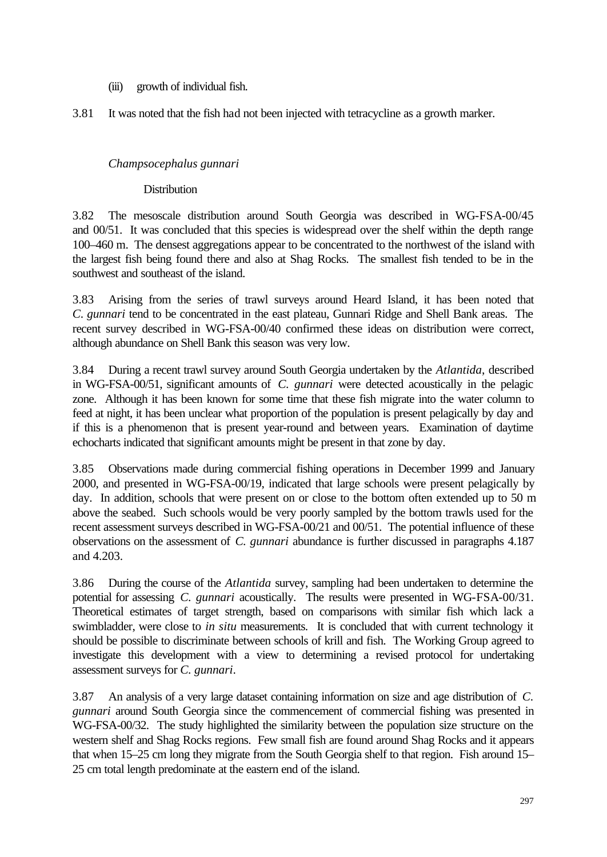(iii) growth of individual fish.

3.81 It was noted that the fish had not been injected with tetracycline as a growth marker.

## *Champsocephalus gunnari*

## **Distribution**

3.82 The mesoscale distribution around South Georgia was described in WG-FSA-00/45 and 00/51. It was concluded that this species is widespread over the shelf within the depth range 100–460 m. The densest aggregations appear to be concentrated to the northwest of the island with the largest fish being found there and also at Shag Rocks. The smallest fish tended to be in the southwest and southeast of the island.

3.83 Arising from the series of trawl surveys around Heard Island, it has been noted that *C. gunnari* tend to be concentrated in the east plateau, Gunnari Ridge and Shell Bank areas. The recent survey described in WG-FSA-00/40 confirmed these ideas on distribution were correct, although abundance on Shell Bank this season was very low.

3.84 During a recent trawl survey around South Georgia undertaken by the *Atlantida*, described in WG-FSA-00/51, significant amounts of *C. gunnari* were detected acoustically in the pelagic zone. Although it has been known for some time that these fish migrate into the water column to feed at night, it has been unclear what proportion of the population is present pelagically by day and if this is a phenomenon that is present year-round and between years. Examination of daytime echocharts indicated that significant amounts might be present in that zone by day.

3.85 Observations made during commercial fishing operations in December 1999 and January 2000, and presented in WG-FSA-00/19, indicated that large schools were present pelagically by day. In addition, schools that were present on or close to the bottom often extended up to 50 m above the seabed. Such schools would be very poorly sampled by the bottom trawls used for the recent assessment surveys described in WG-FSA-00/21 and 00/51. The potential influence of these observations on the assessment of *C. gunnari* abundance is further discussed in paragraphs 4.187 and 4.203.

3.86 During the course of the *Atlantida* survey, sampling had been undertaken to determine the potential for assessing *C. gunnari* acoustically. The results were presented in WG-FSA-00/31. Theoretical estimates of target strength, based on comparisons with similar fish which lack a swimbladder, were close to *in situ* measurements. It is concluded that with current technology it should be possible to discriminate between schools of krill and fish. The Working Group agreed to investigate this development with a view to determining a revised protocol for undertaking assessment surveys for *C. gunnari*.

3.87 An analysis of a very large dataset containing information on size and age distribution of *C. gunnari* around South Georgia since the commencement of commercial fishing was presented in WG-FSA-00/32. The study highlighted the similarity between the population size structure on the western shelf and Shag Rocks regions. Few small fish are found around Shag Rocks and it appears that when 15–25 cm long they migrate from the South Georgia shelf to that region. Fish around 15– 25 cm total length predominate at the eastern end of the island.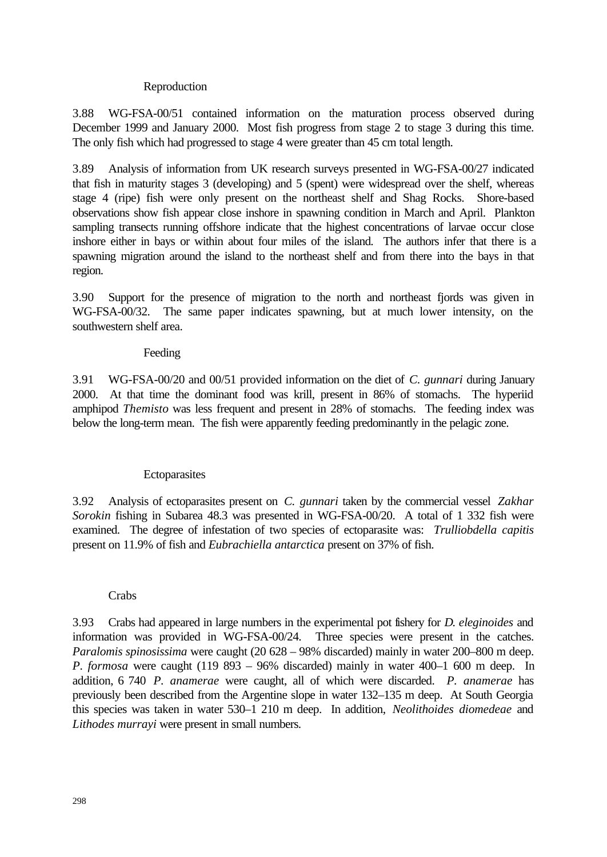#### Reproduction

3.88 WG-FSA-00/51 contained information on the maturation process observed during December 1999 and January 2000. Most fish progress from stage 2 to stage 3 during this time. The only fish which had progressed to stage 4 were greater than 45 cm total length.

3.89 Analysis of information from UK research surveys presented in WG-FSA-00/27 indicated that fish in maturity stages 3 (developing) and 5 (spent) were widespread over the shelf, whereas stage 4 (ripe) fish were only present on the northeast shelf and Shag Rocks. Shore-based observations show fish appear close inshore in spawning condition in March and April. Plankton sampling transects running offshore indicate that the highest concentrations of larvae occur close inshore either in bays or within about four miles of the island. The authors infer that there is a spawning migration around the island to the northeast shelf and from there into the bays in that region.

3.90 Support for the presence of migration to the north and northeast fjords was given in WG-FSA-00/32. The same paper indicates spawning, but at much lower intensity, on the southwestern shelf area.

#### Feeding

3.91 WG-FSA-00/20 and 00/51 provided information on the diet of *C. gunnari* during January 2000. At that time the dominant food was krill, present in 86% of stomachs. The hyperiid amphipod *Themisto* was less frequent and present in 28% of stomachs. The feeding index was below the long-term mean. The fish were apparently feeding predominantly in the pelagic zone.

## **Ectoparasites**

3.92 Analysis of ectoparasites present on *C. gunnari* taken by the commercial vessel *Zakhar Sorokin* fishing in Subarea 48.3 was presented in WG-FSA-00/20. A total of 1 332 fish were examined. The degree of infestation of two species of ectoparasite was: *Trulliobdella capitis* present on 11.9% of fish and *Eubrachiella antarctica* present on 37% of fish.

#### Crabs

3.93 Crabs had appeared in large numbers in the experimental pot fishery for *D. eleginoides* and information was provided in WG-FSA-00/24. Three species were present in the catches. *Paralomis spinosissima* were caught (20 628 – 98% discarded) mainly in water 200–800 m deep. *P. formosa* were caught (119 893 – 96% discarded) mainly in water 400–1 600 m deep. In addition, 6 740 *P. anamerae* were caught, all of which were discarded. *P. anamerae* has previously been described from the Argentine slope in water 132–135 m deep. At South Georgia this species was taken in water 530–1 210 m deep. In addition, *Neolithoides diomedeae* and *Lithodes murrayi* were present in small numbers.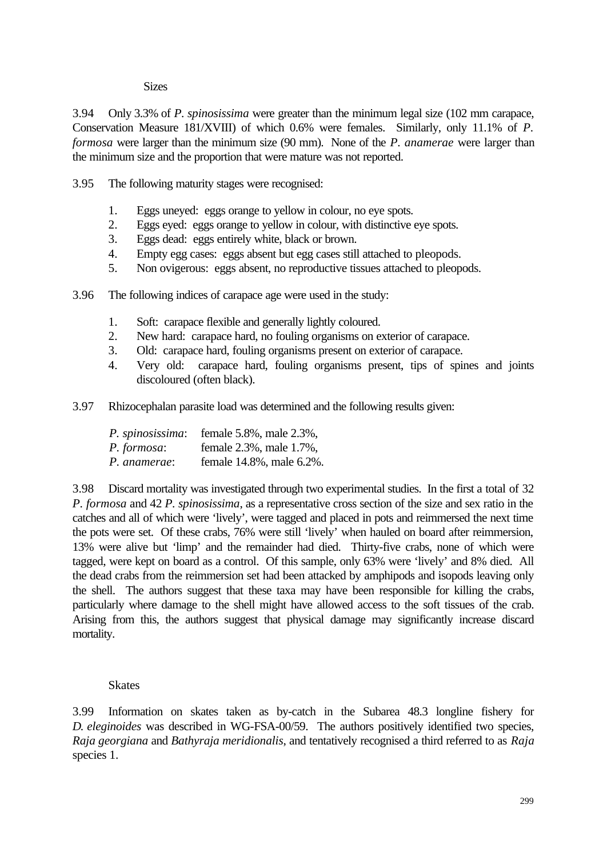#### **Sizes**

3.94 Only 3.3% of *P. spinosissima* were greater than the minimum legal size (102 mm carapace, Conservation Measure 181/XVIII) of which 0.6% were females. Similarly, only 11.1% of *P. formosa* were larger than the minimum size (90 mm). None of the *P. anamerae* were larger than the minimum size and the proportion that were mature was not reported.

3.95 The following maturity stages were recognised:

- 1. Eggs uneyed: eggs orange to yellow in colour, no eye spots.
- 2. Eggs eyed: eggs orange to yellow in colour, with distinctive eye spots.
- 3. Eggs dead: eggs entirely white, black or brown.
- 4. Empty egg cases: eggs absent but egg cases still attached to pleopods.
- 5. Non ovigerous: eggs absent, no reproductive tissues attached to pleopods.
- 3.96 The following indices of carapace age were used in the study:
	- 1. Soft: carapace flexible and generally lightly coloured.
	- 2. New hard: carapace hard, no fouling organisms on exterior of carapace.
	- 3. Old: carapace hard, fouling organisms present on exterior of carapace.
	- 4. Very old: carapace hard, fouling organisms present, tips of spines and joints discoloured (often black).
- 3.97 Rhizocephalan parasite load was determined and the following results given:

| P. spinosissima: | female 5.8%, male 2.3%,  |
|------------------|--------------------------|
| P. formosa:      | female 2.3%, male 1.7%,  |
| P. anamerae:     | female 14.8%, male 6.2%. |

3.98 Discard mortality was investigated through two experimental studies. In the first a total of 32 *P. formosa* and 42 *P. spinosissima*, as a representative cross section of the size and sex ratio in the catches and all of which were 'lively', were tagged and placed in pots and reimmersed the next time the pots were set. Of these crabs, 76% were still 'lively' when hauled on board after reimmersion, 13% were alive but 'limp' and the remainder had died. Thirty-five crabs, none of which were tagged, were kept on board as a control. Of this sample, only 63% were 'lively' and 8% died. All the dead crabs from the reimmersion set had been attacked by amphipods and isopods leaving only the shell. The authors suggest that these taxa may have been responsible for killing the crabs, particularly where damage to the shell might have allowed access to the soft tissues of the crab. Arising from this, the authors suggest that physical damage may significantly increase discard mortality.

## **Skates**

3.99 Information on skates taken as by-catch in the Subarea 48.3 longline fishery for *D. eleginoides* was described in WG-FSA-00/59. The authors positively identified two species, *Raja georgiana* and *Bathyraja meridionalis*, and tentatively recognised a third referred to as *Raja* species 1.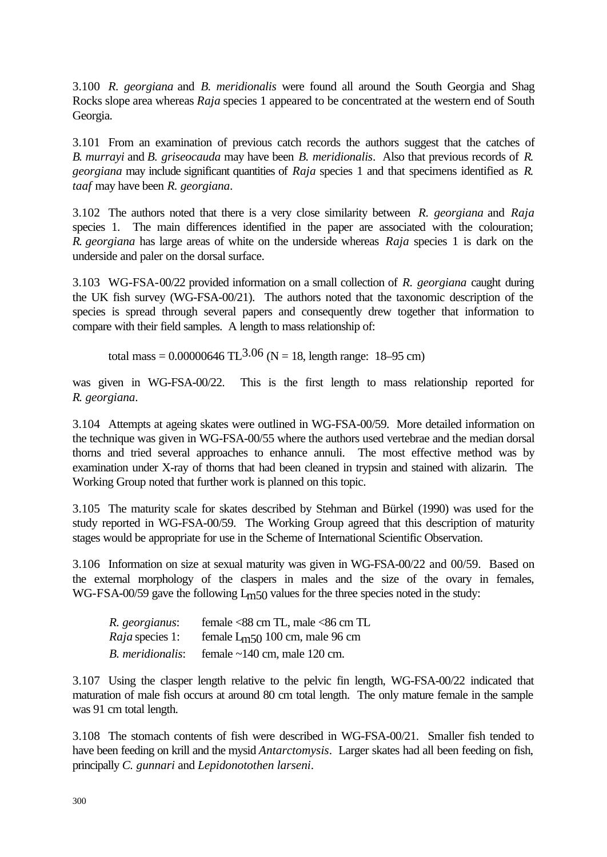3.100 *R. georgiana* and *B. meridionalis* were found all around the South Georgia and Shag Rocks slope area whereas *Raja* species 1 appeared to be concentrated at the western end of South Georgia.

3.101 From an examination of previous catch records the authors suggest that the catches of *B. murrayi* and *B. griseocauda* may have been *B. meridionalis*. Also that previous records of *R. georgiana* may include significant quantities of *Raja* species 1 and that specimens identified as *R. taaf* may have been *R. georgiana*.

3.102 The authors noted that there is a very close similarity between *R. georgiana* and *Raja* species 1. The main differences identified in the paper are associated with the colouration; *R. georgiana* has large areas of white on the underside whereas *Raja* species 1 is dark on the underside and paler on the dorsal surface.

3.103 WG-FSA-00/22 provided information on a small collection of *R. georgiana* caught during the UK fish survey (WG-FSA-00/21). The authors noted that the taxonomic description of the species is spread through several papers and consequently drew together that information to compare with their field samples. A length to mass relationship of:

total mass =  $0.00000646$  TL<sup>3.06</sup> (N = 18, length range: 18–95 cm)

was given in WG-FSA-00/22. This is the first length to mass relationship reported for *R. georgiana*.

3.104 Attempts at ageing skates were outlined in WG-FSA-00/59. More detailed information on the technique was given in WG-FSA-00/55 where the authors used vertebrae and the median dorsal thorns and tried several approaches to enhance annuli. The most effective method was by examination under X-ray of thorns that had been cleaned in trypsin and stained with alizarin. The Working Group noted that further work is planned on this topic.

3.105 The maturity scale for skates described by Stehman and Bürkel (1990) was used for the study reported in WG-FSA-00/59. The Working Group agreed that this description of maturity stages would be appropriate for use in the Scheme of International Scientific Observation.

3.106 Information on size at sexual maturity was given in WG-FSA-00/22 and 00/59. Based on the external morphology of the claspers in males and the size of the ovary in females, WG-FSA-00/59 gave the following  $L<sub>m50</sub>$  values for the three species noted in the study:

| R. georgianus:         | female <88 cm TL, male <86 cm TL   |
|------------------------|------------------------------------|
| <i>Raja</i> species 1: | female $Lm$ 50 100 cm, male 96 cm  |
| B. meridionalis:       | female $\sim$ 140 cm, male 120 cm. |

3.107 Using the clasper length relative to the pelvic fin length, WG-FSA-00/22 indicated that maturation of male fish occurs at around 80 cm total length. The only mature female in the sample was 91 cm total length.

3.108 The stomach contents of fish were described in WG-FSA-00/21. Smaller fish tended to have been feeding on krill and the mysid *Antarctomysis*. Larger skates had all been feeding on fish, principally *C. gunnari* and *Lepidonotothen larseni*.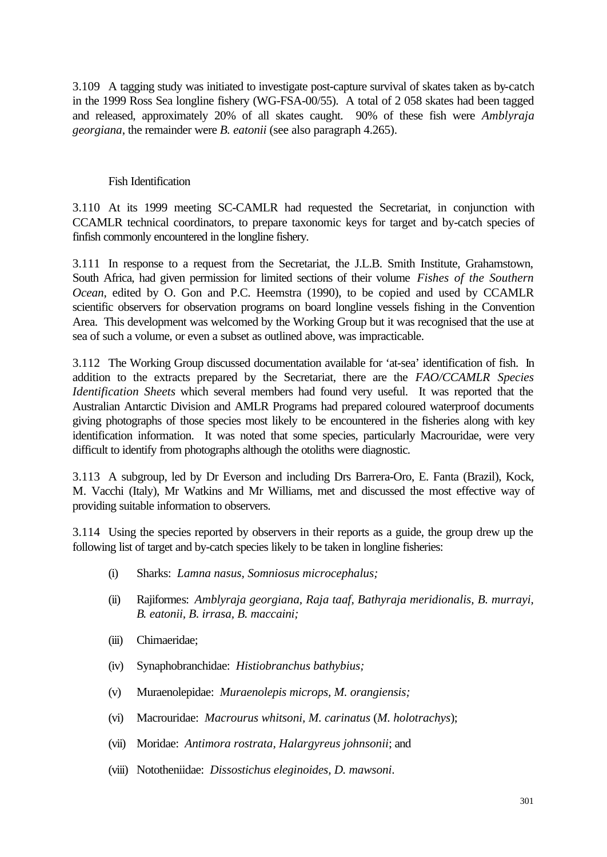3.109 A tagging study was initiated to investigate post-capture survival of skates taken as by-catch in the 1999 Ross Sea longline fishery (WG-FSA-00/55). A total of 2 058 skates had been tagged and released, approximately 20% of all skates caught. 90% of these fish were *Amblyraja georgiana*, the remainder were *B. eatonii* (see also paragraph 4.265).

#### Fish Identification

3.110 At its 1999 meeting SC-CAMLR had requested the Secretariat, in conjunction with CCAMLR technical coordinators, to prepare taxonomic keys for target and by-catch species of finfish commonly encountered in the longline fishery.

3.111 In response to a request from the Secretariat, the J.L.B. Smith Institute, Grahamstown, South Africa, had given permission for limited sections of their volume *Fishes of the Southern Ocean*, edited by O. Gon and P.C. Heemstra (1990), to be copied and used by CCAMLR scientific observers for observation programs on board longline vessels fishing in the Convention Area. This development was welcomed by the Working Group but it was recognised that the use at sea of such a volume, or even a subset as outlined above, was impracticable.

3.112 The Working Group discussed documentation available for 'at-sea' identification of fish. In addition to the extracts prepared by the Secretariat, there are the *FAO/CCAMLR Species Identification Sheets* which several members had found very useful. It was reported that the Australian Antarctic Division and AMLR Programs had prepared coloured waterproof documents giving photographs of those species most likely to be encountered in the fisheries along with key identification information. It was noted that some species, particularly Macrouridae, were very difficult to identify from photographs although the otoliths were diagnostic.

3.113 A subgroup, led by Dr Everson and including Drs Barrera-Oro, E. Fanta (Brazil), Kock, M. Vacchi (Italy), Mr Watkins and Mr Williams, met and discussed the most effective way of providing suitable information to observers.

3.114 Using the species reported by observers in their reports as a guide, the group drew up the following list of target and by-catch species likely to be taken in longline fisheries:

- (i) Sharks: *Lamna nasus, Somniosus microcephalus;*
- (ii) Rajiformes: *Amblyraja georgiana, Raja taaf, Bathyraja meridionalis, B. murrayi, B. eatonii, B. irrasa, B. maccaini;*
- (iii) Chimaeridae;
- (iv) Synaphobranchidae: *Histiobranchus bathybius;*
- (v) Muraenolepidae: *Muraenolepis microps, M. orangiensis;*
- (vi) Macrouridae: *Macrourus whitsoni, M. carinatus* (*M. holotrachys*);
- (vii) Moridae: *Antimora rostrata, Halargyreus johnsonii*; and
- (viii) Nototheniidae: *Dissostichus eleginoides, D. mawsoni*.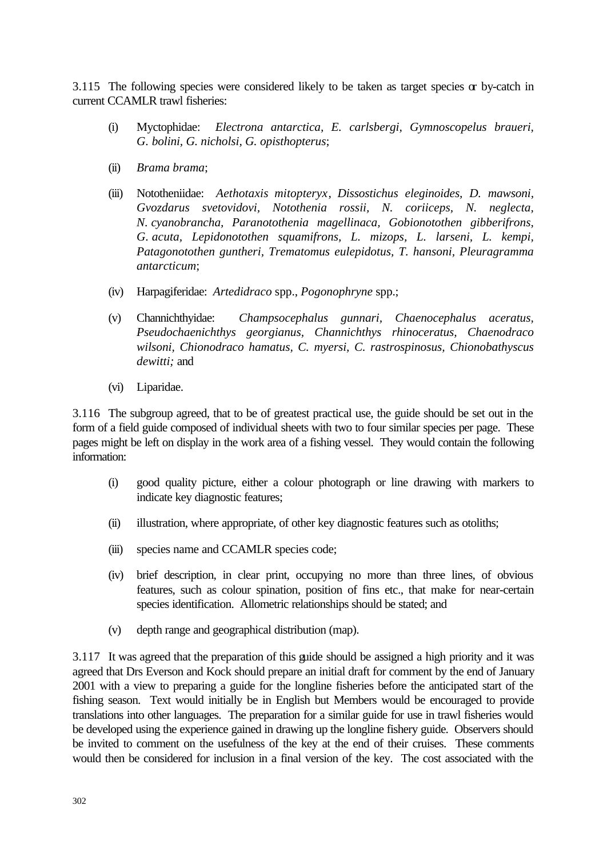3.115 The following species were considered likely to be taken as target species  $\alpha$  by-catch in current CCAMLR trawl fisheries:

- (i) Myctophidae: *Electrona antarctica, E. carlsbergi, Gymnoscopelus braueri, G. bolini, G. nicholsi, G. opisthopterus*;
- (ii) *Brama brama*;
- (iii) Nototheniidae: *Aethotaxis mitopteryx*, *Dissostichus eleginoides, D. mawsoni, Gvozdarus svetovidovi, Notothenia rossii, N. coriiceps, N. neglecta, N. cyanobrancha, Paranotothenia magellinaca, Gobionotothen gibberifrons, G. acuta, Lepidonotothen squamifrons, L. mizops, L. larseni, L. kempi, Patagonotothen guntheri, Trematomus eulepidotus, T. hansoni, Pleuragramma antarcticum*;
- (iv) Harpagiferidae: *Artedidraco* spp., *Pogonophryne* spp.;
- (v) Channichthyidae: *Champsocephalus gunnari, Chaenocephalus aceratus, Pseudochaenichthys georgianus, Channichthys rhinoceratus, Chaenodraco wilsoni, Chionodraco hamatus, C. myersi, C. rastrospinosus, Chionobathyscus dewitti;* and
- (vi) Liparidae.

3.116 The subgroup agreed, that to be of greatest practical use, the guide should be set out in the form of a field guide composed of individual sheets with two to four similar species per page. These pages might be left on display in the work area of a fishing vessel. They would contain the following information:

- (i) good quality picture, either a colour photograph or line drawing with markers to indicate key diagnostic features;
- (ii) illustration, where appropriate, of other key diagnostic features such as otoliths;
- (iii) species name and CCAMLR species code;
- (iv) brief description, in clear print, occupying no more than three lines, of obvious features, such as colour spination, position of fins etc., that make for near-certain species identification. Allometric relationships should be stated; and
- (v) depth range and geographical distribution (map).

3.117 It was agreed that the preparation of this guide should be assigned a high priority and it was agreed that Drs Everson and Kock should prepare an initial draft for comment by the end of January 2001 with a view to preparing a guide for the longline fisheries before the anticipated start of the fishing season. Text would initially be in English but Members would be encouraged to provide translations into other languages. The preparation for a similar guide for use in trawl fisheries would be developed using the experience gained in drawing up the longline fishery guide. Observers should be invited to comment on the usefulness of the key at the end of their cruises. These comments would then be considered for inclusion in a final version of the key. The cost associated with the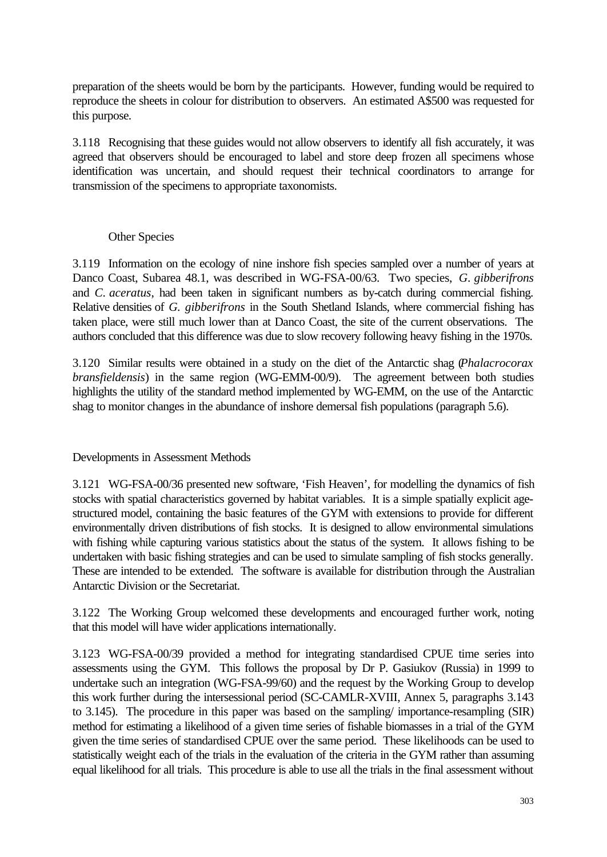preparation of the sheets would be born by the participants. However, funding would be required to reproduce the sheets in colour for distribution to observers. An estimated A\$500 was requested for this purpose.

3.118 Recognising that these guides would not allow observers to identify all fish accurately, it was agreed that observers should be encouraged to label and store deep frozen all specimens whose identification was uncertain, and should request their technical coordinators to arrange for transmission of the specimens to appropriate taxonomists.

## Other Species

3.119 Information on the ecology of nine inshore fish species sampled over a number of years at Danco Coast, Subarea 48.1, was described in WG-FSA-00/63. Two species, *G. gibberifrons* and *C. aceratus*, had been taken in significant numbers as by-catch during commercial fishing. Relative densities of *G. gibberifrons* in the South Shetland Islands, where commercial fishing has taken place, were still much lower than at Danco Coast, the site of the current observations. The authors concluded that this difference was due to slow recovery following heavy fishing in the 1970s.

3.120 Similar results were obtained in a study on the diet of the Antarctic shag (*Phalacrocorax bransfieldensis*) in the same region (WG-EMM-00/9). The agreement between both studies highlights the utility of the standard method implemented by WG-EMM, on the use of the Antarctic shag to monitor changes in the abundance of inshore demersal fish populations (paragraph 5.6).

## Developments in Assessment Methods

3.121 WG-FSA-00/36 presented new software, 'Fish Heaven', for modelling the dynamics of fish stocks with spatial characteristics governed by habitat variables. It is a simple spatially explicit agestructured model, containing the basic features of the GYM with extensions to provide for different environmentally driven distributions of fish stocks. It is designed to allow environmental simulations with fishing while capturing various statistics about the status of the system. It allows fishing to be undertaken with basic fishing strategies and can be used to simulate sampling of fish stocks generally. These are intended to be extended. The software is available for distribution through the Australian Antarctic Division or the Secretariat.

3.122 The Working Group welcomed these developments and encouraged further work, noting that this model will have wider applications internationally.

3.123 WG-FSA-00/39 provided a method for integrating standardised CPUE time series into assessments using the GYM. This follows the proposal by Dr P. Gasiukov (Russia) in 1999 to undertake such an integration (WG-FSA-99/60) and the request by the Working Group to develop this work further during the intersessional period (SC-CAMLR-XVIII, Annex 5, paragraphs 3.143 to 3.145). The procedure in this paper was based on the sampling/ importance-resampling (SIR) method for estimating a likelihood of a given time series of fishable biomasses in a trial of the GYM given the time series of standardised CPUE over the same period. These likelihoods can be used to statistically weight each of the trials in the evaluation of the criteria in the GYM rather than assuming equal likelihood for all trials. This procedure is able to use all the trials in the final assessment without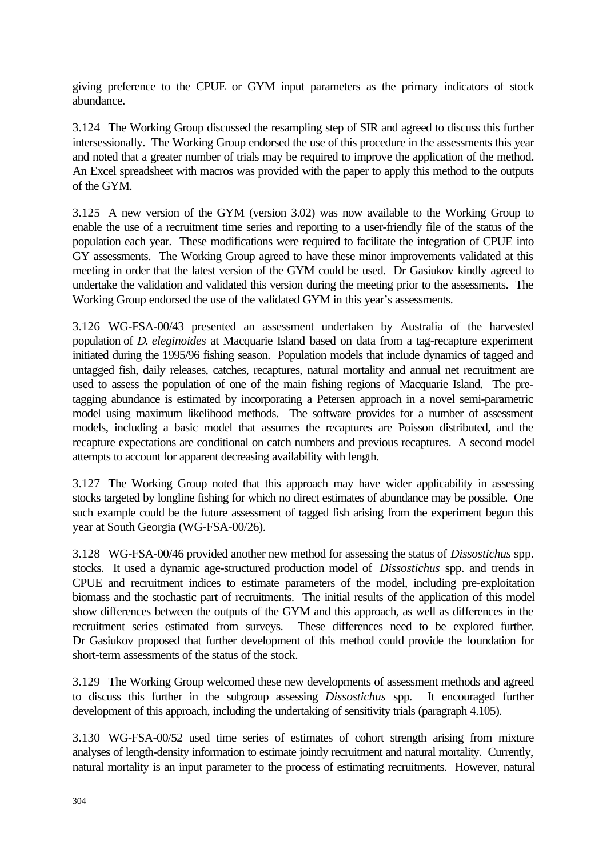giving preference to the CPUE or GYM input parameters as the primary indicators of stock abundance.

3.124 The Working Group discussed the resampling step of SIR and agreed to discuss this further intersessionally. The Working Group endorsed the use of this procedure in the assessments this year and noted that a greater number of trials may be required to improve the application of the method. An Excel spreadsheet with macros was provided with the paper to apply this method to the outputs of the GYM.

3.125 A new version of the GYM (version 3.02) was now available to the Working Group to enable the use of a recruitment time series and reporting to a user-friendly file of the status of the population each year. These modifications were required to facilitate the integration of CPUE into GY assessments. The Working Group agreed to have these minor improvements validated at this meeting in order that the latest version of the GYM could be used. Dr Gasiukov kindly agreed to undertake the validation and validated this version during the meeting prior to the assessments. The Working Group endorsed the use of the validated GYM in this year's assessments.

3.126 WG-FSA-00/43 presented an assessment undertaken by Australia of the harvested population of *D. eleginoides* at Macquarie Island based on data from a tag-recapture experiment initiated during the 1995/96 fishing season. Population models that include dynamics of tagged and untagged fish, daily releases, catches, recaptures, natural mortality and annual net recruitment are used to assess the population of one of the main fishing regions of Macquarie Island. The pretagging abundance is estimated by incorporating a Petersen approach in a novel semi-parametric model using maximum likelihood methods. The software provides for a number of assessment models, including a basic model that assumes the recaptures are Poisson distributed, and the recapture expectations are conditional on catch numbers and previous recaptures. A second model attempts to account for apparent decreasing availability with length.

3.127 The Working Group noted that this approach may have wider applicability in assessing stocks targeted by longline fishing for which no direct estimates of abundance may be possible. One such example could be the future assessment of tagged fish arising from the experiment begun this year at South Georgia (WG-FSA-00/26).

3.128 WG-FSA-00/46 provided another new method for assessing the status of *Dissostichus* spp. stocks. It used a dynamic age-structured production model of *Dissostichus* spp. and trends in CPUE and recruitment indices to estimate parameters of the model, including pre-exploitation biomass and the stochastic part of recruitments. The initial results of the application of this model show differences between the outputs of the GYM and this approach, as well as differences in the recruitment series estimated from surveys. These differences need to be explored further. Dr Gasiukov proposed that further development of this method could provide the foundation for short-term assessments of the status of the stock.

3.129 The Working Group welcomed these new developments of assessment methods and agreed to discuss this further in the subgroup assessing *Dissostichus* spp. It encouraged further development of this approach, including the undertaking of sensitivity trials (paragraph 4.105).

3.130 WG-FSA-00/52 used time series of estimates of cohort strength arising from mixture analyses of length-density information to estimate jointly recruitment and natural mortality. Currently, natural mortality is an input parameter to the process of estimating recruitments. However, natural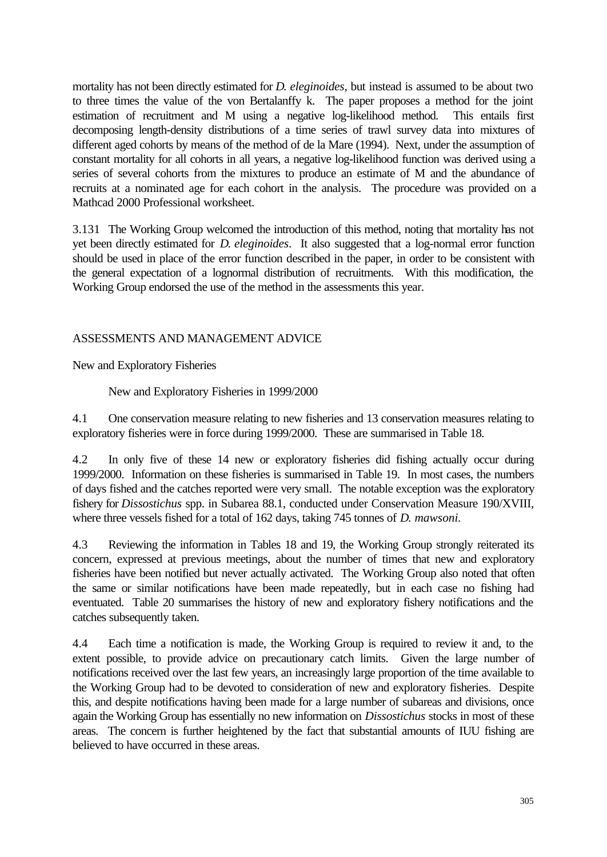mortality has not been directly estimated for *D. eleginoides*, but instead is assumed to be about two to three times the value of the von Bertalanffy k. The paper proposes a method for the joint estimation of recruitment and M using a negative log-likelihood method. This entails first decomposing length-density distributions of a time series of trawl survey data into mixtures of different aged cohorts by means of the method of de la Mare (1994). Next, under the assumption of constant mortality for all cohorts in all years, a negative log-likelihood function was derived using a series of several cohorts from the mixtures to produce an estimate of M and the abundance of recruits at a nominated age for each cohort in the analysis. The procedure was provided on a Mathcad 2000 Professional worksheet.

3.131 The Working Group welcomed the introduction of this method, noting that mortality has not yet been directly estimated for *D. eleginoides*. It also suggested that a log-normal error function should be used in place of the error function described in the paper, in order to be consistent with the general expectation of a lognormal distribution of recruitments. With this modification, the Working Group endorsed the use of the method in the assessments this year.

## ASSESSMENTS AND MANAGEMENT ADVICE

New and Exploratory Fisheries

New and Exploratory Fisheries in 1999/2000

4.1 One conservation measure relating to new fisheries and 13 conservation measures relating to exploratory fisheries were in force during 1999/2000. These are summarised in Table 18.

4.2 In only five of these 14 new or exploratory fisheries did fishing actually occur during 1999/2000. Information on these fisheries is summarised in Table 19. In most cases, the numbers of days fished and the catches reported were very small. The notable exception was the exploratory fishery for *Dissostichus* spp. in Subarea 88.1, conducted under Conservation Measure 190/XVIII, where three vessels fished for a total of 162 days, taking 745 tonnes of *D. mawsoni.*

4.3 Reviewing the information in Tables 18 and 19, the Working Group strongly reiterated its concern, expressed at previous meetings, about the number of times that new and exploratory fisheries have been notified but never actually activated. The Working Group also noted that often the same or similar notifications have been made repeatedly, but in each case no fishing had eventuated. Table 20 summarises the history of new and exploratory fishery notifications and the catches subsequently taken.

4.4 Each time a notification is made, the Working Group is required to review it and, to the extent possible, to provide advice on precautionary catch limits. Given the large number of notifications received over the last few years, an increasingly large proportion of the time available to the Working Group had to be devoted to consideration of new and exploratory fisheries. Despite this, and despite notifications having been made for a large number of subareas and divisions, once again the Working Group has essentially no new information on *Dissostichus* stocks in most of these areas. The concern is further heightened by the fact that substantial amounts of IUU fishing are believed to have occurred in these areas.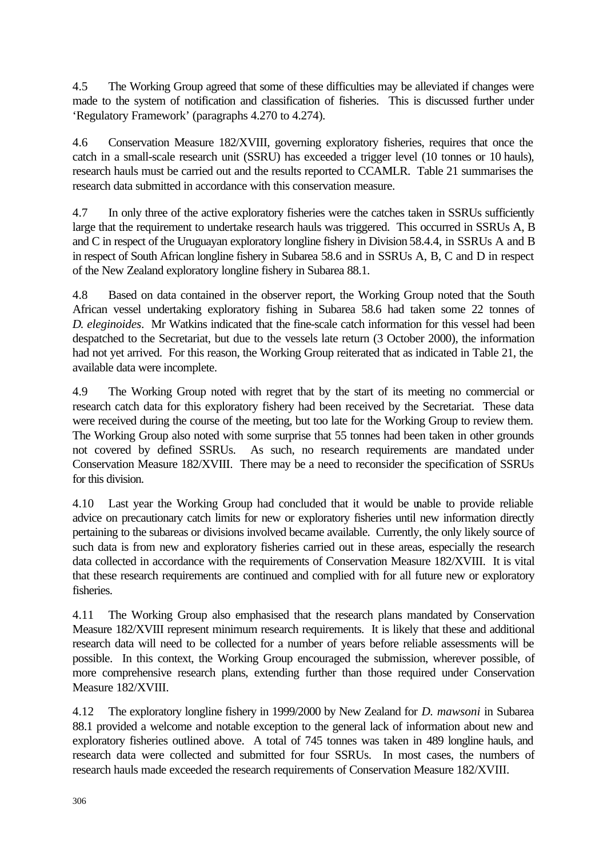4.5 The Working Group agreed that some of these difficulties may be alleviated if changes were made to the system of notification and classification of fisheries. This is discussed further under 'Regulatory Framework' (paragraphs 4.270 to 4.274).

4.6 Conservation Measure 182/XVIII, governing exploratory fisheries, requires that once the catch in a small-scale research unit (SSRU) has exceeded a trigger level (10 tonnes or 10 hauls), research hauls must be carried out and the results reported to CCAMLR. Table 21 summarises the research data submitted in accordance with this conservation measure.

4.7 In only three of the active exploratory fisheries were the catches taken in SSRUs sufficiently large that the requirement to undertake research hauls was triggered. This occurred in SSRUs A, B and C in respect of the Uruguayan exploratory longline fishery in Division 58.4.4, in SSRUs A and B in respect of South African longline fishery in Subarea 58.6 and in SSRUs A, B, C and D in respect of the New Zealand exploratory longline fishery in Subarea 88.1.

4.8 Based on data contained in the observer report, the Working Group noted that the South African vessel undertaking exploratory fishing in Subarea 58.6 had taken some 22 tonnes of *D. eleginoides*. Mr Watkins indicated that the fine-scale catch information for this vessel had been despatched to the Secretariat, but due to the vessels late return (3 October 2000), the information had not yet arrived. For this reason, the Working Group reiterated that as indicated in Table 21, the available data were incomplete.

4.9 The Working Group noted with regret that by the start of its meeting no commercial or research catch data for this exploratory fishery had been received by the Secretariat. These data were received during the course of the meeting, but too late for the Working Group to review them. The Working Group also noted with some surprise that 55 tonnes had been taken in other grounds not covered by defined SSRUs. As such, no research requirements are mandated under Conservation Measure 182/XVIII. There may be a need to reconsider the specification of SSRUs for this division.

4.10 Last year the Working Group had concluded that it would be unable to provide reliable advice on precautionary catch limits for new or exploratory fisheries until new information directly pertaining to the subareas or divisions involved became available. Currently, the only likely source of such data is from new and exploratory fisheries carried out in these areas, especially the research data collected in accordance with the requirements of Conservation Measure 182/XVIII. It is vital that these research requirements are continued and complied with for all future new or exploratory fisheries.

4.11 The Working Group also emphasised that the research plans mandated by Conservation Measure 182/XVIII represent minimum research requirements. It is likely that these and additional research data will need to be collected for a number of years before reliable assessments will be possible. In this context, the Working Group encouraged the submission, wherever possible, of more comprehensive research plans, extending further than those required under Conservation Measure 182/XVIII.

4.12 The exploratory longline fishery in 1999/2000 by New Zealand for *D. mawsoni* in Subarea 88.1 provided a welcome and notable exception to the general lack of information about new and exploratory fisheries outlined above. A total of 745 tonnes was taken in 489 longline hauls, and research data were collected and submitted for four SSRUs. In most cases, the numbers of research hauls made exceeded the research requirements of Conservation Measure 182/XVIII.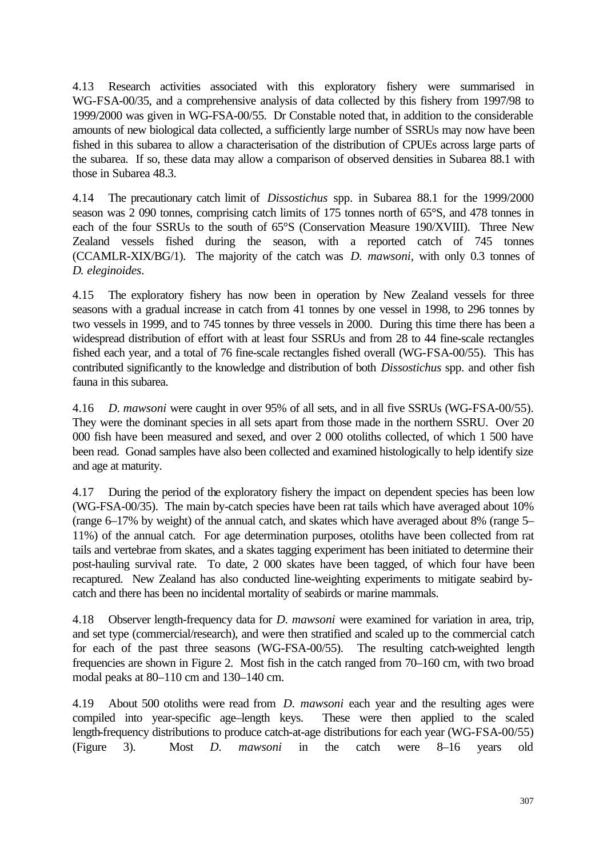4.13 Research activities associated with this exploratory fishery were summarised in WG-FSA-00/35, and a comprehensive analysis of data collected by this fishery from 1997/98 to 1999/2000 was given in WG-FSA-00/55. Dr Constable noted that, in addition to the considerable amounts of new biological data collected, a sufficiently large number of SSRUs may now have been fished in this subarea to allow a characterisation of the distribution of CPUEs across large parts of the subarea. If so, these data may allow a comparison of observed densities in Subarea 88.1 with those in Subarea 48.3.

4.14 The precautionary catch limit of *Dissostichus* spp. in Subarea 88.1 for the 1999/2000 season was 2 090 tonnes, comprising catch limits of 175 tonnes north of 65°S, and 478 tonnes in each of the four SSRUs to the south of 65°S (Conservation Measure 190/XVIII). Three New Zealand vessels fished during the season, with a reported catch of 745 tonnes (CCAMLR-XIX/BG/1). The majority of the catch was *D. mawsoni*, with only 0.3 tonnes of *D. eleginoides*.

4.15 The exploratory fishery has now been in operation by New Zealand vessels for three seasons with a gradual increase in catch from 41 tonnes by one vessel in 1998, to 296 tonnes by two vessels in 1999, and to 745 tonnes by three vessels in 2000. During this time there has been a widespread distribution of effort with at least four SSRUs and from 28 to 44 fine-scale rectangles fished each year, and a total of 76 fine-scale rectangles fished overall (WG-FSA-00/55). This has contributed significantly to the knowledge and distribution of both *Dissostichus* spp. and other fish fauna in this subarea.

4.16 *D. mawsoni* were caught in over 95% of all sets, and in all five SSRUs (WG-FSA-00/55). They were the dominant species in all sets apart from those made in the northern SSRU. Over 20 000 fish have been measured and sexed, and over 2 000 otoliths collected, of which 1 500 have been read. Gonad samples have also been collected and examined histologically to help identify size and age at maturity.

4.17 During the period of the exploratory fishery the impact on dependent species has been low (WG-FSA-00/35). The main by-catch species have been rat tails which have averaged about 10% (range 6–17% by weight) of the annual catch, and skates which have averaged about 8% (range 5– 11%) of the annual catch. For age determination purposes, otoliths have been collected from rat tails and vertebrae from skates, and a skates tagging experiment has been initiated to determine their post-hauling survival rate. To date, 2 000 skates have been tagged, of which four have been recaptured. New Zealand has also conducted line-weighting experiments to mitigate seabird bycatch and there has been no incidental mortality of seabirds or marine mammals.

4.18 Observer length-frequency data for *D. mawsoni* were examined for variation in area, trip, and set type (commercial/research), and were then stratified and scaled up to the commercial catch for each of the past three seasons (WG-FSA-00/55). The resulting catch-weighted length frequencies are shown in Figure 2. Most fish in the catch ranged from 70–160 cm, with two broad modal peaks at 80–110 cm and 130–140 cm.

4.19 About 500 otoliths were read from *D. mawsoni* each year and the resulting ages were compiled into year-specific age–length keys. These were then applied to the scaled length-frequency distributions to produce catch-at-age distributions for each year (WG-FSA-00/55) (Figure 3). Most *D. mawsoni* in the catch were 8–16 years old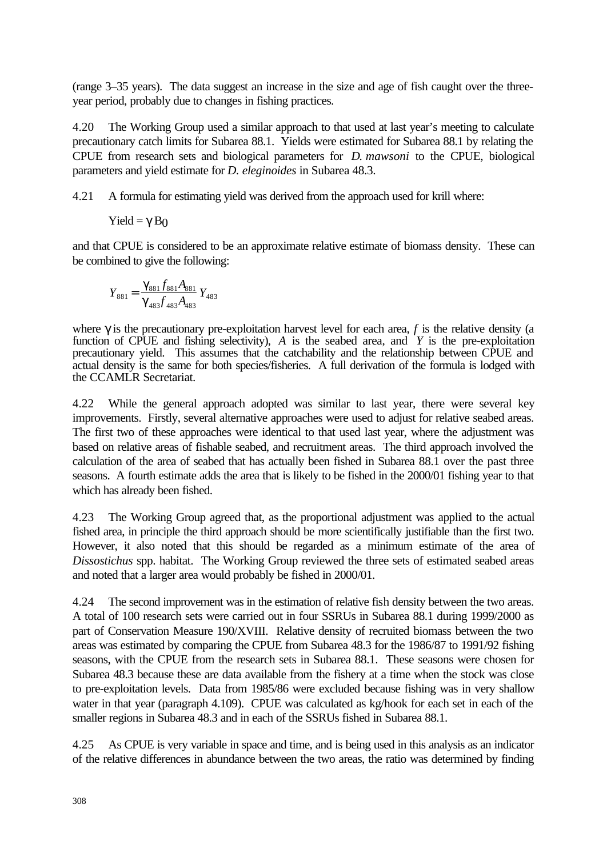(range 3–35 years). The data suggest an increase in the size and age of fish caught over the threeyear period, probably due to changes in fishing practices.

4.20 The Working Group used a similar approach to that used at last year's meeting to calculate precautionary catch limits for Subarea 88.1. Yields were estimated for Subarea 88.1 by relating the CPUE from research sets and biological parameters for *D. mawsoni* to the CPUE, biological parameters and yield estimate for *D. eleginoides* in Subarea 48.3.

4.21 A formula for estimating yield was derived from the approach used for krill where:

Yield =  $\gamma$  B<sub>0</sub>

and that CPUE is considered to be an approximate relative estimate of biomass density. These can be combined to give the following:

$$
Y_{881} = \frac{\mathbf{g}_{881} f_{881} A_{881}}{\mathbf{g}_{483} f_{483} A_{483}} Y_{483}
$$

where γ is the precautionary pre-exploitation harvest level for each area, *f* is the relative density (a function of CPUE and fishing selectivity), *A* is the seabed area, and *Y* is the pre-exploitation precautionary yield. This assumes that the catchability and the relationship between CPUE and actual density is the same for both species/fisheries. A full derivation of the formula is lodged with the CCAMLR Secretariat.

4.22 While the general approach adopted was similar to last year, there were several key improvements. Firstly, several alternative approaches were used to adjust for relative seabed areas. The first two of these approaches were identical to that used last year, where the adjustment was based on relative areas of fishable seabed, and recruitment areas. The third approach involved the calculation of the area of seabed that has actually been fished in Subarea 88.1 over the past three seasons. A fourth estimate adds the area that is likely to be fished in the 2000/01 fishing year to that which has already been fished.

4.23 The Working Group agreed that, as the proportional adjustment was applied to the actual fished area, in principle the third approach should be more scientifically justifiable than the first two. However, it also noted that this should be regarded as a minimum estimate of the area of *Dissostichus* spp. habitat. The Working Group reviewed the three sets of estimated seabed areas and noted that a larger area would probably be fished in 2000/01.

4.24 The second improvement was in the estimation of relative fish density between the two areas. A total of 100 research sets were carried out in four SSRUs in Subarea 88.1 during 1999/2000 as part of Conservation Measure 190/XVIII. Relative density of recruited biomass between the two areas was estimated by comparing the CPUE from Subarea 48.3 for the 1986/87 to 1991/92 fishing seasons, with the CPUE from the research sets in Subarea 88.1. These seasons were chosen for Subarea 48.3 because these are data available from the fishery at a time when the stock was close to pre-exploitation levels. Data from 1985/86 were excluded because fishing was in very shallow water in that year (paragraph 4.109). CPUE was calculated as kg/hook for each set in each of the smaller regions in Subarea 48.3 and in each of the SSRUs fished in Subarea 88.1.

4.25 As CPUE is very variable in space and time, and is being used in this analysis as an indicator of the relative differences in abundance between the two areas, the ratio was determined by finding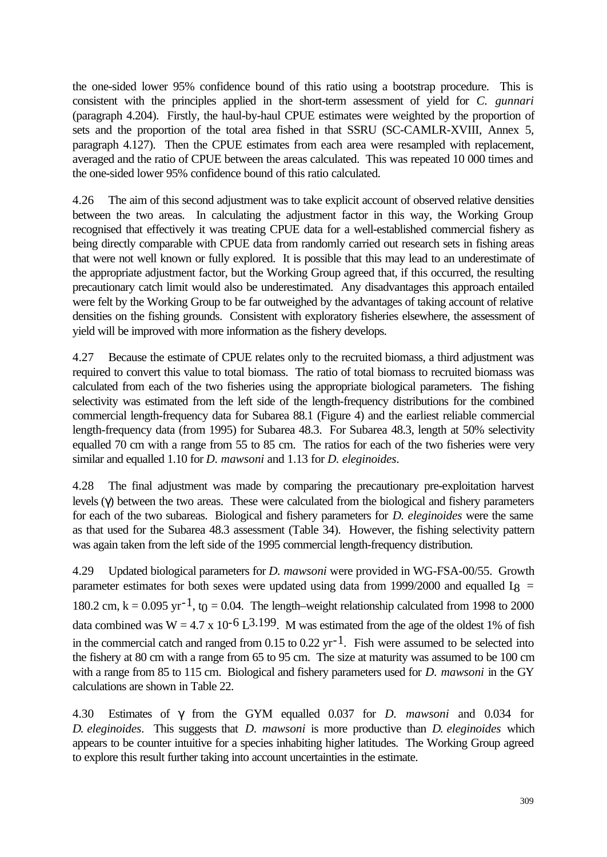the one-sided lower 95% confidence bound of this ratio using a bootstrap procedure. This is consistent with the principles applied in the short-term assessment of yield for *C. gunnari* (paragraph 4.204). Firstly, the haul-by-haul CPUE estimates were weighted by the proportion of sets and the proportion of the total area fished in that SSRU (SC-CAMLR-XVIII, Annex 5, paragraph 4.127). Then the CPUE estimates from each area were resampled with replacement, averaged and the ratio of CPUE between the areas calculated. This was repeated 10 000 times and the one-sided lower 95% confidence bound of this ratio calculated.

4.26 The aim of this second adjustment was to take explicit account of observed relative densities between the two areas. In calculating the adjustment factor in this way, the Working Group recognised that effectively it was treating CPUE data for a well-established commercial fishery as being directly comparable with CPUE data from randomly carried out research sets in fishing areas that were not well known or fully explored. It is possible that this may lead to an underestimate of the appropriate adjustment factor, but the Working Group agreed that, if this occurred, the resulting precautionary catch limit would also be underestimated. Any disadvantages this approach entailed were felt by the Working Group to be far outweighed by the advantages of taking account of relative densities on the fishing grounds. Consistent with exploratory fisheries elsewhere, the assessment of yield will be improved with more information as the fishery develops.

4.27 Because the estimate of CPUE relates only to the recruited biomass, a third adjustment was required to convert this value to total biomass. The ratio of total biomass to recruited biomass was calculated from each of the two fisheries using the appropriate biological parameters. The fishing selectivity was estimated from the left side of the length-frequency distributions for the combined commercial length-frequency data for Subarea 88.1 (Figure 4) and the earliest reliable commercial length-frequency data (from 1995) for Subarea 48.3. For Subarea 48.3, length at 50% selectivity equalled 70 cm with a range from 55 to 85 cm. The ratios for each of the two fisheries were very similar and equalled 1.10 for *D. mawsoni* and 1.13 for *D. eleginoides*.

4.28 The final adjustment was made by comparing the precautionary pre-exploitation harvest levels (γ) between the two areas. These were calculated from the biological and fishery parameters for each of the two subareas. Biological and fishery parameters for *D. eleginoides* were the same as that used for the Subarea 48.3 assessment (Table 34). However, the fishing selectivity pattern was again taken from the left side of the 1995 commercial length-frequency distribution.

4.29 Updated biological parameters for *D. mawsoni* were provided in WG-FSA-00/55. Growth parameter estimates for both sexes were updated using data from 1999/2000 and equalled  $I_8$  = 180.2 cm,  $k = 0.095$  yr<sup>-1</sup>, t<sub>0</sub> = 0.04. The length–weight relationship calculated from 1998 to 2000 data combined was  $W = 4.7 \times 10^{-6} L^{3.199}$ . M was estimated from the age of the oldest 1% of fish in the commercial catch and ranged from 0.15 to 0.22 yr<sup>-1</sup>. Fish were assumed to be selected into the fishery at 80 cm with a range from 65 to 95 cm. The size at maturity was assumed to be 100 cm with a range from 85 to 115 cm. Biological and fishery parameters used for *D. mawsoni* in the GY calculations are shown in Table 22.

4.30 Estimates of γ from the GYM equalled 0.037 for *D. mawsoni* and 0.034 for *D. eleginoides*. This suggests that *D. mawsoni* is more productive than *D. eleginoides* which appears to be counter intuitive for a species inhabiting higher latitudes. The Working Group agreed to explore this result further taking into account uncertainties in the estimate.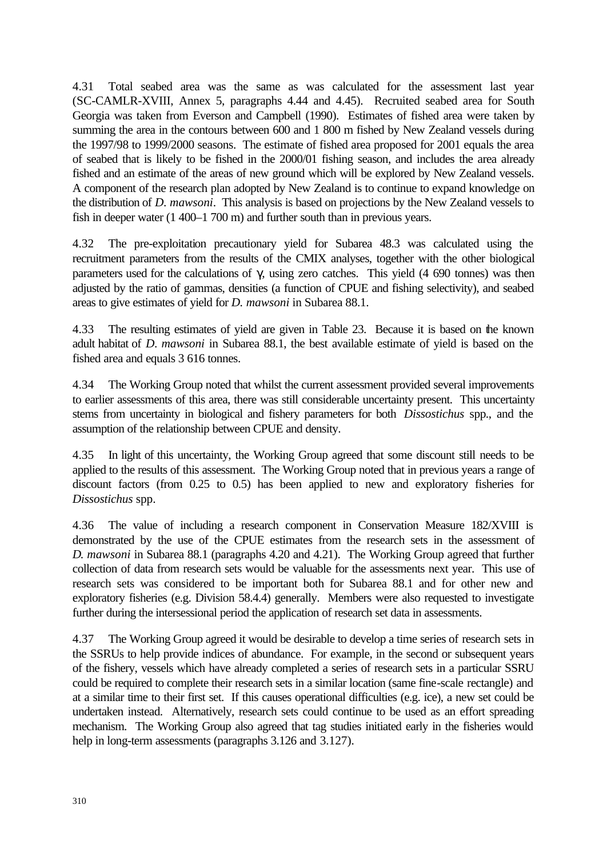4.31 Total seabed area was the same as was calculated for the assessment last year (SC-CAMLR-XVIII, Annex 5, paragraphs 4.44 and 4.45). Recruited seabed area for South Georgia was taken from Everson and Campbell (1990). Estimates of fished area were taken by summing the area in the contours between 600 and 1 800 m fished by New Zealand vessels during the 1997/98 to 1999/2000 seasons. The estimate of fished area proposed for 2001 equals the area of seabed that is likely to be fished in the 2000/01 fishing season, and includes the area already fished and an estimate of the areas of new ground which will be explored by New Zealand vessels. A component of the research plan adopted by New Zealand is to continue to expand knowledge on the distribution of *D. mawsoni*. This analysis is based on projections by the New Zealand vessels to fish in deeper water (1 400–1 700 m) and further south than in previous years.

4.32 The pre-exploitation precautionary yield for Subarea 48.3 was calculated using the recruitment parameters from the results of the CMIX analyses, together with the other biological parameters used for the calculations of γ, using zero catches. This yield  $(4\,690\,$  tonnes) was then adjusted by the ratio of gammas, densities (a function of CPUE and fishing selectivity), and seabed areas to give estimates of yield for *D. mawsoni* in Subarea 88.1.

4.33 The resulting estimates of yield are given in Table 23. Because it is based on the known adult habitat of *D. mawsoni* in Subarea 88.1, the best available estimate of yield is based on the fished area and equals 3 616 tonnes.

4.34 The Working Group noted that whilst the current assessment provided several improvements to earlier assessments of this area, there was still considerable uncertainty present. This uncertainty stems from uncertainty in biological and fishery parameters for both *Dissostichus* spp., and the assumption of the relationship between CPUE and density.

4.35 In light of this uncertainty, the Working Group agreed that some discount still needs to be applied to the results of this assessment. The Working Group noted that in previous years a range of discount factors (from 0.25 to 0.5) has been applied to new and exploratory fisheries for *Dissostichus* spp.

4.36 The value of including a research component in Conservation Measure 182/XVIII is demonstrated by the use of the CPUE estimates from the research sets in the assessment of *D. mawsoni* in Subarea 88.1 (paragraphs 4.20 and 4.21). The Working Group agreed that further collection of data from research sets would be valuable for the assessments next year. This use of research sets was considered to be important both for Subarea 88.1 and for other new and exploratory fisheries (e.g. Division 58.4.4) generally. Members were also requested to investigate further during the intersessional period the application of research set data in assessments.

4.37 The Working Group agreed it would be desirable to develop a time series of research sets in the SSRUs to help provide indices of abundance. For example, in the second or subsequent years of the fishery, vessels which have already completed a series of research sets in a particular SSRU could be required to complete their research sets in a similar location (same fine-scale rectangle) and at a similar time to their first set. If this causes operational difficulties (e.g. ice), a new set could be undertaken instead. Alternatively, research sets could continue to be used as an effort spreading mechanism. The Working Group also agreed that tag studies initiated early in the fisheries would help in long-term assessments (paragraphs 3.126 and 3.127).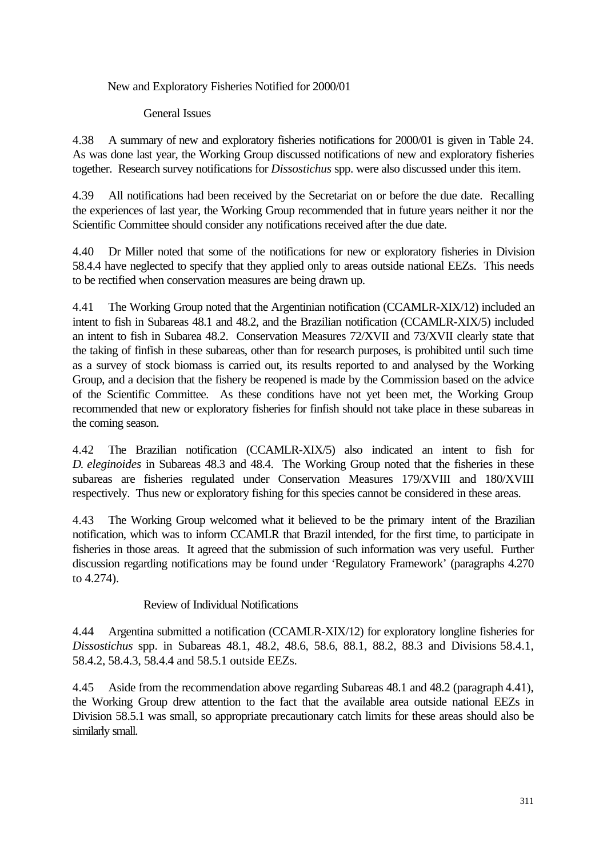## New and Exploratory Fisheries Notified for 2000/01

General Issues

4.38 A summary of new and exploratory fisheries notifications for 2000/01 is given in Table 24. As was done last year, the Working Group discussed notifications of new and exploratory fisheries together. Research survey notifications for *Dissostichus* spp. were also discussed under this item.

4.39 All notifications had been received by the Secretariat on or before the due date. Recalling the experiences of last year, the Working Group recommended that in future years neither it nor the Scientific Committee should consider any notifications received after the due date.

4.40 Dr Miller noted that some of the notifications for new or exploratory fisheries in Division 58.4.4 have neglected to specify that they applied only to areas outside national EEZs. This needs to be rectified when conservation measures are being drawn up.

4.41 The Working Group noted that the Argentinian notification (CCAMLR-XIX/12) included an intent to fish in Subareas 48.1 and 48.2, and the Brazilian notification (CCAMLR-XIX/5) included an intent to fish in Subarea 48.2. Conservation Measures 72/XVII and 73/XVII clearly state that the taking of finfish in these subareas, other than for research purposes, is prohibited until such time as a survey of stock biomass is carried out, its results reported to and analysed by the Working Group, and a decision that the fishery be reopened is made by the Commission based on the advice of the Scientific Committee. As these conditions have not yet been met, the Working Group recommended that new or exploratory fisheries for finfish should not take place in these subareas in the coming season.

4.42 The Brazilian notification (CCAMLR-XIX/5) also indicated an intent to fish for *D. eleginoides* in Subareas 48.3 and 48.4. The Working Group noted that the fisheries in these subareas are fisheries regulated under Conservation Measures 179/XVIII and 180/XVIII respectively. Thus new or exploratory fishing for this species cannot be considered in these areas.

4.43 The Working Group welcomed what it believed to be the primary intent of the Brazilian notification, which was to inform CCAMLR that Brazil intended, for the first time, to participate in fisheries in those areas. It agreed that the submission of such information was very useful. Further discussion regarding notifications may be found under 'Regulatory Framework' (paragraphs 4.270 to 4.274).

Review of Individual Notifications

4.44 Argentina submitted a notification (CCAMLR-XIX/12) for exploratory longline fisheries for *Dissostichus* spp. in Subareas 48.1, 48.2, 48.6, 58.6, 88.1, 88.2, 88.3 and Divisions 58.4.1, 58.4.2, 58.4.3, 58.4.4 and 58.5.1 outside EEZs.

4.45 Aside from the recommendation above regarding Subareas 48.1 and 48.2 (paragraph 4.41), the Working Group drew attention to the fact that the available area outside national EEZs in Division 58.5.1 was small, so appropriate precautionary catch limits for these areas should also be similarly small.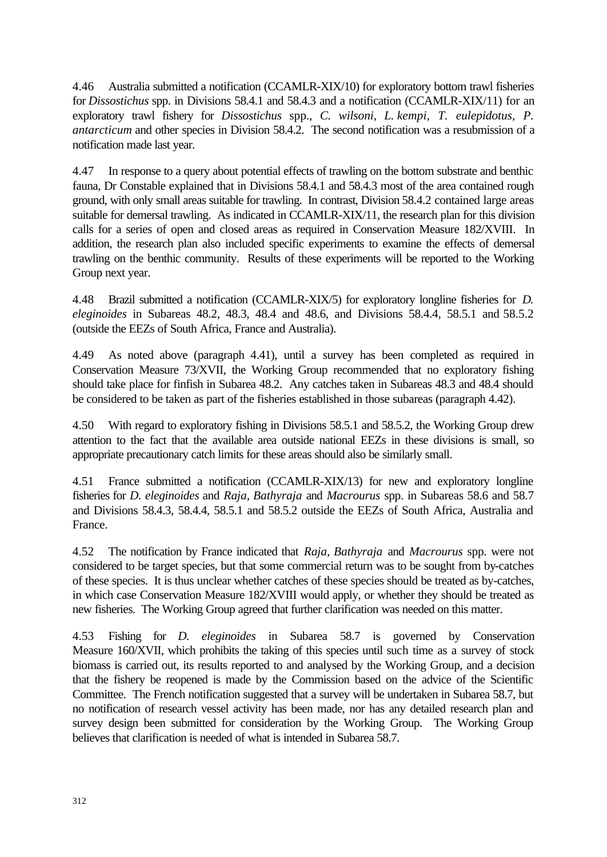4.46 Australia submitted a notification (CCAMLR-XIX/10) for exploratory bottom trawl fisheries for *Dissostichus* spp. in Divisions 58.4.1 and 58.4.3 and a notification (CCAMLR-XIX/11) for an exploratory trawl fishery for *Dissostichus* spp., *C. wilsoni, L. kempi, T. eulepidotus, P. antarcticum* and other species in Division 58.4.2. The second notification was a resubmission of a notification made last year.

4.47 In response to a query about potential effects of trawling on the bottom substrate and benthic fauna, Dr Constable explained that in Divisions 58.4.1 and 58.4.3 most of the area contained rough ground, with only small areas suitable for trawling. In contrast, Division 58.4.2 contained large areas suitable for demersal trawling. As indicated in CCAMLR-XIX/11, the research plan for this division calls for a series of open and closed areas as required in Conservation Measure 182/XVIII. In addition, the research plan also included specific experiments to examine the effects of demersal trawling on the benthic community. Results of these experiments will be reported to the Working Group next year.

4.48 Brazil submitted a notification (CCAMLR-XIX/5) for exploratory longline fisheries for *D. eleginoides* in Subareas 48.2, 48.3, 48.4 and 48.6, and Divisions 58.4.4, 58.5.1 and 58.5.2 (outside the EEZs of South Africa, France and Australia).

4.49 As noted above (paragraph 4.41), until a survey has been completed as required in Conservation Measure 73/XVII, the Working Group recommended that no exploratory fishing should take place for finfish in Subarea 48.2. Any catches taken in Subareas 48.3 and 48.4 should be considered to be taken as part of the fisheries established in those subareas (paragraph 4.42).

4.50 With regard to exploratory fishing in Divisions 58.5.1 and 58.5.2, the Working Group drew attention to the fact that the available area outside national EEZs in these divisions is small, so appropriate precautionary catch limits for these areas should also be similarly small.

4.51 France submitted a notification (CCAMLR-XIX/13) for new and exploratory longline fisheries for *D. eleginoides* and *Raja, Bathyraja* and *Macrourus* spp. in Subareas 58.6 and 58.7 and Divisions 58.4.3, 58.4.4, 58.5.1 and 58.5.2 outside the EEZs of South Africa, Australia and France.

4.52 The notification by France indicated that *Raja, Bathyraja* and *Macrourus* spp. were not considered to be target species, but that some commercial return was to be sought from by-catches of these species. It is thus unclear whether catches of these species should be treated as by-catches, in which case Conservation Measure 182/XVIII would apply, or whether they should be treated as new fisheries. The Working Group agreed that further clarification was needed on this matter.

4.53 Fishing for *D. eleginoides* in Subarea 58.7 is governed by Conservation Measure 160/XVII, which prohibits the taking of this species until such time as a survey of stock biomass is carried out, its results reported to and analysed by the Working Group, and a decision that the fishery be reopened is made by the Commission based on the advice of the Scientific Committee. The French notification suggested that a survey will be undertaken in Subarea 58.7, but no notification of research vessel activity has been made, nor has any detailed research plan and survey design been submitted for consideration by the Working Group. The Working Group believes that clarification is needed of what is intended in Subarea 58.7.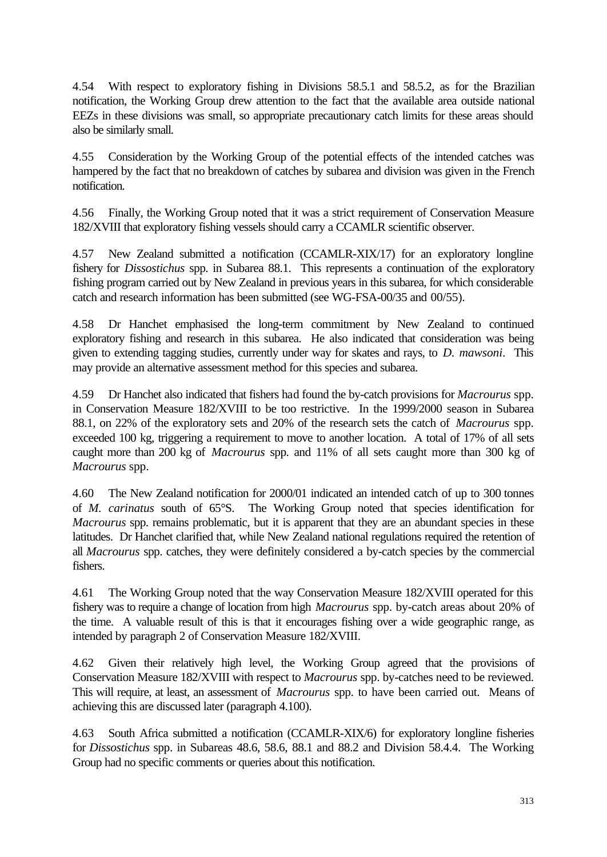4.54 With respect to exploratory fishing in Divisions 58.5.1 and 58.5.2, as for the Brazilian notification, the Working Group drew attention to the fact that the available area outside national EEZs in these divisions was small, so appropriate precautionary catch limits for these areas should also be similarly small.

4.55 Consideration by the Working Group of the potential effects of the intended catches was hampered by the fact that no breakdown of catches by subarea and division was given in the French notification.

4.56 Finally, the Working Group noted that it was a strict requirement of Conservation Measure 182/XVIII that exploratory fishing vessels should carry a CCAMLR scientific observer.

4.57 New Zealand submitted a notification (CCAMLR-XIX/17) for an exploratory longline fishery for *Dissostichus* spp. in Subarea 88.1. This represents a continuation of the exploratory fishing program carried out by New Zealand in previous years in this subarea, for which considerable catch and research information has been submitted (see WG-FSA-00/35 and 00/55).

4.58 Dr Hanchet emphasised the long-term commitment by New Zealand to continued exploratory fishing and research in this subarea. He also indicated that consideration was being given to extending tagging studies, currently under way for skates and rays, to *D. mawsoni*. This may provide an alternative assessment method for this species and subarea.

4.59 Dr Hanchet also indicated that fishers had found the by-catch provisions for *Macrourus* spp. in Conservation Measure 182/XVIII to be too restrictive. In the 1999/2000 season in Subarea 88.1, on 22% of the exploratory sets and 20% of the research sets the catch of *Macrourus* spp. exceeded 100 kg, triggering a requirement to move to another location. A total of 17% of all sets caught more than 200 kg of *Macrourus* spp. and 11% of all sets caught more than 300 kg of *Macrourus* spp.

4.60 The New Zealand notification for 2000/01 indicated an intended catch of up to 300 tonnes of *M. carinatus* south of 65°S. The Working Group noted that species identification for *Macrourus* spp. remains problematic, but it is apparent that they are an abundant species in these latitudes. Dr Hanchet clarified that, while New Zealand national regulations required the retention of all *Macrourus* spp. catches, they were definitely considered a by-catch species by the commercial fishers.

4.61 The Working Group noted that the way Conservation Measure 182/XVIII operated for this fishery was to require a change of location from high *Macrourus* spp. by-catch areas about 20% of the time. A valuable result of this is that it encourages fishing over a wide geographic range, as intended by paragraph 2 of Conservation Measure 182/XVIII.

4.62 Given their relatively high level, the Working Group agreed that the provisions of Conservation Measure 182/XVIII with respect to *Macrourus* spp. by-catches need to be reviewed. This will require, at least, an assessment of *Macrourus* spp. to have been carried out. Means of achieving this are discussed later (paragraph 4.100).

4.63 South Africa submitted a notification (CCAMLR-XIX/6) for exploratory longline fisheries for *Dissostichus* spp. in Subareas 48.6, 58.6, 88.1 and 88.2 and Division 58.4.4. The Working Group had no specific comments or queries about this notification.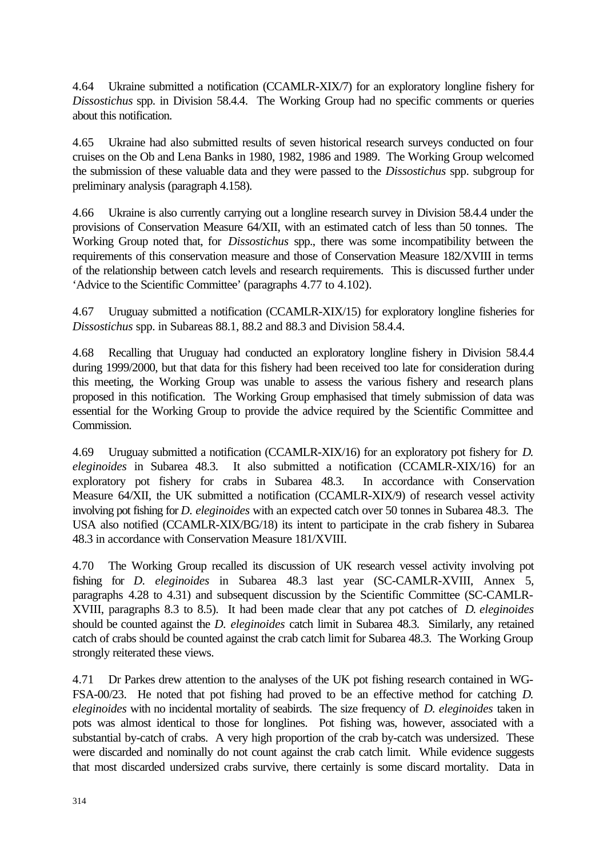4.64 Ukraine submitted a notification (CCAMLR-XIX/7) for an exploratory longline fishery for *Dissostichus* spp. in Division 58.4.4. The Working Group had no specific comments or queries about this notification.

4.65 Ukraine had also submitted results of seven historical research surveys conducted on four cruises on the Ob and Lena Banks in 1980, 1982, 1986 and 1989. The Working Group welcomed the submission of these valuable data and they were passed to the *Dissostichus* spp. subgroup for preliminary analysis (paragraph 4.158).

4.66 Ukraine is also currently carrying out a longline research survey in Division 58.4.4 under the provisions of Conservation Measure 64/XII, with an estimated catch of less than 50 tonnes. The Working Group noted that, for *Dissostichus* spp., there was some incompatibility between the requirements of this conservation measure and those of Conservation Measure 182/XVIII in terms of the relationship between catch levels and research requirements. This is discussed further under 'Advice to the Scientific Committee' (paragraphs 4.77 to 4.102).

4.67 Uruguay submitted a notification (CCAMLR-XIX/15) for exploratory longline fisheries for *Dissostichus* spp. in Subareas 88.1, 88.2 and 88.3 and Division 58.4.4.

4.68 Recalling that Uruguay had conducted an exploratory longline fishery in Division 58.4.4 during 1999/2000, but that data for this fishery had been received too late for consideration during this meeting, the Working Group was unable to assess the various fishery and research plans proposed in this notification. The Working Group emphasised that timely submission of data was essential for the Working Group to provide the advice required by the Scientific Committee and Commission.

4.69 Uruguay submitted a notification (CCAMLR-XIX/16) for an exploratory pot fishery for *D. eleginoides* in Subarea 48.3. It also submitted a notification (CCAMLR-XIX/16) for an exploratory pot fishery for crabs in Subarea 48.3. In accordance with Conservation Measure 64/XII, the UK submitted a notification (CCAMLR-XIX/9) of research vessel activity involving pot fishing for *D. eleginoides* with an expected catch over 50 tonnes in Subarea 48.3. The USA also notified (CCAMLR-XIX/BG/18) its intent to participate in the crab fishery in Subarea 48.3 in accordance with Conservation Measure 181/XVIII.

4.70 The Working Group recalled its discussion of UK research vessel activity involving pot fishing for *D. eleginoides* in Subarea 48.3 last year (SC-CAMLR-XVIII, Annex 5, paragraphs 4.28 to 4.31) and subsequent discussion by the Scientific Committee (SC-CAMLR-XVIII, paragraphs 8.3 to 8.5). It had been made clear that any pot catches of *D. eleginoides* should be counted against the *D. eleginoides* catch limit in Subarea 48.3. Similarly, any retained catch of crabs should be counted against the crab catch limit for Subarea 48.3. The Working Group strongly reiterated these views.

4.71 Dr Parkes drew attention to the analyses of the UK pot fishing research contained in WG-FSA-00/23. He noted that pot fishing had proved to be an effective method for catching *D. eleginoides* with no incidental mortality of seabirds. The size frequency of *D. eleginoides* taken in pots was almost identical to those for longlines. Pot fishing was, however, associated with a substantial by-catch of crabs. A very high proportion of the crab by-catch was undersized. These were discarded and nominally do not count against the crab catch limit. While evidence suggests that most discarded undersized crabs survive, there certainly is some discard mortality. Data in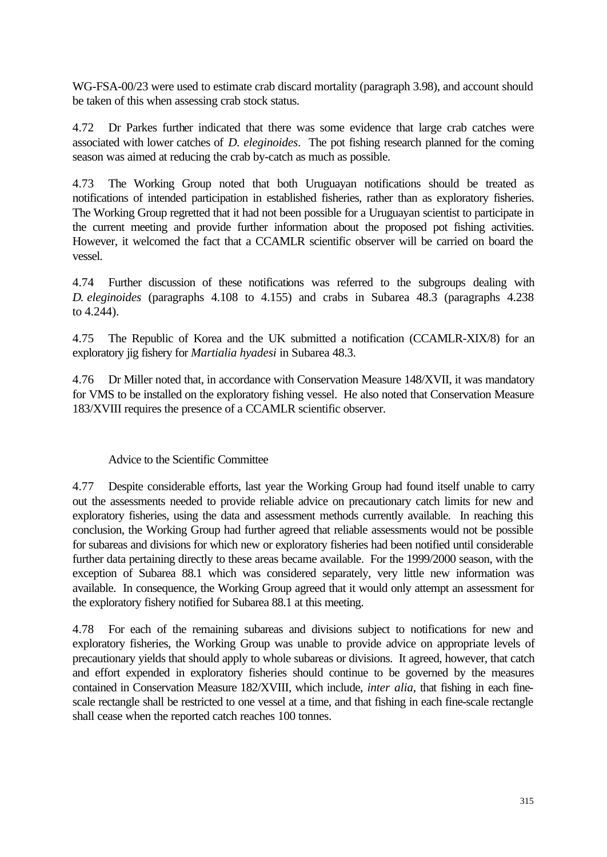WG-FSA-00/23 were used to estimate crab discard mortality (paragraph 3.98), and account should be taken of this when assessing crab stock status.

4.72 Dr Parkes further indicated that there was some evidence that large crab catches were associated with lower catches of *D. eleginoides*. The pot fishing research planned for the coming season was aimed at reducing the crab by-catch as much as possible.

4.73 The Working Group noted that both Uruguayan notifications should be treated as notifications of intended participation in established fisheries, rather than as exploratory fisheries. The Working Group regretted that it had not been possible for a Uruguayan scientist to participate in the current meeting and provide further information about the proposed pot fishing activities. However, it welcomed the fact that a CCAMLR scientific observer will be carried on board the vessel.

4.74 Further discussion of these notifications was referred to the subgroups dealing with *D. eleginoides* (paragraphs 4.108 to 4.155) and crabs in Subarea 48.3 (paragraphs 4.238 to 4.244).

4.75 The Republic of Korea and the UK submitted a notification (CCAMLR-XIX/8) for an exploratory jig fishery for *Martialia hyadesi* in Subarea 48.3.

4.76 Dr Miller noted that, in accordance with Conservation Measure 148/XVII, it was mandatory for VMS to be installed on the exploratory fishing vessel. He also noted that Conservation Measure 183/XVIII requires the presence of a CCAMLR scientific observer.

# Advice to the Scientific Committee

4.77 Despite considerable efforts, last year the Working Group had found itself unable to carry out the assessments needed to provide reliable advice on precautionary catch limits for new and exploratory fisheries, using the data and assessment methods currently available. In reaching this conclusion, the Working Group had further agreed that reliable assessments would not be possible for subareas and divisions for which new or exploratory fisheries had been notified until considerable further data pertaining directly to these areas became available. For the 1999/2000 season, with the exception of Subarea 88.1 which was considered separately, very little new information was available. In consequence, the Working Group agreed that it would only attempt an assessment for the exploratory fishery notified for Subarea 88.1 at this meeting.

4.78 For each of the remaining subareas and divisions subject to notifications for new and exploratory fisheries, the Working Group was unable to provide advice on appropriate levels of precautionary yields that should apply to whole subareas or divisions. It agreed, however, that catch and effort expended in exploratory fisheries should continue to be governed by the measures contained in Conservation Measure 182/XVIII, which include, *inter alia*, that fishing in each finescale rectangle shall be restricted to one vessel at a time, and that fishing in each fine-scale rectangle shall cease when the reported catch reaches 100 tonnes.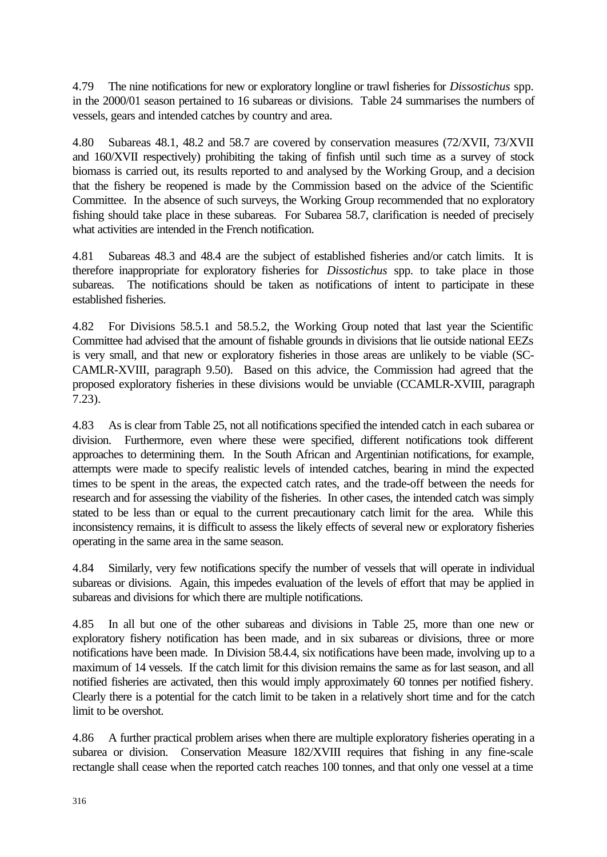4.79 The nine notifications for new or exploratory longline or trawl fisheries for *Dissostichus* spp. in the 2000/01 season pertained to 16 subareas or divisions. Table 24 summarises the numbers of vessels, gears and intended catches by country and area.

4.80 Subareas 48.1, 48.2 and 58.7 are covered by conservation measures (72/XVII, 73/XVII and 160/XVII respectively) prohibiting the taking of finfish until such time as a survey of stock biomass is carried out, its results reported to and analysed by the Working Group, and a decision that the fishery be reopened is made by the Commission based on the advice of the Scientific Committee. In the absence of such surveys, the Working Group recommended that no exploratory fishing should take place in these subareas. For Subarea 58.7, clarification is needed of precisely what activities are intended in the French notification.

4.81 Subareas 48.3 and 48.4 are the subject of established fisheries and/or catch limits. It is therefore inappropriate for exploratory fisheries for *Dissostichus* spp. to take place in those subareas. The notifications should be taken as notifications of intent to participate in these established fisheries.

4.82 For Divisions 58.5.1 and 58.5.2, the Working Group noted that last year the Scientific Committee had advised that the amount of fishable grounds in divisions that lie outside national EEZs is very small, and that new or exploratory fisheries in those areas are unlikely to be viable (SC-CAMLR-XVIII, paragraph 9.50). Based on this advice, the Commission had agreed that the proposed exploratory fisheries in these divisions would be unviable (CCAMLR-XVIII, paragraph 7.23).

4.83 As is clear from Table 25, not all notifications specified the intended catch in each subarea or division. Furthermore, even where these were specified, different notifications took different approaches to determining them. In the South African and Argentinian notifications, for example, attempts were made to specify realistic levels of intended catches, bearing in mind the expected times to be spent in the areas, the expected catch rates, and the trade-off between the needs for research and for assessing the viability of the fisheries. In other cases, the intended catch was simply stated to be less than or equal to the current precautionary catch limit for the area. While this inconsistency remains, it is difficult to assess the likely effects of several new or exploratory fisheries operating in the same area in the same season.

4.84 Similarly, very few notifications specify the number of vessels that will operate in individual subareas or divisions. Again, this impedes evaluation of the levels of effort that may be applied in subareas and divisions for which there are multiple notifications.

4.85 In all but one of the other subareas and divisions in Table 25, more than one new or exploratory fishery notification has been made, and in six subareas or divisions, three or more notifications have been made. In Division 58.4.4, six notifications have been made, involving up to a maximum of 14 vessels. If the catch limit for this division remains the same as for last season, and all notified fisheries are activated, then this would imply approximately 60 tonnes per notified fishery. Clearly there is a potential for the catch limit to be taken in a relatively short time and for the catch limit to be overshot.

4.86 A further practical problem arises when there are multiple exploratory fisheries operating in a subarea or division. Conservation Measure 182/XVIII requires that fishing in any fine-scale rectangle shall cease when the reported catch reaches 100 tonnes, and that only one vessel at a time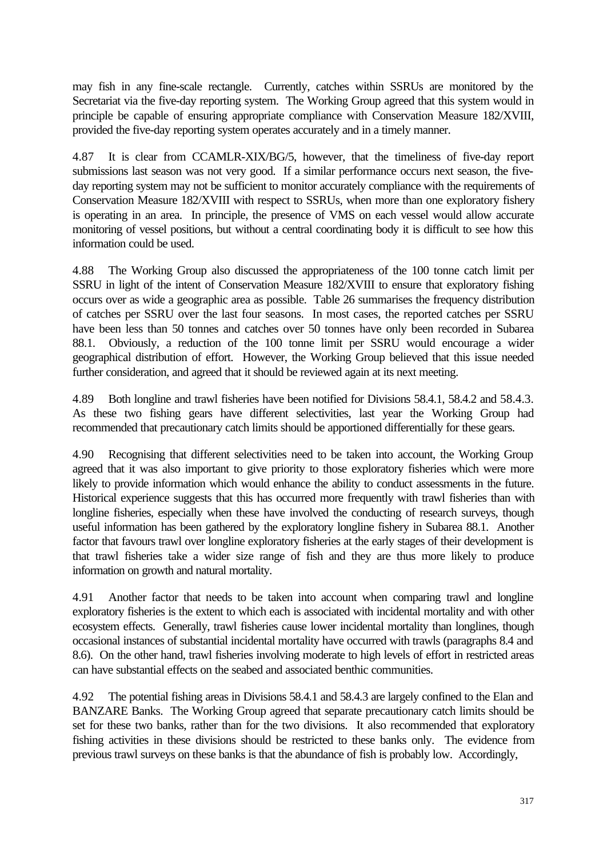may fish in any fine-scale rectangle. Currently, catches within SSRUs are monitored by the Secretariat via the five-day reporting system. The Working Group agreed that this system would in principle be capable of ensuring appropriate compliance with Conservation Measure 182/XVIII, provided the five-day reporting system operates accurately and in a timely manner.

4.87 It is clear from CCAMLR-XIX/BG/5, however, that the timeliness of five-day report submissions last season was not very good. If a similar performance occurs next season, the fiveday reporting system may not be sufficient to monitor accurately compliance with the requirements of Conservation Measure 182/XVIII with respect to SSRUs, when more than one exploratory fishery is operating in an area. In principle, the presence of VMS on each vessel would allow accurate monitoring of vessel positions, but without a central coordinating body it is difficult to see how this information could be used.

4.88 The Working Group also discussed the appropriateness of the 100 tonne catch limit per SSRU in light of the intent of Conservation Measure 182/XVIII to ensure that exploratory fishing occurs over as wide a geographic area as possible. Table 26 summarises the frequency distribution of catches per SSRU over the last four seasons. In most cases, the reported catches per SSRU have been less than 50 tonnes and catches over 50 tonnes have only been recorded in Subarea 88.1. Obviously, a reduction of the 100 tonne limit per SSRU would encourage a wider geographical distribution of effort. However, the Working Group believed that this issue needed further consideration, and agreed that it should be reviewed again at its next meeting.

4.89 Both longline and trawl fisheries have been notified for Divisions 58.4.1, 58.4.2 and 58.4.3. As these two fishing gears have different selectivities, last year the Working Group had recommended that precautionary catch limits should be apportioned differentially for these gears.

4.90 Recognising that different selectivities need to be taken into account, the Working Group agreed that it was also important to give priority to those exploratory fisheries which were more likely to provide information which would enhance the ability to conduct assessments in the future. Historical experience suggests that this has occurred more frequently with trawl fisheries than with longline fisheries, especially when these have involved the conducting of research surveys, though useful information has been gathered by the exploratory longline fishery in Subarea 88.1. Another factor that favours trawl over longline exploratory fisheries at the early stages of their development is that trawl fisheries take a wider size range of fish and they are thus more likely to produce information on growth and natural mortality.

4.91 Another factor that needs to be taken into account when comparing trawl and longline exploratory fisheries is the extent to which each is associated with incidental mortality and with other ecosystem effects. Generally, trawl fisheries cause lower incidental mortality than longlines, though occasional instances of substantial incidental mortality have occurred with trawls (paragraphs 8.4 and 8.6). On the other hand, trawl fisheries involving moderate to high levels of effort in restricted areas can have substantial effects on the seabed and associated benthic communities.

4.92 The potential fishing areas in Divisions 58.4.1 and 58.4.3 are largely confined to the Elan and BANZARE Banks. The Working Group agreed that separate precautionary catch limits should be set for these two banks, rather than for the two divisions. It also recommended that exploratory fishing activities in these divisions should be restricted to these banks only. The evidence from previous trawl surveys on these banks is that the abundance of fish is probably low. Accordingly,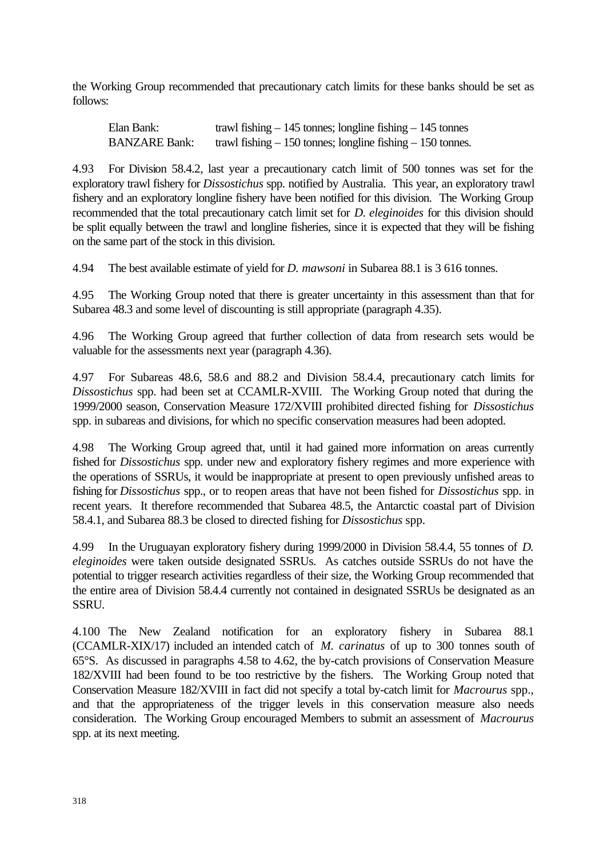the Working Group recommended that precautionary catch limits for these banks should be set as follows:

Elan Bank: trawl fishing – 145 tonnes; longline fishing – 145 tonnes BANZARE Bank: trawl fishing – 150 tonnes; longline fishing – 150 tonnes.

4.93 For Division 58.4.2, last year a precautionary catch limit of 500 tonnes was set for the exploratory trawl fishery for *Dissostichus* spp. notified by Australia. This year, an exploratory trawl fishery and an exploratory longline fishery have been notified for this division. The Working Group recommended that the total precautionary catch limit set for *D. eleginoides* for this division should be split equally between the trawl and longline fisheries, since it is expected that they will be fishing on the same part of the stock in this division.

4.94 The best available estimate of yield for *D. mawsoni* in Subarea 88.1 is 3 616 tonnes.

4.95 The Working Group noted that there is greater uncertainty in this assessment than that for Subarea 48.3 and some level of discounting is still appropriate (paragraph 4.35).

4.96 The Working Group agreed that further collection of data from research sets would be valuable for the assessments next year (paragraph 4.36).

4.97 For Subareas 48.6, 58.6 and 88.2 and Division 58.4.4, precautionary catch limits for *Dissostichus* spp. had been set at CCAMLR-XVIII. The Working Group noted that during the 1999/2000 season, Conservation Measure 172/XVIII prohibited directed fishing for *Dissostichus* spp. in subareas and divisions, for which no specific conservation measures had been adopted.

4.98 The Working Group agreed that, until it had gained more information on areas currently fished for *Dissostichus* spp. under new and exploratory fishery regimes and more experience with the operations of SSRUs, it would be inappropriate at present to open previously unfished areas to fishing for *Dissostichus* spp., or to reopen areas that have not been fished for *Dissostichus* spp. in recent years. It therefore recommended that Subarea 48.5, the Antarctic coastal part of Division 58.4.1, and Subarea 88.3 be closed to directed fishing for *Dissostichus* spp.

4.99 In the Uruguayan exploratory fishery during 1999/2000 in Division 58.4.4, 55 tonnes of *D. eleginoides* were taken outside designated SSRUs. As catches outside SSRUs do not have the potential to trigger research activities regardless of their size, the Working Group recommended that the entire area of Division 58.4.4 currently not contained in designated SSRUs be designated as an SSRU.

4.100 The New Zealand notification for an exploratory fishery in Subarea 88.1 (CCAMLR-XIX/17) included an intended catch of *M. carinatus* of up to 300 tonnes south of 65°S. As discussed in paragraphs 4.58 to 4.62, the by-catch provisions of Conservation Measure 182/XVIII had been found to be too restrictive by the fishers. The Working Group noted that Conservation Measure 182/XVIII in fact did not specify a total by-catch limit for *Macrourus* spp., and that the appropriateness of the trigger levels in this conservation measure also needs consideration. The Working Group encouraged Members to submit an assessment of *Macrourus* spp. at its next meeting.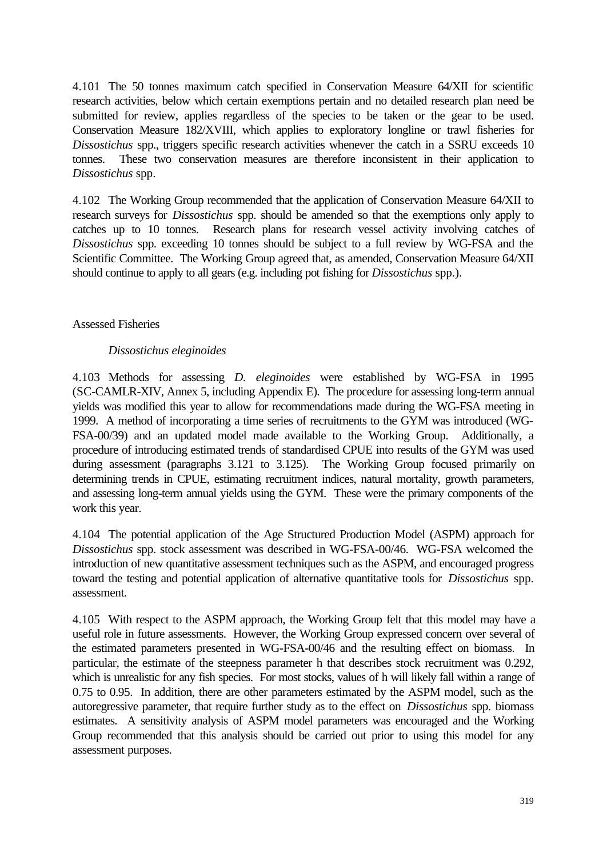4.101 The 50 tonnes maximum catch specified in Conservation Measure 64/XII for scientific research activities, below which certain exemptions pertain and no detailed research plan need be submitted for review, applies regardless of the species to be taken or the gear to be used. Conservation Measure 182/XVIII, which applies to exploratory longline or trawl fisheries for *Dissostichus* spp., triggers specific research activities whenever the catch in a SSRU exceeds 10 tonnes. These two conservation measures are therefore inconsistent in their application to *Dissostichus* spp.

4.102 The Working Group recommended that the application of Conservation Measure 64/XII to research surveys for *Dissostichus* spp. should be amended so that the exemptions only apply to catches up to 10 tonnes. Research plans for research vessel activity involving catches of *Dissostichus* spp. exceeding 10 tonnes should be subject to a full review by WG-FSA and the Scientific Committee. The Working Group agreed that, as amended, Conservation Measure 64/XII should continue to apply to all gears (e.g. including pot fishing for *Dissostichus* spp.).

## Assessed Fisheries

## *Dissostichus eleginoides*

4.103 Methods for assessing *D. eleginoides* were established by WG-FSA in 1995 (SC-CAMLR-XIV, Annex 5, including Appendix E). The procedure for assessing long-term annual yields was modified this year to allow for recommendations made during the WG-FSA meeting in 1999. A method of incorporating a time series of recruitments to the GYM was introduced (WG-FSA-00/39) and an updated model made available to the Working Group. Additionally, a procedure of introducing estimated trends of standardised CPUE into results of the GYM was used during assessment (paragraphs 3.121 to 3.125). The Working Group focused primarily on determining trends in CPUE, estimating recruitment indices, natural mortality, growth parameters, and assessing long-term annual yields using the GYM. These were the primary components of the work this year.

4.104 The potential application of the Age Structured Production Model (ASPM) approach for *Dissostichus* spp. stock assessment was described in WG-FSA-00/46. WG-FSA welcomed the introduction of new quantitative assessment techniques such as the ASPM, and encouraged progress toward the testing and potential application of alternative quantitative tools for *Dissostichus* spp. assessment.

4.105 With respect to the ASPM approach, the Working Group felt that this model may have a useful role in future assessments. However, the Working Group expressed concern over several of the estimated parameters presented in WG-FSA-00/46 and the resulting effect on biomass. In particular, the estimate of the steepness parameter h that describes stock recruitment was 0.292, which is unrealistic for any fish species. For most stocks, values of h will likely fall within a range of 0.75 to 0.95. In addition, there are other parameters estimated by the ASPM model, such as the autoregressive parameter, that require further study as to the effect on *Dissostichus* spp. biomass estimates. A sensitivity analysis of ASPM model parameters was encouraged and the Working Group recommended that this analysis should be carried out prior to using this model for any assessment purposes.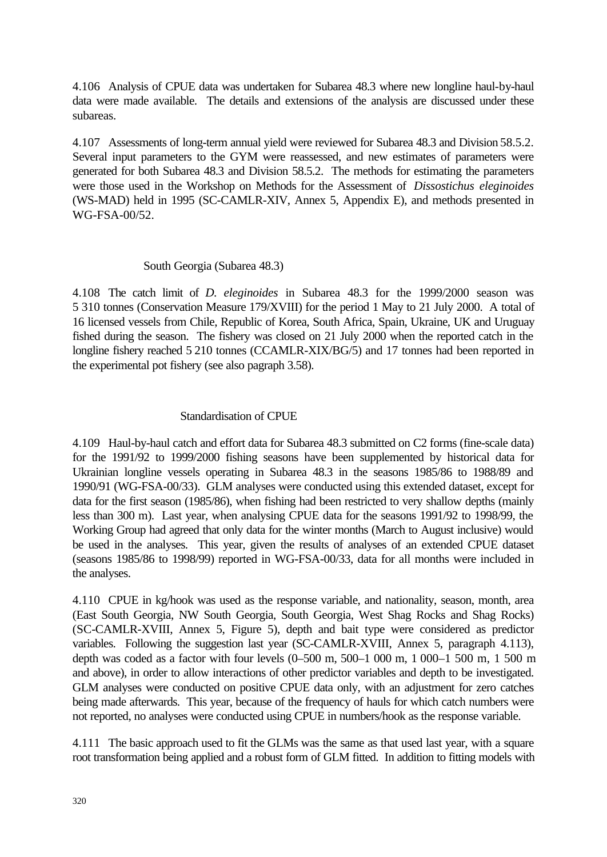4.106 Analysis of CPUE data was undertaken for Subarea 48.3 where new longline haul-by-haul data were made available. The details and extensions of the analysis are discussed under these subareas.

4.107 Assessments of long-term annual yield were reviewed for Subarea 48.3 and Division 58.5.2. Several input parameters to the GYM were reassessed, and new estimates of parameters were generated for both Subarea 48.3 and Division 58.5.2. The methods for estimating the parameters were those used in the Workshop on Methods for the Assessment of *Dissostichus eleginoides* (WS-MAD) held in 1995 (SC-CAMLR-XIV, Annex 5, Appendix E), and methods presented in WG-FSA-00/52.

## South Georgia (Subarea 48.3)

4.108 The catch limit of *D. eleginoides* in Subarea 48.3 for the 1999/2000 season was 5 310 tonnes (Conservation Measure 179/XVIII) for the period 1 May to 21 July 2000. A total of 16 licensed vessels from Chile, Republic of Korea, South Africa, Spain, Ukraine, UK and Uruguay fished during the season. The fishery was closed on 21 July 2000 when the reported catch in the longline fishery reached 5 210 tonnes (CCAMLR-XIX/BG/5) and 17 tonnes had been reported in the experimental pot fishery (see also pagraph 3.58).

# Standardisation of CPUE

4.109 Haul-by-haul catch and effort data for Subarea 48.3 submitted on C2 forms (fine-scale data) for the 1991/92 to 1999/2000 fishing seasons have been supplemented by historical data for Ukrainian longline vessels operating in Subarea 48.3 in the seasons 1985/86 to 1988/89 and 1990/91 (WG-FSA-00/33). GLM analyses were conducted using this extended dataset, except for data for the first season (1985/86), when fishing had been restricted to very shallow depths (mainly less than 300 m). Last year, when analysing CPUE data for the seasons 1991/92 to 1998/99, the Working Group had agreed that only data for the winter months (March to August inclusive) would be used in the analyses. This year, given the results of analyses of an extended CPUE dataset (seasons 1985/86 to 1998/99) reported in WG-FSA-00/33, data for all months were included in the analyses.

4.110 CPUE in kg/hook was used as the response variable, and nationality, season, month, area (East South Georgia, NW South Georgia, South Georgia, West Shag Rocks and Shag Rocks) (SC-CAMLR-XVIII, Annex 5, Figure 5), depth and bait type were considered as predictor variables. Following the suggestion last year (SC-CAMLR-XVIII, Annex 5, paragraph 4.113), depth was coded as a factor with four levels (0–500 m, 500–1 000 m, 1 000–1 500 m, 1 500 m and above), in order to allow interactions of other predictor variables and depth to be investigated. GLM analyses were conducted on positive CPUE data only, with an adjustment for zero catches being made afterwards. This year, because of the frequency of hauls for which catch numbers were not reported, no analyses were conducted using CPUE in numbers/hook as the response variable.

4.111 The basic approach used to fit the GLMs was the same as that used last year, with a square root transformation being applied and a robust form of GLM fitted. In addition to fitting models with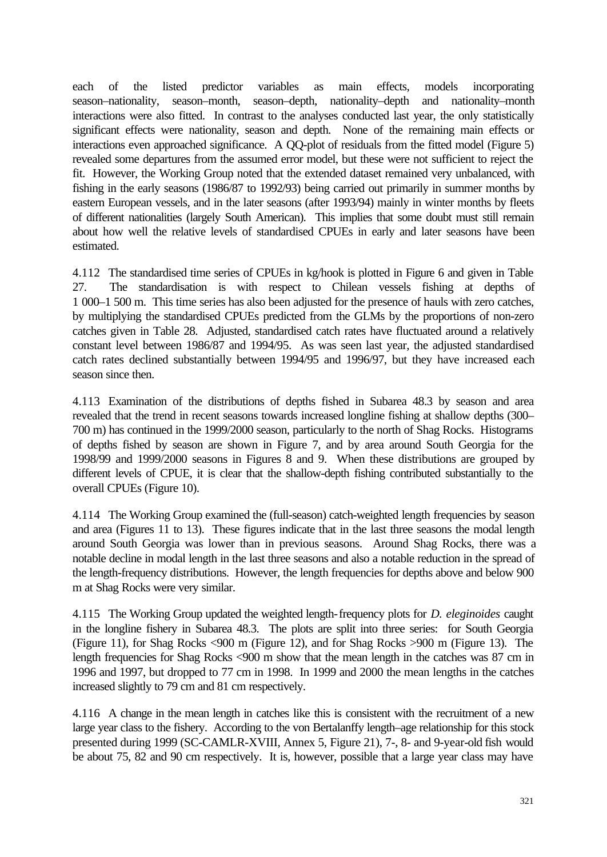each of the listed predictor variables as main effects, models incorporating season–nationality, season–month, season–depth, nationality–depth and nationality–month interactions were also fitted. In contrast to the analyses conducted last year, the only statistically significant effects were nationality, season and depth. None of the remaining main effects or interactions even approached significance. A QQ-plot of residuals from the fitted model (Figure 5) revealed some departures from the assumed error model, but these were not sufficient to reject the fit. However, the Working Group noted that the extended dataset remained very unbalanced, with fishing in the early seasons (1986/87 to 1992/93) being carried out primarily in summer months by eastern European vessels, and in the later seasons (after 1993/94) mainly in winter months by fleets of different nationalities (largely South American). This implies that some doubt must still remain about how well the relative levels of standardised CPUEs in early and later seasons have been estimated.

4.112 The standardised time series of CPUEs in kg/hook is plotted in Figure 6 and given in Table 27. The standardisation is with respect to Chilean vessels fishing at depths of 1 000–1 500 m. This time series has also been adjusted for the presence of hauls with zero catches, by multiplying the standardised CPUEs predicted from the GLMs by the proportions of non-zero catches given in Table 28. Adjusted, standardised catch rates have fluctuated around a relatively constant level between 1986/87 and 1994/95. As was seen last year, the adjusted standardised catch rates declined substantially between 1994/95 and 1996/97, but they have increased each season since then.

4.113 Examination of the distributions of depths fished in Subarea 48.3 by season and area revealed that the trend in recent seasons towards increased longline fishing at shallow depths (300– 700 m) has continued in the 1999/2000 season, particularly to the north of Shag Rocks. Histograms of depths fished by season are shown in Figure 7, and by area around South Georgia for the 1998/99 and 1999/2000 seasons in Figures 8 and 9. When these distributions are grouped by different levels of CPUE, it is clear that the shallow-depth fishing contributed substantially to the overall CPUEs (Figure 10).

4.114 The Working Group examined the (full-season) catch-weighted length frequencies by season and area (Figures 11 to 13). These figures indicate that in the last three seasons the modal length around South Georgia was lower than in previous seasons. Around Shag Rocks, there was a notable decline in modal length in the last three seasons and also a notable reduction in the spread of the length-frequency distributions. However, the length frequencies for depths above and below 900 m at Shag Rocks were very similar.

4.115 The Working Group updated the weighted length-frequency plots for *D. eleginoides* caught in the longline fishery in Subarea 48.3. The plots are split into three series: for South Georgia (Figure 11), for Shag Rocks <900 m (Figure 12), and for Shag Rocks >900 m (Figure 13). The length frequencies for Shag Rocks <900 m show that the mean length in the catches was 87 cm in 1996 and 1997, but dropped to 77 cm in 1998. In 1999 and 2000 the mean lengths in the catches increased slightly to 79 cm and 81 cm respectively.

4.116 A change in the mean length in catches like this is consistent with the recruitment of a new large year class to the fishery. According to the von Bertalanffy length–age relationship for this stock presented during 1999 (SC-CAMLR-XVIII, Annex 5, Figure 21), 7-, 8- and 9-year-old fish would be about 75, 82 and 90 cm respectively. It is, however, possible that a large year class may have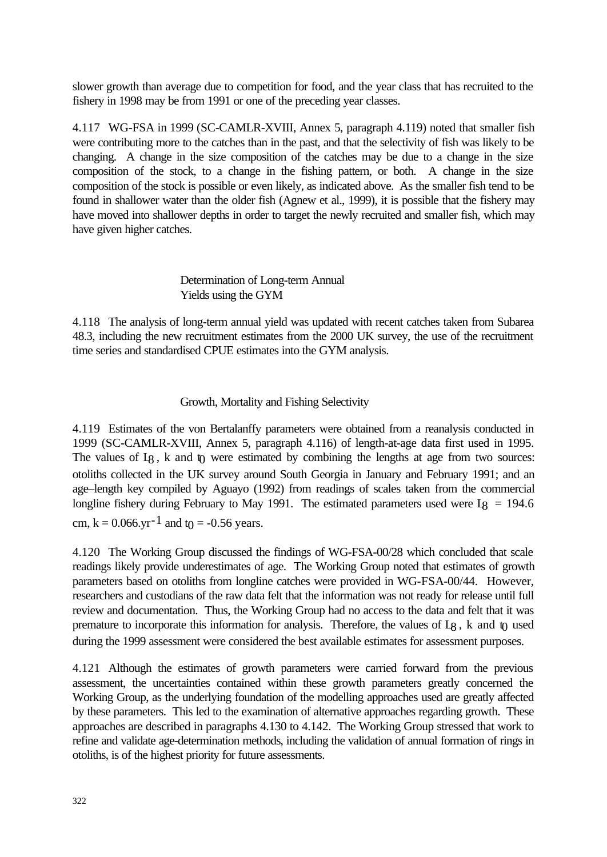slower growth than average due to competition for food, and the year class that has recruited to the fishery in 1998 may be from 1991 or one of the preceding year classes.

4.117 WG-FSA in 1999 (SC-CAMLR-XVIII, Annex 5, paragraph 4.119) noted that smaller fish were contributing more to the catches than in the past, and that the selectivity of fish was likely to be changing. A change in the size composition of the catches may be due to a change in the size composition of the stock, to a change in the fishing pattern, or both. A change in the size composition of the stock is possible or even likely, as indicated above. As the smaller fish tend to be found in shallower water than the older fish (Agnew et al., 1999), it is possible that the fishery may have moved into shallower depths in order to target the newly recruited and smaller fish, which may have given higher catches.

# Determination of Long-term Annual Yields using the GYM

4.118 The analysis of long-term annual yield was updated with recent catches taken from Subarea 48.3, including the new recruitment estimates from the 2000 UK survey, the use of the recruitment time series and standardised CPUE estimates into the GYM analysis.

## Growth, Mortality and Fishing Selectivity

4.119 Estimates of the von Bertalanffy parameters were obtained from a reanalysis conducted in 1999 (SC-CAMLR-XVIII, Annex 5, paragraph 4.116) of length-at-age data first used in 1995. The values of  $I_8$ , k and  $\eta$  were estimated by combining the lengths at age from two sources: otoliths collected in the UK survey around South Georgia in January and February 1991; and an age–length key compiled by Aguayo (1992) from readings of scales taken from the commercial longline fishery during February to May 1991. The estimated parameters used were  $I_8 = 194.6$ cm,  $k = 0.066$ .yr<sup>-1</sup> and t<sub>0</sub> = -0.56 years.

4.120 The Working Group discussed the findings of WG-FSA-00/28 which concluded that scale readings likely provide underestimates of age. The Working Group noted that estimates of growth parameters based on otoliths from longline catches were provided in WG-FSA-00/44. However, researchers and custodians of the raw data felt that the information was not ready for release until full review and documentation. Thus, the Working Group had no access to the data and felt that it was premature to incorporate this information for analysis. Therefore, the values of  $L_8$ , k and  $\eta$  used during the 1999 assessment were considered the best available estimates for assessment purposes.

4.121 Although the estimates of growth parameters were carried forward from the previous assessment, the uncertainties contained within these growth parameters greatly concerned the Working Group, as the underlying foundation of the modelling approaches used are greatly affected by these parameters. This led to the examination of alternative approaches regarding growth. These approaches are described in paragraphs 4.130 to 4.142. The Working Group stressed that work to refine and validate age-determination methods, including the validation of annual formation of rings in otoliths, is of the highest priority for future assessments.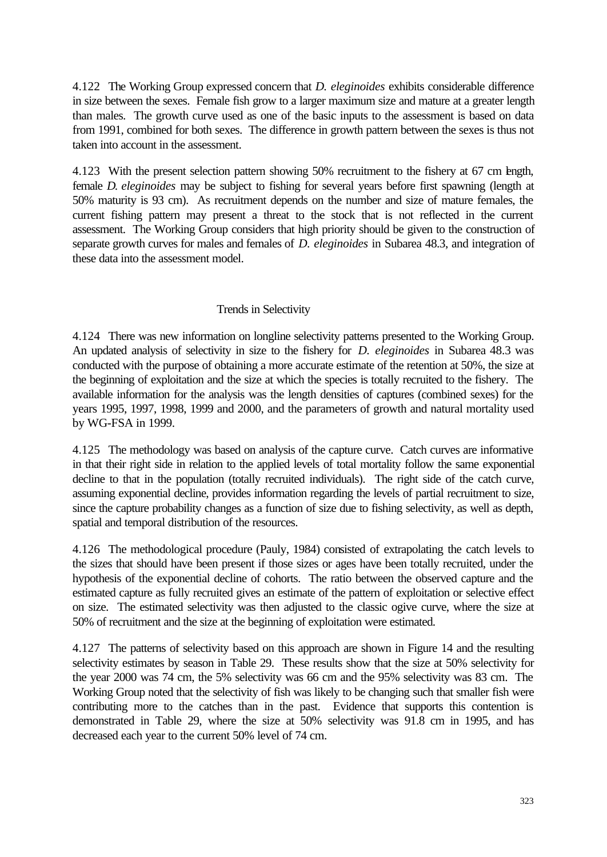4.122 The Working Group expressed concern that *D. eleginoides* exhibits considerable difference in size between the sexes. Female fish grow to a larger maximum size and mature at a greater length than males. The growth curve used as one of the basic inputs to the assessment is based on data from 1991, combined for both sexes. The difference in growth pattern between the sexes is thus not taken into account in the assessment.

4.123 With the present selection pattern showing 50% recruitment to the fishery at 67 cm length, female *D. eleginoides* may be subject to fishing for several years before first spawning (length at 50% maturity is 93 cm). As recruitment depends on the number and size of mature females, the current fishing pattern may present a threat to the stock that is not reflected in the current assessment. The Working Group considers that high priority should be given to the construction of separate growth curves for males and females of *D. eleginoides* in Subarea 48.3, and integration of these data into the assessment model.

## Trends in Selectivity

4.124 There was new information on longline selectivity patterns presented to the Working Group. An updated analysis of selectivity in size to the fishery for *D. eleginoides* in Subarea 48.3 was conducted with the purpose of obtaining a more accurate estimate of the retention at 50%, the size at the beginning of exploitation and the size at which the species is totally recruited to the fishery. The available information for the analysis was the length densities of captures (combined sexes) for the years 1995, 1997, 1998, 1999 and 2000, and the parameters of growth and natural mortality used by WG-FSA in 1999.

4.125 The methodology was based on analysis of the capture curve. Catch curves are informative in that their right side in relation to the applied levels of total mortality follow the same exponential decline to that in the population (totally recruited individuals). The right side of the catch curve, assuming exponential decline, provides information regarding the levels of partial recruitment to size, since the capture probability changes as a function of size due to fishing selectivity, as well as depth, spatial and temporal distribution of the resources.

4.126 The methodological procedure (Pauly, 1984) consisted of extrapolating the catch levels to the sizes that should have been present if those sizes or ages have been totally recruited, under the hypothesis of the exponential decline of cohorts. The ratio between the observed capture and the estimated capture as fully recruited gives an estimate of the pattern of exploitation or selective effect on size. The estimated selectivity was then adjusted to the classic ogive curve, where the size at 50% of recruitment and the size at the beginning of exploitation were estimated.

4.127 The patterns of selectivity based on this approach are shown in Figure 14 and the resulting selectivity estimates by season in Table 29. These results show that the size at 50% selectivity for the year 2000 was 74 cm, the 5% selectivity was 66 cm and the 95% selectivity was 83 cm. The Working Group noted that the selectivity of fish was likely to be changing such that smaller fish were contributing more to the catches than in the past. Evidence that supports this contention is demonstrated in Table 29, where the size at 50% selectivity was 91.8 cm in 1995, and has decreased each year to the current 50% level of 74 cm.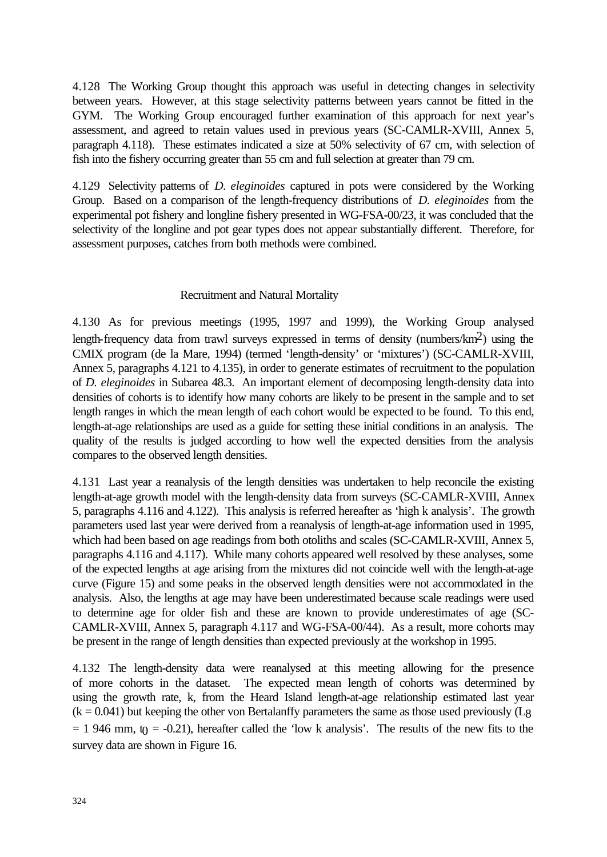4.128 The Working Group thought this approach was useful in detecting changes in selectivity between years. However, at this stage selectivity patterns between years cannot be fitted in the GYM. The Working Group encouraged further examination of this approach for next year's assessment, and agreed to retain values used in previous years (SC-CAMLR-XVIII, Annex 5, paragraph 4.118). These estimates indicated a size at 50% selectivity of 67 cm, with selection of fish into the fishery occurring greater than 55 cm and full selection at greater than 79 cm.

4.129 Selectivity patterns of *D. eleginoides* captured in pots were considered by the Working Group. Based on a comparison of the length-frequency distributions of *D. eleginoides* from the experimental pot fishery and longline fishery presented in WG-FSA-00/23, it was concluded that the selectivity of the longline and pot gear types does not appear substantially different. Therefore, for assessment purposes, catches from both methods were combined.

## Recruitment and Natural Mortality

4.130 As for previous meetings (1995, 1997 and 1999), the Working Group analysed length-frequency data from trawl surveys expressed in terms of density (numbers/ $km^2$ ) using the CMIX program (de la Mare, 1994) (termed 'length-density' or 'mixtures') (SC-CAMLR-XVIII, Annex 5, paragraphs 4.121 to 4.135), in order to generate estimates of recruitment to the population of *D. eleginoides* in Subarea 48.3. An important element of decomposing length-density data into densities of cohorts is to identify how many cohorts are likely to be present in the sample and to set length ranges in which the mean length of each cohort would be expected to be found. To this end, length-at-age relationships are used as a guide for setting these initial conditions in an analysis. The quality of the results is judged according to how well the expected densities from the analysis compares to the observed length densities.

4.131 Last year a reanalysis of the length densities was undertaken to help reconcile the existing length-at-age growth model with the length-density data from surveys (SC-CAMLR-XVIII, Annex 5, paragraphs 4.116 and 4.122). This analysis is referred hereafter as 'high k analysis'. The growth parameters used last year were derived from a reanalysis of length-at-age information used in 1995, which had been based on age readings from both otoliths and scales (SC-CAMLR-XVIII, Annex 5, paragraphs 4.116 and 4.117). While many cohorts appeared well resolved by these analyses, some of the expected lengths at age arising from the mixtures did not coincide well with the length-at-age curve (Figure 15) and some peaks in the observed length densities were not accommodated in the analysis. Also, the lengths at age may have been underestimated because scale readings were used to determine age for older fish and these are known to provide underestimates of age (SC-CAMLR-XVIII, Annex 5, paragraph 4.117 and WG-FSA-00/44). As a result, more cohorts may be present in the range of length densities than expected previously at the workshop in 1995.

4.132 The length-density data were reanalysed at this meeting allowing for the presence of more cohorts in the dataset. The expected mean length of cohorts was determined by using the growth rate, k, from the Heard Island length-at-age relationship estimated last year  $(k = 0.041)$  but keeping the other von Bertalanffy parameters the same as those used previously (L<sub>8</sub>)  $= 1$  946 mm, to  $= -0.21$ ), hereafter called the 'low k analysis'. The results of the new fits to the survey data are shown in Figure 16.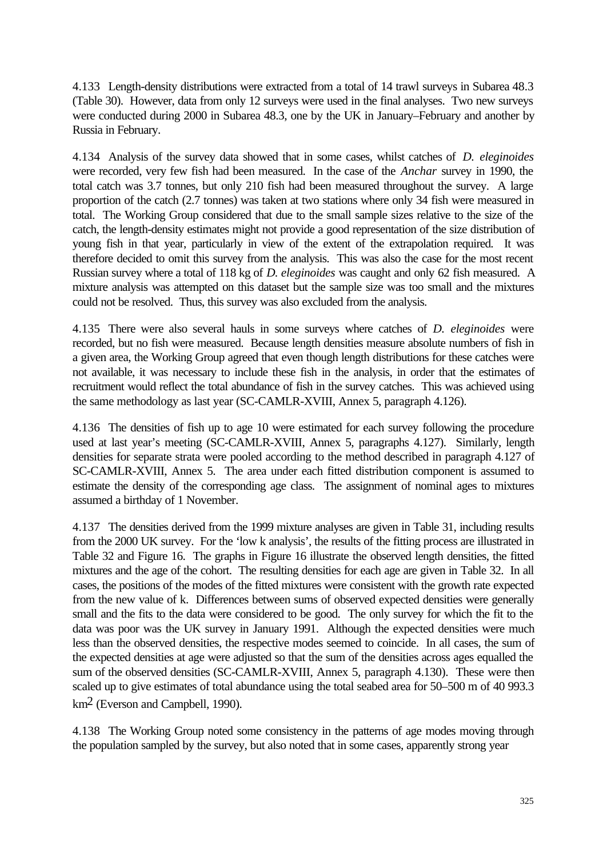4.133 Length-density distributions were extracted from a total of 14 trawl surveys in Subarea 48.3 (Table 30). However, data from only 12 surveys were used in the final analyses. Two new surveys were conducted during 2000 in Subarea 48.3, one by the UK in January–February and another by Russia in February.

4.134 Analysis of the survey data showed that in some cases, whilst catches of *D. eleginoides* were recorded, very few fish had been measured. In the case of the *Anchar* survey in 1990, the total catch was 3.7 tonnes, but only 210 fish had been measured throughout the survey. A large proportion of the catch (2.7 tonnes) was taken at two stations where only 34 fish were measured in total. The Working Group considered that due to the small sample sizes relative to the size of the catch, the length-density estimates might not provide a good representation of the size distribution of young fish in that year, particularly in view of the extent of the extrapolation required. It was therefore decided to omit this survey from the analysis. This was also the case for the most recent Russian survey where a total of 118 kg of *D. eleginoides* was caught and only 62 fish measured. A mixture analysis was attempted on this dataset but the sample size was too small and the mixtures could not be resolved. Thus, this survey was also excluded from the analysis.

4.135 There were also several hauls in some surveys where catches of *D. eleginoides* were recorded, but no fish were measured. Because length densities measure absolute numbers of fish in a given area, the Working Group agreed that even though length distributions for these catches were not available, it was necessary to include these fish in the analysis, in order that the estimates of recruitment would reflect the total abundance of fish in the survey catches. This was achieved using the same methodology as last year (SC-CAMLR-XVIII, Annex 5, paragraph 4.126).

4.136 The densities of fish up to age 10 were estimated for each survey following the procedure used at last year's meeting (SC-CAMLR-XVIII, Annex 5, paragraphs 4.127). Similarly, length densities for separate strata were pooled according to the method described in paragraph 4.127 of SC-CAMLR-XVIII, Annex 5. The area under each fitted distribution component is assumed to estimate the density of the corresponding age class. The assignment of nominal ages to mixtures assumed a birthday of 1 November.

4.137 The densities derived from the 1999 mixture analyses are given in Table 31, including results from the 2000 UK survey. For the 'low k analysis', the results of the fitting process are illustrated in Table 32 and Figure 16. The graphs in Figure 16 illustrate the observed length densities, the fitted mixtures and the age of the cohort. The resulting densities for each age are given in Table 32. In all cases, the positions of the modes of the fitted mixtures were consistent with the growth rate expected from the new value of k. Differences between sums of observed expected densities were generally small and the fits to the data were considered to be good. The only survey for which the fit to the data was poor was the UK survey in January 1991. Although the expected densities were much less than the observed densities, the respective modes seemed to coincide. In all cases, the sum of the expected densities at age were adjusted so that the sum of the densities across ages equalled the sum of the observed densities (SC-CAMLR-XVIII, Annex 5, paragraph 4.130). These were then scaled up to give estimates of total abundance using the total seabed area for 50–500 m of 40 993.3 km2 (Everson and Campbell, 1990).

4.138 The Working Group noted some consistency in the patterns of age modes moving through the population sampled by the survey, but also noted that in some cases, apparently strong year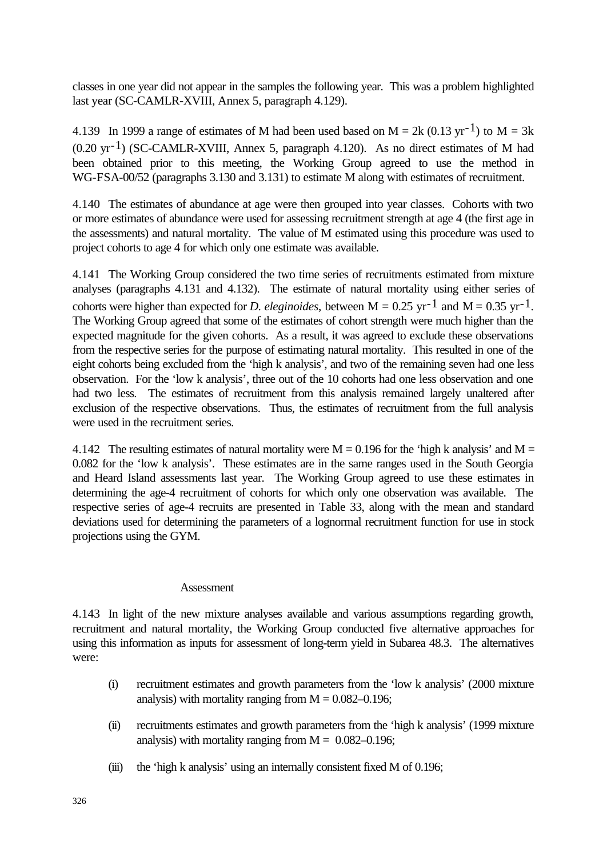classes in one year did not appear in the samples the following year. This was a problem highlighted last year (SC-CAMLR-XVIII, Annex 5, paragraph 4.129).

4.139 In 1999 a range of estimates of M had been used based on M = 2k (0.13 yr<sup>-1</sup>) to M = 3k  $(0.20 \text{ yr}^{-1})$  (SC-CAMLR-XVIII, Annex 5, paragraph 4.120). As no direct estimates of M had been obtained prior to this meeting, the Working Group agreed to use the method in WG-FSA-00/52 (paragraphs 3.130 and 3.131) to estimate M along with estimates of recruitment.

4.140 The estimates of abundance at age were then grouped into year classes. Cohorts with two or more estimates of abundance were used for assessing recruitment strength at age 4 (the first age in the assessments) and natural mortality. The value of M estimated using this procedure was used to project cohorts to age 4 for which only one estimate was available.

4.141 The Working Group considered the two time series of recruitments estimated from mixture analyses (paragraphs 4.131 and 4.132). The estimate of natural mortality using either series of cohorts were higher than expected for *D. eleginoides*, between  $M = 0.25$  yr<sup>-1</sup> and  $M = 0.35$  yr<sup>-1</sup>. The Working Group agreed that some of the estimates of cohort strength were much higher than the expected magnitude for the given cohorts. As a result, it was agreed to exclude these observations from the respective series for the purpose of estimating natural mortality. This resulted in one of the eight cohorts being excluded from the 'high k analysis', and two of the remaining seven had one less observation. For the 'low k analysis', three out of the 10 cohorts had one less observation and one had two less. The estimates of recruitment from this analysis remained largely unaltered after exclusion of the respective observations. Thus, the estimates of recruitment from the full analysis were used in the recruitment series.

4.142 The resulting estimates of natural mortality were  $M = 0.196$  for the 'high k analysis' and  $M =$ 0.082 for the 'low k analysis'. These estimates are in the same ranges used in the South Georgia and Heard Island assessments last year. The Working Group agreed to use these estimates in determining the age-4 recruitment of cohorts for which only one observation was available. The respective series of age-4 recruits are presented in Table 33, along with the mean and standard deviations used for determining the parameters of a lognormal recruitment function for use in stock projections using the GYM.

## Assessment

4.143 In light of the new mixture analyses available and various assumptions regarding growth, recruitment and natural mortality, the Working Group conducted five alternative approaches for using this information as inputs for assessment of long-term yield in Subarea 48.3. The alternatives were:

- (i) recruitment estimates and growth parameters from the 'low k analysis' (2000 mixture analysis) with mortality ranging from  $M = 0.082 - 0.196$ ;
- (ii) recruitments estimates and growth parameters from the 'high k analysis' (1999 mixture analysis) with mortality ranging from  $M = 0.082 - 0.196$ ;
- (iii) the 'high k analysis' using an internally consistent fixed M of 0.196;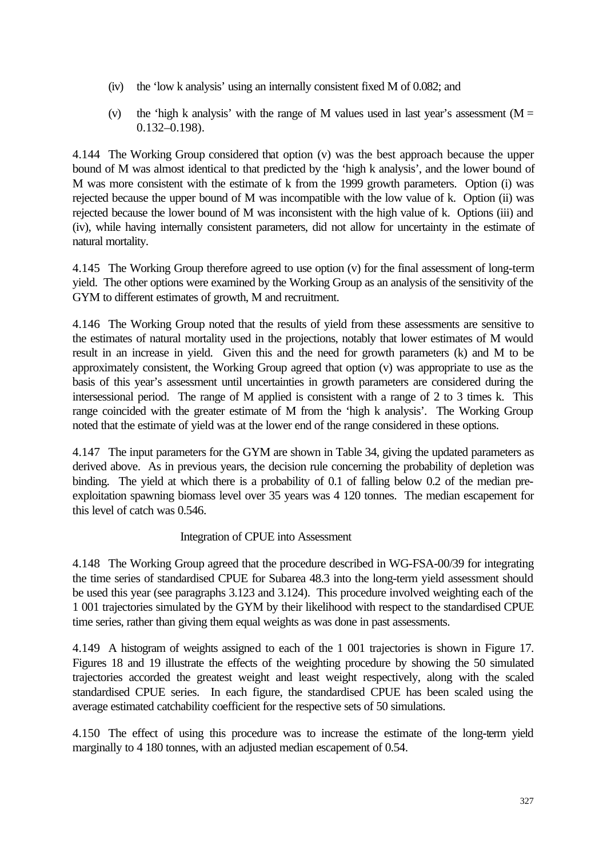- (iv) the 'low k analysis' using an internally consistent fixed M of 0.082; and
- (v) the 'high k analysis' with the range of M values used in last year's assessment ( $M =$ 0.132–0.198).

4.144 The Working Group considered that option (v) was the best approach because the upper bound of M was almost identical to that predicted by the 'high k analysis', and the lower bound of M was more consistent with the estimate of k from the 1999 growth parameters. Option (i) was rejected because the upper bound of M was incompatible with the low value of k. Option (ii) was rejected because the lower bound of M was inconsistent with the high value of k. Options (iii) and (iv), while having internally consistent parameters, did not allow for uncertainty in the estimate of natural mortality.

4.145 The Working Group therefore agreed to use option (v) for the final assessment of long-term yield. The other options were examined by the Working Group as an analysis of the sensitivity of the GYM to different estimates of growth, M and recruitment.

4.146 The Working Group noted that the results of yield from these assessments are sensitive to the estimates of natural mortality used in the projections, notably that lower estimates of M would result in an increase in yield. Given this and the need for growth parameters (k) and M to be approximately consistent, the Working Group agreed that option (v) was appropriate to use as the basis of this year's assessment until uncertainties in growth parameters are considered during the intersessional period. The range of M applied is consistent with a range of 2 to 3 times k. This range coincided with the greater estimate of M from the 'high k analysis'. The Working Group noted that the estimate of yield was at the lower end of the range considered in these options.

4.147 The input parameters for the GYM are shown in Table 34, giving the updated parameters as derived above. As in previous years, the decision rule concerning the probability of depletion was binding. The yield at which there is a probability of 0.1 of falling below 0.2 of the median preexploitation spawning biomass level over 35 years was 4 120 tonnes. The median escapement for this level of catch was 0.546.

# Integration of CPUE into Assessment

4.148 The Working Group agreed that the procedure described in WG-FSA-00/39 for integrating the time series of standardised CPUE for Subarea 48.3 into the long-term yield assessment should be used this year (see paragraphs 3.123 and 3.124). This procedure involved weighting each of the 1 001 trajectories simulated by the GYM by their likelihood with respect to the standardised CPUE time series, rather than giving them equal weights as was done in past assessments.

4.149 A histogram of weights assigned to each of the 1 001 trajectories is shown in Figure 17. Figures 18 and 19 illustrate the effects of the weighting procedure by showing the 50 simulated trajectories accorded the greatest weight and least weight respectively, along with the scaled standardised CPUE series. In each figure, the standardised CPUE has been scaled using the average estimated catchability coefficient for the respective sets of 50 simulations.

4.150 The effect of using this procedure was to increase the estimate of the long-term yield marginally to 4 180 tonnes, with an adjusted median escapement of 0.54.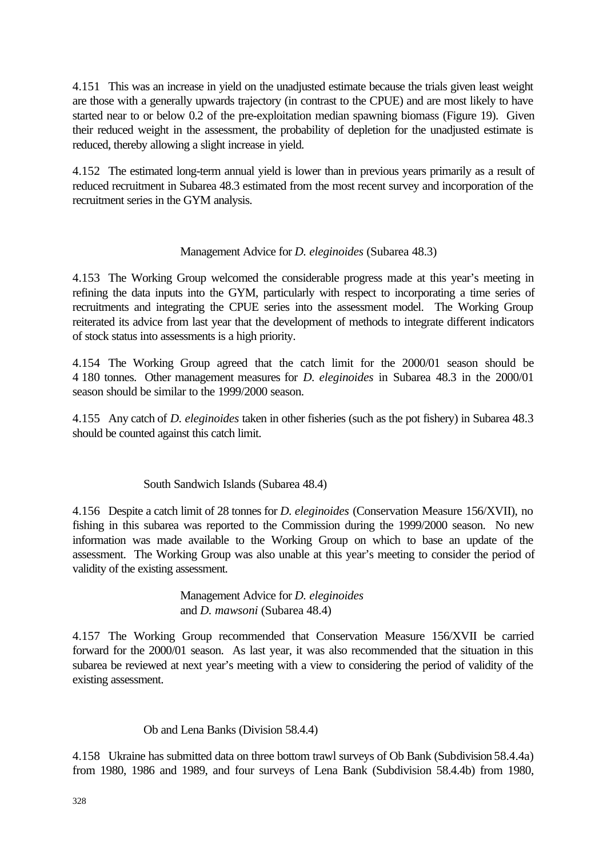4.151 This was an increase in yield on the unadjusted estimate because the trials given least weight are those with a generally upwards trajectory (in contrast to the CPUE) and are most likely to have started near to or below 0.2 of the pre-exploitation median spawning biomass (Figure 19). Given their reduced weight in the assessment, the probability of depletion for the unadjusted estimate is reduced, thereby allowing a slight increase in yield.

4.152 The estimated long-term annual yield is lower than in previous years primarily as a result of reduced recruitment in Subarea 48.3 estimated from the most recent survey and incorporation of the recruitment series in the GYM analysis.

## Management Advice for *D. eleginoides* (Subarea 48.3)

4.153 The Working Group welcomed the considerable progress made at this year's meeting in refining the data inputs into the GYM, particularly with respect to incorporating a time series of recruitments and integrating the CPUE series into the assessment model. The Working Group reiterated its advice from last year that the development of methods to integrate different indicators of stock status into assessments is a high priority.

4.154 The Working Group agreed that the catch limit for the 2000/01 season should be 4 180 tonnes. Other management measures for *D. eleginoides* in Subarea 48.3 in the 2000/01 season should be similar to the 1999/2000 season.

4.155 Any catch of *D. eleginoides* taken in other fisheries (such as the pot fishery) in Subarea 48.3 should be counted against this catch limit.

# South Sandwich Islands (Subarea 48.4)

4.156 Despite a catch limit of 28 tonnes for *D. eleginoides* (Conservation Measure 156/XVII), no fishing in this subarea was reported to the Commission during the 1999/2000 season. No new information was made available to the Working Group on which to base an update of the assessment. The Working Group was also unable at this year's meeting to consider the period of validity of the existing assessment.

> Management Advice for *D. eleginoides* and *D. mawsoni* (Subarea 48.4)

4.157 The Working Group recommended that Conservation Measure 156/XVII be carried forward for the 2000/01 season. As last year, it was also recommended that the situation in this subarea be reviewed at next year's meeting with a view to considering the period of validity of the existing assessment.

## Ob and Lena Banks (Division 58.4.4)

4.158 Ukraine has submitted data on three bottom trawl surveys of Ob Bank (Subdivision 58.4.4a) from 1980, 1986 and 1989, and four surveys of Lena Bank (Subdivision 58.4.4b) from 1980,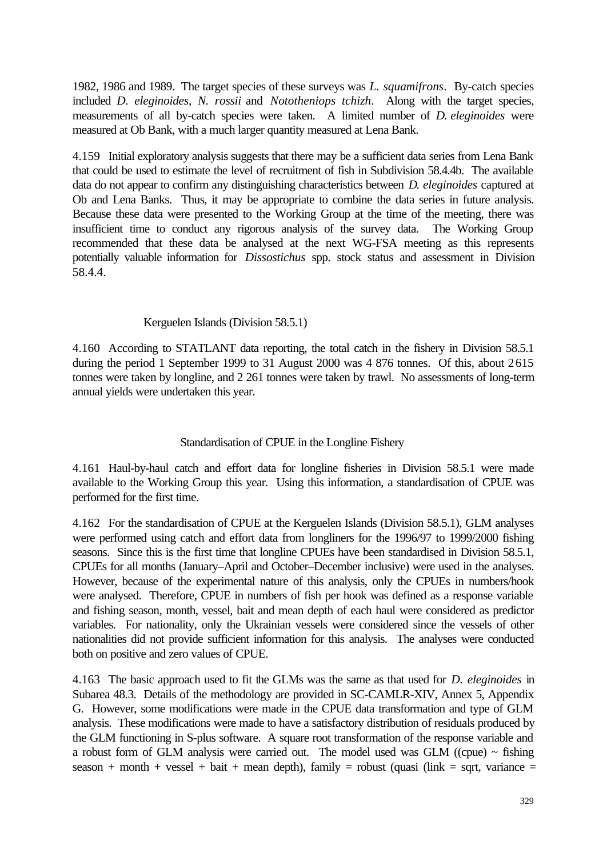1982, 1986 and 1989. The target species of these surveys was *L. squamifrons*. By-catch species included *D. eleginoides*, *N. rossii* and *Nototheniops tchizh*. Along with the target species, measurements of all by-catch species were taken. A limited number of *D. eleginoides* were measured at Ob Bank, with a much larger quantity measured at Lena Bank.

4.159 Initial exploratory analysis suggests that there may be a sufficient data series from Lena Bank that could be used to estimate the level of recruitment of fish in Subdivision 58.4.4b. The available data do not appear to confirm any distinguishing characteristics between *D. eleginoides* captured at Ob and Lena Banks. Thus, it may be appropriate to combine the data series in future analysis. Because these data were presented to the Working Group at the time of the meeting, there was insufficient time to conduct any rigorous analysis of the survey data. The Working Group recommended that these data be analysed at the next WG-FSA meeting as this represents potentially valuable information for *Dissostichus* spp. stock status and assessment in Division 58.4.4.

## Kerguelen Islands (Division 58.5.1)

4.160 According to STATLANT data reporting, the total catch in the fishery in Division 58.5.1 during the period 1 September 1999 to 31 August 2000 was 4 876 tonnes. Of this, about 2615 tonnes were taken by longline, and 2 261 tonnes were taken by trawl. No assessments of long-term annual yields were undertaken this year.

## Standardisation of CPUE in the Longline Fishery

4.161 Haul-by-haul catch and effort data for longline fisheries in Division 58.5.1 were made available to the Working Group this year. Using this information, a standardisation of CPUE was performed for the first time.

4.162 For the standardisation of CPUE at the Kerguelen Islands (Division 58.5.1), GLM analyses were performed using catch and effort data from longliners for the 1996/97 to 1999/2000 fishing seasons. Since this is the first time that longline CPUEs have been standardised in Division 58.5.1, CPUEs for all months (January–April and October–December inclusive) were used in the analyses. However, because of the experimental nature of this analysis, only the CPUEs in numbers/hook were analysed. Therefore, CPUE in numbers of fish per hook was defined as a response variable and fishing season, month, vessel, bait and mean depth of each haul were considered as predictor variables. For nationality, only the Ukrainian vessels were considered since the vessels of other nationalities did not provide sufficient information for this analysis. The analyses were conducted both on positive and zero values of CPUE.

4.163 The basic approach used to fit the GLMs was the same as that used for *D. eleginoides* in Subarea 48.3. Details of the methodology are provided in SC-CAMLR-XIV, Annex 5, Appendix G. However, some modifications were made in the CPUE data transformation and type of GLM analysis. These modifications were made to have a satisfactory distribution of residuals produced by the GLM functioning in S-plus software. A square root transformation of the response variable and a robust form of GLM analysis were carried out. The model used was GLM ((cpue)  $\sim$  fishing season + month + vessel + bait + mean depth), family = robust (quasi (link = sqrt, variance =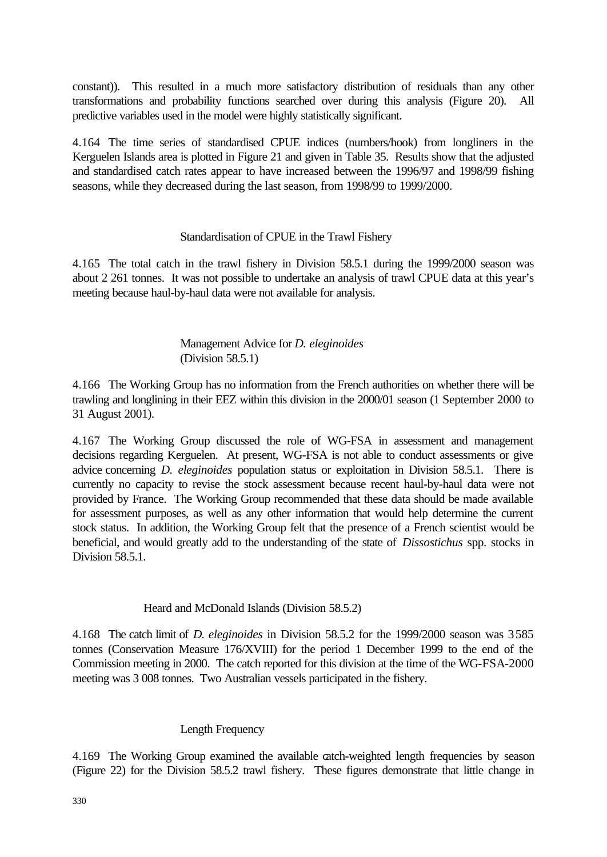constant)). This resulted in a much more satisfactory distribution of residuals than any other transformations and probability functions searched over during this analysis (Figure 20). All predictive variables used in the model were highly statistically significant.

4.164 The time series of standardised CPUE indices (numbers/hook) from longliners in the Kerguelen Islands area is plotted in Figure 21 and given in Table 35. Results show that the adjusted and standardised catch rates appear to have increased between the 1996/97 and 1998/99 fishing seasons, while they decreased during the last season, from 1998/99 to 1999/2000.

## Standardisation of CPUE in the Trawl Fishery

4.165 The total catch in the trawl fishery in Division 58.5.1 during the 1999/2000 season was about 2 261 tonnes. It was not possible to undertake an analysis of trawl CPUE data at this year's meeting because haul-by-haul data were not available for analysis.

## Management Advice for *D. eleginoides* (Division 58.5.1)

4.166 The Working Group has no information from the French authorities on whether there will be trawling and longlining in their EEZ within this division in the 2000/01 season (1 September 2000 to 31 August 2001).

4.167 The Working Group discussed the role of WG-FSA in assessment and management decisions regarding Kerguelen. At present, WG-FSA is not able to conduct assessments or give advice concerning *D. eleginoides* population status or exploitation in Division 58.5.1. There is currently no capacity to revise the stock assessment because recent haul-by-haul data were not provided by France. The Working Group recommended that these data should be made available for assessment purposes, as well as any other information that would help determine the current stock status. In addition, the Working Group felt that the presence of a French scientist would be beneficial, and would greatly add to the understanding of the state of *Dissostichus* spp. stocks in Division 58.5.1.

## Heard and McDonald Islands (Division 58.5.2)

4.168 The catch limit of *D. eleginoides* in Division 58.5.2 for the 1999/2000 season was 3 585 tonnes (Conservation Measure 176/XVIII) for the period 1 December 1999 to the end of the Commission meeting in 2000. The catch reported for this division at the time of the WG-FSA-2000 meeting was 3 008 tonnes. Two Australian vessels participated in the fishery.

## Length Frequency

4.169 The Working Group examined the available catch-weighted length frequencies by season (Figure 22) for the Division 58.5.2 trawl fishery. These figures demonstrate that little change in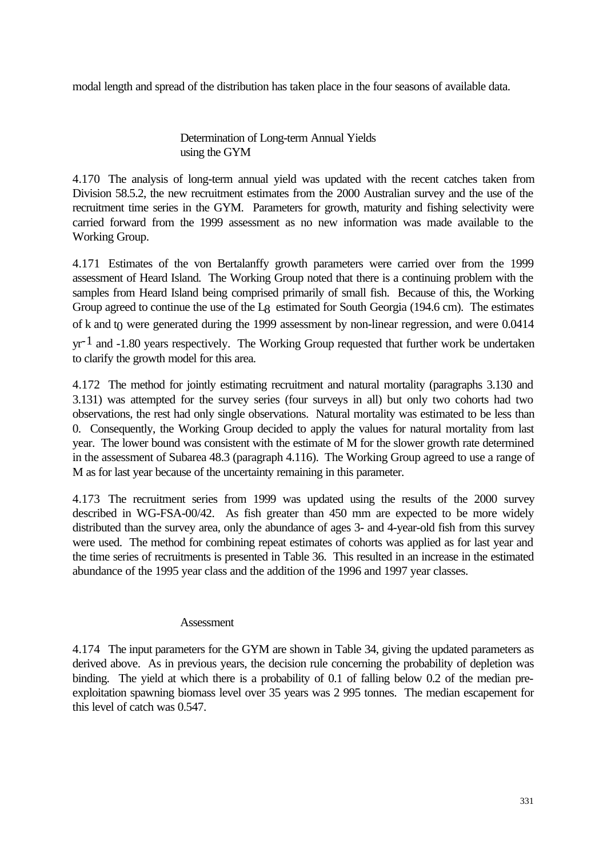modal length and spread of the distribution has taken place in the four seasons of available data.

Determination of Long-term Annual Yields using the GYM

4.170 The analysis of long-term annual yield was updated with the recent catches taken from Division 58.5.2, the new recruitment estimates from the 2000 Australian survey and the use of the recruitment time series in the GYM. Parameters for growth, maturity and fishing selectivity were carried forward from the 1999 assessment as no new information was made available to the Working Group.

4.171 Estimates of the von Bertalanffy growth parameters were carried over from the 1999 assessment of Heard Island. The Working Group noted that there is a continuing problem with the samples from Heard Island being comprised primarily of small fish. Because of this, the Working Group agreed to continue the use of the L<sub>8</sub> estimated for South Georgia (194.6 cm). The estimates of k and  $t_0$  were generated during the 1999 assessment by non-linear regression, and were 0.0414

yr-1 and -1.80 years respectively. The Working Group requested that further work be undertaken to clarify the growth model for this area.

4.172 The method for jointly estimating recruitment and natural mortality (paragraphs 3.130 and 3.131) was attempted for the survey series (four surveys in all) but only two cohorts had two observations, the rest had only single observations. Natural mortality was estimated to be less than 0. Consequently, the Working Group decided to apply the values for natural mortality from last year. The lower bound was consistent with the estimate of M for the slower growth rate determined in the assessment of Subarea 48.3 (paragraph 4.116). The Working Group agreed to use a range of M as for last year because of the uncertainty remaining in this parameter.

4.173 The recruitment series from 1999 was updated using the results of the 2000 survey described in WG-FSA-00/42. As fish greater than 450 mm are expected to be more widely distributed than the survey area, only the abundance of ages 3- and 4-year-old fish from this survey were used. The method for combining repeat estimates of cohorts was applied as for last year and the time series of recruitments is presented in Table 36. This resulted in an increase in the estimated abundance of the 1995 year class and the addition of the 1996 and 1997 year classes.

## Assessment

4.174 The input parameters for the GYM are shown in Table 34, giving the updated parameters as derived above. As in previous years, the decision rule concerning the probability of depletion was binding. The yield at which there is a probability of 0.1 of falling below 0.2 of the median preexploitation spawning biomass level over 35 years was 2 995 tonnes. The median escapement for this level of catch was 0.547.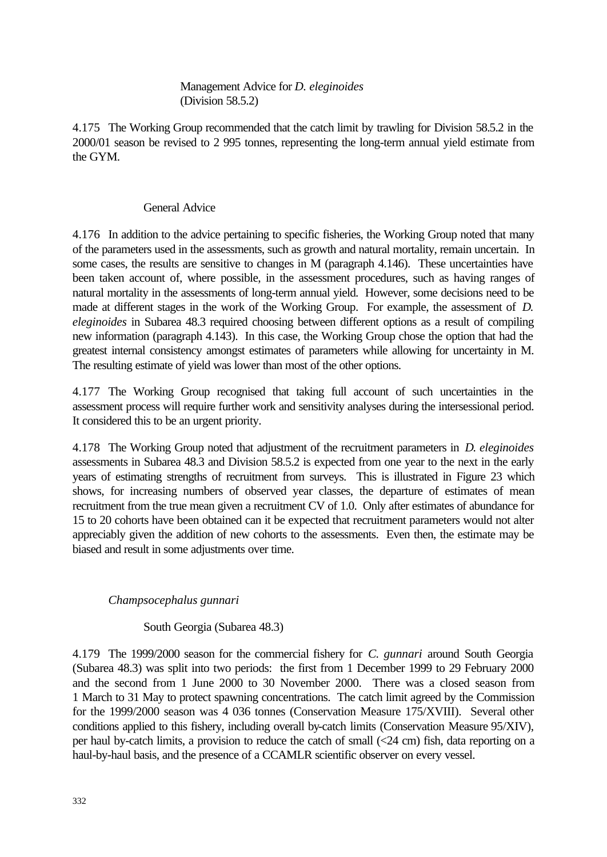Management Advice for *D. eleginoides* (Division 58.5.2)

4.175 The Working Group recommended that the catch limit by trawling for Division 58.5.2 in the 2000/01 season be revised to 2 995 tonnes, representing the long-term annual yield estimate from the GYM.

## General Advice

4.176 In addition to the advice pertaining to specific fisheries, the Working Group noted that many of the parameters used in the assessments, such as growth and natural mortality, remain uncertain. In some cases, the results are sensitive to changes in M (paragraph 4.146). These uncertainties have been taken account of, where possible, in the assessment procedures, such as having ranges of natural mortality in the assessments of long-term annual yield. However, some decisions need to be made at different stages in the work of the Working Group. For example, the assessment of *D. eleginoides* in Subarea 48.3 required choosing between different options as a result of compiling new information (paragraph 4.143). In this case, the Working Group chose the option that had the greatest internal consistency amongst estimates of parameters while allowing for uncertainty in M. The resulting estimate of yield was lower than most of the other options.

4.177 The Working Group recognised that taking full account of such uncertainties in the assessment process will require further work and sensitivity analyses during the intersessional period. It considered this to be an urgent priority.

4.178 The Working Group noted that adjustment of the recruitment parameters in *D. eleginoides* assessments in Subarea 48.3 and Division 58.5.2 is expected from one year to the next in the early years of estimating strengths of recruitment from surveys. This is illustrated in Figure 23 which shows, for increasing numbers of observed year classes, the departure of estimates of mean recruitment from the true mean given a recruitment CV of 1.0. Only after estimates of abundance for 15 to 20 cohorts have been obtained can it be expected that recruitment parameters would not alter appreciably given the addition of new cohorts to the assessments. Even then, the estimate may be biased and result in some adjustments over time.

# *Champsocephalus gunnari*

South Georgia (Subarea 48.3)

4.179 The 1999/2000 season for the commercial fishery for *C. gunnari* around South Georgia (Subarea 48.3) was split into two periods: the first from 1 December 1999 to 29 February 2000 and the second from 1 June 2000 to 30 November 2000. There was a closed season from 1 March to 31 May to protect spawning concentrations. The catch limit agreed by the Commission for the 1999/2000 season was 4 036 tonnes (Conservation Measure 175/XVIII). Several other conditions applied to this fishery, including overall by-catch limits (Conservation Measure 95/XIV), per haul by-catch limits, a provision to reduce the catch of small (<24 cm) fish, data reporting on a haul-by-haul basis, and the presence of a CCAMLR scientific observer on every vessel.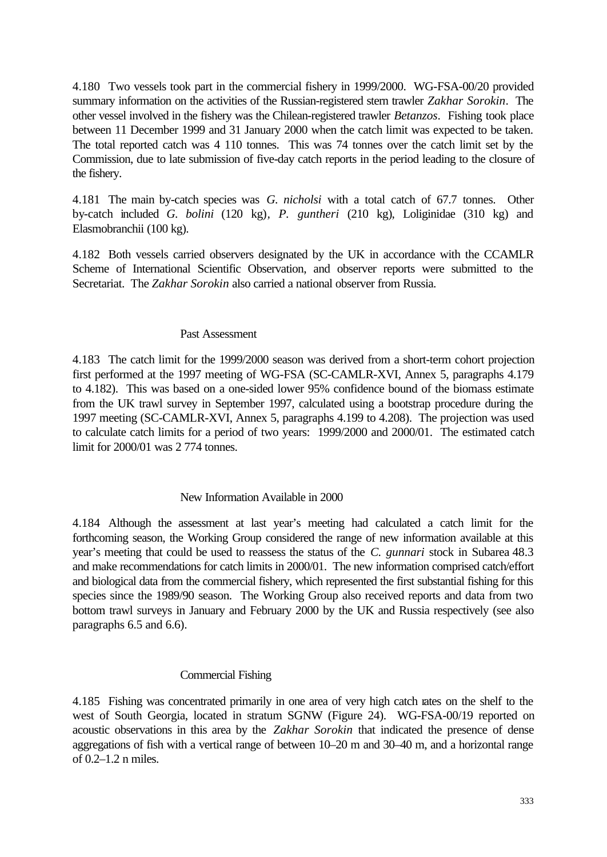4.180 Two vessels took part in the commercial fishery in 1999/2000. WG-FSA-00/20 provided summary information on the activities of the Russian-registered stern trawler *Zakhar Sorokin*. The other vessel involved in the fishery was the Chilean-registered trawler *Betanzos*. Fishing took place between 11 December 1999 and 31 January 2000 when the catch limit was expected to be taken. The total reported catch was 4 110 tonnes. This was 74 tonnes over the catch limit set by the Commission, due to late submission of five-day catch reports in the period leading to the closure of the fishery.

4.181 The main by-catch species was *G. nicholsi* with a total catch of 67.7 tonnes. Other by-catch included *G. bolini* (120 kg)*, P. guntheri* (210 kg), Loliginidae (310 kg) and Elasmobranchii (100 kg).

4.182 Both vessels carried observers designated by the UK in accordance with the CCAMLR Scheme of International Scientific Observation, and observer reports were submitted to the Secretariat. The *Zakhar Sorokin* also carried a national observer from Russia.

#### Past Assessment

4.183 The catch limit for the 1999/2000 season was derived from a short-term cohort projection first performed at the 1997 meeting of WG-FSA (SC-CAMLR-XVI, Annex 5, paragraphs 4.179 to 4.182). This was based on a one-sided lower 95% confidence bound of the biomass estimate from the UK trawl survey in September 1997, calculated using a bootstrap procedure during the 1997 meeting (SC-CAMLR-XVI, Annex 5, paragraphs 4.199 to 4.208). The projection was used to calculate catch limits for a period of two years: 1999/2000 and 2000/01. The estimated catch limit for 2000/01 was 2 774 tonnes.

#### New Information Available in 2000

4.184 Although the assessment at last year's meeting had calculated a catch limit for the forthcoming season, the Working Group considered the range of new information available at this year's meeting that could be used to reassess the status of the *C. gunnari* stock in Subarea 48.3 and make recommendations for catch limits in 2000/01. The new information comprised catch/effort and biological data from the commercial fishery, which represented the first substantial fishing for this species since the 1989/90 season. The Working Group also received reports and data from two bottom trawl surveys in January and February 2000 by the UK and Russia respectively (see also paragraphs 6.5 and 6.6).

### Commercial Fishing

4.185 Fishing was concentrated primarily in one area of very high catch rates on the shelf to the west of South Georgia, located in stratum SGNW (Figure 24). WG-FSA-00/19 reported on acoustic observations in this area by the *Zakhar Sorokin* that indicated the presence of dense aggregations of fish with a vertical range of between 10–20 m and 30–40 m, and a horizontal range of 0.2–1.2 n miles.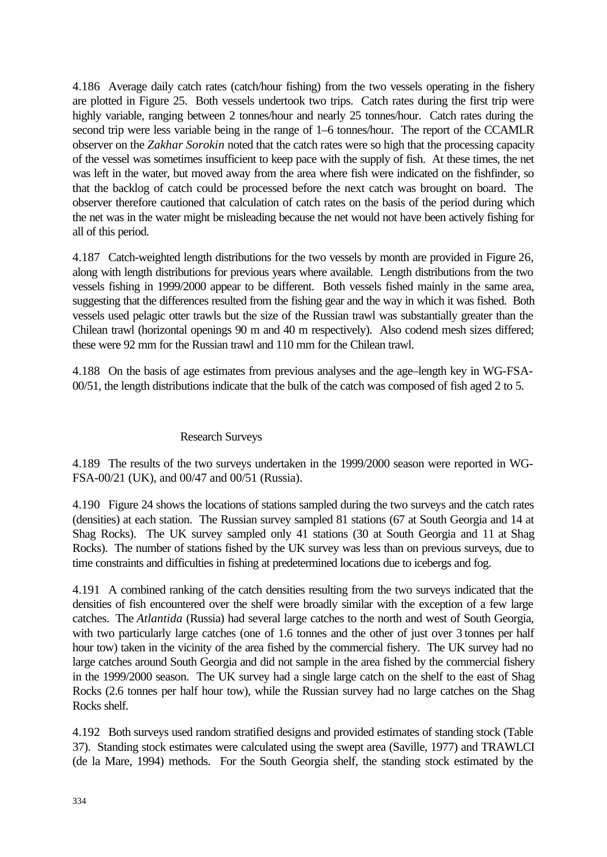4.186 Average daily catch rates (catch/hour fishing) from the two vessels operating in the fishery are plotted in Figure 25. Both vessels undertook two trips. Catch rates during the first trip were highly variable, ranging between 2 tonnes/hour and nearly 25 tonnes/hour. Catch rates during the second trip were less variable being in the range of 1–6 tonnes/hour. The report of the CCAMLR observer on the *Zakhar Sorokin* noted that the catch rates were so high that the processing capacity of the vessel was sometimes insufficient to keep pace with the supply of fish. At these times, the net was left in the water, but moved away from the area where fish were indicated on the fishfinder, so that the backlog of catch could be processed before the next catch was brought on board. The observer therefore cautioned that calculation of catch rates on the basis of the period during which the net was in the water might be misleading because the net would not have been actively fishing for all of this period.

4.187 Catch-weighted length distributions for the two vessels by month are provided in Figure 26, along with length distributions for previous years where available. Length distributions from the two vessels fishing in 1999/2000 appear to be different. Both vessels fished mainly in the same area, suggesting that the differences resulted from the fishing gear and the way in which it was fished. Both vessels used pelagic otter trawls but the size of the Russian trawl was substantially greater than the Chilean trawl (horizontal openings 90 m and 40 m respectively). Also codend mesh sizes differed; these were 92 mm for the Russian trawl and 110 mm for the Chilean trawl.

4.188 On the basis of age estimates from previous analyses and the age–length key in WG-FSA-00/51, the length distributions indicate that the bulk of the catch was composed of fish aged 2 to 5.

## Research Surveys

4.189 The results of the two surveys undertaken in the 1999/2000 season were reported in WG-FSA-00/21 (UK), and 00/47 and 00/51 (Russia).

4.190 Figure 24 shows the locations of stations sampled during the two surveys and the catch rates (densities) at each station. The Russian survey sampled 81 stations (67 at South Georgia and 14 at Shag Rocks). The UK survey sampled only 41 stations (30 at South Georgia and 11 at Shag Rocks). The number of stations fished by the UK survey was less than on previous surveys, due to time constraints and difficulties in fishing at predetermined locations due to icebergs and fog.

4.191 A combined ranking of the catch densities resulting from the two surveys indicated that the densities of fish encountered over the shelf were broadly similar with the exception of a few large catches. The *Atlantida* (Russia) had several large catches to the north and west of South Georgia, with two particularly large catches (one of 1.6 tonnes and the other of just over 3 tonnes per half hour tow) taken in the vicinity of the area fished by the commercial fishery. The UK survey had no large catches around South Georgia and did not sample in the area fished by the commercial fishery in the 1999/2000 season. The UK survey had a single large catch on the shelf to the east of Shag Rocks (2.6 tonnes per half hour tow), while the Russian survey had no large catches on the Shag Rocks shelf.

4.192 Both surveys used random stratified designs and provided estimates of standing stock (Table 37). Standing stock estimates were calculated using the swept area (Saville, 1977) and TRAWLCI (de la Mare, 1994) methods. For the South Georgia shelf, the standing stock estimated by the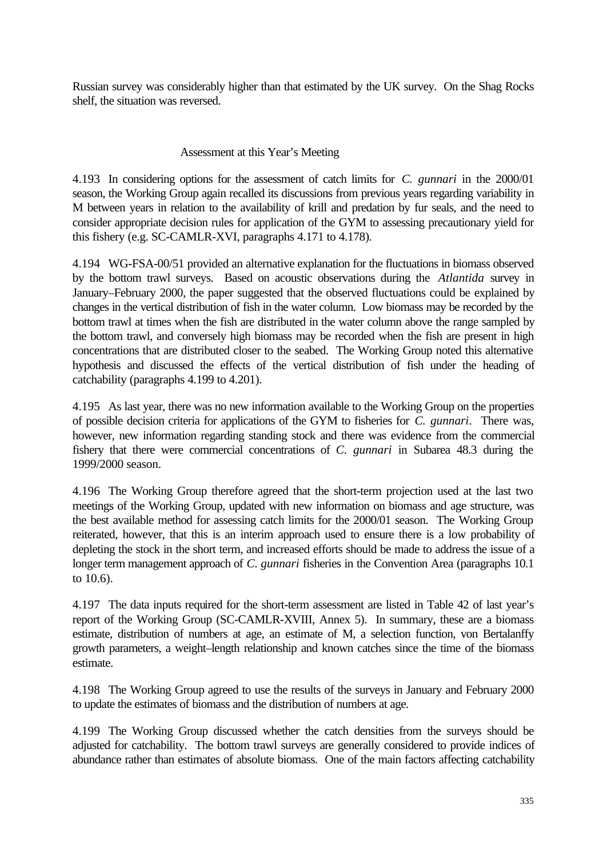Russian survey was considerably higher than that estimated by the UK survey. On the Shag Rocks shelf, the situation was reversed.

## Assessment at this Year's Meeting

4.193 In considering options for the assessment of catch limits for *C. gunnari* in the 2000/01 season, the Working Group again recalled its discussions from previous years regarding variability in M between years in relation to the availability of krill and predation by fur seals, and the need to consider appropriate decision rules for application of the GYM to assessing precautionary yield for this fishery (e.g. SC-CAMLR-XVI, paragraphs 4.171 to 4.178).

4.194 WG-FSA-00/51 provided an alternative explanation for the fluctuations in biomass observed by the bottom trawl surveys. Based on acoustic observations during the *Atlantida* survey in January–February 2000, the paper suggested that the observed fluctuations could be explained by changes in the vertical distribution of fish in the water column. Low biomass may be recorded by the bottom trawl at times when the fish are distributed in the water column above the range sampled by the bottom trawl, and conversely high biomass may be recorded when the fish are present in high concentrations that are distributed closer to the seabed. The Working Group noted this alternative hypothesis and discussed the effects of the vertical distribution of fish under the heading of catchability (paragraphs 4.199 to 4.201).

4.195 As last year, there was no new information available to the Working Group on the properties of possible decision criteria for applications of the GYM to fisheries for *C. gunnari*. There was, however, new information regarding standing stock and there was evidence from the commercial fishery that there were commercial concentrations of *C. gunnari* in Subarea 48.3 during the 1999/2000 season.

4.196 The Working Group therefore agreed that the short-term projection used at the last two meetings of the Working Group, updated with new information on biomass and age structure, was the best available method for assessing catch limits for the 2000/01 season. The Working Group reiterated, however, that this is an interim approach used to ensure there is a low probability of depleting the stock in the short term, and increased efforts should be made to address the issue of a longer term management approach of *C. gunnari* fisheries in the Convention Area (paragraphs 10.1 to 10.6).

4.197 The data inputs required for the short-term assessment are listed in Table 42 of last year's report of the Working Group (SC-CAMLR-XVIII, Annex 5). In summary, these are a biomass estimate, distribution of numbers at age, an estimate of M, a selection function, von Bertalanffy growth parameters, a weight–length relationship and known catches since the time of the biomass estimate.

4.198 The Working Group agreed to use the results of the surveys in January and February 2000 to update the estimates of biomass and the distribution of numbers at age.

4.199 The Working Group discussed whether the catch densities from the surveys should be adjusted for catchability. The bottom trawl surveys are generally considered to provide indices of abundance rather than estimates of absolute biomass. One of the main factors affecting catchability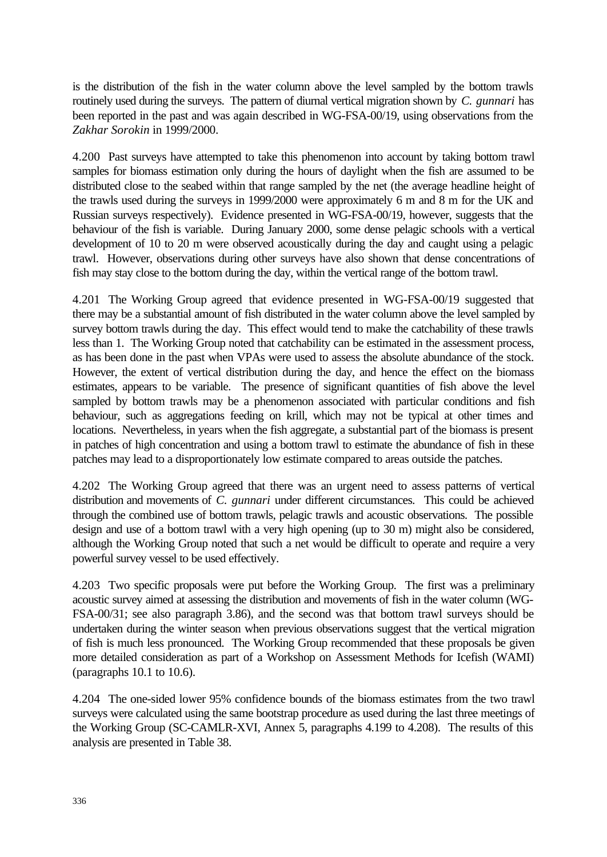is the distribution of the fish in the water column above the level sampled by the bottom trawls routinely used during the surveys. The pattern of diurnal vertical migration shown by *C. gunnari* has been reported in the past and was again described in WG-FSA-00/19, using observations from the *Zakhar Sorokin* in 1999/2000.

4.200 Past surveys have attempted to take this phenomenon into account by taking bottom trawl samples for biomass estimation only during the hours of daylight when the fish are assumed to be distributed close to the seabed within that range sampled by the net (the average headline height of the trawls used during the surveys in 1999/2000 were approximately 6 m and 8 m for the UK and Russian surveys respectively). Evidence presented in WG-FSA-00/19, however, suggests that the behaviour of the fish is variable. During January 2000, some dense pelagic schools with a vertical development of 10 to 20 m were observed acoustically during the day and caught using a pelagic trawl. However, observations during other surveys have also shown that dense concentrations of fish may stay close to the bottom during the day, within the vertical range of the bottom trawl.

4.201 The Working Group agreed that evidence presented in WG-FSA-00/19 suggested that there may be a substantial amount of fish distributed in the water column above the level sampled by survey bottom trawls during the day. This effect would tend to make the catchability of these trawls less than 1. The Working Group noted that catchability can be estimated in the assessment process, as has been done in the past when VPAs were used to assess the absolute abundance of the stock. However, the extent of vertical distribution during the day, and hence the effect on the biomass estimates, appears to be variable. The presence of significant quantities of fish above the level sampled by bottom trawls may be a phenomenon associated with particular conditions and fish behaviour, such as aggregations feeding on krill, which may not be typical at other times and locations. Nevertheless, in years when the fish aggregate, a substantial part of the biomass is present in patches of high concentration and using a bottom trawl to estimate the abundance of fish in these patches may lead to a disproportionately low estimate compared to areas outside the patches.

4.202 The Working Group agreed that there was an urgent need to assess patterns of vertical distribution and movements of *C. gunnari* under different circumstances. This could be achieved through the combined use of bottom trawls, pelagic trawls and acoustic observations. The possible design and use of a bottom trawl with a very high opening (up to 30 m) might also be considered, although the Working Group noted that such a net would be difficult to operate and require a very powerful survey vessel to be used effectively.

4.203 Two specific proposals were put before the Working Group. The first was a preliminary acoustic survey aimed at assessing the distribution and movements of fish in the water column (WG-FSA-00/31; see also paragraph 3.86), and the second was that bottom trawl surveys should be undertaken during the winter season when previous observations suggest that the vertical migration of fish is much less pronounced. The Working Group recommended that these proposals be given more detailed consideration as part of a Workshop on Assessment Methods for Icefish (WAMI) (paragraphs 10.1 to 10.6).

4.204 The one-sided lower 95% confidence bounds of the biomass estimates from the two trawl surveys were calculated using the same bootstrap procedure as used during the last three meetings of the Working Group (SC-CAMLR-XVI, Annex 5, paragraphs 4.199 to 4.208). The results of this analysis are presented in Table 38.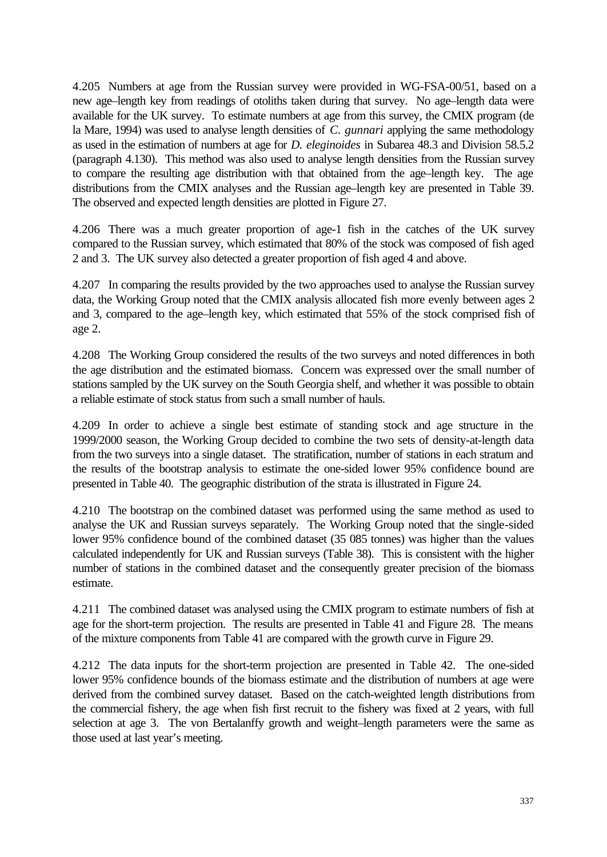4.205 Numbers at age from the Russian survey were provided in WG-FSA-00/51, based on a new age–length key from readings of otoliths taken during that survey. No age–length data were available for the UK survey. To estimate numbers at age from this survey, the CMIX program (de la Mare, 1994) was used to analyse length densities of *C. gunnari* applying the same methodology as used in the estimation of numbers at age for *D. eleginoides* in Subarea 48.3 and Division 58.5.2 (paragraph 4.130). This method was also used to analyse length densities from the Russian survey to compare the resulting age distribution with that obtained from the age–length key. The age distributions from the CMIX analyses and the Russian age–length key are presented in Table 39. The observed and expected length densities are plotted in Figure 27.

4.206 There was a much greater proportion of age-1 fish in the catches of the UK survey compared to the Russian survey, which estimated that 80% of the stock was composed of fish aged 2 and 3. The UK survey also detected a greater proportion of fish aged 4 and above.

4.207 In comparing the results provided by the two approaches used to analyse the Russian survey data, the Working Group noted that the CMIX analysis allocated fish more evenly between ages 2 and 3, compared to the age–length key, which estimated that 55% of the stock comprised fish of age 2.

4.208 The Working Group considered the results of the two surveys and noted differences in both the age distribution and the estimated biomass. Concern was expressed over the small number of stations sampled by the UK survey on the South Georgia shelf, and whether it was possible to obtain a reliable estimate of stock status from such a small number of hauls.

4.209 In order to achieve a single best estimate of standing stock and age structure in the 1999/2000 season, the Working Group decided to combine the two sets of density-at-length data from the two surveys into a single dataset. The stratification, number of stations in each stratum and the results of the bootstrap analysis to estimate the one-sided lower 95% confidence bound are presented in Table 40. The geographic distribution of the strata is illustrated in Figure 24.

4.210 The bootstrap on the combined dataset was performed using the same method as used to analyse the UK and Russian surveys separately. The Working Group noted that the single-sided lower 95% confidence bound of the combined dataset (35 085 tonnes) was higher than the values calculated independently for UK and Russian surveys (Table 38). This is consistent with the higher number of stations in the combined dataset and the consequently greater precision of the biomass estimate.

4.211 The combined dataset was analysed using the CMIX program to estimate numbers of fish at age for the short-term projection. The results are presented in Table 41 and Figure 28. The means of the mixture components from Table 41 are compared with the growth curve in Figure 29.

4.212 The data inputs for the short-term projection are presented in Table 42. The one-sided lower 95% confidence bounds of the biomass estimate and the distribution of numbers at age were derived from the combined survey dataset. Based on the catch-weighted length distributions from the commercial fishery, the age when fish first recruit to the fishery was fixed at 2 years, with full selection at age 3. The von Bertalanffy growth and weight–length parameters were the same as those used at last year's meeting.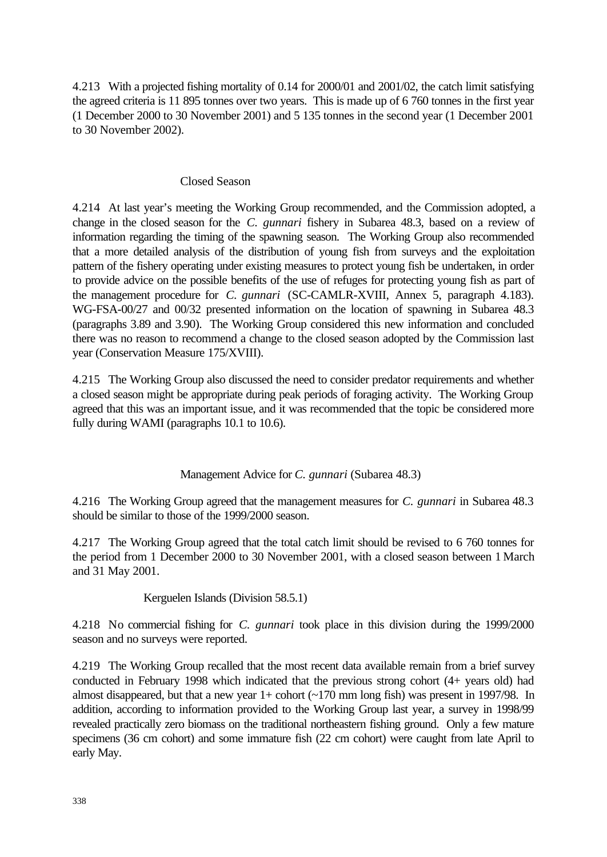4.213 With a projected fishing mortality of 0.14 for 2000/01 and 2001/02, the catch limit satisfying the agreed criteria is 11 895 tonnes over two years. This is made up of 6 760 tonnes in the first year (1 December 2000 to 30 November 2001) and 5 135 tonnes in the second year (1 December 2001 to 30 November 2002).

### Closed Season

4.214 At last year's meeting the Working Group recommended, and the Commission adopted, a change in the closed season for the *C. gunnari* fishery in Subarea 48.3, based on a review of information regarding the timing of the spawning season. The Working Group also recommended that a more detailed analysis of the distribution of young fish from surveys and the exploitation pattern of the fishery operating under existing measures to protect young fish be undertaken, in order to provide advice on the possible benefits of the use of refuges for protecting young fish as part of the management procedure for *C. gunnari* (SC-CAMLR-XVIII, Annex 5, paragraph 4.183). WG-FSA-00/27 and 00/32 presented information on the location of spawning in Subarea 48.3 (paragraphs 3.89 and 3.90). The Working Group considered this new information and concluded there was no reason to recommend a change to the closed season adopted by the Commission last year (Conservation Measure 175/XVIII).

4.215 The Working Group also discussed the need to consider predator requirements and whether a closed season might be appropriate during peak periods of foraging activity. The Working Group agreed that this was an important issue, and it was recommended that the topic be considered more fully during WAMI (paragraphs 10.1 to 10.6).

## Management Advice for *C. gunnari* (Subarea 48.3)

4.216 The Working Group agreed that the management measures for *C. gunnari* in Subarea 48.3 should be similar to those of the 1999/2000 season.

4.217 The Working Group agreed that the total catch limit should be revised to 6 760 tonnes for the period from 1 December 2000 to 30 November 2001, with a closed season between 1 March and 31 May 2001.

Kerguelen Islands (Division 58.5.1)

4.218 No commercial fishing for *C. gunnari* took place in this division during the 1999/2000 season and no surveys were reported.

4.219 The Working Group recalled that the most recent data available remain from a brief survey conducted in February 1998 which indicated that the previous strong cohort (4+ years old) had almost disappeared, but that a new year  $1+$  cohort ( $\sim$ 170 mm long fish) was present in 1997/98. In addition, according to information provided to the Working Group last year, a survey in 1998/99 revealed practically zero biomass on the traditional northeastern fishing ground. Only a few mature specimens (36 cm cohort) and some immature fish (22 cm cohort) were caught from late April to early May.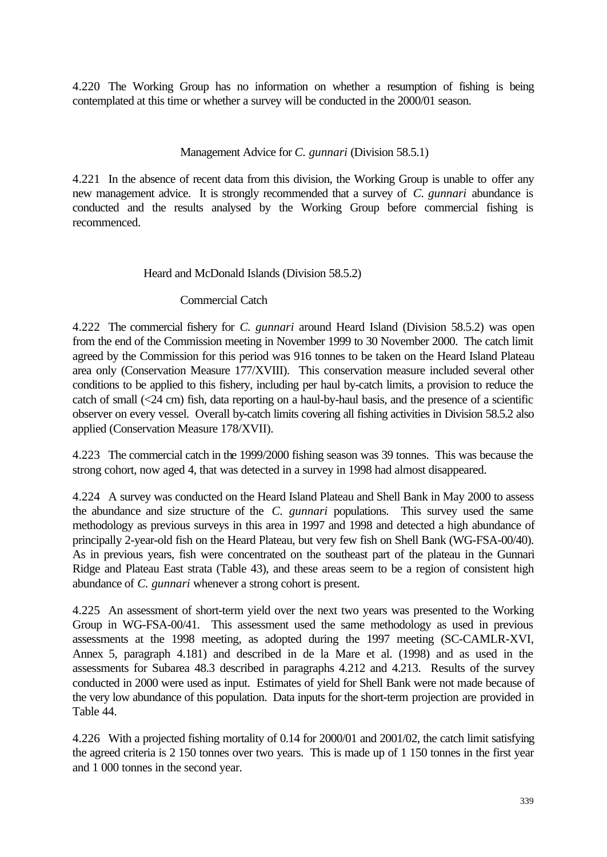4.220 The Working Group has no information on whether a resumption of fishing is being contemplated at this time or whether a survey will be conducted in the 2000/01 season.

## Management Advice for *C. gunnari* (Division 58.5.1)

4.221 In the absence of recent data from this division, the Working Group is unable to offer any new management advice. It is strongly recommended that a survey of *C. gunnari* abundance is conducted and the results analysed by the Working Group before commercial fishing is recommenced.

## Heard and McDonald Islands (Division 58.5.2)

## Commercial Catch

4.222 The commercial fishery for *C. gunnari* around Heard Island (Division 58.5.2) was open from the end of the Commission meeting in November 1999 to 30 November 2000. The catch limit agreed by the Commission for this period was 916 tonnes to be taken on the Heard Island Plateau area only (Conservation Measure 177/XVIII). This conservation measure included several other conditions to be applied to this fishery, including per haul by-catch limits, a provision to reduce the catch of small (<24 cm) fish, data reporting on a haul-by-haul basis, and the presence of a scientific observer on every vessel. Overall by-catch limits covering all fishing activities in Division 58.5.2 also applied (Conservation Measure 178/XVII).

4.223 The commercial catch in the 1999/2000 fishing season was 39 tonnes. This was because the strong cohort, now aged 4, that was detected in a survey in 1998 had almost disappeared.

4.224 A survey was conducted on the Heard Island Plateau and Shell Bank in May 2000 to assess the abundance and size structure of the *C. gunnari* populations. This survey used the same methodology as previous surveys in this area in 1997 and 1998 and detected a high abundance of principally 2-year-old fish on the Heard Plateau, but very few fish on Shell Bank (WG-FSA-00/40). As in previous years, fish were concentrated on the southeast part of the plateau in the Gunnari Ridge and Plateau East strata (Table 43), and these areas seem to be a region of consistent high abundance of *C. gunnari* whenever a strong cohort is present.

4.225 An assessment of short-term yield over the next two years was presented to the Working Group in WG-FSA-00/41. This assessment used the same methodology as used in previous assessments at the 1998 meeting, as adopted during the 1997 meeting (SC-CAMLR-XVI, Annex 5, paragraph 4.181) and described in de la Mare et al. (1998) and as used in the assessments for Subarea 48.3 described in paragraphs 4.212 and 4.213. Results of the survey conducted in 2000 were used as input. Estimates of yield for Shell Bank were not made because of the very low abundance of this population. Data inputs for the short-term projection are provided in Table 44.

4.226 With a projected fishing mortality of 0.14 for 2000/01 and 2001/02, the catch limit satisfying the agreed criteria is 2 150 tonnes over two years. This is made up of 1 150 tonnes in the first year and 1 000 tonnes in the second year.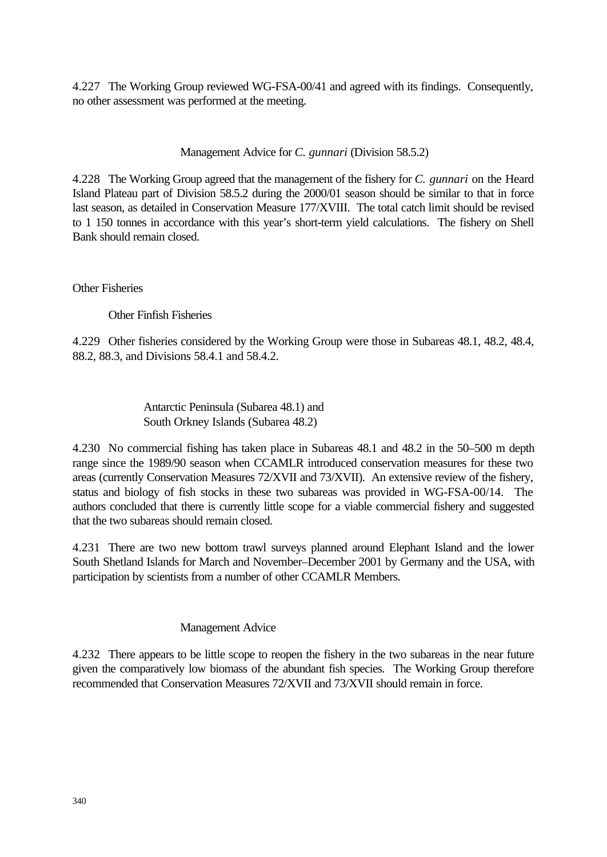4.227 The Working Group reviewed WG-FSA-00/41 and agreed with its findings. Consequently, no other assessment was performed at the meeting.

Management Advice for *C. gunnari* (Division 58.5.2)

4.228 The Working Group agreed that the management of the fishery for *C. gunnari* on the Heard Island Plateau part of Division 58.5.2 during the 2000/01 season should be similar to that in force last season, as detailed in Conservation Measure 177/XVIII. The total catch limit should be revised to 1 150 tonnes in accordance with this year's short-term yield calculations. The fishery on Shell Bank should remain closed.

Other Fisheries

Other Finfish Fisheries

4.229 Other fisheries considered by the Working Group were those in Subareas 48.1, 48.2, 48.4, 88.2, 88.3, and Divisions 58.4.1 and 58.4.2.

> Antarctic Peninsula (Subarea 48.1) and South Orkney Islands (Subarea 48.2)

4.230 No commercial fishing has taken place in Subareas 48.1 and 48.2 in the 50–500 m depth range since the 1989/90 season when CCAMLR introduced conservation measures for these two areas (currently Conservation Measures 72/XVII and 73/XVII). An extensive review of the fishery, status and biology of fish stocks in these two subareas was provided in WG-FSA-00/14. The authors concluded that there is currently little scope for a viable commercial fishery and suggested that the two subareas should remain closed.

4.231 There are two new bottom trawl surveys planned around Elephant Island and the lower South Shetland Islands for March and November–December 2001 by Germany and the USA, with participation by scientists from a number of other CCAMLR Members.

Management Advice

4.232 There appears to be little scope to reopen the fishery in the two subareas in the near future given the comparatively low biomass of the abundant fish species. The Working Group therefore recommended that Conservation Measures 72/XVII and 73/XVII should remain in force.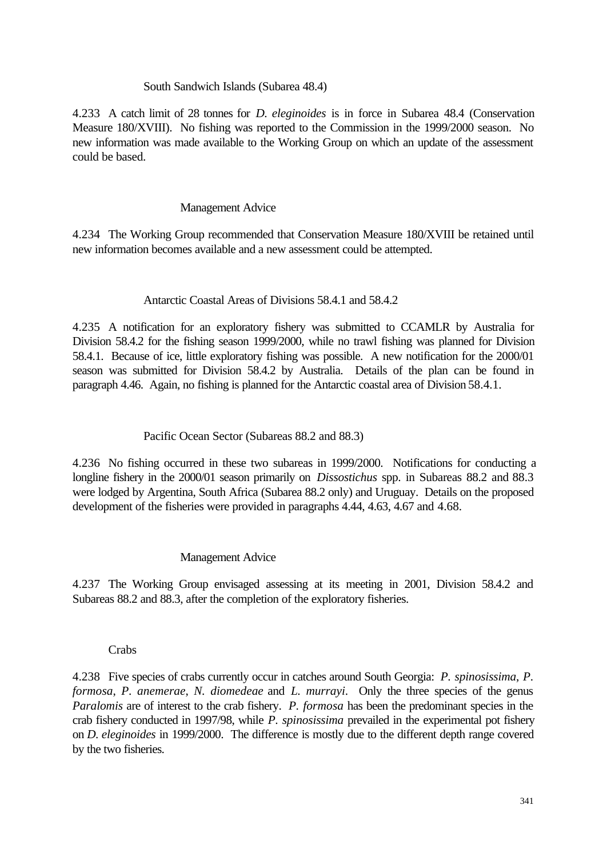### South Sandwich Islands (Subarea 48.4)

4.233 A catch limit of 28 tonnes for *D. eleginoides* is in force in Subarea 48.4 (Conservation Measure 180/XVIII). No fishing was reported to the Commission in the 1999/2000 season. No new information was made available to the Working Group on which an update of the assessment could be based.

### Management Advice

4.234 The Working Group recommended that Conservation Measure 180/XVIII be retained until new information becomes available and a new assessment could be attempted.

## Antarctic Coastal Areas of Divisions 58.4.1 and 58.4.2

4.235 A notification for an exploratory fishery was submitted to CCAMLR by Australia for Division 58.4.2 for the fishing season 1999/2000, while no trawl fishing was planned for Division 58.4.1. Because of ice, little exploratory fishing was possible. A new notification for the 2000/01 season was submitted for Division 58.4.2 by Australia. Details of the plan can be found in paragraph 4.46. Again, no fishing is planned for the Antarctic coastal area of Division 58.4.1.

## Pacific Ocean Sector (Subareas 88.2 and 88.3)

4.236 No fishing occurred in these two subareas in 1999/2000. Notifications for conducting a longline fishery in the 2000/01 season primarily on *Dissostichus* spp. in Subareas 88.2 and 88.3 were lodged by Argentina, South Africa (Subarea 88.2 only) and Uruguay. Details on the proposed development of the fisheries were provided in paragraphs 4.44, 4.63, 4.67 and 4.68.

#### Management Advice

4.237 The Working Group envisaged assessing at its meeting in 2001, Division 58.4.2 and Subareas 88.2 and 88.3, after the completion of the exploratory fisheries.

#### Crabs

4.238 Five species of crabs currently occur in catches around South Georgia: *P. spinosissima*, *P. formosa*, *P. anemerae*, *N. diomedeae* and *L. murrayi*. Only the three species of the genus *Paralomis* are of interest to the crab fishery. *P. formosa* has been the predominant species in the crab fishery conducted in 1997/98, while *P. spinosissima* prevailed in the experimental pot fishery on *D. eleginoides* in 1999/2000. The difference is mostly due to the different depth range covered by the two fisheries.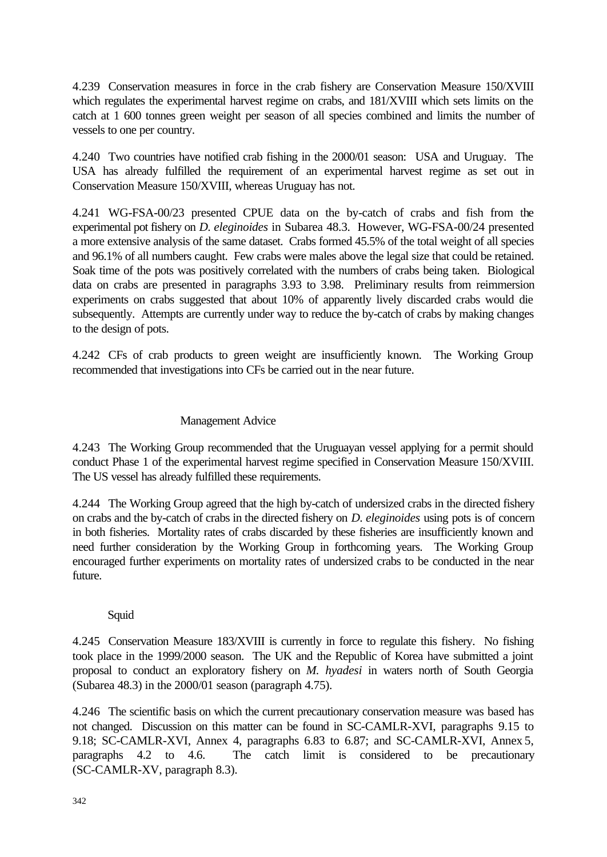4.239 Conservation measures in force in the crab fishery are Conservation Measure 150/XVIII which regulates the experimental harvest regime on crabs, and 181/XVIII which sets limits on the catch at 1 600 tonnes green weight per season of all species combined and limits the number of vessels to one per country.

4.240 Two countries have notified crab fishing in the 2000/01 season: USA and Uruguay. The USA has already fulfilled the requirement of an experimental harvest regime as set out in Conservation Measure 150/XVIII, whereas Uruguay has not.

4.241 WG-FSA-00/23 presented CPUE data on the by-catch of crabs and fish from the experimental pot fishery on *D. eleginoides* in Subarea 48.3. However, WG-FSA-00/24 presented a more extensive analysis of the same dataset. Crabs formed 45.5% of the total weight of all species and 96.1% of all numbers caught. Few crabs were males above the legal size that could be retained. Soak time of the pots was positively correlated with the numbers of crabs being taken. Biological data on crabs are presented in paragraphs 3.93 to 3.98. Preliminary results from reimmersion experiments on crabs suggested that about 10% of apparently lively discarded crabs would die subsequently. Attempts are currently under way to reduce the by-catch of crabs by making changes to the design of pots.

4.242 CFs of crab products to green weight are insufficiently known. The Working Group recommended that investigations into CFs be carried out in the near future.

## Management Advice

4.243 The Working Group recommended that the Uruguayan vessel applying for a permit should conduct Phase 1 of the experimental harvest regime specified in Conservation Measure 150/XVIII. The US vessel has already fulfilled these requirements.

4.244 The Working Group agreed that the high by-catch of undersized crabs in the directed fishery on crabs and the by-catch of crabs in the directed fishery on *D. eleginoides* using pots is of concern in both fisheries. Mortality rates of crabs discarded by these fisheries are insufficiently known and need further consideration by the Working Group in forthcoming years. The Working Group encouraged further experiments on mortality rates of undersized crabs to be conducted in the near future.

## Squid

4.245 Conservation Measure 183/XVIII is currently in force to regulate this fishery. No fishing took place in the 1999/2000 season. The UK and the Republic of Korea have submitted a joint proposal to conduct an exploratory fishery on *M. hyadesi* in waters north of South Georgia (Subarea 48.3) in the 2000/01 season (paragraph 4.75).

4.246 The scientific basis on which the current precautionary conservation measure was based has not changed. Discussion on this matter can be found in SC-CAMLR-XVI, paragraphs 9.15 to 9.18; SC-CAMLR-XVI, Annex 4, paragraphs 6.83 to 6.87; and SC-CAMLR-XVI, Annex 5, paragraphs 4.2 to 4.6. The catch limit is considered to be precautionary (SC-CAMLR-XV, paragraph 8.3).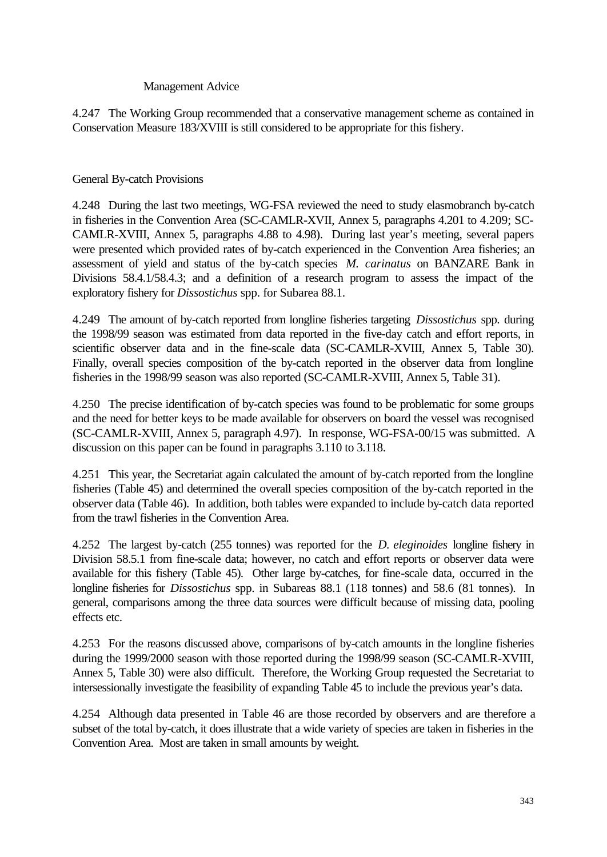## Management Advice

4.247 The Working Group recommended that a conservative management scheme as contained in Conservation Measure 183/XVIII is still considered to be appropriate for this fishery.

## General By-catch Provisions

4.248 During the last two meetings, WG-FSA reviewed the need to study elasmobranch by-catch in fisheries in the Convention Area (SC-CAMLR-XVII, Annex 5, paragraphs 4.201 to 4.209; SC-CAMLR-XVIII, Annex 5, paragraphs 4.88 to 4.98). During last year's meeting, several papers were presented which provided rates of by-catch experienced in the Convention Area fisheries; an assessment of yield and status of the by-catch species *M. carinatus* on BANZARE Bank in Divisions 58.4.1/58.4.3; and a definition of a research program to assess the impact of the exploratory fishery for *Dissostichus* spp. for Subarea 88.1.

4.249 The amount of by-catch reported from longline fisheries targeting *Dissostichus* spp. during the 1998/99 season was estimated from data reported in the five-day catch and effort reports, in scientific observer data and in the fine-scale data (SC-CAMLR-XVIII, Annex 5, Table 30). Finally, overall species composition of the by-catch reported in the observer data from longline fisheries in the 1998/99 season was also reported (SC-CAMLR-XVIII, Annex 5, Table 31).

4.250 The precise identification of by-catch species was found to be problematic for some groups and the need for better keys to be made available for observers on board the vessel was recognised (SC-CAMLR-XVIII, Annex 5, paragraph 4.97). In response, WG-FSA-00/15 was submitted. A discussion on this paper can be found in paragraphs 3.110 to 3.118.

4.251 This year, the Secretariat again calculated the amount of by-catch reported from the longline fisheries (Table 45) and determined the overall species composition of the by-catch reported in the observer data (Table 46). In addition, both tables were expanded to include by-catch data reported from the trawl fisheries in the Convention Area.

4.252 The largest by-catch (255 tonnes) was reported for the *D. eleginoides* longline fishery in Division 58.5.1 from fine-scale data; however, no catch and effort reports or observer data were available for this fishery (Table 45). Other large by-catches, for fine-scale data, occurred in the longline fisheries for *Dissostichus* spp. in Subareas 88.1 (118 tonnes) and 58.6 (81 tonnes). In general, comparisons among the three data sources were difficult because of missing data, pooling effects etc.

4.253 For the reasons discussed above, comparisons of by-catch amounts in the longline fisheries during the 1999/2000 season with those reported during the 1998/99 season (SC-CAMLR-XVIII, Annex 5, Table 30) were also difficult. Therefore, the Working Group requested the Secretariat to intersessionally investigate the feasibility of expanding Table 45 to include the previous year's data.

4.254 Although data presented in Table 46 are those recorded by observers and are therefore a subset of the total by-catch, it does illustrate that a wide variety of species are taken in fisheries in the Convention Area. Most are taken in small amounts by weight.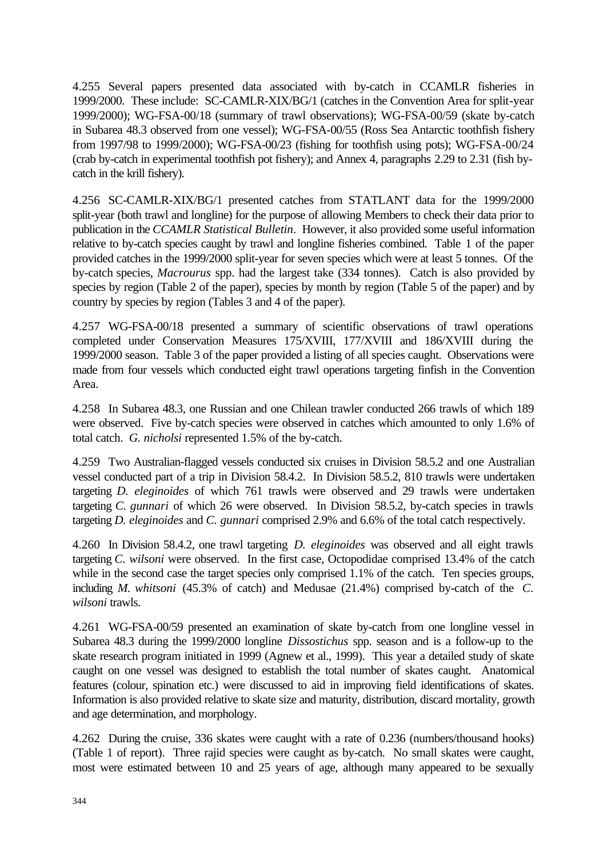4.255 Several papers presented data associated with by-catch in CCAMLR fisheries in 1999/2000. These include: SC-CAMLR-XIX/BG/1 (catches in the Convention Area for split-year 1999/2000); WG-FSA-00/18 (summary of trawl observations); WG-FSA-00/59 (skate by-catch in Subarea 48.3 observed from one vessel); WG-FSA-00/55 (Ross Sea Antarctic toothfish fishery from 1997/98 to 1999/2000); WG-FSA-00/23 (fishing for toothfish using pots); WG-FSA-00/24 (crab by-catch in experimental toothfish pot fishery); and Annex 4, paragraphs 2.29 to 2.31 (fish bycatch in the krill fishery).

4.256 SC-CAMLR-XIX/BG/1 presented catches from STATLANT data for the 1999/2000 split-year (both trawl and longline) for the purpose of allowing Members to check their data prior to publication in the *CCAMLR Statistical Bulletin*. However, it also provided some useful information relative to by-catch species caught by trawl and longline fisheries combined. Table 1 of the paper provided catches in the 1999/2000 split-year for seven species which were at least 5 tonnes. Of the by-catch species, *Macrourus* spp. had the largest take (334 tonnes). Catch is also provided by species by region (Table 2 of the paper), species by month by region (Table 5 of the paper) and by country by species by region (Tables 3 and 4 of the paper).

4.257 WG-FSA-00/18 presented a summary of scientific observations of trawl operations completed under Conservation Measures 175/XVIII, 177/XVIII and 186/XVIII during the 1999/2000 season. Table 3 of the paper provided a listing of all species caught. Observations were made from four vessels which conducted eight trawl operations targeting finfish in the Convention Area.

4.258 In Subarea 48.3, one Russian and one Chilean trawler conducted 266 trawls of which 189 were observed. Five by-catch species were observed in catches which amounted to only 1.6% of total catch. *G. nicholsi* represented 1.5% of the by-catch.

4.259 Two Australian-flagged vessels conducted six cruises in Division 58.5.2 and one Australian vessel conducted part of a trip in Division 58.4.2. In Division 58.5.2, 810 trawls were undertaken targeting *D. eleginoides* of which 761 trawls were observed and 29 trawls were undertaken targeting *C. gunnari* of which 26 were observed. In Division 58.5.2, by-catch species in trawls targeting *D. eleginoides* and *C. gunnari* comprised 2.9% and 6.6% of the total catch respectively.

4.260 In Division 58.4.2, one trawl targeting *D. eleginoides* was observed and all eight trawls targeting *C. wilsoni* were observed. In the first case, Octopodidae comprised 13.4% of the catch while in the second case the target species only comprised 1.1% of the catch. Ten species groups, including *M. whitsoni* (45.3% of catch) and Medusae (21.4%) comprised by-catch of the *C. wilsoni* trawls.

4.261 WG-FSA-00/59 presented an examination of skate by-catch from one longline vessel in Subarea 48.3 during the 1999/2000 longline *Dissostichus* spp. season and is a follow-up to the skate research program initiated in 1999 (Agnew et al., 1999). This year a detailed study of skate caught on one vessel was designed to establish the total number of skates caught. Anatomical features (colour, spination etc.) were discussed to aid in improving field identifications of skates. Information is also provided relative to skate size and maturity, distribution, discard mortality, growth and age determination, and morphology.

4.262 During the cruise, 336 skates were caught with a rate of 0.236 (numbers/thousand hooks) (Table 1 of report). Three rajid species were caught as by-catch. No small skates were caught, most were estimated between 10 and 25 years of age, although many appeared to be sexually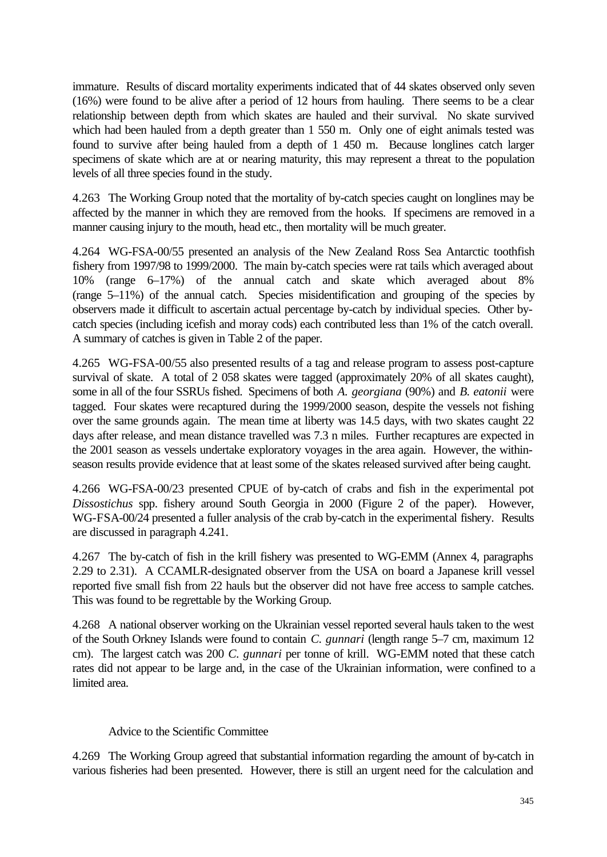immature. Results of discard mortality experiments indicated that of 44 skates observed only seven (16%) were found to be alive after a period of 12 hours from hauling. There seems to be a clear relationship between depth from which skates are hauled and their survival. No skate survived which had been hauled from a depth greater than 1 550 m. Only one of eight animals tested was found to survive after being hauled from a depth of 1 450 m. Because longlines catch larger specimens of skate which are at or nearing maturity, this may represent a threat to the population levels of all three species found in the study.

4.263 The Working Group noted that the mortality of by-catch species caught on longlines may be affected by the manner in which they are removed from the hooks. If specimens are removed in a manner causing injury to the mouth, head etc., then mortality will be much greater.

4.264 WG-FSA-00/55 presented an analysis of the New Zealand Ross Sea Antarctic toothfish fishery from 1997/98 to 1999/2000. The main by-catch species were rat tails which averaged about 10% (range 6–17%) of the annual catch and skate which averaged about 8% (range 5–11%) of the annual catch. Species misidentification and grouping of the species by observers made it difficult to ascertain actual percentage by-catch by individual species. Other bycatch species (including icefish and moray cods) each contributed less than 1% of the catch overall. A summary of catches is given in Table 2 of the paper.

4.265 WG-FSA-00/55 also presented results of a tag and release program to assess post-capture survival of skate. A total of 2 058 skates were tagged (approximately 20% of all skates caught), some in all of the four SSRUs fished. Specimens of both *A. georgiana* (90%) and *B. eatonii* were tagged. Four skates were recaptured during the 1999/2000 season, despite the vessels not fishing over the same grounds again. The mean time at liberty was 14.5 days, with two skates caught 22 days after release, and mean distance travelled was 7.3 n miles. Further recaptures are expected in the 2001 season as vessels undertake exploratory voyages in the area again. However, the withinseason results provide evidence that at least some of the skates released survived after being caught.

4.266 WG-FSA-00/23 presented CPUE of by-catch of crabs and fish in the experimental pot *Dissostichus* spp. fishery around South Georgia in 2000 (Figure 2 of the paper). However, WG-FSA-00/24 presented a fuller analysis of the crab by-catch in the experimental fishery. Results are discussed in paragraph 4.241.

4.267 The by-catch of fish in the krill fishery was presented to WG-EMM (Annex 4, paragraphs 2.29 to 2.31). A CCAMLR-designated observer from the USA on board a Japanese krill vessel reported five small fish from 22 hauls but the observer did not have free access to sample catches. This was found to be regrettable by the Working Group.

4.268 A national observer working on the Ukrainian vessel reported several hauls taken to the west of the South Orkney Islands were found to contain *C. gunnari* (length range 5–7 cm, maximum 12 cm). The largest catch was 200 *C. gunnari* per tonne of krill. WG-EMM noted that these catch rates did not appear to be large and, in the case of the Ukrainian information, were confined to a limited area.

## Advice to the Scientific Committee

4.269 The Working Group agreed that substantial information regarding the amount of by-catch in various fisheries had been presented. However, there is still an urgent need for the calculation and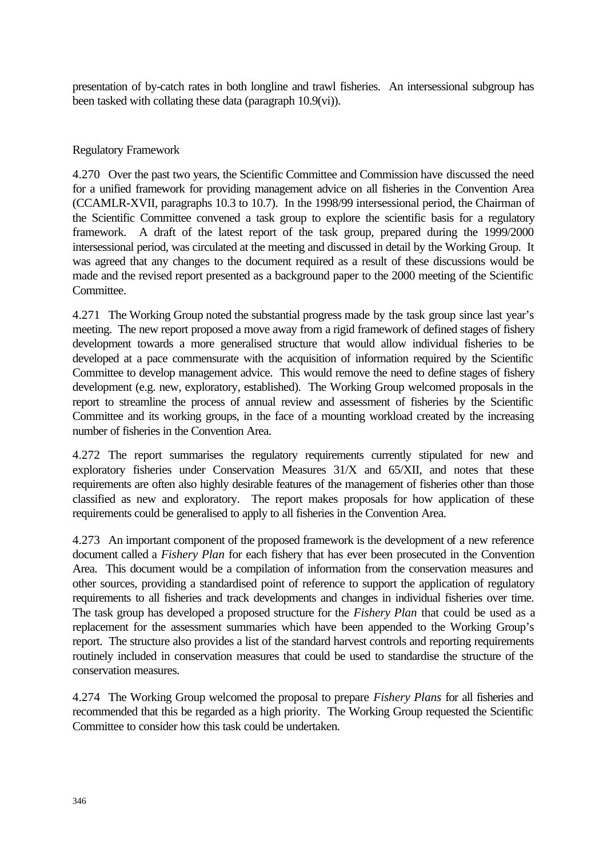presentation of by-catch rates in both longline and trawl fisheries. An intersessional subgroup has been tasked with collating these data (paragraph 10.9(vi)).

## Regulatory Framework

4.270 Over the past two years, the Scientific Committee and Commission have discussed the need for a unified framework for providing management advice on all fisheries in the Convention Area (CCAMLR-XVII, paragraphs 10.3 to 10.7). In the 1998/99 intersessional period, the Chairman of the Scientific Committee convened a task group to explore the scientific basis for a regulatory framework. A draft of the latest report of the task group, prepared during the 1999/2000 intersessional period, was circulated at the meeting and discussed in detail by the Working Group. It was agreed that any changes to the document required as a result of these discussions would be made and the revised report presented as a background paper to the 2000 meeting of the Scientific Committee.

4.271 The Working Group noted the substantial progress made by the task group since last year's meeting. The new report proposed a move away from a rigid framework of defined stages of fishery development towards a more generalised structure that would allow individual fisheries to be developed at a pace commensurate with the acquisition of information required by the Scientific Committee to develop management advice. This would remove the need to define stages of fishery development (e.g. new, exploratory, established). The Working Group welcomed proposals in the report to streamline the process of annual review and assessment of fisheries by the Scientific Committee and its working groups, in the face of a mounting workload created by the increasing number of fisheries in the Convention Area.

4.272 The report summarises the regulatory requirements currently stipulated for new and exploratory fisheries under Conservation Measures 31/X and 65/XII, and notes that these requirements are often also highly desirable features of the management of fisheries other than those classified as new and exploratory. The report makes proposals for how application of these requirements could be generalised to apply to all fisheries in the Convention Area.

4.273 An important component of the proposed framework is the development of a new reference document called a *Fishery Plan* for each fishery that has ever been prosecuted in the Convention Area. This document would be a compilation of information from the conservation measures and other sources, providing a standardised point of reference to support the application of regulatory requirements to all fisheries and track developments and changes in individual fisheries over time. The task group has developed a proposed structure for the *Fishery Plan* that could be used as a replacement for the assessment summaries which have been appended to the Working Group's report. The structure also provides a list of the standard harvest controls and reporting requirements routinely included in conservation measures that could be used to standardise the structure of the conservation measures.

4.274 The Working Group welcomed the proposal to prepare *Fishery Plans* for all fisheries and recommended that this be regarded as a high priority. The Working Group requested the Scientific Committee to consider how this task could be undertaken.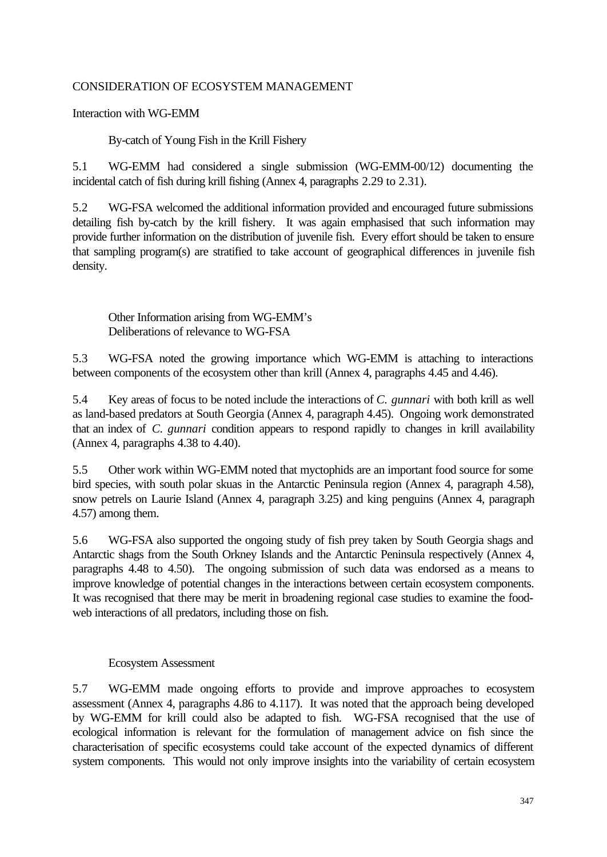## CONSIDERATION OF ECOSYSTEM MANAGEMENT

Interaction with WG-EMM

By-catch of Young Fish in the Krill Fishery

5.1 WG-EMM had considered a single submission (WG-EMM-00/12) documenting the incidental catch of fish during krill fishing (Annex 4, paragraphs 2.29 to 2.31).

5.2 WG-FSA welcomed the additional information provided and encouraged future submissions detailing fish by-catch by the krill fishery. It was again emphasised that such information may provide further information on the distribution of juvenile fish. Every effort should be taken to ensure that sampling program(s) are stratified to take account of geographical differences in juvenile fish density.

Other Information arising from WG-EMM's Deliberations of relevance to WG-FSA

5.3 WG-FSA noted the growing importance which WG-EMM is attaching to interactions between components of the ecosystem other than krill (Annex 4, paragraphs 4.45 and 4.46).

5.4 Key areas of focus to be noted include the interactions of *C. gunnari* with both krill as well as land-based predators at South Georgia (Annex 4, paragraph 4.45). Ongoing work demonstrated that an index of *C. gunnari* condition appears to respond rapidly to changes in krill availability (Annex 4, paragraphs 4.38 to 4.40).

5.5 Other work within WG-EMM noted that myctophids are an important food source for some bird species, with south polar skuas in the Antarctic Peninsula region (Annex 4, paragraph 4.58), snow petrels on Laurie Island (Annex 4, paragraph 3.25) and king penguins (Annex 4, paragraph 4.57) among them.

5.6 WG-FSA also supported the ongoing study of fish prey taken by South Georgia shags and Antarctic shags from the South Orkney Islands and the Antarctic Peninsula respectively (Annex 4, paragraphs 4.48 to 4.50). The ongoing submission of such data was endorsed as a means to improve knowledge of potential changes in the interactions between certain ecosystem components. It was recognised that there may be merit in broadening regional case studies to examine the foodweb interactions of all predators, including those on fish.

## Ecosystem Assessment

5.7 WG-EMM made ongoing efforts to provide and improve approaches to ecosystem assessment (Annex 4, paragraphs 4.86 to 4.117). It was noted that the approach being developed by WG-EMM for krill could also be adapted to fish. WG-FSA recognised that the use of ecological information is relevant for the formulation of management advice on fish since the characterisation of specific ecosystems could take account of the expected dynamics of different system components. This would not only improve insights into the variability of certain ecosystem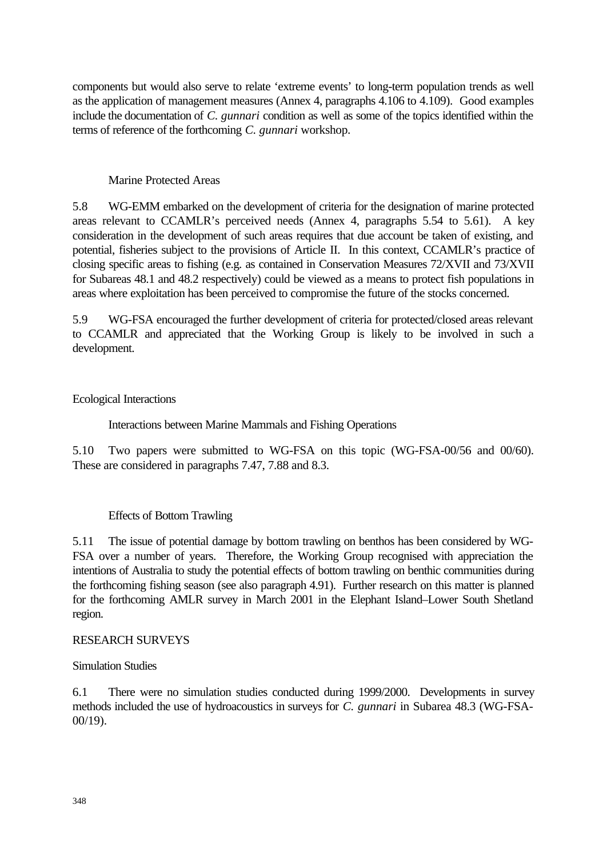components but would also serve to relate 'extreme events' to long-term population trends as well as the application of management measures (Annex 4, paragraphs 4.106 to 4.109). Good examples include the documentation of *C. gunnari* condition as well as some of the topics identified within the terms of reference of the forthcoming *C. gunnari* workshop.

## Marine Protected Areas

5.8 WG-EMM embarked on the development of criteria for the designation of marine protected areas relevant to CCAMLR's perceived needs (Annex 4, paragraphs 5.54 to 5.61). A key consideration in the development of such areas requires that due account be taken of existing, and potential, fisheries subject to the provisions of Article II. In this context, CCAMLR's practice of closing specific areas to fishing (e.g. as contained in Conservation Measures 72/XVII and 73/XVII for Subareas 48.1 and 48.2 respectively) could be viewed as a means to protect fish populations in areas where exploitation has been perceived to compromise the future of the stocks concerned.

5.9 WG-FSA encouraged the further development of criteria for protected/closed areas relevant to CCAMLR and appreciated that the Working Group is likely to be involved in such a development.

## Ecological Interactions

Interactions between Marine Mammals and Fishing Operations

5.10 Two papers were submitted to WG-FSA on this topic (WG-FSA-00/56 and 00/60). These are considered in paragraphs 7.47, 7.88 and 8.3.

# Effects of Bottom Trawling

5.11 The issue of potential damage by bottom trawling on benthos has been considered by WG-FSA over a number of years. Therefore, the Working Group recognised with appreciation the intentions of Australia to study the potential effects of bottom trawling on benthic communities during the forthcoming fishing season (see also paragraph 4.91). Further research on this matter is planned for the forthcoming AMLR survey in March 2001 in the Elephant Island–Lower South Shetland region.

## RESEARCH SURVEYS

## Simulation Studies

6.1 There were no simulation studies conducted during 1999/2000. Developments in survey methods included the use of hydroacoustics in surveys for *C. gunnari* in Subarea 48.3 (WG-FSA-00/19).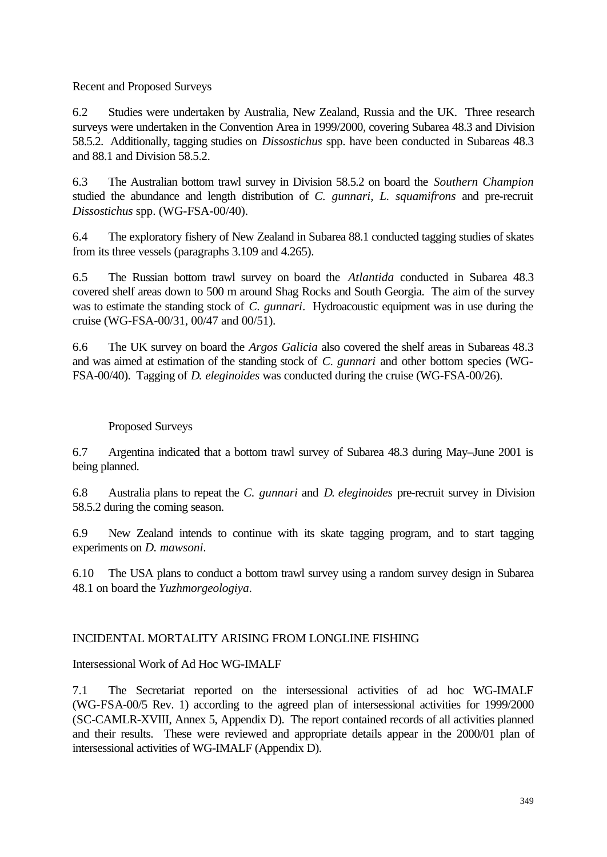Recent and Proposed Surveys

6.2 Studies were undertaken by Australia, New Zealand, Russia and the UK. Three research surveys were undertaken in the Convention Area in 1999/2000, covering Subarea 48.3 and Division 58.5.2. Additionally, tagging studies on *Dissostichus* spp. have been conducted in Subareas 48.3 and 88.1 and Division 58.5.2.

6.3 The Australian bottom trawl survey in Division 58.5.2 on board the *Southern Champion* studied the abundance and length distribution of *C. gunnari, L. squamifrons* and pre-recruit *Dissostichus* spp. (WG-FSA-00/40).

6.4 The exploratory fishery of New Zealand in Subarea 88.1 conducted tagging studies of skates from its three vessels (paragraphs 3.109 and 4.265).

6.5 The Russian bottom trawl survey on board the *Atlantida* conducted in Subarea 48.3 covered shelf areas down to 500 m around Shag Rocks and South Georgia. The aim of the survey was to estimate the standing stock of *C. gunnari*. Hydroacoustic equipment was in use during the cruise (WG-FSA-00/31, 00/47 and 00/51).

6.6 The UK survey on board the *Argos Galicia* also covered the shelf areas in Subareas 48.3 and was aimed at estimation of the standing stock of *C. gunnari* and other bottom species (WG-FSA-00/40). Tagging of *D. eleginoides* was conducted during the cruise (WG-FSA-00/26).

# Proposed Surveys

6.7 Argentina indicated that a bottom trawl survey of Subarea 48.3 during May–June 2001 is being planned.

6.8 Australia plans to repeat the *C. gunnari* and *D. eleginoides* pre-recruit survey in Division 58.5.2 during the coming season.

6.9 New Zealand intends to continue with its skate tagging program, and to start tagging experiments on *D. mawsoni*.

6.10 The USA plans to conduct a bottom trawl survey using a random survey design in Subarea 48.1 on board the *Yuzhmorgeologiya*.

### INCIDENTAL MORTALITY ARISING FROM LONGLINE FISHING

### Intersessional Work of Ad Hoc WG-IMALF

7.1 The Secretariat reported on the intersessional activities of ad hoc WG-IMALF (WG-FSA-00/5 Rev. 1) according to the agreed plan of intersessional activities for 1999/2000 (SC-CAMLR-XVIII, Annex 5, Appendix D). The report contained records of all activities planned and their results. These were reviewed and appropriate details appear in the 2000/01 plan of intersessional activities of WG-IMALF (Appendix D).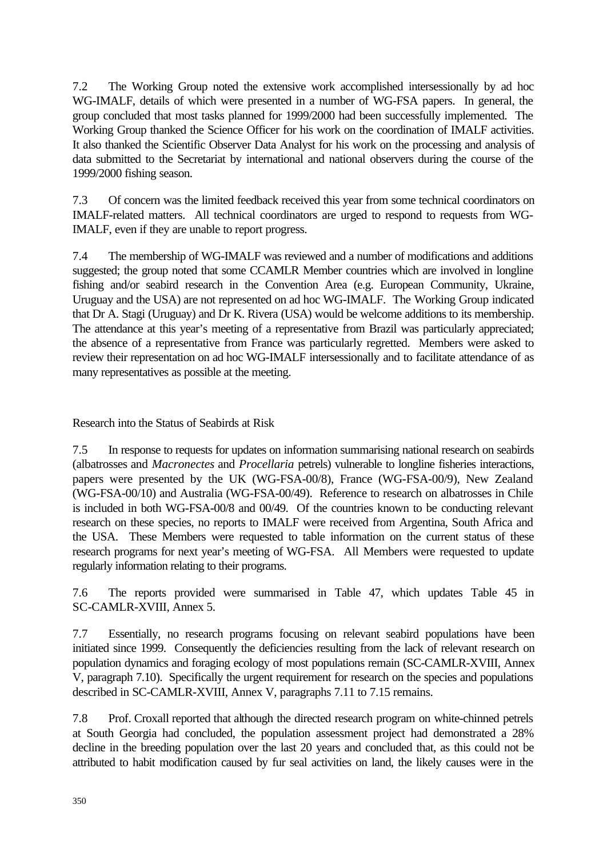7.2 The Working Group noted the extensive work accomplished intersessionally by ad hoc WG-IMALF, details of which were presented in a number of WG-FSA papers. In general, the group concluded that most tasks planned for 1999/2000 had been successfully implemented. The Working Group thanked the Science Officer for his work on the coordination of IMALF activities. It also thanked the Scientific Observer Data Analyst for his work on the processing and analysis of data submitted to the Secretariat by international and national observers during the course of the 1999/2000 fishing season.

7.3 Of concern was the limited feedback received this year from some technical coordinators on IMALF-related matters. All technical coordinators are urged to respond to requests from WG-IMALF, even if they are unable to report progress.

7.4 The membership of WG-IMALF was reviewed and a number of modifications and additions suggested; the group noted that some CCAMLR Member countries which are involved in longline fishing and/or seabird research in the Convention Area (e.g. European Community, Ukraine, Uruguay and the USA) are not represented on ad hoc WG-IMALF. The Working Group indicated that Dr A. Stagi (Uruguay) and Dr K. Rivera (USA) would be welcome additions to its membership. The attendance at this year's meeting of a representative from Brazil was particularly appreciated; the absence of a representative from France was particularly regretted. Members were asked to review their representation on ad hoc WG-IMALF intersessionally and to facilitate attendance of as many representatives as possible at the meeting.

Research into the Status of Seabirds at Risk

7.5 In response to requests for updates on information summarising national research on seabirds (albatrosses and *Macronectes* and *Procellaria* petrels) vulnerable to longline fisheries interactions, papers were presented by the UK (WG-FSA-00/8), France (WG-FSA-00/9), New Zealand (WG-FSA-00/10) and Australia (WG-FSA-00/49). Reference to research on albatrosses in Chile is included in both WG-FSA-00/8 and 00/49. Of the countries known to be conducting relevant research on these species, no reports to IMALF were received from Argentina, South Africa and the USA. These Members were requested to table information on the current status of these research programs for next year's meeting of WG-FSA. All Members were requested to update regularly information relating to their programs.

7.6 The reports provided were summarised in Table 47, which updates Table 45 in SC-CAMLR-XVIII, Annex 5.

7.7 Essentially, no research programs focusing on relevant seabird populations have been initiated since 1999. Consequently the deficiencies resulting from the lack of relevant research on population dynamics and foraging ecology of most populations remain (SC-CAMLR-XVIII, Annex V, paragraph 7.10). Specifically the urgent requirement for research on the species and populations described in SC-CAMLR-XVIII, Annex V, paragraphs 7.11 to 7.15 remains.

7.8 Prof. Croxall reported that although the directed research program on white-chinned petrels at South Georgia had concluded, the population assessment project had demonstrated a 28% decline in the breeding population over the last 20 years and concluded that, as this could not be attributed to habit modification caused by fur seal activities on land, the likely causes were in the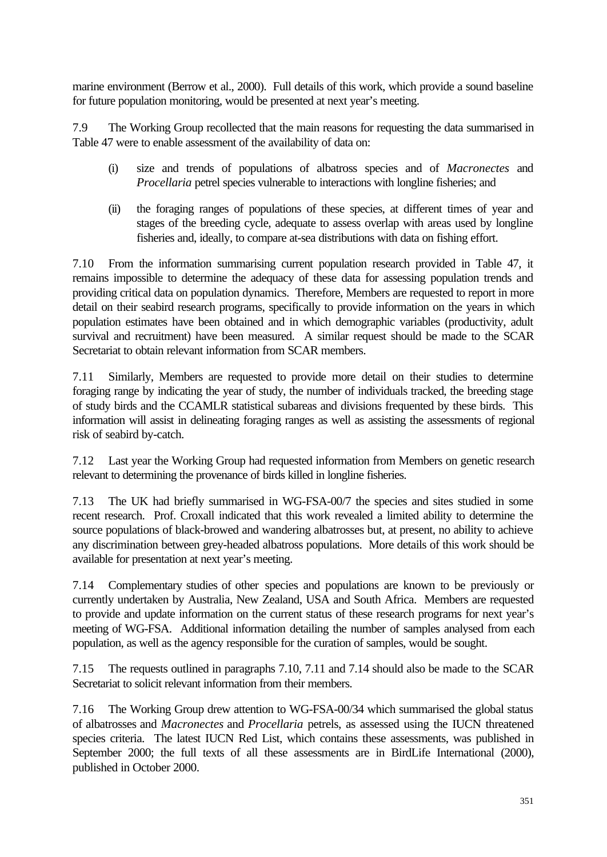marine environment (Berrow et al., 2000). Full details of this work, which provide a sound baseline for future population monitoring, would be presented at next year's meeting.

7.9 The Working Group recollected that the main reasons for requesting the data summarised in Table 47 were to enable assessment of the availability of data on:

- (i) size and trends of populations of albatross species and of *Macronectes* and *Procellaria* petrel species vulnerable to interactions with longline fisheries; and
- (ii) the foraging ranges of populations of these species, at different times of year and stages of the breeding cycle, adequate to assess overlap with areas used by longline fisheries and, ideally, to compare at-sea distributions with data on fishing effort.

7.10 From the information summarising current population research provided in Table 47, it remains impossible to determine the adequacy of these data for assessing population trends and providing critical data on population dynamics. Therefore, Members are requested to report in more detail on their seabird research programs, specifically to provide information on the years in which population estimates have been obtained and in which demographic variables (productivity, adult survival and recruitment) have been measured. A similar request should be made to the SCAR Secretariat to obtain relevant information from SCAR members.

7.11 Similarly, Members are requested to provide more detail on their studies to determine foraging range by indicating the year of study, the number of individuals tracked, the breeding stage of study birds and the CCAMLR statistical subareas and divisions frequented by these birds. This information will assist in delineating foraging ranges as well as assisting the assessments of regional risk of seabird by-catch.

7.12 Last year the Working Group had requested information from Members on genetic research relevant to determining the provenance of birds killed in longline fisheries.

7.13 The UK had briefly summarised in WG-FSA-00/7 the species and sites studied in some recent research. Prof. Croxall indicated that this work revealed a limited ability to determine the source populations of black-browed and wandering albatrosses but, at present, no ability to achieve any discrimination between grey-headed albatross populations. More details of this work should be available for presentation at next year's meeting.

7.14 Complementary studies of other species and populations are known to be previously or currently undertaken by Australia, New Zealand, USA and South Africa. Members are requested to provide and update information on the current status of these research programs for next year's meeting of WG-FSA. Additional information detailing the number of samples analysed from each population, as well as the agency responsible for the curation of samples, would be sought.

7.15 The requests outlined in paragraphs 7.10, 7.11 and 7.14 should also be made to the SCAR Secretariat to solicit relevant information from their members.

7.16 The Working Group drew attention to WG-FSA-00/34 which summarised the global status of albatrosses and *Macronectes* and *Procellaria* petrels, as assessed using the IUCN threatened species criteria. The latest IUCN Red List, which contains these assessments, was published in September 2000; the full texts of all these assessments are in BirdLife International (2000), published in October 2000.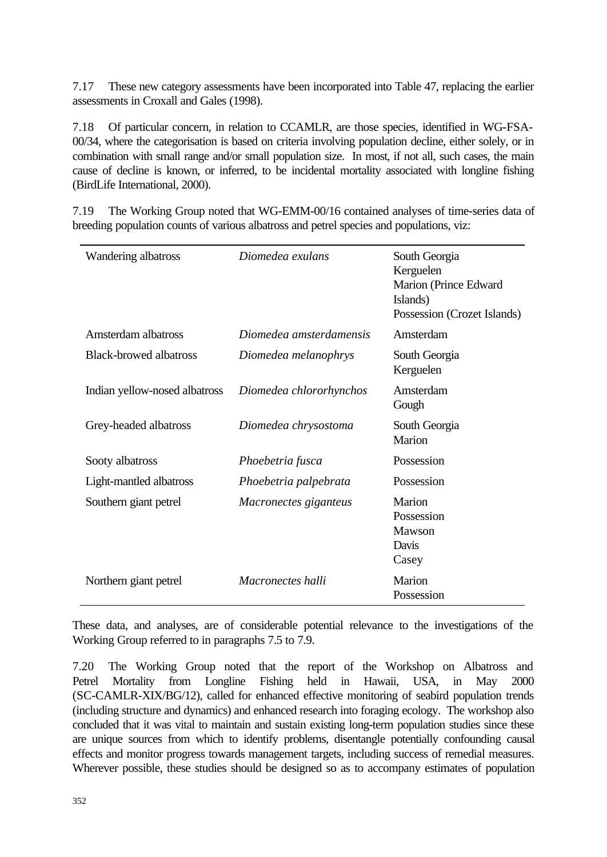7.17 These new category assessments have been incorporated into Table 47, replacing the earlier assessments in Croxall and Gales (1998).

7.18 Of particular concern, in relation to CCAMLR, are those species, identified in WG-FSA-00/34, where the categorisation is based on criteria involving population decline, either solely, or in combination with small range and/or small population size. In most, if not all, such cases, the main cause of decline is known, or inferred, to be incidental mortality associated with longline fishing (BirdLife International, 2000).

7.19 The Working Group noted that WG-EMM-00/16 contained analyses of time-series data of breeding population counts of various albatross and petrel species and populations, viz:

| Wandering albatross           | Diomedea exulans         | South Georgia<br>Kerguelen<br>Marion (Prince Edward<br>Islands)<br>Possession (Crozet Islands) |
|-------------------------------|--------------------------|------------------------------------------------------------------------------------------------|
| Amsterdam albatross           | Diomedea amsterdamensis  | Amsterdam                                                                                      |
| <b>Black-browed albatross</b> | Diomedea melanophrys     | South Georgia<br>Kerguelen                                                                     |
| Indian yellow-nosed albatross | Diomedea chlororhynchos  | Amsterdam<br>Gough                                                                             |
| Grey-headed albatross         | Diomedea chrysostoma     | South Georgia<br>Marion                                                                        |
| Sooty albatross               | Phoebetria fusca         | Possession                                                                                     |
| Light-mantled albatross       | Phoebetria palpebrata    | Possession                                                                                     |
| Southern giant petrel         | Macronectes giganteus    | Marion<br>Possession<br>Mawson<br>Davis<br>Casey                                               |
| Northern giant petrel         | <i>Macronectes halli</i> | Marion<br>Possession                                                                           |

These data, and analyses, are of considerable potential relevance to the investigations of the Working Group referred to in paragraphs 7.5 to 7.9.

7.20 The Working Group noted that the report of the Workshop on Albatross and Petrel Mortality from Longline Fishing held in Hawaii, USA, in May 2000 (SC-CAMLR-XIX/BG/12), called for enhanced effective monitoring of seabird population trends (including structure and dynamics) and enhanced research into foraging ecology. The workshop also concluded that it was vital to maintain and sustain existing long-term population studies since these are unique sources from which to identify problems, disentangle potentially confounding causal effects and monitor progress towards management targets, including success of remedial measures. Wherever possible, these studies should be designed so as to accompany estimates of population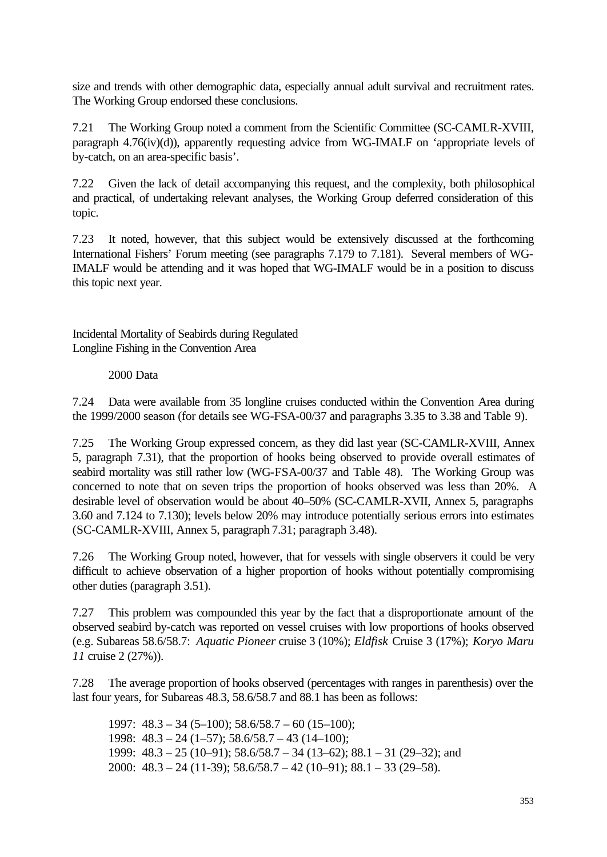size and trends with other demographic data, especially annual adult survival and recruitment rates. The Working Group endorsed these conclusions.

7.21 The Working Group noted a comment from the Scientific Committee (SC-CAMLR-XVIII, paragraph 4.76(iv)(d)), apparently requesting advice from WG-IMALF on 'appropriate levels of by-catch, on an area-specific basis'.

7.22 Given the lack of detail accompanying this request, and the complexity, both philosophical and practical, of undertaking relevant analyses, the Working Group deferred consideration of this topic.

7.23 It noted, however, that this subject would be extensively discussed at the forthcoming International Fishers' Forum meeting (see paragraphs 7.179 to 7.181). Several members of WG-IMALF would be attending and it was hoped that WG-IMALF would be in a position to discuss this topic next year.

Incidental Mortality of Seabirds during Regulated Longline Fishing in the Convention Area

2000 Data

7.24 Data were available from 35 longline cruises conducted within the Convention Area during the 1999/2000 season (for details see WG-FSA-00/37 and paragraphs 3.35 to 3.38 and Table 9).

7.25 The Working Group expressed concern, as they did last year (SC-CAMLR-XVIII, Annex 5, paragraph 7.31), that the proportion of hooks being observed to provide overall estimates of seabird mortality was still rather low (WG-FSA-00/37 and Table 48). The Working Group was concerned to note that on seven trips the proportion of hooks observed was less than 20%. A desirable level of observation would be about 40–50% (SC-CAMLR-XVII, Annex 5, paragraphs 3.60 and 7.124 to 7.130); levels below 20% may introduce potentially serious errors into estimates (SC-CAMLR-XVIII, Annex 5, paragraph 7.31; paragraph 3.48).

7.26 The Working Group noted, however, that for vessels with single observers it could be very difficult to achieve observation of a higher proportion of hooks without potentially compromising other duties (paragraph 3.51).

7.27 This problem was compounded this year by the fact that a disproportionate amount of the observed seabird by-catch was reported on vessel cruises with low proportions of hooks observed (e.g. Subareas 58.6/58.7: *Aquatic Pioneer* cruise 3 (10%); *Eldfisk* Cruise 3 (17%); *Koryo Maru 11* cruise 2 (27%)).

7.28 The average proportion of hooks observed (percentages with ranges in parenthesis) over the last four years, for Subareas 48.3, 58.6/58.7 and 88.1 has been as follows:

1997:  $48.3 - 34 (5 - 100)$ ;  $58.6/58.7 - 60 (15 - 100)$ ; 1998:  $48.3 - 24 (1 - 57)$ ;  $58.6/58.7 - 43 (14 - 100)$ ; 1999:  $48.3 - 25 (10-91)$ ;  $58.6/58.7 - 34 (13-62)$ ;  $88.1 - 31 (29-32)$ ; and 2000: 48.3 – 24 (11-39); 58.6/58.7 – 42 (10–91); 88.1 – 33 (29–58).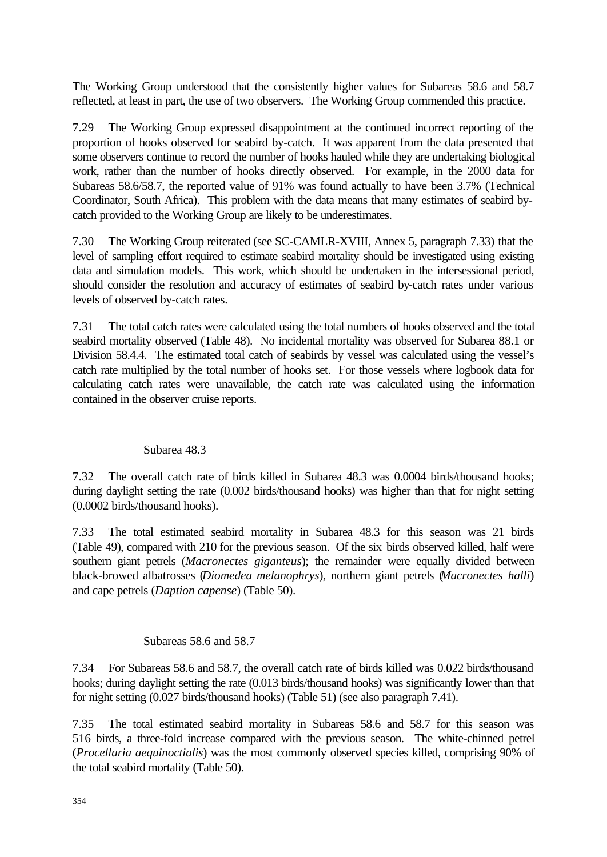The Working Group understood that the consistently higher values for Subareas 58.6 and 58.7 reflected, at least in part, the use of two observers. The Working Group commended this practice.

7.29 The Working Group expressed disappointment at the continued incorrect reporting of the proportion of hooks observed for seabird by-catch. It was apparent from the data presented that some observers continue to record the number of hooks hauled while they are undertaking biological work, rather than the number of hooks directly observed. For example, in the 2000 data for Subareas 58.6/58.7, the reported value of 91% was found actually to have been 3.7% (Technical Coordinator, South Africa). This problem with the data means that many estimates of seabird bycatch provided to the Working Group are likely to be underestimates.

7.30 The Working Group reiterated (see SC-CAMLR-XVIII, Annex 5, paragraph 7.33) that the level of sampling effort required to estimate seabird mortality should be investigated using existing data and simulation models. This work, which should be undertaken in the intersessional period, should consider the resolution and accuracy of estimates of seabird by-catch rates under various levels of observed by-catch rates.

7.31 The total catch rates were calculated using the total numbers of hooks observed and the total seabird mortality observed (Table 48). No incidental mortality was observed for Subarea 88.1 or Division 58.4.4. The estimated total catch of seabirds by vessel was calculated using the vessel's catch rate multiplied by the total number of hooks set. For those vessels where logbook data for calculating catch rates were unavailable, the catch rate was calculated using the information contained in the observer cruise reports.

### Subarea 48.3

7.32 The overall catch rate of birds killed in Subarea 48.3 was 0.0004 birds/thousand hooks; during daylight setting the rate (0.002 birds/thousand hooks) was higher than that for night setting (0.0002 birds/thousand hooks).

7.33 The total estimated seabird mortality in Subarea 48.3 for this season was 21 birds (Table 49), compared with 210 for the previous season. Of the six birds observed killed, half were southern giant petrels (*Macronectes giganteus*); the remainder were equally divided between black-browed albatrosses (*Diomedea melanophrys*), northern giant petrels (*Macronectes halli*) and cape petrels (*Daption capense*) (Table 50).

### Subareas 58.6 and 58.7

7.34 For Subareas 58.6 and 58.7, the overall catch rate of birds killed was 0.022 birds/thousand hooks; during daylight setting the rate (0.013 birds/thousand hooks) was significantly lower than that for night setting (0.027 birds/thousand hooks) (Table 51) (see also paragraph 7.41).

7.35 The total estimated seabird mortality in Subareas 58.6 and 58.7 for this season was 516 birds, a three-fold increase compared with the previous season. The white-chinned petrel (*Procellaria aequinoctialis*) was the most commonly observed species killed, comprising 90% of the total seabird mortality (Table 50).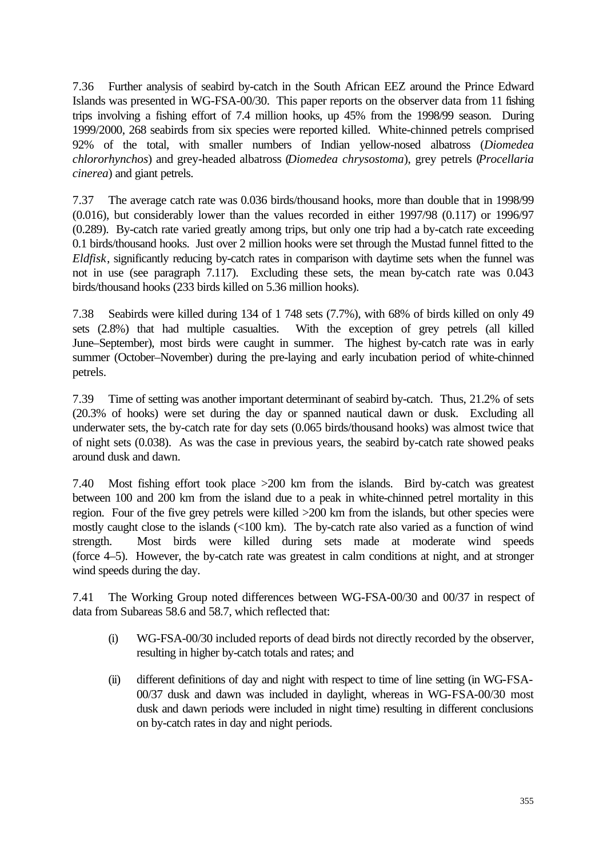7.36 Further analysis of seabird by-catch in the South African EEZ around the Prince Edward Islands was presented in WG-FSA-00/30. This paper reports on the observer data from 11 fishing trips involving a fishing effort of 7.4 million hooks, up 45% from the 1998/99 season. During 1999/2000, 268 seabirds from six species were reported killed. White-chinned petrels comprised 92% of the total, with smaller numbers of Indian yellow-nosed albatross (*Diomedea chlororhynchos*) and grey-headed albatross (*Diomedea chrysostoma*), grey petrels (*Procellaria cinerea*) and giant petrels.

7.37 The average catch rate was 0.036 birds/thousand hooks, more than double that in 1998/99 (0.016), but considerably lower than the values recorded in either 1997/98 (0.117) or 1996/97 (0.289). By-catch rate varied greatly among trips, but only one trip had a by-catch rate exceeding 0.1 birds/thousand hooks. Just over 2 million hooks were set through the Mustad funnel fitted to the *Eldfisk*, significantly reducing by-catch rates in comparison with daytime sets when the funnel was not in use (see paragraph 7.117). Excluding these sets, the mean by-catch rate was 0.043 birds/thousand hooks (233 birds killed on 5.36 million hooks).

7.38 Seabirds were killed during 134 of 1 748 sets (7.7%), with 68% of birds killed on only 49 sets (2.8%) that had multiple casualties. With the exception of grey petrels (all killed June–September), most birds were caught in summer. The highest by-catch rate was in early summer (October–November) during the pre-laying and early incubation period of white-chinned petrels.

7.39 Time of setting was another important determinant of seabird by-catch. Thus, 21.2% of sets (20.3% of hooks) were set during the day or spanned nautical dawn or dusk. Excluding all underwater sets, the by-catch rate for day sets (0.065 birds/thousand hooks) was almost twice that of night sets (0.038). As was the case in previous years, the seabird by-catch rate showed peaks around dusk and dawn.

7.40 Most fishing effort took place >200 km from the islands. Bird by-catch was greatest between 100 and 200 km from the island due to a peak in white-chinned petrel mortality in this region. Four of the five grey petrels were killed >200 km from the islands, but other species were mostly caught close to the islands (<100 km). The by-catch rate also varied as a function of wind strength. Most birds were killed during sets made at moderate wind speeds (force 4–5). However, the by-catch rate was greatest in calm conditions at night, and at stronger wind speeds during the day.

7.41 The Working Group noted differences between WG-FSA-00/30 and 00/37 in respect of data from Subareas 58.6 and 58.7, which reflected that:

- (i) WG-FSA-00/30 included reports of dead birds not directly recorded by the observer, resulting in higher by-catch totals and rates; and
- (ii) different definitions of day and night with respect to time of line setting (in WG-FSA-00/37 dusk and dawn was included in daylight, whereas in WG-FSA-00/30 most dusk and dawn periods were included in night time) resulting in different conclusions on by-catch rates in day and night periods.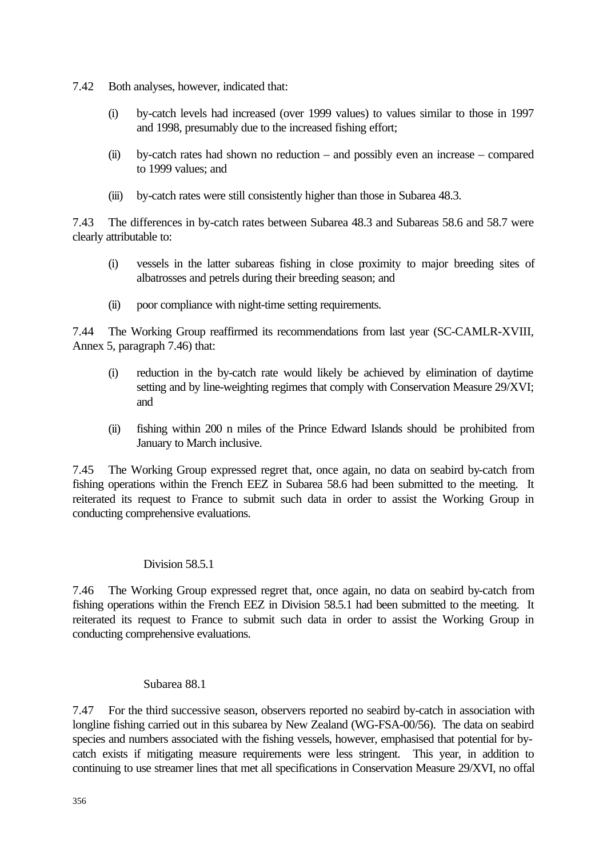- 7.42 Both analyses, however, indicated that:
	- (i) by-catch levels had increased (over 1999 values) to values similar to those in 1997 and 1998, presumably due to the increased fishing effort;
	- (ii) by-catch rates had shown no reduction and possibly even an increase compared to 1999 values; and
	- (iii) by-catch rates were still consistently higher than those in Subarea 48.3.

7.43 The differences in by-catch rates between Subarea 48.3 and Subareas 58.6 and 58.7 were clearly attributable to:

- (i) vessels in the latter subareas fishing in close proximity to major breeding sites of albatrosses and petrels during their breeding season; and
- (ii) poor compliance with night-time setting requirements.

7.44 The Working Group reaffirmed its recommendations from last year (SC-CAMLR-XVIII, Annex 5, paragraph 7.46) that:

- (i) reduction in the by-catch rate would likely be achieved by elimination of daytime setting and by line-weighting regimes that comply with Conservation Measure 29/XVI; and
- (ii) fishing within 200 n miles of the Prince Edward Islands should be prohibited from January to March inclusive.

7.45 The Working Group expressed regret that, once again, no data on seabird by-catch from fishing operations within the French EEZ in Subarea 58.6 had been submitted to the meeting. It reiterated its request to France to submit such data in order to assist the Working Group in conducting comprehensive evaluations.

# Division 58.5.1

7.46 The Working Group expressed regret that, once again, no data on seabird by-catch from fishing operations within the French EEZ in Division 58.5.1 had been submitted to the meeting. It reiterated its request to France to submit such data in order to assist the Working Group in conducting comprehensive evaluations.

### Subarea 88.1

7.47 For the third successive season, observers reported no seabird by-catch in association with longline fishing carried out in this subarea by New Zealand (WG-FSA-00/56). The data on seabird species and numbers associated with the fishing vessels, however, emphasised that potential for bycatch exists if mitigating measure requirements were less stringent. This year, in addition to continuing to use streamer lines that met all specifications in Conservation Measure 29/XVI, no offal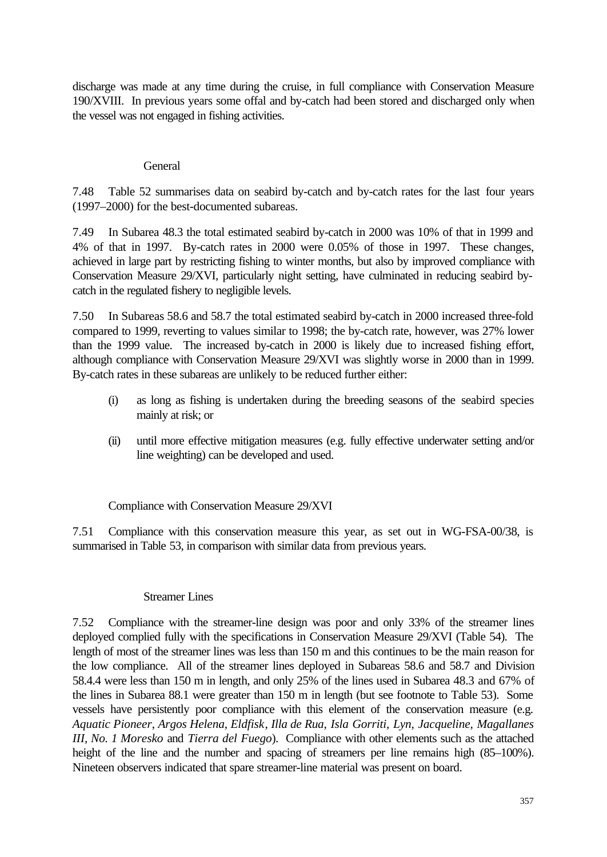discharge was made at any time during the cruise, in full compliance with Conservation Measure 190/XVIII. In previous years some offal and by-catch had been stored and discharged only when the vessel was not engaged in fishing activities.

### **General**

7.48 Table 52 summarises data on seabird by-catch and by-catch rates for the last four years (1997–2000) for the best-documented subareas.

7.49 In Subarea 48.3 the total estimated seabird by-catch in 2000 was 10% of that in 1999 and 4% of that in 1997. By-catch rates in 2000 were 0.05% of those in 1997. These changes, achieved in large part by restricting fishing to winter months, but also by improved compliance with Conservation Measure 29/XVI, particularly night setting, have culminated in reducing seabird bycatch in the regulated fishery to negligible levels.

7.50 In Subareas 58.6 and 58.7 the total estimated seabird by-catch in 2000 increased three-fold compared to 1999, reverting to values similar to 1998; the by-catch rate, however, was 27% lower than the 1999 value. The increased by-catch in 2000 is likely due to increased fishing effort, although compliance with Conservation Measure 29/XVI was slightly worse in 2000 than in 1999. By-catch rates in these subareas are unlikely to be reduced further either:

- (i) as long as fishing is undertaken during the breeding seasons of the seabird species mainly at risk; or
- (ii) until more effective mitigation measures (e.g. fully effective underwater setting and/or line weighting) can be developed and used.

Compliance with Conservation Measure 29/XVI

7.51 Compliance with this conservation measure this year, as set out in WG-FSA-00/38, is summarised in Table 53, in comparison with similar data from previous years.

### Streamer Lines

7.52 Compliance with the streamer-line design was poor and only 33% of the streamer lines deployed complied fully with the specifications in Conservation Measure 29/XVI (Table 54). The length of most of the streamer lines was less than 150 m and this continues to be the main reason for the low compliance. All of the streamer lines deployed in Subareas 58.6 and 58.7 and Division 58.4.4 were less than 150 m in length, and only 25% of the lines used in Subarea 48.3 and 67% of the lines in Subarea 88.1 were greater than 150 m in length (but see footnote to Table 53). Some vessels have persistently poor compliance with this element of the conservation measure (e.g. *Aquatic Pioneer*, *Argos Helena*, *Eldfisk*, *Illa de Rua*, *Isla Gorriti, Lyn, Jacqueline, Magallanes III, No. 1 Moresko* and *Tierra del Fuego*). Compliance with other elements such as the attached height of the line and the number and spacing of streamers per line remains high (85–100%). Nineteen observers indicated that spare streamer-line material was present on board.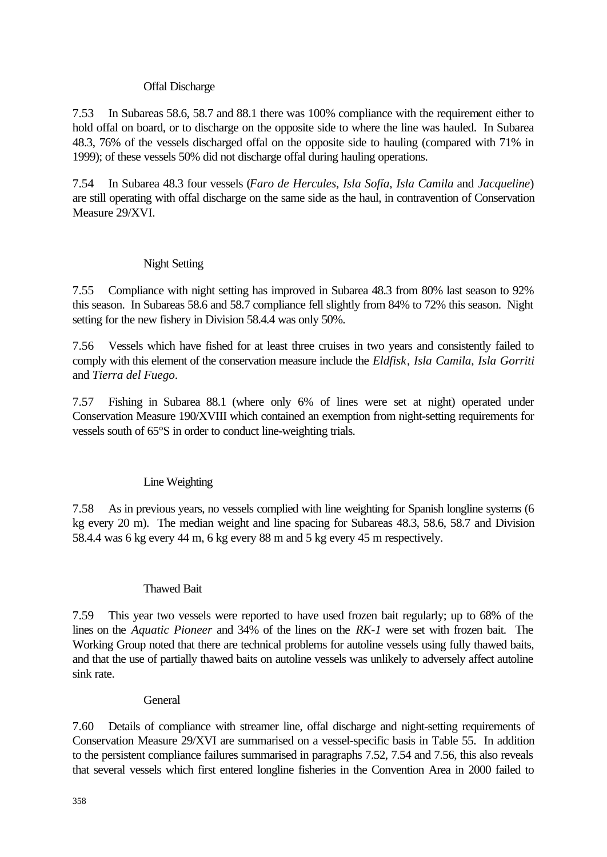### Offal Discharge

7.53 In Subareas 58.6, 58.7 and 88.1 there was 100% compliance with the requirement either to hold offal on board, or to discharge on the opposite side to where the line was hauled. In Subarea 48.3, 76% of the vessels discharged offal on the opposite side to hauling (compared with 71% in 1999); of these vessels 50% did not discharge offal during hauling operations.

7.54 In Subarea 48.3 four vessels (*Faro de Hercules, Isla Sofía*, *Isla Camila* and *Jacqueline*) are still operating with offal discharge on the same side as the haul, in contravention of Conservation Measure 29/XVI.

## Night Setting

7.55 Compliance with night setting has improved in Subarea 48.3 from 80% last season to 92% this season. In Subareas 58.6 and 58.7 compliance fell slightly from 84% to 72% this season. Night setting for the new fishery in Division 58.4.4 was only 50%.

7.56 Vessels which have fished for at least three cruises in two years and consistently failed to comply with this element of the conservation measure include the *Eldfisk*, *Isla Camila*, *Isla Gorriti* and *Tierra del Fuego*.

7.57 Fishing in Subarea 88.1 (where only 6% of lines were set at night) operated under Conservation Measure 190/XVIII which contained an exemption from night-setting requirements for vessels south of 65°S in order to conduct line-weighting trials.

# Line Weighting

7.58 As in previous years, no vessels complied with line weighting for Spanish longline systems (6 kg every 20 m). The median weight and line spacing for Subareas 48.3, 58.6, 58.7 and Division 58.4.4 was 6 kg every 44 m, 6 kg every 88 m and 5 kg every 45 m respectively.

### Thawed Bait

7.59 This year two vessels were reported to have used frozen bait regularly; up to 68% of the lines on the *Aquatic Pioneer* and 34% of the lines on the *RK-1* were set with frozen bait. The Working Group noted that there are technical problems for autoline vessels using fully thawed baits, and that the use of partially thawed baits on autoline vessels was unlikely to adversely affect autoline sink rate.

### **General**

7.60 Details of compliance with streamer line, offal discharge and night-setting requirements of Conservation Measure 29/XVI are summarised on a vessel-specific basis in Table 55. In addition to the persistent compliance failures summarised in paragraphs 7.52, 7.54 and 7.56, this also reveals that several vessels which first entered longline fisheries in the Convention Area in 2000 failed to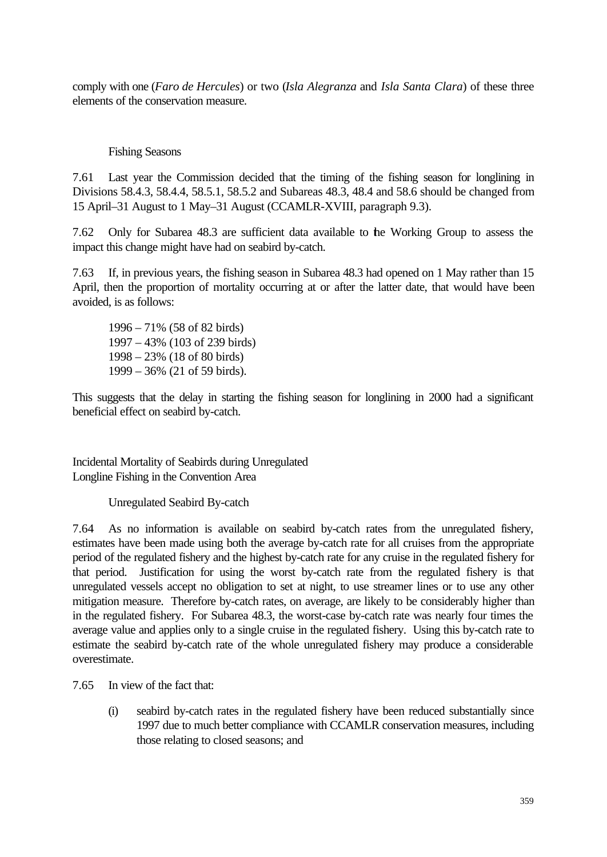comply with one (*Faro de Hercules*) or two (*Isla Alegranza* and *Isla Santa Clara*) of these three elements of the conservation measure.

Fishing Seasons

7.61 Last year the Commission decided that the timing of the fishing season for longlining in Divisions 58.4.3, 58.4.4, 58.5.1, 58.5.2 and Subareas 48.3, 48.4 and 58.6 should be changed from 15 April–31 August to 1 May–31 August (CCAMLR-XVIII, paragraph 9.3).

7.62 Only for Subarea 48.3 are sufficient data available to the Working Group to assess the impact this change might have had on seabird by-catch.

7.63 If, in previous years, the fishing season in Subarea 48.3 had opened on 1 May rather than 15 April, then the proportion of mortality occurring at or after the latter date, that would have been avoided, is as follows:

1996 – 71% (58 of 82 birds) 1997 – 43% (103 of 239 birds) 1998 – 23% (18 of 80 birds) 1999 – 36% (21 of 59 birds).

This suggests that the delay in starting the fishing season for longlining in 2000 had a significant beneficial effect on seabird by-catch.

Incidental Mortality of Seabirds during Unregulated Longline Fishing in the Convention Area

Unregulated Seabird By-catch

7.64 As no information is available on seabird by-catch rates from the unregulated fishery, estimates have been made using both the average by-catch rate for all cruises from the appropriate period of the regulated fishery and the highest by-catch rate for any cruise in the regulated fishery for that period. Justification for using the worst by-catch rate from the regulated fishery is that unregulated vessels accept no obligation to set at night, to use streamer lines or to use any other mitigation measure. Therefore by-catch rates, on average, are likely to be considerably higher than in the regulated fishery. For Subarea 48.3, the worst-case by-catch rate was nearly four times the average value and applies only to a single cruise in the regulated fishery. Using this by-catch rate to estimate the seabird by-catch rate of the whole unregulated fishery may produce a considerable overestimate.

7.65 In view of the fact that:

(i) seabird by-catch rates in the regulated fishery have been reduced substantially since 1997 due to much better compliance with CCAMLR conservation measures, including those relating to closed seasons; and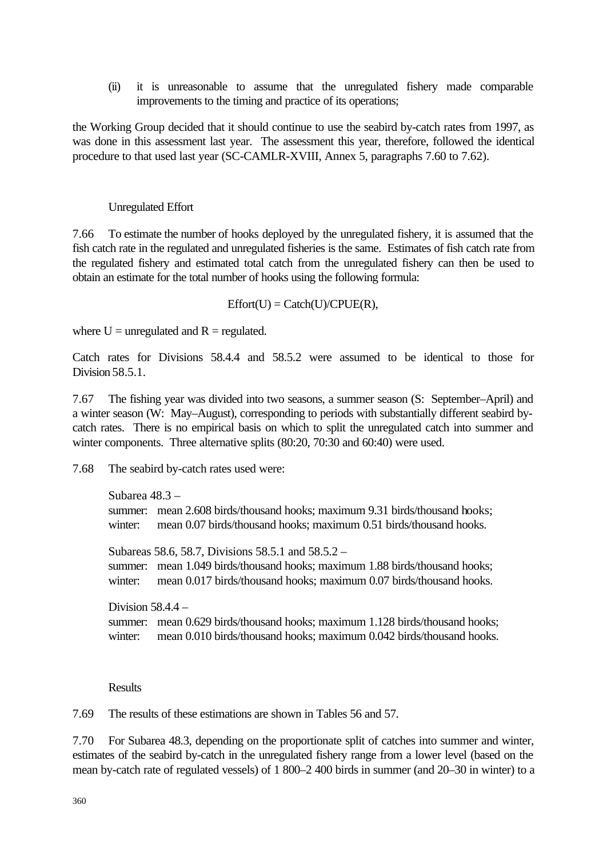(ii) it is unreasonable to assume that the unregulated fishery made comparable improvements to the timing and practice of its operations;

the Working Group decided that it should continue to use the seabird by-catch rates from 1997, as was done in this assessment last year. The assessment this year, therefore, followed the identical procedure to that used last year (SC-CAMLR-XVIII, Annex 5, paragraphs 7.60 to 7.62).

#### Unregulated Effort

7.66 To estimate the number of hooks deployed by the unregulated fishery, it is assumed that the fish catch rate in the regulated and unregulated fisheries is the same. Estimates of fish catch rate from the regulated fishery and estimated total catch from the unregulated fishery can then be used to obtain an estimate for the total number of hooks using the following formula:

 $Effort(U) = Catch(U)/CPUE(R),$ 

where  $U =$  unregulated and  $R =$  regulated.

Catch rates for Divisions 58.4.4 and 58.5.2 were assumed to be identical to those for Division 58.5.1.

7.67 The fishing year was divided into two seasons, a summer season (S: September–April) and a winter season (W: May–August), corresponding to periods with substantially different seabird bycatch rates. There is no empirical basis on which to split the unregulated catch into summer and winter components. Three alternative splits (80:20, 70:30 and 60:40) were used.

7.68 The seabird by-catch rates used were:

```
Subarea 48.3 –
summer: mean 2.608 birds/thousand hooks; maximum 9.31 birds/thousand hooks;
winter: mean 0.07 birds/thousand hooks; maximum 0.51 birds/thousand hooks.
```
Subareas 58.6, 58.7, Divisions 58.5.1 and 58.5.2 – summer: mean 1.049 birds/thousand hooks; maximum 1.88 birds/thousand hooks; winter: mean 0.017 birds/thousand hooks; maximum 0.07 birds/thousand hooks.

Division  $58.4.4$ summer: mean 0.629 birds/thousand hooks; maximum 1.128 birds/thousand hooks; winter: mean 0.010 birds/thousand hooks; maximum 0.042 birds/thousand hooks.

Results

7.69 The results of these estimations are shown in Tables 56 and 57.

7.70 For Subarea 48.3, depending on the proportionate split of catches into summer and winter, estimates of the seabird by-catch in the unregulated fishery range from a lower level (based on the mean by-catch rate of regulated vessels) of 1 800–2 400 birds in summer (and 20–30 in winter) to a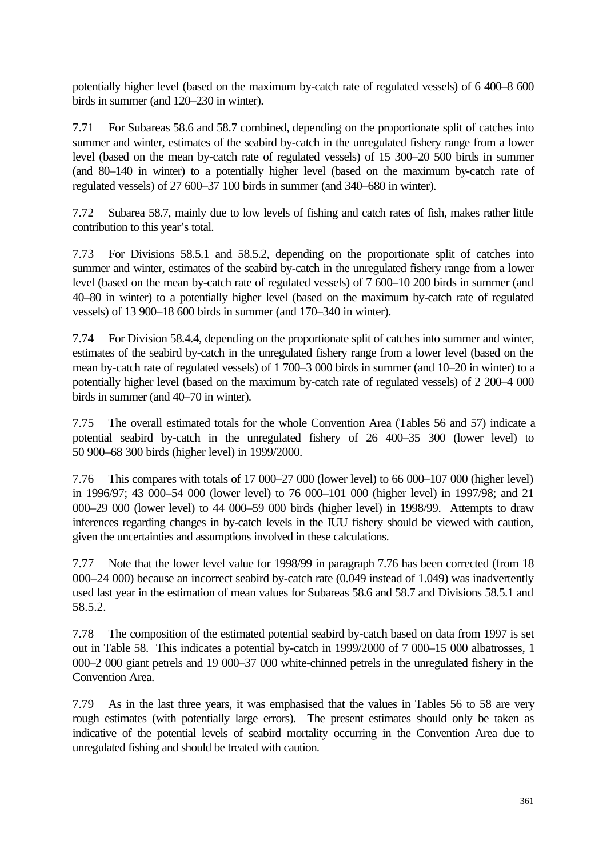potentially higher level (based on the maximum by-catch rate of regulated vessels) of 6 400–8 600 birds in summer (and 120–230 in winter).

7.71 For Subareas 58.6 and 58.7 combined, depending on the proportionate split of catches into summer and winter, estimates of the seabird by-catch in the unregulated fishery range from a lower level (based on the mean by-catch rate of regulated vessels) of 15 300–20 500 birds in summer (and 80–140 in winter) to a potentially higher level (based on the maximum by-catch rate of regulated vessels) of 27 600–37 100 birds in summer (and 340–680 in winter).

7.72 Subarea 58.7, mainly due to low levels of fishing and catch rates of fish, makes rather little contribution to this year's total.

7.73 For Divisions 58.5.1 and 58.5.2, depending on the proportionate split of catches into summer and winter, estimates of the seabird by-catch in the unregulated fishery range from a lower level (based on the mean by-catch rate of regulated vessels) of 7 600–10 200 birds in summer (and 40–80 in winter) to a potentially higher level (based on the maximum by-catch rate of regulated vessels) of 13 900–18 600 birds in summer (and 170–340 in winter).

7.74 For Division 58.4.4, depending on the proportionate split of catches into summer and winter, estimates of the seabird by-catch in the unregulated fishery range from a lower level (based on the mean by-catch rate of regulated vessels) of 1 700–3 000 birds in summer (and 10–20 in winter) to a potentially higher level (based on the maximum by-catch rate of regulated vessels) of 2 200–4 000 birds in summer (and 40–70 in winter).

7.75 The overall estimated totals for the whole Convention Area (Tables 56 and 57) indicate a potential seabird by-catch in the unregulated fishery of 26 400–35 300 (lower level) to 50 900–68 300 birds (higher level) in 1999/2000.

7.76 This compares with totals of 17 000–27 000 (lower level) to 66 000–107 000 (higher level) in 1996/97; 43 000–54 000 (lower level) to 76 000–101 000 (higher level) in 1997/98; and 21 000–29 000 (lower level) to 44 000–59 000 birds (higher level) in 1998/99. Attempts to draw inferences regarding changes in by-catch levels in the IUU fishery should be viewed with caution, given the uncertainties and assumptions involved in these calculations.

7.77 Note that the lower level value for 1998/99 in paragraph 7.76 has been corrected (from 18 000–24 000) because an incorrect seabird by-catch rate (0.049 instead of 1.049) was inadvertently used last year in the estimation of mean values for Subareas 58.6 and 58.7 and Divisions 58.5.1 and 58.5.2.

7.78 The composition of the estimated potential seabird by-catch based on data from 1997 is set out in Table 58. This indicates a potential by-catch in 1999/2000 of 7 000–15 000 albatrosses, 1 000–2 000 giant petrels and 19 000–37 000 white-chinned petrels in the unregulated fishery in the Convention Area.

7.79 As in the last three years, it was emphasised that the values in Tables 56 to 58 are very rough estimates (with potentially large errors). The present estimates should only be taken as indicative of the potential levels of seabird mortality occurring in the Convention Area due to unregulated fishing and should be treated with caution.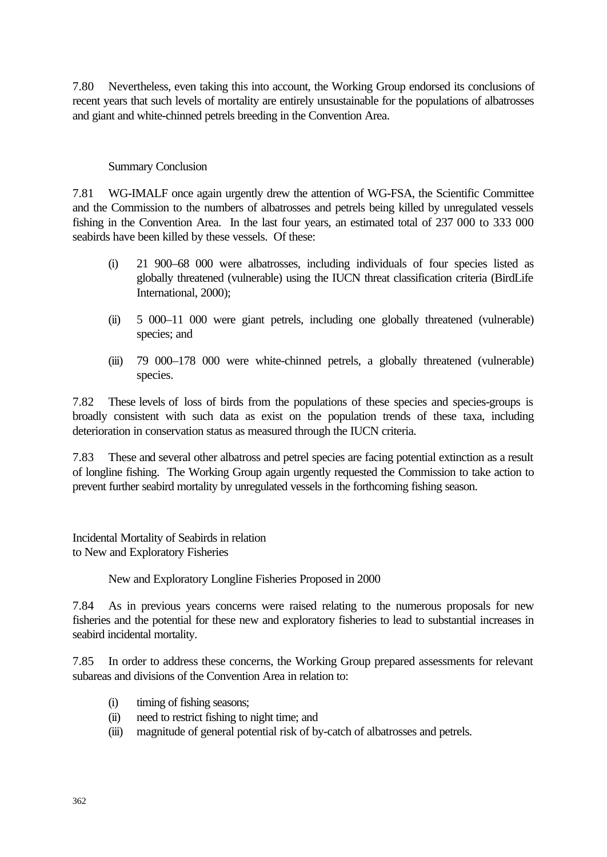7.80 Nevertheless, even taking this into account, the Working Group endorsed its conclusions of recent years that such levels of mortality are entirely unsustainable for the populations of albatrosses and giant and white-chinned petrels breeding in the Convention Area.

#### Summary Conclusion

7.81 WG-IMALF once again urgently drew the attention of WG-FSA, the Scientific Committee and the Commission to the numbers of albatrosses and petrels being killed by unregulated vessels fishing in the Convention Area. In the last four years, an estimated total of 237 000 to 333 000 seabirds have been killed by these vessels. Of these:

- (i) 21 900–68 000 were albatrosses, including individuals of four species listed as globally threatened (vulnerable) using the IUCN threat classification criteria (BirdLife International, 2000);
- (ii) 5 000–11 000 were giant petrels, including one globally threatened (vulnerable) species; and
- (iii) 79 000–178 000 were white-chinned petrels, a globally threatened (vulnerable) species.

7.82 These levels of loss of birds from the populations of these species and species-groups is broadly consistent with such data as exist on the population trends of these taxa, including deterioration in conservation status as measured through the IUCN criteria.

7.83 These and several other albatross and petrel species are facing potential extinction as a result of longline fishing. The Working Group again urgently requested the Commission to take action to prevent further seabird mortality by unregulated vessels in the forthcoming fishing season.

Incidental Mortality of Seabirds in relation to New and Exploratory Fisheries

New and Exploratory Longline Fisheries Proposed in 2000

7.84 As in previous years concerns were raised relating to the numerous proposals for new fisheries and the potential for these new and exploratory fisheries to lead to substantial increases in seabird incidental mortality.

7.85 In order to address these concerns, the Working Group prepared assessments for relevant subareas and divisions of the Convention Area in relation to:

- (i) timing of fishing seasons;
- (ii) need to restrict fishing to night time; and
- (iii) magnitude of general potential risk of by-catch of albatrosses and petrels.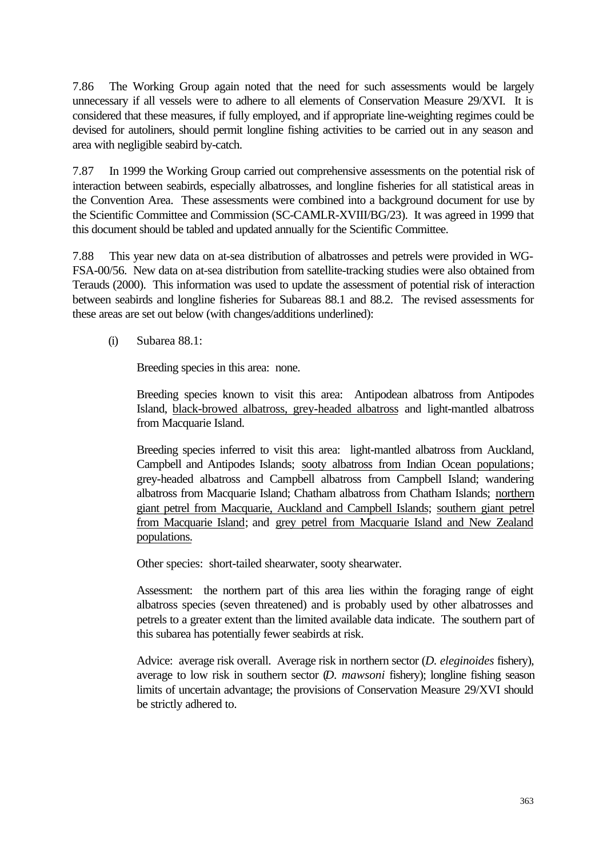7.86 The Working Group again noted that the need for such assessments would be largely unnecessary if all vessels were to adhere to all elements of Conservation Measure 29/XVI. It is considered that these measures, if fully employed, and if appropriate line-weighting regimes could be devised for autoliners, should permit longline fishing activities to be carried out in any season and area with negligible seabird by-catch.

7.87 In 1999 the Working Group carried out comprehensive assessments on the potential risk of interaction between seabirds, especially albatrosses, and longline fisheries for all statistical areas in the Convention Area. These assessments were combined into a background document for use by the Scientific Committee and Commission (SC-CAMLR-XVIII/BG/23). It was agreed in 1999 that this document should be tabled and updated annually for the Scientific Committee.

7.88 This year new data on at-sea distribution of albatrosses and petrels were provided in WG-FSA-00/56. New data on at-sea distribution from satellite-tracking studies were also obtained from Terauds (2000). This information was used to update the assessment of potential risk of interaction between seabirds and longline fisheries for Subareas 88.1 and 88.2. The revised assessments for these areas are set out below (with changes/additions underlined):

(i) Subarea 88.1:

Breeding species in this area: none.

Breeding species known to visit this area: Antipodean albatross from Antipodes Island, black-browed albatross, grey-headed albatross and light-mantled albatross from Macquarie Island.

Breeding species inferred to visit this area: light-mantled albatross from Auckland, Campbell and Antipodes Islands; sooty albatross from Indian Ocean populations; grey-headed albatross and Campbell albatross from Campbell Island; wandering albatross from Macquarie Island; Chatham albatross from Chatham Islands; northern giant petrel from Macquarie, Auckland and Campbell Islands; southern giant petrel from Macquarie Island; and grey petrel from Macquarie Island and New Zealand populations.

Other species: short-tailed shearwater, sooty shearwater.

Assessment: the northern part of this area lies within the foraging range of eight albatross species (seven threatened) and is probably used by other albatrosses and petrels to a greater extent than the limited available data indicate. The southern part of this subarea has potentially fewer seabirds at risk.

Advice: average risk overall. Average risk in northern sector (*D. eleginoides* fishery), average to low risk in southern sector (*D. mawsoni* fishery); longline fishing season limits of uncertain advantage; the provisions of Conservation Measure 29/XVI should be strictly adhered to.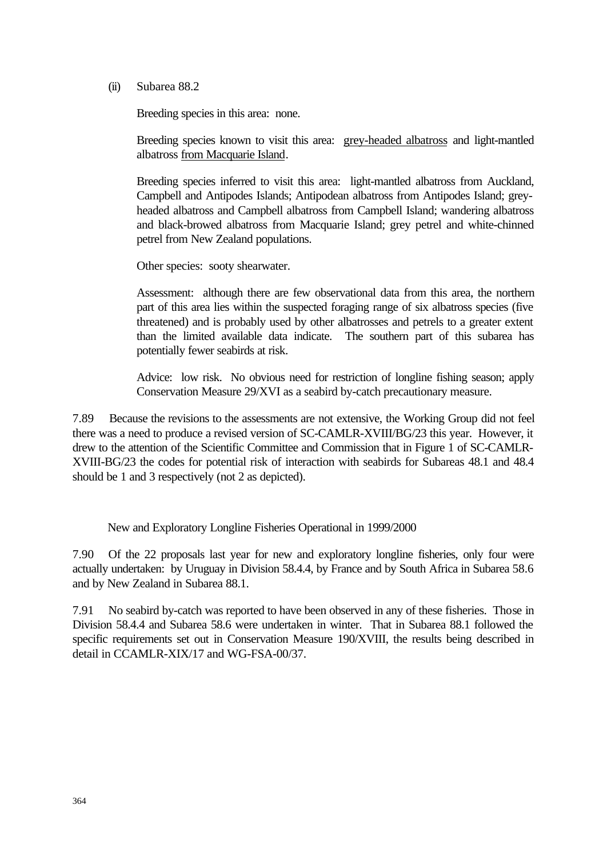(ii) Subarea 88.2

Breeding species in this area: none.

Breeding species known to visit this area: grey-headed albatross and light-mantled albatross from Macquarie Island.

Breeding species inferred to visit this area: light-mantled albatross from Auckland, Campbell and Antipodes Islands; Antipodean albatross from Antipodes Island; greyheaded albatross and Campbell albatross from Campbell Island; wandering albatross and black-browed albatross from Macquarie Island; grey petrel and white-chinned petrel from New Zealand populations.

Other species: sooty shearwater.

Assessment: although there are few observational data from this area, the northern part of this area lies within the suspected foraging range of six albatross species (five threatened) and is probably used by other albatrosses and petrels to a greater extent than the limited available data indicate. The southern part of this subarea has potentially fewer seabirds at risk.

Advice: low risk. No obvious need for restriction of longline fishing season; apply Conservation Measure 29/XVI as a seabird by-catch precautionary measure.

7.89 Because the revisions to the assessments are not extensive, the Working Group did not feel there was a need to produce a revised version of SC-CAMLR-XVIII/BG/23 this year. However, it drew to the attention of the Scientific Committee and Commission that in Figure 1 of SC-CAMLR-XVIII-BG/23 the codes for potential risk of interaction with seabirds for Subareas 48.1 and 48.4 should be 1 and 3 respectively (not 2 as depicted).

New and Exploratory Longline Fisheries Operational in 1999/2000

7.90 Of the 22 proposals last year for new and exploratory longline fisheries, only four were actually undertaken: by Uruguay in Division 58.4.4, by France and by South Africa in Subarea 58.6 and by New Zealand in Subarea 88.1.

7.91 No seabird by-catch was reported to have been observed in any of these fisheries. Those in Division 58.4.4 and Subarea 58.6 were undertaken in winter. That in Subarea 88.1 followed the specific requirements set out in Conservation Measure 190/XVIII, the results being described in detail in CCAMLR-XIX/17 and WG-FSA-00/37.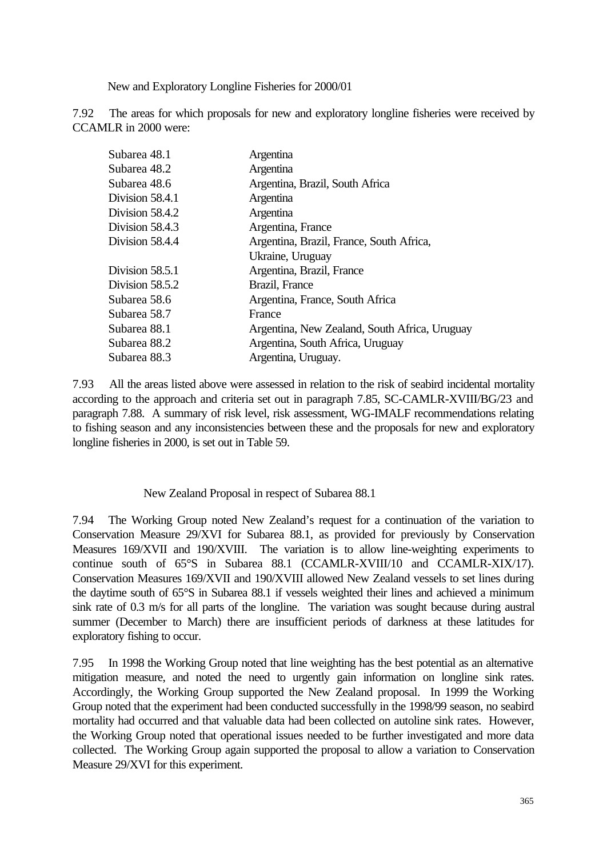New and Exploratory Longline Fisheries for 2000/01

7.92 The areas for which proposals for new and exploratory longline fisheries were received by CCAMLR in 2000 were:

| Subarea 48.1      | Argentina                                     |
|-------------------|-----------------------------------------------|
| Subarea 48.2      | Argentina                                     |
| Subarea 48.6      | Argentina, Brazil, South Africa               |
| Division 58.4.1   | Argentina                                     |
| Division 58.4.2   | Argentina                                     |
| Division 58.4.3   | Argentina, France                             |
| Division 58.4.4   | Argentina, Brazil, France, South Africa,      |
|                   | Ukraine, Uruguay                              |
| Division 58.5.1   | Argentina, Brazil, France                     |
| Division $58.5.2$ | Brazil, France                                |
| Subarea 58.6      | Argentina, France, South Africa               |
| Subarea 58.7      | France                                        |
| Subarea 88.1      | Argentina, New Zealand, South Africa, Uruguay |
| Subarea 88.2      | Argentina, South Africa, Uruguay              |
| Subarea 88.3      | Argentina, Uruguay.                           |

7.93 All the areas listed above were assessed in relation to the risk of seabird incidental mortality according to the approach and criteria set out in paragraph 7.85, SC-CAMLR-XVIII/BG/23 and paragraph 7.88. A summary of risk level, risk assessment, WG-IMALF recommendations relating to fishing season and any inconsistencies between these and the proposals for new and exploratory longline fisheries in 2000, is set out in Table 59.

New Zealand Proposal in respect of Subarea 88.1

7.94 The Working Group noted New Zealand's request for a continuation of the variation to Conservation Measure 29/XVI for Subarea 88.1, as provided for previously by Conservation Measures 169/XVII and 190/XVIII. The variation is to allow line-weighting experiments to continue south of 65°S in Subarea 88.1 (CCAMLR-XVIII/10 and CCAMLR-XIX/17). Conservation Measures 169/XVII and 190/XVIII allowed New Zealand vessels to set lines during the daytime south of 65°S in Subarea 88.1 if vessels weighted their lines and achieved a minimum sink rate of 0.3 m/s for all parts of the longline. The variation was sought because during austral summer (December to March) there are insufficient periods of darkness at these latitudes for exploratory fishing to occur.

7.95 In 1998 the Working Group noted that line weighting has the best potential as an alternative mitigation measure, and noted the need to urgently gain information on longline sink rates. Accordingly, the Working Group supported the New Zealand proposal. In 1999 the Working Group noted that the experiment had been conducted successfully in the 1998/99 season, no seabird mortality had occurred and that valuable data had been collected on autoline sink rates. However, the Working Group noted that operational issues needed to be further investigated and more data collected. The Working Group again supported the proposal to allow a variation to Conservation Measure 29/XVI for this experiment.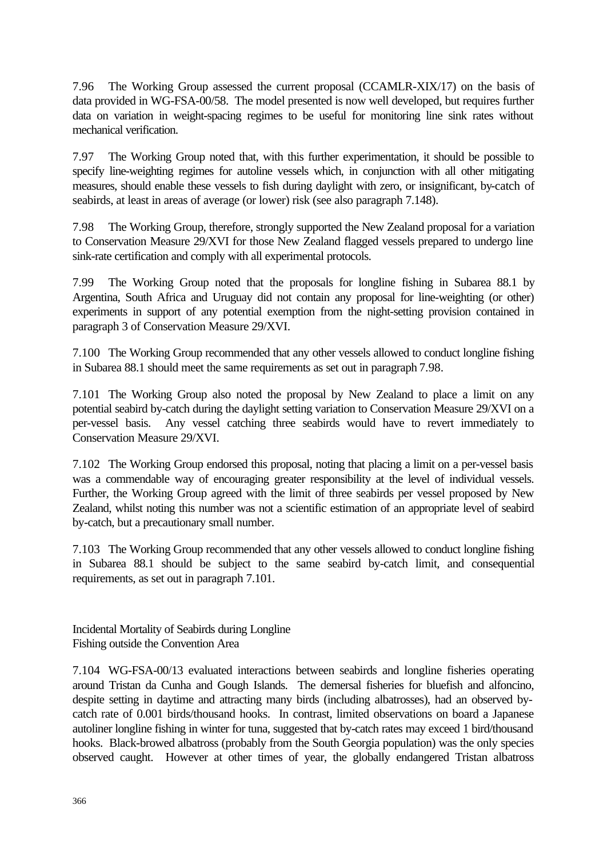7.96 The Working Group assessed the current proposal (CCAMLR-XIX/17) on the basis of data provided in WG-FSA-00/58. The model presented is now well developed, but requires further data on variation in weight-spacing regimes to be useful for monitoring line sink rates without mechanical verification.

7.97 The Working Group noted that, with this further experimentation, it should be possible to specify line-weighting regimes for autoline vessels which, in conjunction with all other mitigating measures, should enable these vessels to fish during daylight with zero, or insignificant, by-catch of seabirds, at least in areas of average (or lower) risk (see also paragraph 7.148).

7.98 The Working Group, therefore, strongly supported the New Zealand proposal for a variation to Conservation Measure 29/XVI for those New Zealand flagged vessels prepared to undergo line sink-rate certification and comply with all experimental protocols.

7.99 The Working Group noted that the proposals for longline fishing in Subarea 88.1 by Argentina, South Africa and Uruguay did not contain any proposal for line-weighting (or other) experiments in support of any potential exemption from the night-setting provision contained in paragraph 3 of Conservation Measure 29/XVI.

7.100 The Working Group recommended that any other vessels allowed to conduct longline fishing in Subarea 88.1 should meet the same requirements as set out in paragraph 7.98.

7.101 The Working Group also noted the proposal by New Zealand to place a limit on any potential seabird by-catch during the daylight setting variation to Conservation Measure 29/XVI on a per-vessel basis. Any vessel catching three seabirds would have to revert immediately to Conservation Measure 29/XVI.

7.102 The Working Group endorsed this proposal, noting that placing a limit on a per-vessel basis was a commendable way of encouraging greater responsibility at the level of individual vessels. Further, the Working Group agreed with the limit of three seabirds per vessel proposed by New Zealand, whilst noting this number was not a scientific estimation of an appropriate level of seabird by-catch, but a precautionary small number.

7.103 The Working Group recommended that any other vessels allowed to conduct longline fishing in Subarea 88.1 should be subject to the same seabird by-catch limit, and consequential requirements, as set out in paragraph 7.101.

Incidental Mortality of Seabirds during Longline Fishing outside the Convention Area

7.104 WG-FSA-00/13 evaluated interactions between seabirds and longline fisheries operating around Tristan da Cunha and Gough Islands. The demersal fisheries for bluefish and alfoncino, despite setting in daytime and attracting many birds (including albatrosses), had an observed bycatch rate of 0.001 birds/thousand hooks. In contrast, limited observations on board a Japanese autoliner longline fishing in winter for tuna, suggested that by-catch rates may exceed 1 bird/thousand hooks. Black-browed albatross (probably from the South Georgia population) was the only species observed caught. However at other times of year, the globally endangered Tristan albatross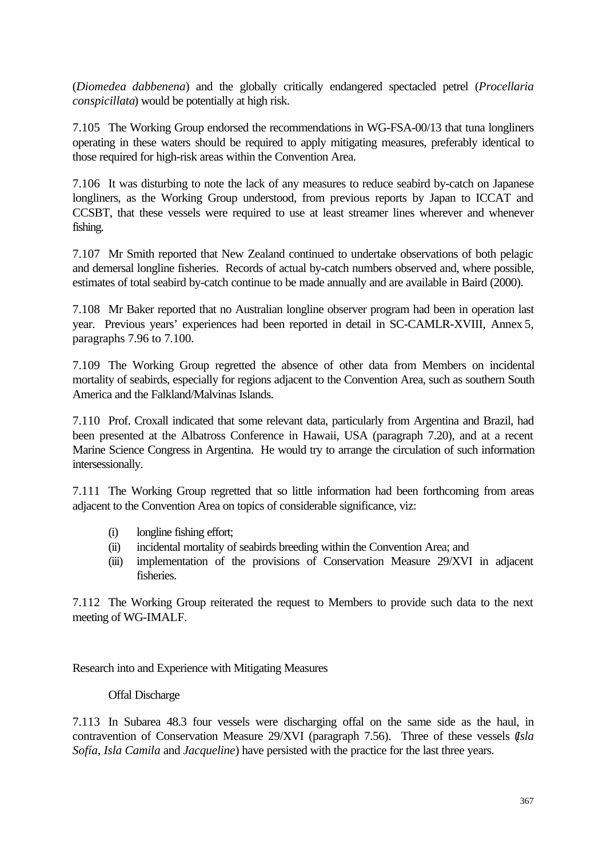(*Diomedea dabbenena*) and the globally critically endangered spectacled petrel (*Procellaria conspicillata*) would be potentially at high risk.

7.105 The Working Group endorsed the recommendations in WG-FSA-00/13 that tuna longliners operating in these waters should be required to apply mitigating measures, preferably identical to those required for high-risk areas within the Convention Area.

7.106 It was disturbing to note the lack of any measures to reduce seabird by-catch on Japanese longliners, as the Working Group understood, from previous reports by Japan to ICCAT and CCSBT, that these vessels were required to use at least streamer lines wherever and whenever fishing.

7.107 Mr Smith reported that New Zealand continued to undertake observations of both pelagic and demersal longline fisheries. Records of actual by-catch numbers observed and, where possible, estimates of total seabird by-catch continue to be made annually and are available in Baird (2000).

7.108 Mr Baker reported that no Australian longline observer program had been in operation last year. Previous years' experiences had been reported in detail in SC-CAMLR-XVIII, Annex 5, paragraphs 7.96 to 7.100.

7.109 The Working Group regretted the absence of other data from Members on incidental mortality of seabirds, especially for regions adjacent to the Convention Area, such as southern South America and the Falkland/Malvinas Islands.

7.110 Prof. Croxall indicated that some relevant data, particularly from Argentina and Brazil, had been presented at the Albatross Conference in Hawaii, USA (paragraph 7.20), and at a recent Marine Science Congress in Argentina. He would try to arrange the circulation of such information intersessionally.

7.111 The Working Group regretted that so little information had been forthcoming from areas adjacent to the Convention Area on topics of considerable significance, viz:

- (i) longline fishing effort;
- (ii) incidental mortality of seabirds breeding within the Convention Area; and
- (iii) implementation of the provisions of Conservation Measure 29/XVI in adjacent fisheries.

7.112 The Working Group reiterated the request to Members to provide such data to the next meeting of WG-IMALF.

Research into and Experience with Mitigating Measures

# Offal Discharge

7.113 In Subarea 48.3 four vessels were discharging offal on the same side as the haul, in contravention of Conservation Measure 29/XVI (paragraph 7.56). Three of these vessels (*Isla Sofía*, *Isla Camila* and *Jacqueline*) have persisted with the practice for the last three years.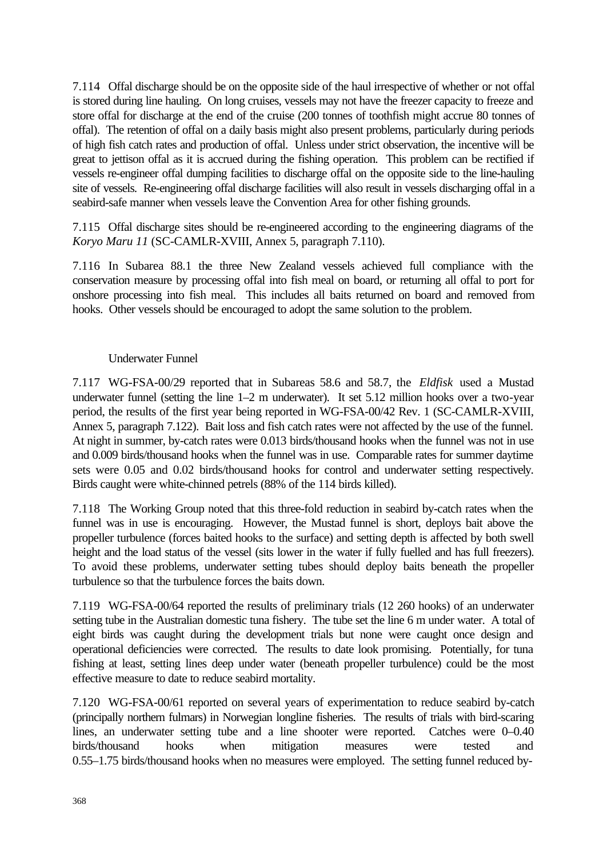7.114 Offal discharge should be on the opposite side of the haul irrespective of whether or not offal is stored during line hauling. On long cruises, vessels may not have the freezer capacity to freeze and store offal for discharge at the end of the cruise (200 tonnes of toothfish might accrue 80 tonnes of offal). The retention of offal on a daily basis might also present problems, particularly during periods of high fish catch rates and production of offal. Unless under strict observation, the incentive will be great to jettison offal as it is accrued during the fishing operation. This problem can be rectified if vessels re-engineer offal dumping facilities to discharge offal on the opposite side to the line-hauling site of vessels. Re-engineering offal discharge facilities will also result in vessels discharging offal in a seabird-safe manner when vessels leave the Convention Area for other fishing grounds.

7.115 Offal discharge sites should be re-engineered according to the engineering diagrams of the *Koryo Maru 11* (SC-CAMLR-XVIII, Annex 5, paragraph 7.110).

7.116 In Subarea 88.1 the three New Zealand vessels achieved full compliance with the conservation measure by processing offal into fish meal on board, or returning all offal to port for onshore processing into fish meal. This includes all baits returned on board and removed from hooks. Other vessels should be encouraged to adopt the same solution to the problem.

## Underwater Funnel

7.117 WG-FSA-00/29 reported that in Subareas 58.6 and 58.7, the *Eldfisk* used a Mustad underwater funnel (setting the line 1–2 m underwater). It set 5.12 million hooks over a two-year period, the results of the first year being reported in WG-FSA-00/42 Rev. 1 (SC-CAMLR-XVIII, Annex 5, paragraph 7.122). Bait loss and fish catch rates were not affected by the use of the funnel. At night in summer, by-catch rates were 0.013 birds/thousand hooks when the funnel was not in use and 0.009 birds/thousand hooks when the funnel was in use. Comparable rates for summer daytime sets were 0.05 and 0.02 birds/thousand hooks for control and underwater setting respectively. Birds caught were white-chinned petrels (88% of the 114 birds killed).

7.118 The Working Group noted that this three-fold reduction in seabird by-catch rates when the funnel was in use is encouraging. However, the Mustad funnel is short, deploys bait above the propeller turbulence (forces baited hooks to the surface) and setting depth is affected by both swell height and the load status of the vessel (sits lower in the water if fully fuelled and has full freezers). To avoid these problems, underwater setting tubes should deploy baits beneath the propeller turbulence so that the turbulence forces the baits down.

7.119 WG-FSA-00/64 reported the results of preliminary trials (12 260 hooks) of an underwater setting tube in the Australian domestic tuna fishery. The tube set the line 6 m under water. A total of eight birds was caught during the development trials but none were caught once design and operational deficiencies were corrected. The results to date look promising. Potentially, for tuna fishing at least, setting lines deep under water (beneath propeller turbulence) could be the most effective measure to date to reduce seabird mortality.

7.120 WG-FSA-00/61 reported on several years of experimentation to reduce seabird by-catch (principally northern fulmars) in Norwegian longline fisheries. The results of trials with bird-scaring lines, an underwater setting tube and a line shooter were reported. Catches were 0–0.40 birds/thousand hooks when mitigation measures were tested and 0.55–1.75 birds/thousand hooks when no measures were employed. The setting funnel reduced by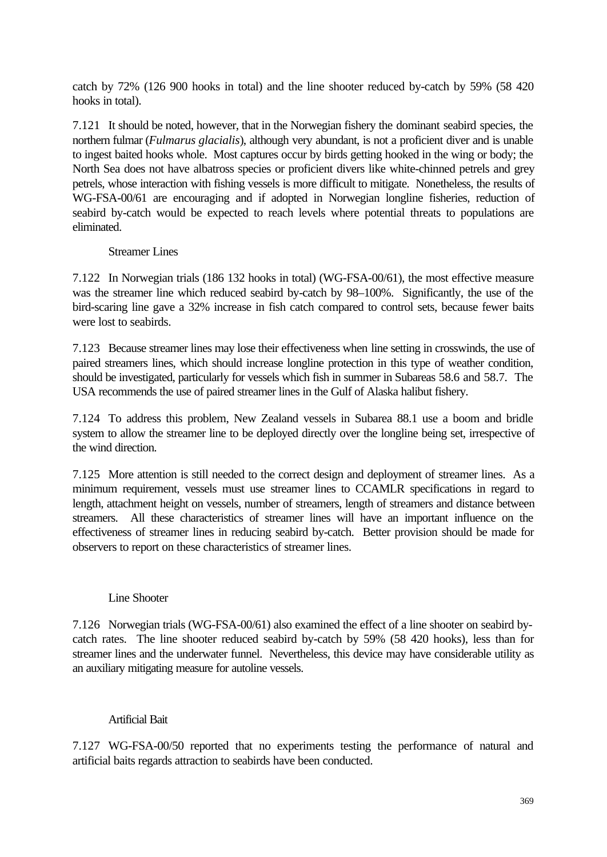catch by 72% (126 900 hooks in total) and the line shooter reduced by-catch by 59% (58 420 hooks in total).

7.121 It should be noted, however, that in the Norwegian fishery the dominant seabird species, the northern fulmar (*Fulmarus glacialis*), although very abundant, is not a proficient diver and is unable to ingest baited hooks whole. Most captures occur by birds getting hooked in the wing or body; the North Sea does not have albatross species or proficient divers like white-chinned petrels and grey petrels, whose interaction with fishing vessels is more difficult to mitigate. Nonetheless, the results of WG-FSA-00/61 are encouraging and if adopted in Norwegian longline fisheries, reduction of seabird by-catch would be expected to reach levels where potential threats to populations are eliminated.

#### Streamer Lines

7.122 In Norwegian trials (186 132 hooks in total) (WG-FSA-00/61), the most effective measure was the streamer line which reduced seabird by-catch by 98–100%. Significantly, the use of the bird-scaring line gave a 32% increase in fish catch compared to control sets, because fewer baits were lost to seabirds.

7.123 Because streamer lines may lose their effectiveness when line setting in crosswinds, the use of paired streamers lines, which should increase longline protection in this type of weather condition, should be investigated, particularly for vessels which fish in summer in Subareas 58.6 and 58.7. The USA recommends the use of paired streamer lines in the Gulf of Alaska halibut fishery.

7.124 To address this problem, New Zealand vessels in Subarea 88.1 use a boom and bridle system to allow the streamer line to be deployed directly over the longline being set, irrespective of the wind direction.

7.125 More attention is still needed to the correct design and deployment of streamer lines. As a minimum requirement, vessels must use streamer lines to CCAMLR specifications in regard to length, attachment height on vessels, number of streamers, length of streamers and distance between streamers. All these characteristics of streamer lines will have an important influence on the effectiveness of streamer lines in reducing seabird by-catch. Better provision should be made for observers to report on these characteristics of streamer lines.

### Line Shooter

7.126 Norwegian trials (WG-FSA-00/61) also examined the effect of a line shooter on seabird bycatch rates. The line shooter reduced seabird by-catch by 59% (58 420 hooks), less than for streamer lines and the underwater funnel. Nevertheless, this device may have considerable utility as an auxiliary mitigating measure for autoline vessels.

### Artificial Bait

7.127 WG-FSA-00/50 reported that no experiments testing the performance of natural and artificial baits regards attraction to seabirds have been conducted.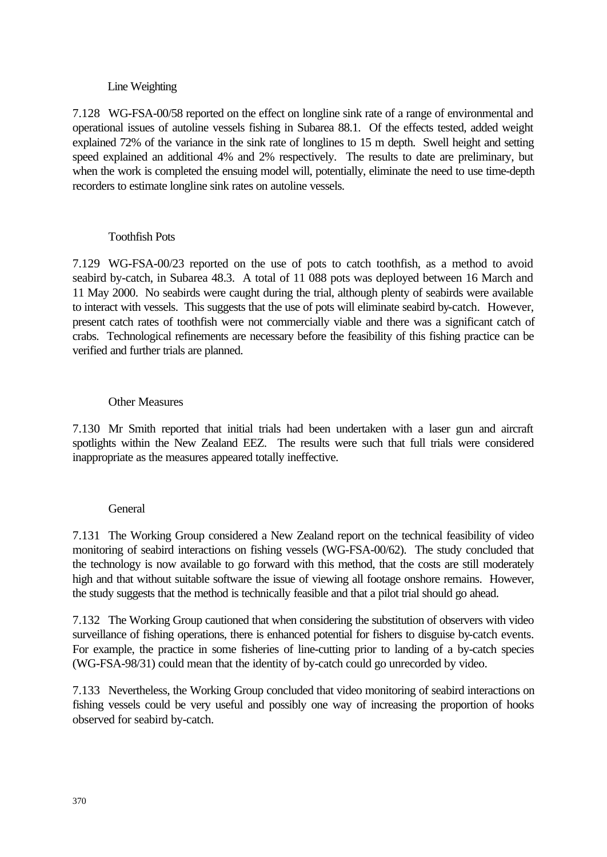### Line Weighting

7.128 WG-FSA-00/58 reported on the effect on longline sink rate of a range of environmental and operational issues of autoline vessels fishing in Subarea 88.1. Of the effects tested, added weight explained 72% of the variance in the sink rate of longlines to 15 m depth. Swell height and setting speed explained an additional 4% and 2% respectively. The results to date are preliminary, but when the work is completed the ensuing model will, potentially, eliminate the need to use time-depth recorders to estimate longline sink rates on autoline vessels.

### Toothfish Pots

7.129 WG-FSA-00/23 reported on the use of pots to catch toothfish, as a method to avoid seabird by-catch, in Subarea 48.3. A total of 11 088 pots was deployed between 16 March and 11 May 2000. No seabirds were caught during the trial, although plenty of seabirds were available to interact with vessels. This suggests that the use of pots will eliminate seabird by-catch. However, present catch rates of toothfish were not commercially viable and there was a significant catch of crabs. Technological refinements are necessary before the feasibility of this fishing practice can be verified and further trials are planned.

### Other Measures

7.130 Mr Smith reported that initial trials had been undertaken with a laser gun and aircraft spotlights within the New Zealand EEZ. The results were such that full trials were considered inappropriate as the measures appeared totally ineffective.

### General

7.131 The Working Group considered a New Zealand report on the technical feasibility of video monitoring of seabird interactions on fishing vessels (WG-FSA-00/62). The study concluded that the technology is now available to go forward with this method, that the costs are still moderately high and that without suitable software the issue of viewing all footage onshore remains. However, the study suggests that the method is technically feasible and that a pilot trial should go ahead.

7.132 The Working Group cautioned that when considering the substitution of observers with video surveillance of fishing operations, there is enhanced potential for fishers to disguise by-catch events. For example, the practice in some fisheries of line-cutting prior to landing of a by-catch species (WG-FSA-98/31) could mean that the identity of by-catch could go unrecorded by video.

7.133 Nevertheless, the Working Group concluded that video monitoring of seabird interactions on fishing vessels could be very useful and possibly one way of increasing the proportion of hooks observed for seabird by-catch.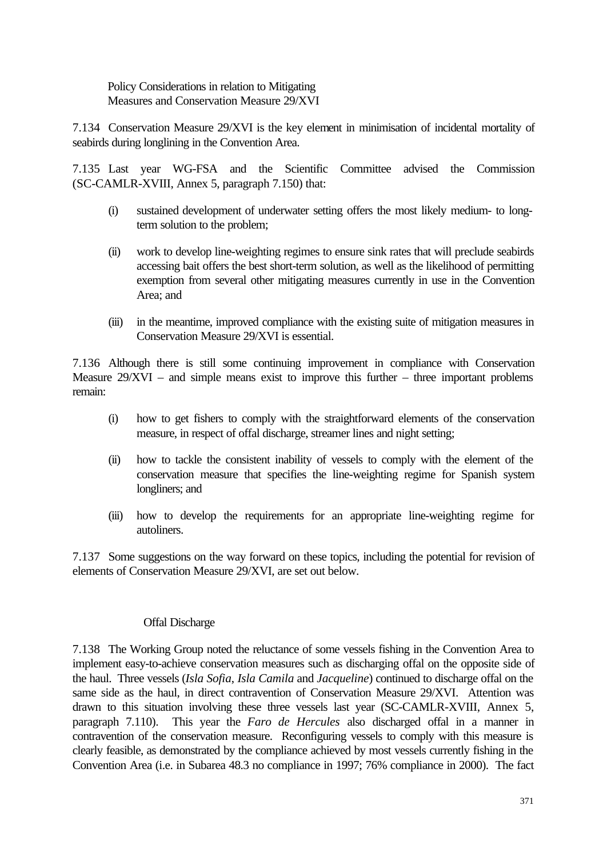Policy Considerations in relation to Mitigating Measures and Conservation Measure 29/XVI

7.134 Conservation Measure 29/XVI is the key element in minimisation of incidental mortality of seabirds during longlining in the Convention Area.

7.135 Last year WG-FSA and the Scientific Committee advised the Commission (SC-CAMLR-XVIII, Annex 5, paragraph 7.150) that:

- (i) sustained development of underwater setting offers the most likely medium- to longterm solution to the problem;
- (ii) work to develop line-weighting regimes to ensure sink rates that will preclude seabirds accessing bait offers the best short-term solution, as well as the likelihood of permitting exemption from several other mitigating measures currently in use in the Convention Area; and
- (iii) in the meantime, improved compliance with the existing suite of mitigation measures in Conservation Measure 29/XVI is essential.

7.136 Although there is still some continuing improvement in compliance with Conservation Measure  $29/XVI$  – and simple means exist to improve this further – three important problems remain:

- (i) how to get fishers to comply with the straightforward elements of the conservation measure, in respect of offal discharge, streamer lines and night setting;
- (ii) how to tackle the consistent inability of vessels to comply with the element of the conservation measure that specifies the line-weighting regime for Spanish system longliners; and
- (iii) how to develop the requirements for an appropriate line-weighting regime for autoliners.

7.137 Some suggestions on the way forward on these topics, including the potential for revision of elements of Conservation Measure 29/XVI, are set out below.

### Offal Discharge

7.138 The Working Group noted the reluctance of some vessels fishing in the Convention Area to implement easy-to-achieve conservation measures such as discharging offal on the opposite side of the haul. Three vessels (*Isla Sofia*, *Isla Camila* and *Jacqueline*) continued to discharge offal on the same side as the haul, in direct contravention of Conservation Measure 29/XVI. Attention was drawn to this situation involving these three vessels last year (SC-CAMLR-XVIII, Annex 5, paragraph 7.110). This year the *Faro de Hercules* also discharged offal in a manner in contravention of the conservation measure. Reconfiguring vessels to comply with this measure is clearly feasible, as demonstrated by the compliance achieved by most vessels currently fishing in the Convention Area (i.e. in Subarea 48.3 no compliance in 1997; 76% compliance in 2000). The fact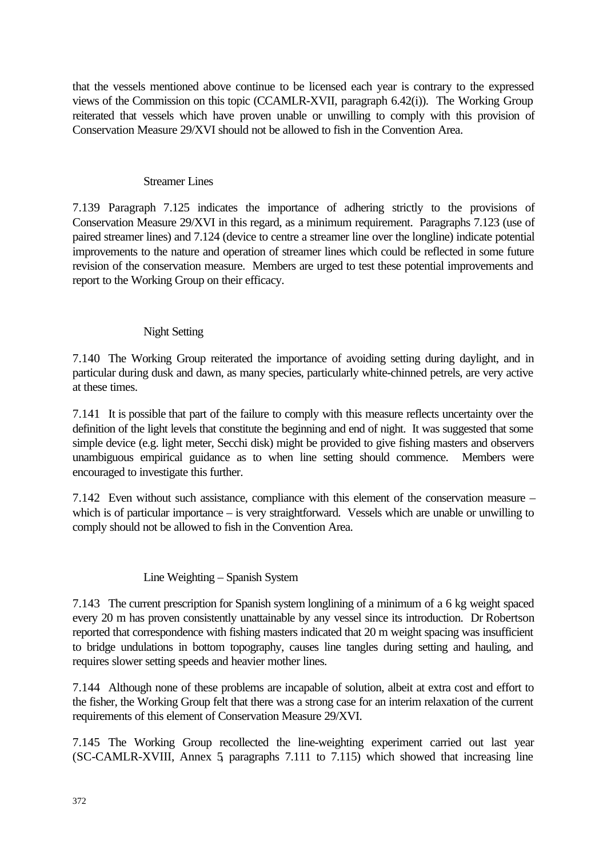that the vessels mentioned above continue to be licensed each year is contrary to the expressed views of the Commission on this topic (CCAMLR-XVII, paragraph 6.42(i)). The Working Group reiterated that vessels which have proven unable or unwilling to comply with this provision of Conservation Measure 29/XVI should not be allowed to fish in the Convention Area.

#### Streamer Lines

7.139 Paragraph 7.125 indicates the importance of adhering strictly to the provisions of Conservation Measure 29/XVI in this regard, as a minimum requirement. Paragraphs 7.123 (use of paired streamer lines) and 7.124 (device to centre a streamer line over the longline) indicate potential improvements to the nature and operation of streamer lines which could be reflected in some future revision of the conservation measure. Members are urged to test these potential improvements and report to the Working Group on their efficacy.

## Night Setting

7.140 The Working Group reiterated the importance of avoiding setting during daylight, and in particular during dusk and dawn, as many species, particularly white-chinned petrels, are very active at these times.

7.141 It is possible that part of the failure to comply with this measure reflects uncertainty over the definition of the light levels that constitute the beginning and end of night. It was suggested that some simple device (e.g. light meter, Secchi disk) might be provided to give fishing masters and observers unambiguous empirical guidance as to when line setting should commence. Members were encouraged to investigate this further.

7.142 Even without such assistance, compliance with this element of the conservation measure – which is of particular importance – is very straightforward. Vessels which are unable or unwilling to comply should not be allowed to fish in the Convention Area.

### Line Weighting – Spanish System

7.143 The current prescription for Spanish system longlining of a minimum of a 6 kg weight spaced every 20 m has proven consistently unattainable by any vessel since its introduction. Dr Robertson reported that correspondence with fishing masters indicated that 20 m weight spacing was insufficient to bridge undulations in bottom topography, causes line tangles during setting and hauling, and requires slower setting speeds and heavier mother lines.

7.144 Although none of these problems are incapable of solution, albeit at extra cost and effort to the fisher, the Working Group felt that there was a strong case for an interim relaxation of the current requirements of this element of Conservation Measure 29/XVI.

7.145 The Working Group recollected the line-weighting experiment carried out last year (SC-CAMLR-XVIII, Annex 5, paragraphs 7.111 to 7.115) which showed that increasing line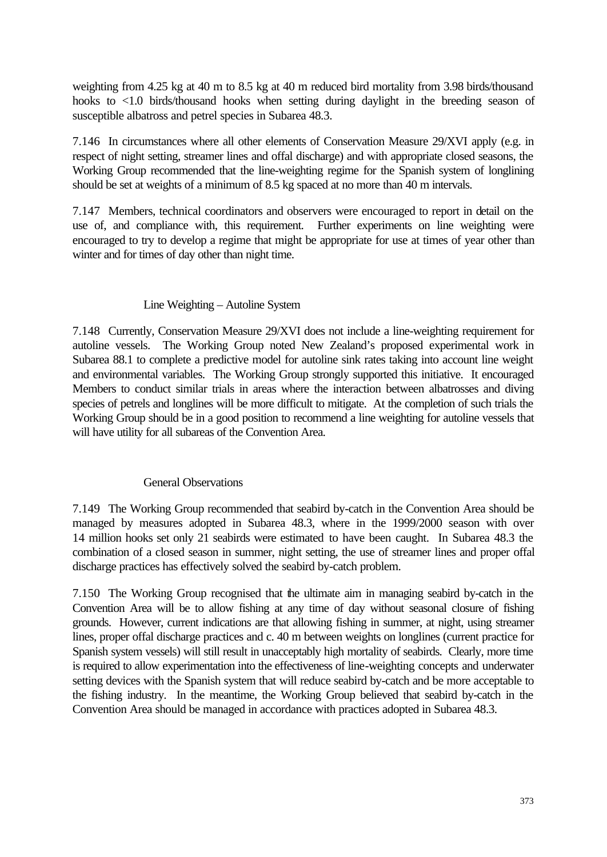weighting from 4.25 kg at 40 m to 8.5 kg at 40 m reduced bird mortality from 3.98 birds/thousand hooks to <1.0 birds/thousand hooks when setting during daylight in the breeding season of susceptible albatross and petrel species in Subarea 48.3.

7.146 In circumstances where all other elements of Conservation Measure 29/XVI apply (e.g. in respect of night setting, streamer lines and offal discharge) and with appropriate closed seasons, the Working Group recommended that the line-weighting regime for the Spanish system of longlining should be set at weights of a minimum of 8.5 kg spaced at no more than 40 m intervals.

7.147 Members, technical coordinators and observers were encouraged to report in detail on the use of, and compliance with, this requirement. Further experiments on line weighting were encouraged to try to develop a regime that might be appropriate for use at times of year other than winter and for times of day other than night time.

# Line Weighting – Autoline System

7.148 Currently, Conservation Measure 29/XVI does not include a line-weighting requirement for autoline vessels. The Working Group noted New Zealand's proposed experimental work in Subarea 88.1 to complete a predictive model for autoline sink rates taking into account line weight and environmental variables. The Working Group strongly supported this initiative. It encouraged Members to conduct similar trials in areas where the interaction between albatrosses and diving species of petrels and longlines will be more difficult to mitigate. At the completion of such trials the Working Group should be in a good position to recommend a line weighting for autoline vessels that will have utility for all subareas of the Convention Area.

### General Observations

7.149 The Working Group recommended that seabird by-catch in the Convention Area should be managed by measures adopted in Subarea 48.3, where in the 1999/2000 season with over 14 million hooks set only 21 seabirds were estimated to have been caught. In Subarea 48.3 the combination of a closed season in summer, night setting, the use of streamer lines and proper offal discharge practices has effectively solved the seabird by-catch problem.

7.150 The Working Group recognised that the ultimate aim in managing seabird by-catch in the Convention Area will be to allow fishing at any time of day without seasonal closure of fishing grounds. However, current indications are that allowing fishing in summer, at night, using streamer lines, proper offal discharge practices and c. 40 m between weights on longlines (current practice for Spanish system vessels) will still result in unacceptably high mortality of seabirds. Clearly, more time is required to allow experimentation into the effectiveness of line-weighting concepts and underwater setting devices with the Spanish system that will reduce seabird by-catch and be more acceptable to the fishing industry. In the meantime, the Working Group believed that seabird by-catch in the Convention Area should be managed in accordance with practices adopted in Subarea 48.3.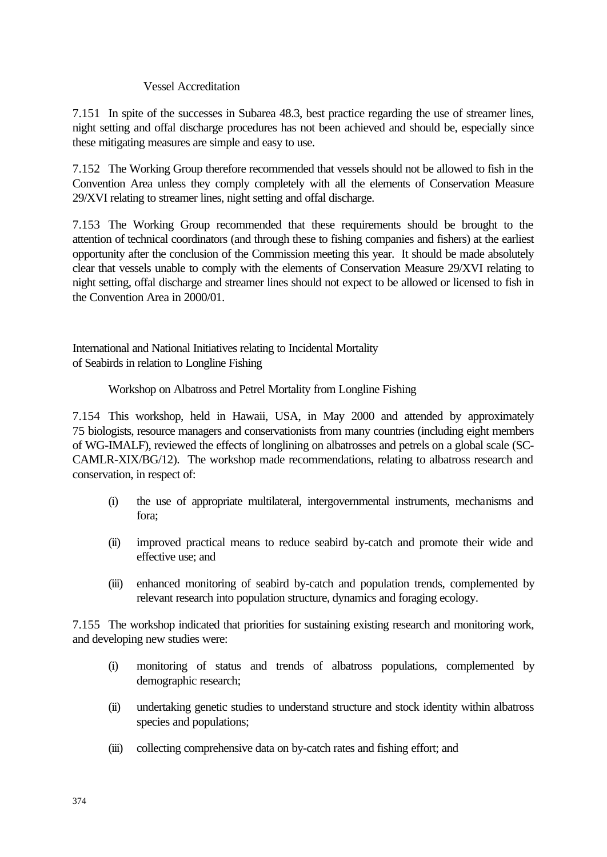### Vessel Accreditation

7.151 In spite of the successes in Subarea 48.3, best practice regarding the use of streamer lines, night setting and offal discharge procedures has not been achieved and should be, especially since these mitigating measures are simple and easy to use.

7.152 The Working Group therefore recommended that vessels should not be allowed to fish in the Convention Area unless they comply completely with all the elements of Conservation Measure 29/XVI relating to streamer lines, night setting and offal discharge.

7.153 The Working Group recommended that these requirements should be brought to the attention of technical coordinators (and through these to fishing companies and fishers) at the earliest opportunity after the conclusion of the Commission meeting this year. It should be made absolutely clear that vessels unable to comply with the elements of Conservation Measure 29/XVI relating to night setting, offal discharge and streamer lines should not expect to be allowed or licensed to fish in the Convention Area in 2000/01.

International and National Initiatives relating to Incidental Mortality of Seabirds in relation to Longline Fishing

## Workshop on Albatross and Petrel Mortality from Longline Fishing

7.154 This workshop, held in Hawaii, USA, in May 2000 and attended by approximately 75 biologists, resource managers and conservationists from many countries (including eight members of WG-IMALF), reviewed the effects of longlining on albatrosses and petrels on a global scale (SC-CAMLR-XIX/BG/12). The workshop made recommendations, relating to albatross research and conservation, in respect of:

- (i) the use of appropriate multilateral, intergovernmental instruments, mechanisms and fora;
- (ii) improved practical means to reduce seabird by-catch and promote their wide and effective use; and
- (iii) enhanced monitoring of seabird by-catch and population trends, complemented by relevant research into population structure, dynamics and foraging ecology.

7.155 The workshop indicated that priorities for sustaining existing research and monitoring work, and developing new studies were:

- (i) monitoring of status and trends of albatross populations, complemented by demographic research;
- (ii) undertaking genetic studies to understand structure and stock identity within albatross species and populations;
- (iii) collecting comprehensive data on by-catch rates and fishing effort; and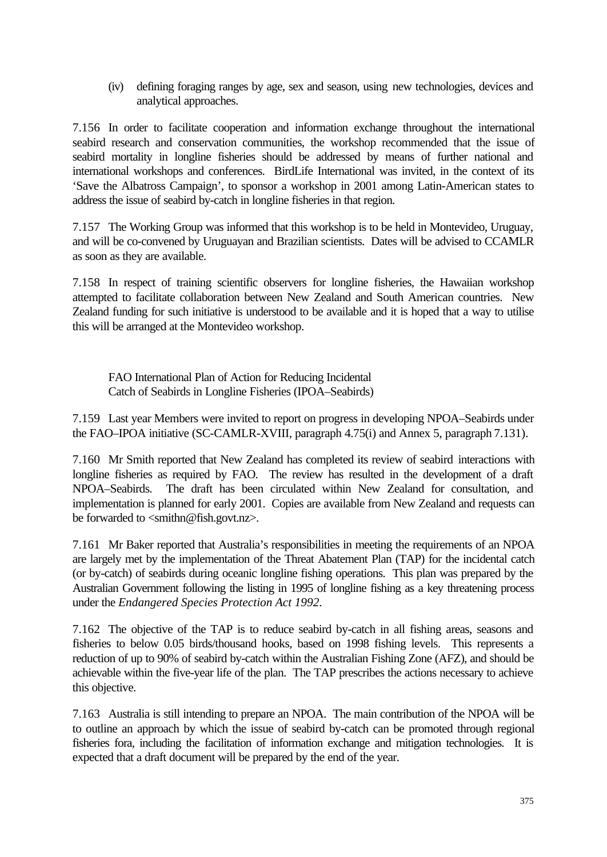(iv) defining foraging ranges by age, sex and season, using new technologies, devices and analytical approaches.

7.156 In order to facilitate cooperation and information exchange throughout the international seabird research and conservation communities, the workshop recommended that the issue of seabird mortality in longline fisheries should be addressed by means of further national and international workshops and conferences. BirdLife International was invited, in the context of its 'Save the Albatross Campaign', to sponsor a workshop in 2001 among Latin-American states to address the issue of seabird by-catch in longline fisheries in that region.

7.157 The Working Group was informed that this workshop is to be held in Montevideo, Uruguay, and will be co-convened by Uruguayan and Brazilian scientists. Dates will be advised to CCAMLR as soon as they are available.

7.158 In respect of training scientific observers for longline fisheries, the Hawaiian workshop attempted to facilitate collaboration between New Zealand and South American countries. New Zealand funding for such initiative is understood to be available and it is hoped that a way to utilise this will be arranged at the Montevideo workshop.

FAO International Plan of Action for Reducing Incidental Catch of Seabirds in Longline Fisheries (IPOA–Seabirds)

7.159 Last year Members were invited to report on progress in developing NPOA–Seabirds under the FAO–IPOA initiative (SC-CAMLR-XVIII, paragraph 4.75(i) and Annex 5, paragraph 7.131).

7.160 Mr Smith reported that New Zealand has completed its review of seabird interactions with longline fisheries as required by FAO. The review has resulted in the development of a draft NPOA–Seabirds. The draft has been circulated within New Zealand for consultation, and implementation is planned for early 2001. Copies are available from New Zealand and requests can be forwarded to <smithn@fish.govt.nz>.

7.161 Mr Baker reported that Australia's responsibilities in meeting the requirements of an NPOA are largely met by the implementation of the Threat Abatement Plan (TAP) for the incidental catch (or by-catch) of seabirds during oceanic longline fishing operations. This plan was prepared by the Australian Government following the listing in 1995 of longline fishing as a key threatening process under the *Endangered Species Protection Act 1992*.

7.162 The objective of the TAP is to reduce seabird by-catch in all fishing areas, seasons and fisheries to below 0.05 birds/thousand hooks, based on 1998 fishing levels. This represents a reduction of up to 90% of seabird by-catch within the Australian Fishing Zone (AFZ), and should be achievable within the five-year life of the plan. The TAP prescribes the actions necessary to achieve this objective.

7.163 Australia is still intending to prepare an NPOA. The main contribution of the NPOA will be to outline an approach by which the issue of seabird by-catch can be promoted through regional fisheries fora, including the facilitation of information exchange and mitigation technologies. It is expected that a draft document will be prepared by the end of the year.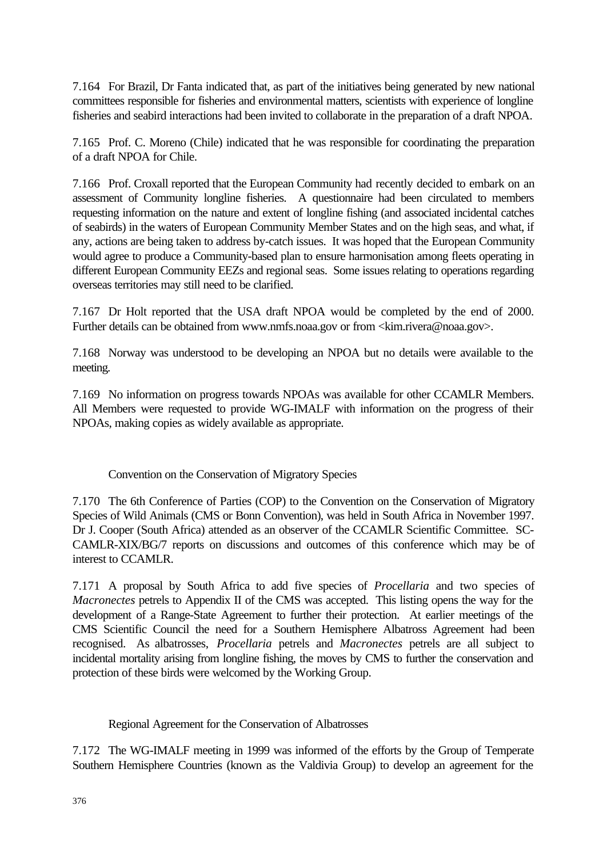7.164 For Brazil, Dr Fanta indicated that, as part of the initiatives being generated by new national committees responsible for fisheries and environmental matters, scientists with experience of longline fisheries and seabird interactions had been invited to collaborate in the preparation of a draft NPOA.

7.165 Prof. C. Moreno (Chile) indicated that he was responsible for coordinating the preparation of a draft NPOA for Chile.

7.166 Prof. Croxall reported that the European Community had recently decided to embark on an assessment of Community longline fisheries. A questionnaire had been circulated to members requesting information on the nature and extent of longline fishing (and associated incidental catches of seabirds) in the waters of European Community Member States and on the high seas, and what, if any, actions are being taken to address by-catch issues. It was hoped that the European Community would agree to produce a Community-based plan to ensure harmonisation among fleets operating in different European Community EEZs and regional seas. Some issues relating to operations regarding overseas territories may still need to be clarified.

7.167 Dr Holt reported that the USA draft NPOA would be completed by the end of 2000. Further details can be obtained from www.nmfs.noaa.gov or from <kim.rivera@noaa.gov>.

7.168 Norway was understood to be developing an NPOA but no details were available to the meeting.

7.169 No information on progress towards NPOAs was available for other CCAMLR Members. All Members were requested to provide WG-IMALF with information on the progress of their NPOAs, making copies as widely available as appropriate.

Convention on the Conservation of Migratory Species

7.170 The 6th Conference of Parties (COP) to the Convention on the Conservation of Migratory Species of Wild Animals (CMS or Bonn Convention), was held in South Africa in November 1997. Dr J. Cooper (South Africa) attended as an observer of the CCAMLR Scientific Committee. SC-CAMLR-XIX/BG/7 reports on discussions and outcomes of this conference which may be of interest to CCAMLR.

7.171 A proposal by South Africa to add five species of *Procellaria* and two species of *Macronectes* petrels to Appendix II of the CMS was accepted. This listing opens the way for the development of a Range-State Agreement to further their protection. At earlier meetings of the CMS Scientific Council the need for a Southern Hemisphere Albatross Agreement had been recognised. As albatrosses, *Procellaria* petrels and *Macronectes* petrels are all subject to incidental mortality arising from longline fishing, the moves by CMS to further the conservation and protection of these birds were welcomed by the Working Group.

Regional Agreement for the Conservation of Albatrosses

7.172 The WG-IMALF meeting in 1999 was informed of the efforts by the Group of Temperate Southern Hemisphere Countries (known as the Valdivia Group) to develop an agreement for the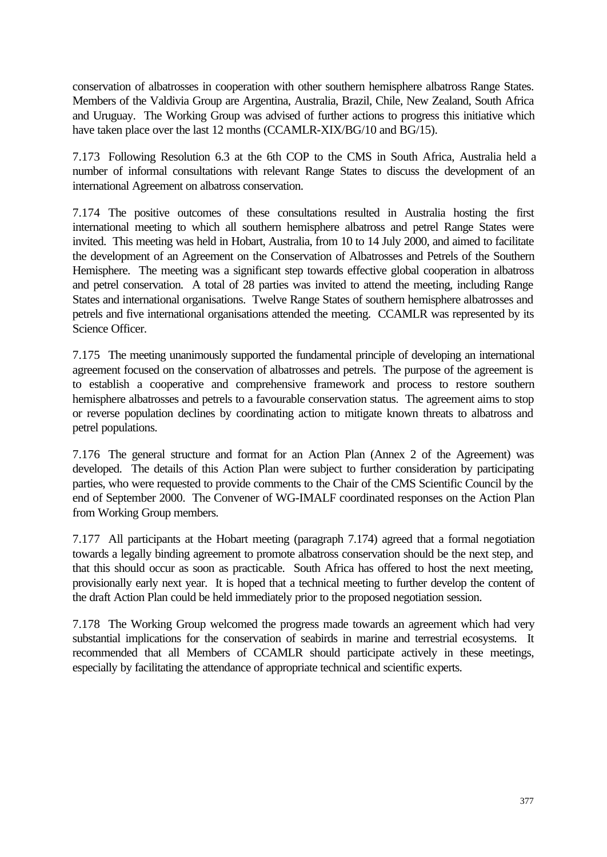conservation of albatrosses in cooperation with other southern hemisphere albatross Range States. Members of the Valdivia Group are Argentina, Australia, Brazil, Chile, New Zealand, South Africa and Uruguay. The Working Group was advised of further actions to progress this initiative which have taken place over the last 12 months (CCAMLR-XIX/BG/10 and BG/15).

7.173 Following Resolution 6.3 at the 6th COP to the CMS in South Africa, Australia held a number of informal consultations with relevant Range States to discuss the development of an international Agreement on albatross conservation.

7.174 The positive outcomes of these consultations resulted in Australia hosting the first international meeting to which all southern hemisphere albatross and petrel Range States were invited. This meeting was held in Hobart, Australia, from 10 to 14 July 2000, and aimed to facilitate the development of an Agreement on the Conservation of Albatrosses and Petrels of the Southern Hemisphere. The meeting was a significant step towards effective global cooperation in albatross and petrel conservation. A total of 28 parties was invited to attend the meeting, including Range States and international organisations. Twelve Range States of southern hemisphere albatrosses and petrels and five international organisations attended the meeting. CCAMLR was represented by its Science Officer.

7.175 The meeting unanimously supported the fundamental principle of developing an international agreement focused on the conservation of albatrosses and petrels. The purpose of the agreement is to establish a cooperative and comprehensive framework and process to restore southern hemisphere albatrosses and petrels to a favourable conservation status. The agreement aims to stop or reverse population declines by coordinating action to mitigate known threats to albatross and petrel populations.

7.176 The general structure and format for an Action Plan (Annex 2 of the Agreement) was developed. The details of this Action Plan were subject to further consideration by participating parties, who were requested to provide comments to the Chair of the CMS Scientific Council by the end of September 2000. The Convener of WG-IMALF coordinated responses on the Action Plan from Working Group members.

7.177 All participants at the Hobart meeting (paragraph 7.174) agreed that a formal negotiation towards a legally binding agreement to promote albatross conservation should be the next step, and that this should occur as soon as practicable. South Africa has offered to host the next meeting, provisionally early next year. It is hoped that a technical meeting to further develop the content of the draft Action Plan could be held immediately prior to the proposed negotiation session.

7.178 The Working Group welcomed the progress made towards an agreement which had very substantial implications for the conservation of seabirds in marine and terrestrial ecosystems. It recommended that all Members of CCAMLR should participate actively in these meetings, especially by facilitating the attendance of appropriate technical and scientific experts.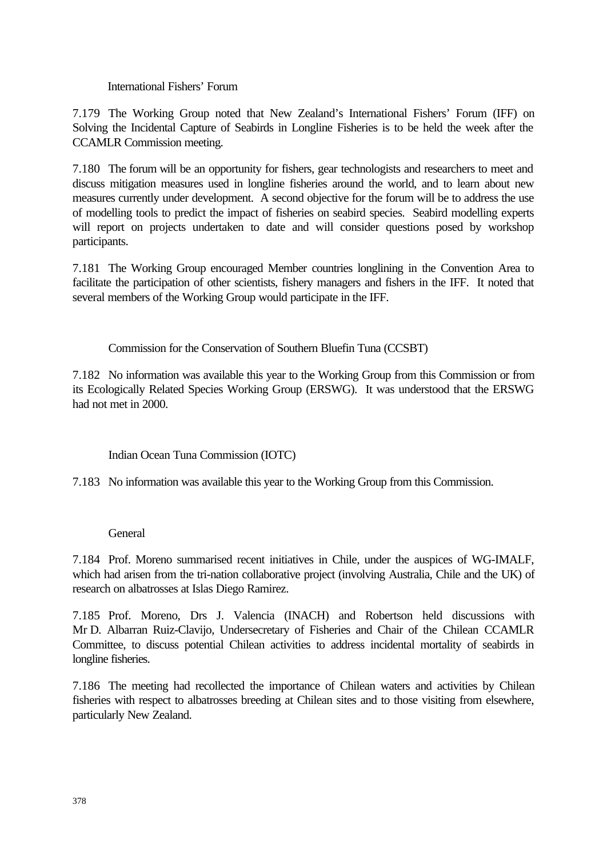International Fishers' Forum

7.179 The Working Group noted that New Zealand's International Fishers' Forum (IFF) on Solving the Incidental Capture of Seabirds in Longline Fisheries is to be held the week after the CCAMLR Commission meeting.

7.180 The forum will be an opportunity for fishers, gear technologists and researchers to meet and discuss mitigation measures used in longline fisheries around the world, and to learn about new measures currently under development. A second objective for the forum will be to address the use of modelling tools to predict the impact of fisheries on seabird species. Seabird modelling experts will report on projects undertaken to date and will consider questions posed by workshop participants.

7.181 The Working Group encouraged Member countries longlining in the Convention Area to facilitate the participation of other scientists, fishery managers and fishers in the IFF. It noted that several members of the Working Group would participate in the IFF.

Commission for the Conservation of Southern Bluefin Tuna (CCSBT)

7.182 No information was available this year to the Working Group from this Commission or from its Ecologically Related Species Working Group (ERSWG). It was understood that the ERSWG had not met in 2000.

Indian Ocean Tuna Commission (IOTC)

7.183 No information was available this year to the Working Group from this Commission.

#### **General**

7.184 Prof. Moreno summarised recent initiatives in Chile, under the auspices of WG-IMALF, which had arisen from the tri-nation collaborative project (involving Australia, Chile and the UK) of research on albatrosses at Islas Diego Ramirez.

7.185 Prof. Moreno, Drs J. Valencia (INACH) and Robertson held discussions with Mr D. Albarran Ruiz-Clavijo, Undersecretary of Fisheries and Chair of the Chilean CCAMLR Committee, to discuss potential Chilean activities to address incidental mortality of seabirds in longline fisheries.

7.186 The meeting had recollected the importance of Chilean waters and activities by Chilean fisheries with respect to albatrosses breeding at Chilean sites and to those visiting from elsewhere, particularly New Zealand.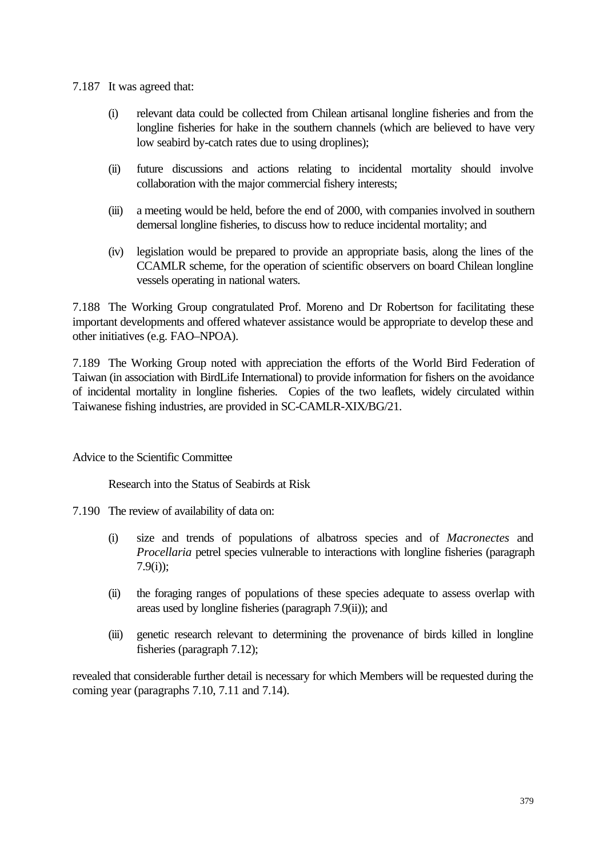- 7.187 It was agreed that:
	- (i) relevant data could be collected from Chilean artisanal longline fisheries and from the longline fisheries for hake in the southern channels (which are believed to have very low seabird by-catch rates due to using droplines);
	- (ii) future discussions and actions relating to incidental mortality should involve collaboration with the major commercial fishery interests;
	- (iii) a meeting would be held, before the end of 2000, with companies involved in southern demersal longline fisheries, to discuss how to reduce incidental mortality; and
	- (iv) legislation would be prepared to provide an appropriate basis, along the lines of the CCAMLR scheme, for the operation of scientific observers on board Chilean longline vessels operating in national waters.

7.188 The Working Group congratulated Prof. Moreno and Dr Robertson for facilitating these important developments and offered whatever assistance would be appropriate to develop these and other initiatives (e.g. FAO–NPOA).

7.189 The Working Group noted with appreciation the efforts of the World Bird Federation of Taiwan (in association with BirdLife International) to provide information for fishers on the avoidance of incidental mortality in longline fisheries. Copies of the two leaflets, widely circulated within Taiwanese fishing industries, are provided in SC-CAMLR-XIX/BG/21.

Advice to the Scientific Committee

Research into the Status of Seabirds at Risk

7.190 The review of availability of data on:

- (i) size and trends of populations of albatross species and of *Macronectes* and *Procellaria* petrel species vulnerable to interactions with longline fisheries (paragraph 7.9(i));
- (ii) the foraging ranges of populations of these species adequate to assess overlap with areas used by longline fisheries (paragraph 7.9(ii)); and
- (iii) genetic research relevant to determining the provenance of birds killed in longline fisheries (paragraph 7.12);

revealed that considerable further detail is necessary for which Members will be requested during the coming year (paragraphs 7.10, 7.11 and 7.14).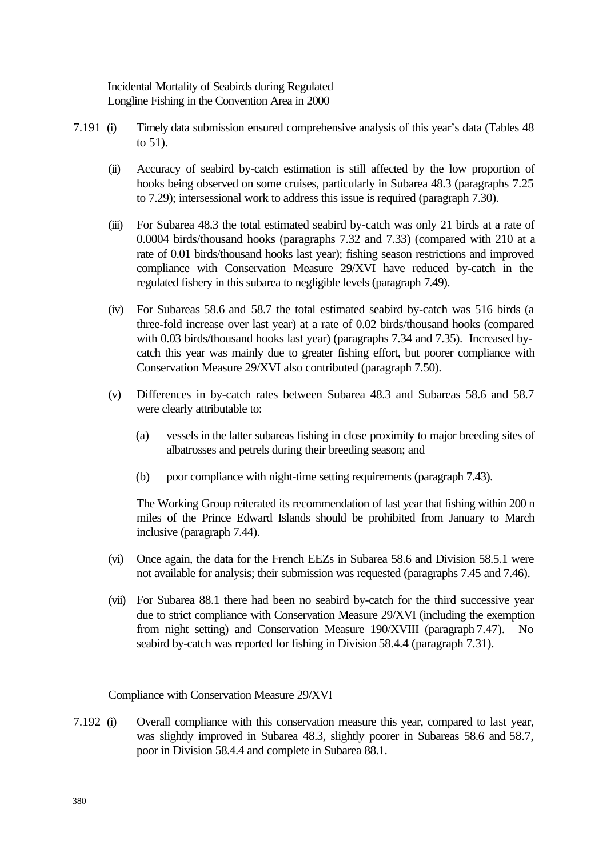Incidental Mortality of Seabirds during Regulated Longline Fishing in the Convention Area in 2000

- 7.191 (i) Timely data submission ensured comprehensive analysis of this year's data (Tables 48 to 51).
	- (ii) Accuracy of seabird by-catch estimation is still affected by the low proportion of hooks being observed on some cruises, particularly in Subarea 48.3 (paragraphs 7.25 to 7.29); intersessional work to address this issue is required (paragraph 7.30).
	- (iii) For Subarea 48.3 the total estimated seabird by-catch was only 21 birds at a rate of 0.0004 birds/thousand hooks (paragraphs 7.32 and 7.33) (compared with 210 at a rate of 0.01 birds/thousand hooks last year); fishing season restrictions and improved compliance with Conservation Measure 29/XVI have reduced by-catch in the regulated fishery in this subarea to negligible levels (paragraph 7.49).
	- (iv) For Subareas 58.6 and 58.7 the total estimated seabird by-catch was 516 birds (a three-fold increase over last year) at a rate of 0.02 birds/thousand hooks (compared with 0.03 birds/thousand hooks last year) (paragraphs 7.34 and 7.35). Increased bycatch this year was mainly due to greater fishing effort, but poorer compliance with Conservation Measure 29/XVI also contributed (paragraph 7.50).
	- (v) Differences in by-catch rates between Subarea 48.3 and Subareas 58.6 and 58.7 were clearly attributable to:
		- (a) vessels in the latter subareas fishing in close proximity to major breeding sites of albatrosses and petrels during their breeding season; and
		- (b) poor compliance with night-time setting requirements (paragraph 7.43).

The Working Group reiterated its recommendation of last year that fishing within 200 n miles of the Prince Edward Islands should be prohibited from January to March inclusive (paragraph 7.44).

- (vi) Once again, the data for the French EEZs in Subarea 58.6 and Division 58.5.1 were not available for analysis; their submission was requested (paragraphs 7.45 and 7.46).
- (vii) For Subarea 88.1 there had been no seabird by-catch for the third successive year due to strict compliance with Conservation Measure 29/XVI (including the exemption from night setting) and Conservation Measure 190/XVIII (paragraph 7.47). No seabird by-catch was reported for fishing in Division 58.4.4 (paragraph 7.31).

#### Compliance with Conservation Measure 29/XVI

7.192 (i) Overall compliance with this conservation measure this year, compared to last year, was slightly improved in Subarea 48.3, slightly poorer in Subareas 58.6 and 58.7, poor in Division 58.4.4 and complete in Subarea 88.1.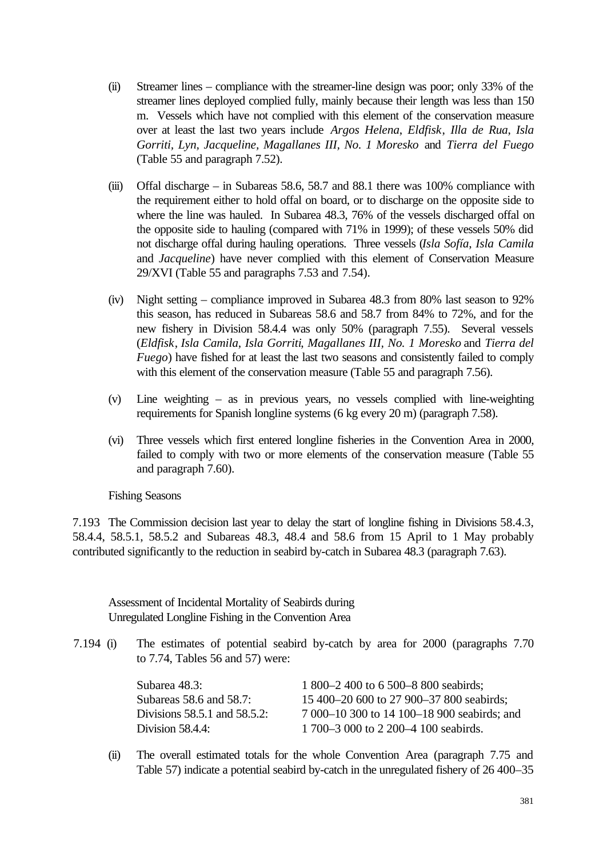- (ii) Streamer lines compliance with the streamer-line design was poor; only 33% of the streamer lines deployed complied fully, mainly because their length was less than 150 m. Vessels which have not complied with this element of the conservation measure over at least the last two years include *Argos Helena*, *Eldfisk*, *Illa de Rua*, *Isla Gorriti, Lyn, Jacqueline, Magallanes III, No. 1 Moresko* and *Tierra del Fuego* (Table 55 and paragraph 7.52).
- (iii) Offal discharge in Subareas 58.6, 58.7 and 88.1 there was  $100\%$  compliance with the requirement either to hold offal on board, or to discharge on the opposite side to where the line was hauled. In Subarea 48.3, 76% of the vessels discharged offal on the opposite side to hauling (compared with 71% in 1999); of these vessels 50% did not discharge offal during hauling operations. Three vessels (*Isla Sofía*, *Isla Camila* and *Jacqueline*) have never complied with this element of Conservation Measure 29/XVI (Table 55 and paragraphs 7.53 and 7.54).
- (iv) Night setting compliance improved in Subarea 48.3 from 80% last season to 92% this season, has reduced in Subareas 58.6 and 58.7 from 84% to 72%, and for the new fishery in Division 58.4.4 was only 50% (paragraph 7.55). Several vessels (*Eldfisk*, *Isla Camila*, *Isla Gorriti*, *Magallanes III, No. 1 Moresko* and *Tierra del Fuego*) have fished for at least the last two seasons and consistently failed to comply with this element of the conservation measure (Table 55 and paragraph 7.56).
- (v) Line weighting as in previous years, no vessels complied with line-weighting requirements for Spanish longline systems (6 kg every 20 m) (paragraph 7.58).
- (vi) Three vessels which first entered longline fisheries in the Convention Area in 2000, failed to comply with two or more elements of the conservation measure (Table 55 and paragraph 7.60).

Fishing Seasons

7.193 The Commission decision last year to delay the start of longline fishing in Divisions 58.4.3, 58.4.4, 58.5.1, 58.5.2 and Subareas 48.3, 48.4 and 58.6 from 15 April to 1 May probably contributed significantly to the reduction in seabird by-catch in Subarea 48.3 (paragraph 7.63).

Assessment of Incidental Mortality of Seabirds during Unregulated Longline Fishing in the Convention Area

7.194 (i) The estimates of potential seabird by-catch by area for 2000 (paragraphs 7.70 to 7.74, Tables 56 and 57) were:

| Subarea 48.3:                | 1 800–2 400 to 6 500–8 800 seabirds;        |
|------------------------------|---------------------------------------------|
| Subareas 58.6 and 58.7:      | 15 400–20 600 to 27 900–37 800 seabirds;    |
| Divisions 58.5.1 and 58.5.2: | 7 000–10 300 to 14 100–18 900 seabirds; and |
| Division 58.4.4:             | 1700–3 000 to 2 200–4 100 seabirds.         |

(ii) The overall estimated totals for the whole Convention Area (paragraph 7.75 and Table 57) indicate a potential seabird by-catch in the unregulated fishery of 26 400–35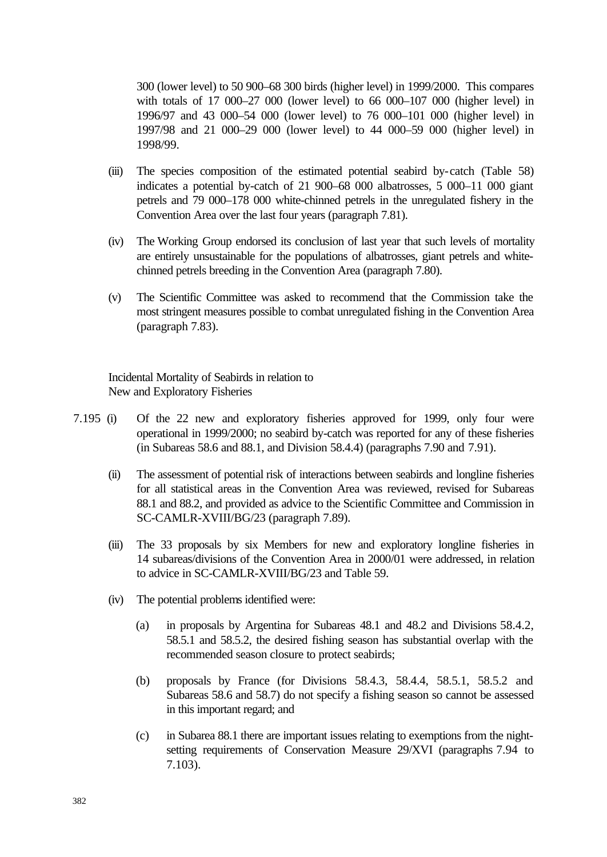300 (lower level) to 50 900–68 300 birds (higher level) in 1999/2000. This compares with totals of 17 000–27 000 (lower level) to 66 000–107 000 (higher level) in 1996/97 and 43 000–54 000 (lower level) to 76 000–101 000 (higher level) in 1997/98 and 21 000–29 000 (lower level) to 44 000–59 000 (higher level) in 1998/99.

- (iii) The species composition of the estimated potential seabird by-catch (Table 58) indicates a potential by-catch of 21 900–68 000 albatrosses, 5 000–11 000 giant petrels and 79 000–178 000 white-chinned petrels in the unregulated fishery in the Convention Area over the last four years (paragraph 7.81).
- (iv) The Working Group endorsed its conclusion of last year that such levels of mortality are entirely unsustainable for the populations of albatrosses, giant petrels and whitechinned petrels breeding in the Convention Area (paragraph 7.80).
- (v) The Scientific Committee was asked to recommend that the Commission take the most stringent measures possible to combat unregulated fishing in the Convention Area (paragraph 7.83).

Incidental Mortality of Seabirds in relation to New and Exploratory Fisheries

- 7.195 (i) Of the 22 new and exploratory fisheries approved for 1999, only four were operational in 1999/2000; no seabird by-catch was reported for any of these fisheries (in Subareas 58.6 and 88.1, and Division 58.4.4) (paragraphs 7.90 and 7.91).
	- (ii) The assessment of potential risk of interactions between seabirds and longline fisheries for all statistical areas in the Convention Area was reviewed, revised for Subareas 88.1 and 88.2, and provided as advice to the Scientific Committee and Commission in SC-CAMLR-XVIII/BG/23 (paragraph 7.89).
	- (iii) The 33 proposals by six Members for new and exploratory longline fisheries in 14 subareas/divisions of the Convention Area in 2000/01 were addressed, in relation to advice in SC-CAMLR-XVIII/BG/23 and Table 59.
	- (iv) The potential problems identified were:
		- (a) in proposals by Argentina for Subareas 48.1 and 48.2 and Divisions 58.4.2, 58.5.1 and 58.5.2, the desired fishing season has substantial overlap with the recommended season closure to protect seabirds;
		- (b) proposals by France (for Divisions 58.4.3, 58.4.4, 58.5.1, 58.5.2 and Subareas 58.6 and 58.7) do not specify a fishing season so cannot be assessed in this important regard; and
		- (c) in Subarea 88.1 there are important issues relating to exemptions from the nightsetting requirements of Conservation Measure 29/XVI (paragraphs 7.94 to 7.103).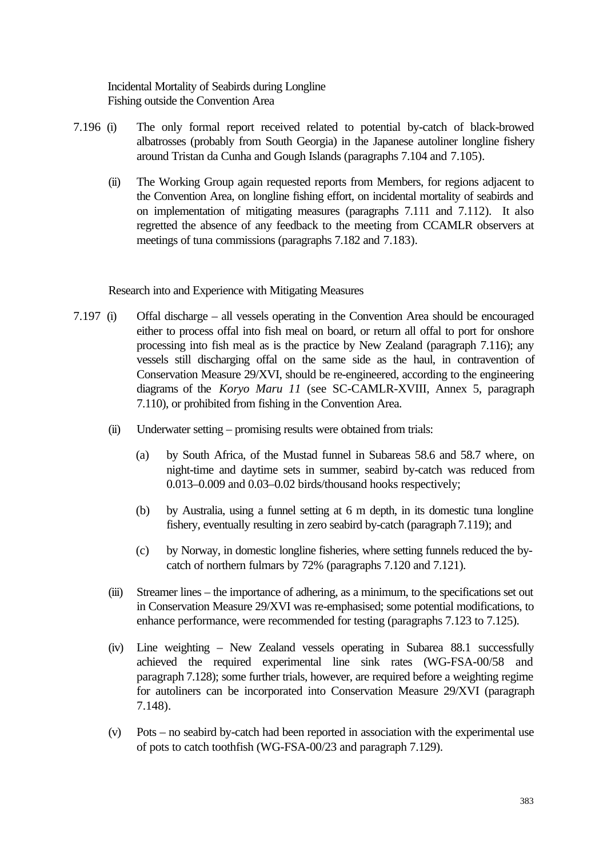Incidental Mortality of Seabirds during Longline Fishing outside the Convention Area

- 7.196 (i) The only formal report received related to potential by-catch of black-browed albatrosses (probably from South Georgia) in the Japanese autoliner longline fishery around Tristan da Cunha and Gough Islands (paragraphs 7.104 and 7.105).
	- (ii) The Working Group again requested reports from Members, for regions adjacent to the Convention Area, on longline fishing effort, on incidental mortality of seabirds and on implementation of mitigating measures (paragraphs 7.111 and 7.112). It also regretted the absence of any feedback to the meeting from CCAMLR observers at meetings of tuna commissions (paragraphs 7.182 and 7.183).

Research into and Experience with Mitigating Measures

- 7.197 (i) Offal discharge all vessels operating in the Convention Area should be encouraged either to process offal into fish meal on board, or return all offal to port for onshore processing into fish meal as is the practice by New Zealand (paragraph 7.116); any vessels still discharging offal on the same side as the haul, in contravention of Conservation Measure 29/XVI, should be re-engineered, according to the engineering diagrams of the *Koryo Maru 11* (see SC-CAMLR-XVIII, Annex 5, paragraph 7.110), or prohibited from fishing in the Convention Area.
	- (ii) Underwater setting promising results were obtained from trials:
		- (a) by South Africa, of the Mustad funnel in Subareas 58.6 and 58.7 where, on night-time and daytime sets in summer, seabird by-catch was reduced from 0.013–0.009 and 0.03–0.02 birds/thousand hooks respectively;
		- (b) by Australia, using a funnel setting at 6 m depth, in its domestic tuna longline fishery, eventually resulting in zero seabird by-catch (paragraph 7.119); and
		- (c) by Norway, in domestic longline fisheries, where setting funnels reduced the bycatch of northern fulmars by 72% (paragraphs 7.120 and 7.121).
	- (iii) Streamer lines the importance of adhering, as a minimum, to the specifications set out in Conservation Measure 29/XVI was re-emphasised; some potential modifications, to enhance performance, were recommended for testing (paragraphs 7.123 to 7.125).
	- (iv) Line weighting New Zealand vessels operating in Subarea 88.1 successfully achieved the required experimental line sink rates (WG-FSA-00/58 and paragraph 7.128); some further trials, however, are required before a weighting regime for autoliners can be incorporated into Conservation Measure 29/XVI (paragraph 7.148).
	- (v) Pots no seabird by-catch had been reported in association with the experimental use of pots to catch toothfish (WG-FSA-00/23 and paragraph 7.129).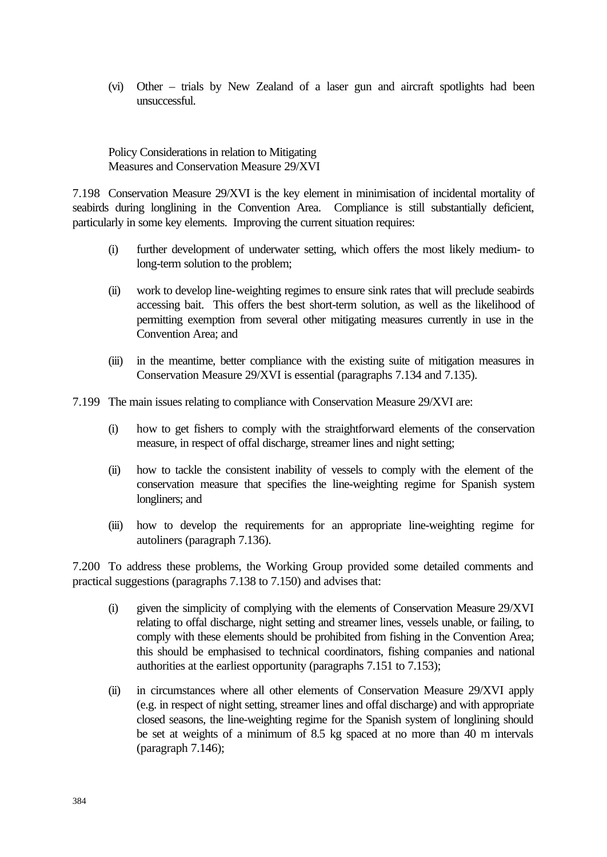(vi) Other – trials by New Zealand of a laser gun and aircraft spotlights had been unsuccessful.

Policy Considerations in relation to Mitigating Measures and Conservation Measure 29/XVI

7.198 Conservation Measure 29/XVI is the key element in minimisation of incidental mortality of seabirds during longlining in the Convention Area. Compliance is still substantially deficient, particularly in some key elements. Improving the current situation requires:

- (i) further development of underwater setting, which offers the most likely medium- to long-term solution to the problem;
- (ii) work to develop line-weighting regimes to ensure sink rates that will preclude seabirds accessing bait. This offers the best short-term solution, as well as the likelihood of permitting exemption from several other mitigating measures currently in use in the Convention Area; and
- (iii) in the meantime, better compliance with the existing suite of mitigation measures in Conservation Measure 29/XVI is essential (paragraphs 7.134 and 7.135).
- 7.199 The main issues relating to compliance with Conservation Measure 29/XVI are:
	- (i) how to get fishers to comply with the straightforward elements of the conservation measure, in respect of offal discharge, streamer lines and night setting;
	- (ii) how to tackle the consistent inability of vessels to comply with the element of the conservation measure that specifies the line-weighting regime for Spanish system longliners; and
	- (iii) how to develop the requirements for an appropriate line-weighting regime for autoliners (paragraph 7.136).

7.200 To address these problems, the Working Group provided some detailed comments and practical suggestions (paragraphs 7.138 to 7.150) and advises that:

- (i) given the simplicity of complying with the elements of Conservation Measure 29/XVI relating to offal discharge, night setting and streamer lines, vessels unable, or failing, to comply with these elements should be prohibited from fishing in the Convention Area; this should be emphasised to technical coordinators, fishing companies and national authorities at the earliest opportunity (paragraphs 7.151 to 7.153);
- (ii) in circumstances where all other elements of Conservation Measure 29/XVI apply (e.g. in respect of night setting, streamer lines and offal discharge) and with appropriate closed seasons, the line-weighting regime for the Spanish system of longlining should be set at weights of a minimum of 8.5 kg spaced at no more than 40 m intervals (paragraph 7.146);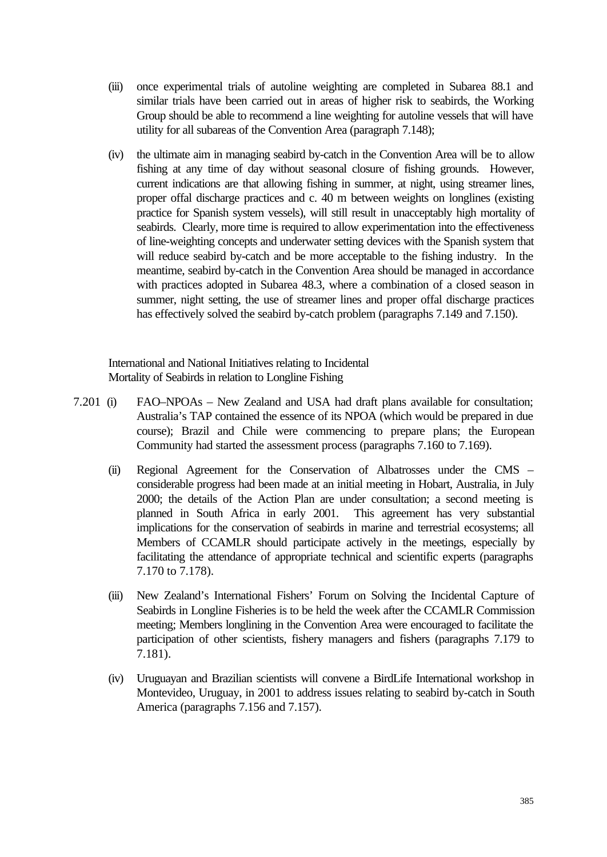- (iii) once experimental trials of autoline weighting are completed in Subarea 88.1 and similar trials have been carried out in areas of higher risk to seabirds, the Working Group should be able to recommend a line weighting for autoline vessels that will have utility for all subareas of the Convention Area (paragraph 7.148);
- (iv) the ultimate aim in managing seabird by-catch in the Convention Area will be to allow fishing at any time of day without seasonal closure of fishing grounds. However, current indications are that allowing fishing in summer, at night, using streamer lines, proper offal discharge practices and c. 40 m between weights on longlines (existing practice for Spanish system vessels), will still result in unacceptably high mortality of seabirds. Clearly, more time is required to allow experimentation into the effectiveness of line-weighting concepts and underwater setting devices with the Spanish system that will reduce seabird by-catch and be more acceptable to the fishing industry. In the meantime, seabird by-catch in the Convention Area should be managed in accordance with practices adopted in Subarea 48.3, where a combination of a closed season in summer, night setting, the use of streamer lines and proper offal discharge practices has effectively solved the seabird by-catch problem (paragraphs 7.149 and 7.150).

International and National Initiatives relating to Incidental Mortality of Seabirds in relation to Longline Fishing

- 7.201 (i) FAO–NPOAs New Zealand and USA had draft plans available for consultation; Australia's TAP contained the essence of its NPOA (which would be prepared in due course); Brazil and Chile were commencing to prepare plans; the European Community had started the assessment process (paragraphs 7.160 to 7.169).
	- (ii) Regional Agreement for the Conservation of Albatrosses under the CMS considerable progress had been made at an initial meeting in Hobart, Australia, in July 2000; the details of the Action Plan are under consultation; a second meeting is planned in South Africa in early 2001. This agreement has very substantial implications for the conservation of seabirds in marine and terrestrial ecosystems; all Members of CCAMLR should participate actively in the meetings, especially by facilitating the attendance of appropriate technical and scientific experts (paragraphs 7.170 to 7.178).
	- (iii) New Zealand's International Fishers' Forum on Solving the Incidental Capture of Seabirds in Longline Fisheries is to be held the week after the CCAMLR Commission meeting; Members longlining in the Convention Area were encouraged to facilitate the participation of other scientists, fishery managers and fishers (paragraphs 7.179 to 7.181).
	- (iv) Uruguayan and Brazilian scientists will convene a BirdLife International workshop in Montevideo, Uruguay, in 2001 to address issues relating to seabird by-catch in South America (paragraphs 7.156 and 7.157).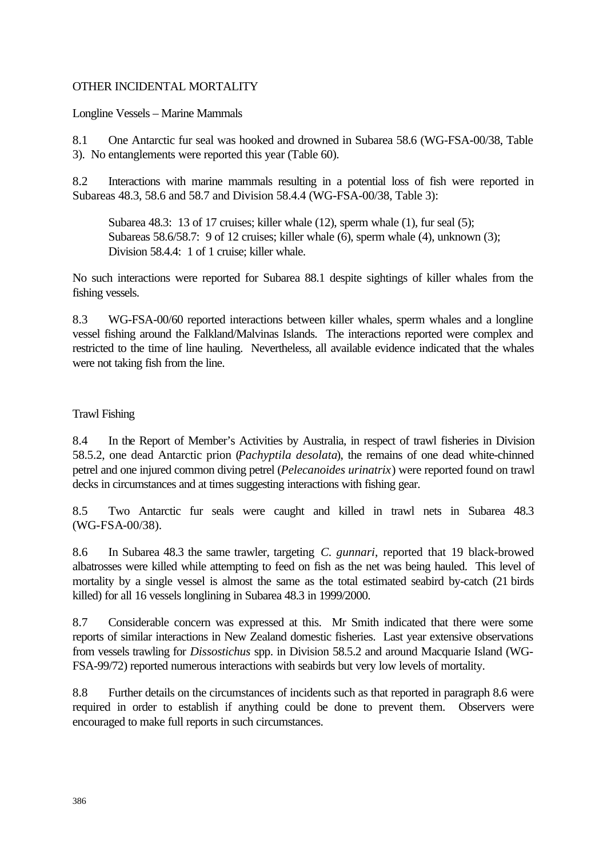# OTHER INCIDENTAL MORTALITY

Longline Vessels – Marine Mammals

8.1 One Antarctic fur seal was hooked and drowned in Subarea 58.6 (WG-FSA-00/38, Table 3). No entanglements were reported this year (Table 60).

8.2 Interactions with marine mammals resulting in a potential loss of fish were reported in Subareas 48.3, 58.6 and 58.7 and Division 58.4.4 (WG-FSA-00/38, Table 3):

Subarea 48.3: 13 of 17 cruises; killer whale (12), sperm whale (1), fur seal (5); Subareas 58.6/58.7: 9 of 12 cruises; killer whale (6), sperm whale (4), unknown (3); Division 58.4.4: 1 of 1 cruise; killer whale.

No such interactions were reported for Subarea 88.1 despite sightings of killer whales from the fishing vessels.

8.3 WG-FSA-00/60 reported interactions between killer whales, sperm whales and a longline vessel fishing around the Falkland/Malvinas Islands. The interactions reported were complex and restricted to the time of line hauling. Nevertheless, all available evidence indicated that the whales were not taking fish from the line.

# Trawl Fishing

8.4 In the Report of Member's Activities by Australia, in respect of trawl fisheries in Division 58.5.2, one dead Antarctic prion (*Pachyptila desolata*), the remains of one dead white-chinned petrel and one injured common diving petrel (*Pelecanoides urinatrix*) were reported found on trawl decks in circumstances and at times suggesting interactions with fishing gear.

8.5 Two Antarctic fur seals were caught and killed in trawl nets in Subarea 48.3 (WG-FSA-00/38).

8.6 In Subarea 48.3 the same trawler, targeting *C. gunnari*, reported that 19 black-browed albatrosses were killed while attempting to feed on fish as the net was being hauled. This level of mortality by a single vessel is almost the same as the total estimated seabird by-catch (21 birds killed) for all 16 vessels longlining in Subarea 48.3 in 1999/2000.

8.7 Considerable concern was expressed at this. Mr Smith indicated that there were some reports of similar interactions in New Zealand domestic fisheries. Last year extensive observations from vessels trawling for *Dissostichus* spp. in Division 58.5.2 and around Macquarie Island (WG-FSA-99/72) reported numerous interactions with seabirds but very low levels of mortality.

8.8 Further details on the circumstances of incidents such as that reported in paragraph 8.6 were required in order to establish if anything could be done to prevent them. Observers were encouraged to make full reports in such circumstances.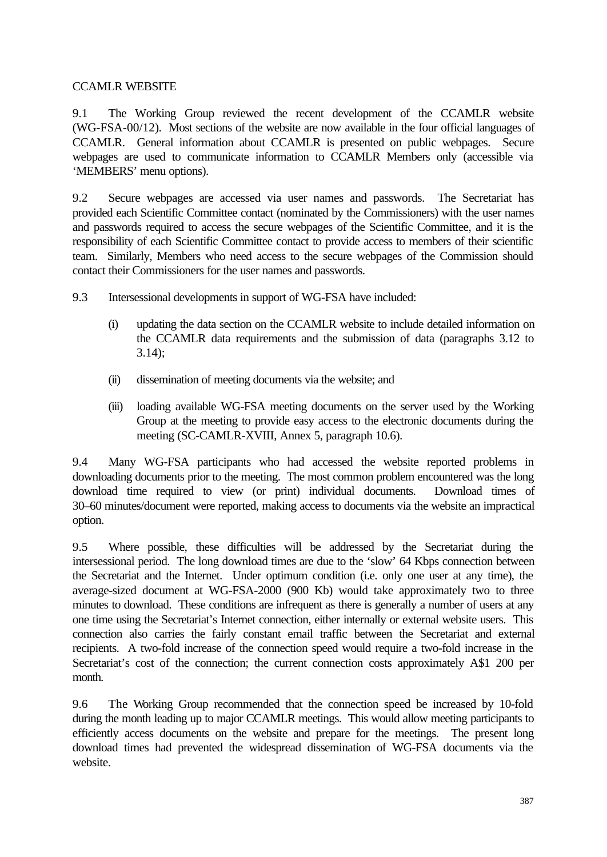# CCAMLR WEBSITE

9.1 The Working Group reviewed the recent development of the CCAMLR website (WG-FSA-00/12). Most sections of the website are now available in the four official languages of CCAMLR. General information about CCAMLR is presented on public webpages. Secure webpages are used to communicate information to CCAMLR Members only (accessible via 'MEMBERS' menu options).

9.2 Secure webpages are accessed via user names and passwords. The Secretariat has provided each Scientific Committee contact (nominated by the Commissioners) with the user names and passwords required to access the secure webpages of the Scientific Committee, and it is the responsibility of each Scientific Committee contact to provide access to members of their scientific team. Similarly, Members who need access to the secure webpages of the Commission should contact their Commissioners for the user names and passwords.

- 9.3 Intersessional developments in support of WG-FSA have included:
	- (i) updating the data section on the CCAMLR website to include detailed information on the CCAMLR data requirements and the submission of data (paragraphs 3.12 to  $3.14$ :
	- (ii) dissemination of meeting documents via the website; and
	- (iii) loading available WG-FSA meeting documents on the server used by the Working Group at the meeting to provide easy access to the electronic documents during the meeting (SC-CAMLR-XVIII, Annex 5, paragraph 10.6).

9.4 Many WG-FSA participants who had accessed the website reported problems in downloading documents prior to the meeting. The most common problem encountered was the long download time required to view (or print) individual documents. Download times of 30–60 minutes/document were reported, making access to documents via the website an impractical option.

9.5 Where possible, these difficulties will be addressed by the Secretariat during the intersessional period. The long download times are due to the 'slow' 64 Kbps connection between the Secretariat and the Internet. Under optimum condition (i.e. only one user at any time), the average-sized document at WG-FSA-2000 (900 Kb) would take approximately two to three minutes to download. These conditions are infrequent as there is generally a number of users at any one time using the Secretariat's Internet connection, either internally or external website users. This connection also carries the fairly constant email traffic between the Secretariat and external recipients. A two-fold increase of the connection speed would require a two-fold increase in the Secretariat's cost of the connection; the current connection costs approximately A\$1 200 per month.

9.6 The Working Group recommended that the connection speed be increased by 10-fold during the month leading up to major CCAMLR meetings. This would allow meeting participants to efficiently access documents on the website and prepare for the meetings. The present long download times had prevented the widespread dissemination of WG-FSA documents via the website.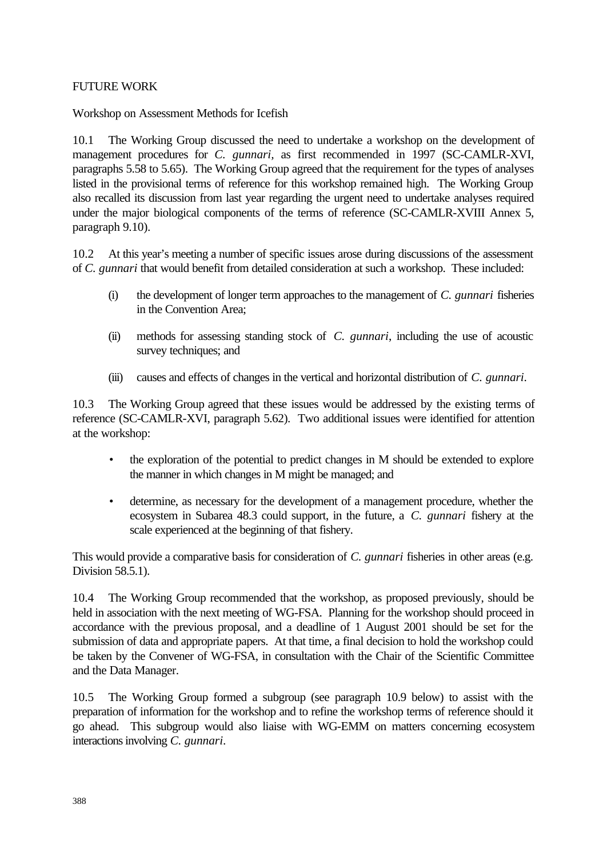## FUTURE WORK

Workshop on Assessment Methods for Icefish

10.1 The Working Group discussed the need to undertake a workshop on the development of management procedures for *C. gunnari,* as first recommended in 1997 (SC-CAMLR-XVI, paragraphs 5.58 to 5.65). The Working Group agreed that the requirement for the types of analyses listed in the provisional terms of reference for this workshop remained high. The Working Group also recalled its discussion from last year regarding the urgent need to undertake analyses required under the major biological components of the terms of reference (SC-CAMLR-XVIII Annex 5, paragraph 9.10).

10.2 At this year's meeting a number of specific issues arose during discussions of the assessment of *C. gunnari* that would benefit from detailed consideration at such a workshop. These included:

- (i) the development of longer term approaches to the management of *C. gunnari* fisheries in the Convention Area;
- (ii) methods for assessing standing stock of *C. gunnari*, including the use of acoustic survey techniques; and
- (iii) causes and effects of changes in the vertical and horizontal distribution of *C. gunnari*.

10.3 The Working Group agreed that these issues would be addressed by the existing terms of reference (SC-CAMLR-XVI, paragraph 5.62). Two additional issues were identified for attention at the workshop:

- the exploration of the potential to predict changes in M should be extended to explore the manner in which changes in M might be managed; and
- determine, as necessary for the development of a management procedure, whether the ecosystem in Subarea 48.3 could support, in the future, a *C. gunnari* fishery at the scale experienced at the beginning of that fishery.

This would provide a comparative basis for consideration of *C. gunnari* fisheries in other areas (e.g. Division 58.5.1).

10.4 The Working Group recommended that the workshop, as proposed previously, should be held in association with the next meeting of WG-FSA. Planning for the workshop should proceed in accordance with the previous proposal, and a deadline of 1 August 2001 should be set for the submission of data and appropriate papers. At that time, a final decision to hold the workshop could be taken by the Convener of WG-FSA, in consultation with the Chair of the Scientific Committee and the Data Manager.

10.5 The Working Group formed a subgroup (see paragraph 10.9 below) to assist with the preparation of information for the workshop and to refine the workshop terms of reference should it go ahead. This subgroup would also liaise with WG-EMM on matters concerning ecosystem interactions involving *C. gunnari*.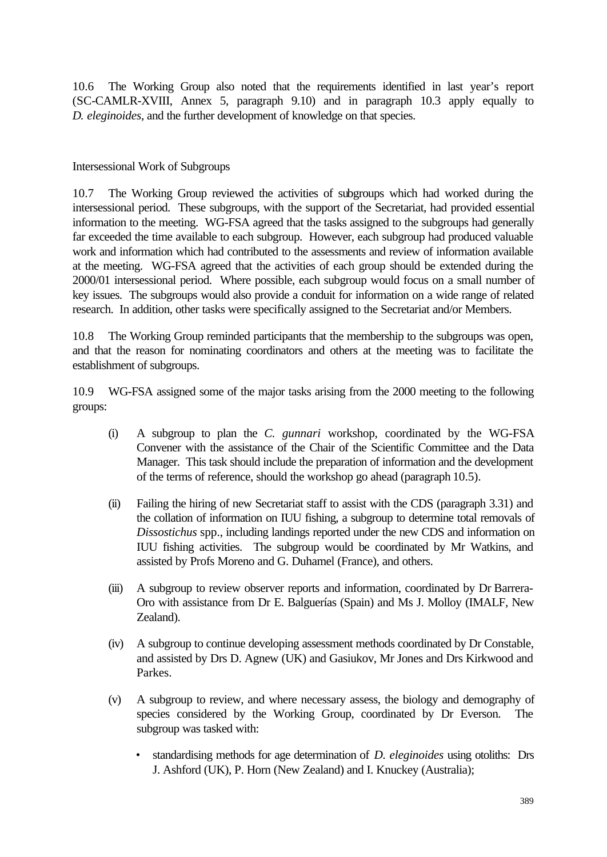10.6 The Working Group also noted that the requirements identified in last year's report (SC-CAMLR-XVIII, Annex 5, paragraph 9.10) and in paragraph 10.3 apply equally to *D. eleginoides*, and the further development of knowledge on that species.

Intersessional Work of Subgroups

10.7 The Working Group reviewed the activities of subgroups which had worked during the intersessional period. These subgroups, with the support of the Secretariat, had provided essential information to the meeting. WG-FSA agreed that the tasks assigned to the subgroups had generally far exceeded the time available to each subgroup. However, each subgroup had produced valuable work and information which had contributed to the assessments and review of information available at the meeting. WG-FSA agreed that the activities of each group should be extended during the 2000/01 intersessional period. Where possible, each subgroup would focus on a small number of key issues. The subgroups would also provide a conduit for information on a wide range of related research. In addition, other tasks were specifically assigned to the Secretariat and/or Members.

10.8 The Working Group reminded participants that the membership to the subgroups was open, and that the reason for nominating coordinators and others at the meeting was to facilitate the establishment of subgroups.

10.9 WG-FSA assigned some of the major tasks arising from the 2000 meeting to the following groups:

- (i) A subgroup to plan the *C. gunnari* workshop, coordinated by the WG-FSA Convener with the assistance of the Chair of the Scientific Committee and the Data Manager. This task should include the preparation of information and the development of the terms of reference, should the workshop go ahead (paragraph 10.5).
- (ii) Failing the hiring of new Secretariat staff to assist with the CDS (paragraph 3.31) and the collation of information on IUU fishing, a subgroup to determine total removals of *Dissostichus* spp., including landings reported under the new CDS and information on IUU fishing activities. The subgroup would be coordinated by Mr Watkins, and assisted by Profs Moreno and G. Duhamel (France), and others.
- (iii) A subgroup to review observer reports and information, coordinated by Dr Barrera-Oro with assistance from Dr E. Balguerías (Spain) and Ms J. Molloy (IMALF, New Zealand).
- (iv) A subgroup to continue developing assessment methods coordinated by Dr Constable, and assisted by Drs D. Agnew (UK) and Gasiukov, Mr Jones and Drs Kirkwood and Parkes.
- (v) A subgroup to review, and where necessary assess, the biology and demography of species considered by the Working Group, coordinated by Dr Everson. The subgroup was tasked with:
	- standardising methods for age determination of *D. eleginoides* using otoliths: Drs J. Ashford (UK), P. Horn (New Zealand) and I. Knuckey (Australia);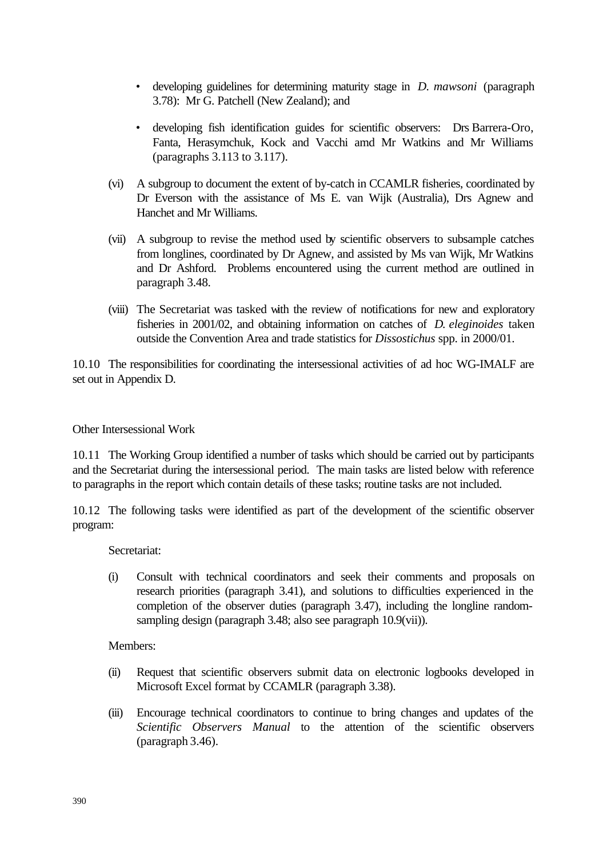- developing guidelines for determining maturity stage in *D. mawsoni* (paragraph 3.78): Mr G. Patchell (New Zealand); and
- developing fish identification guides for scientific observers: Drs Barrera-Oro, Fanta, Herasymchuk, Kock and Vacchi amd Mr Watkins and Mr Williams (paragraphs 3.113 to 3.117).
- (vi) A subgroup to document the extent of by-catch in CCAMLR fisheries, coordinated by Dr Everson with the assistance of Ms E. van Wijk (Australia), Drs Agnew and Hanchet and Mr Williams.
- (vii) A subgroup to revise the method used by scientific observers to subsample catches from longlines, coordinated by Dr Agnew, and assisted by Ms van Wijk, Mr Watkins and Dr Ashford. Problems encountered using the current method are outlined in paragraph 3.48.
- (viii) The Secretariat was tasked with the review of notifications for new and exploratory fisheries in 2001/02, and obtaining information on catches of *D. eleginoides* taken outside the Convention Area and trade statistics for *Dissostichus* spp. in 2000/01.

10.10 The responsibilities for coordinating the intersessional activities of ad hoc WG-IMALF are set out in Appendix D.

Other Intersessional Work

10.11 The Working Group identified a number of tasks which should be carried out by participants and the Secretariat during the intersessional period. The main tasks are listed below with reference to paragraphs in the report which contain details of these tasks; routine tasks are not included.

10.12 The following tasks were identified as part of the development of the scientific observer program:

Secretariat:

(i) Consult with technical coordinators and seek their comments and proposals on research priorities (paragraph 3.41), and solutions to difficulties experienced in the completion of the observer duties (paragraph 3.47), including the longline randomsampling design (paragraph 3.48; also see paragraph 10.9(vii)).

Members:

- (ii) Request that scientific observers submit data on electronic logbooks developed in Microsoft Excel format by CCAMLR (paragraph 3.38).
- (iii) Encourage technical coordinators to continue to bring changes and updates of the *Scientific Observers Manual* to the attention of the scientific observers (paragraph 3.46).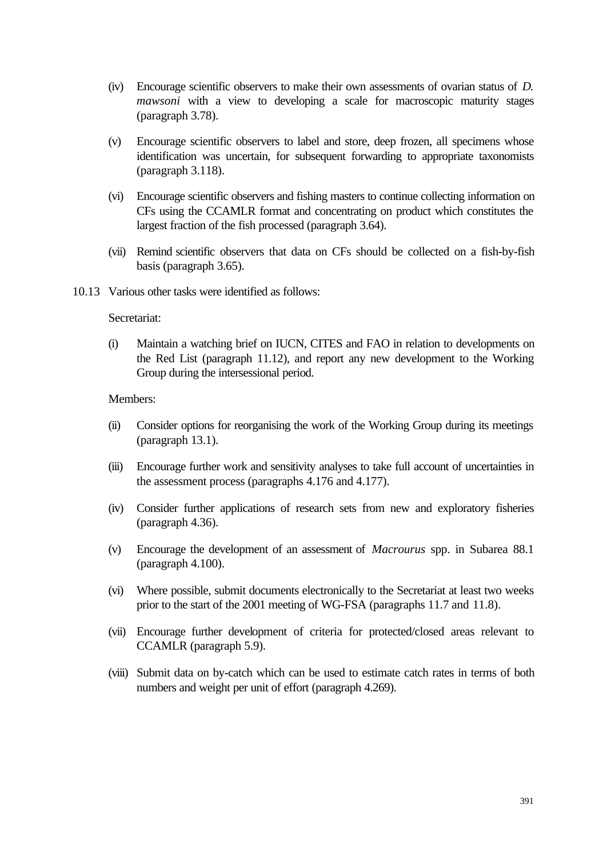- (iv) Encourage scientific observers to make their own assessments of ovarian status of *D. mawsoni* with a view to developing a scale for macroscopic maturity stages (paragraph 3.78).
- (v) Encourage scientific observers to label and store, deep frozen, all specimens whose identification was uncertain, for subsequent forwarding to appropriate taxonomists (paragraph 3.118).
- (vi) Encourage scientific observers and fishing masters to continue collecting information on CFs using the CCAMLR format and concentrating on product which constitutes the largest fraction of the fish processed (paragraph 3.64).
- (vii) Remind scientific observers that data on CFs should be collected on a fish-by-fish basis (paragraph 3.65).
- 10.13 Various other tasks were identified as follows:

### Secretariat:

(i) Maintain a watching brief on IUCN, CITES and FAO in relation to developments on the Red List (paragraph 11.12), and report any new development to the Working Group during the intersessional period.

#### Members:

- (ii) Consider options for reorganising the work of the Working Group during its meetings (paragraph 13.1).
- (iii) Encourage further work and sensitivity analyses to take full account of uncertainties in the assessment process (paragraphs 4.176 and 4.177).
- (iv) Consider further applications of research sets from new and exploratory fisheries (paragraph 4.36).
- (v) Encourage the development of an assessment of *Macrourus* spp. in Subarea 88.1 (paragraph 4.100).
- (vi) Where possible, submit documents electronically to the Secretariat at least two weeks prior to the start of the 2001 meeting of WG-FSA (paragraphs 11.7 and 11.8).
- (vii) Encourage further development of criteria for protected/closed areas relevant to CCAMLR (paragraph 5.9).
- (viii) Submit data on by-catch which can be used to estimate catch rates in terms of both numbers and weight per unit of effort (paragraph 4.269).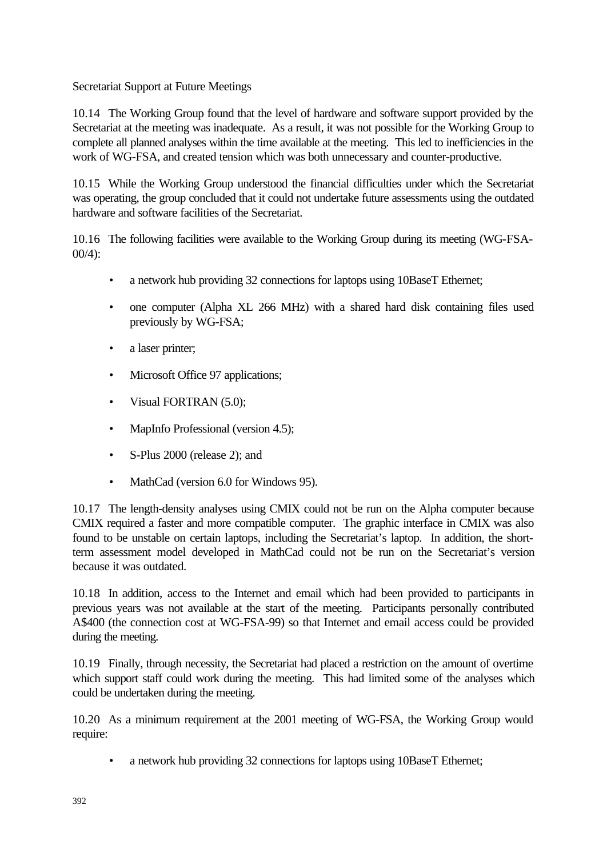Secretariat Support at Future Meetings

10.14 The Working Group found that the level of hardware and software support provided by the Secretariat at the meeting was inadequate. As a result, it was not possible for the Working Group to complete all planned analyses within the time available at the meeting. This led to inefficiencies in the work of WG-FSA, and created tension which was both unnecessary and counter-productive.

10.15 While the Working Group understood the financial difficulties under which the Secretariat was operating, the group concluded that it could not undertake future assessments using the outdated hardware and software facilities of the Secretariat.

10.16 The following facilities were available to the Working Group during its meeting (WG-FSA- $00/4$ :

- a network hub providing 32 connections for laptops using 10BaseT Ethernet;
- one computer (Alpha XL 266 MHz) with a shared hard disk containing files used previously by WG-FSA;
- a laser printer;
- Microsoft Office 97 applications;
- Visual FORTRAN (5.0);
- MapInfo Professional (version 4.5);
- S-Plus 2000 (release 2); and
- MathCad (version 6.0 for Windows 95).

10.17 The length-density analyses using CMIX could not be run on the Alpha computer because CMIX required a faster and more compatible computer. The graphic interface in CMIX was also found to be unstable on certain laptops, including the Secretariat's laptop. In addition, the shortterm assessment model developed in MathCad could not be run on the Secretariat's version because it was outdated.

10.18 In addition, access to the Internet and email which had been provided to participants in previous years was not available at the start of the meeting. Participants personally contributed A\$400 (the connection cost at WG-FSA-99) so that Internet and email access could be provided during the meeting.

10.19 Finally, through necessity, the Secretariat had placed a restriction on the amount of overtime which support staff could work during the meeting. This had limited some of the analyses which could be undertaken during the meeting.

10.20 As a minimum requirement at the 2001 meeting of WG-FSA, the Working Group would require:

• a network hub providing 32 connections for laptops using 10BaseT Ethernet;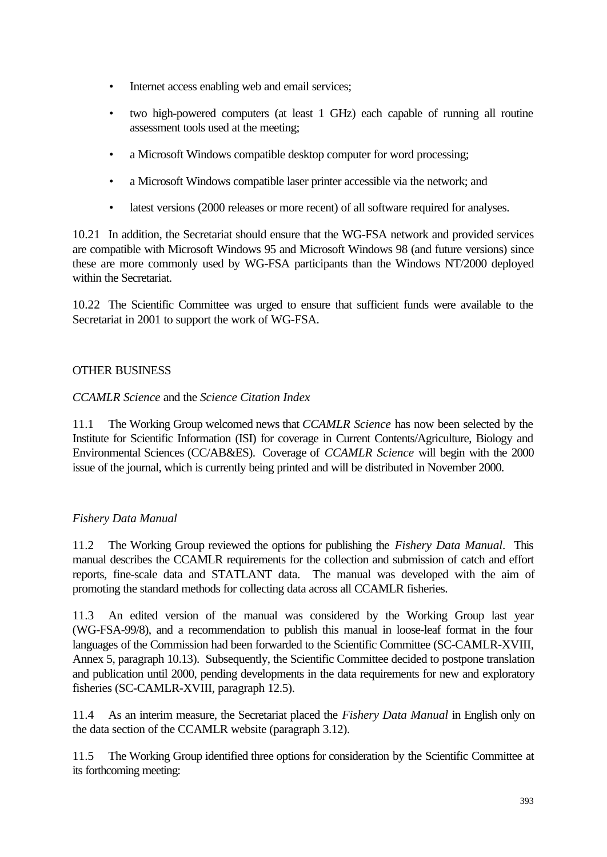- Internet access enabling web and email services;
- two high-powered computers (at least 1 GHz) each capable of running all routine assessment tools used at the meeting;
- a Microsoft Windows compatible desktop computer for word processing;
- a Microsoft Windows compatible laser printer accessible via the network; and
- latest versions (2000 releases or more recent) of all software required for analyses.

10.21 In addition, the Secretariat should ensure that the WG-FSA network and provided services are compatible with Microsoft Windows 95 and Microsoft Windows 98 (and future versions) since these are more commonly used by WG-FSA participants than the Windows NT/2000 deployed within the Secretariat.

10.22 The Scientific Committee was urged to ensure that sufficient funds were available to the Secretariat in 2001 to support the work of WG-FSA.

# OTHER BUSINESS

# *CCAMLR Science* and the *Science Citation Index*

11.1 The Working Group welcomed news that *CCAMLR Science* has now been selected by the Institute for Scientific Information (ISI) for coverage in Current Contents/Agriculture, Biology and Environmental Sciences (CC/AB&ES). Coverage of *CCAMLR Science* will begin with the 2000 issue of the journal, which is currently being printed and will be distributed in November 2000.

# *Fishery Data Manual*

11.2 The Working Group reviewed the options for publishing the *Fishery Data Manual*. This manual describes the CCAMLR requirements for the collection and submission of catch and effort reports, fine-scale data and STATLANT data. The manual was developed with the aim of promoting the standard methods for collecting data across all CCAMLR fisheries.

11.3 An edited version of the manual was considered by the Working Group last year (WG-FSA-99/8), and a recommendation to publish this manual in loose-leaf format in the four languages of the Commission had been forwarded to the Scientific Committee (SC-CAMLR-XVIII, Annex 5, paragraph 10.13). Subsequently, the Scientific Committee decided to postpone translation and publication until 2000, pending developments in the data requirements for new and exploratory fisheries (SC-CAMLR-XVIII, paragraph 12.5).

11.4 As an interim measure, the Secretariat placed the *Fishery Data Manual* in English only on the data section of the CCAMLR website (paragraph 3.12).

11.5 The Working Group identified three options for consideration by the Scientific Committee at its forthcoming meeting: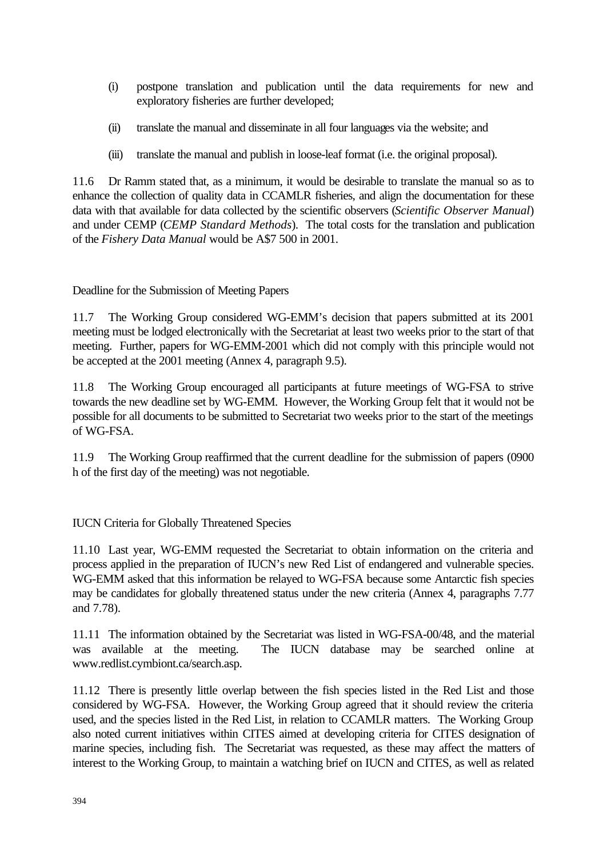- (i) postpone translation and publication until the data requirements for new and exploratory fisheries are further developed;
- (ii) translate the manual and disseminate in all four languages via the website; and
- (iii) translate the manual and publish in loose-leaf format (i.e. the original proposal).

11.6 Dr Ramm stated that, as a minimum, it would be desirable to translate the manual so as to enhance the collection of quality data in CCAMLR fisheries, and align the documentation for these data with that available for data collected by the scientific observers (*Scientific Observer Manual*) and under CEMP (*CEMP Standard Methods*). The total costs for the translation and publication of the *Fishery Data Manual* would be A\$7 500 in 2001.

Deadline for the Submission of Meeting Papers

11.7 The Working Group considered WG-EMM's decision that papers submitted at its 2001 meeting must be lodged electronically with the Secretariat at least two weeks prior to the start of that meeting. Further, papers for WG-EMM-2001 which did not comply with this principle would not be accepted at the 2001 meeting (Annex 4, paragraph 9.5).

11.8 The Working Group encouraged all participants at future meetings of WG-FSA to strive towards the new deadline set by WG-EMM. However, the Working Group felt that it would not be possible for all documents to be submitted to Secretariat two weeks prior to the start of the meetings of WG-FSA.

11.9 The Working Group reaffirmed that the current deadline for the submission of papers (0900 h of the first day of the meeting) was not negotiable.

IUCN Criteria for Globally Threatened Species

11.10 Last year, WG-EMM requested the Secretariat to obtain information on the criteria and process applied in the preparation of IUCN's new Red List of endangered and vulnerable species. WG-EMM asked that this information be relayed to WG-FSA because some Antarctic fish species may be candidates for globally threatened status under the new criteria (Annex 4, paragraphs 7.77 and 7.78).

11.11 The information obtained by the Secretariat was listed in WG-FSA-00/48, and the material was available at the meeting. The IUCN database may be searched online at www.redlist.cymbiont.ca/search.asp.

11.12 There is presently little overlap between the fish species listed in the Red List and those considered by WG-FSA. However, the Working Group agreed that it should review the criteria used, and the species listed in the Red List, in relation to CCAMLR matters. The Working Group also noted current initiatives within CITES aimed at developing criteria for CITES designation of marine species, including fish. The Secretariat was requested, as these may affect the matters of interest to the Working Group, to maintain a watching brief on IUCN and CITES, as well as related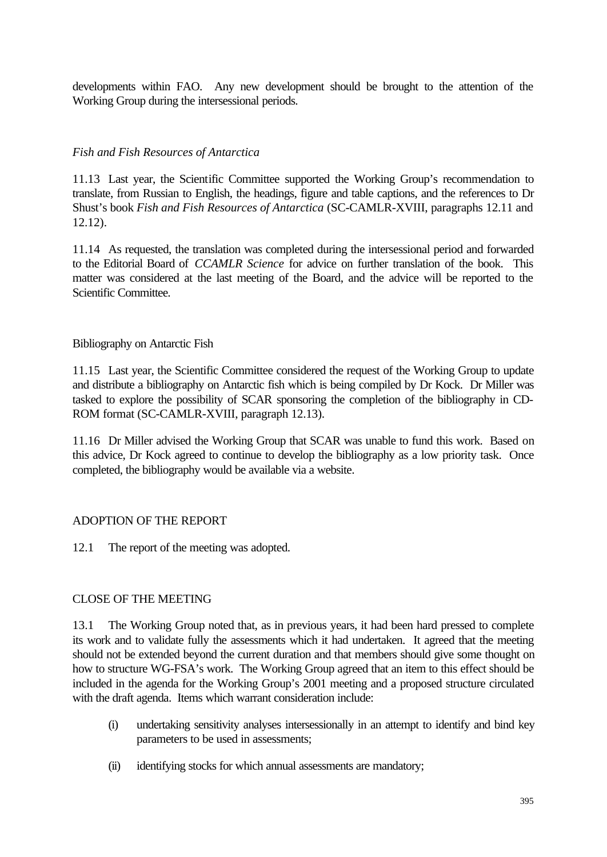developments within FAO. Any new development should be brought to the attention of the Working Group during the intersessional periods.

## *Fish and Fish Resources of Antarctica*

11.13 Last year, the Scientific Committee supported the Working Group's recommendation to translate, from Russian to English, the headings, figure and table captions, and the references to Dr Shust's book *Fish and Fish Resources of Antarctica* (SC-CAMLR-XVIII, paragraphs 12.11 and 12.12).

11.14 As requested, the translation was completed during the intersessional period and forwarded to the Editorial Board of *CCAMLR Science* for advice on further translation of the book. This matter was considered at the last meeting of the Board, and the advice will be reported to the Scientific Committee.

## Bibliography on Antarctic Fish

11.15 Last year, the Scientific Committee considered the request of the Working Group to update and distribute a bibliography on Antarctic fish which is being compiled by Dr Kock. Dr Miller was tasked to explore the possibility of SCAR sponsoring the completion of the bibliography in CD-ROM format (SC-CAMLR-XVIII, paragraph 12.13).

11.16 Dr Miller advised the Working Group that SCAR was unable to fund this work. Based on this advice, Dr Kock agreed to continue to develop the bibliography as a low priority task. Once completed, the bibliography would be available via a website.

# ADOPTION OF THE REPORT

12.1 The report of the meeting was adopted.

## CLOSE OF THE MEETING

13.1 The Working Group noted that, as in previous years, it had been hard pressed to complete its work and to validate fully the assessments which it had undertaken. It agreed that the meeting should not be extended beyond the current duration and that members should give some thought on how to structure WG-FSA's work. The Working Group agreed that an item to this effect should be included in the agenda for the Working Group's 2001 meeting and a proposed structure circulated with the draft agenda. Items which warrant consideration include:

- (i) undertaking sensitivity analyses intersessionally in an attempt to identify and bind key parameters to be used in assessments;
- (ii) identifying stocks for which annual assessments are mandatory;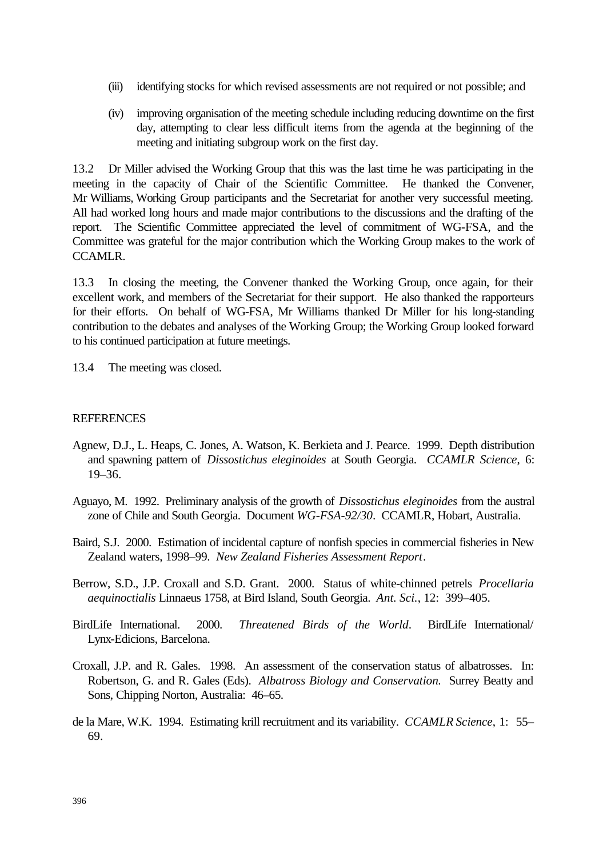- (iii) identifying stocks for which revised assessments are not required or not possible; and
- (iv) improving organisation of the meeting schedule including reducing downtime on the first day, attempting to clear less difficult items from the agenda at the beginning of the meeting and initiating subgroup work on the first day.

13.2 Dr Miller advised the Working Group that this was the last time he was participating in the meeting in the capacity of Chair of the Scientific Committee. He thanked the Convener, Mr Williams, Working Group participants and the Secretariat for another very successful meeting. All had worked long hours and made major contributions to the discussions and the drafting of the report. The Scientific Committee appreciated the level of commitment of WG-FSA, and the Committee was grateful for the major contribution which the Working Group makes to the work of CCAMLR.

13.3 In closing the meeting, the Convener thanked the Working Group, once again, for their excellent work, and members of the Secretariat for their support. He also thanked the rapporteurs for their efforts. On behalf of WG-FSA, Mr Williams thanked Dr Miller for his long-standing contribution to the debates and analyses of the Working Group; the Working Group looked forward to his continued participation at future meetings.

13.4 The meeting was closed.

### **REFERENCES**

- Agnew, D.J., L. Heaps, C. Jones, A. Watson, K. Berkieta and J. Pearce. 1999. Depth distribution and spawning pattern of *Dissostichus eleginoides* at South Georgia. *CCAMLR Science*, 6: 19–36.
- Aguayo, M. 1992. Preliminary analysis of the growth of *Dissostichus eleginoides* from the austral zone of Chile and South Georgia. Document *WG-FSA-92/30*. CCAMLR, Hobart, Australia.
- Baird, S.J. 2000. Estimation of incidental capture of nonfish species in commercial fisheries in New Zealand waters, 1998–99. *New Zealand Fisheries Assessment Report*.
- Berrow, S.D., J.P. Croxall and S.D. Grant. 2000. Status of white-chinned petrels *Procellaria aequinoctialis* Linnaeus 1758, at Bird Island, South Georgia. *Ant. Sci.*, 12: 399–405.
- BirdLife International. 2000. *Threatened Birds of the World*. BirdLife International/ Lynx-Edicions, Barcelona.
- Croxall, J.P. and R. Gales. 1998. An assessment of the conservation status of albatrosses. In: Robertson, G. and R. Gales (Eds). *Albatross Biology and Conservation.* Surrey Beatty and Sons, Chipping Norton, Australia: 46–65.
- de la Mare, W.K. 1994. Estimating krill recruitment and its variability. *CCAMLR Science*, 1: 55– 69.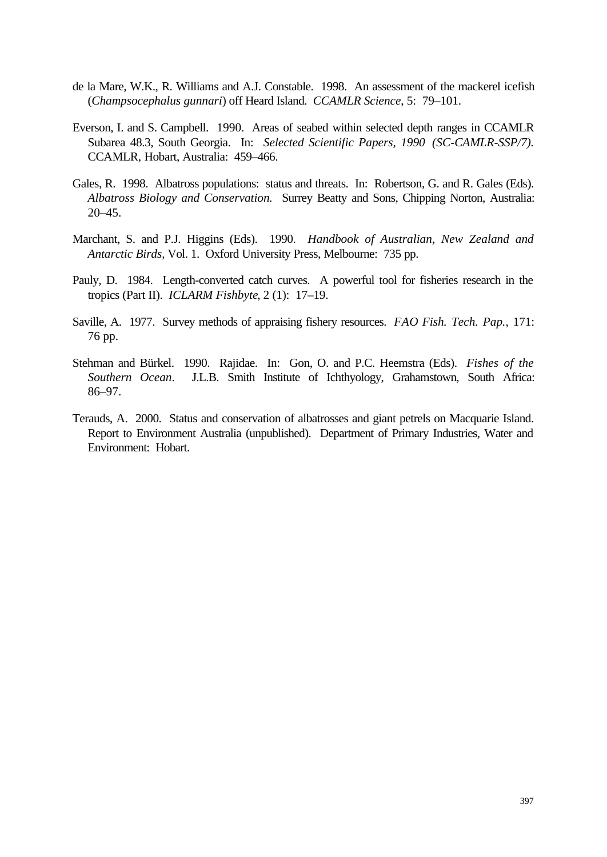- de la Mare, W.K., R. Williams and A.J. Constable. 1998. An assessment of the mackerel icefish (*Champsocephalus gunnari*) off Heard Island. *CCAMLR Science*, 5: 79–101.
- Everson, I. and S. Campbell. 1990. Areas of seabed within selected depth ranges in CCAMLR Subarea 48.3, South Georgia. In: *Selected Scientific Papers, 1990 (SC-CAMLR-SSP/7).* CCAMLR, Hobart, Australia: 459–466.
- Gales, R. 1998. Albatross populations: status and threats. In: Robertson, G. and R. Gales (Eds). *Albatross Biology and Conservation.* Surrey Beatty and Sons, Chipping Norton, Australia: 20–45.
- Marchant, S. and P.J. Higgins (Eds). 1990. *Handbook of Australian, New Zealand and Antarctic Birds*, Vol. 1. Oxford University Press, Melbourne: 735 pp.
- Pauly, D. 1984. Length-converted catch curves. A powerful tool for fisheries research in the tropics (Part II). *ICLARM Fishbyte*, 2 (1): 17–19.
- Saville, A. 1977. Survey methods of appraising fishery resources. *FAO Fish. Tech. Pap.*, 171: 76 pp.
- Stehman and Bürkel. 1990. Rajidae. In: Gon, O. and P.C. Heemstra (Eds). *Fishes of the Southern Ocean*. J.L.B. Smith Institute of Ichthyology, Grahamstown, South Africa: 86–97.
- Terauds, A. 2000. Status and conservation of albatrosses and giant petrels on Macquarie Island. Report to Environment Australia (unpublished). Department of Primary Industries, Water and Environment: Hobart.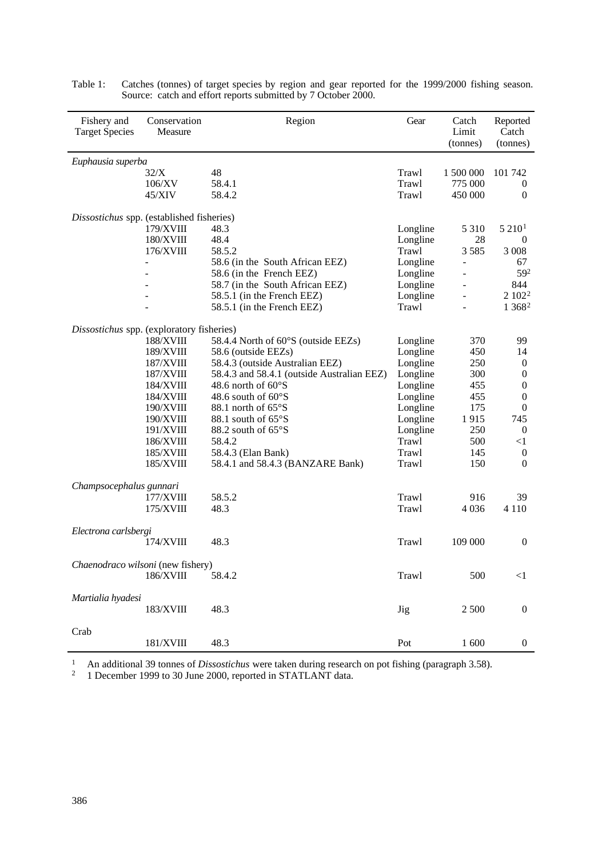| Fishery and<br><b>Target Species</b>      | Conservation<br>Measure | Region                                     | Gear     | Catch<br>Limit<br>(tonnes) | Reported<br>Catch<br>(tonnes) |
|-------------------------------------------|-------------------------|--------------------------------------------|----------|----------------------------|-------------------------------|
| Euphausia superba                         |                         |                                            |          |                            |                               |
|                                           | 32/X                    | 48                                         | Trawl    | 1 500 000                  | 101 742                       |
|                                           | 106/XV                  | 58.4.1                                     | Trawl    | 775 000                    | $\boldsymbol{0}$              |
|                                           | 45/XIV                  | 58.4.2                                     | Trawl    | 450 000                    | $\overline{0}$                |
| Dissostichus spp. (established fisheries) |                         |                                            |          |                            |                               |
|                                           | 179/XVIII               | 48.3                                       | Longline | 5 3 1 0                    | 5 210 <sup>1</sup>            |
|                                           | <b>180/XVIII</b>        | 48.4                                       | Longline | 28                         | $\boldsymbol{0}$              |
|                                           | 176/XVIII               | 58.5.2                                     | Trawl    | 3585                       | 3 0 0 8                       |
|                                           |                         | 58.6 (in the South African EEZ)            | Longline | $\overline{\phantom{0}}$   | 67                            |
|                                           |                         | 58.6 (in the French EEZ)                   | Longline | ÷,                         | 592                           |
|                                           |                         | 58.7 (in the South African EEZ)            | Longline |                            | 844                           |
|                                           |                         | 58.5.1 (in the French EEZ)                 | Longline |                            | 2 102 <sup>2</sup>            |
|                                           |                         | 58.5.1 (in the French EEZ)                 | Trawl    |                            | 1 3 6 8 2                     |
| Dissostichus spp. (exploratory fisheries) |                         |                                            |          |                            |                               |
|                                           | 188/XVIII               | 58.4.4 North of 60°S (outside EEZs)        | Longline | 370                        | 99                            |
|                                           | 189/XVIII               | 58.6 (outside EEZs)                        | Longline | 450                        | 14                            |
|                                           | 187/XVIII               | 58.4.3 (outside Australian EEZ)            | Longline | 250                        | $\boldsymbol{0}$              |
|                                           | 187/XVIII               | 58.4.3 and 58.4.1 (outside Australian EEZ) | Longline | 300                        | $\boldsymbol{0}$              |
|                                           | 184/XVIII               | 48.6 north of $60^{\circ}$ S               | Longline | 455                        | $\boldsymbol{0}$              |
|                                           | 184/XVIII               | 48.6 south of $60^{\circ}$ S               | Longline | 455                        | $\overline{0}$                |
|                                           | $190/XVIII$             | 88.1 north of 65°S                         | Longline | 175                        | $\mathbf{0}$                  |
|                                           | 190/XVIII               | 88.1 south of $65^{\circ}$ S               | Longline | 1915                       | 745                           |
|                                           | 191/XVIII               | 88.2 south of 65°S                         | Longline | 250                        | $\overline{0}$                |
|                                           | <b>186/XVIII</b>        | 58.4.2                                     | Trawl    | 500                        | $<$ 1                         |
|                                           | 185/XVIII               | 58.4.3 (Elan Bank)                         | Trawl    | 145                        | $\boldsymbol{0}$              |
|                                           | 185/XVIII               | 58.4.1 and 58.4.3 (BANZARE Bank)           | Trawl    | 150                        | $\Omega$                      |
| Champsocephalus gunnari                   |                         |                                            |          |                            |                               |
|                                           | 177/XVIII               | 58.5.2                                     | Trawl    | 916                        | 39                            |
|                                           | 175/XVIII               | 48.3                                       | Trawl    | 4 0 3 6                    | 4 1 1 0                       |
| Electrona carlsbergi                      |                         |                                            |          |                            |                               |
|                                           | 174/XVIII               | 48.3                                       | Trawl    | 109 000                    | $\overline{0}$                |
| Chaenodraco wilsoni (new fishery)         |                         |                                            |          |                            |                               |
|                                           | 186/XVIII               | 58.4.2                                     | Trawl    | 500                        | $\leq$ 1                      |
|                                           |                         |                                            |          |                            |                               |
| Martialia hyadesi                         |                         |                                            |          |                            |                               |
|                                           | 183/XVIII               | 48.3                                       | Jig      | 2 500                      | $\boldsymbol{0}$              |
| Crab                                      |                         |                                            |          |                            |                               |
|                                           | $181/XV\rm{III}$        | 48.3                                       | Pot      | 1600                       | $\boldsymbol{0}$              |

Table 1: Catches (tonnes) of target species by region and gear reported for the 1999/2000 fishing season. Source: catch and effort reports submitted by 7 October 2000.

<sup>1</sup> An additional 39 tonnes of *Dissostichus* were taken during research on pot fishing (paragraph 3.58).<br><sup>2</sup> 1 December 1999 to 30 June 2000, reported in STATLANT data.

<sup>2</sup> 1 December 1999 to 30 June 2000, reported in STATLANT data.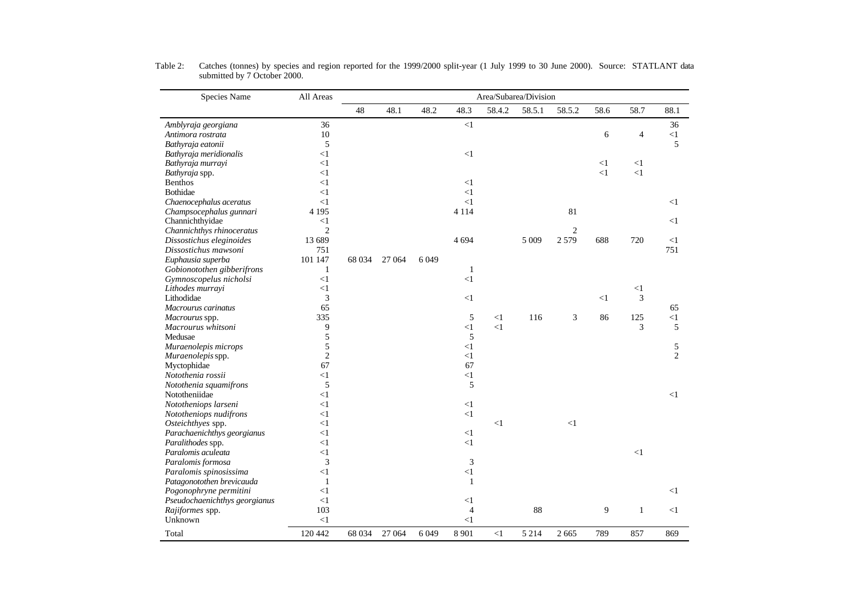| Species Name                  | All Areas      | Area/Subarea/Division |        |      |                |          |         |                |       |          |                |
|-------------------------------|----------------|-----------------------|--------|------|----------------|----------|---------|----------------|-------|----------|----------------|
|                               |                | 48                    | 48.1   | 48.2 | 48.3           | 58.4.2   | 58.5.1  | 58.5.2         | 58.6  | 58.7     | 88.1           |
| Amblyraja georgiana           | 36             |                       |        |      | $\leq$ 1       |          |         |                |       |          | 36             |
| Antimora rostrata             | 10             |                       |        |      |                |          |         |                | 6     | 4        | <1             |
| Bathyraja eatonii             | 5              |                       |        |      |                |          |         |                |       |          | 5              |
| Bathyraja meridionalis        | $<$ 1          |                       |        |      | $\leq$ 1       |          |         |                |       |          |                |
| Bathyraja murrayi             | $<$ 1          |                       |        |      |                |          |         |                | $<$ 1 | $<$ 1    |                |
| Bathyraja spp.                | $\leq$ 1       |                       |        |      |                |          |         |                | $<$ 1 | $\leq$ 1 |                |
| <b>Benthos</b>                | $<$ 1          |                       |        |      | $<$ 1          |          |         |                |       |          |                |
| Bothidae                      | $<$ 1          |                       |        |      | <1             |          |         |                |       |          |                |
| Chaenocephalus aceratus       | <1             |                       |        |      | $<$ 1          |          |         |                |       |          | <1             |
| Champsocephalus gunnari       | 4 1 9 5        |                       |        |      | 4 1 1 4        |          |         | 81             |       |          |                |
| Channichthyidae               | $<$ 1          |                       |        |      |                |          |         |                |       |          | $<$ 1          |
| Channichthys rhinoceratus     | $\overline{2}$ |                       |        |      |                |          |         | $\overline{2}$ |       |          |                |
| Dissostichus eleginoides      | 13 689         |                       |        |      | 4 6 9 4        |          | 5 0 0 9 | 2579           | 688   | 720      | $<$ 1          |
| Dissostichus mawsoni          | 751            |                       |        |      |                |          |         |                |       |          | 751            |
| Euphausia superba             | 101 147        | 68 0 34               | 27 064 | 6049 |                |          |         |                |       |          |                |
| Gobionotothen gibberifrons    | 1              |                       |        |      | 1              |          |         |                |       |          |                |
| Gymnoscopelus nicholsi        | <1             |                       |        |      | $\leq$ 1       |          |         |                |       |          |                |
| Lithodes murrayi              | $\leq$ 1       |                       |        |      |                |          |         |                |       | $<$ 1    |                |
| Lithodidae                    | 3              |                       |        |      | $<$ 1          |          |         |                | $<$ 1 | 3        |                |
| Macrourus carinatus           | 65             |                       |        |      |                |          |         |                |       |          | 65             |
| Macrourus spp.                | 335            |                       |        |      | 5              | <1       | 116     | 3              | 86    | 125      | <1             |
| Macrourus whitsoni            | 9              |                       |        |      | $<$ 1          | $<$ 1    |         |                |       | 3        | 5              |
| Medusae                       | 5              |                       |        |      | 5              |          |         |                |       |          |                |
| Muraenolepis microps          | 5              |                       |        |      | $<$ 1          |          |         |                |       |          | 5              |
| Muraenolepis spp.             | $\overline{c}$ |                       |        |      | $<$ 1          |          |         |                |       |          | $\overline{2}$ |
| Myctophidae                   | 67             |                       |        |      | 67             |          |         |                |       |          |                |
| Notothenia rossii             | $<$ 1          |                       |        |      | $\leq$ 1       |          |         |                |       |          |                |
| Notothenia squamifrons        | 5              |                       |        |      | 5              |          |         |                |       |          |                |
| Nototheniidae                 | $<$ 1          |                       |        |      |                |          |         |                |       |          | <1             |
| Nototheniops larseni          | $\leq$ 1       |                       |        |      | $<$ 1          |          |         |                |       |          |                |
| Nototheniops nudifrons        | $\leq$ 1       |                       |        |      | $\leq$ 1       |          |         |                |       |          |                |
| Osteichthyes spp.             | $<$ 1          |                       |        |      |                | $\leq$ 1 |         | $\leq$ 1       |       |          |                |
| Parachaenichthys georgianus   | $<$ 1          |                       |        |      | $<$ 1          |          |         |                |       |          |                |
| Paralithodes spp.             | $<$ 1          |                       |        |      | $<$ 1          |          |         |                |       |          |                |
| Paralomis aculeata            | $<$ 1          |                       |        |      |                |          |         |                |       | $<$ 1    |                |
| Paralomis formosa             | 3              |                       |        |      | 3              |          |         |                |       |          |                |
| Paralomis spinosissima        | $\leq$ 1       |                       |        |      | $\leq$ 1       |          |         |                |       |          |                |
| Patagonotothen brevicauda     | 1              |                       |        |      | $\mathbf{1}$   |          |         |                |       |          |                |
| Pogonophryne permitini        | $\leq$ 1       |                       |        |      |                |          |         |                |       |          | <1             |
| Pseudochaenichthys georgianus | $\leq$ 1       |                       |        |      | $<$ 1          |          |         |                |       |          |                |
| Rajiformes spp.               | 103            |                       |        |      | $\overline{4}$ |          | 88      |                | 9     | 1        | $<$ 1          |
| Unknown                       | $\leq$ 1       |                       |        |      | $\leq$ 1       |          |         |                |       |          |                |
| Total                         | 120 442        | 68 034                | 27 064 | 6049 | 8 9 0 1        | <1       | 5 2 1 4 | 2 6 6 5        | 789   | 857      | 869            |

Table 2: Catches (tonnes) by species and region reported for the 1999/2000 split-year (1 July 1999 to 30 June 2000). Source: STATLANT data submitted by 7 October 2000.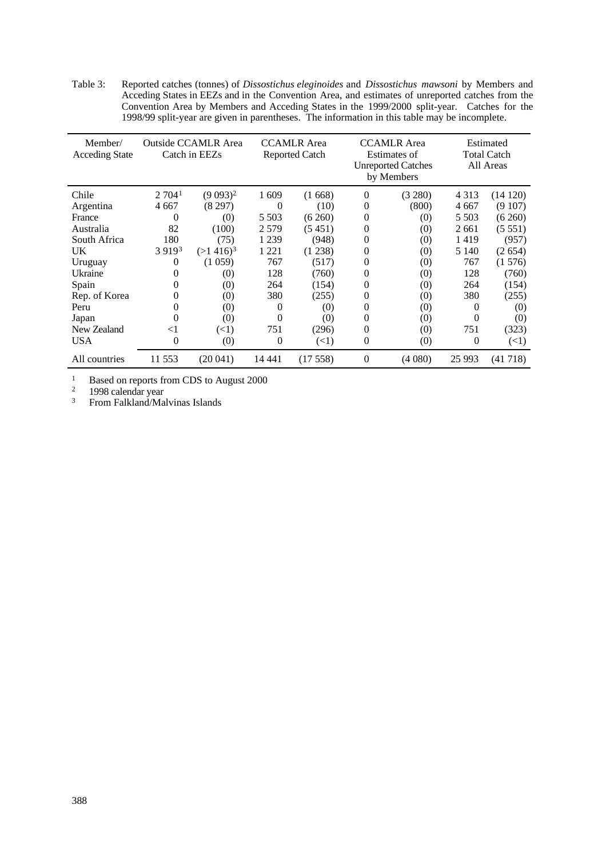Table 3: Reported catches (tonnes) of *Dissostichus eleginoides* and *Dissostichus mawsoni* by Members and Acceding States in EEZs and in the Convention Area, and estimates of unreported catches from the Convention Area by Members and Acceding States in the 1999/2000 split-year. Catches for the 1998/99 split-year are given in parentheses. The information in this table may be incomplete.

| Member/<br><b>Acceding State</b> | <b>Outside CCAMLR Area</b><br>Catch in EEZs |              |                | <b>CCAMLR</b> Area<br><b>Reported Catch</b> |                | <b>CCAMLR</b> Area<br>Estimates of<br><b>Unreported Catches</b><br>by Members | Estimated<br><b>Total Catch</b><br>All Areas |            |  |
|----------------------------------|---------------------------------------------|--------------|----------------|---------------------------------------------|----------------|-------------------------------------------------------------------------------|----------------------------------------------|------------|--|
| Chile                            | 2.704 <sup>1</sup>                          | $(9\,093)^2$ | 1609           | (1668)                                      | 0              | (3 280)                                                                       | 4 3 1 3                                      | (14120)    |  |
| Argentina                        | 4 667                                       | (8297)       | 0              | (10)                                        | 0              | (800)                                                                         | 4 6 6 7                                      | (9107)     |  |
| France                           | $\theta$                                    | (0)          | 5 5 0 3        | (6260)                                      | 0              | (0)                                                                           | 5 5 0 3                                      | (6260)     |  |
| Australia                        | 82                                          | (100)        | 2579           | (5451)                                      | 0              | (0)                                                                           | 2661                                         | (5551)     |  |
| South Africa                     | 180                                         | (75)         | 1 2 3 9        | (948)                                       | 0              | (0)                                                                           | 1419                                         | (957)      |  |
| <b>UK</b>                        | 3 9 1 9 3                                   | $(>1416)^3$  | 1 2 2 1        | (1238)                                      | 0              | (0)                                                                           | 5 1 4 0                                      | (2654)     |  |
| Uruguay                          | 0                                           | (1059)       | 767            | (517)                                       | 0              | (0)                                                                           | 767                                          | (1576)     |  |
| Ukraine                          | $\Omega$                                    | (0)          | 128            | (760)                                       | 0              | (0)                                                                           | 128                                          | (760)      |  |
| Spain                            | 0                                           | (0)          | 264            | (154)                                       | 0              | (0)                                                                           | 264                                          | (154)      |  |
| Rep. of Korea                    | $\Omega$                                    | (0)          | 380            | (255)                                       | 0              | (0)                                                                           | 380                                          | (255)      |  |
| Peru                             | $\Omega$                                    | (0)          | $\theta$       | (0)                                         | 0              | (0)                                                                           | $\theta$                                     | (0)        |  |
| Japan                            | $\theta$                                    | (0)          | $\theta$       | $\left( 0\right)$                           | $\theta$       | (0)                                                                           | $\Omega$                                     | (0)        |  |
| New Zealand                      | $<$ 1                                       | (<1)         | 751            | (296)                                       | 0              | (0)                                                                           | 751                                          | (323)      |  |
| <b>USA</b>                       | 0                                           | (0)          | $\overline{0}$ | (<1)                                        | $\theta$       | (0)                                                                           | $\theta$                                     | $(\leq 1)$ |  |
| All countries                    | 11 553                                      | (20041)      | 14 441         | (17558)                                     | $\overline{0}$ | (4080)                                                                        | 25 993                                       | (41718)    |  |

<sup>1</sup> Based on reports from CDS to August 2000

<sup>2</sup> 1998 calendar year

<sup>3</sup> From Falkland/Malvinas Islands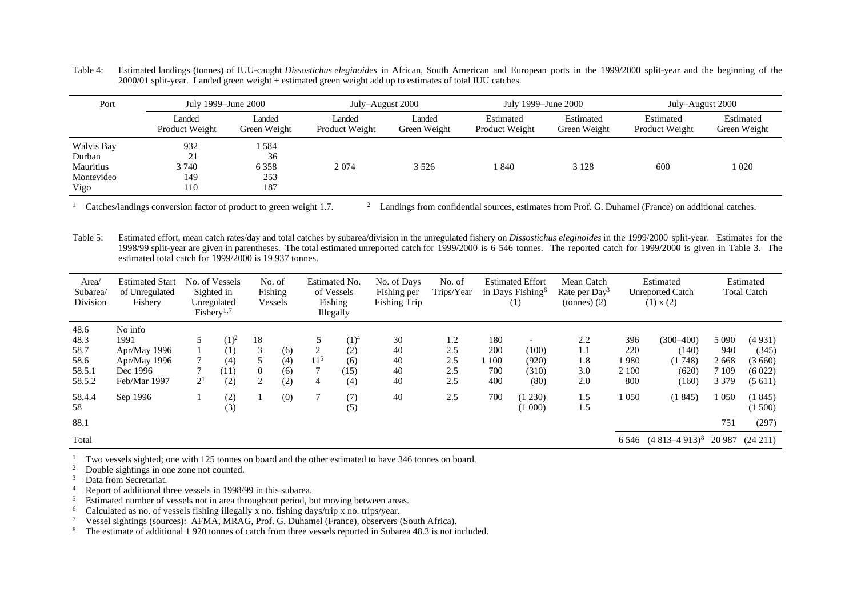Table 4: Estimated landings (tonnes) of IUU-caught *Dissostichus eleginoides* in African, South American and European ports in the 1999/2000 split-year and the beginning of the 2000/01 split-year. Landed green weight + estimated green weight add up to estimates of total IUU catches.

| Port                                                    |                                  | July 1999–June 2000                |                          | July–August 2000       | July 1999–June 2000         |                           | July–August 2000            |                           |
|---------------------------------------------------------|----------------------------------|------------------------------------|--------------------------|------------------------|-----------------------------|---------------------------|-----------------------------|---------------------------|
|                                                         | Landed<br>Product Weight         | Landed<br>Green Weight             | Landed<br>Product Weight | Landed<br>Green Weight | Estimated<br>Product Weight | Estimated<br>Green Weight | Estimated<br>Product Weight | Estimated<br>Green Weight |
| Walvis Bay<br>Durban<br>Mauritius<br>Montevideo<br>Vigo | 932<br>21<br>3 740<br>149<br>110 | 584<br>36<br>6 3 5 8<br>253<br>187 | 2074                     | 3 5 2 6                | .840                        | 3 1 2 8                   | 600                         | 1 020                     |

<sup>1</sup> Catches/landings conversion factor of product to green weight 1.7. <sup>2</sup> Landings from confidential sources, estimates from Prof. G. Duhamel (France) on additional catches.

Table 5: Estimated effort, mean catch rates/day and total catches by subarea/division in the unregulated fishery on *Dissostichus eleginoides* in the 1999/2000 split-year. Estimates for the 1998/99 split-year are given in parentheses. The total estimated unreported catch for 1999/2000 is 6 546 tonnes. The reported catch for 1999/2000 is given in Table 3. The estimated total catch for 1999/2000 is 19 937 tonnes.

| Area/<br>Subarea/<br>Division                    | <b>Estimated Start</b><br>of Unregulated<br>Fishery                         |                     | No. of Vessels<br>Sighted in<br>Unregulated<br>Fishery <sup>1,7</sup> |              | No. of<br>Fishing<br>Vessels |                           | Estimated No.<br>of Vessels<br>Fishing<br>Illegally | No. of Days<br>Fishing per<br><b>Fishing Trip</b> | No. of<br>Trips/Year            |                                 | <b>Estimated Effort</b><br>in Days Fishing <sup>6</sup><br>(1) | Mean Catch<br>Rate per $Day^3$<br>tonnes(2) |                                    | Estimated<br><b>Unreported Catch</b><br>(1) x (2)  |                                              | Estimated<br><b>Total Catch</b>               |
|--------------------------------------------------|-----------------------------------------------------------------------------|---------------------|-----------------------------------------------------------------------|--------------|------------------------------|---------------------------|-----------------------------------------------------|---------------------------------------------------|---------------------------------|---------------------------------|----------------------------------------------------------------|---------------------------------------------|------------------------------------|----------------------------------------------------|----------------------------------------------|-----------------------------------------------|
| 48.6<br>48.3<br>58.7<br>58.6<br>58.5.1<br>58.5.2 | No info<br>1991<br>Apr/May 1996<br>Apr/May 1996<br>Dec 1996<br>Feb/Mar 1997 | 5<br>2 <sup>1</sup> | $(1)^2$<br>(1)<br>(4)<br>(11)<br>(2)                                  | 18<br>3<br>0 | (6)<br>(4)<br>(6)<br>(2)     | 2<br>11 <sup>5</sup><br>4 | $(1)^4$<br>(2)<br>(6)<br>(15)<br>(4)                | 30<br>40<br>40<br>40<br>40                        | 1.2<br>2.5<br>2.5<br>2.5<br>2.5 | 180<br>200<br>100<br>700<br>400 | (100)<br>(920)<br>(310)<br>(80)                                | 2.2<br>1.1<br>1.8<br>3.0<br>2.0             | 396<br>220<br>1980<br>2 100<br>800 | $(300 - 400)$<br>(140)<br>(1748)<br>(620)<br>(160) | 5 0 9 0<br>940<br>2668<br>7 1 0 9<br>3 3 7 9 | (4931)<br>(345)<br>(3660)<br>(6022)<br>(5611) |
| 58.4.4<br>58<br>88.1                             | Sep 1996                                                                    |                     | (2)<br>(3)                                                            |              | (0)                          | $\tau$                    | (7)<br>(5)                                          | 40                                                | 2.5                             | 700                             | (1 230)<br>(1000)                                              | 1.5<br>1.5                                  | 1050                               | (1845)                                             | 1 0 5 0<br>751                               | (1845)<br>(1500)<br>(297)                     |
| Total                                            |                                                                             |                     |                                                                       |              |                              |                           |                                                     |                                                   |                                 |                                 |                                                                |                                             |                                    | 6 546 (4 813 - 4 913) <sup>8</sup> 20 987          |                                              | $(24\;211)$                                   |

<sup>1</sup> Two vessels sighted; one with 125 tonnes on board and the other estimated to have 346 tonnes on board.<br><sup>2</sup> Double sightings in one zone not counted

 $\frac{2}{3}$  Double sightings in one zone not counted.<br> $\frac{3}{3}$  Data from Secretariat

Data from Secretariat.

4 Report of additional three vessels in 1998/99 in this subarea.<br>5 Estimated number of vessels not in area throughout period.

<sup>5</sup> Estimated number of vessels not in area throughout period, but moving between areas.

<sup>6</sup> Calculated as no. of vessels fishing illegally x no. fishing days/trip x no. trips/year.<br><sup>7</sup> Vessel sightings (sources): AFMA, MRAG, Prof. G. Duhamel (France), observers (

<sup>7</sup> Vessel sightings (sources): AFMA, MRAG, Prof. G. Duhamel (France), observers (South Africa).

The estimate of additional 1 920 tonnes of catch from three vessels reported in Subarea 48.3 is not included.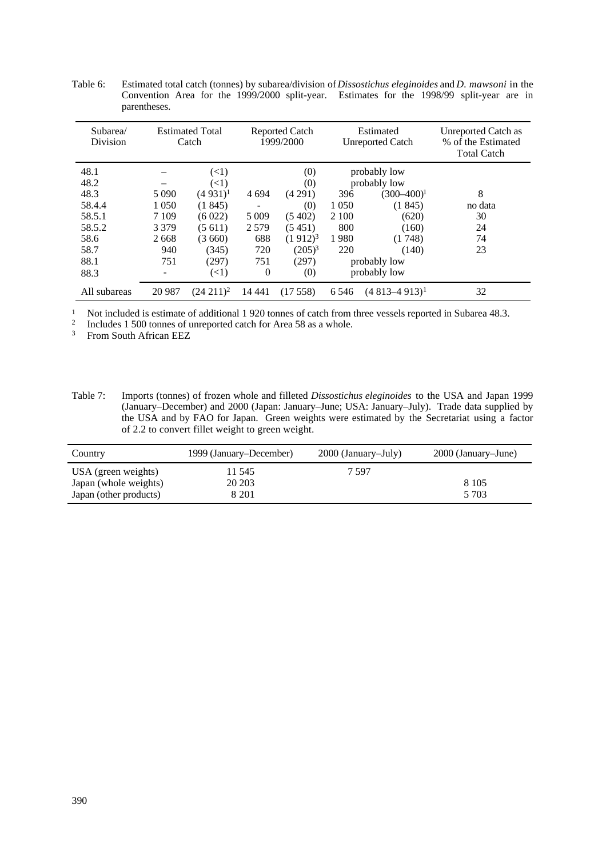| Subarea/<br><b>Division</b> | <b>Estimated Total</b><br>Catch |               |          | <b>Reported Catch</b><br>1999/2000 |              | Estimated<br><b>Unreported Catch</b> | Unreported Catch as<br>% of the Estimated<br><b>Total Catch</b> |
|-----------------------------|---------------------------------|---------------|----------|------------------------------------|--------------|--------------------------------------|-----------------------------------------------------------------|
| 48.1                        |                                 | $(\leq 1)$    |          | (0)                                |              | probably low                         |                                                                 |
| 48.2                        |                                 | $(\leq 1)$    |          | (0)                                |              | probably low                         |                                                                 |
| 48.3                        | 5 0 9 0                         | $(4931)^1$    | 4 6 9 4  | (4291)                             | 396          | $(300-400)^1$                        | 8                                                               |
| 58.4.4                      | 1 0 5 0                         | (1845)        |          | (0)                                | 1 0 5 0      | (1845)                               | no data                                                         |
| 58.5.1                      | 7 1 0 9                         | (6022)        | 5 0 0 9  | (5402)                             | 2 1 0 0      | (620)                                | 30                                                              |
| 58.5.2                      | 3 3 7 9                         | (5611)        | 2579     | (5451)                             | 800          | (160)                                | 24                                                              |
| 58.6                        | 2668                            | (3660)        | 688      | $(1912)^3$                         | 1980         | (1748)                               | 74                                                              |
| 58.7                        | 940                             | (345)         | 720      | $(205)^3$                          | 220          | (140)                                | 23                                                              |
| 88.1                        | 751                             | (297)         | 751      | (297)                              |              | probably low                         |                                                                 |
| 88.3                        |                                 | $(\leq 1)$    | $\theta$ | (0)                                | probably low |                                      |                                                                 |
| All subareas                | 20 9 87                         | $(24\;211)^2$ | 14 441   | (17558)                            | 6 5 4 6      | $(4813 - 4913)^1$                    | 32                                                              |

Table 6: Estimated total catch (tonnes) by subarea/division of *Dissostichus eleginoides* and *D. mawsoni* in the Convention Area for the 1999/2000 split-year. Estimates for the 1998/99 split-year are in parentheses.

<sup>1</sup> Not included is estimate of additional 1 920 tonnes of catch from three vessels reported in Subarea 48.3.

2 Includes 1 500 tonnes of unreported catch for Area 58 as a whole.

<sup>3</sup> From South African EEZ

Table 7: Imports (tonnes) of frozen whole and filleted *Dissostichus eleginoides* to the USA and Japan 1999 (January–December) and 2000 (Japan: January–June; USA: January–July). Trade data supplied by the USA and by FAO for Japan. Green weights were estimated by the Secretariat using a factor of 2.2 to convert fillet weight to green weight.

| Country                                                                | 1999 (January–December)    | 2000 (January–July) | 2000 (January–June) |
|------------------------------------------------------------------------|----------------------------|---------------------|---------------------|
| USA (green weights)<br>Japan (whole weights)<br>Japan (other products) | 11 545<br>20 20 3<br>8 201 | 7 597               | 8 1 0 5<br>5 703    |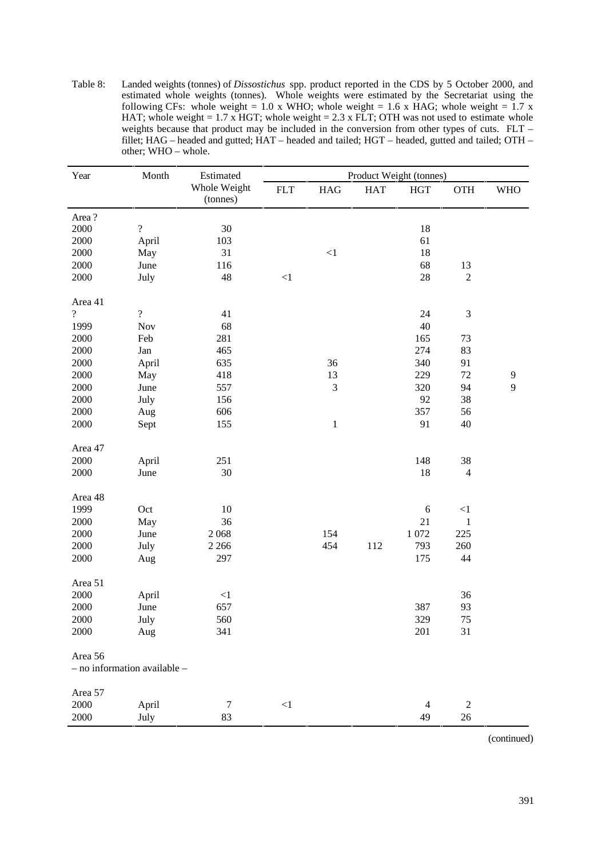Table 8: Landed weights (tonnes) of *Dissostichus* spp. product reported in the CDS by 5 October 2000, and estimated whole weights (tonnes). Whole weights were estimated by the Secretariat using the following CFs: whole weight = 1.0 x WHO; whole weight = 1.6 x HAG; whole weight = 1.7 x HAT; whole weight =  $1.7$  x HGT; whole weight =  $2.3$  x FLT; OTH was not used to estimate whole weights because that product may be included in the conversion from other types of cuts. FLT – fillet; HAG – headed and gutted; HAT – headed and tailed; HGT – headed, gutted and tailed; OTH – other; WHO – whole.

| Year           | Month                        | Estimated                | Product Weight (tonnes) |                |            |                |                |            |  |  |
|----------------|------------------------------|--------------------------|-------------------------|----------------|------------|----------------|----------------|------------|--|--|
|                |                              | Whole Weight<br>(tonnes) | <b>FLT</b>              | <b>HAG</b>     | <b>HAT</b> | <b>HGT</b>     | OTH            | <b>WHO</b> |  |  |
| Area?          |                              |                          |                         |                |            |                |                |            |  |  |
| 2000           | $\overline{\cdot}$           | 30                       |                         |                |            | 18             |                |            |  |  |
| 2000           | April                        | 103                      |                         |                |            | 61             |                |            |  |  |
| 2000           | May                          | 31                       |                         | $<\!\!1$       |            | 18             |                |            |  |  |
| 2000           | June                         | 116                      |                         |                |            | 68             | 13             |            |  |  |
| 2000           | July                         | 48                       | $<\!\!1$                |                |            | 28             | $\overline{2}$ |            |  |  |
| Area 41        |                              |                          |                         |                |            |                |                |            |  |  |
| $\overline{?}$ | $\overline{\mathcal{L}}$     | 41                       |                         |                |            | 24             | $\mathfrak{Z}$ |            |  |  |
| 1999           | Nov                          | 68                       |                         |                |            | 40             |                |            |  |  |
| 2000           | Feb                          | 281                      |                         |                |            | 165            | 73             |            |  |  |
| 2000           | Jan                          | 465                      |                         |                |            | 274            | 83             |            |  |  |
| 2000           | April                        | 635                      |                         | 36             |            | 340            | 91             |            |  |  |
| 2000           | May                          | 418                      |                         | 13             |            | 229            | 72             | 9          |  |  |
| 2000           | June                         | 557                      |                         | $\mathfrak{Z}$ |            | 320            | 94             | 9          |  |  |
| 2000           | July                         | 156                      |                         |                |            | 92             | 38             |            |  |  |
| 2000           | Aug                          | 606                      |                         |                |            | 357            | 56             |            |  |  |
| 2000           | Sept                         | 155                      |                         | $\mathbf{1}$   |            | 91             | 40             |            |  |  |
| Area 47        |                              |                          |                         |                |            |                |                |            |  |  |
| 2000           | April                        | 251                      |                         |                |            | 148            | 38             |            |  |  |
| 2000           | June                         | 30                       |                         |                |            | 18             | $\overline{4}$ |            |  |  |
| Area 48        |                              |                          |                         |                |            |                |                |            |  |  |
| 1999           | Oct                          | 10                       |                         |                |            | $\sqrt{6}$     | $<\!\!1$       |            |  |  |
| 2000           | May                          | 36                       |                         |                |            | 21             | $\mathbf{1}$   |            |  |  |
| 2000           | June                         | 2068                     |                         | 154            |            | $1\,072$       | 225            |            |  |  |
| 2000           | July                         | 2 2 6 6                  |                         | 454            | 112        | 793            | 260            |            |  |  |
| 2000           | Aug                          | 297                      |                         |                |            | 175            | 44             |            |  |  |
| Area 51        |                              |                          |                         |                |            |                |                |            |  |  |
| 2000           | April                        | $\leq$ 1                 |                         |                |            |                | 36             |            |  |  |
| 2000           | June                         | 657                      |                         |                |            | 387            | 93             |            |  |  |
| 2000           | July                         | 560                      |                         |                |            | 329            | 75             |            |  |  |
| 2000           | Aug                          | 341                      |                         |                |            | 201            | 31             |            |  |  |
| Area 56        |                              |                          |                         |                |            |                |                |            |  |  |
|                | - no information available - |                          |                         |                |            |                |                |            |  |  |
| Area 57        |                              |                          |                         |                |            |                |                |            |  |  |
| 2000           | April                        | 7                        | $<\!\!1$                |                |            | $\overline{4}$ | $\overline{2}$ |            |  |  |
| 2000           | July                         | 83                       |                         |                |            | 49             | $26\,$         |            |  |  |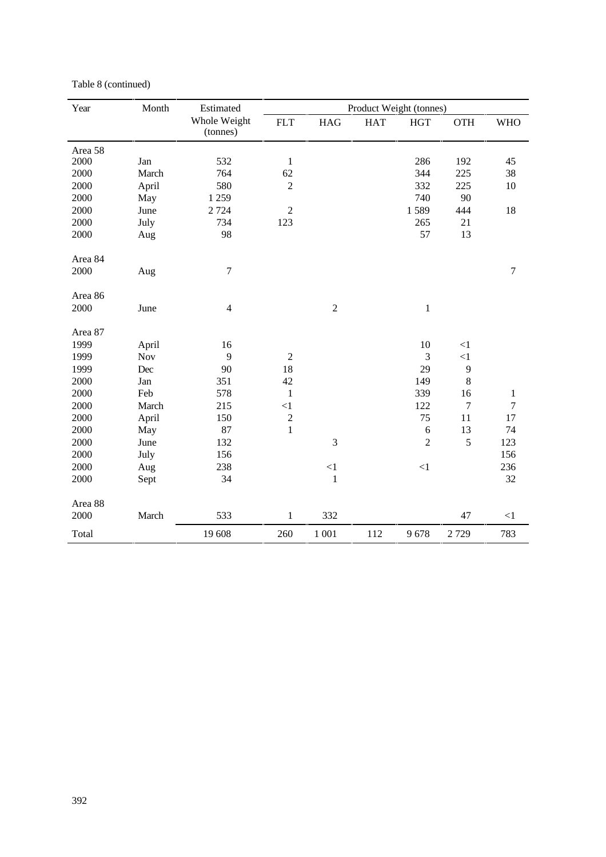| Year    | Month | Estimated                |                |              | Product Weight (tonnes) |             |                  |                  |
|---------|-------|--------------------------|----------------|--------------|-------------------------|-------------|------------------|------------------|
|         |       | Whole Weight<br>(tonnes) | <b>FLT</b>     | <b>HAG</b>   | <b>HAT</b>              | <b>HGT</b>  | <b>OTH</b>       | <b>WHO</b>       |
| Area 58 |       |                          |                |              |                         |             |                  |                  |
| 2000    | Jan   | 532                      | $\,1$          |              |                         | 286         | 192              | 45               |
| 2000    | March | 764                      | 62             |              |                         | 344         | 225              | 38               |
| 2000    | April | 580                      | $\overline{2}$ |              |                         | 332         | 225              | 10               |
| 2000    | May   | 1 2 5 9                  |                |              |                         | 740         | 90               |                  |
| 2000    | June  | 2 7 2 4                  | $\sqrt{2}$     |              |                         | 1589        | 444              | 18               |
| 2000    | July  | 734                      | 123            |              |                         | 265         | 21               |                  |
| 2000    | Aug   | 98                       |                |              |                         | 57          | 13               |                  |
| Area 84 |       |                          |                |              |                         |             |                  |                  |
| 2000    | Aug   | $\tau$                   |                |              |                         |             |                  | $\boldsymbol{7}$ |
| Area 86 |       |                          |                |              |                         |             |                  |                  |
| 2000    | June  | $\overline{4}$           |                | $\sqrt{2}$   |                         | $\mathbf 1$ |                  |                  |
| Area 87 |       |                          |                |              |                         |             |                  |                  |
| 1999    | April | 16                       |                |              |                         | 10          | $<\!\!1$         |                  |
| 1999    | Nov   | 9                        | $\sqrt{2}$     |              |                         | 3           | ${<}1$           |                  |
| 1999    | Dec   | 90                       | 18             |              |                         | 29          | 9                |                  |
| 2000    | Jan   | 351                      | 42             |              |                         | 149         | $\,8\,$          |                  |
| 2000    | Feb   | 578                      | $\,1$          |              |                         | 339         | 16               | $\mathbf{1}$     |
| 2000    | March | 215                      | <1             |              |                         | 122         | $\boldsymbol{7}$ | $\overline{7}$   |
| 2000    | April | 150                      | $\overline{c}$ |              |                         | 75          | 11               | 17               |
| 2000    | May   | 87                       | $\mathbf{1}$   |              |                         | $\sqrt{6}$  | 13               | 74               |
| 2000    | June  | 132                      |                | 3            |                         | $\sqrt{2}$  | 5                | 123              |
| 2000    | July  | 156                      |                |              |                         |             |                  | 156              |
| 2000    | Aug   | 238                      |                | $\leq$ 1     |                         | $<\!\!1$    |                  | 236              |
| 2000    | Sept  | 34                       |                | $\mathbf{1}$ |                         |             |                  | 32               |
| Area 88 |       |                          |                |              |                         |             |                  |                  |
| 2000    | March | 533                      | $\mathbf{1}$   | 332          |                         |             | 47               | $\leq$ 1         |
| Total   |       | 19 608                   | 260            | 1 0 0 1      | 112                     | 9678        | 2729             | 783              |

### Table 8 (continued)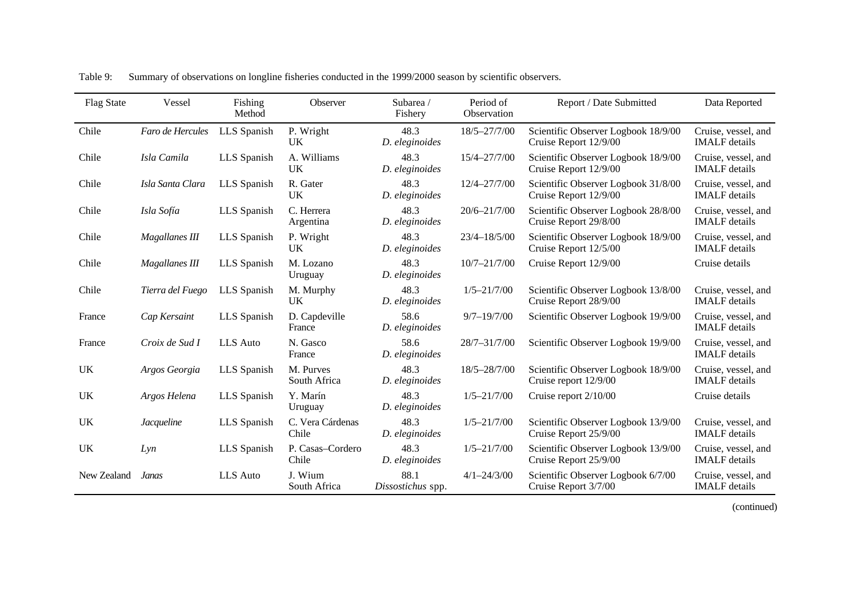| <b>Flag State</b> | Vessel                | Fishing<br>Method | Observer                  | Subarea /<br>Fishery      | Period of<br>Observation | Report / Date Submitted                                      | Data Reported                               |
|-------------------|-----------------------|-------------------|---------------------------|---------------------------|--------------------------|--------------------------------------------------------------|---------------------------------------------|
| Chile             | Faro de Hercules      | LLS Spanish       | P. Wright<br><b>UK</b>    | 48.3<br>D. eleginoides    | 18/5-27/7/00             | Scientific Observer Logbook 18/9/00<br>Cruise Report 12/9/00 | Cruise, vessel, and<br><b>IMALF</b> details |
| Chile             | Isla Camila           | LLS Spanish       | A. Williams<br><b>UK</b>  | 48.3<br>D. eleginoides    | 15/4-27/7/00             | Scientific Observer Logbook 18/9/00<br>Cruise Report 12/9/00 | Cruise, vessel, and<br><b>IMALF</b> details |
| Chile             | Isla Santa Clara      | LLS Spanish       | R. Gater<br>UK            | 48.3<br>D. eleginoides    | 12/4-27/7/00             | Scientific Observer Logbook 31/8/00<br>Cruise Report 12/9/00 | Cruise, vessel, and<br><b>IMALF</b> details |
| Chile             | Isla Sofía            | LLS Spanish       | C. Herrera<br>Argentina   | 48.3<br>D. eleginoides    | $20/6 - 21/7/00$         | Scientific Observer Logbook 28/8/00<br>Cruise Report 29/8/00 | Cruise, vessel, and<br><b>IMALF</b> details |
| Chile             | <b>Magallanes III</b> | LLS Spanish       | P. Wright<br><b>UK</b>    | 48.3<br>D. eleginoides    | $23/4 - 18/5/00$         | Scientific Observer Logbook 18/9/00<br>Cruise Report 12/5/00 | Cruise, vessel, and<br><b>IMALF</b> details |
| Chile             | Magallanes III        | LLS Spanish       | M. Lozano<br>Uruguay      | 48.3<br>D. eleginoides    | $10/7 - 21/7/00$         | Cruise Report 12/9/00                                        | Cruise details                              |
| Chile             | Tierra del Fuego      | LLS Spanish       | M. Murphy<br><b>UK</b>    | 48.3<br>D. eleginoides    | $1/5 - 21/7/00$          | Scientific Observer Logbook 13/8/00<br>Cruise Report 28/9/00 | Cruise, vessel, and<br><b>IMALF</b> details |
| France            | Cap Kersaint          | LLS Spanish       | D. Capdeville<br>France   | 58.6<br>D. eleginoides    | $9/7 - 19/7/00$          | Scientific Observer Logbook 19/9/00                          | Cruise, vessel, and<br><b>IMALF</b> details |
| France            | Croix de Sud I        | <b>LLS</b> Auto   | N. Gasco<br>France        | 58.6<br>D. eleginoides    | 28/7-31/7/00             | Scientific Observer Logbook 19/9/00                          | Cruise, vessel, and<br><b>IMALF</b> details |
| <b>UK</b>         | Argos Georgia         | LLS Spanish       | M. Purves<br>South Africa | 48.3<br>D. eleginoides    | 18/5-28/7/00             | Scientific Observer Logbook 18/9/00<br>Cruise report 12/9/00 | Cruise, vessel, and<br><b>IMALF</b> details |
| <b>UK</b>         | Argos Helena          | LLS Spanish       | Y. Marín<br>Uruguay       | 48.3<br>D. eleginoides    | $1/5 - 21/7/00$          | Cruise report 2/10/00                                        | Cruise details                              |
| UK                | <i>Jacqueline</i>     | LLS Spanish       | C. Vera Cárdenas<br>Chile | 48.3<br>D. eleginoides    | $1/5 - 21/7/00$          | Scientific Observer Logbook 13/9/00<br>Cruise Report 25/9/00 | Cruise, vessel, and<br><b>IMALF</b> details |
| UK                | Lyn                   | LLS Spanish       | P. Casas-Cordero<br>Chile | 48.3<br>D. eleginoides    | $1/5 - 21/7/00$          | Scientific Observer Logbook 13/9/00<br>Cruise Report 25/9/00 | Cruise, vessel, and<br><b>IMALF</b> details |
| New Zealand       | Janas                 | <b>LLS</b> Auto   | J. Wium<br>South Africa   | 88.1<br>Dissostichus spp. | $4/1 - 24/3/00$          | Scientific Observer Logbook 6/7/00<br>Cruise Report 3/7/00   | Cruise, vessel, and<br><b>IMALF</b> details |

Table 9: Summary of observations on longline fisheries conducted in the 1999/2000 season by scientific observers.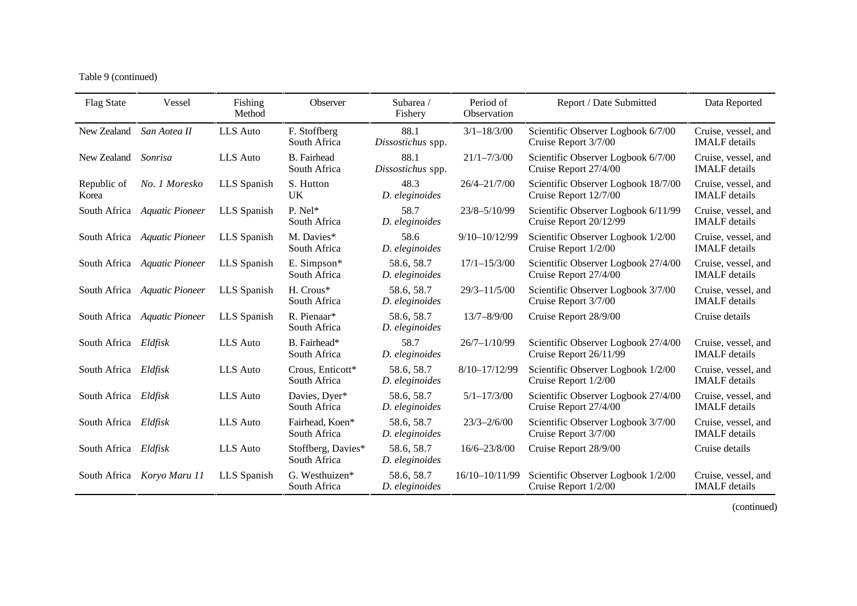Table 9 (continued)

| <b>Flag State</b>    | Vessel                       | Fishing<br>Method | Observer                           | Subarea /<br>Fishery         | Period of<br>Observation | Report / Date Submitted                                       | Data Reported                               |
|----------------------|------------------------------|-------------------|------------------------------------|------------------------------|--------------------------|---------------------------------------------------------------|---------------------------------------------|
| New Zealand          | San Aotea II                 | LLS Auto          | F. Stoffberg<br>South Africa       | 88.1<br>Dissostichus spp.    | $3/1 - 18/3/00$          | Scientific Observer Logbook 6/7/00<br>Cruise Report 3/7/00    | Cruise, vessel, and<br><b>IMALF</b> details |
| New Zealand          | Sonrisa                      | LLS Auto          | <b>B.</b> Fairhead<br>South Africa | 88.1<br>Dissostichus spp.    | $21/1 - 7/3/00$          | Scientific Observer Logbook 6/7/00<br>Cruise Report 27/4/00   | Cruise, vessel, and<br><b>IMALF</b> details |
| Republic of<br>Korea | No. 1 Moresko                | LLS Spanish       | S. Hutton<br><b>UK</b>             | 48.3<br>D. eleginoides       | 26/4-21/7/00             | Scientific Observer Logbook 18/7/00<br>Cruise Report 12/7/00  | Cruise, vessel, and<br><b>IMALF</b> details |
|                      | South Africa Aquatic Pioneer | LLS Spanish       | P. Nel*<br>South Africa            | 58.7<br>D. eleginoides       | 23/8-5/10/99             | Scientific Observer Logbook 6/11/99<br>Cruise Report 20/12/99 | Cruise, vessel, and<br><b>IMALF</b> details |
|                      | South Africa Aquatic Pioneer | LLS Spanish       | M. Davies*<br>South Africa         | 58.6<br>D. eleginoides       | 9/10-10/12/99            | Scientific Observer Logbook 1/2/00<br>Cruise Report 1/2/00    | Cruise, vessel, and<br><b>IMALF</b> details |
|                      | South Africa Aquatic Pioneer | LLS Spanish       | E. Simpson*<br>South Africa        | 58.6, 58.7<br>D. eleginoides | $17/1 - 15/3/00$         | Scientific Observer Logbook 27/4/00<br>Cruise Report 27/4/00  | Cruise, vessel, and<br><b>IMALF</b> details |
|                      | South Africa Aquatic Pioneer | LLS Spanish       | H. Crous*<br>South Africa          | 58.6, 58.7<br>D. eleginoides | $29/3 - 11/5/00$         | Scientific Observer Logbook 3/7/00<br>Cruise Report 3/7/00    | Cruise, vessel, and<br><b>IMALF</b> details |
|                      | South Africa Aquatic Pioneer | LLS Spanish       | R. Pienaar*<br>South Africa        | 58.6, 58.7<br>D. eleginoides | $13/7 - 8/9/00$          | Cruise Report 28/9/00                                         | Cruise details                              |
| South Africa Eldfisk |                              | LLS Auto          | B. Fairhead*<br>South Africa       | 58.7<br>D. eleginoides       | $26/7 - 1/10/99$         | Scientific Observer Logbook 27/4/00<br>Cruise Report 26/11/99 | Cruise, vessel, and<br><b>IMALF</b> details |
| South Africa Eldfisk |                              | <b>LLS</b> Auto   | Crous, Enticott*<br>South Africa   | 58.6, 58.7<br>D. eleginoides | $8/10 - 17/12/99$        | Scientific Observer Logbook 1/2/00<br>Cruise Report 1/2/00    | Cruise, vessel, and<br><b>IMALF</b> details |
| South Africa Eldfisk |                              | LLS Auto          | Davies, Dyer*<br>South Africa      | 58.6, 58.7<br>D. eleginoides | $5/1 - 17/3/00$          | Scientific Observer Logbook 27/4/00<br>Cruise Report 27/4/00  | Cruise, vessel, and<br><b>IMALF</b> details |
| South Africa Eldfisk |                              | LLS Auto          | Fairhead, Koen*<br>South Africa    | 58.6, 58.7<br>D. eleginoides | $23/3 - 2/6/00$          | Scientific Observer Logbook 3/7/00<br>Cruise Report 3/7/00    | Cruise, vessel, and<br><b>IMALF</b> details |
| South Africa Eldfisk |                              | <b>LLS</b> Auto   | Stoffberg, Davies*<br>South Africa | 58.6, 58.7<br>D. eleginoides | 16/6-23/8/00             | Cruise Report 28/9/00                                         | Cruise details                              |
|                      | South Africa Koryo Maru 11   | LLS Spanish       | G. Westhuizen*<br>South Africa     | 58.6, 58.7<br>D. eleginoides | 16/10-10/11/99           | Scientific Observer Logbook 1/2/00<br>Cruise Report 1/2/00    | Cruise, vessel, and<br><b>IMALF</b> details |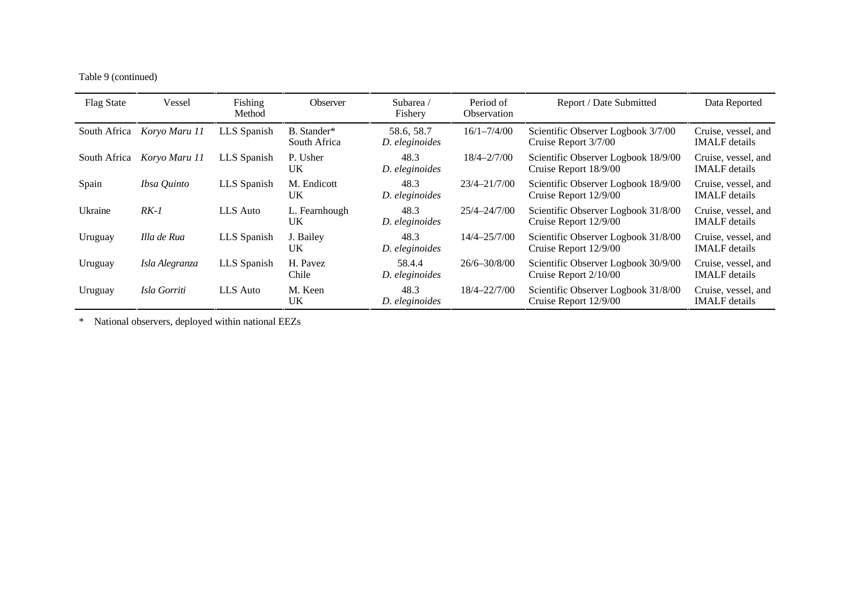Table 9 (continued)

| <b>Flag State</b> | Vessel         | Fishing<br>Method | Observer                    | Subarea/<br>Fishery          | Period of<br>Observation | Report / Date Submitted                                      | Data Reported                               |
|-------------------|----------------|-------------------|-----------------------------|------------------------------|--------------------------|--------------------------------------------------------------|---------------------------------------------|
| South Africa      | Koryo Maru 11  | LLS Spanish       | B. Stander*<br>South Africa | 58.6, 58.7<br>D. eleginoides | $16/1 - 7/4/00$          | Scientific Observer Logbook 3/7/00<br>Cruise Report 3/7/00   | Cruise, vessel, and<br><b>IMALF</b> details |
| South Africa      | Koryo Maru 11  | LLS Spanish       | P. Usher<br>UK.             | 48.3<br>D. eleginoides       | $18/4 - 2/7/00$          | Scientific Observer Logbook 18/9/00<br>Cruise Report 18/9/00 | Cruise, vessel, and<br><b>IMALF</b> details |
| Spain             | Ibsa Quinto    | LLS Spanish       | M. Endicott<br>UK.          | 48.3<br>D. eleginoides       | 23/4-21/7/00             | Scientific Observer Logbook 18/9/00<br>Cruise Report 12/9/00 | Cruise, vessel, and<br><b>IMALF</b> details |
| Ukraine           | $RK-1$         | LLS Auto          | L. Fearnhough<br>UK.        | 48.3<br>D. eleginoides       | 25/4-24/7/00             | Scientific Observer Logbook 31/8/00<br>Cruise Report 12/9/00 | Cruise, vessel, and<br><b>IMALF</b> details |
| Uruguay           | Illa de Rua    | LLS Spanish       | J. Bailey<br>UK.            | 48.3<br>D. eleginoides       | $14/4 - 25/7/00$         | Scientific Observer Logbook 31/8/00<br>Cruise Report 12/9/00 | Cruise, vessel, and<br><b>IMALF</b> details |
| Uruguay           | Isla Alegranza | LLS Spanish       | H. Pavez<br>Chile           | 58.4.4<br>D. eleginoides     | $26/6 - 30/8/00$         | Scientific Observer Logbook 30/9/00<br>Cruise Report 2/10/00 | Cruise, vessel, and<br><b>IMALF</b> details |
| Uruguay           | Isla Gorriti   | LLS Auto          | M. Keen<br>UK.              | 48.3<br>D. eleginoides       | $18/4 - 22/7/00$         | Scientific Observer Logbook 31/8/00<br>Cruise Report 12/9/00 | Cruise, vessel, and<br><b>IMALF</b> details |

\* National observers, deployed within national EEZs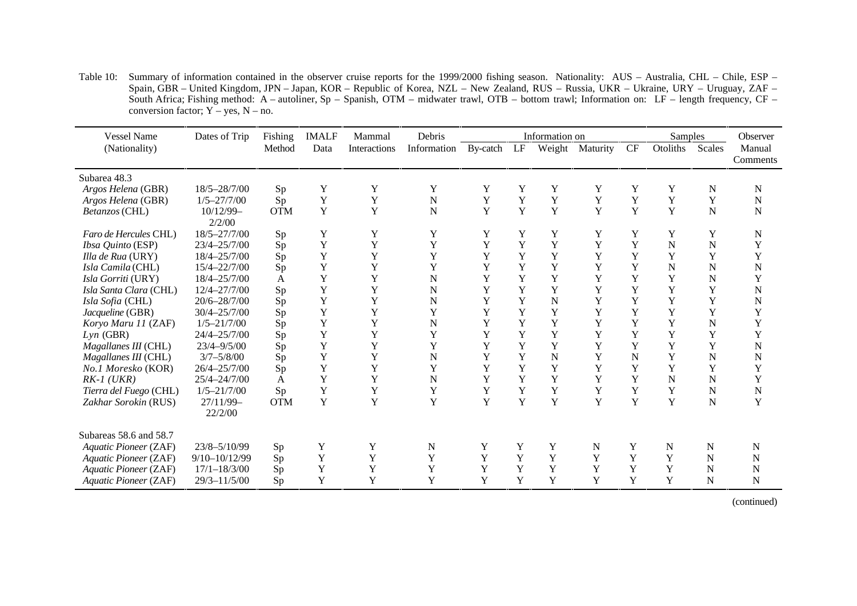Table 10: Summary of information contained in the observer cruise reports for the 1999/2000 fishing season. Nationality: AUS – Australia, CHL – Chile, ESP – Spain, GBR – United Kingdom, JPN – Japan, KOR – Republic of Korea, NZL – New Zealand, RUS – Russia, UKR – Ukraine, URY – Uruguay, ZAF – South Africa; Fishing method: A – autoliner, Sp – Spanish, OTM – midwater trawl, OTB – bottom trawl; Information on: LF – length frequency, CF – conversion factor;  $Y - yes$ ,  $N - no$ .

| <b>Vessel Name</b>       | Dates of Trip        | Fishing    | <b>IMALF</b> | Mammal       | Debris      | Information on |             |             | Samples     | Observer  |          |             |                    |
|--------------------------|----------------------|------------|--------------|--------------|-------------|----------------|-------------|-------------|-------------|-----------|----------|-------------|--------------------|
| (Nationality)            |                      | Method     | Data         | Interactions | Information | By-catch       | LF          | Weight      | Maturity    | <b>CF</b> | Otoliths | Scales      | Manual<br>Comments |
| Subarea 48.3             |                      |            |              |              |             |                |             |             |             |           |          |             |                    |
| Argos Helena (GBR)       | 18/5-28/7/00         | Sp         | Y            | Y            | Y           | Y              | Y           | Y           | Y           | Y         | Y        | $\mathbf N$ | N                  |
| Argos Helena (GBR)       | $1/5 - 27/7/00$      | Sp         | Y            | Y            | ${\bf N}$   | Y              | Y           | Y           | Y           | Y         | Y        | Y           | N                  |
| Betanzos (CHL)           | 10/12/99-<br>2/2/00  | <b>OTM</b> | $\mathbf Y$  | $\mathbf Y$  | $\mathbf N$ | $\mathbf Y$    | Y           | Y           | $\mathbf Y$ | Y         | Y        | ${\bf N}$   | N                  |
| Faro de Hercules CHL)    | 18/5-27/7/00         | Sp         | Y            | Y            | Y           | Y              | Y           | Y           | Y           | Y         | Y        | Y           | N                  |
| <i>Ibsa Quinto</i> (ESP) | 23/4-25/7/00         | Sp         | Y            | Y            | Y           | Y              | Y           | Y           | Y           | Y         | N        | $\mathbf N$ | Y                  |
| Illa de Rua (URY)        | 18/4-25/7/00         | Sp         | Y            | Y            | Y           | Y              | Y           | Y           | Y           | Y         | Y        | Y           | Y                  |
| Isla Camila (CHL)        | 15/4-22/7/00         | Sp         | Y            | Y            | Y           | Y              | Y           | Y           | Y           | Y         | N        | N           | N                  |
| Isla Gorriti (URY)       | 18/4-25/7/00         | A          | Y            | Y            | $\mathbf N$ | Y              | Y           | Y           | Y           | Y         | Y        | N           | Y                  |
| Isla Santa Clara (CHL)   | 12/4-27/7/00         | Sp         | Y            | $\mathbf Y$  | $\mathbf N$ | Y              | Y           | Y           | Y           | Y         | Y        | Y           | $\mathbf N$        |
| Isla Sofia (CHL)         | 20/6-28/7/00         | Sp         | Y            | Y            | $\mathbf N$ | Y              | Y           | $\mathbf N$ | Y           | Y         | Y        | Y           | N                  |
| Jacqueline (GBR)         | 30/4-25/7/00         | Sp         | Y            | Y            | Y           | Y              | Y           | Y           | Y           | Y         | Y        | Y           | Y                  |
| Koryo Maru 11 (ZAF)      | $1/5 - 21/7/00$      | Sp         | Y            | Y            | ${\bf N}$   | Y              | Y           | Y           | Y           | Y         | Y        | N           | Y                  |
| $Lyn$ (GBR)              | 24/4-25/7/00         | Sp         | Y            | Y            | Y           | Y              | Y           | Y           | Y           | Y         | Y        | Y           | Y                  |
| Magallanes III (CHL)     | $23/4 - 9/5/00$      | Sp         | Y            | Y            | Y           | Y              | Y           | Y           | Y           | Y         | Y        | Y           | N                  |
| Magallanes III (CHL)     | $3/7 - 5/8/00$       | Sp         | Y            | Y            | ${\bf N}$   | Y              | Y           | N           | Y           | N         | Y        | N           | N                  |
| No.1 Moresko (KOR)       | 26/4-25/7/00         | Sp         | Y            | Y            | Y           | Y              | Y           | Y           | Y           | Y         | Y        | Y           | Y                  |
| $RK-1$ (UKR)             | 25/4-24/7/00         | A          | Y            | Y            | $\mathbf N$ | Y              | Y           | Y           | Y           | Y         | N        | N           | Y                  |
| Tierra del Fuego (CHL)   | $1/5 - 21/7/00$      | Sp         | Y            | $\mathbf Y$  | $\mathbf Y$ | Y              | Y           | Y           | Y           | Y         | Y        | N           | N                  |
| Zakhar Sorokin (RUS)     | 27/11/99-<br>22/2/00 | <b>OTM</b> | Y            | Y            | Y           | Y              | Y           | Y           | Y           | Y         | Y        | N           | Y                  |
| Subareas 58.6 and 58.7   |                      |            |              |              |             |                |             |             |             |           |          |             |                    |
| Aquatic Pioneer (ZAF)    | 23/8-5/10/99         | Sp         | Y            | Y            | N           | Y              | $\mathbf Y$ | Y           | N           | Y         | N        | N           | N                  |
| Aquatic Pioneer (ZAF)    | 9/10-10/12/99        | Sp         | Y            | Y            | Y           | Y              | Y           | Y           | Y           | Y         | Y        | N           | N                  |
| Aquatic Pioneer (ZAF)    | $17/1 - 18/3/00$     | Sp         | Y            | Y            | $\mathbf Y$ | Y              | Y           | Y           | Y           | Y         | Y        | N           | N                  |
| Aquatic Pioneer (ZAF)    | $29/3 - 11/5/00$     | Sp         | Y            | Y            | Y           | Y              | Y           | Y           | Y           | Y         | Y        | N           | N                  |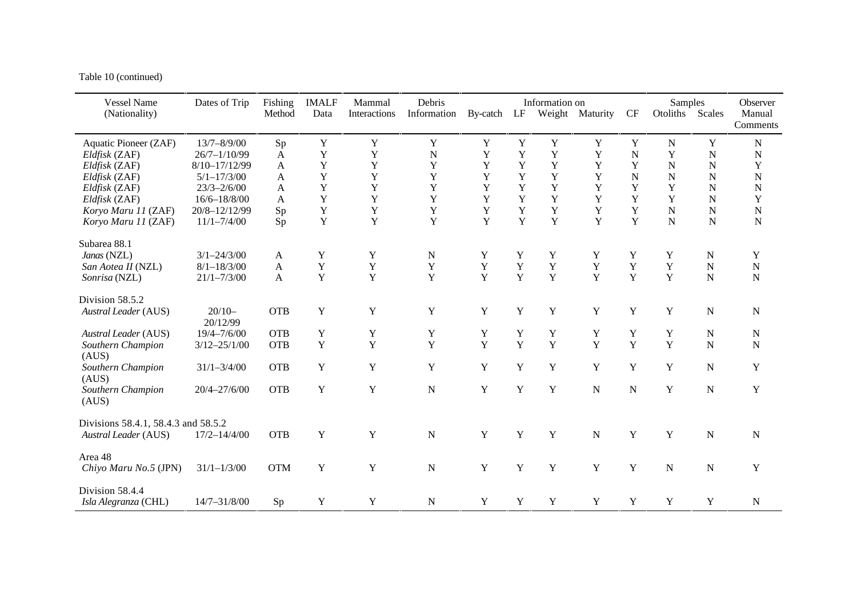Table 10 (continued)

| <b>Vessel Name</b><br>(Nationality) | Dates of Trip        | Fishing<br>Method | <b>IMALF</b><br>Data | Mammal<br>Interactions | Debris<br>Information | By-catch LF |              | Information on | Weight Maturity | CF             | Samples<br>Otoliths | Scales         | Observer<br>Manual<br>Comments |
|-------------------------------------|----------------------|-------------------|----------------------|------------------------|-----------------------|-------------|--------------|----------------|-----------------|----------------|---------------------|----------------|--------------------------------|
| Aquatic Pioneer (ZAF)               | $13/7 - 8/9/00$      | Sp                | $\mathbf Y$          | $\mathbf Y$            | Y                     | $\mathbf Y$ | Y            | $\mathbf Y$    | Y               | Y              | N                   | Y              | ${\bf N}$                      |
| Eldfisk (ZAF)                       | $26/7 - 1/10/99$     | $\mathbf{A}$      | Y                    | $\mathbf Y$            | $\overline{N}$        | $\mathbf Y$ | $\mathbf Y$  | $\mathbf Y$    | Y               | $\overline{N}$ | Y                   | $\mathbf N$    | $\mathbf N$                    |
| Eldfisk (ZAF)                       | 8/10-17/12/99        | A                 | $\mathbf Y$          | $\mathbf Y$            | $\mathbf Y$           | $\mathbf Y$ | Y            | Y              | $\mathbf Y$     | Y              | $\mathbf N$         | N              | Y                              |
| Eldfisk (ZAF)                       | $5/1 - 17/3/00$      | A                 | $\mathbf Y$          | $\mathbf Y$            | $\mathbf Y$           | $\mathbf Y$ | Y            | $\mathbf Y$    | $\mathbf Y$     | $\overline{N}$ | N                   | N              | $\mathbf N$                    |
| Eldfisk (ZAF)                       | $23/3 - 2/6/00$      | A                 | $\mathbf Y$          | Y                      | Y                     | Y           | Y            | Y              | Y               | Y              | Y                   | N              | $\mathbf N$                    |
| Eldfisk (ZAF)                       | $16/6 - 18/8/00$     | A                 | $\mathbf Y$          | Y                      | $\mathbf Y$           | $\mathbf Y$ | $\mathbf Y$  | $\mathbf Y$    | Y               | $\mathbf Y$    | Y                   | N              | $\mathbf Y$                    |
| Koryo Maru 11 (ZAF)                 | 20/8-12/12/99        | Sp                | $\mathbf Y$          | $\mathbf Y$            | $\mathbf Y$           | $\mathbf Y$ | Y            | $\mathbf Y$    | Y               | $\mathbf Y$    | $\mathbf N$         | N              | $\mathbf N$                    |
| Koryo Maru 11 (ZAF)                 | $11/1 - 7/4/00$      | Sp                | $\mathbf Y$          | Y                      | Y                     | Y           | Y            | Y              | Y               | Y              | N                   | N              | ${\bf N}$                      |
| Subarea 88.1                        |                      |                   |                      |                        |                       |             |              |                |                 |                |                     |                |                                |
| Janas (NZL)                         | $3/1 - 24/3/00$      | $\mathbf{A}$      | Y                    | $\mathbf Y$            | $\mathbf N$           | Y           | Y            | Y              | Y               | Y              | Y                   | N              | Y                              |
| San Aotea II (NZL)                  | $8/1 - 18/3/00$      | $\mathbf{A}$      | $\mathbf Y$          | Y                      | $\mathbf Y$           | $\mathbf Y$ | Y            | Y              | $\mathbf Y$     | $\mathbf Y$    | $\mathbf Y$         | $\overline{N}$ | $\mathbf N$                    |
| Sonrisa (NZL)                       | $21/1 - 7/3/00$      | $\mathbf{A}$      | $\mathbf Y$          | $\mathbf Y$            | Y                     | Y           | Y            | $\mathbf Y$    | Y               | Y              | Y                   | N              | ${\bf N}$                      |
| Division 58.5.2                     |                      |                   |                      |                        |                       |             |              |                |                 |                |                     |                |                                |
| <b>Austral Leader (AUS)</b>         | $20/10-$<br>20/12/99 | <b>OTB</b>        | $\mathbf Y$          | $\mathbf Y$            | $\mathbf Y$           | $\mathbf Y$ | $\mathbf Y$  | Y              | Y               | $\mathbf Y$    | Y                   | $\mathbf N$    | ${\bf N}$                      |
| <b>Austral Leader (AUS)</b>         | $19/4 - 7/6/00$      | <b>OTB</b>        | Y                    | Y                      | Y                     | Y           | Y            | Y              | Y               | Y              | Y                   | N              | $\mathbf N$                    |
| Southern Champion<br>(AUS)          | $3/12 - 25/1/00$     | <b>OTB</b>        | $\mathbf Y$          | $\mathbf Y$            | Y                     | Y           | $\mathbf{Y}$ | $\mathbf Y$    | Y               | Y              | Y                   | $\overline{N}$ | $\mathbf N$                    |
| Southern Champion<br>(AUS)          | $31/1 - 3/4/00$      | <b>OTB</b>        | $\mathbf Y$          | $\mathbf Y$            | Y                     | Y           | Y            | $\mathbf Y$    | Y               | $\mathbf Y$    | Y                   | N              | $\mathbf Y$                    |
| Southern Champion<br>(AUS)          | $20/4 - 27/6/00$     | <b>OTB</b>        | Y                    | $\mathbf Y$            | ${\bf N}$             | Y           | Y            | Y              | $\mathbf N$     | $\mathbf N$    | Y                   | $\mathbf N$    | $\mathbf Y$                    |
| Divisions 58.4.1, 58.4.3 and 58.5.2 |                      |                   |                      |                        |                       |             |              |                |                 |                |                     |                |                                |
| <b>Austral Leader (AUS)</b>         | $17/2 - 14/4/00$     | <b>OTB</b>        | $\mathbf Y$          | Y                      | ${\bf N}$             | $\mathbf Y$ | Y            | Y              | $\mathbf N$     | $\mathbf Y$    | Y                   | N              | ${\bf N}$                      |
| Area 48                             |                      |                   |                      |                        |                       |             |              |                |                 |                |                     |                |                                |
| Chiyo Maru No.5 (JPN)               | $31/1 - 1/3/00$      | <b>OTM</b>        | $\mathbf Y$          | Y                      | ${\bf N}$             | Y           | Y            | Y              | Y               | $\mathbf Y$    | $\mathbf N$         | N              | $\mathbf Y$                    |
| Division 58.4.4                     |                      |                   |                      |                        |                       |             |              |                |                 |                |                     |                |                                |
| Isla Alegranza (CHL)                | $14/7 - 31/8/00$     | Sp                | Y                    | Y                      | ${\bf N}$             | Y           | Y            | $\mathbf Y$    | Y               | Y              | Y                   | Y              | ${\bf N}$                      |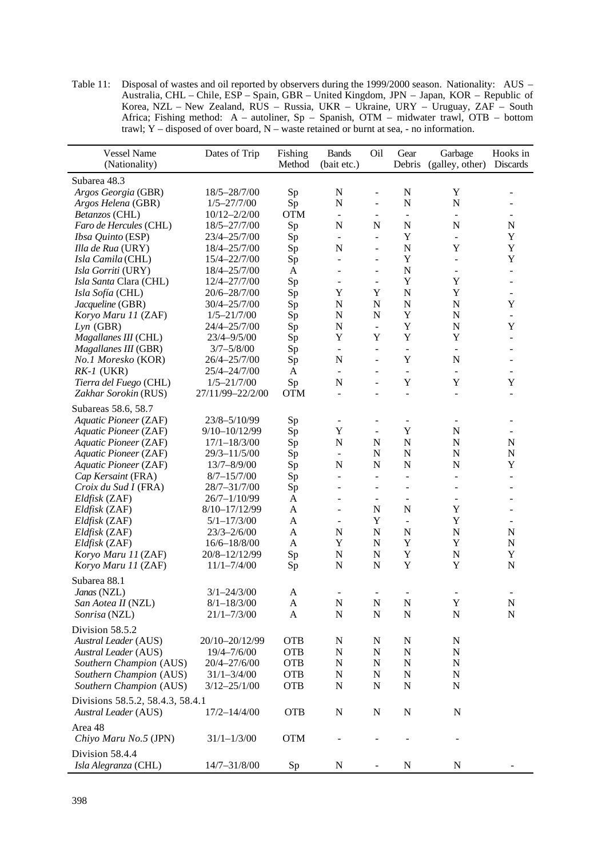Table 11: Disposal of wastes and oil reported by observers during the 1999/2000 season. Nationality: AUS – Australia, CHL – Chile, ESP – Spain, GBR – United Kingdom, JPN – Japan, KOR – Republic of Korea, NZL – New Zealand, RUS – Russia, UKR – Ukraine, URY – Uruguay, ZAF – South Africa; Fishing method: A – autoliner, Sp – Spanish, OTM – midwater trawl, OTB – bottom trawl; Y – disposed of over board, N – waste retained or burnt at sea, - no information.

| <b>Vessel Name</b><br>(Nationality)                        | Dates of Trip    | Fishing<br>Method | <b>Bands</b><br>(bait etc.) | Oil                      | Gear<br>Debris           | Garbage<br>(galley, other) | Hooks in<br><b>Discards</b> |
|------------------------------------------------------------|------------------|-------------------|-----------------------------|--------------------------|--------------------------|----------------------------|-----------------------------|
| Subarea 48.3                                               |                  |                   |                             |                          |                          |                            |                             |
| Argos Georgia (GBR)                                        | 18/5-28/7/00     | Sp                | $\mathbf N$                 | $\frac{1}{2}$            | $\mathbf N$              | Y                          | $\overline{a}$              |
| Argos Helena (GBR)                                         | $1/5 - 27/7/00$  | Sp                | ${\bf N}$                   | $\overline{\phantom{0}}$ | $\mathbf N$              | N                          |                             |
| Betanzos (CHL)                                             | $10/12 - 2/2/00$ | <b>OTM</b>        | $\blacksquare$              | $\overline{\phantom{0}}$ | $\blacksquare$           | $\overline{\phantom{a}}$   |                             |
| Faro de Hercules (CHL)                                     | 18/5-27/7/00     | Sp                | $\mathbf N$                 | N                        | $\mathbf N$              | $\mathbf N$                | N                           |
| Ibsa Quinto (ESP)                                          | 23/4-25/7/00     | Sp                | $\Box$                      | $\overline{a}$           | Y                        | $\frac{1}{2}$              | Y                           |
| Illa de Rua (URY)                                          | 18/4-25/7/00     | Sp                | N                           | $\overline{a}$           | $\mathbf N$              | Y                          | Y                           |
| Isla Camila (CHL)                                          | 15/4-22/7/00     | Sp                | $\blacksquare$              | $\overline{a}$           | Y                        | $\overline{a}$             | Y                           |
| Isla Gorriti (URY)                                         | 18/4-25/7/00     | $\mathbf{A}$      | ÷,                          | $\overline{a}$           | $\mathbf N$              | $\overline{\phantom{a}}$   |                             |
| Isla Santa Clara (CHL)                                     | 12/4-27/7/00     | Sp                | $\blacksquare$              | $\overline{\phantom{a}}$ | Y                        | Y                          | $\overline{\phantom{a}}$    |
| Isla Sofía (CHL)                                           | 20/6-28/7/00     | Sp                | Y                           | Y                        | $\mathbf N$              | $\mathbf Y$                |                             |
| Jacqueline (GBR)                                           | 30/4-25/7/00     | Sp                | $\mathbf N$                 | $\mathbf N$              | $\mathbf N$              | N                          | Y                           |
| Koryo Maru 11 (ZAF)                                        | $1/5 - 21/7/00$  | Sp                | $\mathbf N$                 | N                        | Y                        | $\mathbf N$                | $\overline{\phantom{a}}$    |
| $Lyn$ (GBR)                                                | 24/4-25/7/00     | Sp                | ${\bf N}$                   | $\Box$                   | Y                        | $\mathbf N$                | Y                           |
| Magallanes III (CHL)                                       | 23/4-9/5/00      | Sp                | Y                           | Y                        | Y                        | Y                          |                             |
| Magallanes III (GBR)                                       | $3/7 - 5/8/00$   | Sp                | $\equiv$                    | $\frac{1}{2}$            | $\blacksquare$           | $\overline{\phantom{a}}$   |                             |
| No.1 Moresko (KOR)                                         | 26/4-25/7/00     | Sp                | $\mathbf N$                 | ÷,                       | Y                        | $\mathbf N$                |                             |
| $RK-I$ (UKR)                                               | 25/4-24/7/00     | A                 | $\Box$                      | $\overline{a}$           | $\blacksquare$           | $\blacksquare$             |                             |
| Tierra del Fuego (CHL)                                     | $1/5 - 21/7/00$  | Sp                | $\overline{N}$              | $\overline{a}$           | Y                        | Y                          | Y                           |
| Zakhar Sorokin (RUS)                                       | 27/11/99-22/2/00 | <b>OTM</b>        | $\Box$                      | $\overline{a}$           | $\blacksquare$           | $\overline{a}$             |                             |
| Subareas 58.6, 58.7                                        |                  |                   |                             |                          |                          |                            |                             |
| Aquatic Pioneer (ZAF)                                      | 23/8-5/10/99     | Sp                | $\blacksquare$              | $\overline{a}$           | $\overline{\phantom{a}}$ |                            |                             |
| Aquatic Pioneer (ZAF)                                      | 9/10-10/12/99    | Sp                | Y                           | $\overline{\phantom{a}}$ | Y                        | N                          |                             |
| Aquatic Pioneer (ZAF)                                      | $17/1 - 18/3/00$ | Sp                | $\mathbf N$                 | N                        | $\mathbf N$              | N                          | $\mathbf N$                 |
| Aquatic Pioneer (ZAF)                                      | 29/3-11/5/00     | Sp                | $\blacksquare$              | $\mathbf N$              | $\mathbf N$              | N                          | N                           |
| Aquatic Pioneer (ZAF)                                      | $13/7 - 8/9/00$  | Sp                | $\mathbf N$                 | $\mathbf N$              | $\mathbf N$              | N                          | Y                           |
| Cap Kersaint (FRA)                                         | $8/7 - 15/7/00$  | Sp                | $\frac{1}{2}$               | $\blacksquare$           | $\blacksquare$           | $\overline{a}$             |                             |
| Croix du Sud I (FRA)                                       | 28/7-31/7/00     | Sp                | $\overline{a}$              | $\overline{a}$           | $\blacksquare$           |                            |                             |
| Eldfisk (ZAF)                                              | $26/7 - 1/10/99$ | A                 | ÷                           | $\overline{\phantom{a}}$ | $\overline{\phantom{a}}$ | $\overline{\phantom{a}}$   | $\overline{\phantom{m}}$    |
| Eldfisk (ZAF)                                              | 8/10-17/12/99    | $\mathbf{A}$      | $\overline{a}$              | N                        | N                        | Y                          | $\overline{\phantom{0}}$    |
| Eldfisk (ZAF)                                              | $5/1 - 17/3/00$  | $\mathbf{A}$      | $\overline{a}$              | Y                        | $\blacksquare$           | Y                          |                             |
| Eldfisk (ZAF)                                              | $23/3 - 2/6/00$  | $\mathbf{A}$      | $\mathbf N$                 | $\mathbf N$              | $\mathbf N$              | ${\bf N}$                  | N                           |
| Eldfisk (ZAF)                                              | $16/6 - 18/8/00$ | $\mathbf{A}$      | Y                           | $\mathbf N$              | Y                        | Y                          | N                           |
| Koryo Maru 11 (ZAF)                                        | 20/8-12/12/99    | Sp                | ${\bf N}$                   | $\mathbf N$              | Y                        | N                          | Y                           |
| Koryo Maru 11 (ZAF)                                        | $11/1 - 7/4/00$  | Sp                | $\mathbf N$                 | $\mathbf N$              | Y                        | Y                          | $\overline{N}$              |
| Subarea 88.1                                               |                  |                   |                             |                          |                          |                            |                             |
| Janas (NZL)                                                | $3/1 - 24/3/00$  | A                 | ÷,                          | $\overline{a}$           |                          |                            |                             |
| San Aotea II (NZL)                                         | $8/1 - 18/3/00$  | A                 | N                           | ${\bf N}$                | $\mathbf N$              | Y                          | N                           |
| Sonrisa (NZL)                                              | $21/1 - 7/3/00$  | $\mathbf{A}$      | ${\bf N}$                   | ${\bf N}$                | $\mathbf N$              | ${\bf N}$                  | $\mathbf N$                 |
| Division 58.5.2                                            |                  |                   |                             |                          |                          |                            |                             |
|                                                            | 20/10-20/12/99   | <b>OTB</b>        | ${\bf N}$                   | N                        | $\mathbf N$              | ${\bf N}$                  |                             |
| <b>Austral Leader</b> (AUS)<br><b>Austral Leader</b> (AUS) | 19/4-7/6/00      | <b>OTB</b>        | N                           | N                        | $\mathbf N$              | ${\bf N}$                  |                             |
| Southern Champion (AUS)                                    | 20/4-27/6/00     | <b>OTB</b>        | N                           | N                        | $\mathbf N$              | ${\bf N}$                  |                             |
| Southern Champion (AUS)                                    | $31/1 - 3/4/00$  | <b>OTB</b>        | N                           | N                        | $\mathbf N$              | ${\bf N}$                  |                             |
| Southern Champion (AUS)                                    | $3/12 - 25/1/00$ | <b>OTB</b>        | N                           | N                        | N                        | N                          |                             |
|                                                            |                  |                   |                             |                          |                          |                            |                             |
| Divisions 58.5.2, 58.4.3, 58.4.1                           |                  |                   |                             |                          |                          |                            |                             |
| <b>Austral Leader (AUS)</b>                                | $17/2 - 14/4/00$ | <b>OTB</b>        | ${\bf N}$                   | ${\bf N}$                | $\mathbf N$              | $\mathbf N$                |                             |
| Area 48                                                    |                  |                   |                             |                          |                          |                            |                             |
| Chiyo Maru No.5 (JPN)                                      | $31/1 - 1/3/00$  | <b>OTM</b>        |                             |                          |                          |                            |                             |
| Division 58.4.4                                            |                  |                   |                             |                          |                          |                            |                             |
| Isla Alegranza (CHL)                                       | $14/7 - 31/8/00$ | Sp                | ${\bf N}$                   | $\overline{\phantom{0}}$ | $\mathbf N$              | ${\bf N}$                  |                             |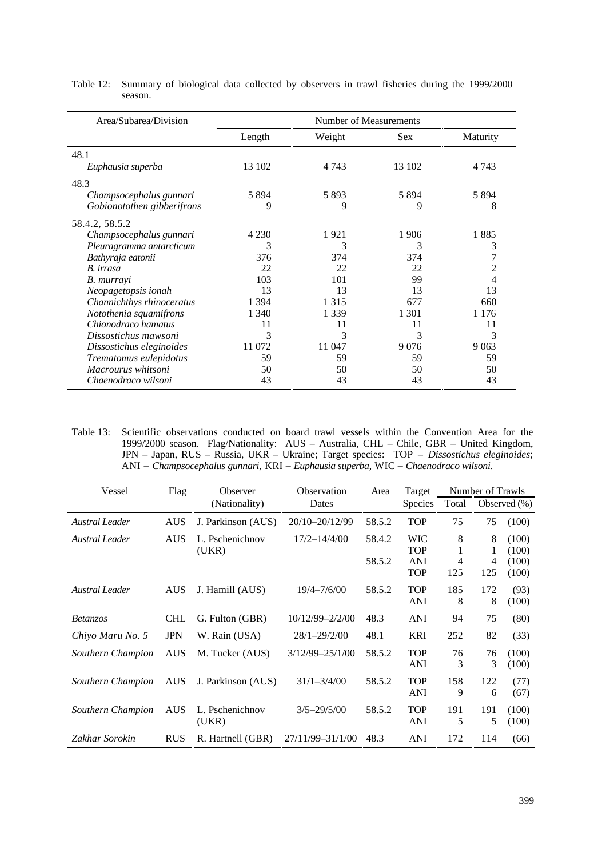| Area/Subarea/Division      |         | Number of Measurements |         |                 |
|----------------------------|---------|------------------------|---------|-----------------|
|                            | Length  | Weight                 | Sex.    | <b>Maturity</b> |
| 48.1                       |         |                        |         |                 |
| Euphausia superba          | 13 102  | 4 7 4 3                | 13 102  | 4 7 4 3         |
| 48.3                       |         |                        |         |                 |
| Champsocephalus gunnari    | 5 8 9 4 | 5893                   | 5 8 9 4 | 5 8 9 4         |
| Gobionotothen gibberifrons | 9       | 9                      | 9       | 8               |
| 58.4.2, 58.5.2             |         |                        |         |                 |
| Champsocephalus gunnari    | 4 2 3 0 | 1921                   | 1906    | 1885            |
| Pleuragramma antarcticum   | 3       | 3                      | 3       | 3               |
| Bathyraja eatonii          | 376     | 374                    | 374     |                 |
| B. irrasa                  | 22      | 22                     | 22      | 2               |
| B. murrayi                 | 103     | 101                    | 99      | 4               |
| Neopagetopsis ionah        | 13      | 13                     | 13      | 13              |
| Channichthys rhinoceratus  | 1 3 9 4 | 1 3 1 5                | 677     | 660             |
| Notothenia squamifrons     | 1 340   | 1 3 3 9                | 1 301   | 1 1 7 6         |
| Chionodraco hamatus        | 11      | 11                     | 11      | 11              |
| Dissostichus mawsoni       | 3       | 3                      | 3       | 3               |
| Dissostichus eleginoides   | 11 072  | 11 047                 | 9076    | 9 0 63          |
| Trematomus eulepidotus     | 59      | 59                     | 59      | 59              |
| Macrourus whitsoni         | 50      | 50                     | 50      | 50              |
| Chaenodraco wilsoni        | 43      | 43                     | 43      | 43              |

Table 12: Summary of biological data collected by observers in trawl fisheries during the 1999/2000 season.

Table 13: Scientific observations conducted on board trawl vessels within the Convention Area for the 1999/2000 season. Flag/Nationality: AUS – Australia, CHL – Chile, GBR – United Kingdom, JPN – Japan, RUS – Russia, UKR – Ukraine; Target species: TOP – *Dissostichus eleginoides*; ANI – *Champsocephalus gunnari*, KRI – *Euphausia superba*, WIC – *Chaenodraco wilsoni*.

| Vessel                | Flag       | Observer                 | Observation         | Area   | Target                                 |          | Number of Trawls |                         |
|-----------------------|------------|--------------------------|---------------------|--------|----------------------------------------|----------|------------------|-------------------------|
|                       |            | (Nationality)            | Dates               |        | <b>Species</b>                         | Total    |                  | Observed $(\% )$        |
| <b>Austral Leader</b> | <b>AUS</b> | J. Parkinson (AUS)       | 20/10-20/12/99      | 58.5.2 | <b>TOP</b>                             | 75       | 75               | (100)                   |
| <b>Austral Leader</b> | <b>AUS</b> | L. Pschenichnov          | $17/2 - 14/4/00$    | 58.4.2 | <b>WIC</b>                             | 8        | 8                | (100)                   |
|                       |            | (UKR)                    |                     | 58.5.2 | <b>TOP</b><br><b>ANI</b><br><b>TOP</b> | 4<br>125 | 4<br>125         | (100)<br>(100)<br>(100) |
| Austral Leader        | <b>AUS</b> | J. Hamill (AUS)          | $19/4 - 7/6/00$     | 58.5.2 | <b>TOP</b><br><b>ANI</b>               | 185<br>8 | 172<br>8         | (93)<br>(100)           |
| <i>Betanzos</i>       | <b>CHL</b> | G. Fulton (GBR)          | 10/12/99-2/2/00     | 48.3   | <b>ANI</b>                             | 94       | 75               | (80)                    |
| Chiyo Maru No. 5      | <b>JPN</b> | W. Rain (USA)            | $28/1 - 29/2/00$    | 48.1   | <b>KRI</b>                             | 252      | 82               | (33)                    |
| Southern Champion     | <b>AUS</b> | M. Tucker (AUS)          | $3/12/99 - 25/1/00$ | 58.5.2 | <b>TOP</b><br><b>ANI</b>               | 76<br>3  | 76<br>3          | (100)<br>(100)          |
| Southern Champion     | <b>AUS</b> | J. Parkinson (AUS)       | $31/1 - 3/4/00$     | 58.5.2 | <b>TOP</b><br><b>ANI</b>               | 158<br>9 | 122<br>6         | (77)<br>(67)            |
| Southern Champion     | <b>AUS</b> | L. Pschenichnov<br>(UKR) | $3/5 - 29/5/00$     | 58.5.2 | <b>TOP</b><br><b>ANI</b>               | 191<br>5 | 191<br>5         | (100)<br>(100)          |
| Zakhar Sorokin        | <b>RUS</b> | R. Hartnell (GBR)        | 27/11/99-31/1/00    | 48.3   | <b>ANI</b>                             | 172      | 114              | (66)                    |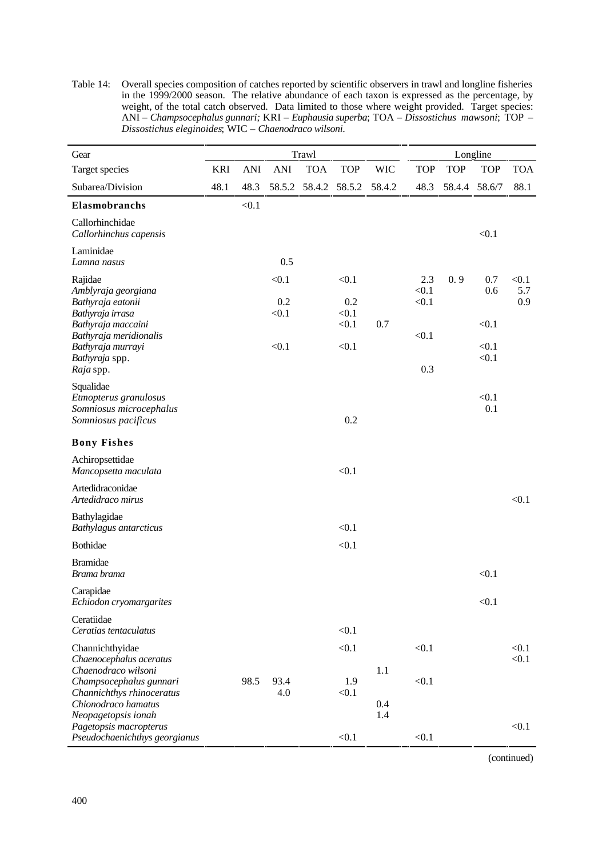Table 14: Overall species composition of catches reported by scientific observers in trawl and longline fisheries in the 1999/2000 season. The relative abundance of each taxon is expressed as the percentage, by weight, of the total catch observed. Data limited to those where weight provided. Target species: ANI – *Champsocephalus gunnari;* KRI – *Euphausia superba*; TOA – *Dissostichus mawsoni*; TOP – *Dissostichus eleginoides*; WIC – *Chaenodraco wilsoni*.

| Gear                                                                                          |            |            |                       | Trawl         |                                |            |                       |            | Longline            |                     |
|-----------------------------------------------------------------------------------------------|------------|------------|-----------------------|---------------|--------------------------------|------------|-----------------------|------------|---------------------|---------------------|
| Target species                                                                                | <b>KRI</b> | <b>ANI</b> | <b>ANI</b>            | <b>TOA</b>    | <b>TOP</b>                     | <b>WIC</b> | <b>TOP</b>            | <b>TOP</b> | <b>TOP</b>          | <b>TOA</b>          |
| Subarea/Division                                                                              | 48.1       | 48.3       |                       | 58.5.2 58.4.2 | 58.5.2                         | 58.4.2     | 48.3                  | 58.4.4     | 58.6/7              | 88.1                |
| Elasmobranchs                                                                                 |            | < 0.1      |                       |               |                                |            |                       |            |                     |                     |
| Callorhinchidae<br>Callorhinchus capensis                                                     |            |            |                       |               |                                |            |                       |            | < 0.1               |                     |
| Laminidae<br>Lamna nasus                                                                      |            |            | 0.5                   |               |                                |            |                       |            |                     |                     |
| Rajidae<br>Amblyraja georgiana<br>Bathyraja eatonii<br>Bathyraja irrasa<br>Bathyraja maccaini |            |            | < 0.1<br>0.2<br>< 0.1 |               | < 0.1<br>0.2<br>< 0.1<br>< 0.1 | 0.7        | 2.3<br>< 0.1<br>< 0.1 | 0.9        | 0.7<br>0.6<br>< 0.1 | < 0.1<br>5.7<br>0.9 |
| Bathyraja meridionalis<br>Bathyraja murrayi<br>Bathyraja spp.<br>Raja spp.                    |            |            | < 0.1                 |               | < 0.1                          |            | < 0.1<br>0.3          |            | < 0.1<br>< 0.1      |                     |
| Squalidae<br>Etmopterus granulosus<br>Somniosus microcephalus<br>Somniosus pacificus          |            |            |                       |               | 0.2                            |            |                       |            | < 0.1<br>0.1        |                     |
| <b>Bony Fishes</b>                                                                            |            |            |                       |               |                                |            |                       |            |                     |                     |
| Achiropsettidae<br>Mancopsetta maculata                                                       |            |            |                       |               | < 0.1                          |            |                       |            |                     |                     |
| Artedidraconidae<br>Artedidraco mirus                                                         |            |            |                       |               |                                |            |                       |            |                     | < 0.1               |
| Bathylagidae<br>Bathylagus antarcticus                                                        |            |            |                       |               | < 0.1                          |            |                       |            |                     |                     |
| Bothidae                                                                                      |            |            |                       |               | < 0.1                          |            |                       |            |                     |                     |
| <b>Bramidae</b><br>Brama brama                                                                |            |            |                       |               |                                |            |                       |            | < 0.1               |                     |
| Carapidae<br>Echiodon cryomargarites                                                          |            |            |                       |               |                                |            |                       |            | < 0.1               |                     |
| Ceratiidae<br>Ceratias tentaculatus                                                           |            |            |                       |               | < 0.1                          |            |                       |            |                     |                     |
| Channichthyidae                                                                               |            |            |                       |               | < 0.1                          |            | < 0.1                 |            |                     | < 0.1               |
| Chaenocephalus aceratus<br>Chaenodraco wilsoni<br>Champsocephalus gunnari                     |            | 98.5       | 93.4                  |               | 1.9                            | 1.1        | < 0.1                 |            |                     | < 0.1               |
| Channichthys rhinoceratus<br>Chionodraco hamatus<br>Neopagetopsis ionah                       |            |            | 4.0                   |               | < 0.1                          | 0.4<br>1.4 |                       |            |                     |                     |
| Pagetopsis macropterus<br>Pseudochaenichthys georgianus                                       |            |            |                       |               | < 0.1                          |            | < 0.1                 |            |                     | < 0.1               |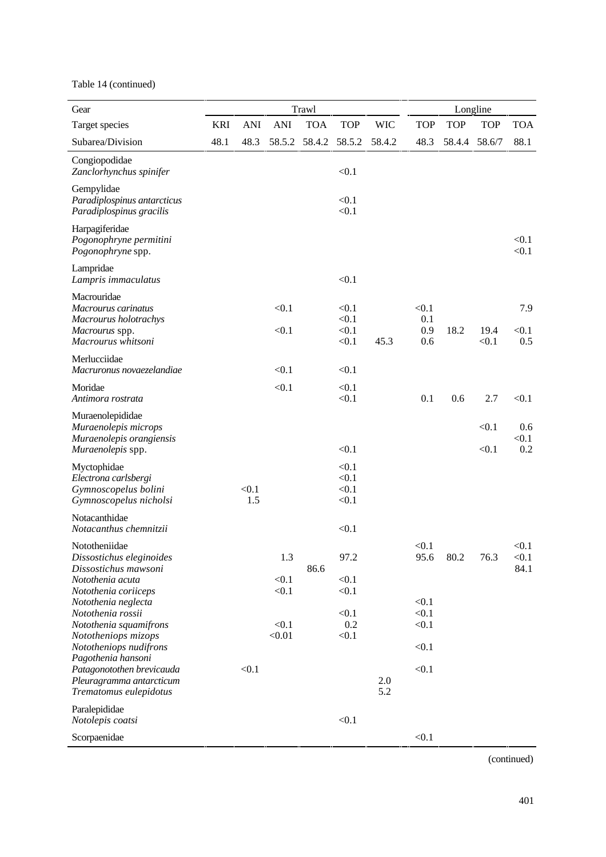Table 14 (continued)

| Gear                                                                                                              |            |              |                          | Trawl      |                                  |            |                            |            | Longline       |                        |
|-------------------------------------------------------------------------------------------------------------------|------------|--------------|--------------------------|------------|----------------------------------|------------|----------------------------|------------|----------------|------------------------|
| Target species                                                                                                    | <b>KRI</b> | <b>ANI</b>   | ANI                      | <b>TOA</b> | <b>TOP</b>                       | <b>WIC</b> | <b>TOP</b>                 | <b>TOP</b> | <b>TOP</b>     | <b>TOA</b>             |
| Subarea/Division                                                                                                  | 48.1       | 48.3         | 58.5.2                   | 58.4.2     | 58.5.2                           | 58.4.2     | 48.3                       | 58.4.4     | 58.6/7         | 88.1                   |
| Congiopodidae<br>Zanclorhynchus spinifer                                                                          |            |              |                          |            | < 0.1                            |            |                            |            |                |                        |
| Gempylidae<br>Paradiplospinus antarcticus<br>Paradiplospinus gracilis                                             |            |              |                          |            | < 0.1<br>< 0.1                   |            |                            |            |                |                        |
| Harpagiferidae<br>Pogonophryne permitini<br>Pogonophryne spp.                                                     |            |              |                          |            |                                  |            |                            |            |                | < 0.1<br>< 0.1         |
| Lampridae<br>Lampris immaculatus                                                                                  |            |              |                          |            | < 0.1                            |            |                            |            |                |                        |
| Macrouridae<br>Macrourus carinatus<br>Macrourus holotrachys<br>Macrourus spp.<br>Macrourus whitsoni               |            |              | < 0.1<br>< 0.1           |            | < 0.1<br>< 0.1<br>< 0.1<br>< 0.1 | 45.3       | < 0.1<br>0.1<br>0.9<br>0.6 | 18.2       | 19.4<br>< 0.1  | 7.9<br>< 0.1<br>0.5    |
| Merlucciidae<br>Macruronus novaezelandiae                                                                         |            |              | < 0.1                    |            | < 0.1                            |            |                            |            |                |                        |
| Moridae<br>Antimora rostrata                                                                                      |            |              | < 0.1                    |            | < 0.1<br>< 0.1                   |            | 0.1                        | 0.6        | 2.7            | < 0.1                  |
| Muraenolepididae<br>Muraenolepis microps<br>Muraenolepis orangiensis<br>Muraenolepis spp.                         |            |              |                          |            | < 0.1                            |            |                            |            | < 0.1<br>< 0.1 | 0.6<br>< 0.1<br>0.2    |
| Myctophidae<br>Electrona carlsbergi<br>Gymnoscopelus bolini<br>Gymnoscopelus nicholsi                             |            | < 0.1<br>1.5 |                          |            | < 0.1<br>< 0.1<br>< 0.1<br>< 0.1 |            |                            |            |                |                        |
| Notacanthidae<br>Notacanthus chemnitzii                                                                           |            |              |                          |            | < 0.1                            |            |                            |            |                |                        |
| Nototheniidae<br>Dissostichus eleginoides<br>Dissostichus mawsoni<br>Notothenia acuta                             |            |              | 1.3<br>< 0.1             | 86.6       | 97.2<br>< 0.1                    |            | < 0.1<br>95.6              | 80.2       | 76.3           | < 0.1<br>< 0.1<br>84.1 |
| Notothenia coriiceps<br>Notothenia neglecta<br>Notothenia rossii<br>Notothenia squamifrons<br>Nototheniops mizops |            |              | < 0.1<br>< 0.1<br>< 0.01 |            | < 0.1<br>< 0.1<br>0.2<br>< 0.1   |            | < 0.1<br>< 0.1<br>< 0.1    |            |                |                        |
| Nototheniops nudifrons<br>Pagothenia hansoni                                                                      |            |              |                          |            |                                  |            | < 0.1                      |            |                |                        |
| Patagonotothen brevicauda<br>Pleuragramma antarcticum<br>Trematomus eulepidotus                                   |            | < 0.1        |                          |            |                                  | 2.0<br>5.2 | < 0.1                      |            |                |                        |
| Paralepididae<br>Notolepis coatsi                                                                                 |            |              |                          |            | < 0.1                            |            |                            |            |                |                        |
| Scorpaenidae                                                                                                      |            |              |                          |            |                                  |            | < 0.1                      |            |                |                        |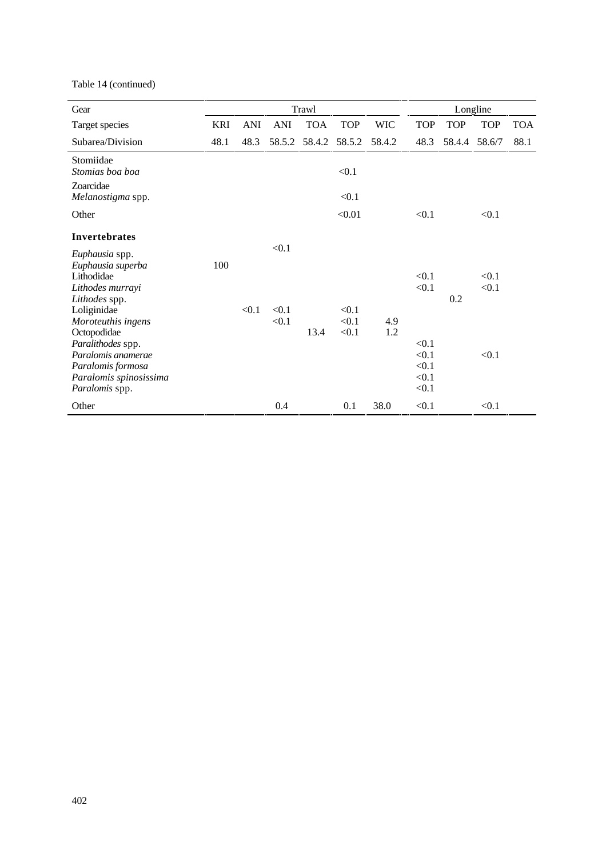Table 14 (continued)

| Gear                                                                                                                                                                                                                                                   |            |            |                         | Trawl      |                         |            |                                                             |            | Longline                |            |
|--------------------------------------------------------------------------------------------------------------------------------------------------------------------------------------------------------------------------------------------------------|------------|------------|-------------------------|------------|-------------------------|------------|-------------------------------------------------------------|------------|-------------------------|------------|
| Target species                                                                                                                                                                                                                                         | <b>KRI</b> | <b>ANI</b> | <b>ANI</b>              | <b>TOA</b> | <b>TOP</b>              | <b>WIC</b> | <b>TOP</b>                                                  | <b>TOP</b> | <b>TOP</b>              | <b>TOA</b> |
| Subarea/Division                                                                                                                                                                                                                                       | 48.1       | 48.3       | 58.5.2                  | 58.4.2     | 58.5.2                  | 58.4.2     | 48.3                                                        |            | 58.4.4 58.6/7           | 88.1       |
| Stomiidae<br>Stomias boa boa                                                                                                                                                                                                                           |            |            |                         |            | < 0.1                   |            |                                                             |            |                         |            |
| Zoarcidae<br>Melanostigma spp.                                                                                                                                                                                                                         |            |            |                         |            | < 0.1                   |            |                                                             |            |                         |            |
| Other                                                                                                                                                                                                                                                  |            |            |                         |            | < 0.01                  |            | < 0.1                                                       |            | < 0.1                   |            |
| Invertebrates                                                                                                                                                                                                                                          |            |            |                         |            |                         |            |                                                             |            |                         |            |
| Euphausia spp.<br>Euphausia superba<br>Lithodidae<br>Lithodes murrayi<br>Lithodes spp.<br>Loliginidae<br>Moroteuthis ingens<br>Octopodidae<br>Paralithodes spp.<br>Paralomis anamerae<br>Paralomis formosa<br>Paralomis spinosissima<br>Paralomis spp. | 100        | < 0.1      | < 0.1<br>< 0.1<br>< 0.1 | 13.4       | < 0.1<br>< 0.1<br>< 0.1 | 4.9<br>1.2 | < 0.1<br>< 0.1<br>< 0.1<br>< 0.1<br>< 0.1<br>< 0.1<br>< 0.1 | 0.2        | < 0.1<br>< 0.1<br>< 0.1 |            |
| Other                                                                                                                                                                                                                                                  |            |            | 0.4                     |            | 0.1                     | 38.0       | < 0.1                                                       |            | < 0.1                   |            |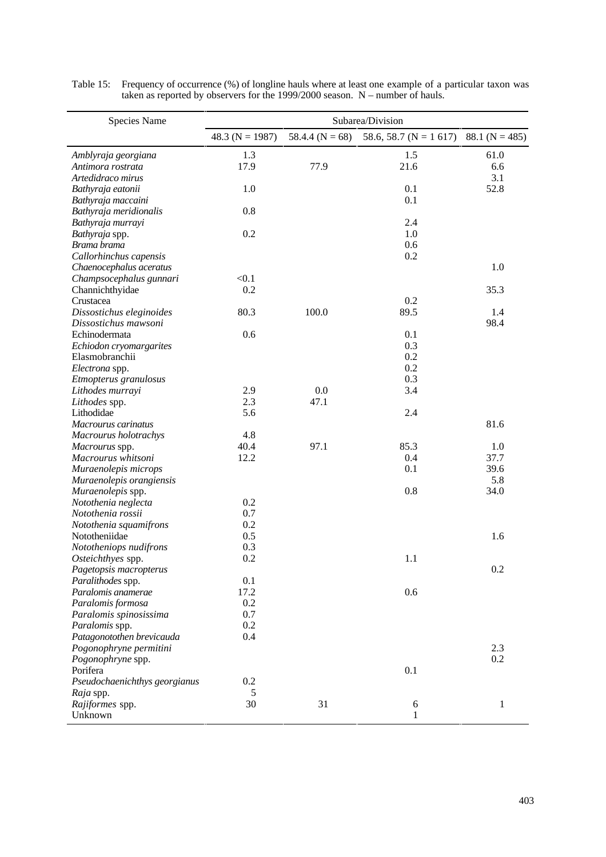| Species Name                  |                     |                     | Subarea/Division          |                    |
|-------------------------------|---------------------|---------------------|---------------------------|--------------------|
|                               | 48.3 ( $N = 1987$ ) | 58.4.4 ( $N = 68$ ) | 58.6, 58.7 ( $N = 1$ 617) | 88.1 ( $N = 485$ ) |
| Amblyraja georgiana           | 1.3                 |                     | 1.5                       | 61.0               |
| Antimora rostrata             | 17.9                | 77.9                | 21.6                      | 6.6                |
| Artedidraco mirus             |                     |                     |                           | 3.1                |
| Bathyraja eatonii             | 1.0                 |                     | 0.1                       | 52.8               |
| Bathyraja maccaini            |                     |                     | 0.1                       |                    |
| Bathyraja meridionalis        | 0.8                 |                     |                           |                    |
| Bathyraja murrayi             |                     |                     | 2.4                       |                    |
| Bathyraja spp.                | 0.2                 |                     | 1.0                       |                    |
| Brama brama                   |                     |                     | 0.6                       |                    |
| Callorhinchus capensis        |                     |                     | 0.2                       |                    |
| Chaenocephalus aceratus       |                     |                     |                           | 1.0                |
| Champsocephalus gunnari       | < 0.1               |                     |                           |                    |
| Channichthyidae               | 0.2                 |                     |                           | 35.3               |
| Crustacea                     |                     |                     | 0.2                       |                    |
| Dissostichus eleginoides      | 80.3                | 100.0               | 89.5                      | 1.4                |
| Dissostichus mawsoni          |                     |                     |                           | 98.4               |
| Echinodermata                 | 0.6                 |                     | 0.1                       |                    |
| Echiodon cryomargarites       |                     |                     | 0.3                       |                    |
| Elasmobranchii                |                     |                     | 0.2                       |                    |
| Electrona spp.                |                     |                     | 0.2                       |                    |
| Etmopterus granulosus         |                     |                     | 0.3                       |                    |
| Lithodes murrayi              | 2.9                 | 0.0                 | 3.4                       |                    |
| Lithodes spp.                 | 2.3                 | 47.1                |                           |                    |
| Lithodidae                    | 5.6                 |                     | 2.4                       |                    |
| Macrourus carinatus           |                     |                     |                           | 81.6               |
| Macrourus holotrachys         | 4.8                 |                     |                           |                    |
| Macrourus spp.                | 40.4                | 97.1                | 85.3                      | 1.0                |
| Macrourus whitsoni            | 12.2                |                     | 0.4                       | 37.7               |
| Muraenolepis microps          |                     |                     | 0.1                       | 39.6               |
| Muraenolepis orangiensis      |                     |                     |                           | 5.8                |
| Muraenolepis spp.             |                     |                     | 0.8                       | 34.0               |
| Notothenia neglecta           | 0.2                 |                     |                           |                    |
| Notothenia rossii             | 0.7                 |                     |                           |                    |
| Notothenia squamifrons        | 0.2                 |                     |                           |                    |
| Nototheniidae                 | 0.5                 |                     |                           | 1.6                |
| Nototheniops nudifrons        | 0.3                 |                     |                           |                    |
| Osteichthyes spp.             | 0.2                 |                     | 1.1                       |                    |
| Pagetopsis macropterus        |                     |                     |                           | 0.2                |
| Paralithodes spp.             | 0.1                 |                     |                           |                    |
| Paralomis anamerae            | 17.2                |                     | 0.6                       |                    |
| Paralomis formosa             | 0.2                 |                     |                           |                    |
| Paralomis spinosissima        | 0.7                 |                     |                           |                    |
| Paralomis spp.                | 0.2                 |                     |                           |                    |
| Patagonotothen brevicauda     | 0.4                 |                     |                           |                    |
| Pogonophryne permitini        |                     |                     |                           | 2.3                |
| Pogonophryne spp.             |                     |                     |                           | 0.2                |
| Porifera                      |                     |                     | 0.1                       |                    |
| Pseudochaenichthys georgianus | 0.2                 |                     |                           |                    |
| Raja spp.                     | 5                   |                     |                           |                    |
| Rajiformes spp.               | 30                  | 31                  | $\sqrt{6}$                | $\mathbf{1}$       |
| Unknown                       |                     |                     | 1                         |                    |

Table 15: Frequency of occurrence (%) of longline hauls where at least one example of a particular taxon was taken as reported by observers for the 1999/2000 season. N – number of hauls.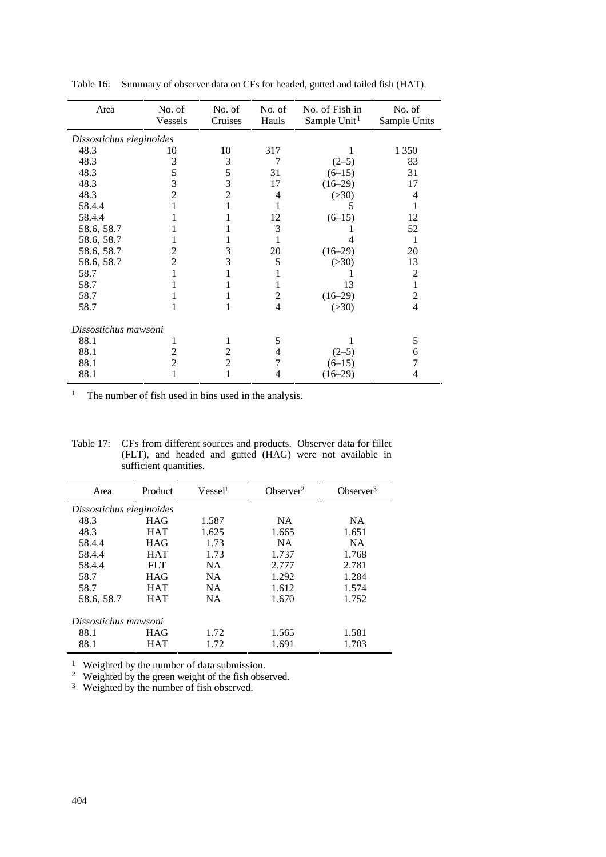| Area                     | No. of<br>Vessels | No. of<br>Cruises | No. of<br>Hauls | No. of Fish in<br>Sample Unit <sup>1</sup> | No. of<br>Sample Units |
|--------------------------|-------------------|-------------------|-----------------|--------------------------------------------|------------------------|
| Dissostichus eleginoides |                   |                   |                 |                                            |                        |
| 48.3                     | 10                | 10                | 317             |                                            | 1 3 5 0                |
| 48.3                     | 3                 | 3                 | 7               | $(2-5)$                                    | 83                     |
| 48.3                     | 5                 | 5                 | 31              | $(6-15)$                                   | 31                     |
| 48.3                     | 3                 | 3                 | 17              | $(16-29)$                                  | 17                     |
| 48.3                     | $\overline{2}$    | $\overline{c}$    | 4               | (>30)                                      | 4                      |
| 58.4.4                   |                   | 1                 |                 |                                            |                        |
| 58.4.4                   |                   |                   | 12              | $(6-15)$                                   | 12                     |
| 58.6, 58.7               |                   |                   | 3               |                                            | 52                     |
| 58.6, 58.7               |                   |                   | 1               |                                            | 1                      |
| 58.6, 58.7               | $\mathfrak{D}$    | 3                 | 20              | $(16-29)$                                  | 20                     |
| 58.6, 58.7               | $\overline{c}$    | 3                 | 5               | ( >30)                                     | 13                     |
| 58.7                     |                   | 1                 |                 |                                            | 2                      |
| 58.7                     |                   | 1                 | 1               | 13                                         | 1                      |
| 58.7                     |                   | 1                 | $\overline{2}$  | $(16-29)$                                  | 2                      |
| 58.7                     |                   | 1                 | 4               | (>30)                                      | $\overline{4}$         |
| Dissostichus mawsoni     |                   |                   |                 |                                            |                        |
| 88.1                     |                   | 1                 | 5               |                                            | 5                      |
| 88.1                     | $\overline{c}$    | $\overline{2}$    | 4               | $(2-5)$                                    | 6                      |
| 88.1                     | $\overline{c}$    | $\overline{c}$    |                 | $(6-15)$                                   | 7                      |
| 88.1                     |                   | 1                 | 4               | $(16-29)$                                  | 4                      |
|                          |                   |                   |                 |                                            |                        |

Table 16: Summary of observer data on CFs for headed, gutted and tailed fish (HAT).

<sup>1</sup> The number of fish used in bins used in the analysis.

Table 17: CFs from different sources and products. Observer data for fillet (FLT), and headed and gutted (HAG) were not available in sufficient quantities.

| Area                     | Product    | Vessel <sup>1</sup> | Observer <sup>2</sup> | Observer $3$ |
|--------------------------|------------|---------------------|-----------------------|--------------|
| Dissostichus eleginoides |            |                     |                       |              |
| 48.3                     | HAG        | 1.587               | <b>NA</b>             | <b>NA</b>    |
| 48.3                     | <b>HAT</b> | 1.625               | 1.665                 | 1.651        |
| 58.4.4                   | HAG        | 1.73                | <b>NA</b>             | <b>NA</b>    |
| 58.4.4                   | <b>HAT</b> | 1.73                | 1.737                 | 1.768        |
| 58.4.4                   | <b>FLT</b> | <b>NA</b>           | 2.777                 | 2.781        |
| 58.7                     | HAG        | <b>NA</b>           | 1.292                 | 1.284        |
| 58.7                     | <b>HAT</b> | <b>NA</b>           | 1.612                 | 1.574        |
| 58.6, 58.7               | <b>HAT</b> | <b>NA</b>           | 1.670                 | 1.752        |
| Dissostichus mawsoni     |            |                     |                       |              |
| 88.1                     | HAG        | 1.72                | 1.565                 | 1.581        |
| 88.1                     | <b>HAT</b> | 1.72                | 1.691                 | 1.703        |

<sup>1</sup> Weighted by the number of data submission.

<sup>2</sup> Weighted by the green weight of the fish observed.

<sup>3</sup> Weighted by the number of fish observed.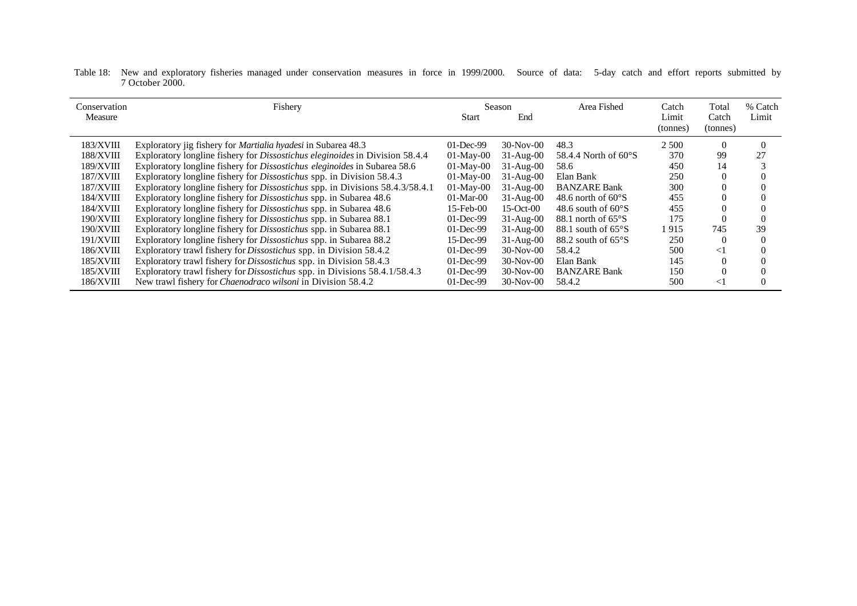Table 18: New and exploratory fisheries managed under conservation measures in force in 1999/2000. Source of data: 5-day catch and effort reports submitted by 7 October 2000.

| Conservation<br>Measure | Fishery                                                                           | Start           | Season<br>End | Area Fished                    | Catch<br>Limit<br>(tonnes) | Total<br>Catch<br>(tonnes) | % Catch<br>Limit |
|-------------------------|-----------------------------------------------------------------------------------|-----------------|---------------|--------------------------------|----------------------------|----------------------------|------------------|
| <b>183/XVIII</b>        | Exploratory jig fishery for <i>Martialia hyadesi</i> in Subarea 48.3              | $01$ -Dec-99    | 30-Nov-00     | 48.3                           | 2 5 0 0                    | $\Omega$                   | $\Omega$         |
| 188/XVIII               | Exploratory longline fishery for Dissostichus eleginoides in Division 58.4.4      | $01-May-00$     | $31-Aug-00$   | 58.4.4 North of $60^{\circ}$ S | 370                        | 99                         | 27               |
| <b>189/XVIII</b>        | Exploratory longline fishery for Dissostichus eleginoides in Subarea 58.6         | $01-Mav-00$     | $31-Aug-00$   | 58.6                           | 450                        | 14                         |                  |
| <b>187/XVIII</b>        | Exploratory longline fishery for Dissostichus spp. in Division 58.4.3             | $01-May-00$     | $31-Aug-00$   | Elan Bank                      | 250                        | 0                          |                  |
| <b>187/XVIII</b>        | Exploratory longline fishery for Dissostichus spp. in Divisions 58.4.3/58.4.1     | $01-May-00$     | $31-Aug-00$   | <b>BANZARE Bank</b>            | 300                        | $\theta$                   |                  |
| <b>184/XVIII</b>        | Exploratory longline fishery for <i>Dissostichus</i> spp. in Subarea 48.6         | $01-Mar-00$     | $31-Aug-00$   | 48.6 north of $60^{\circ}$ S   | 455                        |                            |                  |
| <b>184/XVIII</b>        | Exploratory longline fishery for <i>Dissostichus</i> spp. in Subarea 48.6         | $15$ -Feb- $00$ | $15-Oct-00$   | 48.6 south of $60^{\circ}$ S   | 455                        |                            |                  |
| 190/XVIII               | Exploratory longline fishery for <i>Dissostichus</i> spp. in Subarea 88.1         | $01$ -Dec-99    | $31-Aug-00$   | 88.1 north of $65^{\circ}$ S   | 175                        | $\theta$                   | $\Omega$         |
| <b>190/XVIII</b>        | Exploratory longline fishery for <i>Dissostichus</i> spp. in Subarea 88.1         | $01$ -Dec-99    | $31-Aug-00$   | 88.1 south of $65^{\circ}$ S   | 1 915                      | 745                        | 39               |
| 191/XVIII               | Exploratory longline fishery for <i>Dissostichus</i> spp. in Subarea 88.2         | 15-Dec-99       | $31-Aug-00$   | $88.2$ south of $65^{\circ}$ S | 250                        | $\Omega$                   | $\Omega$         |
| 186/XVIII               | Exploratory trawl fishery for <i>Dissostichus</i> spp. in Division 58.4.2         | $01$ -Dec-99    | $30-Nov-00$   | 58.4.2                         | 500                        | ${<}1$                     | $\Omega$         |
| 185/XVIII               | Exploratory trawl fishery for <i>Dissostichus</i> spp. in Division 58.4.3         | $01$ -Dec-99    | $30-Nov-00$   | Elan Bank                      | 145                        | 0                          | $\theta$         |
| 185/XVIII               | Exploratory trawl fishery for <i>Dissostichus</i> spp. in Divisions 58.4.1/58.4.3 | $01$ -Dec-99    | $30-Nov-00$   | <b>BANZARE Bank</b>            | 150                        | 0                          |                  |
| 186/XVIII               | New trawl fishery for <i>Chaenodraco wilsoni</i> in Division 58.4.2               | $01$ -Dec-99    | $30-Nov-00$   | 58.4.2                         | 500                        | <1                         | $\Omega$         |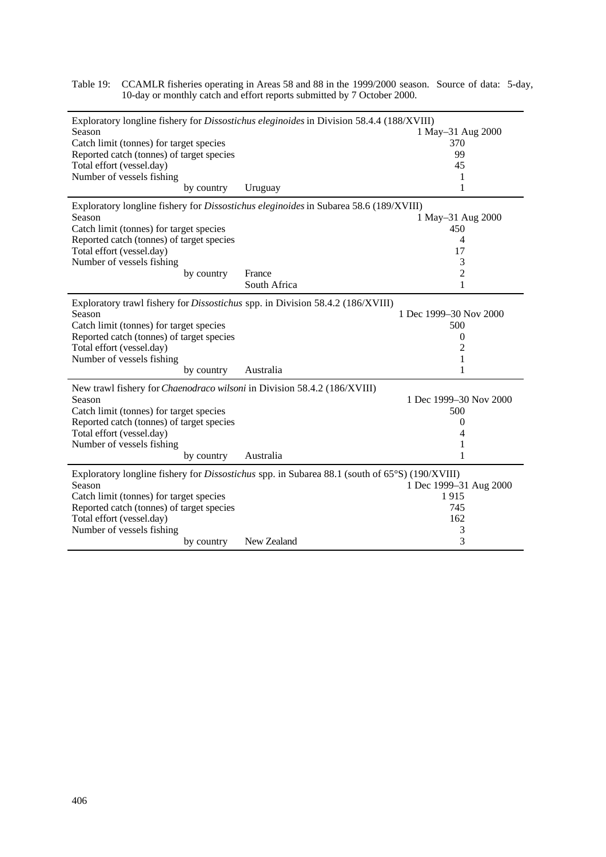| Exploratory longline fishery for Dissostichus eleginoides in Division 58.4.4 (188/XVIII)              |              |                        |  |  |  |  |  |  |  |
|-------------------------------------------------------------------------------------------------------|--------------|------------------------|--|--|--|--|--|--|--|
| Season                                                                                                |              | 1 May-31 Aug 2000      |  |  |  |  |  |  |  |
| Catch limit (tonnes) for target species                                                               |              | 370                    |  |  |  |  |  |  |  |
| Reported catch (tonnes) of target species                                                             |              | 99                     |  |  |  |  |  |  |  |
| Total effort (vessel.day)                                                                             |              | 45                     |  |  |  |  |  |  |  |
| Number of vessels fishing                                                                             |              | 1                      |  |  |  |  |  |  |  |
| by country                                                                                            | Uruguay      | 1                      |  |  |  |  |  |  |  |
| Exploratory longline fishery for <i>Dissostichus eleginoides</i> in Subarea 58.6 (189/XVIII)          |              |                        |  |  |  |  |  |  |  |
| Season                                                                                                |              | 1 May-31 Aug 2000      |  |  |  |  |  |  |  |
| Catch limit (tonnes) for target species                                                               |              | 450                    |  |  |  |  |  |  |  |
| Reported catch (tonnes) of target species                                                             |              | 4                      |  |  |  |  |  |  |  |
| Total effort (vessel.day)                                                                             |              | 17                     |  |  |  |  |  |  |  |
| Number of vessels fishing                                                                             |              | 3                      |  |  |  |  |  |  |  |
| by country                                                                                            | France       | $\overline{c}$         |  |  |  |  |  |  |  |
|                                                                                                       | South Africa | $\mathbf{1}$           |  |  |  |  |  |  |  |
| Exploratory trawl fishery for <i>Dissostichus</i> spp. in Division 58.4.2 (186/XVIII)                 |              |                        |  |  |  |  |  |  |  |
| Season                                                                                                |              | 1 Dec 1999–30 Nov 2000 |  |  |  |  |  |  |  |
| Catch limit (tonnes) for target species                                                               |              | 500                    |  |  |  |  |  |  |  |
| Reported catch (tonnes) of target species                                                             |              | $\boldsymbol{0}$       |  |  |  |  |  |  |  |
| Total effort (vessel.day)                                                                             |              | 2                      |  |  |  |  |  |  |  |
| Number of vessels fishing                                                                             |              | 1                      |  |  |  |  |  |  |  |
| by country                                                                                            | Australia    | 1                      |  |  |  |  |  |  |  |
| New trawl fishery for <i>Chaenodraco wilsoni</i> in Division 58.4.2 (186/XVIII)                       |              |                        |  |  |  |  |  |  |  |
| Season                                                                                                |              | 1 Dec 1999–30 Nov 2000 |  |  |  |  |  |  |  |
| Catch limit (tonnes) for target species                                                               |              | 500                    |  |  |  |  |  |  |  |
| Reported catch (tonnes) of target species                                                             |              | $\boldsymbol{0}$       |  |  |  |  |  |  |  |
| Total effort (vessel.day)                                                                             |              | 4                      |  |  |  |  |  |  |  |
| Number of vessels fishing                                                                             |              | 1                      |  |  |  |  |  |  |  |
| by country                                                                                            | Australia    | 1                      |  |  |  |  |  |  |  |
| Exploratory longline fishery for <i>Dissostichus</i> spp. in Subarea 88.1 (south of 65°S) (190/XVIII) |              |                        |  |  |  |  |  |  |  |
| Season                                                                                                |              | 1 Dec 1999-31 Aug 2000 |  |  |  |  |  |  |  |
| Catch limit (tonnes) for target species                                                               |              | 1915                   |  |  |  |  |  |  |  |
| Reported catch (tonnes) of target species                                                             |              | 745                    |  |  |  |  |  |  |  |
| Total effort (vessel.day)                                                                             |              | 162                    |  |  |  |  |  |  |  |
| Number of vessels fishing                                                                             |              | 3                      |  |  |  |  |  |  |  |
| by country                                                                                            | New Zealand  | 3                      |  |  |  |  |  |  |  |

Table 19: CCAMLR fisheries operating in Areas 58 and 88 in the 1999/2000 season. Source of data: 5-day, 10-day or monthly catch and effort reports submitted by 7 October 2000.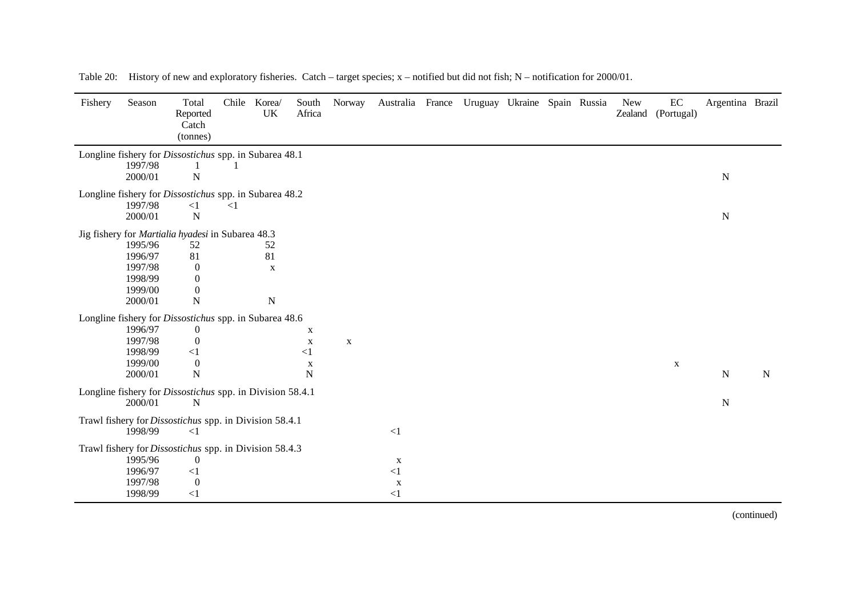| Fishery | Season             | Total<br>Reported<br>Catch<br>(tonnes)                                | Chile    | Korea/<br>UK | South<br>Africa | Norway      | Australia France Uruguay Ukraine Spain Russia |  |  | <b>New</b> | $\rm EC$<br>Zealand (Portugal) | Argentina Brazil |           |
|---------|--------------------|-----------------------------------------------------------------------|----------|--------------|-----------------|-------------|-----------------------------------------------|--|--|------------|--------------------------------|------------------|-----------|
|         |                    | Longline fishery for Dissostichus spp. in Subarea 48.1                |          |              |                 |             |                                               |  |  |            |                                |                  |           |
|         | 1997/98<br>2000/01 | $\mathbf N$                                                           |          |              |                 |             |                                               |  |  |            |                                | ${\bf N}$        |           |
|         |                    | Longline fishery for <i>Dissostichus</i> spp. in Subarea 48.2         |          |              |                 |             |                                               |  |  |            |                                |                  |           |
|         | 1997/98<br>2000/01 | <1<br>$\mathbf N$                                                     | $\leq$ 1 |              |                 |             |                                               |  |  |            |                                | ${\bf N}$        |           |
|         |                    | Jig fishery for Martialia hyadesi in Subarea 48.3                     |          |              |                 |             |                                               |  |  |            |                                |                  |           |
|         | 1995/96            | 52                                                                    |          | 52           |                 |             |                                               |  |  |            |                                |                  |           |
|         | 1996/97            | 81                                                                    |          | 81           |                 |             |                                               |  |  |            |                                |                  |           |
|         | 1997/98            | $\boldsymbol{0}$                                                      |          | X            |                 |             |                                               |  |  |            |                                |                  |           |
|         | 1998/99<br>1999/00 | $\boldsymbol{0}$                                                      |          |              |                 |             |                                               |  |  |            |                                |                  |           |
|         | 2000/01            | $\boldsymbol{0}$<br>${\bf N}$                                         |          | ${\bf N}$    |                 |             |                                               |  |  |            |                                |                  |           |
|         |                    |                                                                       |          |              |                 |             |                                               |  |  |            |                                |                  |           |
|         |                    | Longline fishery for Dissostichus spp. in Subarea 48.6                |          |              |                 |             |                                               |  |  |            |                                |                  |           |
|         | 1996/97            | $\boldsymbol{0}$                                                      |          |              | X               |             |                                               |  |  |            |                                |                  |           |
|         | 1997/98<br>1998/99 | $\mathbf{0}$<br>$\leq$ 1                                              |          |              | X<br>$\leq$ 1   | $\mathbf X$ |                                               |  |  |            |                                |                  |           |
|         | 1999/00            | $\overline{0}$                                                        |          |              | $\mathbf X$     |             |                                               |  |  |            | X                              |                  |           |
|         | 2000/01            | ${\bf N}$                                                             |          |              | $\mathbf N$     |             |                                               |  |  |            |                                | ${\bf N}$        | ${\bf N}$ |
|         | 2000/01            | Longline fishery for <i>Dissostichus</i> spp. in Division 58.4.1<br>N |          |              |                 |             |                                               |  |  |            |                                | ${\bf N}$        |           |
|         |                    | Trawl fishery for Dissostichus spp. in Division 58.4.1                |          |              |                 |             |                                               |  |  |            |                                |                  |           |
|         | 1998/99            | $\leq$ 1                                                              |          |              |                 |             | $\leq$ 1                                      |  |  |            |                                |                  |           |
|         |                    | Trawl fishery for Dissostichus spp. in Division 58.4.3                |          |              |                 |             |                                               |  |  |            |                                |                  |           |
|         | 1995/96            | $\boldsymbol{0}$                                                      |          |              |                 |             | $\mathbf X$                                   |  |  |            |                                |                  |           |
|         | 1996/97            | $\leq$ 1                                                              |          |              |                 |             | $\leq$ 1                                      |  |  |            |                                |                  |           |
|         | 1997/98            | $\overline{0}$                                                        |          |              |                 |             | X                                             |  |  |            |                                |                  |           |
|         | 1998/99            | $\leq$ 1                                                              |          |              |                 |             | <1                                            |  |  |            |                                |                  |           |

Table 20: History of new and exploratory fisheries. Catch – target species; x – notified but did not fish; N – notification for 2000/01.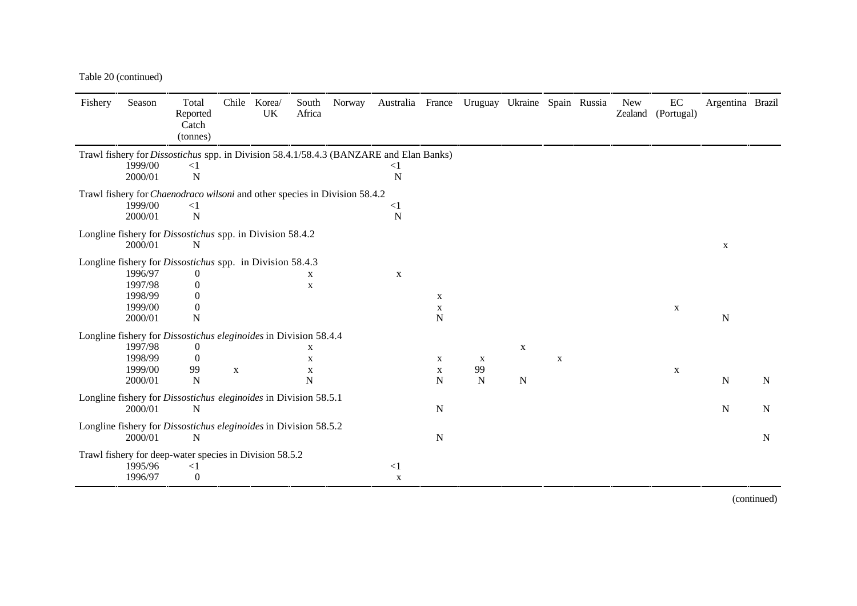Table 20 (continued)

| Fishery                                                                           | Season             | Total<br>Reported<br>Catch<br>(tonnes)                                                        | Chile       | Korea/<br><b>UK</b> | South<br>Africa | Norway | Australia France Uruguay Ukraine Spain Russia |             |             |             |             | <b>New</b><br>Zealand | EC<br>(Portugal) | Argentina Brazil |           |
|-----------------------------------------------------------------------------------|--------------------|-----------------------------------------------------------------------------------------------|-------------|---------------------|-----------------|--------|-----------------------------------------------|-------------|-------------|-------------|-------------|-----------------------|------------------|------------------|-----------|
|                                                                                   |                    | Trawl fishery for <i>Dissostichus</i> spp. in Division 58.4.1/58.4.3 (BANZARE and Elan Banks) |             |                     |                 |        |                                               |             |             |             |             |                       |                  |                  |           |
|                                                                                   | 1999/00<br>2000/01 | $\leq$ 1<br>$\mathbf N$                                                                       |             |                     |                 |        | $\leq$ 1<br>N                                 |             |             |             |             |                       |                  |                  |           |
| Trawl fishery for <i>Chaenodraco wilsoni</i> and other species in Division 58.4.2 |                    |                                                                                               |             |                     |                 |        |                                               |             |             |             |             |                       |                  |                  |           |
|                                                                                   | 1999/00<br>2000/01 | $\leq$ 1<br>$\mathbf N$                                                                       |             |                     |                 |        | $\leq$ 1<br>N                                 |             |             |             |             |                       |                  |                  |           |
|                                                                                   | 2000/01            | Longline fishery for <i>Dissostichus</i> spp. in Division 58.4.2<br>N                         |             |                     |                 |        |                                               |             |             |             |             |                       |                  | X                |           |
|                                                                                   |                    | Longline fishery for <i>Dissostichus</i> spp. in Division 58.4.3                              |             |                     |                 |        |                                               |             |             |             |             |                       |                  |                  |           |
|                                                                                   | 1996/97            | $\theta$                                                                                      |             |                     | X               |        | X                                             |             |             |             |             |                       |                  |                  |           |
|                                                                                   | 1997/98            | $\overline{0}$                                                                                |             |                     | $\mathbf X$     |        |                                               |             |             |             |             |                       |                  |                  |           |
|                                                                                   | 1998/99            | $\Omega$                                                                                      |             |                     |                 |        |                                               | $\mathbf X$ |             |             |             |                       |                  |                  |           |
|                                                                                   | 1999/00            | $\theta$                                                                                      |             |                     |                 |        |                                               | X           |             |             |             |                       | X                |                  |           |
|                                                                                   | 2000/01            | N                                                                                             |             |                     |                 |        |                                               | N           |             |             |             |                       |                  | ${\bf N}$        |           |
|                                                                                   |                    | Longline fishery for <i>Dissostichus eleginoides</i> in Division 58.4.4                       |             |                     |                 |        |                                               |             |             |             |             |                       |                  |                  |           |
|                                                                                   | 1997/98            | 0                                                                                             |             |                     | X               |        |                                               |             |             | $\mathbf X$ |             |                       |                  |                  |           |
|                                                                                   | 1998/99            | $\theta$                                                                                      |             |                     | $\mathbf X$     |        |                                               | X           | X           |             | $\mathbf X$ |                       |                  |                  |           |
|                                                                                   | 1999/00            | 99                                                                                            | $\mathbf X$ |                     | X               |        |                                               | X           | 99          |             |             |                       | $\mathbf{X}$     |                  |           |
|                                                                                   | 2000/01            | N                                                                                             |             |                     | N               |        |                                               | N           | $\mathbf N$ | $\mathbf N$ |             |                       |                  | $\mathbf N$      | ${\bf N}$ |
|                                                                                   | 2000/01            | Longline fishery for Dissostichus eleginoides in Division 58.5.1<br>N                         |             |                     |                 |        |                                               | N           |             |             |             |                       |                  | $\mathbf N$      | ${\bf N}$ |
|                                                                                   | 2000/01            | Longline fishery for Dissostichus eleginoides in Division 58.5.2<br>N                         |             |                     |                 |        |                                               | N           |             |             |             |                       |                  |                  | N         |
|                                                                                   |                    |                                                                                               |             |                     |                 |        |                                               |             |             |             |             |                       |                  |                  |           |
|                                                                                   | 1995/96            | Trawl fishery for deep-water species in Division 58.5.2<br>$\leq$ 1                           |             |                     |                 |        | $\leq$ 1                                      |             |             |             |             |                       |                  |                  |           |
|                                                                                   | 1996/97            | $\boldsymbol{0}$                                                                              |             |                     |                 |        | $\mathbf{x}$                                  |             |             |             |             |                       |                  |                  |           |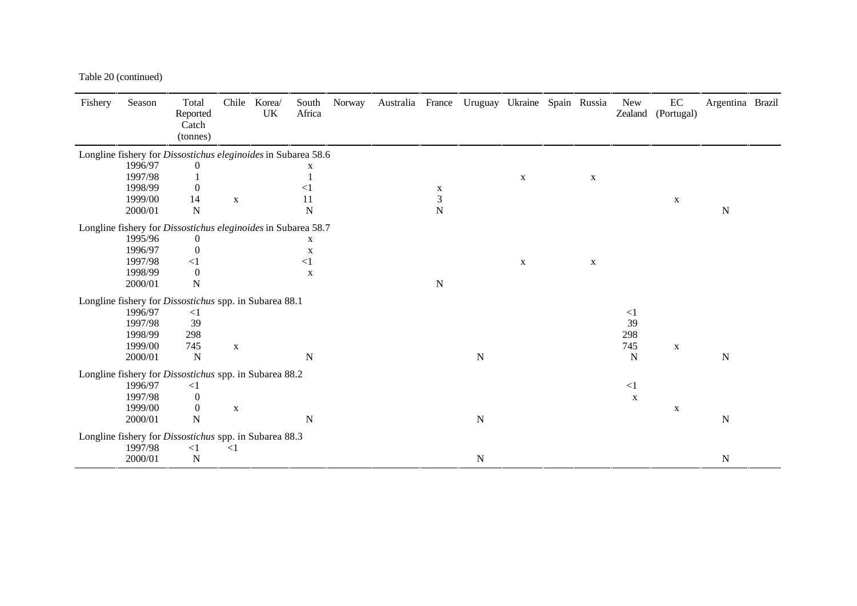Table 20 (continued)

| Fishery | Season  | Total<br>Reported<br>Catch<br>(tonnes)                        | Chile        | Korea/<br>UK | South<br>Africa | Norway | Australia France Uruguay Ukraine Spain Russia |             |           |              |   | <b>New</b><br>Zealand | $\rm EC$<br>(Portugal) | Argentina Brazil |  |
|---------|---------|---------------------------------------------------------------|--------------|--------------|-----------------|--------|-----------------------------------------------|-------------|-----------|--------------|---|-----------------------|------------------------|------------------|--|
|         |         |                                                               |              |              |                 |        |                                               |             |           |              |   |                       |                        |                  |  |
|         |         | Longline fishery for Dissostichus eleginoides in Subarea 58.6 |              |              |                 |        |                                               |             |           |              |   |                       |                        |                  |  |
|         | 1996/97 | $\Omega$                                                      |              |              | X               |        |                                               |             |           |              |   |                       |                        |                  |  |
|         | 1997/98 |                                                               |              |              |                 |        |                                               |             |           | $\mathbf{X}$ | X |                       |                        |                  |  |
|         | 1998/99 | $\Omega$                                                      |              |              | $\leq$ 1        |        |                                               | X           |           |              |   |                       |                        |                  |  |
|         | 1999/00 | 14<br>$\mathbf N$                                             | $\mathbf{X}$ |              | 11              |        |                                               | 3           |           |              |   |                       | X                      |                  |  |
|         | 2000/01 |                                                               |              |              | $\mathbf N$     |        |                                               | N           |           |              |   |                       |                        | $\mathbf N$      |  |
|         |         | Longline fishery for Dissostichus eleginoides in Subarea 58.7 |              |              |                 |        |                                               |             |           |              |   |                       |                        |                  |  |
|         | 1995/96 | $\theta$                                                      |              |              | X               |        |                                               |             |           |              |   |                       |                        |                  |  |
|         | 1996/97 | $\overline{0}$                                                |              |              | $\mathbf X$     |        |                                               |             |           |              |   |                       |                        |                  |  |
|         | 1997/98 | $\leq$ 1                                                      |              |              | $\leq$ 1        |        |                                               |             |           | $\mathbf{X}$ | X |                       |                        |                  |  |
|         | 1998/99 | $\overline{0}$                                                |              |              | X               |        |                                               |             |           |              |   |                       |                        |                  |  |
|         | 2000/01 | ${\bf N}$                                                     |              |              |                 |        |                                               | $\mathbf N$ |           |              |   |                       |                        |                  |  |
|         |         | Longline fishery for Dissostichus spp. in Subarea 88.1        |              |              |                 |        |                                               |             |           |              |   |                       |                        |                  |  |
|         | 1996/97 | $\leq$ 1                                                      |              |              |                 |        |                                               |             |           |              |   | $\leq$ 1              |                        |                  |  |
|         | 1997/98 | 39                                                            |              |              |                 |        |                                               |             |           |              |   | 39                    |                        |                  |  |
|         | 1998/99 | 298                                                           |              |              |                 |        |                                               |             |           |              |   | 298                   |                        |                  |  |
|         | 1999/00 | 745                                                           | $\mathbf X$  |              |                 |        |                                               |             |           |              |   | 745                   | $\mathbf X$            |                  |  |
|         | 2000/01 | $\mathbf N$                                                   |              |              | N               |        |                                               |             | ${\bf N}$ |              |   | N                     |                        | $\mathbf N$      |  |
|         |         | Longline fishery for Dissostichus spp. in Subarea 88.2        |              |              |                 |        |                                               |             |           |              |   |                       |                        |                  |  |
|         | 1996/97 | $\leq$ 1                                                      |              |              |                 |        |                                               |             |           |              |   | $\leq$ 1              |                        |                  |  |
|         | 1997/98 | $\boldsymbol{0}$                                              |              |              |                 |        |                                               |             |           |              |   | $\mathbf X$           |                        |                  |  |
|         | 1999/00 | $\boldsymbol{0}$                                              | $\mathbf X$  |              |                 |        |                                               |             |           |              |   |                       | X                      |                  |  |
|         | 2000/01 | $\mathbf N$                                                   |              |              | $\mathbf N$     |        |                                               |             | ${\bf N}$ |              |   |                       |                        | ${\bf N}$        |  |
|         |         |                                                               |              |              |                 |        |                                               |             |           |              |   |                       |                        |                  |  |
|         |         | Longline fishery for Dissostichus spp. in Subarea 88.3        |              |              |                 |        |                                               |             |           |              |   |                       |                        |                  |  |
|         | 1997/98 | <1                                                            | $\leq$ 1     |              |                 |        |                                               |             |           |              |   |                       |                        |                  |  |
|         | 2000/01 | ${\bf N}$                                                     |              |              |                 |        |                                               |             | ${\bf N}$ |              |   |                       |                        | ${\bf N}$        |  |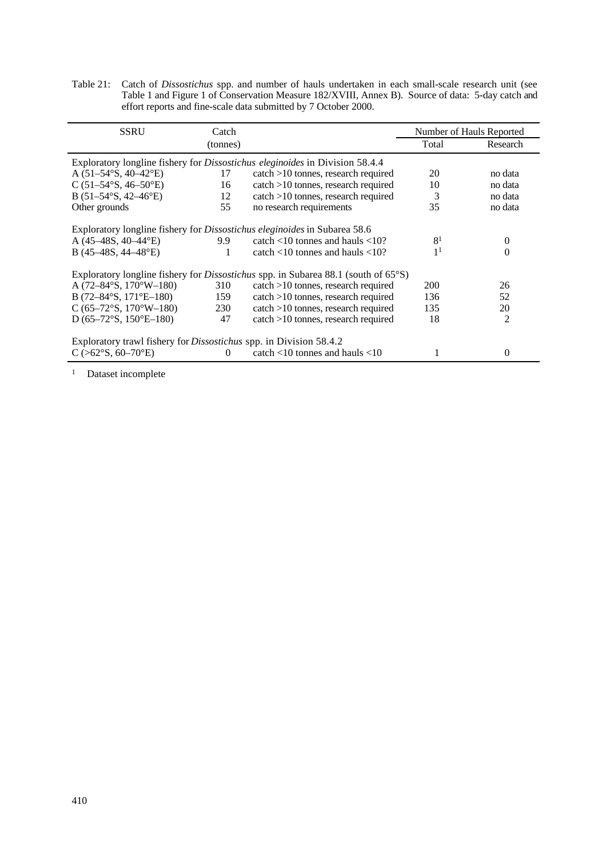Table 21: Catch of *Dissostichus* spp. and number of hauls undertaken in each small-scale research unit (see Table 1 and Figure 1 of Conservation Measure 182/XVIII, Annex B). Source of data: 5-day catch and effort reports and fine-scale data submitted by 7 October 2000.

| SSRU                                                                                | Catch          |                                                                                                        |                | Number of Hauls Reported |  |  |  |  |  |
|-------------------------------------------------------------------------------------|----------------|--------------------------------------------------------------------------------------------------------|----------------|--------------------------|--|--|--|--|--|
|                                                                                     | (tonnes)       |                                                                                                        | Total          | Research                 |  |  |  |  |  |
| Exploratory longline fishery for <i>Dissostichus eleginoides</i> in Division 58.4.4 |                |                                                                                                        |                |                          |  |  |  |  |  |
| A $(51-54°S, 40-42°E)$                                                              | 17             | catch >10 tonnes, research required                                                                    | 20             | no data                  |  |  |  |  |  |
| C $(51-54\textdegree S, 46-50\textdegree E)$                                        | 16             | $catch > 10$ tonnes, research required                                                                 | 10             | no data                  |  |  |  |  |  |
| B $(51-54°S, 42-46°E)$                                                              | 12             | $catch > 10$ tonnes, research required                                                                 | 3              | no data                  |  |  |  |  |  |
| Other grounds                                                                       | 55             | no research requirements                                                                               | 35             | no data                  |  |  |  |  |  |
| Exploratory longline fishery for <i>Dissostichus eleginoides</i> in Subarea 58.6    |                |                                                                                                        |                |                          |  |  |  |  |  |
| A $(45-48S, 40-44^{\circ}E)$                                                        | 9.9            | catch $<$ 10 tonnes and hauls $<$ 10?                                                                  | 8 <sup>1</sup> | 0                        |  |  |  |  |  |
| B $(45-48S, 44-48^{\circ}E)$                                                        | 1              | catch $<$ 10 tonnes and hauls $<$ 10?                                                                  | 1 <sup>1</sup> | 0                        |  |  |  |  |  |
|                                                                                     |                | Exploratory longline fishery for <i>Dissostichus</i> spp. in Subarea 88.1 (south of 65 <sup>o</sup> S) |                |                          |  |  |  |  |  |
| A $(72-84\textdegree S, 170\textdegree W-180)$                                      | 310            | $catch > 10$ tonnes, research required                                                                 | 200            | 26                       |  |  |  |  |  |
| B (72-84°S, 171°E-180)                                                              | 159            | catch >10 tonnes, research required                                                                    | 136            | 52                       |  |  |  |  |  |
| $C (65-72°S, 170°W-180)$                                                            | 230            | catch >10 tonnes, research required                                                                    | 135            | 20                       |  |  |  |  |  |
| D (65-72°S, 150°E-180)                                                              | 47             | catch >10 tonnes, research required                                                                    | 18             | 2                        |  |  |  |  |  |
| Exploratory trawl fishery for <i>Dissostichus</i> spp. in Division 58.4.2           |                |                                                                                                        |                |                          |  |  |  |  |  |
| $C$ (>62°S, 60–70°E)                                                                | $\overline{0}$ | catch $<$ 10 tonnes and hauls $<$ 10                                                                   |                | 0                        |  |  |  |  |  |

<sup>1</sup> Dataset incomplete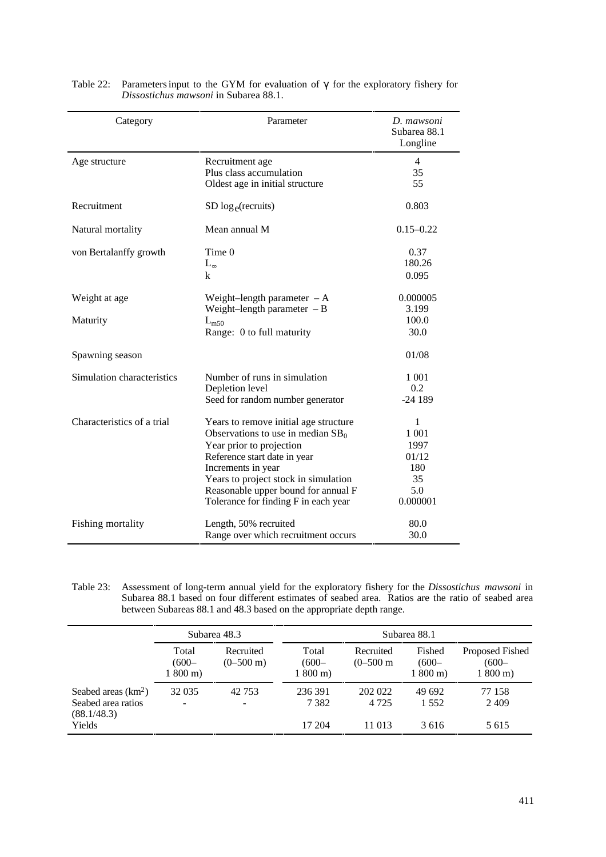| Category                   | Parameter                                                                                                                                                                                                                                                                              | D. mawsoni<br>Subarea 88.1<br>Longline                        |
|----------------------------|----------------------------------------------------------------------------------------------------------------------------------------------------------------------------------------------------------------------------------------------------------------------------------------|---------------------------------------------------------------|
| Age structure              | Recruitment age<br>Plus class accumulation<br>Oldest age in initial structure                                                                                                                                                                                                          | $\overline{4}$<br>35<br>55                                    |
| Recruitment                | $SD loge(\text{recursive})$                                                                                                                                                                                                                                                            | 0.803                                                         |
| Natural mortality          | Mean annual M                                                                                                                                                                                                                                                                          | $0.15 - 0.22$                                                 |
| von Bertalanffy growth     | Time 0<br>$L_{\infty}$<br>k                                                                                                                                                                                                                                                            | 0.37<br>180.26<br>0.095                                       |
| Weight at age<br>Maturity  | Weight-length parameter $-A$<br>Weight-length parameter $-B$<br>$L_{m50}$<br>Range: 0 to full maturity                                                                                                                                                                                 | 0.000005<br>3.199<br>100.0<br>30.0                            |
| Spawning season            |                                                                                                                                                                                                                                                                                        | 01/08                                                         |
| Simulation characteristics | Number of runs in simulation<br>Depletion level<br>Seed for random number generator                                                                                                                                                                                                    | 1 0 0 1<br>0.2<br>$-24189$                                    |
| Characteristics of a trial | Years to remove initial age structure<br>Observations to use in median $SB_0$<br>Year prior to projection<br>Reference start date in year<br>Increments in year<br>Years to project stock in simulation<br>Reasonable upper bound for annual F<br>Tolerance for finding F in each year | 1<br>1 0 0 1<br>1997<br>01/12<br>180<br>35<br>5.0<br>0.000001 |
| Fishing mortality          | Length, 50% recruited<br>Range over which recruitment occurs                                                                                                                                                                                                                           | 80.0<br>30.0                                                  |

| Table 22: Parameters input to the GYM for evaluation of $\gamma$ for the exploratory fishery for |
|--------------------------------------------------------------------------------------------------|
| <i>Dissostichus mawsoni</i> in Subarea 88.1.                                                     |

Table 23: Assessment of long-term annual yield for the exploratory fishery for the *Dissostichus mawsoni* in Subarea 88.1 based on four different estimates of seabed area. Ratios are the ratio of seabed area between Subareas 88.1 and 48.3 based on the appropriate depth range.

|                                                                     |                                       | Subarea 48.3                     | Subarea 88.1                          |                              |                                           |                                                 |  |  |  |  |
|---------------------------------------------------------------------|---------------------------------------|----------------------------------|---------------------------------------|------------------------------|-------------------------------------------|-------------------------------------------------|--|--|--|--|
|                                                                     | Total<br>$(600 -$<br>$1800 \text{ m}$ | Recruited<br>$(0-500 \text{ m})$ | Total<br>$(600 -$<br>$1800 \text{ m}$ |                              | Fished<br>$(600 -$<br>$1800 \,\mathrm{m}$ | Proposed Fished<br>$(600 -$<br>$1800 \text{ m}$ |  |  |  |  |
| Seabed areas $(km2)$<br>Seabed area ratios<br>(88.1/48.3)<br>Yields | 32 0 35<br>$\blacksquare$             | 42 7 53                          | 236 391<br>7 3 8 2<br>17 204          | 202 022<br>4 7 2 5<br>11 013 | 49 692<br>1 5 5 2<br>3616                 | 77 158<br>2409<br>5 615                         |  |  |  |  |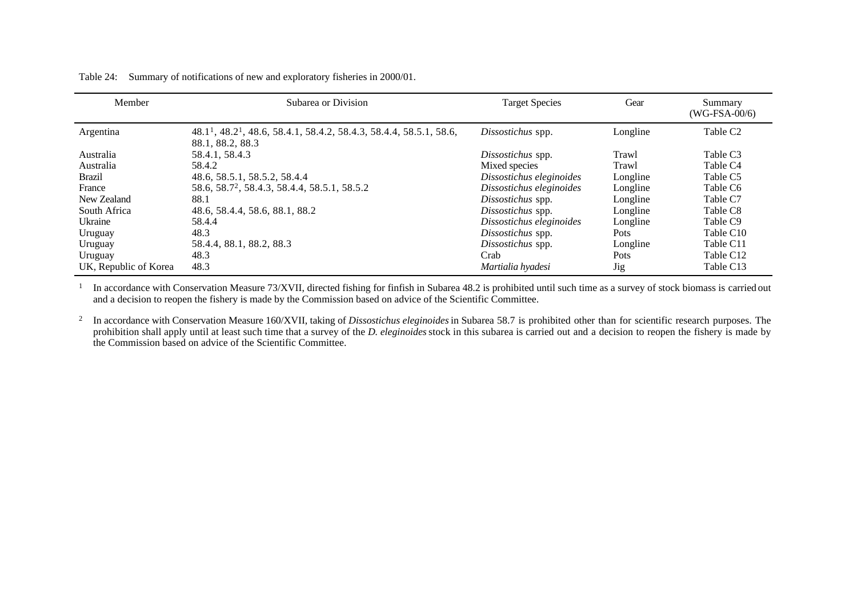| Member                | Subarea or Division                                                                                             | <b>Target Species</b>    | Gear       | Summary<br>$(WG-FSA-00/6)$ |
|-----------------------|-----------------------------------------------------------------------------------------------------------------|--------------------------|------------|----------------------------|
| Argentina             | 48.1 <sup>1</sup> , 48.2 <sup>1</sup> , 48.6, 58.4.1, 58.4.2, 58.4.3, 58.4.4, 58.5.1, 58.6,<br>88.1, 88.2, 88.3 | Dissostichus spp.        | Longline   | Table C <sub>2</sub>       |
| Australia             | 58.4.1, 58.4.3                                                                                                  | Dissostichus spp.        | Trawl      | Table C3                   |
| Australia             | 58.4.2                                                                                                          | Mixed species            | Trawl      | Table C <sub>4</sub>       |
| <b>Brazil</b>         | 48.6, 58.5.1, 58.5.2, 58.4.4                                                                                    | Dissostichus eleginoides | Longline   | Table C <sub>5</sub>       |
| France                | 58.6, 58.7 <sup>2</sup> , 58.4.3, 58.4.4, 58.5.1, 58.5.2                                                        | Dissostichus eleginoides | Longline   | Table C6                   |
| New Zealand           | 88.1                                                                                                            | Dissostichus spp.        | Longline   | Table C7                   |
| South Africa          | 48.6, 58.4.4, 58.6, 88.1, 88.2                                                                                  | Dissostichus spp.        | Longline   | Table C8                   |
| Ukraine               | 58.4.4                                                                                                          | Dissostichus eleginoides | Longline   | Table C <sub>9</sub>       |
| Uruguay               | 48.3                                                                                                            | Dissostichus spp.        | Pots       | Table C10                  |
| Uruguay               | 58.4.4, 88.1, 88.2, 88.3                                                                                        | Dissostichus spp.        | Longline   | Table C11                  |
| Uruguay               | 48.3                                                                                                            | Crab                     | Pots       | Table C12                  |
| UK, Republic of Korea | 48.3                                                                                                            | Martialia hyadesi        | <b>Jig</b> | Table C13                  |

Table 24: Summary of notifications of new and exploratory fisheries in 2000/01.

<sup>1</sup> In accordance with Conservation Measure 73/XVII, directed fishing for finfish in Subarea 48.2 is prohibited until such time as a survey of stock biomass is carried out and a decision to reopen the fishery is made by the Commission based on advice of the Scientific Committee.

2 In accordance with Conservation Measure 160/XVII, taking of *Dissostichus eleginoides* in Subarea 58.7 is prohibited other than for scientific research purposes. The prohibition shall apply until at least such time that a survey of the *D. eleginoides* stock in this subarea is carried out and a decision to reopen the fishery is made by the Commission based on advice of the Scientific Committee.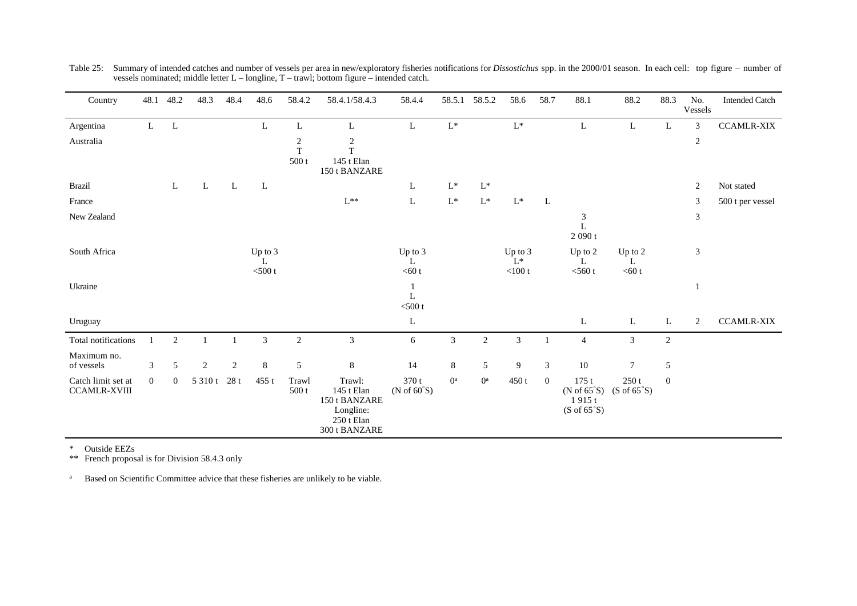| Country                                   | 48.1           | 48.2           | 48.3           | 48.4 | 48.6                      | 58.4.2                            | 58.4.1/58.4.3                                                                     | 58.4.4                   | 58.5.1         | 58.5.2          | 58.6                            | 58.7           | 88.1                                                                    | 88.2                                  | 88.3           | No.<br>Vessels | <b>Intended Catch</b> |
|-------------------------------------------|----------------|----------------|----------------|------|---------------------------|-----------------------------------|-----------------------------------------------------------------------------------|--------------------------|----------------|-----------------|---------------------------------|----------------|-------------------------------------------------------------------------|---------------------------------------|----------------|----------------|-----------------------|
| Argentina                                 | $\mathbf{L}$   | L              |                |      | L                         | $\mathbf L$                       | L                                                                                 | L                        | $\mathbf{L}^*$ |                 | $\mathbf{L}^*$                  |                | L                                                                       | L                                     | L              | 3              | <b>CCAMLR-XIX</b>     |
| Australia                                 |                |                |                |      |                           | $\sqrt{2}$<br>$\mathbf T$<br>500t | $\sqrt{2}$<br>T<br>145 t Elan<br>150 t BANZARE                                    |                          |                |                 |                                 |                |                                                                         |                                       |                | $\sqrt{2}$     |                       |
| <b>Brazil</b>                             |                | L              | L              | L    | L                         |                                   |                                                                                   | L                        | $\mathbf{L}^*$ | $\mathbf{L}^*$  |                                 |                |                                                                         |                                       |                | 2              | Not stated            |
| France                                    |                |                |                |      |                           |                                   | $\mathrm{L^{**}}$                                                                 | L                        | $\mathrm{L}^*$ | $\mathbf{L}^*$  | $\mathbf{L}^*$                  | L              |                                                                         |                                       |                | 3              | 500 t per vessel      |
| New Zealand                               |                |                |                |      |                           |                                   |                                                                                   |                          |                |                 |                                 |                | 3<br>$\mathbf L$<br>$2\ 090$ t                                          |                                       |                | $\mathfrak{Z}$ |                       |
| South Africa                              |                |                |                |      | Up to 3<br>L<br>$<$ 500 t |                                   |                                                                                   | Up to 3<br>L<br>$<$ 60 t |                |                 | Up to 3<br>$L^*$<br>$<$ 100 $t$ |                | Up to $2$<br>L<br>$<$ 560 t                                             | Up to 2<br>L<br>$<$ 60 t              |                | 3              |                       |
| Ukraine                                   |                |                |                |      |                           |                                   |                                                                                   | 1<br>L<br>$<$ 500 t      |                |                 |                                 |                |                                                                         |                                       |                |                |                       |
| Uruguay                                   |                |                |                |      |                           |                                   |                                                                                   | L                        |                |                 |                                 |                | L                                                                       | L                                     | L              | 2              | <b>CCAMLR-XIX</b>     |
| Total notifications                       |                | $\mathfrak{2}$ |                |      | 3                         | $\overline{c}$                    | 3                                                                                 | 6                        | $\sqrt{3}$     | $\overline{2}$  | 3                               | $\mathbf{1}$   | 4                                                                       | $\mathfrak 3$                         | $\overline{c}$ |                |                       |
| Maximum no.<br>of vessels                 | 3              | 5              | $\overline{2}$ | 2    | $8\,$                     | $\mathfrak s$                     | 8                                                                                 | 14                       | $\,8\,$        | $5\overline{)}$ | 9                               | $\mathfrak{Z}$ | $10\,$                                                                  | $\tau$                                | 5              |                |                       |
| Catch limit set at<br><b>CCAMLR-XVIII</b> | $\overline{0}$ | $\overline{0}$ | 5 3 1 0 t      | 28t  | $455$ t                   | Trawl<br>500t                     | Trawl:<br>145 t Elan<br>150 t BANZARE<br>Longline:<br>250 t Elan<br>300 t BANZARE | 370 t<br>(N of $60°S$ )  | $0^{\rm a}$    | $0^{\rm a}$     | 450t                            | $\overline{0}$ | 175t<br>(N of $65^{\circ}$ S)<br>1915t<br>$(S \text{ of } 65^{\circ}S)$ | 250t<br>$(S \text{ of } 65^{\circ}S)$ | $\mathbf{0}$   |                |                       |

Table 25: Summary of intended catches and number of vessels per area in new/exploratory fisheries notifications for *Dissostichus* spp. in the 2000/01 season. In each cell: top figure – number of vessels nominated; middle letter L – longline, T – trawl; bottom figure – intended catch.

\* Outside EEZs

\*\* French proposal is for Division 58.4.3 only

<sup>a</sup> Based on Scientific Committee advice that these fisheries are unlikely to be viable.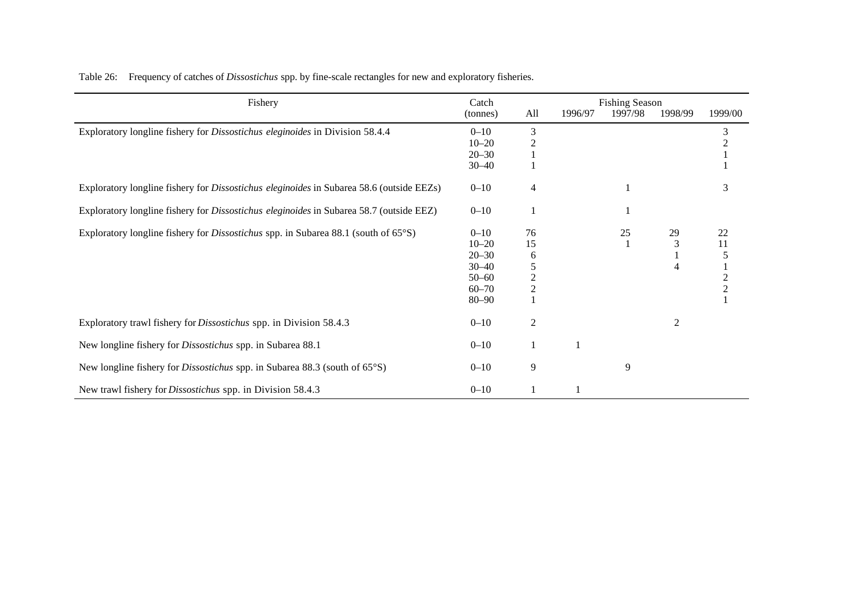| Fishery                                                                                        | Catch     | <b>Fishing Season</b> |         |         |                |                |  |  |
|------------------------------------------------------------------------------------------------|-----------|-----------------------|---------|---------|----------------|----------------|--|--|
|                                                                                                | (tonnes)  | All                   | 1996/97 | 1997/98 | 1998/99        | 1999/00        |  |  |
| Exploratory longline fishery for Dissostichus eleginoides in Division 58.4.4                   | $0 - 10$  | 3                     |         |         |                | 3              |  |  |
|                                                                                                | $10 - 20$ |                       |         |         |                |                |  |  |
|                                                                                                | $20 - 30$ |                       |         |         |                |                |  |  |
|                                                                                                | $30 - 40$ |                       |         |         |                |                |  |  |
| Exploratory longline fishery for Dissostichus eleginoides in Subarea 58.6 (outside EEZs)       | $0 - 10$  | 4                     |         |         |                | 3              |  |  |
| Exploratory longline fishery for <i>Dissostichus eleginoides</i> in Subarea 58.7 (outside EEZ) | $0 - 10$  |                       |         |         |                |                |  |  |
| Exploratory longline fishery for <i>Dissostichus</i> spp. in Subarea 88.1 (south of 65°S)      | $0 - 10$  | 76                    |         | 25      | 29             | 22             |  |  |
|                                                                                                | $10 - 20$ | 15                    |         |         | $\mathfrak{Z}$ | 11             |  |  |
|                                                                                                | $20 - 30$ | 6                     |         |         |                |                |  |  |
|                                                                                                | $30 - 40$ | 5                     |         |         |                |                |  |  |
|                                                                                                | $50 - 60$ | 2                     |         |         |                | $\overline{2}$ |  |  |
|                                                                                                | $60 - 70$ | $\overline{2}$        |         |         |                | $\overline{2}$ |  |  |
|                                                                                                | $80 - 90$ |                       |         |         |                |                |  |  |
| Exploratory trawl fishery for <i>Dissostichus</i> spp. in Division 58.4.3                      | $0 - 10$  | $\overline{2}$        |         |         | $\mathfrak{2}$ |                |  |  |
| New longline fishery for <i>Dissostichus</i> spp. in Subarea 88.1                              | $0 - 10$  |                       | 1       |         |                |                |  |  |
| New longline fishery for <i>Dissostichus</i> spp. in Subarea 88.3 (south of $65^{\circ}$ S)    | $0 - 10$  | 9                     |         | 9       |                |                |  |  |
| New trawl fishery for <i>Dissostichus</i> spp. in Division 58.4.3                              | $0 - 10$  |                       |         |         |                |                |  |  |

Table 26: Frequency of catches of *Dissostichus* spp. by fine-scale rectangles for new and exploratory fisheries.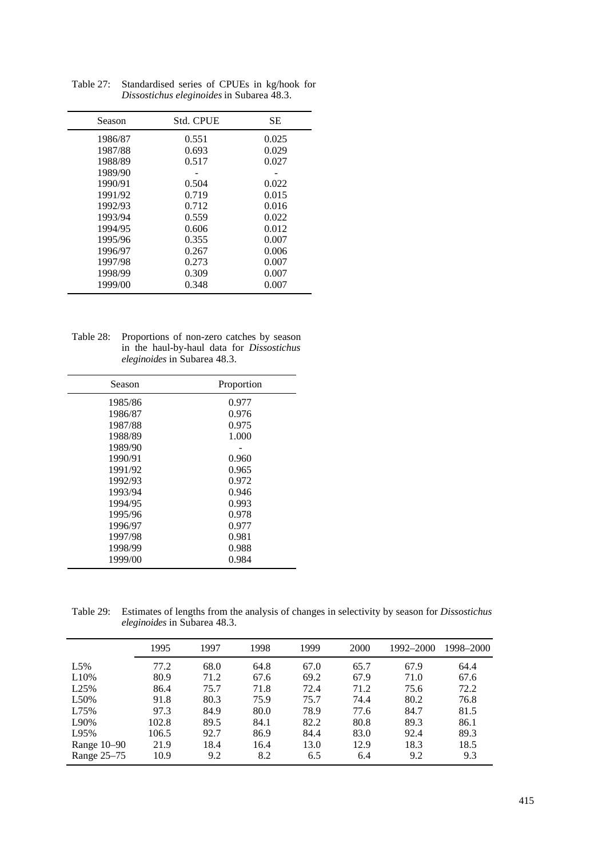| Season  | <b>Std. CPUE</b> | <b>SE</b> |
|---------|------------------|-----------|
| 1986/87 | 0.551            | 0.025     |
| 1987/88 | 0.693            | 0.029     |
| 1988/89 | 0.517            | 0.027     |
| 1989/90 |                  |           |
| 1990/91 | 0.504            | 0.022     |
| 1991/92 | 0.719            | 0.015     |
| 1992/93 | 0.712            | 0.016     |
| 1993/94 | 0.559            | 0.022     |
| 1994/95 | 0.606            | 0.012     |
| 1995/96 | 0.355            | 0.007     |
| 1996/97 | 0.267            | 0.006     |
| 1997/98 | 0.273            | 0.007     |
| 1998/99 | 0.309            | 0.007     |
| 1999/00 | 0.348            | 0.007     |

Table 27: Standardised series of CPUEs in kg/hook for *Dissostichus eleginoides* in Subarea 48.3.

Table 28: Proportions of non-zero catches by season in the haul-by-haul data for *Dissostichus eleginoides* in Subarea 48.3.

| Season  | Proportion |
|---------|------------|
| 1985/86 | 0.977      |
| 1986/87 | 0.976      |
| 1987/88 | 0.975      |
| 1988/89 | 1.000      |
| 1989/90 |            |
| 1990/91 | 0.960      |
| 1991/92 | 0.965      |
| 1992/93 | 0.972      |
| 1993/94 | 0.946      |
| 1994/95 | 0.993      |
| 1995/96 | 0.978      |
| 1996/97 | 0.977      |
| 1997/98 | 0.981      |
| 1998/99 | 0.988      |
| 1999/00 | 0.984      |

Table 29: Estimates of lengths from the analysis of changes in selectivity by season for *Dissostichus eleginoides* in Subarea 48.3.

|             | 1995  | 1997 | 1998 | 1999 | 2000 | 1992–2000 | 1998–2000 |
|-------------|-------|------|------|------|------|-----------|-----------|
| L5%         | 77.2  | 68.0 | 64.8 | 67.0 | 65.7 | 67.9      | 64.4      |
| L10%        | 80.9  | 71.2 | 67.6 | 69.2 | 67.9 | 71.0      | 67.6      |
| L25%        | 86.4  | 75.7 | 71.8 | 72.4 | 71.2 | 75.6      | 72.2      |
| L50%        | 91.8  | 80.3 | 75.9 | 75.7 | 74.4 | 80.2      | 76.8      |
| L75%        | 97.3  | 84.9 | 80.0 | 78.9 | 77.6 | 84.7      | 81.5      |
| L90%        | 102.8 | 89.5 | 84.1 | 82.2 | 80.8 | 89.3      | 86.1      |
| L95%        | 106.5 | 92.7 | 86.9 | 84.4 | 83.0 | 92.4      | 89.3      |
| Range 10-90 | 21.9  | 18.4 | 16.4 | 13.0 | 12.9 | 18.3      | 18.5      |
| Range 25-75 | 10.9  | 9.2  | 8.2  | 6.5  | 6.4  | 9.2       | 9.3       |
|             |       |      |      |      |      |           |           |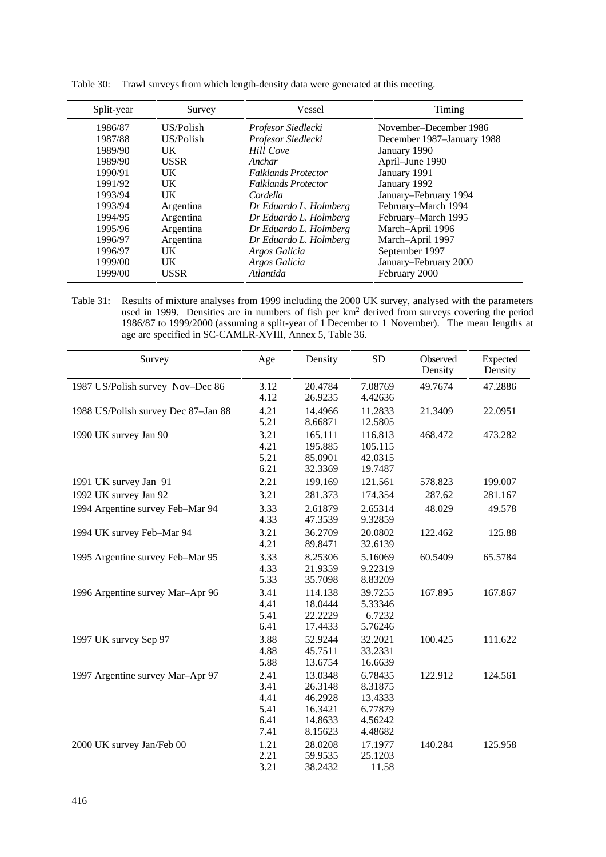| Split-year | Survey      | Vessel                     | Timing                     |
|------------|-------------|----------------------------|----------------------------|
| 1986/87    | US/Polish   | Profesor Siedlecki         | November-December 1986     |
| 1987/88    | US/Polish   | Profesor Siedlecki         | December 1987-January 1988 |
| 1989/90    | <b>UK</b>   | <b>Hill Cove</b>           | January 1990               |
| 1989/90    | <b>USSR</b> | Anchar                     | April-June 1990            |
| 1990/91    | UK.         | <b>Falklands Protector</b> | January 1991               |
| 1991/92    | UK          | <b>Falklands Protector</b> | January 1992               |
| 1993/94    | UK          | Cordella                   | January-February 1994      |
| 1993/94    | Argentina   | Dr Eduardo L. Holmberg     | February-March 1994        |
| 1994/95    | Argentina   | Dr Eduardo L. Holmberg     | February-March 1995        |
| 1995/96    | Argentina   | Dr Eduardo L. Holmberg     | March-April 1996           |
| 1996/97    | Argentina   | Dr Eduardo L. Holmberg     | March-April 1997           |
| 1996/97    | UK.         | Argos Galicia              | September 1997             |
| 1999/00    | UK          | Argos Galicia              | January–February 2000      |
| 1999/00    | USSR        | Atlantida                  | February 2000              |

|  | Table 30: Trawl surveys from which length-density data were generated at this meeting. |  |
|--|----------------------------------------------------------------------------------------|--|
|  |                                                                                        |  |

Table 31: Results of mixture analyses from 1999 including the 2000 UK survey, analysed with the parameters used in 1999. Densities are in numbers of fish per km<sup>2</sup> derived from surveys covering the period 1986/87 to 1999/2000 (assuming a split-year of 1 December to 1 November). The mean lengths at age are specified in SC-CAMLR-XVIII, Annex 5, Table 36.

| Survey                              | Age                                          | Density                                                        | <b>SD</b>                                                      | Observed<br>Density | Expected<br>Density |
|-------------------------------------|----------------------------------------------|----------------------------------------------------------------|----------------------------------------------------------------|---------------------|---------------------|
| 1987 US/Polish survey Nov-Dec 86    | 3.12<br>4.12                                 | 20.4784<br>26.9235                                             | 7.08769<br>4.42636                                             | 49.7674             | 47.2886             |
| 1988 US/Polish survey Dec 87-Jan 88 | 4.21<br>5.21                                 | 14.4966<br>8.66871                                             | 11.2833<br>12.5805                                             | 21.3409             | 22.0951             |
| 1990 UK survey Jan 90               | 3.21<br>4.21<br>5.21<br>6.21                 | 165.111<br>195.885<br>85.0901<br>32.3369                       | 116.813<br>105.115<br>42.0315<br>19.7487                       | 468.472             | 473.282             |
| 1991 UK survey Jan 91               | 2.21                                         | 199.169                                                        | 121.561                                                        | 578.823             | 199.007             |
| 1992 UK survey Jan 92               | 3.21                                         | 281.373                                                        | 174.354                                                        | 287.62              | 281.167             |
| 1994 Argentine survey Feb-Mar 94    | 3.33<br>4.33                                 | 2.61879<br>47.3539                                             | 2.65314<br>9.32859                                             | 48.029              | 49.578              |
| 1994 UK survey Feb-Mar 94           | 3.21<br>4.21                                 | 36.2709<br>89.8471                                             | 20.0802<br>32.6139                                             | 122.462             | 125.88              |
| 1995 Argentine survey Feb-Mar 95    | 3.33<br>4.33<br>5.33                         | 8.25306<br>21.9359<br>35.7098                                  | 5.16069<br>9.22319<br>8.83209                                  | 60.5409             | 65.5784             |
| 1996 Argentine survey Mar-Apr 96    | 3.41<br>4.41<br>5.41<br>6.41                 | 114.138<br>18.0444<br>22.2229<br>17.4433                       | 39.7255<br>5.33346<br>6.7232<br>5.76246                        | 167.895             | 167.867             |
| 1997 UK survey Sep 97               | 3.88<br>4.88<br>5.88                         | 52.9244<br>45.7511<br>13.6754                                  | 32.2021<br>33.2331<br>16.6639                                  | 100.425             | 111.622             |
| 1997 Argentine survey Mar-Apr 97    | 2.41<br>3.41<br>4.41<br>5.41<br>6.41<br>7.41 | 13.0348<br>26.3148<br>46.2928<br>16.3421<br>14.8633<br>8.15623 | 6.78435<br>8.31875<br>13.4333<br>6.77879<br>4.56242<br>4.48682 | 122.912             | 124.561             |
| 2000 UK survey Jan/Feb 00           | 1.21<br>2.21<br>3.21                         | 28.0208<br>59.9535<br>38.2432                                  | 17.1977<br>25.1203<br>11.58                                    | 140.284             | 125.958             |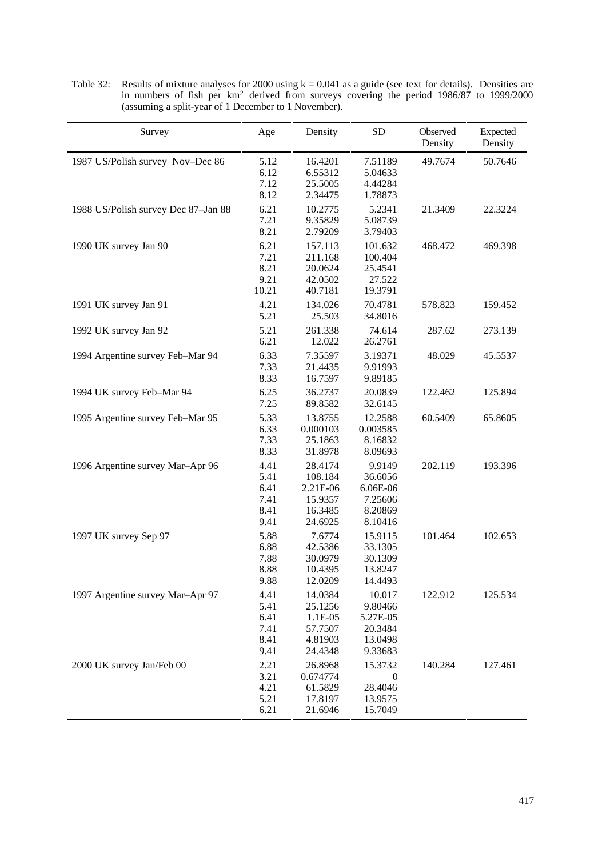| Survey                              | Age                                          | Density                                                         | <b>SD</b>                                                      | Observed<br>Density | Expected<br>Density |
|-------------------------------------|----------------------------------------------|-----------------------------------------------------------------|----------------------------------------------------------------|---------------------|---------------------|
| 1987 US/Polish survey Nov-Dec 86    | 5.12<br>6.12<br>7.12<br>8.12                 | 16.4201<br>6.55312<br>25.5005<br>2.34475                        | 7.51189<br>5.04633<br>4.44284<br>1.78873                       | 49.7674             | 50.7646             |
| 1988 US/Polish survey Dec 87-Jan 88 | 6.21<br>7.21<br>8.21                         | 10.2775<br>9.35829<br>2.79209                                   | 5.2341<br>5.08739<br>3.79403                                   | 21.3409             | 22.3224             |
| 1990 UK survey Jan 90               | 6.21<br>7.21<br>8.21<br>9.21<br>10.21        | 157.113<br>211.168<br>20.0624<br>42.0502<br>40.7181             | 101.632<br>100.404<br>25.4541<br>27.522<br>19.3791             | 468.472             | 469.398             |
| 1991 UK survey Jan 91               | 4.21<br>5.21                                 | 134.026<br>25.503                                               | 70.4781<br>34.8016                                             | 578.823             | 159.452             |
| 1992 UK survey Jan 92               | 5.21<br>6.21                                 | 261.338<br>12.022                                               | 74.614<br>26.2761                                              | 287.62              | 273.139             |
| 1994 Argentine survey Feb-Mar 94    | 6.33<br>7.33<br>8.33                         | 7.35597<br>21.4435<br>16.7597                                   | 3.19371<br>9.91993<br>9.89185                                  | 48.029              | 45.5537             |
| 1994 UK survey Feb-Mar 94           | 6.25<br>7.25                                 | 36.2737<br>89.8582                                              | 20.0839<br>32.6145                                             | 122.462             | 125.894             |
| 1995 Argentine survey Feb-Mar 95    | 5.33<br>6.33<br>7.33<br>8.33                 | 13.8755<br>0.000103<br>25.1863<br>31.8978                       | 12.2588<br>0.003585<br>8.16832<br>8.09693                      | 60.5409             | 65.8605             |
| 1996 Argentine survey Mar-Apr 96    | 4.41<br>5.41<br>6.41<br>7.41<br>8.41<br>9.41 | 28.4174<br>108.184<br>2.21E-06<br>15.9357<br>16.3485<br>24.6925 | 9.9149<br>36.6056<br>6.06E-06<br>7.25606<br>8.20869<br>8.10416 | 202.119             | 193.396             |
| 1997 UK survey Sep 97               | 5.88<br>6.88<br>7.88<br>8.88<br>9.88         | 7.6774<br>42.5386<br>30.0979<br>10.4395<br>12.0209              | 15.9115<br>33.1305<br>30.1309<br>13.8247<br>14.4493            | 101.464             | 102.653             |
| 1997 Argentine survey Mar-Apr 97    | 4.41<br>5.41<br>6.41<br>7.41<br>8.41<br>9.41 | 14.0384<br>25.1256<br>1.1E-05<br>57.7507<br>4.81903<br>24.4348  | 10.017<br>9.80466<br>5.27E-05<br>20.3484<br>13.0498<br>9.33683 | 122.912             | 125.534             |
| 2000 UK survey Jan/Feb 00           | 2.21<br>3.21<br>4.21<br>5.21<br>6.21         | 26.8968<br>0.674774<br>61.5829<br>17.8197<br>21.6946            | 15.3732<br>$\boldsymbol{0}$<br>28.4046<br>13.9575<br>15.7049   | 140.284             | 127.461             |

Table 32: Results of mixture analyses for 2000 using  $k = 0.041$  as a guide (see text for details). Densities are in numbers of fish per km<sup>2</sup> derived from surveys covering the period 1986/87 to 1999/2000 (assuming a split-year of 1 December to 1 November).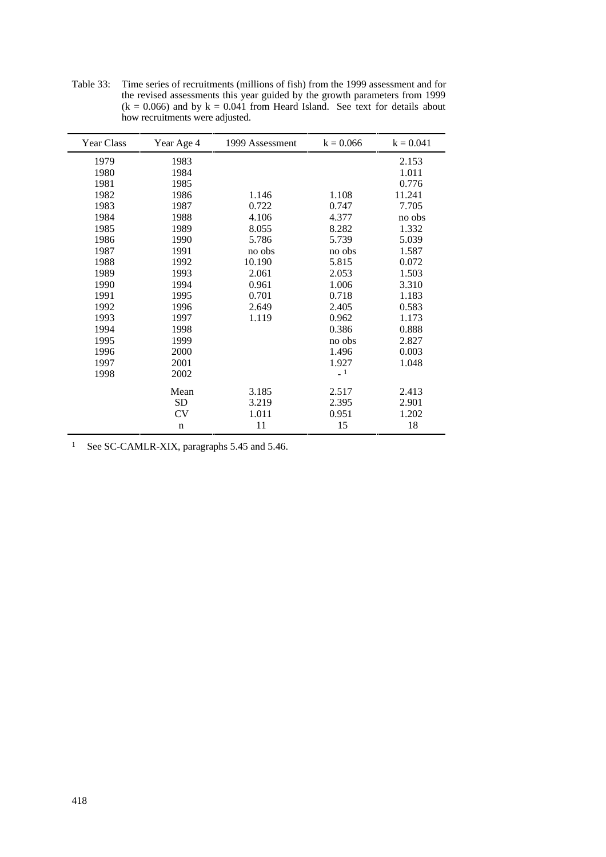| Year Class | Year Age 4  | 1999 Assessment | $k = 0.066$ | $k = 0.041$ |
|------------|-------------|-----------------|-------------|-------------|
| 1979       | 1983        |                 |             | 2.153       |
| 1980       | 1984        |                 |             | 1.011       |
| 1981       | 1985        |                 |             | 0.776       |
| 1982       | 1986        | 1.146           | 1.108       | 11.241      |
| 1983       | 1987        | 0.722           | 0.747       | 7.705       |
| 1984       | 1988        | 4.106           | 4.377       | no obs      |
| 1985       | 1989        | 8.055           | 8.282       | 1.332       |
| 1986       | 1990        | 5.786           | 5.739       | 5.039       |
| 1987       | 1991        | no obs          | no obs      | 1.587       |
| 1988       | 1992        | 10.190          | 5.815       | 0.072       |
| 1989       | 1993        | 2.061           | 2.053       | 1.503       |
| 1990       | 1994        | 0.961           | 1.006       | 3.310       |
| 1991       | 1995        | 0.701           | 0.718       | 1.183       |
| 1992       | 1996        | 2.649           | 2.405       | 0.583       |
| 1993       | 1997        | 1.119           | 0.962       | 1.173       |
| 1994       | 1998        |                 | 0.386       | 0.888       |
| 1995       | 1999        |                 | no obs      | 2.827       |
| 1996       | 2000        |                 | 1.496       | 0.003       |
| 1997       | 2001        |                 | 1.927       | 1.048       |
| 1998       | 2002        |                 | $-1$        |             |
|            | Mean        | 3.185           | 2.517       | 2.413       |
|            | SD          | 3.219           | 2.395       | 2.901       |
|            | CV          | 1.011           | 0.951       | 1.202       |
|            | $\mathbf n$ | 11              | 15          | 18          |

Table 33: Time series of recruitments (millions of fish) from the 1999 assessment and for the revised assessments this year guided by the growth parameters from 1999  $(k = 0.066)$  and by  $k = 0.041$  from Heard Island. See text for details about how recruitments were adjusted.

<sup>1</sup> See SC-CAMLR-XIX, paragraphs 5.45 and 5.46.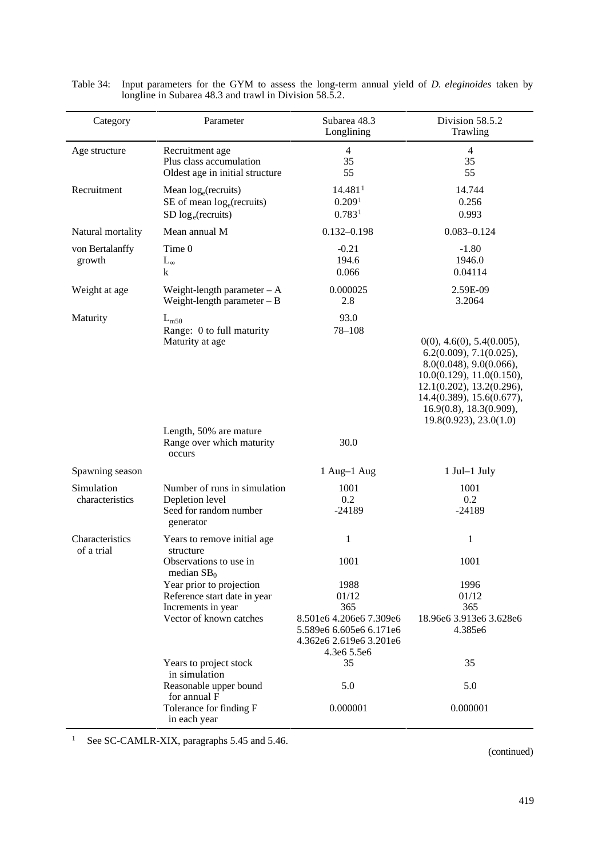| Category                      | Parameter                                                                                                 | Subarea 48.3<br>Longlining                                                                                           | Division 58.5.2<br>Trawling                                                                                                                                                                                                 |
|-------------------------------|-----------------------------------------------------------------------------------------------------------|----------------------------------------------------------------------------------------------------------------------|-----------------------------------------------------------------------------------------------------------------------------------------------------------------------------------------------------------------------------|
| Age structure                 | Recruitment age<br>Plus class accumulation<br>Oldest age in initial structure                             | $\overline{4}$<br>35<br>55                                                                                           | $\overline{4}$<br>35<br>55                                                                                                                                                                                                  |
| Recruitment                   | Mean $log_e$ (recruits)<br>$SE$ of mean $log_e$ (recruits)<br>$SD \log_e(\text{recuits})$                 | 14.481 <sup>1</sup><br>0.209 <sup>1</sup><br>0.783 <sup>1</sup>                                                      | 14.744<br>0.256<br>0.993                                                                                                                                                                                                    |
| Natural mortality             | Mean annual M                                                                                             | $0.132 - 0.198$                                                                                                      | $0.083 - 0.124$                                                                                                                                                                                                             |
| von Bertalanffy<br>growth     | Time 0<br>$L_{\infty}$<br>k                                                                               | $-0.21$<br>194.6<br>0.066                                                                                            | $-1.80$<br>1946.0<br>0.04114                                                                                                                                                                                                |
| Weight at age                 | Weight-length parameter $-A$<br>Weight-length parameter $- B$                                             | 0.000025<br>2.8                                                                                                      | 2.59E-09<br>3.2064                                                                                                                                                                                                          |
| Maturity                      | $L_{m50}$<br>Range: 0 to full maturity<br>Maturity at age                                                 | 93.0<br>78-108                                                                                                       | 0(0), 4.6(0), 5.4(0.005),<br>6.2(0.009), 7.1(0.025),<br>8.0(0.048), 9.0(0.066),<br>10.0(0.129), 11.0(0.150),<br>12.1(0.202), 13.2(0.296),<br>14.4(0.389), 15.6(0.677),<br>16.9(0.8), 18.3(0.909),<br>19.8(0.923), 23.0(1.0) |
|                               | Length, 50% are mature<br>Range over which maturity<br>occurs                                             | 30.0                                                                                                                 |                                                                                                                                                                                                                             |
| Spawning season               |                                                                                                           | 1 Aug-1 Aug                                                                                                          | $1$ Jul- $1$ July                                                                                                                                                                                                           |
| Simulation<br>characteristics | Number of runs in simulation<br>Depletion level<br>Seed for random number<br>generator                    | 1001<br>0.2<br>$-24189$                                                                                              | 1001<br>0.2<br>$-24189$                                                                                                                                                                                                     |
| Characteristics<br>of a trial | Years to remove initial age<br>structure<br>Observations to use in<br>median $SB0$                        | $\mathbf{1}$<br>1001                                                                                                 | 1<br>1001                                                                                                                                                                                                                   |
|                               | Year prior to projection<br>Reference start date in year<br>Increments in year<br>Vector of known catches | 1988<br>01/12<br>365<br>8.501e6 4.206e6 7.309e6<br>5.589e6 6.605e6 6.171e6<br>4.362e6 2.619e6 3.201e6<br>4.3e6 5.5e6 | 1996<br>01/12<br>365<br>18.96e6 3.913e6 3.628e6<br>4.385e6                                                                                                                                                                  |
|                               | Years to project stock<br>in simulation                                                                   | 35<br>5.0                                                                                                            | 35<br>5.0                                                                                                                                                                                                                   |
|                               | Reasonable upper bound<br>for annual F<br>Tolerance for finding F<br>in each year                         | 0.000001                                                                                                             | 0.000001                                                                                                                                                                                                                    |

| Table 34: Input parameters for the GYM to assess the long-term annual yield of <i>D. eleginoides</i> taken by |
|---------------------------------------------------------------------------------------------------------------|
| longline in Subarea 48.3 and trawl in Division 58.5.2.                                                        |

<sup>1</sup> See SC-CAMLR-XIX, paragraphs 5.45 and 5.46.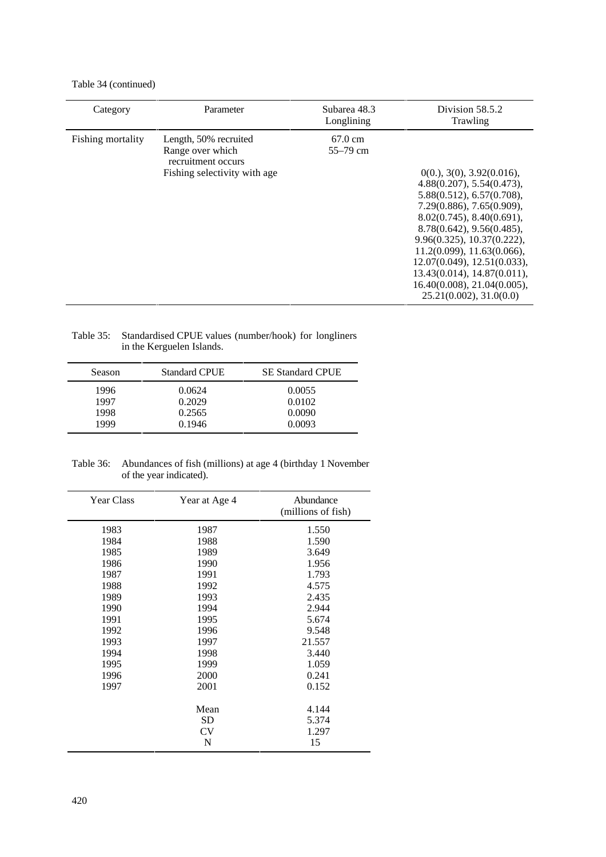Table 34 (continued)

| Category          | Parameter                                                                                       | Subarea 48.3<br>Longlining        | Division 58.5.2<br>Trawling                                                                                                                                                                                                                                                                                                                                    |
|-------------------|-------------------------------------------------------------------------------------------------|-----------------------------------|----------------------------------------------------------------------------------------------------------------------------------------------------------------------------------------------------------------------------------------------------------------------------------------------------------------------------------------------------------------|
| Fishing mortality | Length, 50% recruited<br>Range over which<br>recruitment occurs<br>Fishing selectivity with age | $67.0 \text{ cm}$<br>$55 - 79$ cm | 0(0.), 3(0), 3.92(0.016),<br>4.88(0.207), 5.54(0.473),<br>5.88(0.512), 6.57(0.708),<br>7.29(0.886), 7.65(0.909),<br>8.02(0.745), 8.40(0.691),<br>8.78(0.642), 9.56(0.485),<br>9.96(0.325), 10.37(0.222),<br>11.2(0.099), 11.63(0.066),<br>12.07(0.049), 12.51(0.033),<br>13.43(0.014), 14.87(0.011),<br>16.40(0.008), 21.04(0.005),<br>25.21(0.002), 31.0(0.0) |

Table 35: Standardised CPUE values (number/hook) for longliners in the Kerguelen Islands.

| <b>Season</b> | <b>Standard CPUE</b> | <b>SE Standard CPUE</b> |
|---------------|----------------------|-------------------------|
| 1996          | 0.0624               | 0.0055                  |
| 1997          | 0.2029               | 0.0102                  |
| 1998          | 0.2565               | 0.0090                  |
| 1999          | 0.1946               | 0.0093                  |

Table 36: Abundances of fish (millions) at age 4 (birthday 1 November of the year indicated).

| <b>Year Class</b> | Year at Age 4 | Abundance<br>(millions of fish) |
|-------------------|---------------|---------------------------------|
| 1983              | 1987          | 1.550                           |
| 1984              | 1988          | 1.590                           |
| 1985              | 1989          | 3.649                           |
| 1986              | 1990          | 1.956                           |
| 1987              | 1991          | 1.793                           |
| 1988              | 1992          | 4.575                           |
| 1989              | 1993          | 2.435                           |
| 1990              | 1994          | 2.944                           |
| 1991              | 1995          | 5.674                           |
| 1992              | 1996          | 9.548                           |
| 1993              | 1997          | 21.557                          |
| 1994              | 1998          | 3.440                           |
| 1995              | 1999          | 1.059                           |
| 1996              | 2000          | 0.241                           |
| 1997              | 2001          | 0.152                           |
|                   | Mean          | 4.144                           |
|                   | <b>SD</b>     | 5.374                           |
|                   | <b>CV</b>     | 1.297                           |
|                   | N             | 15                              |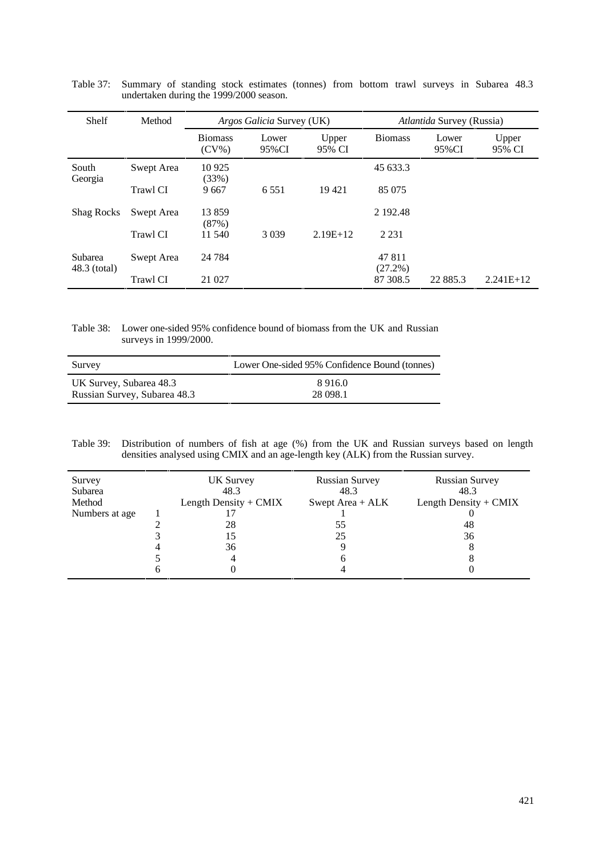| Shelf                   | Method     | <i>Argos Galicia Survey (UK)</i> |                |                 | <i>Atlantida Survey (Russia)</i> |                |                 |
|-------------------------|------------|----------------------------------|----------------|-----------------|----------------------------------|----------------|-----------------|
|                         |            | <b>Biomass</b><br>$(CV\%)$       | Lower<br>95%CI | Upper<br>95% CI | <b>Biomass</b>                   | Lower<br>95%CI | Upper<br>95% CI |
| South<br>Georgia        | Swept Area | 10 9 25<br>(33%)                 |                |                 | 45 633.3                         |                |                 |
|                         | Trawl CI   | 9667                             | 6.551          | 19421           | 85 075                           |                |                 |
| <b>Shag Rocks</b>       | Swept Area | 13859<br>(87%)                   |                |                 | 2 192.48                         |                |                 |
|                         | Trawl CI   | 11 540                           | 3 0 3 9        | $2.19E+12$      | 2 2 3 1                          |                |                 |
| Subarea<br>48.3 (total) | Swept Area | 24 7 84                          |                |                 | 47 811<br>$(27.2\%)$             |                |                 |
|                         | Trawl CI   | 21 027                           |                |                 | 87 308.5                         | 22 885.3       | $2.241E+12$     |

Table 37: Summary of standing stock estimates (tonnes) from bottom trawl surveys in Subarea 48.3 undertaken during the 1999/2000 season.

Table 38: Lower one-sided 95% confidence bound of biomass from the UK and Russian surveys in 1999/2000.

| Survey                       | Lower One-sided 95% Confidence Bound (tonnes) |
|------------------------------|-----------------------------------------------|
| UK Survey, Subarea 48.3      | 8916.0                                        |
| Russian Survey, Subarea 48.3 | 28 098.1                                      |

Table 39: Distribution of numbers of fish at age (%) from the UK and Russian surveys based on length densities analysed using CMIX and an age-length key (ALK) from the Russian survey.

| Survey<br>Subarea<br>Method<br>Numbers at age | <b>UK Survey</b><br>48.3<br>Length Density $+$ CMIX<br>28<br>15<br>36<br>4 | <b>Russian Survey</b><br>48.3<br>Swept Area + ALK<br>55<br>25<br>n | <b>Russian Survey</b><br>48.3<br>Length Density + CMIX<br>48<br>36 |
|-----------------------------------------------|----------------------------------------------------------------------------|--------------------------------------------------------------------|--------------------------------------------------------------------|
|                                               |                                                                            |                                                                    |                                                                    |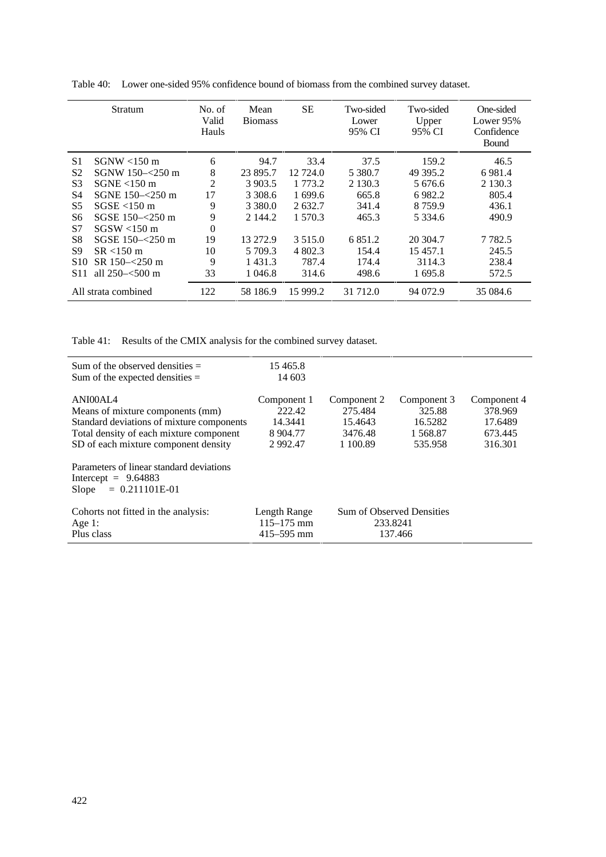|                 | Stratum              | No. of<br>Valid<br>Hauls | Mean<br><b>Biomass</b> | <b>SE</b>  | Two-sided<br>Lower<br>95% CI | Two-sided<br>Upper<br>95% CI | One-sided<br>Lower 95%<br>Confidence<br>Bound |
|-----------------|----------------------|--------------------------|------------------------|------------|------------------------------|------------------------------|-----------------------------------------------|
| S1              | $SGNW < 150$ m       | 6                        | 94.7                   | 33.4       | 37.5                         | 159.2                        | 46.5                                          |
| S <sub>2</sub>  | SGNW 150-<250 m      | 8                        | 23 895.7               | 12 724.0   | 5 3 8 0.7                    | 49 395.2                     | 6981.4                                        |
| S3              | $SGNE < 150$ m       | $\overline{2}$           | 3 903.5                | 1 773.2    | 2 1 3 0 . 3                  | 5 676.6                      | 2 1 3 0 . 3                                   |
| S4              | SGNE $150 - 250$ m   | 17                       | 3 308.6                | 1 699.6    | 665.8                        | 6982.2                       | 805.4                                         |
| S <sub>5</sub>  | $SGSE < 150$ m       | 9                        | 3 3 8 0 .0             | 2632.7     | 341.4                        | 8759.9                       | 436.1                                         |
| S6              | SGSE $150 - 250$ m   | 9                        | 2 144.2                | 1 570.3    | 465.3                        | 5 3 3 4 . 6                  | 490.9                                         |
| S7              | $SGSW < 150$ m       | $\Omega$                 |                        |            |                              |                              |                                               |
| S8              | SGSE 150-<250 m      | 19                       | 13 27 2.9              | 3 5 1 5 .0 | 6851.2                       | 20 304.7                     | 7 7 8 2.5                                     |
| S9              | $SR < 150 \text{ m}$ | 10                       | 5 709.3                | 4 802.3    | 154.4                        | 15 457.1                     | 245.5                                         |
| S <sub>10</sub> | SR 150-<250 m        | 9                        | 1 4 3 1 . 3            | 787.4      | 174.4                        | 3114.3                       | 238.4                                         |
| S11             | all $250 - 500$ m    | 33                       | 1 046.8                | 314.6      | 498.6                        | 1 695.8                      | 572.5                                         |
|                 | All strata combined  | 122                      | 58 186.9               | 15 999.2   | 31 712.0                     | 94 072.9                     | 35 084.6                                      |

Table 40: Lower one-sided 95% confidence bound of biomass from the combined survey dataset.

Table 41: Results of the CMIX analysis for the combined survey dataset.

| Sum of the observed densities $=$<br>Sum of the expected densities $=$                                                                                                       | 15465.8<br>14 603                                            |                                                          |                                                         |                                                         |
|------------------------------------------------------------------------------------------------------------------------------------------------------------------------------|--------------------------------------------------------------|----------------------------------------------------------|---------------------------------------------------------|---------------------------------------------------------|
| ANI00AL4<br>Means of mixture components (mm)<br>Standard deviations of mixture components<br>Total density of each mixture component<br>SD of each mixture component density | Component 1<br>222.42<br>14.3441<br>8 9 0 4.77<br>2 9 9 2.47 | Component 2<br>275.484<br>15.4643<br>3476.48<br>1 100.89 | Component 3<br>325.88<br>16.5282<br>1 568.87<br>535.958 | Component 4<br>378.969<br>17.6489<br>673.445<br>316.301 |
| Parameters of linear standard deviations<br>Intercept = $9.64883$<br>$= 0.211101E-01$<br>Slope                                                                               |                                                              |                                                          |                                                         |                                                         |
| Cohorts not fitted in the analysis:<br>Age 1:<br>Plus class                                                                                                                  | Length Range<br>$115 - 175$ mm<br>$415 - 595$ mm             |                                                          | <b>Sum of Observed Densities</b><br>233.8241<br>137.466 |                                                         |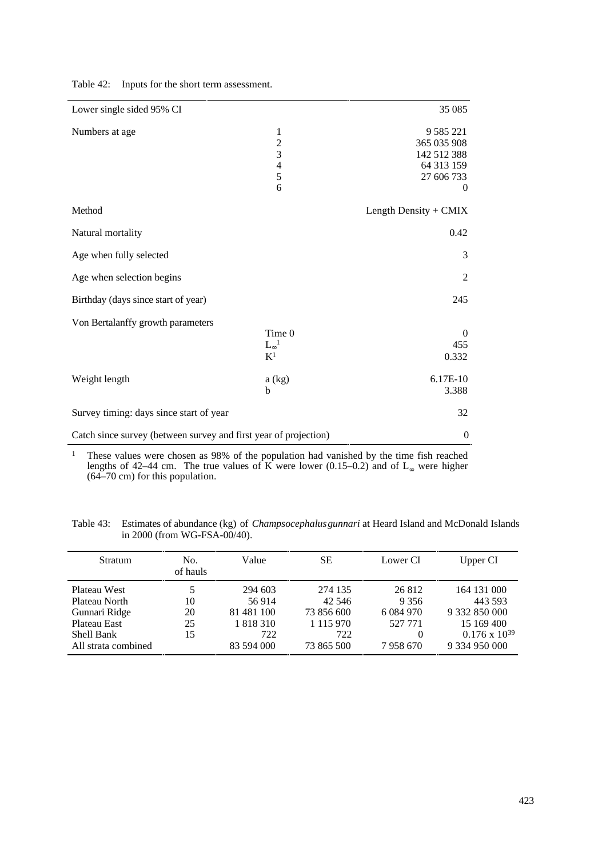| Lower single sided 95% CI                                        |                   | 35 085                |
|------------------------------------------------------------------|-------------------|-----------------------|
|                                                                  |                   |                       |
| Numbers at age                                                   | $\mathbf{1}$      | 9 5 8 5 2 2 1         |
|                                                                  | $\frac{2}{3}$     | 365 035 908           |
|                                                                  |                   | 142 512 388           |
|                                                                  | $\overline{4}$    | 64 313 159            |
|                                                                  | 5                 | 27 606 733            |
|                                                                  | 6                 | $\mathbf{0}$          |
| Method                                                           |                   | Length Density + CMIX |
| Natural mortality                                                |                   | 0.42                  |
| Age when fully selected                                          |                   | 3                     |
| Age when selection begins                                        |                   | $\overline{2}$        |
| Birthday (days since start of year)                              |                   | 245                   |
| Von Bertalanffy growth parameters                                |                   |                       |
|                                                                  | Time 0            | $\mathbf{0}$          |
|                                                                  | $L_{\infty}^{-1}$ | 455                   |
|                                                                  | K <sup>1</sup>    | 0.332                 |
| Weight length                                                    | a (kg)            | 6.17E-10              |
|                                                                  | b                 | 3.388                 |
| Survey timing: days since start of year                          |                   | 32                    |
| Catch since survey (between survey and first year of projection) | $\overline{0}$    |                       |

Table 42: Inputs for the short term assessment.

<sup>1</sup> These values were chosen as 98% of the population had vanished by the time fish reached lengths of 42–44 cm. The true values of K were lower (0.15–0.2) and of  $L_{\infty}$  were higher (64–70 cm) for this population.

Table 43: Estimates of abundance (kg) of *Champsocephalus gunnari* at Heard Island and McDonald Islands in 2000 (from WG-FSA-00/40).

| <b>Stratum</b>      | No.<br>of hauls | Value      | <b>SE</b>     | Lower CI    | Upper CI               |
|---------------------|-----------------|------------|---------------|-------------|------------------------|
| Plateau West        | 5               | 294 603    | 274 135       | 26 812      | 164 131 000            |
| Plateau North       | 10              | 56914      | 42 546        | 9 3 5 6     | 443 593                |
| Gunnari Ridge       | 20              | 81 481 100 | 73 856 600    | 6 0 84 9 70 | 9 332 850 000          |
| Plateau East        | 25              | 1 818 310  | 1 1 1 5 9 7 0 | 527 771     | 15 169 400             |
| Shell Bank          | 15              | 722        | 722           | 0           | $0.176 \times 10^{39}$ |
| All strata combined |                 | 83 594 000 | 73 865 500    | 7958670     | 9 334 950 000          |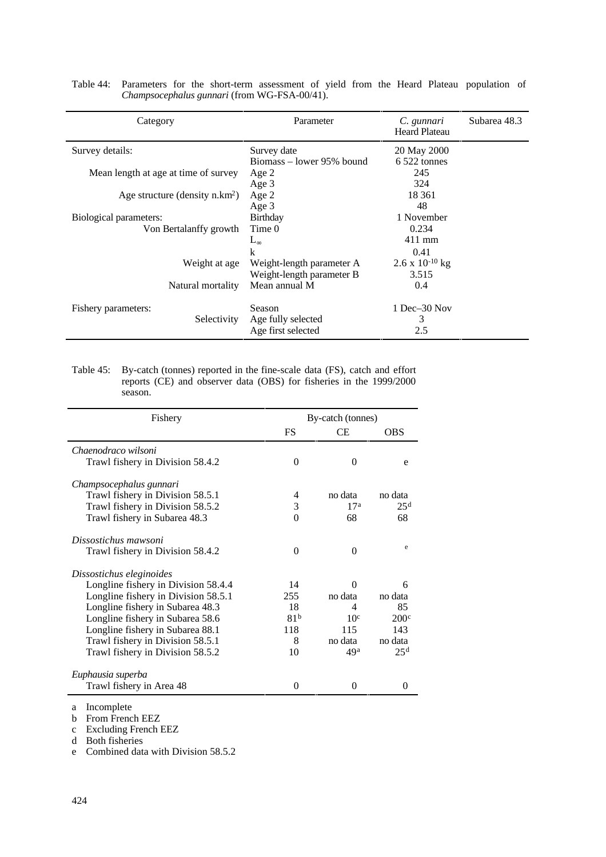| Category                             | Parameter                 | C. gunnari<br><b>Heard Plateau</b> | Subarea 48.3 |
|--------------------------------------|---------------------------|------------------------------------|--------------|
| Survey details:                      | Survey date               | 20 May 2000                        |              |
|                                      | Biomass – lower 95% bound | $6522$ tonnes                      |              |
| Mean length at age at time of survey | Age 2                     | 245                                |              |
|                                      | Age 3                     | 324                                |              |
| Age structure (density $n.km^2$ )    | Age 2                     | 18 3 61                            |              |
|                                      | Age 3                     |                                    |              |
| Biological parameters:               | Birthday                  | 1 November                         |              |
| Von Bertalanffy growth               | Time 0                    | 0.234                              |              |
|                                      | $L_{\infty}$              | $411$ mm                           |              |
|                                      | k                         | 0.41                               |              |
| Weight at age                        | Weight-length parameter A | $2.6 \times 10^{-10}$ kg           |              |
|                                      | Weight-length parameter B | 3.515                              |              |
| Natural mortality                    | Mean annual M             | 0.4                                |              |
| Fishery parameters:                  | Season                    | $1$ Dec $-30$ Nov                  |              |
| Selectivity                          | Age fully selected        | 3                                  |              |
|                                      | Age first selected        | 2.5                                |              |

|                                              |  |  |  |  |  |  |  |  |  | Table 44: Parameters for the short-term assessment of yield from the Heard Plateau population of |  |
|----------------------------------------------|--|--|--|--|--|--|--|--|--|--------------------------------------------------------------------------------------------------|--|
| Champsocephalus gunnari (from WG-FSA-00/41). |  |  |  |  |  |  |  |  |  |                                                                                                  |  |

Table 45: By-catch (tonnes) reported in the fine-scale data (FS), catch and effort reports (CE) and observer data (OBS) for fisheries in the 1999/2000 season.

| Fishery                             |                 | By-catch (tonnes) |                  |
|-------------------------------------|-----------------|-------------------|------------------|
|                                     | FS              | <b>CE</b>         | <b>OBS</b>       |
| Chaenodraco wilsoni                 |                 |                   |                  |
| Trawl fishery in Division 58.4.2    | $\Omega$        | $\Omega$          | e                |
| Champsocephalus gunnari             |                 |                   |                  |
| Trawl fishery in Division 58.5.1    | 4               | no data           | no data          |
| Trawl fishery in Division 58.5.2    | 3               | 17 <sup>a</sup>   | 25 <sup>d</sup>  |
| Trawl fishery in Subarea 48.3       | $\Omega$        | 68                | 68               |
| Dissostichus mawsoni                |                 |                   |                  |
| Trawl fishery in Division 58.4.2    | $\Omega$        | $\Omega$          | e                |
| Dissostichus eleginoides            |                 |                   |                  |
| Longline fishery in Division 58.4.4 | 14              | 0                 | 6                |
| Longline fishery in Division 58.5.1 | 255             | no data           | no data          |
| Longline fishery in Subarea 48.3    | 18              | 4                 | 85               |
| Longline fishery in Subarea 58.6    | 81 <sup>b</sup> | 10 <sup>c</sup>   | 200 <sup>c</sup> |
| Longline fishery in Subarea 88.1    | 118             | 115               | 143              |
| Trawl fishery in Division 58.5.1    | 8               | no data           | no data          |
| Trawl fishery in Division 58.5.2    | 10              | 49 <sup>a</sup>   | 25 <sup>d</sup>  |
| Euphausia superba                   |                 |                   |                  |
| Trawl fishery in Area 48            | 0               | 0                 | 0                |

a Incomplete

b From French EEZ

c Excluding French EEZ

d Both fisheries

e Combined data with Division 58.5.2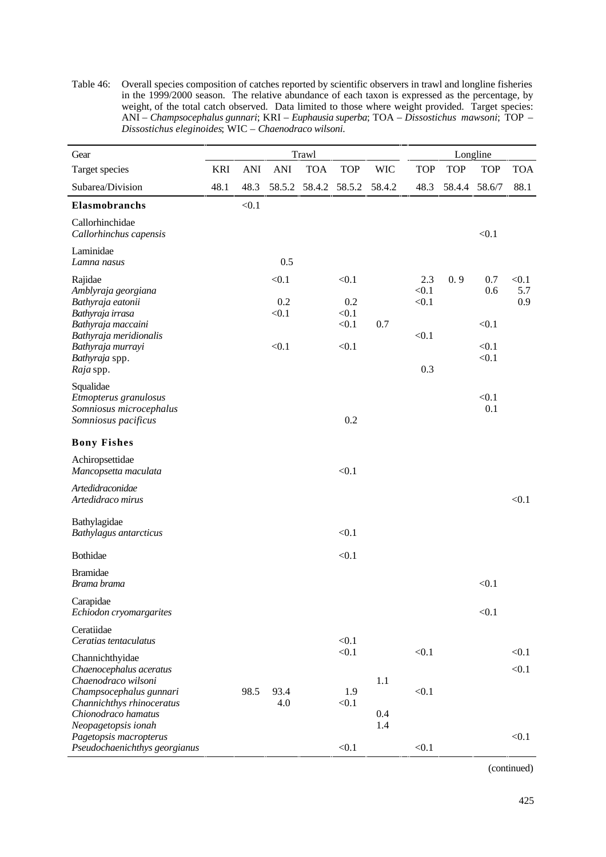Table 46: Overall species composition of catches reported by scientific observers in trawl and longline fisheries in the 1999/2000 season. The relative abundance of each taxon is expressed as the percentage, by weight, of the total catch observed. Data limited to those where weight provided. Target species: ANI – *Champsocephalus gunnari*; KRI – *Euphausia superba*; TOA – *Dissostichus mawsoni*; TOP – *Dissostichus eleginoides*; WIC – *Chaenodraco wilsoni*.

| Gear                                                                                 |            |            |                       | Trawl      |                       |            | Longline              |            |                |                     |
|--------------------------------------------------------------------------------------|------------|------------|-----------------------|------------|-----------------------|------------|-----------------------|------------|----------------|---------------------|
| Target species                                                                       | <b>KRI</b> | <b>ANI</b> | <b>ANI</b>            | <b>TOA</b> | <b>TOP</b>            | <b>WIC</b> | <b>TOP</b>            | <b>TOP</b> | <b>TOP</b>     | <b>TOA</b>          |
| Subarea/Division                                                                     | 48.1       | 48.3       | 58.5.2                | 58.4.2     | 58.5.2                | 58.4.2     | 48.3                  | 58.4.4     | 58.6/7         | 88.1                |
| Elasmobranchs                                                                        |            | < 0.1      |                       |            |                       |            |                       |            |                |                     |
| Callorhinchidae<br>Callorhinchus capensis                                            |            |            |                       |            |                       |            |                       |            | < 0.1          |                     |
| Laminidae<br>Lamna nasus                                                             |            |            | 0.5                   |            |                       |            |                       |            |                |                     |
| Rajidae<br>Amblyraja georgiana<br>Bathyraja eatonii<br>Bathyraja irrasa              |            |            | < 0.1<br>0.2<br>< 0.1 |            | < 0.1<br>0.2<br>< 0.1 |            | 2.3<br>< 0.1<br>< 0.1 | 0.9        | 0.7<br>0.6     | < 0.1<br>5.7<br>0.9 |
| Bathyraja maccaini<br>Bathyraja meridionalis                                         |            |            |                       |            | < 0.1                 | 0.7        | < 0.1                 |            | < 0.1          |                     |
| Bathyraja murrayi<br>Bathyraja spp.<br>Raja spp.                                     |            |            | < 0.1                 |            | < 0.1                 |            | 0.3                   |            | < 0.1<br>< 0.1 |                     |
| Squalidae<br>Etmopterus granulosus<br>Somniosus microcephalus<br>Somniosus pacificus |            |            |                       |            | 0.2                   |            |                       |            | < 0.1<br>0.1   |                     |
| <b>Bony Fishes</b>                                                                   |            |            |                       |            |                       |            |                       |            |                |                     |
| Achiropsettidae<br>Mancopsetta maculata                                              |            |            |                       |            | < 0.1                 |            |                       |            |                |                     |
| Artedidraconidae<br>Artedidraco mirus                                                |            |            |                       |            |                       |            |                       |            |                | < 0.1               |
| Bathylagidae<br>Bathylagus antarcticus                                               |            |            |                       |            | < 0.1                 |            |                       |            |                |                     |
| <b>Bothidae</b>                                                                      |            |            |                       |            | < 0.1                 |            |                       |            |                |                     |
| <b>Bramidae</b><br>Brama brama                                                       |            |            |                       |            |                       |            |                       |            | < 0.1          |                     |
| Carapidae<br>Echiodon cryomargarites                                                 |            |            |                       |            |                       |            |                       |            | < 0.1          |                     |
| Ceratiidae<br>Ceratias tentaculatus                                                  |            |            |                       |            | < 0.1                 |            |                       |            |                |                     |
| Channichthyidae<br>Chaenocephalus aceratus<br>Chaenodraco wilsoni                    |            |            |                       |            | < 0.1                 | 1.1        | < 0.1                 |            |                | < 0.1<br>< 0.1      |
| Champsocephalus gunnari<br>Channichthys rhinoceratus<br>Chionodraco hamatus          |            | 98.5       | 93.4<br>4.0           |            | 1.9<br>< 0.1          | 0.4        | < 0.1                 |            |                |                     |
| Neopagetopsis ionah<br>Pagetopsis macropterus<br>Pseudochaenichthys georgianus       |            |            |                       |            | < 0.1                 | 1.4        | < 0.1                 |            |                | < 0.1               |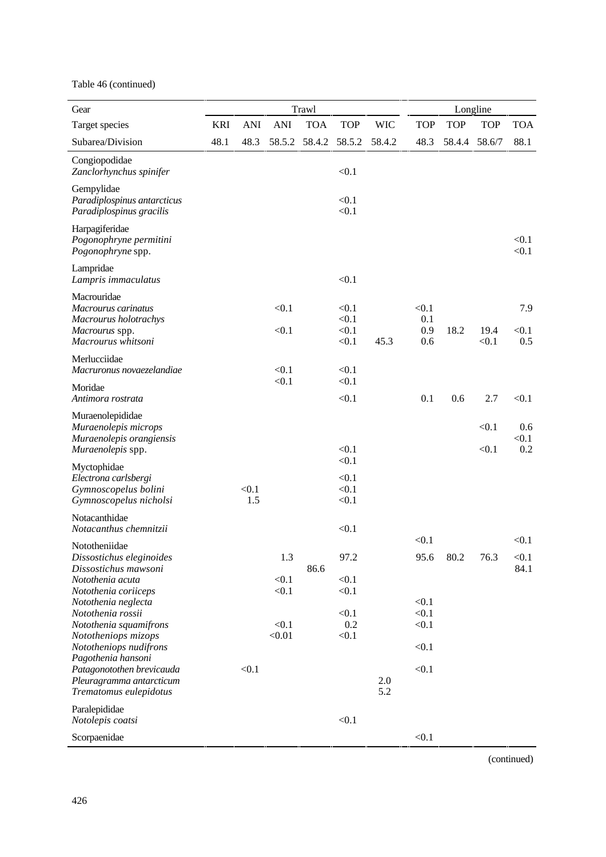Table 46 (continued)

| Gear                                                                                                |            |              |                 | Trawl      |                                  |            |                            |            | Longline       |                     |
|-----------------------------------------------------------------------------------------------------|------------|--------------|-----------------|------------|----------------------------------|------------|----------------------------|------------|----------------|---------------------|
| Target species                                                                                      | <b>KRI</b> | <b>ANI</b>   | <b>ANI</b>      | <b>TOA</b> | <b>TOP</b>                       | <b>WIC</b> | <b>TOP</b>                 | <b>TOP</b> | <b>TOP</b>     | <b>TOA</b>          |
| Subarea/Division                                                                                    | 48.1       | 48.3         | 58.5.2          | 58.4.2     | 58.5.2                           | 58.4.2     | 48.3                       | 58.4.4     | 58.6/7         | 88.1                |
| Congiopodidae<br>Zanclorhynchus spinifer                                                            |            |              |                 |            | < 0.1                            |            |                            |            |                |                     |
| Gempylidae<br>Paradiplospinus antarcticus<br>Paradiplospinus gracilis                               |            |              |                 |            | < 0.1<br>< 0.1                   |            |                            |            |                |                     |
| Harpagiferidae<br>Pogonophryne permitini<br>Pogonophryne spp.                                       |            |              |                 |            |                                  |            |                            |            |                | < 0.1<br>< 0.1      |
| Lampridae<br>Lampris immaculatus                                                                    |            |              |                 |            | < 0.1                            |            |                            |            |                |                     |
| Macrouridae<br>Macrourus carinatus<br>Macrourus holotrachys<br>Macrourus spp.<br>Macrourus whitsoni |            |              | < 0.1<br>< 0.1  |            | < 0.1<br>< 0.1<br>< 0.1<br>< 0.1 | 45.3       | < 0.1<br>0.1<br>0.9<br>0.6 | 18.2       | 19.4<br>< 0.1  | 7.9<br>< 0.1<br>0.5 |
| Merlucciidae<br>Macruronus novaezelandiae                                                           |            |              | < 0.1           |            | < 0.1                            |            |                            |            |                |                     |
| Moridae<br>Antimora rostrata                                                                        |            |              | < 0.1           |            | < 0.1<br>< 0.1                   |            | 0.1                        | 0.6        | 2.7            | < 0.1               |
| Muraenolepididae<br>Muraenolepis microps<br>Muraenolepis orangiensis<br>Muraenolepis spp.           |            |              |                 |            | < 0.1                            |            |                            |            | < 0.1<br>< 0.1 | 0.6<br>< 0.1<br>0.2 |
| Myctophidae<br>Electrona carlsbergi<br>Gymnoscopelus bolini<br>Gymnoscopelus nicholsi               |            | < 0.1<br>1.5 |                 |            | < 0.1<br>< 0.1<br>< 0.1<br>< 0.1 |            |                            |            |                |                     |
| Notacanthidae<br>Notacanthus chemnitzii                                                             |            |              |                 |            | < 0.1                            |            |                            |            |                |                     |
| Nototheniidae<br>Dissostichus eleginoides                                                           |            |              | 1.3             |            | 97.2                             |            | < 0.1<br>95.6              | 80.2       | 76.3           | < 0.1<br>< 0.1      |
| Dissostichus mawsoni<br>Notothenia acuta<br>Notothenia coriiceps                                    |            |              | < 0.1<br>< 0.1  | 86.6       | < 0.1<br>< 0.1                   |            |                            |            |                | 84.1                |
| Notothenia neglecta<br>Notothenia rossii<br>Notothenia squamifrons<br>Nototheniops mizops           |            |              | < 0.1<br>< 0.01 |            | < 0.1<br>0.2<br>< 0.1            |            | < 0.1<br>< 0.1<br>< 0.1    |            |                |                     |
| Nototheniops nudifrons<br>Pagothenia hansoni                                                        |            |              |                 |            |                                  |            | < 0.1                      |            |                |                     |
| Patagonotothen brevicauda<br>Pleuragramma antarcticum<br>Trematomus eulepidotus                     |            | < 0.1        |                 |            |                                  | 2.0<br>5.2 | < 0.1                      |            |                |                     |
| Paralepididae<br>Notolepis coatsi                                                                   |            |              |                 |            | < 0.1                            |            |                            |            |                |                     |
| Scorpaenidae                                                                                        |            |              |                 |            |                                  |            | < 0.1                      |            |                |                     |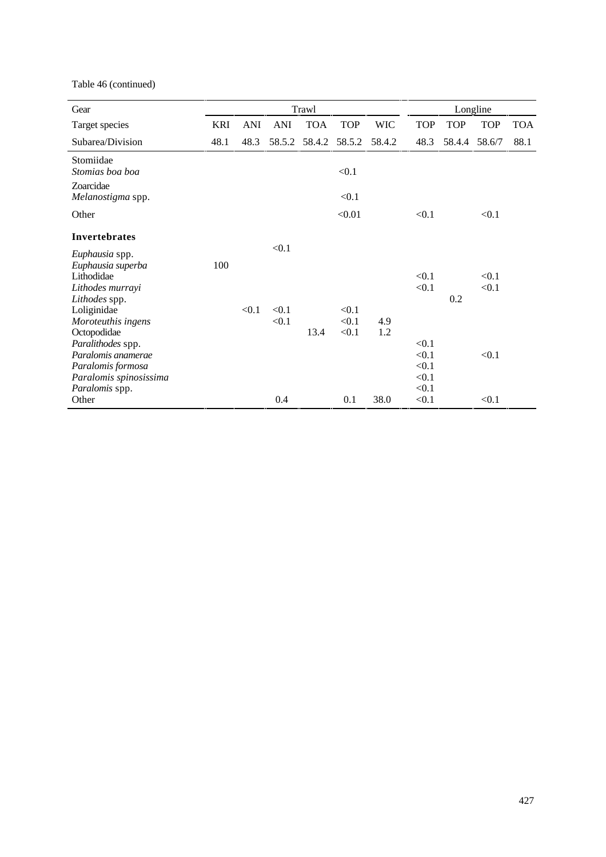Table 46 (continued)

| Gear                                                                                                                                                                                                       | Trawl      |       |                         |            |                         |            |                                           |            | Longline                |            |
|------------------------------------------------------------------------------------------------------------------------------------------------------------------------------------------------------------|------------|-------|-------------------------|------------|-------------------------|------------|-------------------------------------------|------------|-------------------------|------------|
| Target species                                                                                                                                                                                             | <b>KRI</b> | ANI   | <b>ANI</b>              | <b>TOA</b> | <b>TOP</b>              | <b>WIC</b> | <b>TOP</b>                                | <b>TOP</b> | <b>TOP</b>              | <b>TOA</b> |
| Subarea/Division                                                                                                                                                                                           | 48.1       | 48.3  | 58.5.2                  | 58.4.2     | 58.5.2                  | 58.4.2     | 48.3                                      | 58.4.4     | 58.6/7                  | 88.1       |
| Stomiidae<br>Stomias boa boa                                                                                                                                                                               |            |       |                         |            | < 0.1                   |            |                                           |            |                         |            |
| Zoarcidae<br>Melanostigma spp.                                                                                                                                                                             |            |       |                         |            | < 0.1                   |            |                                           |            |                         |            |
| Other                                                                                                                                                                                                      |            |       |                         |            | < 0.01                  |            | < 0.1                                     |            | < 0.1                   |            |
| Invertebrates                                                                                                                                                                                              |            |       |                         |            |                         |            |                                           |            |                         |            |
| Euphausia spp.<br>Euphausia superba<br>Lithodidae<br>Lithodes murrayi<br>Lithodes spp.<br>Loliginidae<br>Moroteuthis ingens<br>Octopodidae<br>Paralithodes spp.<br>Paralomis anamerae<br>Paralomis formosa | 100        | < 0.1 | < 0.1<br>< 0.1<br>< 0.1 | 13.4       | < 0.1<br>< 0.1<br>< 0.1 | 4.9<br>1.2 | < 0.1<br>< 0.1<br>< 0.1<br>< 0.1<br>< 0.1 | 0.2        | < 0.1<br>< 0.1<br>< 0.1 |            |
| Paralomis spinosissima<br>Paralomis spp.<br>Other                                                                                                                                                          |            |       | 0.4                     |            | 0.1                     | 38.0       | < 0.1<br>< 0.1<br>< 0.1                   |            | < 0.1                   |            |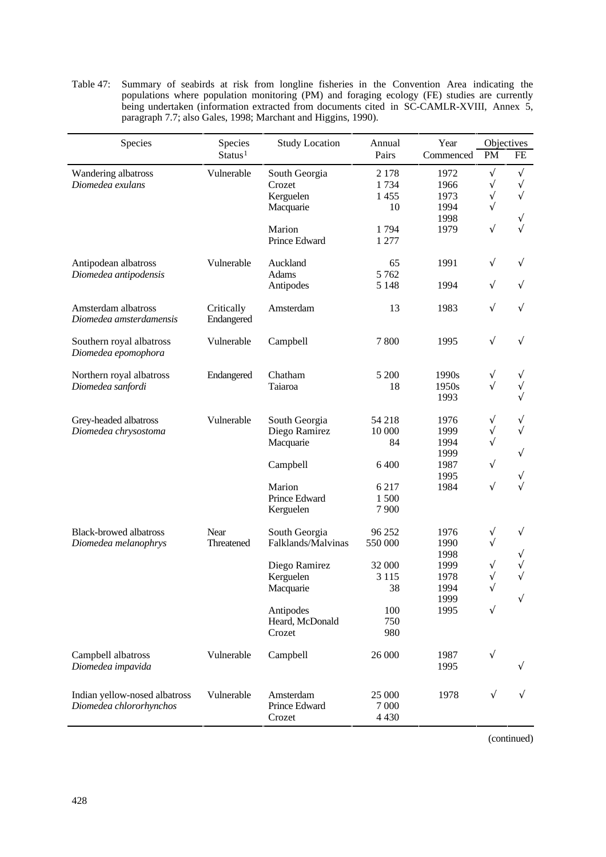Table 47: Summary of seabirds at risk from longline fisheries in the Convention Area indicating the populations where population monitoring (PM) and foraging ecology (FE) studies are currently being undertaken (information extracted from documents cited in SC-CAMLR-XVIII, Annex 5, paragraph 7.7; also Gales, 1998; Marchant and Higgins, 1990).

| Species<br>Species<br><b>Study Location</b>              |                     |                            | Annual          | Year         | Objectives             |           |
|----------------------------------------------------------|---------------------|----------------------------|-----------------|--------------|------------------------|-----------|
|                                                          | Status <sup>1</sup> |                            | Pairs           | Commenced    | PM                     | FE        |
| Wandering albatross                                      | Vulnerable          | South Georgia              | 2 1 7 8         | 1972         | V                      | V         |
| Diomedea exulans                                         |                     | Crozet<br>Kerguelen        | 1734<br>1455    | 1966<br>1973 | $\sqrt{}$<br>$\sqrt{}$ | V         |
|                                                          |                     | Macquarie                  | 10              | 1994         | $\sqrt{}$              |           |
|                                                          |                     |                            |                 | 1998         |                        |           |
|                                                          |                     | Marion                     | 1794            | 1979         | $\sqrt{}$              |           |
|                                                          |                     | Prince Edward              | 1 277           |              |                        |           |
| Antipodean albatross                                     | Vulnerable          | Auckland                   | 65              | 1991         | V                      | V         |
| Diomedea antipodensis                                    |                     | Adams                      | 5762            |              |                        |           |
|                                                          |                     | Antipodes                  | 5 1 4 8         | 1994         | V                      | V         |
| Amsterdam albatross                                      | Critically          | Amsterdam                  | 13              | 1983         | $\sqrt{}$              | V         |
| Diomedea amsterdamensis                                  | Endangered          |                            |                 |              |                        |           |
| Southern royal albatross                                 | Vulnerable          | Campbell                   | 7800            | 1995         | $\sqrt{}$              | V         |
| Diomedea epomophora                                      |                     |                            |                 |              |                        |           |
| Northern royal albatross                                 | Endangered          | Chatham                    | 5 200           | 1990s        | V                      |           |
| Diomedea sanfordi                                        |                     | Taiaroa                    | 18              | 1950s        | $\sqrt{ }$             |           |
|                                                          |                     |                            |                 | 1993         |                        |           |
| Grey-headed albatross                                    | Vulnerable          | South Georgia              | 54 218          | 1976         | V                      |           |
| Diomedea chrysostoma                                     |                     | Diego Ramirez              | 10 000          | 1999         | V                      |           |
|                                                          |                     | Macquarie                  | 84              | 1994         |                        |           |
|                                                          |                     |                            |                 | 1999         |                        | V         |
|                                                          |                     | Campbell                   | 6 400           | 1987<br>1995 | V                      |           |
|                                                          |                     | Marion                     | 6 2 1 7         | 1984         | $\sqrt{}$              |           |
|                                                          |                     | Prince Edward              | 1500            |              |                        |           |
|                                                          |                     | Kerguelen                  | 7900            |              |                        |           |
| <b>Black-browed albatross</b>                            | Near                | South Georgia              | 96 25 2         | 1976         | V                      | V         |
| Diomedea melanophrys                                     | Threatened          | Falklands/Malvinas         | 550 000         | 1990         | $\sqrt{}$              |           |
|                                                          |                     |                            |                 | 1998         |                        |           |
|                                                          |                     | Diego Ramirez              | 32 000          | 1999         | V                      |           |
|                                                          |                     | Kerguelen                  | 3 1 1 5         | 1978         | $\sqrt{}$              |           |
|                                                          |                     | Macquarie                  | 38              | 1994<br>1999 | V                      | $\sqrt{}$ |
|                                                          |                     | Antipodes                  | 100             | 1995         | V                      |           |
|                                                          |                     | Heard, McDonald            | 750             |              |                        |           |
|                                                          |                     | Crozet                     | 980             |              |                        |           |
| Campbell albatross                                       | Vulnerable          | Campbell                   | 26 000          | 1987         | $\sqrt{}$              |           |
| Diomedea impavida                                        |                     |                            |                 | 1995         |                        |           |
|                                                          |                     |                            |                 |              |                        |           |
| Indian yellow-nosed albatross<br>Diomedea chlororhynchos | Vulnerable          | Amsterdam<br>Prince Edward | 25 000<br>7 000 | 1978         | $\sqrt{}$              |           |
|                                                          |                     | Crozet                     | 4 4 3 0         |              |                        |           |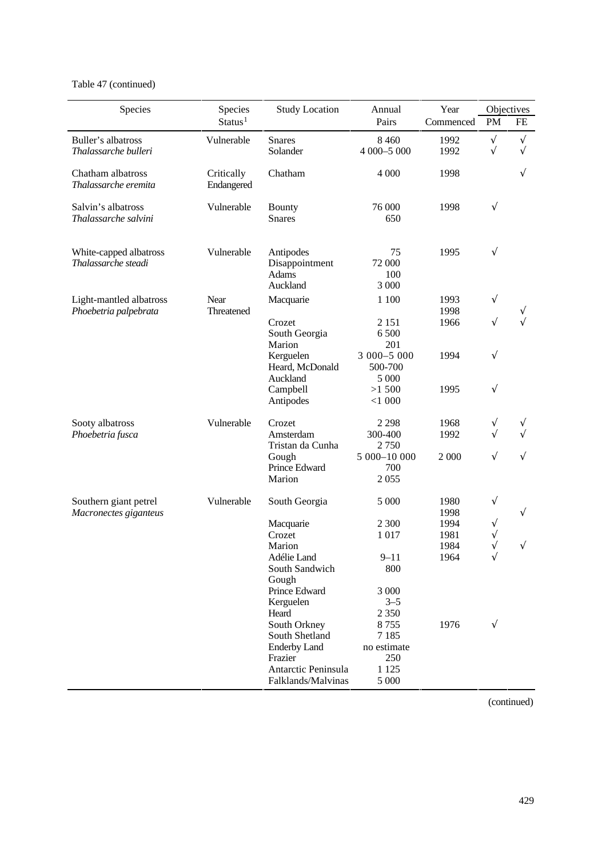## Table 47 (continued)

| Species                                        | Species                  | <b>Study Location</b>                            | Annual                          | Year         | Objectives |           |
|------------------------------------------------|--------------------------|--------------------------------------------------|---------------------------------|--------------|------------|-----------|
|                                                | Status <sup>1</sup>      |                                                  | Pairs                           | Commenced    | PM         | FE        |
| Buller's albatross                             | Vulnerable               | <b>Snares</b>                                    | 8 4 6 0                         | 1992         | $\sqrt{}$  | $\sqrt{}$ |
| Thalassarche bulleri                           |                          | Solander                                         | 4 000-5 000                     | 1992         | $\sqrt{}$  | $\sqrt{}$ |
| Chatham albatross<br>Thalassarche eremita      | Critically<br>Endangered | Chatham                                          | 4 0 0 0                         | 1998         |            |           |
| Salvin's albatross<br>Thalassarche salvini     | Vulnerable               | <b>Bounty</b><br><b>Snares</b>                   | 76 000<br>650                   | 1998         | $\sqrt{}$  |           |
| White-capped albatross<br>Thalassarche steadi  | Vulnerable               | Antipodes<br>Disappointment<br>Adams<br>Auckland | 75<br>72 000<br>100<br>3 000    | 1995         | $\sqrt{}$  |           |
| Light-mantled albatross                        | Near                     | Macquarie                                        | 1 100                           | 1993         | V          |           |
| Phoebetria palpebrata                          | Threatened               | Crozet<br>South Georgia<br>Marion                | 2 1 5 1<br>6 500<br>201         | 1998<br>1966 | $\sqrt{}$  |           |
|                                                |                          | Kerguelen<br>Heard, McDonald<br>Auckland         | 3 000-5 000<br>500-700<br>5 000 | 1994         | $\sqrt{}$  |           |
|                                                |                          | Campbell<br>Antipodes                            | >1500<br>$<$ 1 000              | 1995         | $\sqrt{}$  |           |
| Sooty albatross                                | Vulnerable               | Crozet                                           | 2 2 9 8                         | 1968         | V          |           |
| Phoebetria fusca                               |                          | Amsterdam<br>Tristan da Cunha                    | 300-400<br>2750                 | 1992         | V          |           |
|                                                |                          | Gough<br>Prince Edward                           | 5 000-10 000<br>700             | 2 0 0 0      | V          | V         |
|                                                |                          | Marion                                           | 2055                            |              |            |           |
| Southern giant petrel<br>Macronectes giganteus | Vulnerable               | South Georgia                                    | 5 000                           | 1980<br>1998 | V          | $\sqrt{}$ |
|                                                |                          | Macquarie                                        | 2 3 0 0                         | 1994         |            |           |
|                                                |                          | Crozet<br>Marion                                 | 1 0 1 7                         | 1981<br>1984 |            | V         |
|                                                |                          | Adélie Land                                      | $9 - 11$                        | 1964         | V          |           |
|                                                |                          | South Sandwich<br>Gough                          | 800                             |              |            |           |
|                                                |                          | Prince Edward<br>Kerguelen                       | 3 000<br>$3 - 5$                |              |            |           |
|                                                |                          | Heard                                            | 2 3 5 0                         |              |            |           |
|                                                |                          | South Orkney                                     | 8755                            | 1976         | $\sqrt{}$  |           |
|                                                |                          | South Shetland                                   | 7 1 8 5                         |              |            |           |
|                                                |                          | <b>Enderby Land</b><br>Frazier                   | no estimate<br>250              |              |            |           |
|                                                |                          | Antarctic Peninsula                              | 1 1 2 5                         |              |            |           |
|                                                |                          | Falklands/Malvinas                               | 5 000                           |              |            |           |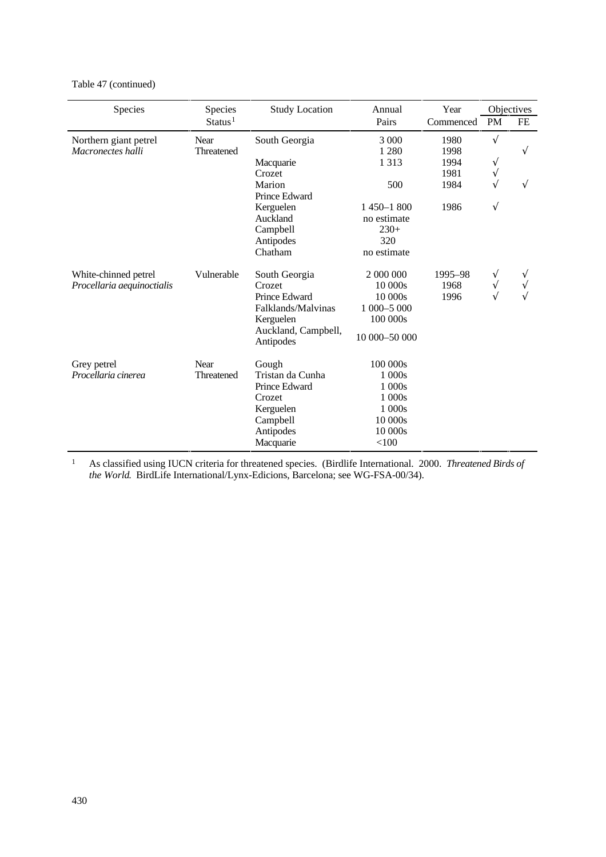Table 47 (continued)

| Species                    | Species             | <b>Study Location</b>            | Annual        | Year      |            | Objectives |
|----------------------------|---------------------|----------------------------------|---------------|-----------|------------|------------|
|                            | Status <sup>1</sup> |                                  | Pairs         | Commenced | <b>PM</b>  | FE         |
| Northern giant petrel      | Near                | South Georgia                    | 3 0 0 0       | 1980      | $\sqrt{ }$ |            |
| Macronectes halli          | Threatened          |                                  | 1 2 8 0       | 1998      |            | V          |
|                            |                     | Macquarie                        | 1 3 1 3       | 1994      | V          |            |
|                            |                     | Crozet                           |               | 1981      | N          |            |
|                            |                     | Marion                           | 500           | 1984      | J          | V          |
|                            |                     | Prince Edward                    |               |           |            |            |
|                            |                     | Kerguelen                        | $1450 - 1800$ | 1986      | V          |            |
|                            |                     | Auckland                         | no estimate   |           |            |            |
|                            |                     | Campbell                         | $230+$        |           |            |            |
|                            |                     | Antipodes                        | 320           |           |            |            |
|                            |                     | Chatham                          | no estimate   |           |            |            |
| White-chinned petrel       | Vulnerable          | South Georgia                    | 2 000 000     | 1995-98   |            |            |
| Procellaria aequinoctialis |                     | Crozet                           | 10 000s       | 1968      | N          |            |
|                            |                     | Prince Edward                    | 10 000s       | 1996      |            |            |
|                            |                     | Falklands/Malvinas               | 1 000-5 000   |           |            |            |
|                            |                     | Kerguelen                        | 100 000s      |           |            |            |
|                            |                     | Auckland, Campbell,<br>Antipodes | 10 000-50 000 |           |            |            |
| Grey petrel                | Near                | Gough                            | 100 000s      |           |            |            |
| Procellaria cinerea        | Threatened          | Tristan da Cunha                 | 1 000s        |           |            |            |
|                            |                     | Prince Edward                    | 1 000s        |           |            |            |
|                            |                     | Crozet                           | 1 000s        |           |            |            |
|                            |                     | Kerguelen                        | 1 000s        |           |            |            |
|                            |                     | Campbell                         | 10 000s       |           |            |            |
|                            |                     | Antipodes                        | 10 000s       |           |            |            |
|                            |                     | Macquarie                        | < 100         |           |            |            |

<sup>1</sup> As classified using IUCN criteria for threatened species. (Birdlife International. 2000. *Threatened Birds of the World*. BirdLife International/Lynx-Edicions, Barcelona; see WG-FSA-00/34).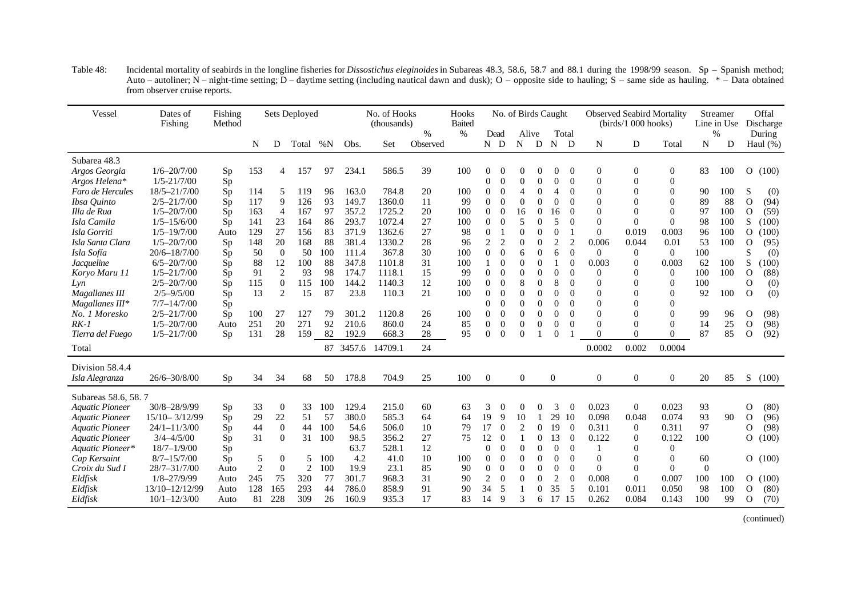| Vessel                 | Dates of<br>Fishing | Fishing<br>Method |                |                  | Sets Deployed |     |       | No. of Hooks<br>(thousands) |                           | Hooks<br><b>Baited</b> |                |                | No. of Birds Caught |                  |                  |                |                | <b>Observed Seabird Mortality</b><br>$(birds/1000$ hooks) |                  |          | Streamer<br>Line in Use |                | Offal<br>Discharge    |
|------------------------|---------------------|-------------------|----------------|------------------|---------------|-----|-------|-----------------------------|---------------------------|------------------------|----------------|----------------|---------------------|------------------|------------------|----------------|----------------|-----------------------------------------------------------|------------------|----------|-------------------------|----------------|-----------------------|
|                        |                     |                   | N              | D                | Total         | %N  | Obs.  | Set                         | $\frac{0}{0}$<br>Observed | $\frac{0}{0}$          |                | Dead<br>N D    | N                   | Alive<br>D       | N                | Total<br>D     | N              | D                                                         | Total            | N        | $\frac{0}{0}$<br>D      |                | During<br>Haul $(\%)$ |
| Subarea 48.3           |                     |                   |                |                  |               |     |       |                             |                           |                        |                |                |                     |                  |                  |                |                |                                                           |                  |          |                         |                |                       |
| Argos Georgia          | $1/6 - 20/7/00$     | Sp                | 153            | 4                | 157           | 97  | 234.1 | 586.5                       | 39                        | 100                    | 0              | $\theta$       | $\overline{0}$      |                  | $\overline{0}$   | $\theta$       | $\mathbf{0}$   | $\overline{0}$                                            | $\boldsymbol{0}$ | 83       | 100                     | $\mathbf{O}$   | (100)                 |
| Argos Helena*          | $1/5 - 21/7/00$     | Sp                |                |                  |               |     |       |                             |                           |                        | 0              | $\theta$       | $\mathbf{0}$        | $\theta$         | $\theta$         | $\Omega$       | $\overline{0}$ |                                                           | $\Omega$         |          |                         |                |                       |
| Faro de Hercules       | 18/5-21/7/00        | Sp                | 114            | 5                | 119           | 96  | 163.0 | 784.8                       | 20                        | 100                    | $\theta$       | $\theta$       | 4                   | $\Omega$         | $\overline{4}$   | $\overline{0}$ | $\overline{0}$ |                                                           | $\theta$         | 90       | 100                     | S              | (0)                   |
| Ibsa Quinto            | $2/5 - 21/7/00$     | Sp                | 117            | 9                | 126           | 93  | 149.7 | 1360.0                      | 11                        | 99                     | $\theta$       | $\Omega$       | $\Omega$            | $\Omega$         | $\theta$         | $\Omega$       | $\Omega$       |                                                           | $\Omega$         | 89       | 88                      | $\Omega$       | (94)                  |
| Illa de Rua            | $1/5 - 20/7/00$     | Sp                | 163            | $\overline{4}$   | 167           | 97  | 357.2 | 1725.2                      | 20                        | 100                    | 0              | $\overline{0}$ | 16                  | $\overline{0}$   | 16               | $\theta$       | 0              |                                                           | $\Omega$         | 97       | 100                     | $\Omega$       | (59)                  |
| Isla Camila            | $1/5 - 15/6/00$     | Sp                | 141            | 23               | 164           | 86  | 293.7 | 1072.4                      | 27                        | 100                    | 0              | $\theta$       | 5                   | $\Omega$         | 5                | $\overline{0}$ | $\theta$       | $\Omega$                                                  | $\Omega$         | 98       | 100                     | S              | (100)                 |
| Isla Gorriti           | $1/5 - 19/7/00$     | Auto              | 129            | 27               | 156           | 83  | 371.9 | 1362.6                      | 27                        | 98                     | 0              |                | $\theta$            | $\Omega$         | $\theta$         |                | $\Omega$       | 0.019                                                     | 0.003            | 96       | 100                     | $\Omega$       | (100)                 |
| Isla Santa Clara       | $1/5 - 20/7/00$     | Sp                | 148            | 20               | 168           | 88  | 381.4 | 1330.2                      | 28                        | 96                     | $\overline{c}$ | 2              | $\overline{0}$      | $\Omega$         | $\overline{2}$   | $\overline{2}$ | 0.006          | 0.044                                                     | 0.01             | 53       | 100                     | $\Omega$       | (95)                  |
| Isla Sofía             | $20/6 - 18/7/00$    | Sp                | 50             | $\overline{0}$   | 50            | 100 | 111.4 | 367.8                       | 30                        | 100                    | 0              | $\Omega$       | 6                   | $\Omega$         | 6                | $\Omega$       | $\theta$       | $\overline{0}$                                            | $\overline{0}$   | 100      |                         | S              | (0)                   |
| <i>Jacqueline</i>      | $6/5 - 20/7/00$     | Sp                | 88             | 12               | 100           | 88  | 347.8 | 1101.8                      | 31                        | 100                    |                | $\Omega$       | $\overline{0}$      | $\overline{0}$   |                  | $\theta$       | 0.003          | $\Omega$                                                  | 0.003            | 62       | 100                     | S              | (100)                 |
| Koryo Maru 11          | $1/5 - 21/7/00$     | Sp                | 91             | $\mathfrak{2}$   | 93            | 98  | 174.7 | 1118.1                      | 15                        | 99                     | 0              | $\theta$       | $\overline{0}$      | $\overline{0}$   | $\boldsymbol{0}$ | $\theta$       | $\overline{0}$ |                                                           | $\theta$         | 100      | 100                     | $\mathbf{O}$   | (88)                  |
| Lyn                    | $2/5 - 20/7/00$     | Sp                | 115            | $\boldsymbol{0}$ | 115           | 100 | 144.2 | 1140.3                      | 12                        | 100                    | 0              | $\theta$       | 8                   | $\boldsymbol{0}$ | 8                | $\theta$       | $\overline{0}$ |                                                           | $\theta$         | 100      |                         | $\Omega$       | (0)                   |
| Magallanes III         | $2/5 - 9/5/00$      | Sp                | 13             | 2                | 15            | 87  | 23.8  | 110.3                       | 21                        | 100                    | $\Omega$       | $\Omega$       | $\theta$            | $\Omega$         | $\Omega$         | $\theta$       | $\Omega$       |                                                           | $\Omega$         | 92       | 100                     | $\Omega$       | (0)                   |
| Magallanes III*        | $7/7 - 14/7/00$     | Sp                |                |                  |               |     |       |                             |                           |                        | 0              | $\theta$       | $\theta$            | $\Omega$         | $\theta$         | $\theta$       | $\overline{0}$ |                                                           | $\Omega$         |          |                         |                |                       |
| No. 1 Moresko          | $2/5 - 21/7/00$     | Sp                | 100            | 27               | 127           | 79  | 301.2 | 1120.8                      | 26                        | 100                    | $\overline{0}$ | $\theta$       | $\overline{0}$      | $\theta$         | $\theta$         | $\theta$       | $\theta$       |                                                           | $\Omega$         | 99       | 96                      | $\mathbf{O}$   | (98)                  |
| $RK-1$                 | $1/5 - 20/7/00$     | Auto              | 251            | 20               | 271           | 92  | 210.6 | 860.0                       | 24                        | 85                     | $\overline{0}$ | $\mathbf{0}$   | $\overline{0}$      | $\overline{0}$   | $\theta$         | $\theta$       | $\Omega$       |                                                           | $\Omega$         | 14       | 25                      | $\Omega$       | (98)                  |
| Tierra del Fuego       | $1/5 - 21/7/00$     | Sp                | 131            | 28               | 159           | 82  | 192.9 | 668.3                       | $28\,$                    | 95                     | $\Omega$       | $\Omega$       | $\theta$            |                  | $\Omega$         |                | $\theta$       | $\Omega$                                                  | $\Omega$         | 87       | 85                      | $\Omega$       | (92)                  |
| Total                  |                     |                   |                |                  |               |     |       | 87 3457.6 14709.1           | 24                        |                        |                |                |                     |                  |                  |                | 0.0002         | 0.002                                                     | 0.0004           |          |                         |                |                       |
| Division 58.4.4        |                     |                   |                |                  |               |     |       |                             |                           |                        |                |                |                     |                  |                  |                |                |                                                           |                  |          |                         |                |                       |
| Isla Alegranza         | 26/6-30/8/00        | Sp                | 34             | 34               | 68            | 50  | 178.8 | 704.9                       | 25                        | 100                    | $\overline{0}$ |                | $\mathbf{0}$        |                  | $\overline{0}$   |                | $\overline{0}$ | $\overline{0}$                                            | $\overline{0}$   | 20       | 85                      | S              | (100)                 |
| Subareas 58.6, 58.7    |                     |                   |                |                  |               |     |       |                             |                           |                        |                |                |                     |                  |                  |                |                |                                                           |                  |          |                         |                |                       |
| <b>Aquatic Pioneer</b> | 30/8-28/9/99        | Sp                | 33             | $\mathbf{0}$     | 33            | 100 | 129.4 | 215.0                       | 60                        | 63                     | 3              | 0              | 0                   | $\theta$         | 3                | $\theta$       | 0.023          | $\overline{0}$                                            | 0.023            | 93       |                         | 0              | (80)                  |
| <b>Aquatic Pioneer</b> | $15/10 - 3/12/99$   | Sp                | 29             | $22\,$           | 51            | 57  | 380.0 | 585.3                       | 64                        | 64                     | 19             | 9              | 10                  |                  | 29               | 10             | 0.098          | 0.048                                                     | 0.074            | 93       | 90                      | $\mathbf{O}$   | (96)                  |
| <b>Aquatic Pioneer</b> | $24/1 - 11/3/00$    | <b>Sp</b>         | 44             | $\overline{0}$   | 44            | 100 | 54.6  | 506.0                       | 10                        | 79                     | 17             | $\theta$       | $\overline{2}$      | $\Omega$         | 19               | $\Omega$       | 0.311          | $\theta$                                                  | 0.311            | 97       |                         | $\Omega$       | (98)                  |
| <b>Aquatic Pioneer</b> | $3/4 - 4/5/00$      | Sp                | 31             | $\theta$         | 31            | 100 | 98.5  | 356.2                       | 27                        | 75                     | 12             | $\theta$       | $\overline{1}$      | 0                | 13               | $\overline{0}$ | 0.122          | $\Omega$                                                  | 0.122            | 100      |                         | $\overline{O}$ | (100)                 |
| Aquatic Pioneer*       | $18/7 - 1/9/00$     | Sp                |                |                  |               |     | 63.7  | 528.1                       | 12                        |                        | 0              | $\theta$       | $\overline{0}$      | $\Omega$         | $\theta$         | $\theta$       |                |                                                           | $\Omega$         |          |                         |                |                       |
| Cap Kersaint           | $8/7 - 15/7/00$     | Sp                | 5              | $\theta$         | 5             | 100 | 4.2   | 41.0                        | 10                        | 100                    | $\theta$       | $\theta$       | $\overline{0}$      | $\theta$         | $\theta$         | $\theta$       | $\overline{0}$ |                                                           | $\Omega$         | 60       |                         |                | O(100)                |
| Croix du Sud I         | 28/7-31/7/00        | Auto              | $\overline{2}$ | $\mathbf{0}$     | 2             | 100 | 19.9  | 23.1                        | 85                        | 90                     | $\overline{0}$ | $\theta$       | $\theta$            | $\Omega$         | $\theta$         | $\Omega$       | $\Omega$       | $\Omega$                                                  | $\Omega$         | $\theta$ |                         |                |                       |
| Eldfisk                | $1/8 - 27/9/99$     | Auto              | 245            | 75               | 320           | 77  | 301.7 | 968.3                       | 31                        | 90                     | 2              | $\Omega$       | $\theta$            | $\Omega$         | $\overline{2}$   | $\Omega$       | 0.008          | $\Omega$                                                  | 0.007            | 100      | 100                     | $\Omega$       | (100)                 |
| Eldfisk                | 13/10-12/12/99      | Auto              | 128            | 165              | 293           | 44  | 786.0 | 858.9                       | 91                        | 90                     | 34             | 5              |                     | $\overline{0}$   | 35               | 5              | 0.101          | 0.011                                                     | 0.050            | 98       | 100                     | $\Omega$       | (80)                  |
| Eldfisk                | $10/1 - 12/3/00$    | Auto              | 81             | 228              | 309           | 26  | 160.9 | 935.3                       | 17                        | 83                     | 14             | 9              | 3                   | 6                | 17 15            |                | 0.262          | 0.084                                                     | 0.143            | 100      | 99                      | $\Omega$       | (70)                  |

Table 48: Incidental mortality of seabirds in the longline fisheries for *Dissostichus eleginoides* in Subareas 48.3, 58.6, 58.7 and 88.1 during the 1998/99 season. Sp – Spanish method; Auto – autoliner; N – night-time setting; D – daytime setting (including nautical dawn and dusk); O – opposite side to hauling; S – same side as hauling. \* – Data obtained from observer cruise reports.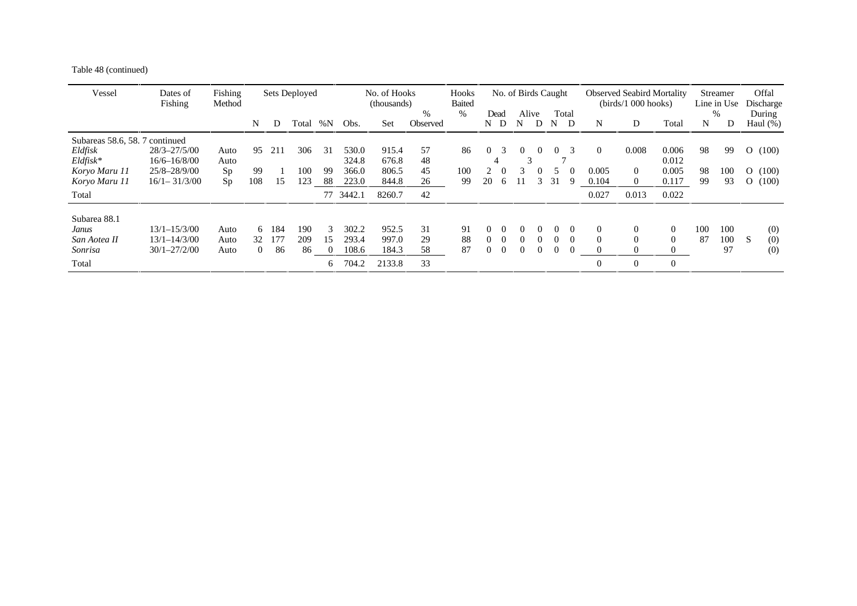Table 48 (continued)

| Vessel                                                                                   | Dates of<br>Fishing                                                          | Fishing<br>Method        |                            |                  | Sets Deployed     |                          |                                  | No. of Hooks<br>(thousands)       |                      | Hooks<br><b>Baited</b> |                |                      | No. of Birds Caught |                                  |                    |                    |                            | <b>Observed Seabird Mortality</b><br>(birds/1 000 hooks) |                                                        |                | Streamer<br>Line in Use |                                            | Offal<br>Discharge      |
|------------------------------------------------------------------------------------------|------------------------------------------------------------------------------|--------------------------|----------------------------|------------------|-------------------|--------------------------|----------------------------------|-----------------------------------|----------------------|------------------------|----------------|----------------------|---------------------|----------------------------------|--------------------|--------------------|----------------------------|----------------------------------------------------------|--------------------------------------------------------|----------------|-------------------------|--------------------------------------------|-------------------------|
|                                                                                          |                                                                              |                          | N                          | D                | Total             | % $\rm N$                | Obs.                             | Set                               | $\%$<br>Observed     | $\%$                   | Dead<br>N D    |                      | Alive<br>N          | D                                | N                  | Total<br>D         | N                          | D                                                        | Total                                                  | N              | %<br>D                  |                                            | During<br>Haul $(\%)$   |
| Subareas 58.6, 58.7 continued<br>Eldfisk<br>$Eldfisk*$<br>Koryo Maru 11<br>Koryo Maru 11 | $28/3 - 27/5/00$<br>$16/6 - 16/8/00$<br>$25/8 - 28/9/00$<br>$16/1 - 31/3/00$ | Auto<br>Auto<br>Sp<br>Sp | 95<br>99<br>108            | 211<br>15        | 306<br>100<br>123 | 31<br>99<br>88           | 530.0<br>324.8<br>366.0<br>223.0 | 915.4<br>676.8<br>806.5<br>844.8  | 57<br>48<br>45<br>26 | 86<br>100<br>99        | $\Omega$<br>20 | 3<br>6               | $\mathcal{R}$       | $\theta$<br>$\theta$<br>3        | 0<br>31            | $\mathcal{R}$<br>Q | $\theta$<br>0.005<br>0.104 | 0.008<br>$\Omega$<br>$\Omega$                            | 0.006<br>0.012<br>0.005<br>0.117                       | 98<br>98<br>99 | 99<br>100<br>93         | $\overline{O}$<br>$\Omega$<br>$\mathbf{O}$ | (100)<br>(100)<br>(100) |
| Total                                                                                    |                                                                              |                          |                            |                  |                   | 77                       | 3442.1                           | 8260.7                            | 42                   |                        |                |                      |                     |                                  |                    |                    | 0.027                      | 0.013                                                    | 0.022                                                  |                |                         |                                            |                         |
| Subarea 88.1<br>Janus<br>San Aotea II<br>Sonrisa<br>Total                                | $13/1 - 15/3/00$<br>$13/1 - 14/3/00$<br>$30/1 - 27/2/00$                     | Auto<br>Auto<br>Auto     | 6.<br>32<br>$\overline{0}$ | 184<br>177<br>86 | 190<br>209<br>86  | 3<br>15<br>$\Omega$<br>6 | 302.2<br>293.4<br>108.6<br>704.2 | 952.5<br>997.0<br>184.3<br>2133.8 | 31<br>29<br>58<br>33 | 91<br>88<br>87         | 0<br>0         | $\Omega$<br>$\Omega$ | 0                   | $\theta$<br>$\theta$<br>$\theta$ | $\theta$<br>0<br>0 | $\Omega$           | $\Omega$<br>$\Omega$       | $\theta$<br>$\Omega$<br>$\Omega$                         | $\overline{0}$<br>$\Omega$<br>$\theta$<br>$\mathbf{0}$ | 100<br>87      | 100<br>100<br>97        | S                                          | (0)<br>(0)<br>(0)       |
|                                                                                          |                                                                              |                          |                            |                  |                   |                          |                                  |                                   |                      |                        |                |                      |                     |                                  |                    |                    |                            |                                                          |                                                        |                |                         |                                            |                         |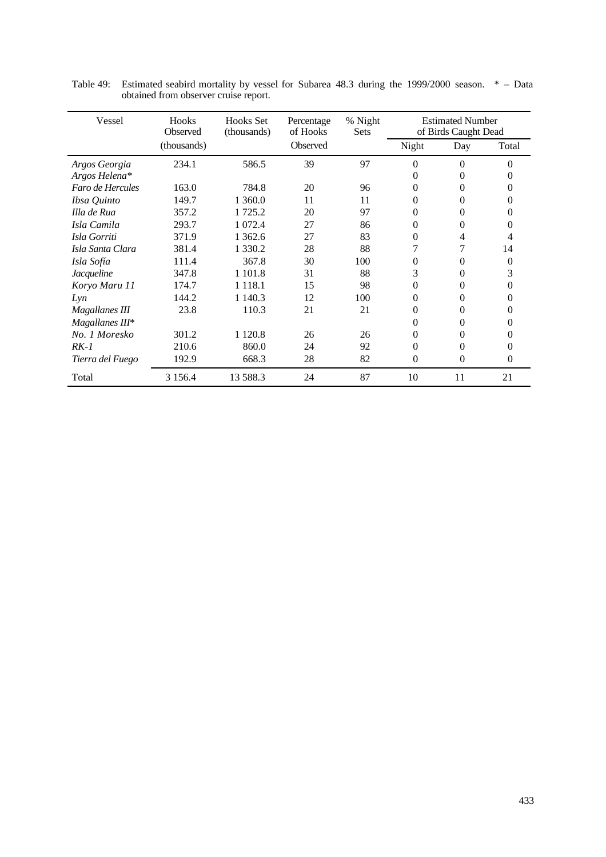| Vessel                | Hooks<br>Observed | <b>Hooks</b> Set<br>(thousands) | Percentage<br>of Hooks | % Night<br><b>Sets</b> |                | <b>Estimated Number</b><br>of Birds Caught Dead |          |
|-----------------------|-------------------|---------------------------------|------------------------|------------------------|----------------|-------------------------------------------------|----------|
|                       | (thousands)       |                                 | Observed               |                        | Night          | Day                                             | Total    |
| Argos Georgia         | 234.1             | 586.5                           | 39                     | 97                     | $\overline{0}$ | $\theta$                                        | $\Omega$ |
| Argos Helena*         |                   |                                 |                        |                        | 0              | 0                                               |          |
| Faro de Hercules      | 163.0             | 784.8                           | 20                     | 96                     | 0              | 0                                               |          |
| Ibsa Quinto           | 149.7             | 1 360.0                         | 11                     | 11                     | $\theta$       | $\Omega$                                        | $_{0}$   |
| Illa de Rua           | 357.2             | 1 725.2                         | 20                     | 97                     | 0              | 0                                               | $\Omega$ |
| Isla Camila           | 293.7             | 1 0 7 2.4                       | 27                     | 86                     | 0              | 0                                               |          |
| Isla Gorriti          | 371.9             | 1 3 6 2.6                       | 27                     | 83                     | 0              | 4                                               |          |
| Isla Santa Clara      | 381.4             | 1 3 3 0 . 2                     | 28                     | 88                     | 7              | 7                                               | 14       |
| Isla Sofía            | 111.4             | 367.8                           | 30                     | 100                    | 0              | 0                                               | $\theta$ |
| Jacqueline            | 347.8             | 1 1 0 1 .8                      | 31                     | 88                     | 3              | 0                                               | 3        |
| Koryo Maru 11         | 174.7             | 1 1 1 8 .1                      | 15                     | 98                     | 0              | 0                                               | $_{0}$   |
| Lyn                   | 144.2             | 1 140.3                         | 12                     | 100                    | 0              | 0                                               |          |
| <b>Magallanes III</b> | 23.8              | 110.3                           | 21                     | 21                     | 0              | 0                                               |          |
| Magallanes III*       |                   |                                 |                        |                        | 0              | 0                                               | $_{0}$   |
| No. 1 Moresko         | 301.2             | 1 1 2 0.8                       | 26                     | 26                     | 0              | 0                                               |          |
| $RK-1$                | 210.6             | 860.0                           | 24                     | 92                     | 0              | 0                                               | $\Omega$ |
| Tierra del Fuego      | 192.9             | 668.3                           | 28                     | 82                     | 0              | $\Omega$                                        | $\Omega$ |
| Total                 | 3 1 5 6.4         | 13 588.3                        | 24                     | 87                     | 10             | 11                                              | 21       |

Table 49: Estimated seabird mortality by vessel for Subarea 48.3 during the 1999/2000 season. \* – Data obtained from observer cruise report.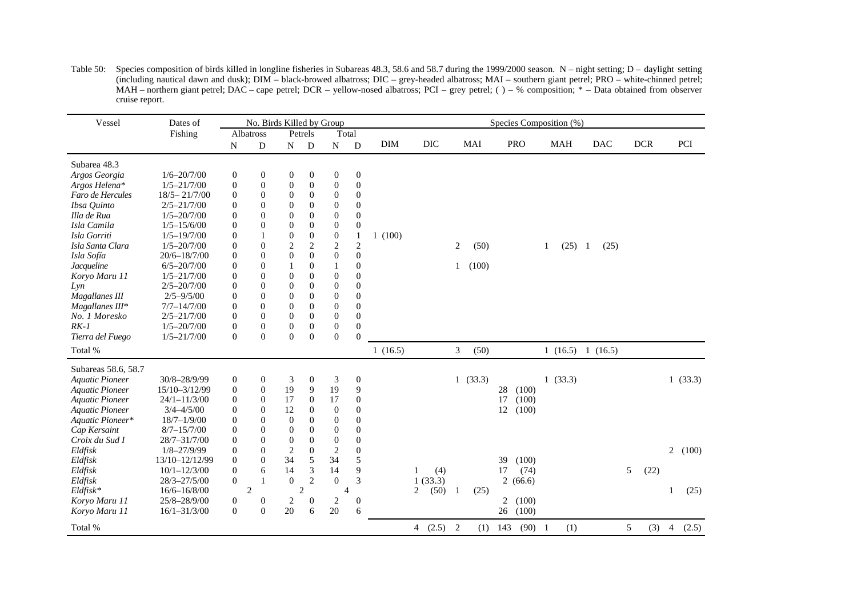| Table 50: Species composition of birds killed in longline fisheries in Subareas 48.3, 58.6 and 58.7 during the 1999/2000 season. N – night setting; D – daylight setting |
|--------------------------------------------------------------------------------------------------------------------------------------------------------------------------|
| (including nautical dawn and dusk); DIM – black-browed albatross; DIC – grey-headed albatross; MAI – southern giant petrel; PRO – white-chinned petrel;                  |
| MAH – northern giant petrel; DAC – cape petrel; DCR – yellow-nosed albatross; PCI – grey petrel; $( ) -$ % composition; $*$ – Data obtained from observer                |
| cruise report.                                                                                                                                                           |

| Vessel                 | Dates of         |                  | No. Birds Killed by Group |                  |                  |                  |                  |            |             |                |         | Species Composition (%) |   |            |                        |   |            |                |         |
|------------------------|------------------|------------------|---------------------------|------------------|------------------|------------------|------------------|------------|-------------|----------------|---------|-------------------------|---|------------|------------------------|---|------------|----------------|---------|
|                        | Fishing          |                  | Albatross                 |                  | Petrels          | Total            |                  |            |             |                |         |                         |   |            |                        |   |            |                |         |
|                        |                  | N                | ${\bf D}$                 | N                | $\mathbf{D}$     | ${\bf N}$        | ${\bf D}$        | <b>DIM</b> | DIC         |                | MAI     | <b>PRO</b>              |   | <b>MAH</b> | <b>DAC</b>             |   | <b>DCR</b> |                | PCI     |
| Subarea 48.3           |                  |                  |                           |                  |                  |                  |                  |            |             |                |         |                         |   |            |                        |   |            |                |         |
| Argos Georgia          | $1/6 - 20/7/00$  | $\boldsymbol{0}$ | $\boldsymbol{0}$          | $\boldsymbol{0}$ | $\boldsymbol{0}$ | $\boldsymbol{0}$ | $\boldsymbol{0}$ |            |             |                |         |                         |   |            |                        |   |            |                |         |
| Argos Helena*          | $1/5 - 21/7/00$  | $\boldsymbol{0}$ | $\mathbf{0}$              | $\boldsymbol{0}$ | $\boldsymbol{0}$ | $\boldsymbol{0}$ | $\boldsymbol{0}$ |            |             |                |         |                         |   |            |                        |   |            |                |         |
| Faro de Hercules       | $18/5 - 21/7/00$ | $\overline{0}$   | $\Omega$                  | $\theta$         | $\Omega$         | $\mathbf{0}$     | $\mathbf{0}$     |            |             |                |         |                         |   |            |                        |   |            |                |         |
| Ibsa Quinto            | $2/5 - 21/7/00$  | $\overline{0}$   | $\overline{0}$            | $\theta$         | $\mathbf{0}$     | $\boldsymbol{0}$ | $\boldsymbol{0}$ |            |             |                |         |                         |   |            |                        |   |            |                |         |
| Illa de Rua            | $1/5 - 20/7/00$  | $\boldsymbol{0}$ | $\overline{0}$            | $\boldsymbol{0}$ | $\boldsymbol{0}$ | $\boldsymbol{0}$ | $\boldsymbol{0}$ |            |             |                |         |                         |   |            |                        |   |            |                |         |
| Isla Camila            | $1/5 - 15/6/00$  | $\overline{0}$   | $\overline{0}$            | $\mathbf{0}$     | $\boldsymbol{0}$ | $\overline{0}$   | $\theta$         |            |             |                |         |                         |   |            |                        |   |            |                |         |
| Isla Gorriti           | $1/5 - 19/7/00$  | 0                |                           | $\boldsymbol{0}$ | $\boldsymbol{0}$ | $\boldsymbol{0}$ | $\mathbf{1}$     | 1(100)     |             |                |         |                         |   |            |                        |   |            |                |         |
| Isla Santa Clara       | $1/5 - 20/7/00$  | $\overline{0}$   | $\Omega$                  | $\sqrt{2}$       | $\overline{c}$   | $\mathbf{2}$     | $\mathbf{2}$     |            |             | 2              | (50)    |                         | 1 | (25)       | (25)<br>$\overline{1}$ |   |            |                |         |
| Isla Sofía             | $20/6 - 18/7/00$ | $\boldsymbol{0}$ | $\overline{0}$            | $\boldsymbol{0}$ | $\mathbf{0}$     | $\boldsymbol{0}$ | $\boldsymbol{0}$ |            |             |                |         |                         |   |            |                        |   |            |                |         |
| Jacqueline             | $6/5 - 20/7/00$  | $\overline{0}$   | $\overline{0}$            | 1                | $\boldsymbol{0}$ | 1                | $\overline{0}$   |            |             | 1              | (100)   |                         |   |            |                        |   |            |                |         |
| Koryo Maru 11          | $1/5 - 21/7/00$  | $\boldsymbol{0}$ | $\overline{0}$            | $\mathbf{0}$     | $\boldsymbol{0}$ | $\boldsymbol{0}$ | $\boldsymbol{0}$ |            |             |                |         |                         |   |            |                        |   |            |                |         |
| Lyn                    | $2/5 - 20/7/00$  | $\overline{0}$   | $\overline{0}$            | $\mathbf{0}$     | $\boldsymbol{0}$ | $\mathbf{0}$     | $\boldsymbol{0}$ |            |             |                |         |                         |   |            |                        |   |            |                |         |
| Magallanes III         | $2/5 - 9/5/00$   | $\theta$         | $\Omega$                  | $\mathbf{0}$     | $\Omega$         | $\Omega$         | $\theta$         |            |             |                |         |                         |   |            |                        |   |            |                |         |
| Magallanes III*        | $7/7 - 14/7/00$  | $\overline{0}$   | $\mathbf{0}$              | $\mathbf{0}$     | $\mathbf{0}$     | $\boldsymbol{0}$ | $\boldsymbol{0}$ |            |             |                |         |                         |   |            |                        |   |            |                |         |
| No. 1 Moresko          | $2/5 - 21/7/00$  | $\boldsymbol{0}$ | $\overline{0}$            | $\boldsymbol{0}$ | $\boldsymbol{0}$ | $\boldsymbol{0}$ | $\boldsymbol{0}$ |            |             |                |         |                         |   |            |                        |   |            |                |         |
| $RK-1$                 | $1/5 - 20/7/00$  | $\overline{0}$   | $\boldsymbol{0}$          | $\boldsymbol{0}$ | $\boldsymbol{0}$ | $\boldsymbol{0}$ | $\mathbf{0}$     |            |             |                |         |                         |   |            |                        |   |            |                |         |
| Tierra del Fuego       | $1/5 - 21/7/00$  | $\Omega$         | $\Omega$                  | $\Omega$         | $\Omega$         | $\theta$         | $\theta$         |            |             |                |         |                         |   |            |                        |   |            |                |         |
| Total %                |                  |                  |                           |                  |                  |                  |                  | 1(16.5)    |             | $\mathfrak{Z}$ | (50)    |                         |   |            | 1(16.5) 1(16.5)        |   |            |                |         |
| Subareas 58.6, 58.7    |                  |                  |                           |                  |                  |                  |                  |            |             |                |         |                         |   |            |                        |   |            |                |         |
| <b>Aquatic Pioneer</b> | 30/8-28/9/99     | $\mathbf{0}$     | $\boldsymbol{0}$          | 3                | $\mathbf{0}$     | 3                | $\boldsymbol{0}$ |            |             |                | 1(33.3) |                         |   | 1(33.3)    |                        |   |            |                | 1(33.3) |
| <b>Aquatic Pioneer</b> | 15/10-3/12/99    | $\boldsymbol{0}$ | $\boldsymbol{0}$          | 19               | 9                | 19               | 9                |            |             |                |         | 28<br>(100)             |   |            |                        |   |            |                |         |
| <b>Aquatic Pioneer</b> | $24/1 - 11/3/00$ | $\boldsymbol{0}$ | $\boldsymbol{0}$          | 17               | $\boldsymbol{0}$ | 17               | $\mathbf{0}$     |            |             |                |         | (100)<br>17             |   |            |                        |   |            |                |         |
| <b>Aquatic Pioneer</b> | $3/4 - 4/5/00$   | 0                | $\overline{0}$            | 12               | $\boldsymbol{0}$ | $\mathbf{0}$     | $\boldsymbol{0}$ |            |             |                |         | 12<br>(100)             |   |            |                        |   |            |                |         |
| Aquatic Pioneer*       | $18/7 - 1/9/00$  | $\theta$         | $\Omega$                  | $\theta$         | $\Omega$         | $\mathbf{0}$     | $\theta$         |            |             |                |         |                         |   |            |                        |   |            |                |         |
| Cap Kersaint           | $8/7 - 15/7/00$  | $\boldsymbol{0}$ | $\overline{0}$            | $\theta$         | $\mathbf{0}$     | $\boldsymbol{0}$ | $\boldsymbol{0}$ |            |             |                |         |                         |   |            |                        |   |            |                |         |
| Croix du Sud I         | 28/7-31/7/00     | $\boldsymbol{0}$ | $\boldsymbol{0}$          | $\mathbf{0}$     | $\boldsymbol{0}$ | $\mathbf{0}$     | $\boldsymbol{0}$ |            |             |                |         |                         |   |            |                        |   |            |                |         |
| Eldfisk                | $1/8 - 27/9/99$  | $\overline{0}$   | $\overline{0}$            | $\overline{2}$   | $\boldsymbol{0}$ | $\overline{c}$   | $\theta$         |            |             |                |         |                         |   |            |                        |   |            | 2              | (100)   |
| Eldfisk                | 13/10-12/12/99   | $\overline{0}$   | $\overline{0}$            | 34               | 5                | 34               | 5                |            |             |                |         | 39<br>(100)             |   |            |                        |   |            |                |         |
| Eldfisk                | $10/1 - 12/3/00$ | $\overline{0}$   | 6                         | 14               | 3                | 14               | 9                |            | (4)         |                |         | (74)<br>17              |   |            |                        | 5 | (22)       |                |         |
| Eldfisk                | $28/3 - 27/5/00$ | $\overline{0}$   | 1                         | $\theta$         | $\overline{c}$   | $\theta$         | 3                |            | 1(33.3)     |                |         | 2(66.6)                 |   |            |                        |   |            |                |         |
| $Eldfisk*$             | $16/6 - 16/8/00$ |                  | 2                         |                  | 2                | $\overline{4}$   |                  |            | (50)<br>2   | $\overline{1}$ | (25)    |                         |   |            |                        |   |            | 1              | (25)    |
| Koryo Maru 11          | 25/8-28/9/00     | 0                | $\boldsymbol{0}$          | $\boldsymbol{2}$ | $\boldsymbol{0}$ | $\overline{c}$   | $\boldsymbol{0}$ |            |             |                |         | (100)<br>2              |   |            |                        |   |            |                |         |
| Koryo Maru 11          | $16/1 - 31/3/00$ | $\overline{0}$   | $\overline{0}$            | 20               | 6                | 20               | 6                |            |             |                |         | (100)<br>26             |   |            |                        |   |            |                |         |
| Total %                |                  |                  |                           |                  |                  |                  |                  |            | 4 $(2.5)$ 2 |                | (1)     | $(90)$ 1<br>143         |   | (1)        |                        | 5 | (3)        | $\overline{4}$ | (2.5)   |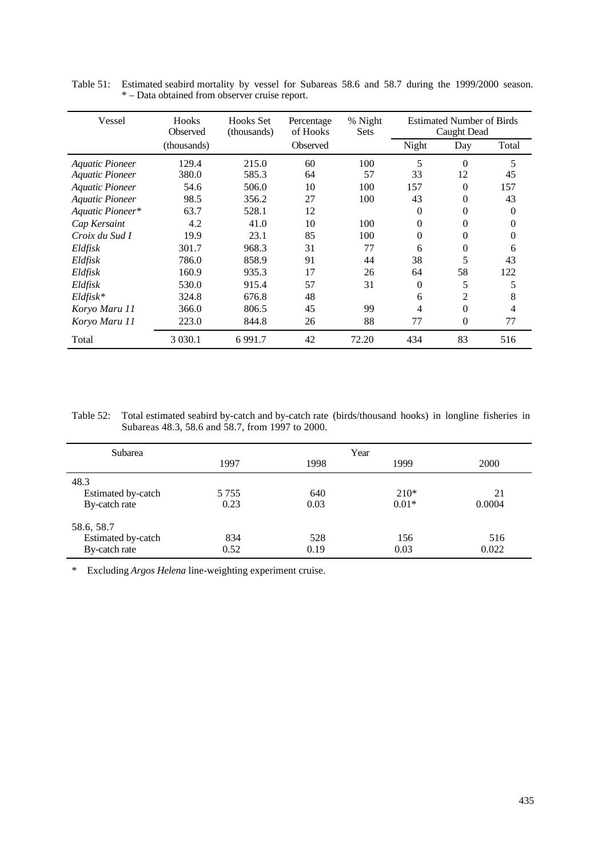| Vessel                 | Hooks<br>Observed | <b>Hooks</b> Set<br>(thousands) | Percentage<br>of Hooks | % Night<br><b>Sets</b> |          | <b>Estimated Number of Birds</b><br>Caught Dead |          |
|------------------------|-------------------|---------------------------------|------------------------|------------------------|----------|-------------------------------------------------|----------|
|                        | (thousands)       |                                 | Observed               |                        | Night    | Day                                             | Total    |
| <b>Aquatic Pioneer</b> | 129.4             | 215.0                           | 60                     | 100                    | 5        | $\Omega$                                        | 5        |
| <b>Aquatic Pioneer</b> | 380.0             | 585.3                           | 64                     | 57                     | 33       | 12                                              | 45       |
| <b>Aquatic Pioneer</b> | 54.6              | 506.0                           | 10                     | 100                    | 157      | $\theta$                                        | 157      |
| <b>Aquatic Pioneer</b> | 98.5              | 356.2                           | 27                     | 100                    | 43       | $\Omega$                                        | 43       |
| Aquatic Pioneer*       | 63.7              | 528.1                           | 12                     |                        | $\Omega$ | 0                                               | $\Omega$ |
| Cap Kersaint           | 4.2               | 41.0                            | 10                     | 100                    | 0        | 0                                               | $\Omega$ |
| Croix du Sud I         | 19.9              | 23.1                            | 85                     | 100                    | 0        | 0                                               | 0        |
| Eldfisk                | 301.7             | 968.3                           | 31                     | 77                     | 6        | 0                                               | 6        |
| Eldfisk                | 786.0             | 858.9                           | 91                     | 44                     | 38       | 5                                               | 43       |
| Eldfisk                | 160.9             | 935.3                           | 17                     | 26                     | 64       | 58                                              | 122      |
| Eldfisk                | 530.0             | 915.4                           | 57                     | 31                     | $\Omega$ | 5                                               | 5        |
| $Eldfisk*$             | 324.8             | 676.8                           | 48                     |                        | 6        | $\overline{2}$                                  | 8        |
| Koryo Maru 11          | 366.0             | 806.5                           | 45                     | 99                     | 4        | $\Omega$                                        | 4        |
| Koryo Maru 11          | 223.0             | 844.8                           | 26                     | 88                     | 77       | $\theta$                                        | 77       |
| Total                  | 3 0 3 0 .1        | 6991.7                          | 42                     | 72.20                  | 434      | 83                                              | 516      |

Table 51: Estimated seabird mortality by vessel for Subareas 58.6 and 58.7 during the 1999/2000 season. \* – Data obtained from observer cruise report.

Table 52: Total estimated seabird by-catch and by-catch rate (birds/thousand hooks) in longline fisheries in Subareas 48.3, 58.6 and 58.7, from 1997 to 2000.

| Subarea            |         |      | Year    |        |
|--------------------|---------|------|---------|--------|
|                    | 1997    | 1998 | 1999    | 2000   |
| 48.3               |         |      |         |        |
| Estimated by-catch | 5 7 5 5 | 640  | $210*$  | 21     |
| By-catch rate      | 0.23    | 0.03 | $0.01*$ | 0.0004 |
| 58.6, 58.7         |         |      |         |        |
| Estimated by-catch | 834     | 528  | 156     | 516    |
| By-catch rate      | 0.52    | 0.19 | 0.03    | 0.022  |

\* Excluding *Argos Helena* line-weighting experiment cruise.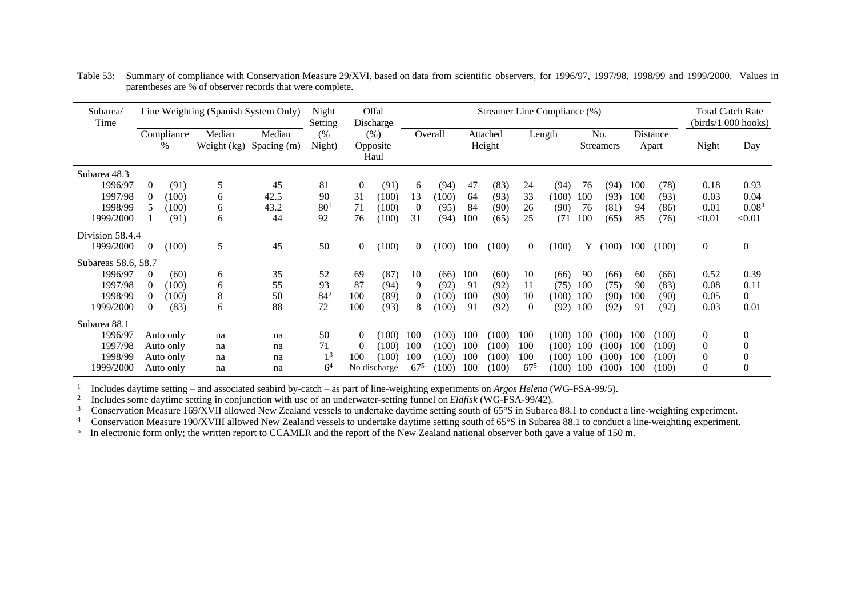| Subarea/<br>Time                                                  |                                                    |                                                  | Line Weighting (Spanish System Only) |                          | Night<br>Setting                             |                                  | Offal<br>Discharge                      |                               |                                  |                          |                                  |                               | Streamer Line Compliance (%)     |                          |                                  |                          |                                  |                                                                      | <b>Total Catch Rate</b><br>(birds/1 000 hooks)            |
|-------------------------------------------------------------------|----------------------------------------------------|--------------------------------------------------|--------------------------------------|--------------------------|----------------------------------------------|----------------------------------|-----------------------------------------|-------------------------------|----------------------------------|--------------------------|----------------------------------|-------------------------------|----------------------------------|--------------------------|----------------------------------|--------------------------|----------------------------------|----------------------------------------------------------------------|-----------------------------------------------------------|
|                                                                   |                                                    | Compliance<br>$\%$                               | Median<br>Weight (kg)                | Median<br>Spacing (m)    | (%<br>Night)                                 |                                  | (% )<br>Opposite<br>Haul                |                               | Overall                          |                          | Attached<br>Height               |                               | Length                           |                          | No.<br><b>Streamers</b>          |                          | Distance<br>Apart                | Night                                                                | Day                                                       |
| Subarea 48.3<br>1996/97<br>1997/98<br>1998/99<br>1999/2000        | $\theta$<br>$\Omega$<br>5                          | (91)<br>(100)<br>(100)<br>(91)                   | 5<br>6<br>6<br>6                     | 45<br>42.5<br>43.2<br>44 | 81<br>90<br>80 <sup>1</sup><br>92            | $\overline{0}$<br>31<br>71<br>76 | (91)<br>(100)<br>(100)<br>(100)         | 6<br>13<br>$\theta$<br>31     | (94)<br>(100)<br>(95)<br>(94)    | 47<br>64<br>84<br>100    | (83)<br>(93)<br>(90)<br>(65)     | 24<br>33<br>26<br>25          | (94)<br>(100)<br>(90)<br>(71)    | 76<br>100<br>76<br>100   | (94)<br>(93)<br>(81)<br>(65)     | 100<br>100<br>94<br>85   | (78)<br>(93)<br>(86)<br>(76)     | 0.18<br>0.03<br>0.01<br>< 0.01                                       | 0.93<br>0.04<br>0.08 <sup>1</sup><br>< 0.01               |
| Division 58.4.4<br>1999/2000                                      | $\overline{0}$                                     | (100)                                            | 5                                    | 45                       | 50                                           | $\overline{0}$                   | (100)                                   | $\left( \right)$              | (100)                            | 100                      | (100)                            | $\overline{0}$                | (100)                            | Y                        | (100)                            | 100                      | (100)                            | $\boldsymbol{0}$                                                     | $\boldsymbol{0}$                                          |
| Subareas 58.6, 58.7<br>1996/97<br>1997/98<br>1998/99<br>1999/2000 | $\overline{0}$<br>$\Omega$<br>$\Omega$<br>$\Omega$ | (60)<br>(100)<br>(100)<br>(83)                   | 6<br>6<br>8<br>6                     | 35<br>55<br>50<br>88     | 52<br>93<br>$84^{2}$<br>72                   | 69<br>87<br>100<br>100           | (87)<br>(94)<br>(89)<br>(93)            | 10<br>9<br>$\Omega$<br>8      | (66)<br>(92)<br>(100)<br>(100)   | 100<br>91<br>100<br>91   | (60)<br>(92)<br>(90)<br>(92)     | 10<br>11<br>10<br>$\Omega$    | (66)<br>(75)<br>(100)<br>(92)    | 90<br>100<br>100<br>100  | (66)<br>(75)<br>(90)<br>(92)     | 60<br>90<br>100<br>91    | (66)<br>(83)<br>(90)<br>(92)     | 0.52<br>0.08<br>0.05<br>0.03                                         | 0.39<br>0.11<br>$\overline{0}$<br>0.01                    |
| Subarea 88.1<br>1996/97<br>1997/98<br>1998/99<br>1999/2000        |                                                    | Auto only<br>Auto only<br>Auto only<br>Auto only | na<br>na<br>na<br>na                 | na<br>na<br>na<br>na     | 50<br>71<br>1 <sup>3</sup><br>6 <sup>4</sup> | $\Omega$<br>$\Omega$<br>100      | (100)<br>(100)<br>(100)<br>No discharge | 100<br>100<br>100<br>$67^{5}$ | (100)<br>(100)<br>(100)<br>(100) | 100<br>100<br>100<br>100 | (100)<br>(100)<br>(100)<br>(100) | 100<br>100<br>100<br>$67^{5}$ | (100)<br>(100)<br>(100)<br>(100) | 100<br>100<br>100<br>100 | (100)<br>(100)<br>(100)<br>(100) | 100<br>100<br>100<br>100 | (100)<br>(100)<br>(100)<br>(100) | $\boldsymbol{0}$<br>$\boldsymbol{0}$<br>$\boldsymbol{0}$<br>$\theta$ | 0<br>$\overline{0}$<br>$\boldsymbol{0}$<br>$\overline{0}$ |

Table 53: Summary of compliance with Conservation Measure 29/XVI, based on data from scientific observers, for 1996/97, 1997/98, 1998/99 and 1999/2000. Values in parentheses are % of observer records that were complete.

1 Includes daytime setting – and associated seabird by-catch – as part of line-weighting experiments on *Argos Helena* (WG-FSA-99/5).

2 Includes some daytime setting in conjunction with use of an underwater-setting funnel on *Eldfisk* (WG-FSA-99/42).

<sup>3</sup> Conservation Measure 169/XVII allowed New Zealand vessels to undertake daytime setting south of 65°S in Subarea 88.1 to conduct a line-weighting experiment.<br><sup>4</sup> Conservation Measure 190/XVIII allowed New Zealand vesse

Conservation Measure 190/XVIII allowed New Zealand vessels to undertake daytime setting south of 65°S in Subarea 88.1 to conduct a line-weighting experiment.

<sup>5</sup> In electronic form only; the written report to CCAMLR and the report of the New Zealand national observer both gave a value of 150 m.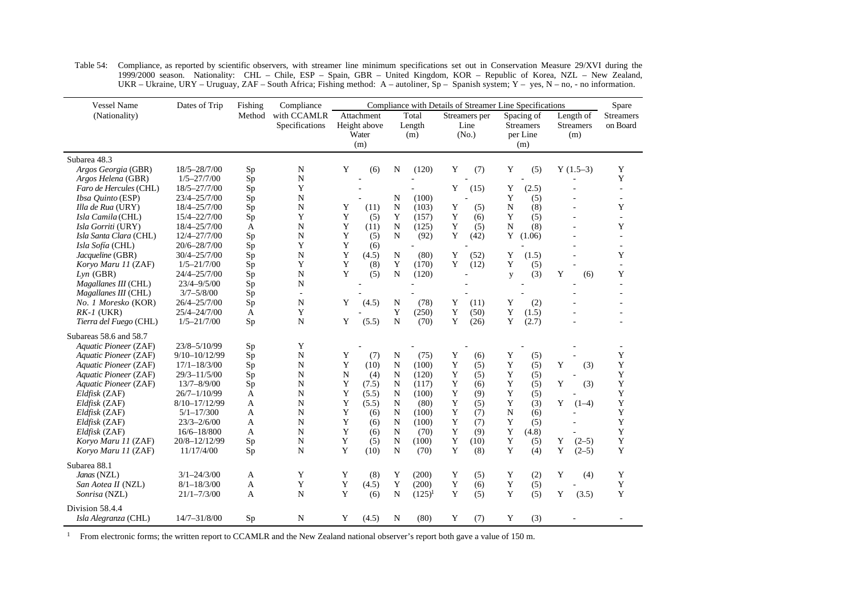| <b>Vessel Name</b>       | Dates of Trip     | Fishing                                        | Compliance                    |   |                                            |             |                        |   | Compliance with Details of Streamer Line Specifications |             |                                                   |                                      | Spare                        |
|--------------------------|-------------------|------------------------------------------------|-------------------------------|---|--------------------------------------------|-------------|------------------------|---|---------------------------------------------------------|-------------|---------------------------------------------------|--------------------------------------|------------------------------|
| (Nationality)            |                   | Method                                         | with CCAMLR<br>Specifications |   | Attachment<br>Height above<br>Water<br>(m) |             | Total<br>Length<br>(m) |   | Streamers per<br>Line<br>(No.)                          |             | Spacing of<br><b>Streamers</b><br>per Line<br>(m) | Length of<br><b>Streamers</b><br>(m) | <b>Streamers</b><br>on Board |
| Subarea 48.3             |                   |                                                |                               |   |                                            |             |                        |   |                                                         |             |                                                   |                                      |                              |
| Argos Georgia (GBR)      | 18/5-28/7/00      | Sp                                             | $\mathbf N$                   | Y | (6)                                        | N           | (120)                  | Y | (7)                                                     | Y           | (5)                                               | $Y(1.5-3)$                           | Y                            |
| Argos Helena (GBR)       | $1/5 - 27/7/00$   | Sp                                             | ${\bf N}$                     |   |                                            |             |                        |   |                                                         |             |                                                   |                                      | Y                            |
| Faro de Hercules (CHL)   | 18/5-27/7/00      | $\mathrm{Sp}% _{2}\left( \mathcal{S}\right)$   | Y                             |   |                                            |             |                        | Y | (15)                                                    | Y           | (2.5)                                             |                                      | ÷.                           |
| <i>Ibsa Quinto</i> (ESP) | 23/4-25/7/00      | Sp                                             | $\mathbf N$                   |   |                                            | N           | (100)                  |   |                                                         | Y           | (5)                                               |                                      | ÷                            |
| Illa de Rua (URY)        | 18/4-25/7/00      | Sp                                             | $\mathbf N$                   | Y | (11)                                       | N           | (103)                  | Y | (5)                                                     | N           | (8)                                               |                                      | Y                            |
| Isla Camila (CHL)        | 15/4-22/7/00      | Sp                                             | Y                             | Y | (5)                                        | Y           | (157)                  | Y | (6)                                                     | Y           | (5)                                               |                                      |                              |
| Isla Gorriti (URY)       | 18/4-25/7/00      | A                                              | ${\bf N}$                     | Y | (11)                                       | $\mathbf N$ | (125)                  | Y | (5)                                                     | N           | (8)                                               |                                      | Y                            |
| Isla Santa Clara (CHL)   | 12/4-27/7/00      | Sp                                             | $\mathbf N$                   | Y | (5)                                        | N           | (92)                   | Y | (42)                                                    | Y           | (1.06)                                            |                                      |                              |
| Isla Sofía (CHL)         | 20/6-28/7/00      | Sp                                             | Y                             | Y | (6)                                        |             | L,                     |   |                                                         |             |                                                   |                                      |                              |
| Jacqueline (GBR)         | 30/4-25/7/00      | $\mathrm{Sp}% _{2}\left( \mathcal{S}\right)$   | $\mathbf N$                   | Y | (4.5)                                      | $\mathbf N$ | (80)                   | Y | (52)                                                    | Y           | (1.5)                                             |                                      | Y                            |
| Koryo Maru 11 (ZAF)      | $1/5 - 21/7/00$   | Sp                                             | Y                             | Y | (8)                                        | Y           | (170)                  | Y | (12)                                                    | Y           | (5)                                               |                                      | $\overline{a}$               |
| $Lyn$ (GBR)              | 24/4-25/7/00      | Sp                                             | N                             | Y | (5)                                        | N           | (120)                  |   |                                                         | y           | (3)                                               | Y<br>(6)                             | Y                            |
| Magallanes III (CHL)     | $23/4 - 9/5/00$   | Sp                                             | $\mathbf N$                   |   |                                            |             |                        |   |                                                         |             |                                                   |                                      |                              |
| Magallanes III (CHL)     | $3/7 - 5/8/00$    | $\mathrm{Sp}% _{2}(p)\times\mathrm{Sp}_{2}(p)$ | $\sim$                        |   |                                            |             |                        |   |                                                         |             |                                                   |                                      |                              |
| No. 1 Moresko (KOR)      | 26/4-25/7/00      | Sp                                             | N                             | Y | (4.5)                                      | N           | (78)                   | Y | (11)                                                    | Y           | (2)                                               |                                      |                              |
| $RK-1$ (UKR)             | 25/4-24/7/00      | A                                              | Y                             |   |                                            | Y           | (250)                  | Y | (50)                                                    | Y           | (1.5)                                             |                                      |                              |
| Tierra del Fuego (CHL)   | $1/5 - 21/7/00$   | Sp                                             | N                             | Y | (5.5)                                      | N           | (70)                   | Y | (26)                                                    | Y           | (2.7)                                             |                                      |                              |
| Subareas 58.6 and 58.7   |                   |                                                |                               |   |                                            |             |                        |   |                                                         |             |                                                   |                                      |                              |
| Aquatic Pioneer (ZAF)    | 23/8-5/10/99      | Sp                                             | Y                             |   |                                            |             |                        |   |                                                         |             |                                                   |                                      |                              |
| Aquatic Pioneer (ZAF)    | $9/10 - 10/12/99$ | Sp                                             | N                             | Y | (7)                                        | N           | (75)                   | Y | (6)                                                     | Y           | (5)                                               |                                      | Y                            |
| Aquatic Pioneer (ZAF)    | $17/1 - 18/3/00$  | Sp                                             | $\mathbf N$                   | Y | (10)                                       | N           | (100)                  | Y | (5)                                                     | Y           | (5)                                               | Y<br>(3)                             | Y                            |
| Aquatic Pioneer (ZAF)    | $29/3 - 11/5/00$  | Sp                                             | $\mathbf N$                   | N | (4)                                        | N           | (120)                  | Y | (5)                                                     | $\mathbf Y$ | (5)                                               |                                      | Y                            |
| Aquatic Pioneer (ZAF)    | $13/7 - 8/9/00$   | Sp                                             | N                             | Y | (7.5)                                      | N           | (117)                  | Y | (6)                                                     | Y           | (5)                                               | Y<br>(3)                             | Y                            |
| Eldfisk (ZAF)            | $26/7 - 1/10/99$  | A                                              | $\mathbf N$                   | Y | (5.5)                                      | N           | (100)                  | Y | (9)                                                     | Y           | (5)                                               |                                      | Y                            |
| Eldfisk (ZAF)            | $8/10 - 17/12/99$ | A                                              | N                             | Y | (5.5)                                      | N           | (80)                   | Y | (5)                                                     | Y           | (3)                                               | Y<br>$(1-4)$                         | Y                            |
| Eldfisk (ZAF)            | $5/1 - 17/300$    | A                                              | N                             | Y | (6)                                        | N           | (100)                  | Y | (7)                                                     | $\mathbf N$ | (6)                                               |                                      | Y                            |
| Eldfisk (ZAF)            | $23/3 - 2/6/00$   | A                                              | N                             | Y | (6)                                        | N           | (100)                  | Y | (7)                                                     | Y           | (5)                                               |                                      | Y                            |
| Eldfisk (ZAF)            | $16/6 - 18/800$   | $\mathbf{A}$                                   | N                             | Y | (6)                                        | N           | (70)                   | Y | (9)                                                     | Y           | (4.8)                                             |                                      | Y                            |
| Koryo Maru 11 (ZAF)      | 20/8-12/12/99     | Sp                                             | ${\bf N}$                     | Y | (5)                                        | N           | (100)                  | Y | (10)                                                    | Y           | (5)                                               | Y<br>$(2-5)$                         | Y                            |
| Koryo Maru 11 (ZAF)      | 11/17/4/00        | Sp                                             | N                             | Y | (10)                                       | N           | (70)                   | Y | (8)                                                     | Y           | (4)                                               | Y<br>$(2-5)$                         | Y                            |
| Subarea 88.1             |                   |                                                |                               |   |                                            |             |                        |   |                                                         |             |                                                   |                                      |                              |
| Janas (NZL)              | $3/1 - 24/3/00$   | A                                              | Y                             | Y | (8)                                        | Y           | (200)                  | Y | (5)                                                     | Y           | (2)                                               | Y<br>(4)                             | Y                            |
| San Aotea II (NZL)       | $8/1 - 18/3/00$   | A                                              | Y                             | Y | (4.5)                                      | Y           | (200)                  | Y | (6)                                                     | Y           | (5)                                               |                                      | Y                            |
| Sonrisa (NZL)            | $21/1 - 7/3/00$   | A                                              | N                             | Y | (6)                                        | N           | $(125)^1$              | Y | (5)                                                     | Y           | (5)                                               | Y<br>(3.5)                           | Y                            |
| Division 58.4.4          |                   |                                                |                               |   |                                            |             |                        |   |                                                         |             |                                                   |                                      |                              |
| Isla Alegranza (CHL)     | 14/7-31/8/00      | Sp                                             | N                             | Y | (4.5)                                      | N           | (80)                   | Y | (7)                                                     | Y           | (3)                                               |                                      |                              |

Table 54: Compliance, as reported by scientific observers, with streamer line minimum specifications set out in Conservation Measure 29/XVI during the 1999/2000 season. Nationality: CHL – Chile, ESP – Spain, GBR – United Kingdom, KOR – Republic of Korea, NZL – New Zealand, UKR – Ukraine, URY – Uruguay, ZAF – South Africa; Fishing method: A – autoliner, Sp – Spanish system; Y – yes, N – no, - no information.

<sup>1</sup> From electronic forms; the written report to CCAMLR and the New Zealand national observer's report both gave a value of 150 m.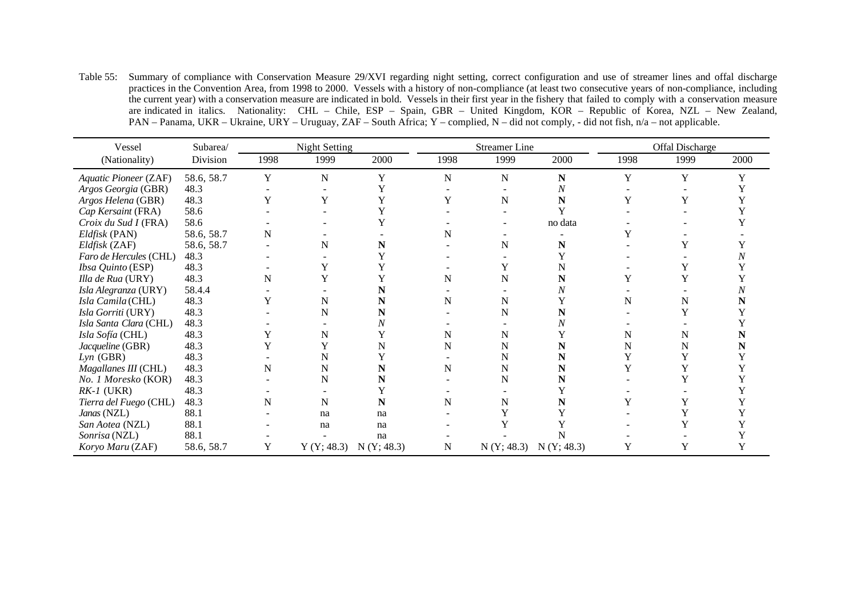Table 55: Summary of compliance with Conservation Measure 29/XVI regarding night setting, correct configuration and use of streamer lines and offal discharge practices in the Convention Area, from 1998 to 2000. Vessels with a history of non-compliance (at least two consecutive years of non-compliance, including the current year) with a conservation measure are indicated in bold. Vessels in their first year in the fishery that failed to comply with a conservation measure are indicated in italics. Nationality: CHL – Chile, ESP – Spain, GBR – United Kingdom, KOR – Republic of Korea, NZL – New Zealand, PAN – Panama, UKR – Ukraine, URY – Uruguay, ZAF – South Africa; Y – complied, N – did not comply, - did not fish, n/a – not applicable.

| Vessel                 | Subarea/   |      | <b>Night Setting</b> |            |      | <b>Streamer</b> Line |            |      | Offal Discharge |      |
|------------------------|------------|------|----------------------|------------|------|----------------------|------------|------|-----------------|------|
| (Nationality)          | Division   | 1998 | 1999                 | 2000       | 1998 | 1999                 | 2000       | 1998 | 1999            | 2000 |
| Aquatic Pioneer (ZAF)  | 58.6, 58.7 | Y    | N                    | Y          | N    | N                    | N          | Y    | Y               | Y    |
| Argos Georgia (GBR)    | 48.3       |      |                      |            |      |                      | Ν          |      |                 |      |
| Argos Helena (GBR)     | 48.3       | Y    | Y                    |            | Y    | N                    | N          |      | Y               |      |
| Cap Kersaint (FRA)     | 58.6       |      |                      |            |      |                      |            |      |                 |      |
| Croix du Sud I (FRA)   | 58.6       |      |                      |            |      |                      | no data    |      |                 |      |
| Eldfisk (PAN)          | 58.6, 58.7 | N    |                      |            |      |                      |            |      |                 |      |
| Eldfisk (ZAF)          | 58.6, 58.7 |      | N                    |            |      | N                    | N          |      | Y               |      |
| Faro de Hercules (CHL) | 48.3       |      |                      |            |      |                      |            |      |                 |      |
| Ibsa Quinto (ESP)      | 48.3       |      | Y                    |            |      |                      |            |      |                 |      |
| Illa de Rua (URY)      | 48.3       | N    |                      |            | N    | N                    | N          |      |                 |      |
| Isla Alegranza (URY)   | 58.4.4     |      |                      |            |      |                      |            |      |                 |      |
| Isla Camila (CHL)      | 48.3       |      | N                    |            | N    | N                    |            | N    | N               |      |
| Isla Gorriti (URY)     | 48.3       |      | N                    |            |      | N                    |            |      |                 |      |
| Isla Santa Clara (CHL) | 48.3       |      |                      |            |      |                      |            |      |                 |      |
| Isla Sofía (CHL)       | 48.3       |      | N                    |            | N    | N                    |            | N    | N               |      |
| Jacqueline (GBR)       | 48.3       |      | Y                    |            | N    | N                    |            | N    | N               | N    |
| $Lyn$ (GBR)            | 48.3       |      |                      |            |      | N                    |            |      |                 |      |
| Magallanes III (CHL)   | 48.3       | N    | N                    |            | N    | N                    |            |      |                 |      |
| No. 1 Moresko (KOR)    | 48.3       |      | N                    |            |      | N                    |            |      |                 |      |
| $RK-I$ (UKR)           | 48.3       |      |                      |            |      |                      |            |      |                 |      |
| Tierra del Fuego (CHL) | 48.3       | N    | N                    |            | N    | N                    |            |      |                 |      |
| Janas (NZL)            | 88.1       |      | na                   | na         |      |                      |            |      |                 |      |
| San Aotea (NZL)        | 88.1       |      | na                   | na         |      |                      |            |      |                 |      |
| Sonrisa (NZL)          | 88.1       |      |                      | na         |      |                      |            |      |                 |      |
| Koryo Maru (ZAF)       | 58.6, 58.7 | Y    | Y(Y; 48.3)           | N(Y; 48.3) | N    | N(Y; 48.3)           | N(Y; 48.3) | Y    | Y               | Y    |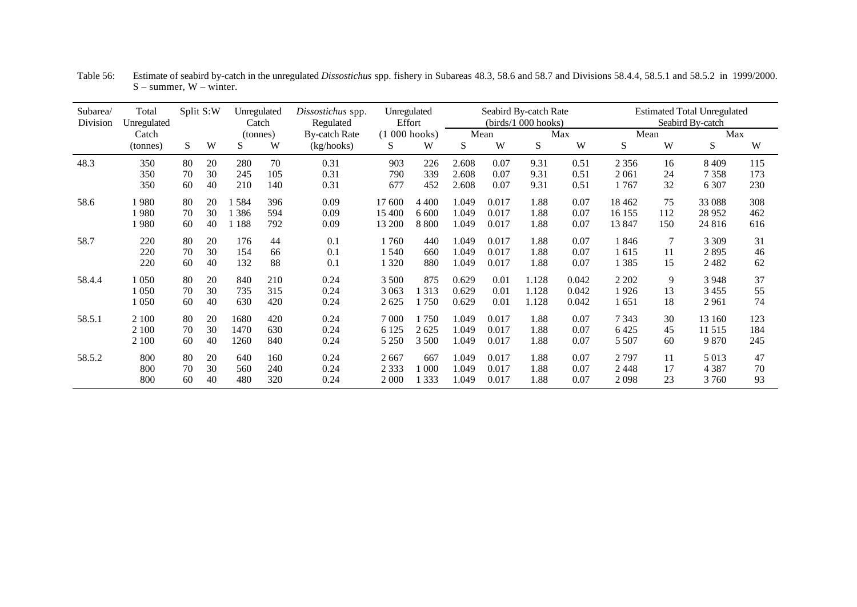| Subarea/<br>Division | Total<br>Unregulated |    | Split S:W | Unregulated<br>Catch |     | Dissostichus spp.<br>Regulated | Unregulated<br>Effort |         |       |       | Seabird By-catch Rate<br>(birds/1 000 hooks) |       |         |                | <b>Estimated Total Unregulated</b><br>Seabird By-catch |     |
|----------------------|----------------------|----|-----------|----------------------|-----|--------------------------------|-----------------------|---------|-------|-------|----------------------------------------------|-------|---------|----------------|--------------------------------------------------------|-----|
|                      | Catch                |    |           | (tonnes)             |     | <b>By-catch Rate</b>           | $(1 000$ hooks)       |         |       | Mean  |                                              | Max   | Mean    |                | Max                                                    |     |
|                      | (tonnes)             | S  | W         | S                    | W   | (kg/hooks)                     | S                     | W       | S     | W     | S                                            | W     | S       | W              | S                                                      | W   |
| 48.3                 | 350                  | 80 | 20        | 280                  | 70  | 0.31                           | 903                   | 226     | 2.608 | 0.07  | 9.31                                         | 0.51  | 2 3 5 6 | 16             | 8 4 0 9                                                | 115 |
|                      | 350                  | 70 | 30        | 245                  | 105 | 0.31                           | 790                   | 339     | 2.608 | 0.07  | 9.31                                         | 0.51  | 2061    | 24             | 7 3 5 8                                                | 173 |
|                      | 350                  | 60 | 40        | 210                  | 140 | 0.31                           | 677                   | 452     | 2.608 | 0.07  | 9.31                                         | 0.51  | 1767    | 32             | 6 3 0 7                                                | 230 |
| 58.6                 | 1 980                | 80 | 20        | 1584                 | 396 | 0.09                           | 17 600                | 4 4 0 0 | 1.049 | 0.017 | 1.88                                         | 0.07  | 18 4 62 | 75             | 33 088                                                 | 308 |
|                      | 1 980                | 70 | 30        | 1 386                | 594 | 0.09                           | 15 400                | 6 600   | 1.049 | 0.017 | 1.88                                         | 0.07  | 16 155  | 112            | 28 9 52                                                | 462 |
|                      | 1980                 | 60 | 40        | 1 1 8 8              | 792 | 0.09                           | 13 200                | 8 8 0 0 | 1.049 | 0.017 | 1.88                                         | 0.07  | 13847   | 150            | 24 8 16                                                | 616 |
| 58.7                 | 220                  | 80 | 20        | 176                  | 44  | 0.1                            | 1760                  | 440     | 1.049 | 0.017 | 1.88                                         | 0.07  | 1846    | $\overline{7}$ | 3 3 0 9                                                | 31  |
|                      | 220                  | 70 | 30        | 154                  | 66  | 0.1                            | 1540                  | 660     | 1.049 | 0.017 | 1.88                                         | 0.07  | l 615   | 11             | 2895                                                   | 46  |
|                      | 220                  | 60 | 40        | 132                  | 88  | 0.1                            | 1 3 2 0               | 880     | 1.049 | 0.017 | 1.88                                         | 0.07  | 1 385   | 15             | 2482                                                   | 62  |
| 58.4.4               | 1 0 5 0              | 80 | 20        | 840                  | 210 | 0.24                           | 3 500                 | 875     | 0.629 | 0.01  | 1.128                                        | 0.042 | 2 2 0 2 | 9              | 3948                                                   | 37  |
|                      | 1050                 | 70 | 30        | 735                  | 315 | 0.24                           | 3 0 6 3               | 313     | 0.629 | 0.01  | 1.128                                        | 0.042 | 1926    | 13             | 3455                                                   | 55  |
|                      | 1050                 | 60 | 40        | 630                  | 420 | 0.24                           | 2625                  | 750     | 0.629 | 0.01  | 1.128                                        | 0.042 | 1 651   | 18             | 2961                                                   | 74  |
| 58.5.1               | 2 100                | 80 | 20        | 1680                 | 420 | 0.24                           | 7 000                 | 750     | 1.049 | 0.017 | 1.88                                         | 0.07  | 7 3 4 3 | 30             | 13 160                                                 | 123 |
|                      | 2 100                | 70 | 30        | 1470                 | 630 | 0.24                           | 6 1 2 5               | 2625    | 1.049 | 0.017 | 1.88                                         | 0.07  | 6425    | 45             | 11 515                                                 | 184 |
|                      | 2 100                | 60 | 40        | 1260                 | 840 | 0.24                           | 5 2 5 0               | 3 500   | 1.049 | 0.017 | 1.88                                         | 0.07  | 5 5 0 7 | 60             | 9870                                                   | 245 |
| 58.5.2               | 800                  | 80 | 20        | 640                  | 160 | 0.24                           | 2667                  | 667     | 1.049 | 0.017 | 1.88                                         | 0.07  | 2 7 9 7 | 11             | 5 0 1 3                                                | 47  |
|                      | 800                  | 70 | 30        | 560                  | 240 | 0.24                           | 2 3 3 3               | 000     | 1.049 | 0.017 | 1.88                                         | 0.07  | 2448    | 17             | 4 3 8 7                                                | 70  |
|                      | 800                  | 60 | 40        | 480                  | 320 | 0.24                           | 2 0 0 0               | 333     | 1.049 | 0.017 | 1.88                                         | 0.07  | 2098    | 23             | 3760                                                   | 93  |

Table 56: Estimate of seabird by-catch in the unregulated *Dissostichus* spp. fishery in Subareas 48.3, 58.6 and 58.7 and Divisions 58.4.4, 58.5.1 and 58.5.2 in 1999/2000.  $S$  – summer,  $W$  – winter.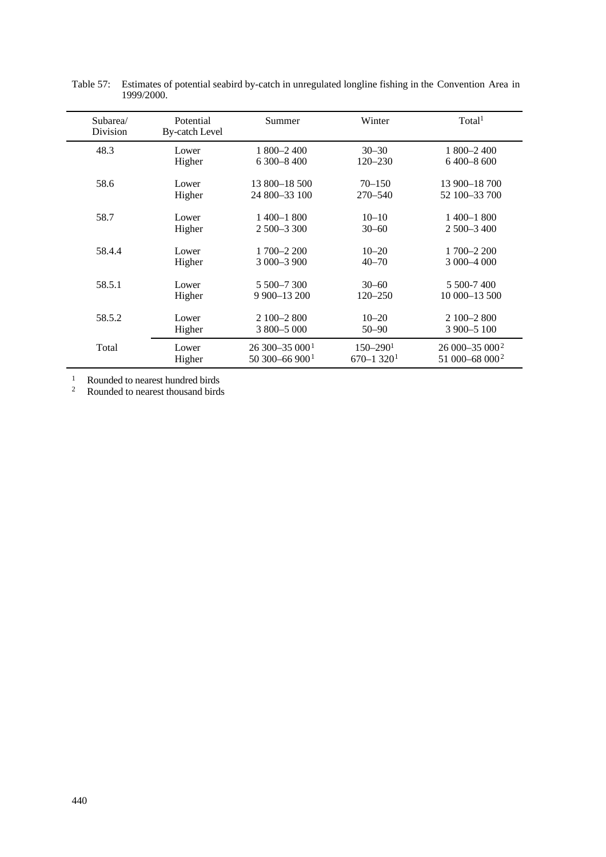| Subarea/<br>Division | Potential<br><b>By-catch Level</b> | Summer                       | Winter                    | Total <sup>1</sup>         |
|----------------------|------------------------------------|------------------------------|---------------------------|----------------------------|
| 48.3                 | Lower                              | $1800 - 2400$                | $30 - 30$                 | $1800 - 2400$              |
|                      | Higher                             | $6300 - 8400$                | $120 - 230$               | $6400 - 8600$              |
| 58.6                 | Lower                              | 13 800-18 500                | $70 - 150$                | 13 900 - 18 700            |
|                      | Higher                             | 24 800 - 33 100              | $270 - 540$               | 52 100 - 33 700            |
| 58.7                 | Lower                              | $1400 - 1800$                | $10 - 10$                 | $1400 - 1800$              |
|                      | Higher                             | $2500 - 3300$                | $30 - 60$                 | $2500 - 3400$              |
| 58.4.4               | Lower                              | $1700 - 2200$                | $10 - 20$                 | 1 700 - 2 200              |
|                      | Higher                             | 3 000 - 3 900                | $40 - 70$                 | 3 000 - 4 000              |
| 58.5.1               | Lower                              | 5 500 - 7 300                | $30 - 60$                 | 5 500-7 400                |
|                      | Higher                             | 9 900 - 13 200               | $120 - 250$               | 10 000-13 500              |
| 58.5.2               | Lower                              | $2100 - 2800$                | $10 - 20$                 | $2100 - 2800$              |
|                      | Higher                             | 3 800 - 5 000                | $50 - 90$                 | 3 900 - 5 100              |
| Total                | Lower                              | $26300 - 35000$ <sup>1</sup> | $150 - 290$ <sup>1</sup>  | $26000 - 35000^2$          |
|                      | Higher                             | 50 300 - 66 900 <sup>1</sup> | $670 - 1320$ <sup>1</sup> | 51 000-68 000 <sup>2</sup> |

Table 57: Estimates of potential seabird by-catch in unregulated longline fishing in the Convention Area in 1999/2000.

<sup>1</sup> Rounded to nearest hundred birds

<sup>2</sup> Rounded to nearest thousand birds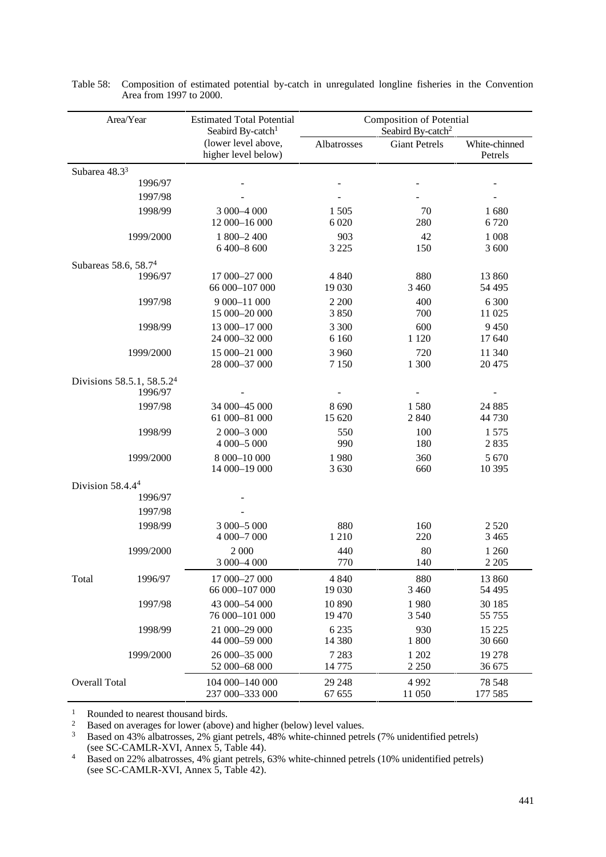| Area/Year                    |           | <b>Estimated Total Potential</b><br>Seabird By-catch <sup>1</sup> | <b>Composition of Potential</b><br>Seabird By-catch <sup>2</sup> |                      |                          |
|------------------------------|-----------|-------------------------------------------------------------------|------------------------------------------------------------------|----------------------|--------------------------|
|                              |           | (lower level above,<br>higher level below)                        | Albatrosses                                                      | <b>Giant Petrels</b> | White-chinned<br>Petrels |
| Subarea 48.33                |           |                                                                   |                                                                  |                      |                          |
|                              | 1996/97   |                                                                   |                                                                  |                      |                          |
|                              | 1997/98   |                                                                   |                                                                  |                      |                          |
|                              | 1998/99   | 3 000-4 000<br>12 000-16 000                                      | 1 5 0 5<br>6 0 20                                                | 70<br>280            | 1680<br>6720             |
| 1999/2000                    |           | 1 800-2 400<br>6 400-8 600                                        | 903<br>3 2 2 5                                                   | 42<br>150            | 1 0 0 8<br>3 600         |
| Subareas 58.6, 58.74         |           |                                                                   |                                                                  |                      |                          |
|                              | 1996/97   | 17 000-27 000<br>66 000-107 000                                   | 4 8 4 0<br>19 030                                                | 880<br>3 4 6 0       | 13 860<br>54 4 95        |
|                              | 1997/98   | 9 000-11 000<br>15 000-20 000                                     | 2 2 0 0<br>3850                                                  | 400<br>700           | 6 300<br>11 025          |
|                              | 1998/99   | 13 000-17 000<br>24 000-32 000                                    | 3 300<br>6 1 6 0                                                 | 600<br>1 1 2 0       | 9 4 5 0<br>17 640        |
|                              | 1999/2000 | 15 000-21 000<br>28 000-37 000                                    | 3 9 6 0<br>7 1 5 0                                               | 720<br>1 300         | 11 340<br>20 4 75        |
| Divisions 58.5.1, 58.5.24    | 1996/97   |                                                                   |                                                                  |                      |                          |
|                              | 1997/98   | 34 000-45 000<br>61 000-81 000                                    | 8 6 9 0<br>15 620                                                | 1580<br>2 8 4 0      | 24 8 85<br>44 730        |
|                              | 1998/99   | 2 000-3 000<br>4 000-5 000                                        | 550<br>990                                                       | 100<br>180           | 1575<br>2835             |
|                              | 1999/2000 | 8 000-10 000<br>14 000-19 000                                     | 1980<br>3 6 3 0                                                  | 360<br>660           | 5 6 7 0<br>10 3 95       |
| Division 58.4.4 <sup>4</sup> |           |                                                                   |                                                                  |                      |                          |
|                              | 1996/97   |                                                                   |                                                                  |                      |                          |
|                              | 1997/98   |                                                                   |                                                                  |                      |                          |
|                              | 1998/99   | 3 000 - 5 000<br>4 000-7 000                                      | 880<br>1 2 1 0                                                   | 160<br>220           | 2 5 2 0<br>3 4 6 5       |
|                              | 1999/2000 | 2 000<br>3 000 - 4 000                                            | 440<br>770                                                       | 80<br>140            | 1 2 6 0<br>2 2 0 5       |
| Total                        | 1996/97   | 17 000-27 000<br>66 000-107 000                                   | 4 8 4 0<br>19 030                                                | 880<br>3 4 6 0       | 13 860<br>54 4 95        |
|                              | 1997/98   | 43 000-54 000<br>76 000-101 000                                   | 10 890<br>19 470                                                 | 1980<br>3 5 4 0      | 30 185<br>55 755         |
|                              | 1998/99   | 21 000-29 000<br>44 000-59 000                                    | 6 2 3 5<br>14 380                                                | 930<br>1 800         | 15 2 25<br>30 660        |
|                              | 1999/2000 | 26 000 - 35 000<br>52 000-68 000                                  | 7 2 8 3<br>14 775                                                | 1 202<br>2 2 5 0     | 19 278<br>36 675         |
| Overall Total                |           | 104 000-140 000<br>237 000-333 000                                | 29 24 8<br>67 655                                                | 4992<br>11 050       | 78 548<br>177 585        |

Table 58: Composition of estimated potential by-catch in unregulated longline fisheries in the Convention Area from 1997 to 2000.

<sup>1</sup> Rounded to nearest thousand birds.<br><sup>2</sup> Rased on averages for lower (above

 $2^2$  Based on averages for lower (above) and higher (below) level values.

<sup>3</sup> Based on 43% albatrosses, 2% giant petrels, 48% white-chinned petrels (7% unidentified petrels) (see SC-CAMLR-XVI, Annex 5, Table 44).

<sup>4</sup> Based on 22% albatrosses, 4% giant petrels, 63% white-chinned petrels (10% unidentified petrels) (see SC-CAMLR-XVI, Annex 5, Table 42).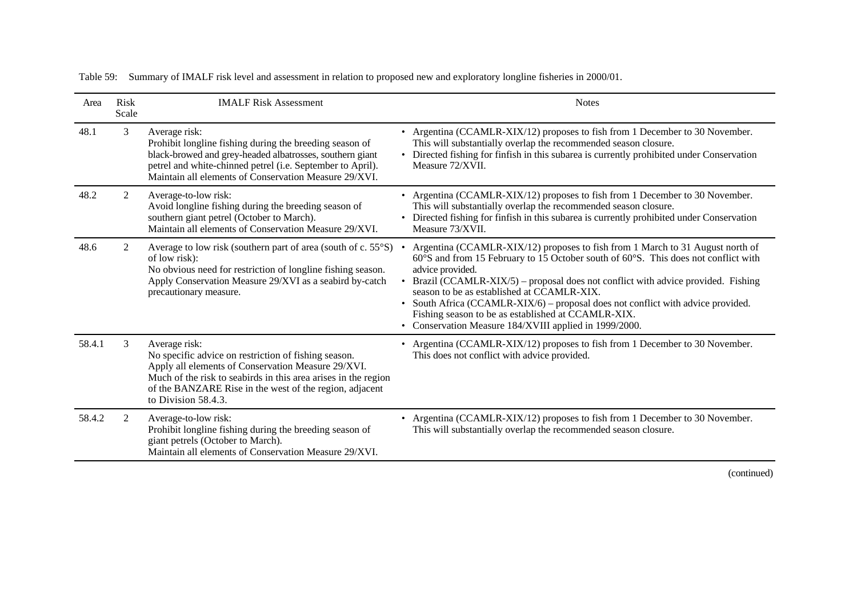| Area   | <b>Risk</b><br>Scale | <b>IMALF Risk Assessment</b>                                                                                                                                                                                                                                                    | <b>Notes</b>                                                                                                                                                                                                                                                                                                                                                                                                                                                                                                                  |
|--------|----------------------|---------------------------------------------------------------------------------------------------------------------------------------------------------------------------------------------------------------------------------------------------------------------------------|-------------------------------------------------------------------------------------------------------------------------------------------------------------------------------------------------------------------------------------------------------------------------------------------------------------------------------------------------------------------------------------------------------------------------------------------------------------------------------------------------------------------------------|
| 48.1   | 3                    | Average risk:<br>Prohibit longline fishing during the breeding season of<br>black-browed and grey-headed albatrosses, southern giant<br>petrel and white-chinned petrel (i.e. September to April).<br>Maintain all elements of Conservation Measure 29/XVI.                     | • Argentina (CCAMLR-XIX/12) proposes to fish from 1 December to 30 November.<br>This will substantially overlap the recommended season closure.<br>• Directed fishing for finfish in this subarea is currently prohibited under Conservation<br>Measure 72/XVII.                                                                                                                                                                                                                                                              |
| 48.2   | 2                    | Average-to-low risk:<br>Avoid longline fishing during the breeding season of<br>southern giant petrel (October to March).<br>Maintain all elements of Conservation Measure 29/XVI.                                                                                              | • Argentina (CCAMLR-XIX/12) proposes to fish from 1 December to 30 November.<br>This will substantially overlap the recommended season closure.<br>• Directed fishing for finfish in this subarea is currently prohibited under Conservation<br>Measure 73/XVII.                                                                                                                                                                                                                                                              |
| 48.6   | 2                    | Average to low risk (southern part of area (south of c. 55°S)<br>of low risk):<br>No obvious need for restriction of longline fishing season.<br>Apply Conservation Measure 29/XVI as a seabird by-catch<br>precautionary measure.                                              | Argentina (CCAMLR-XIX/12) proposes to fish from 1 March to 31 August north of<br>60°S and from 15 February to 15 October south of 60°S. This does not conflict with<br>advice provided.<br>• Brazil (CCAMLR-XIX/5) – proposal does not conflict with advice provided. Fishing<br>season to be as established at CCAMLR-XIX.<br>South Africa (CCAMLR-XIX/6) – proposal does not conflict with advice provided.<br>Fishing season to be as established at CCAMLR-XIX.<br>• Conservation Measure 184/XVIII applied in 1999/2000. |
| 58.4.1 | 3                    | Average risk:<br>No specific advice on restriction of fishing season.<br>Apply all elements of Conservation Measure 29/XVI.<br>Much of the risk to seabirds in this area arises in the region<br>of the BANZARE Rise in the west of the region, adjacent<br>to Division 58.4.3. | • Argentina (CCAMLR-XIX/12) proposes to fish from 1 December to 30 November.<br>This does not conflict with advice provided.                                                                                                                                                                                                                                                                                                                                                                                                  |
| 58.4.2 | 2                    | Average-to-low risk:<br>Prohibit longline fishing during the breeding season of<br>giant petrels (October to March).<br>Maintain all elements of Conservation Measure 29/XVI.                                                                                                   | • Argentina (CCAMLR-XIX/12) proposes to fish from 1 December to 30 November.<br>This will substantially overlap the recommended season closure.                                                                                                                                                                                                                                                                                                                                                                               |

Table 59: Summary of IMALF risk level and assessment in relation to proposed new and exploratory longline fisheries in 2000/01.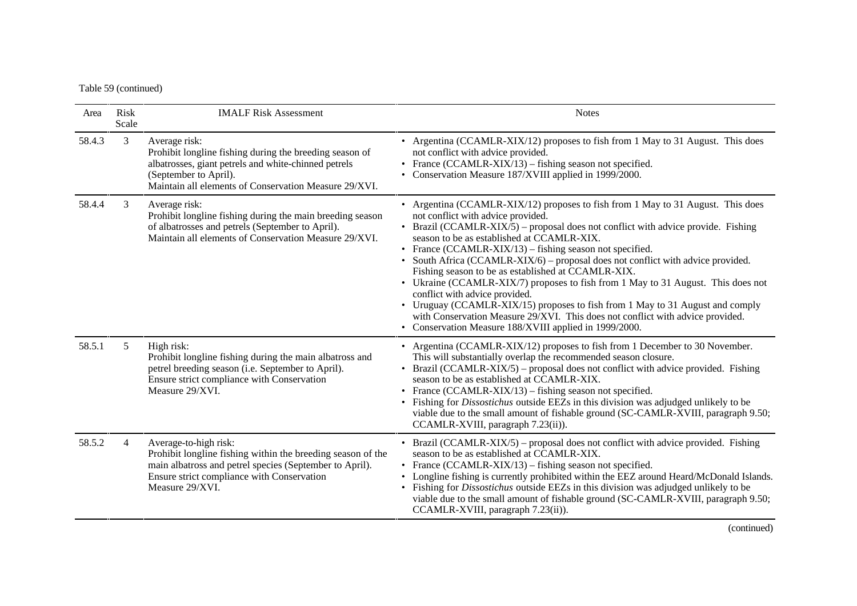Table 59 (continued)

| Area   | Risk<br>Scale  | <b>IMALF Risk Assessment</b>                                                                                                                                                                                       | <b>Notes</b>                                                                                                                                                                                                                                                                                                                                                                                                                                                                                                                                                                                                                                                                                                                                                                                                      |
|--------|----------------|--------------------------------------------------------------------------------------------------------------------------------------------------------------------------------------------------------------------|-------------------------------------------------------------------------------------------------------------------------------------------------------------------------------------------------------------------------------------------------------------------------------------------------------------------------------------------------------------------------------------------------------------------------------------------------------------------------------------------------------------------------------------------------------------------------------------------------------------------------------------------------------------------------------------------------------------------------------------------------------------------------------------------------------------------|
| 58.4.3 | 3              | Average risk:<br>Prohibit longline fishing during the breeding season of<br>albatrosses, giant petrels and white-chinned petrels<br>(September to April).<br>Maintain all elements of Conservation Measure 29/XVI. | • Argentina (CCAMLR-XIX/12) proposes to fish from 1 May to 31 August. This does<br>not conflict with advice provided.<br>• France (CCAMLR-XIX/13) – fishing season not specified.<br>• Conservation Measure 187/XVIII applied in 1999/2000.                                                                                                                                                                                                                                                                                                                                                                                                                                                                                                                                                                       |
| 58.4.4 | 3              | Average risk:<br>Prohibit longline fishing during the main breeding season<br>of albatrosses and petrels (September to April).<br>Maintain all elements of Conservation Measure 29/XVI.                            | • Argentina (CCAMLR-XIX/12) proposes to fish from 1 May to 31 August. This does<br>not conflict with advice provided.<br>• Brazil (CCAMLR-XIX/5) – proposal does not conflict with advice provide. Fishing<br>season to be as established at CCAMLR-XIX.<br>• France (CCAMLR-XIX/13) – fishing season not specified.<br>• South Africa (CCAMLR-XIX/6) – proposal does not conflict with advice provided.<br>Fishing season to be as established at CCAMLR-XIX.<br>• Ukraine (CCAMLR-XIX/7) proposes to fish from 1 May to 31 August. This does not<br>conflict with advice provided.<br>• Uruguay (CCAMLR-XIX/15) proposes to fish from 1 May to 31 August and comply<br>with Conservation Measure 29/XVI. This does not conflict with advice provided.<br>• Conservation Measure 188/XVIII applied in 1999/2000. |
| 58.5.1 | 5              | High risk:<br>Prohibit longline fishing during the main albatross and<br>petrel breeding season (i.e. September to April).<br>Ensure strict compliance with Conservation<br>Measure 29/XVI.                        | • Argentina (CCAMLR-XIX/12) proposes to fish from 1 December to 30 November.<br>This will substantially overlap the recommended season closure.<br>• Brazil (CCAMLR-XIX/5) – proposal does not conflict with advice provided. Fishing<br>season to be as established at CCAMLR-XIX.<br>• France (CCAMLR-XIX/13) – fishing season not specified.<br>• Fishing for <i>Dissostichus</i> outside EEZs in this division was adjudged unlikely to be<br>viable due to the small amount of fishable ground (SC-CAMLR-XVIII, paragraph 9.50;<br>CCAMLR-XVIII, paragraph 7.23(ii)).                                                                                                                                                                                                                                        |
| 58.5.2 | $\overline{4}$ | Average-to-high risk:<br>Prohibit longline fishing within the breeding season of the<br>main albatross and petrel species (September to April).<br>Ensure strict compliance with Conservation<br>Measure 29/XVI.   | • Brazil (CCAMLR-XIX/5) – proposal does not conflict with advice provided. Fishing<br>season to be as established at CCAMLR-XIX.<br>• France (CCAMLR-XIX/13) – fishing season not specified.<br>• Longline fishing is currently prohibited within the EEZ around Heard/McDonald Islands.<br>• Fishing for <i>Dissostichus</i> outside EEZs in this division was adjudged unlikely to be<br>viable due to the small amount of fishable ground (SC-CAMLR-XVIII, paragraph 9.50;<br>CCAMLR-XVIII, paragraph 7.23(ii)).                                                                                                                                                                                                                                                                                               |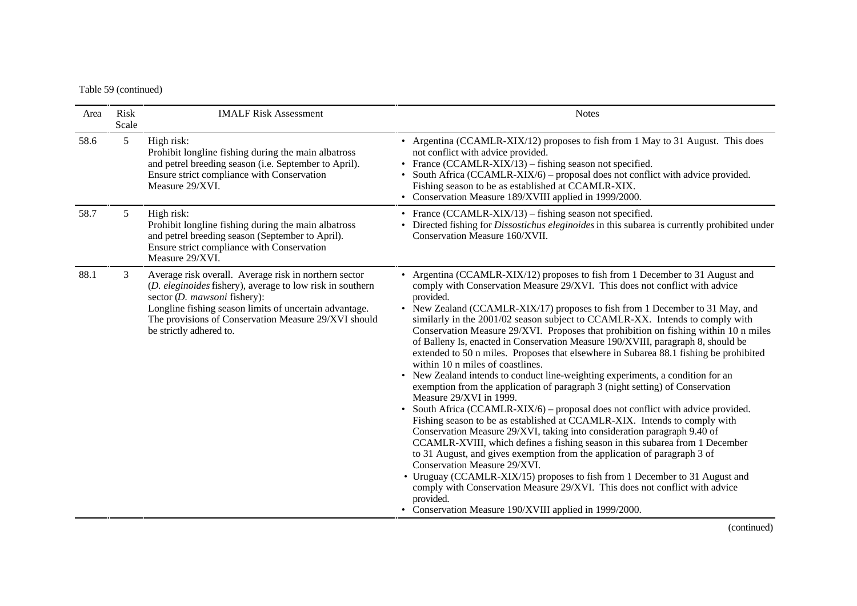## Table 59 (continued)

| Area | <b>Risk</b><br>Scale | <b>IMALF Risk Assessment</b>                                                                                                                                                                                                                                                                    | <b>Notes</b>                                                                                                                                                                                                                                                                                                                                                                                                                                                                                                                                                                                                                                                                                                                                                                                                                                                                                                                                                                                                                                                                                                                                                                                                                                                                                                                                                                                                                                                                                                                    |
|------|----------------------|-------------------------------------------------------------------------------------------------------------------------------------------------------------------------------------------------------------------------------------------------------------------------------------------------|---------------------------------------------------------------------------------------------------------------------------------------------------------------------------------------------------------------------------------------------------------------------------------------------------------------------------------------------------------------------------------------------------------------------------------------------------------------------------------------------------------------------------------------------------------------------------------------------------------------------------------------------------------------------------------------------------------------------------------------------------------------------------------------------------------------------------------------------------------------------------------------------------------------------------------------------------------------------------------------------------------------------------------------------------------------------------------------------------------------------------------------------------------------------------------------------------------------------------------------------------------------------------------------------------------------------------------------------------------------------------------------------------------------------------------------------------------------------------------------------------------------------------------|
| 58.6 | 5                    | High risk:<br>Prohibit longline fishing during the main albatross<br>and petrel breeding season (i.e. September to April).<br>Ensure strict compliance with Conservation<br>Measure 29/XVI.                                                                                                     | • Argentina (CCAMLR-XIX/12) proposes to fish from 1 May to 31 August. This does<br>not conflict with advice provided.<br>• France (CCAMLR-XIX $/13$ ) – fishing season not specified.<br>• South Africa (CCAMLR-XIX/6) – proposal does not conflict with advice provided.<br>Fishing season to be as established at CCAMLR-XIX.<br>• Conservation Measure 189/XVIII applied in 1999/2000.                                                                                                                                                                                                                                                                                                                                                                                                                                                                                                                                                                                                                                                                                                                                                                                                                                                                                                                                                                                                                                                                                                                                       |
| 58.7 | 5                    | High risk:<br>Prohibit longline fishing during the main albatross<br>and petrel breeding season (September to April).<br>Ensure strict compliance with Conservation<br>Measure 29/XVI.                                                                                                          | • France (CCAMLR-XIX/13) – fishing season not specified.<br>• Directed fishing for <i>Dissostichus eleginoides</i> in this subarea is currently prohibited under<br>Conservation Measure 160/XVII.                                                                                                                                                                                                                                                                                                                                                                                                                                                                                                                                                                                                                                                                                                                                                                                                                                                                                                                                                                                                                                                                                                                                                                                                                                                                                                                              |
| 88.1 | 3                    | Average risk overall. Average risk in northern sector<br>(D. eleginoides fishery), average to low risk in southern<br>sector (D. mawsoni fishery):<br>Longline fishing season limits of uncertain advantage.<br>The provisions of Conservation Measure 29/XVI should<br>be strictly adhered to. | • Argentina (CCAMLR-XIX/12) proposes to fish from 1 December to 31 August and<br>comply with Conservation Measure 29/XVI. This does not conflict with advice<br>provided.<br>• New Zealand (CCAMLR-XIX/17) proposes to fish from 1 December to 31 May, and<br>similarly in the 2001/02 season subject to CCAMLR-XX. Intends to comply with<br>Conservation Measure 29/XVI. Proposes that prohibition on fishing within 10 n miles<br>of Balleny Is, enacted in Conservation Measure 190/XVIII, paragraph 8, should be<br>extended to 50 n miles. Proposes that elsewhere in Subarea 88.1 fishing be prohibited<br>within 10 n miles of coastlines.<br>• New Zealand intends to conduct line-weighting experiments, a condition for an<br>exemption from the application of paragraph 3 (night setting) of Conservation<br>Measure 29/XVI in 1999.<br>• South Africa (CCAMLR-XIX/6) – proposal does not conflict with advice provided.<br>Fishing season to be as established at CCAMLR-XIX. Intends to comply with<br>Conservation Measure 29/XVI, taking into consideration paragraph 9.40 of<br>CCAMLR-XVIII, which defines a fishing season in this subarea from 1 December<br>to 31 August, and gives exemption from the application of paragraph 3 of<br>Conservation Measure 29/XVI.<br>• Uruguay (CCAMLR-XIX/15) proposes to fish from 1 December to 31 August and<br>comply with Conservation Measure 29/XVI. This does not conflict with advice<br>provided.<br>• Conservation Measure 190/XVIII applied in 1999/2000. |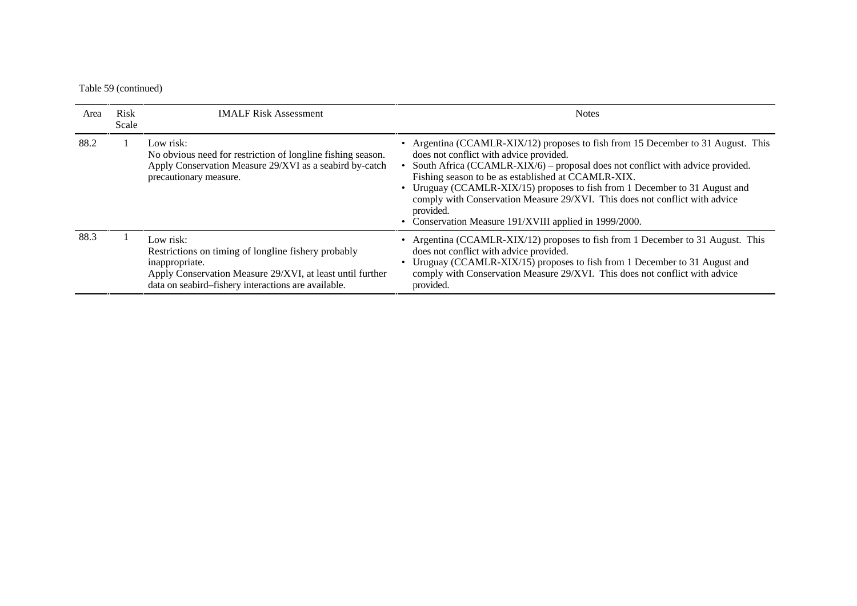#### Table 59 (continued)

| Area | <b>Risk</b><br>Scale | <b>IMALF Risk Assessment</b>                                                                                                                                                                           | <b>Notes</b>                                                                                                                                                                                                                                                                                                                                                                                                                                                                                             |
|------|----------------------|--------------------------------------------------------------------------------------------------------------------------------------------------------------------------------------------------------|----------------------------------------------------------------------------------------------------------------------------------------------------------------------------------------------------------------------------------------------------------------------------------------------------------------------------------------------------------------------------------------------------------------------------------------------------------------------------------------------------------|
| 88.2 |                      | Low risk:<br>No obvious need for restriction of longline fishing season.<br>Apply Conservation Measure 29/XVI as a seabird by-catch<br>precautionary measure.                                          | • Argentina (CCAMLR-XIX/12) proposes to fish from 15 December to 31 August. This<br>does not conflict with advice provided.<br>South Africa (CCAMLR-XIX/6) - proposal does not conflict with advice provided.<br>Fishing season to be as established at CCAMLR-XIX.<br>• Uruguay (CCAMLR-XIX/15) proposes to fish from 1 December to 31 August and<br>comply with Conservation Measure 29/XVI. This does not conflict with advice<br>provided.<br>• Conservation Measure 191/XVIII applied in 1999/2000. |
| 88.3 |                      | Low risk:<br>Restrictions on timing of longline fishery probably<br>inappropriate.<br>Apply Conservation Measure 29/XVI, at least until further<br>data on seabird-fishery interactions are available. | • Argentina (CCAMLR-XIX/12) proposes to fish from 1 December to 31 August. This<br>does not conflict with advice provided.<br>Uruguay (CCAMLR-XIX/15) proposes to fish from 1 December to 31 August and<br>comply with Conservation Measure 29/XVI. This does not conflict with advice<br>provided.                                                                                                                                                                                                      |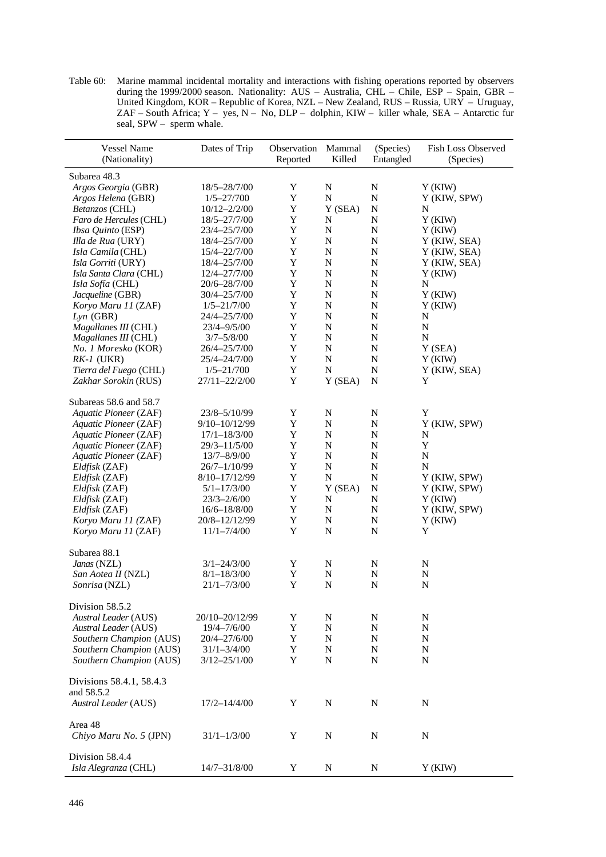Table 60: Marine mammal incidental mortality and interactions with fishing operations reported by observers during the 1999/2000 season. Nationality: AUS – Australia, CHL – Chile, ESP – Spain, GBR – United Kingdom, KOR – Republic of Korea, NZL – New Zealand, RUS – Russia, URY – Uruguay, ZAF – South Africa; Y – yes, N – No, DLP – dolphin, KIW – killer whale, SEA – Antarctic fur seal, SPW – sperm whale.

| <b>Vessel Name</b><br>(Nationality) | Dates of Trip    | Observation<br>Reported | Mammal<br>Killed | (Species)<br>Entangled | Fish Loss Observed<br>(Species) |
|-------------------------------------|------------------|-------------------------|------------------|------------------------|---------------------------------|
| Subarea 48.3                        |                  |                         |                  |                        |                                 |
| Argos Georgia (GBR)                 | 18/5-28/7/00     | Y                       | N                | N                      | Y(KIW)                          |
| Argos Helena (GBR)                  | $1/5 - 27/700$   | $\mathbf Y$             | $\mathbf N$      | ${\bf N}$              | Y (KIW, SPW)                    |
| Betanzos (CHL)                      | $10/12 - 2/2/00$ | Y                       | Y (SEA)          | ${\bf N}$              | N                               |
| Faro de Hercules (CHL)              | 18/5-27/7/00     | Y                       | $\mathbf N$      | N                      | Y(KIW)                          |
| Ibsa Quinto (ESP)                   | 23/4-25/7/00     | Y                       | $\mathbf N$      | ${\bf N}$              | Y(KIW)                          |
| Illa de Rua (URY)                   | 18/4-25/7/00     | $\mathbf Y$             | ${\bf N}$        | $\mathbf N$            | Y (KIW, SEA)                    |
| Isla Camila (CHL)                   | 15/4-22/7/00     | Y                       | $\mathbf N$      | N                      | Y (KIW, SEA)                    |
| Isla Gorriti (URY)                  | 18/4-25/7/00     | $\mathbf Y$             | $\mathbf N$      | N                      | Y (KIW, SEA)                    |
| Isla Santa Clara (CHL)              | 12/4-27/7/00     | Y                       | $\mathbf N$      | N                      | Y(KIW)                          |
| Isla Sofía (CHL)                    | 20/6-28/7/00     | Y                       | $\mathbf N$      | N                      | N                               |
| Jacqueline (GBR)                    | 30/4-25/7/00     | Y                       | N                | N                      | Y(KIW)                          |
| Koryo Maru 11 (ZAF)                 | $1/5 - 21/7/00$  | $\mathbf Y$             | ${\bf N}$        | N                      | Y(KIW)                          |
| $Lyn$ (GBR)                         | 24/4-25/7/00     | $\mathbf Y$             | ${\bf N}$        | N                      | N                               |
| Magallanes III (CHL)                | 23/4-9/5/00      | Y                       | $\mathbf N$      | N                      | N                               |
| Magallanes III (CHL)                | $3/7 - 5/8/00$   | Y                       | ${\bf N}$        | N                      | N                               |
| No. 1 Moresko (KOR)                 | 26/4-25/7/00     | Y                       | ${\bf N}$        | N                      | Y (SEA)                         |
| $RK-I$ (UKR)                        | 25/4-24/7/00     | Y                       | ${\bf N}$        | N                      | Y(KIW)                          |
| Tierra del Fuego (CHL)              | $1/5 - 21/700$   | $\mathbf Y$             | N                | ${\bf N}$              | Y (KIW, SEA)                    |
| Zakhar Sorokin (RUS)                | 27/11-22/2/00    | Y                       | Y (SEA)          | N                      | Y                               |
|                                     |                  |                         |                  |                        |                                 |
| Subareas 58.6 and 58.7              |                  |                         |                  |                        |                                 |
| Aquatic Pioneer (ZAF)               | 23/8-5/10/99     | $\mathbf Y$             | N                | N                      | Y                               |
| Aquatic Pioneer (ZAF)               | 9/10-10/12/99    | $\mathbf Y$             | ${\bf N}$        | N                      | Y (KIW, SPW)                    |
| Aquatic Pioneer (ZAF)               | $17/1 - 18/3/00$ | $\mathbf Y$             | ${\bf N}$        | ${\bf N}$              | N                               |
| Aquatic Pioneer (ZAF)               | $29/3 - 11/5/00$ | Y                       | $\mathbf N$      | N                      | Y                               |
| Aquatic Pioneer (ZAF)               | 13/7-8/9/00      | Y                       | N                | N                      | N                               |
| Eldfisk (ZAF)                       | $26/7 - 1/10/99$ | Y                       | ${\bf N}$        | $\mathbf N$            | N                               |
| Eldfisk (ZAF)                       | 8/10-17/12/99    | Y                       | $\mathbf N$      | ${\bf N}$              | Y (KIW, SPW)                    |
| Eldfisk (ZAF)                       | $5/1 - 17/3/00$  | Y                       | Y(SEA)           | $\mathbf N$            | Y (KIW, SPW)                    |
| Eldfisk (ZAF)                       | $23/3 - 2/6/00$  | Y                       | $\mathbf N$      | ${\bf N}$              | Y(KIW)                          |
| Eldfisk (ZAF)                       | $16/6 - 18/8/00$ | $\mathbf Y$             | ${\bf N}$        | $\mathbf N$            | Y (KIW, SPW)                    |
| Koryo Maru 11 (ZAF)                 | 20/8-12/12/99    | Y                       | N                | N                      | Y(KIW)                          |
| Koryo Maru 11 (ZAF)                 | $11/1 - 7/4/00$  | $\mathbf Y$             | $\mathbf N$      | N                      | Y                               |
|                                     |                  |                         |                  |                        |                                 |
| Subarea 88.1                        |                  |                         |                  |                        |                                 |
| Janas (NZL)                         | $3/1 - 24/3/00$  | Y                       | N                | N                      | N                               |
| San Aotea II (NZL)                  | $8/1 - 18/3/00$  | Y                       | ${\bf N}$        | ${\bf N}$              | ${\bf N}$                       |
| Sonrisa (NZL)                       | $21/1 - 7/3/00$  | Y                       | $\mathbf N$      | N                      | ${\bf N}$                       |
|                                     |                  |                         |                  |                        |                                 |
| Division 58.5.2                     |                  |                         |                  |                        |                                 |
| Austral Leader (AUS)                | 20/10-20/12/99   | Y                       | N                | N                      | N                               |
| <b>Austral Leader</b> (AUS)         | $19/4 - 7/6/00$  | Y                       | N                | N                      | N                               |
| Southern Champion (AUS)             | 20/4-27/6/00     | $\mathbf Y$             | N                | N                      | N                               |
| Southern Champion (AUS)             | $31/1 - 3/4/00$  | Y                       | N                | N                      | N                               |
| Southern Champion (AUS)             | $3/12 - 25/1/00$ | Y                       | N                | N                      | N                               |
| Divisions 58.4.1, 58.4.3            |                  |                         |                  |                        |                                 |
| and 58.5.2                          |                  |                         |                  |                        |                                 |
| <b>Austral Leader</b> (AUS)         | $17/2 - 14/4/00$ | Y                       | N                | N                      | N                               |
| Area 48<br>Chiyo Maru No. 5 (JPN)   | $31/1 - 1/3/00$  | Y                       | N                | N                      | N                               |
|                                     |                  |                         |                  |                        |                                 |
| Division 58.4.4                     |                  |                         |                  |                        |                                 |
| Isla Alegranza (CHL)                | 14/7-31/8/00     | Y                       | N                | N                      | Y(KIW)                          |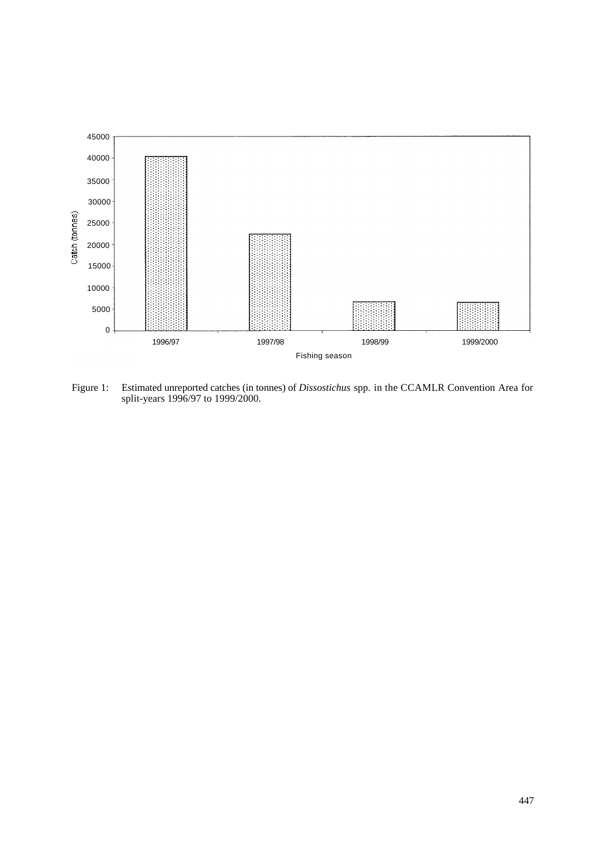

Figure 1: Estimated unreported catches (in tonnes) of *Dissostichus* spp*.* in the CCAMLR Convention Area for split-years 1996/97 to 1999/2000.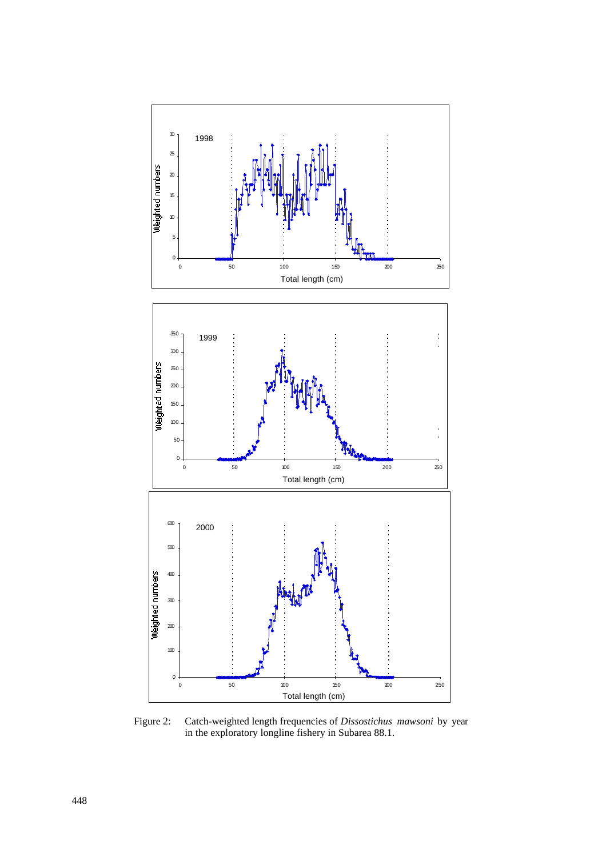

Figure 2: Catch-weighted length frequencies of *Dissostichus mawsoni* by year in the exploratory longline fishery in Subarea 88.1.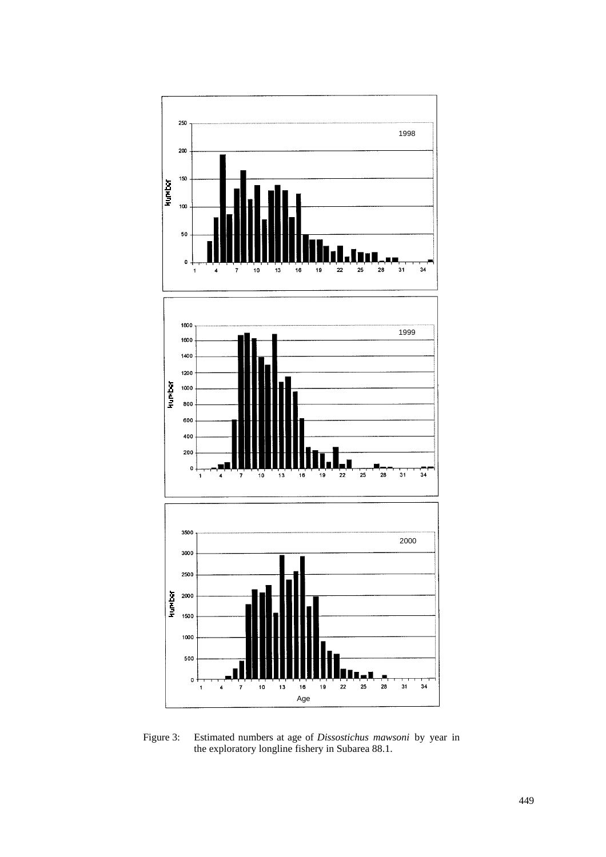

Figure 3: Estimated numbers at age of *Dissostichus mawsoni* by year in the exploratory longline fishery in Subarea 88.1.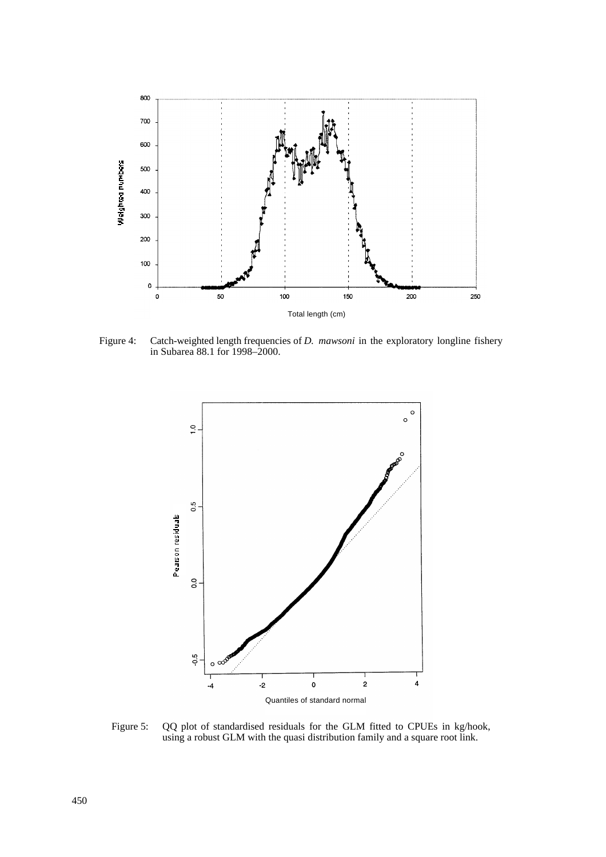

Figure 4: Catch-weighted length frequencies of *D. mawsoni* in the exploratory longline fishery in Subarea 88.1 for 1998–2000.



Figure 5: QQ plot of standardised residuals for the GLM fitted to CPUEs in kg/hook, using a robust GLM with the quasi distribution family and a square root link.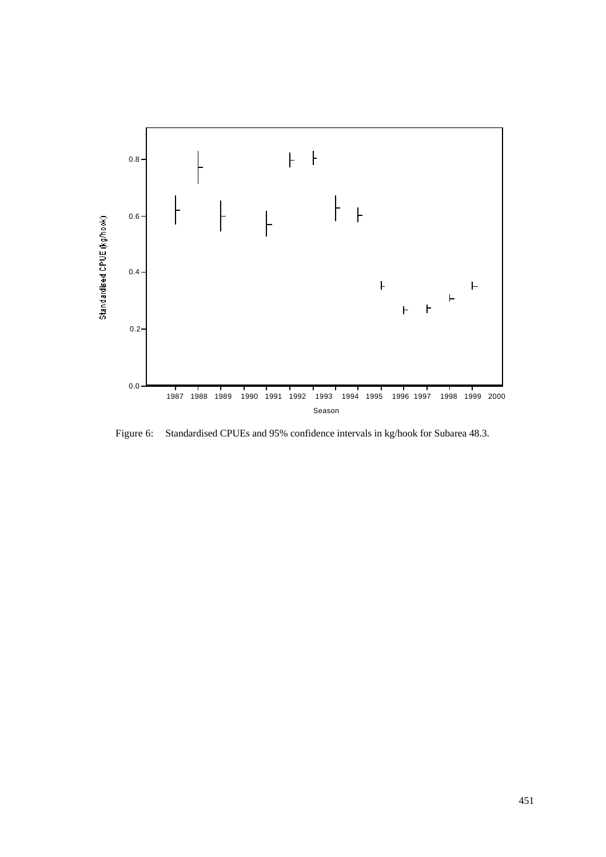

Figure 6: Standardised CPUEs and 95% confidence intervals in kg/hook for Subarea 48.3.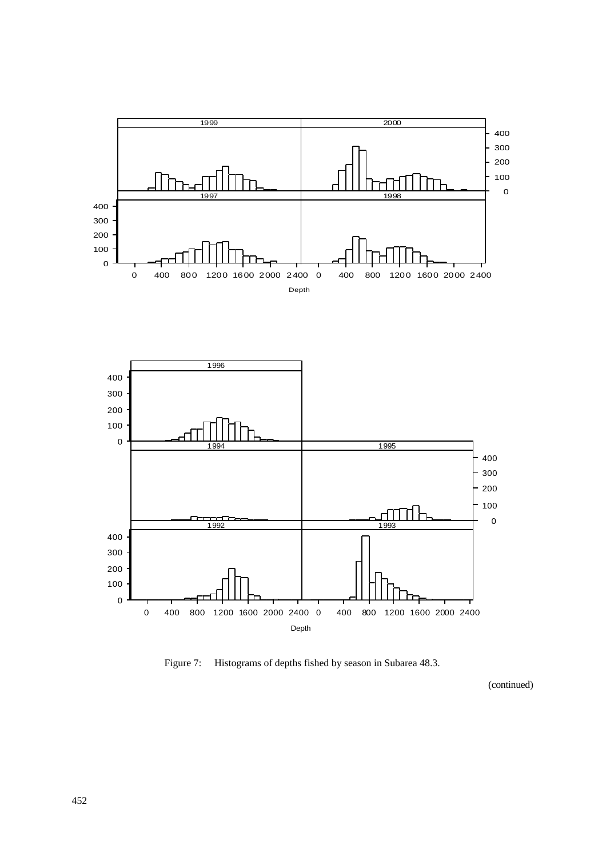



Figure 7: Histograms of depths fished by season in Subarea 48.3.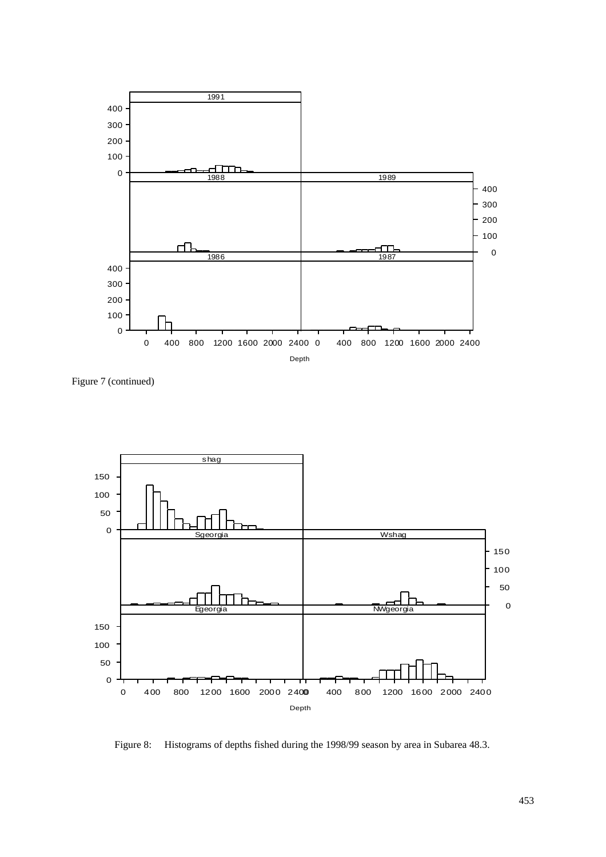

Figure 7 (continued)



Figure 8: Histograms of depths fished during the 1998/99 season by area in Subarea 48.3.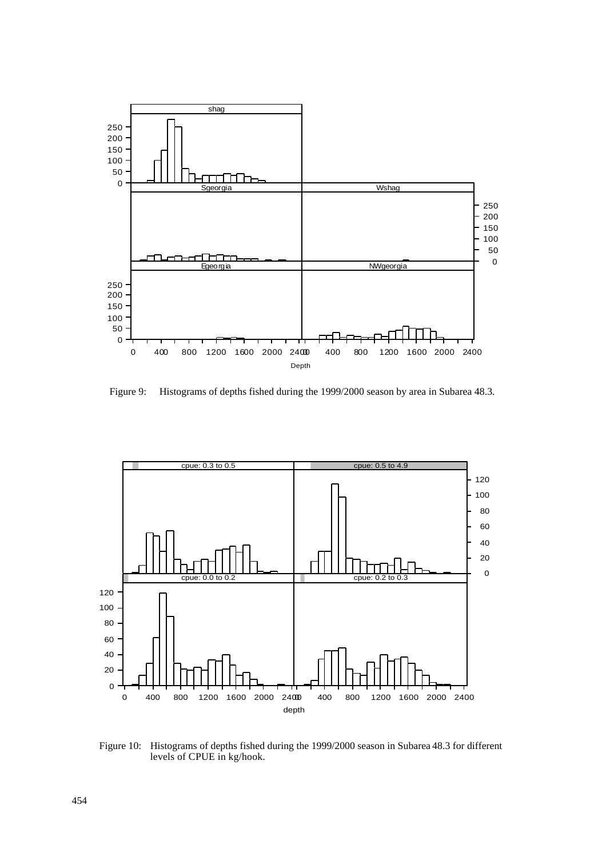

Figure 9: Histograms of depths fished during the 1999/2000 season by area in Subarea 48.3.



Figure 10: Histograms of depths fished during the 1999/2000 season in Subarea 48.3 for different levels of CPUE in kg/hook.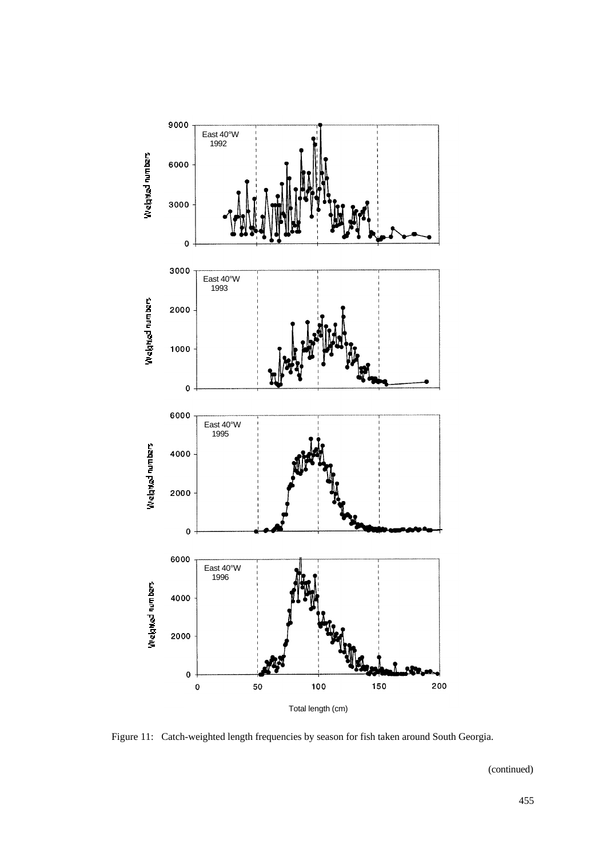

Figure 11: Catch-weighted length frequencies by season for fish taken around South Georgia.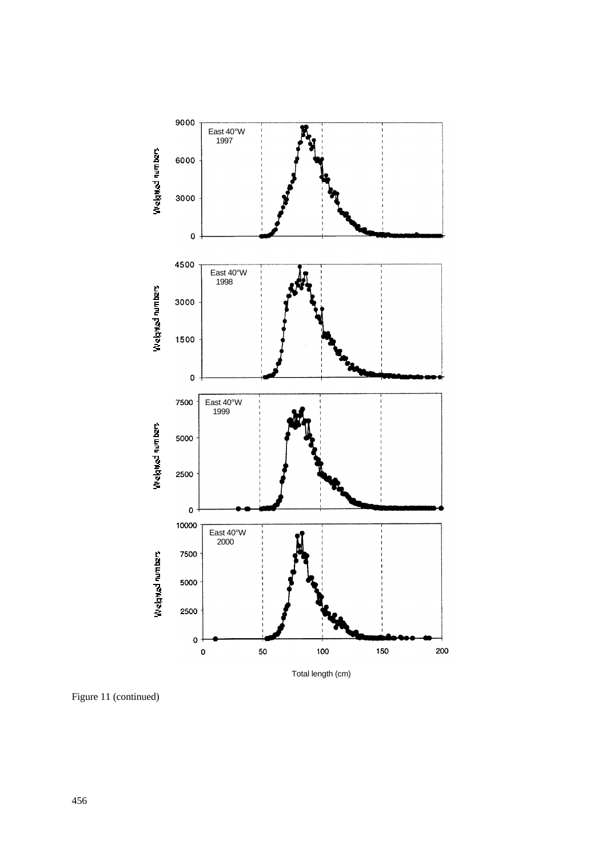

Figure 11 (continued)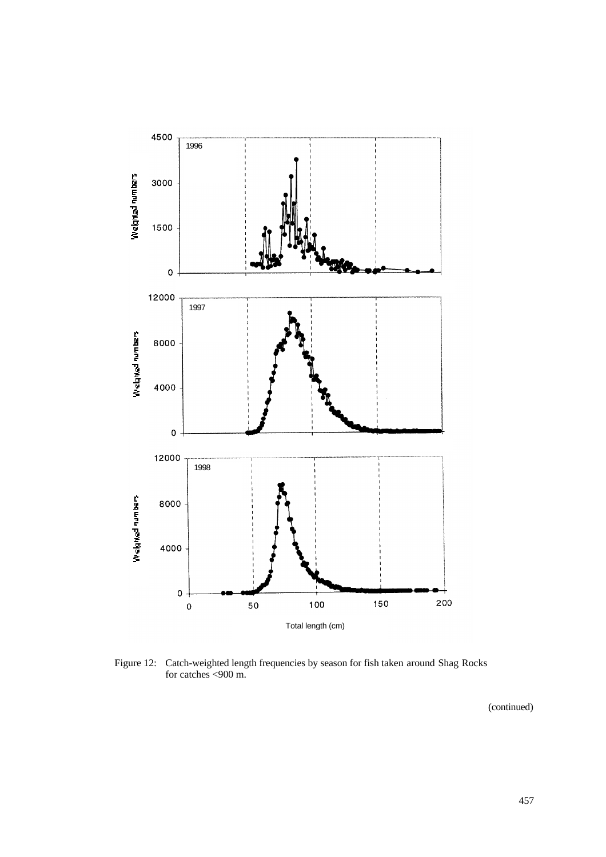

Figure 12: Catch-weighted length frequencies by season for fish taken around Shag Rocks for catches <900 m.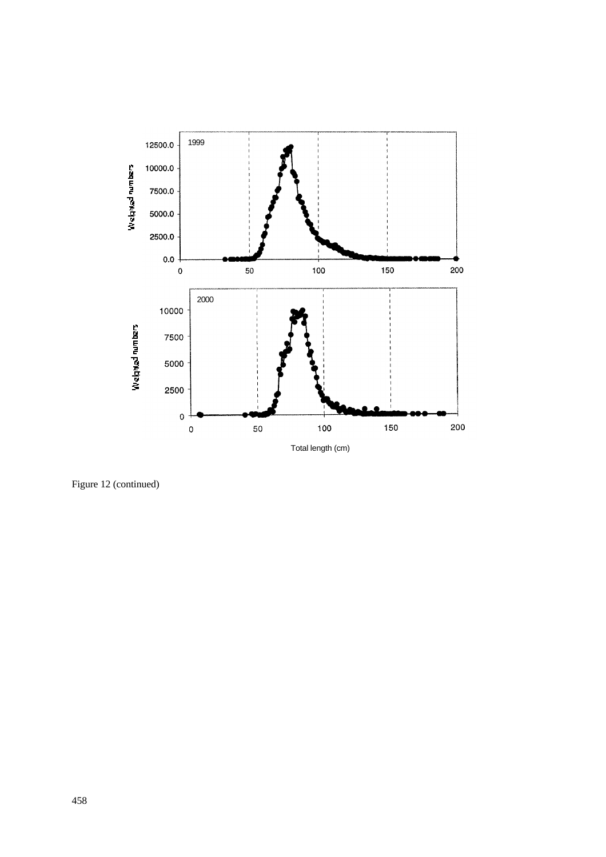

Figure 12 (continued)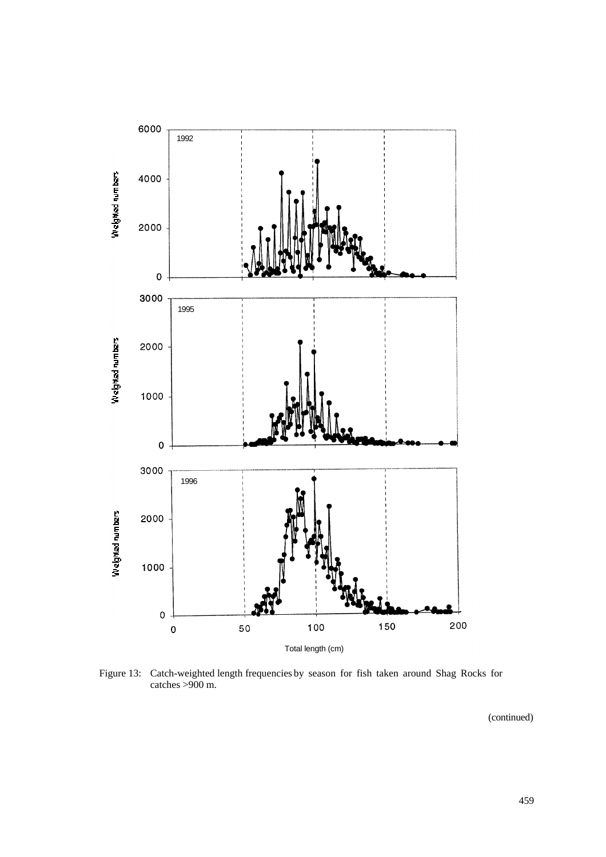

Figure 13: Catch-weighted length frequencies by season for fish taken around Shag Rocks for catches >900 m.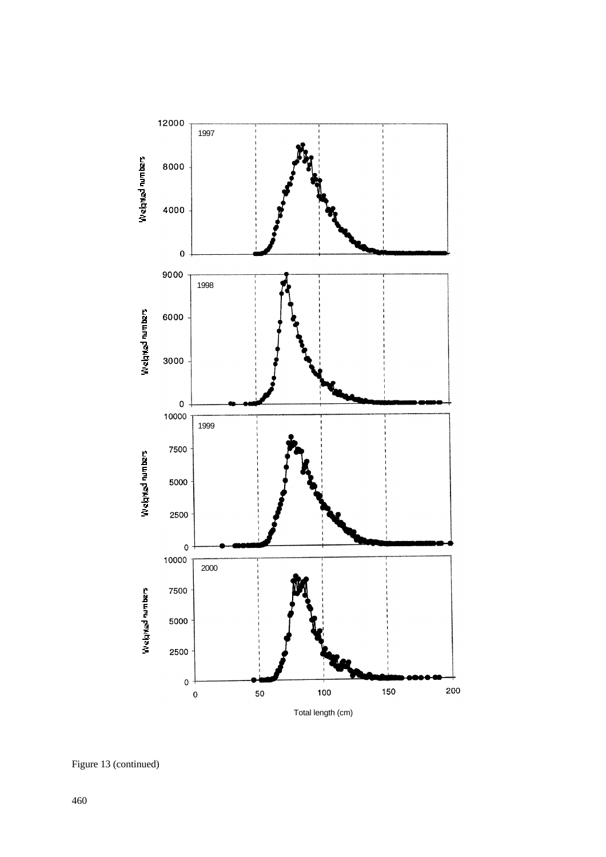

Figure 13 (continued)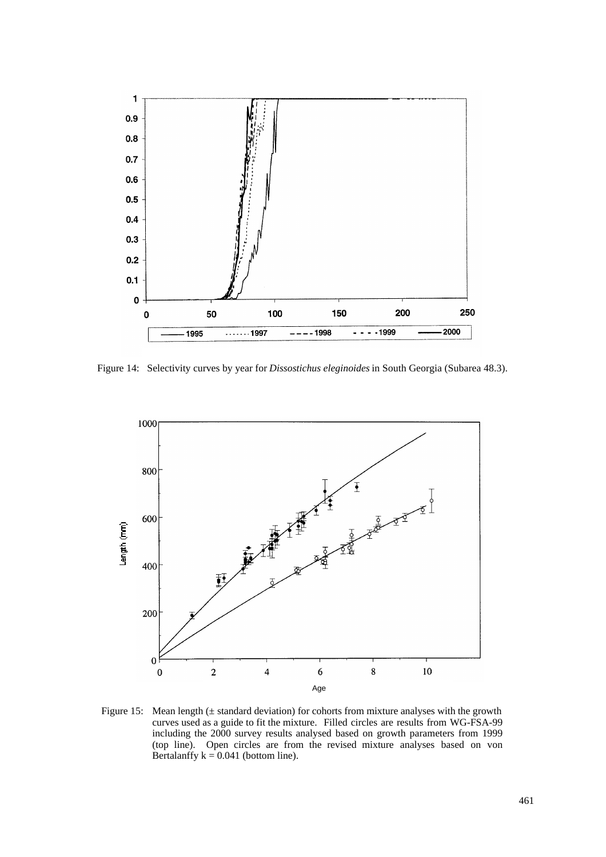

Figure 14: Selectivity curves by year for *Dissostichus eleginoides* in South Georgia (Subarea 48.3).



Figure 15: Mean length  $(\pm$  standard deviation) for cohorts from mixture analyses with the growth curves used as a guide to fit the mixture. Filled circles are results from WG-FSA-99 including the 2000 survey results analysed based on growth parameters from 1999 (top line). Open circles are from the revised mixture analyses based on von Bertalanffy  $k = 0.041$  (bottom line).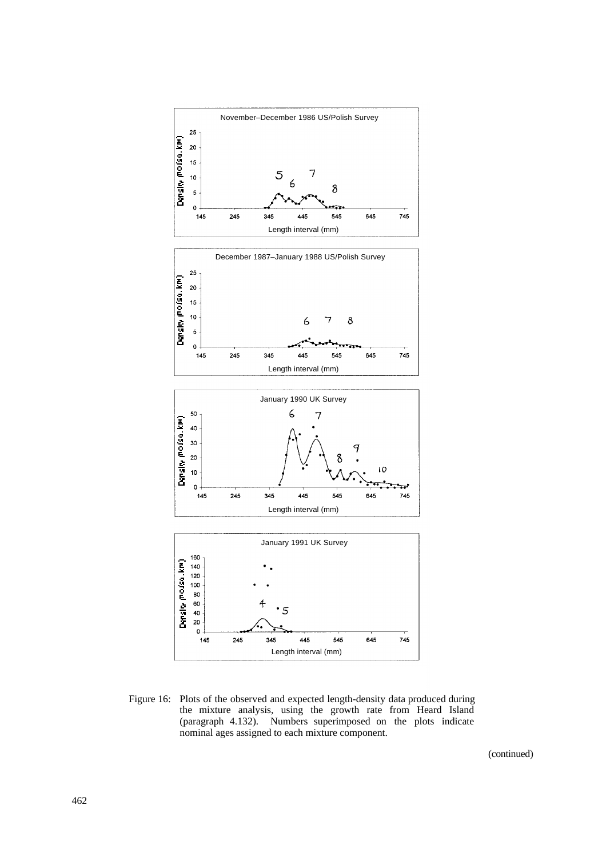

Figure 16: Plots of the observed and expected length-density data produced during the mixture analysis, using the growth rate from Heard Island (paragraph 4.132). Numbers superimposed on the plots indicate nominal ages assigned to each mixture component.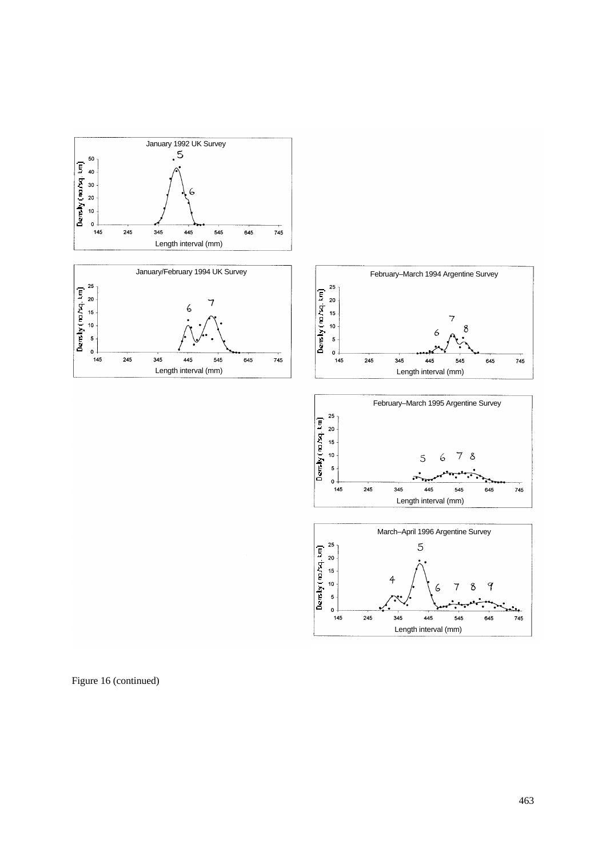







Figure 16 (continued)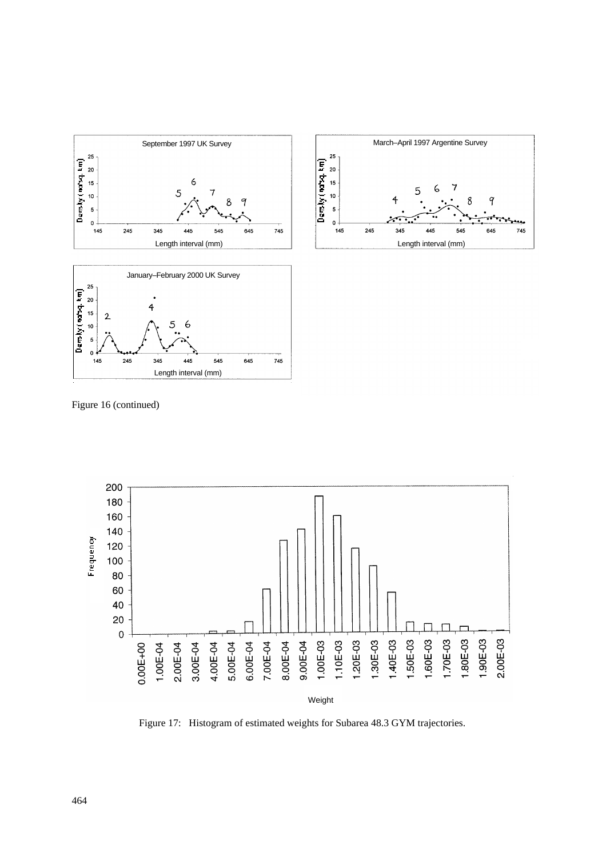



Figure 16 (continued)



Figure 17: Histogram of estimated weights for Subarea 48.3 GYM trajectories.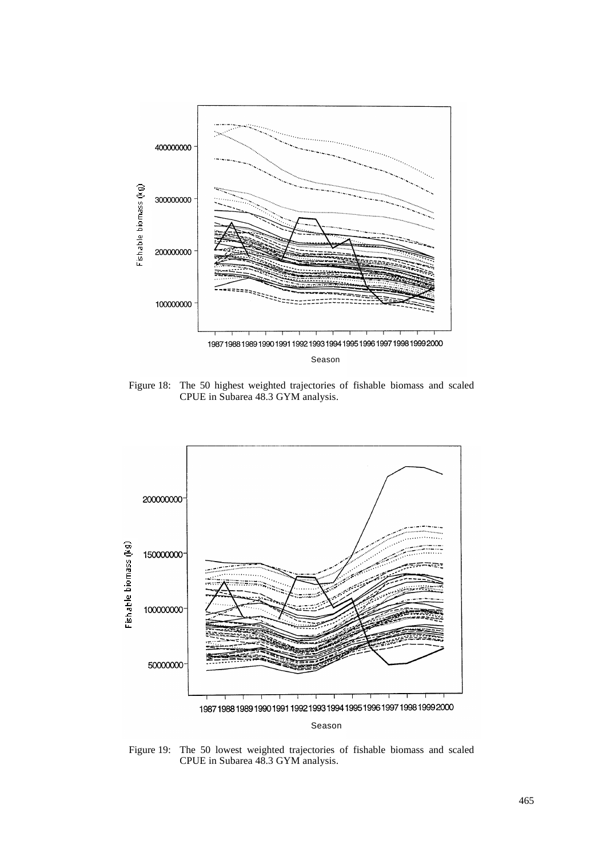

Figure 18: The 50 highest weighted trajectories of fishable biomass and scaled CPUE in Subarea 48.3 GYM analysis.



Figure 19: The 50 lowest weighted trajectories of fishable biomass and scaled CPUE in Subarea 48.3 GYM analysis.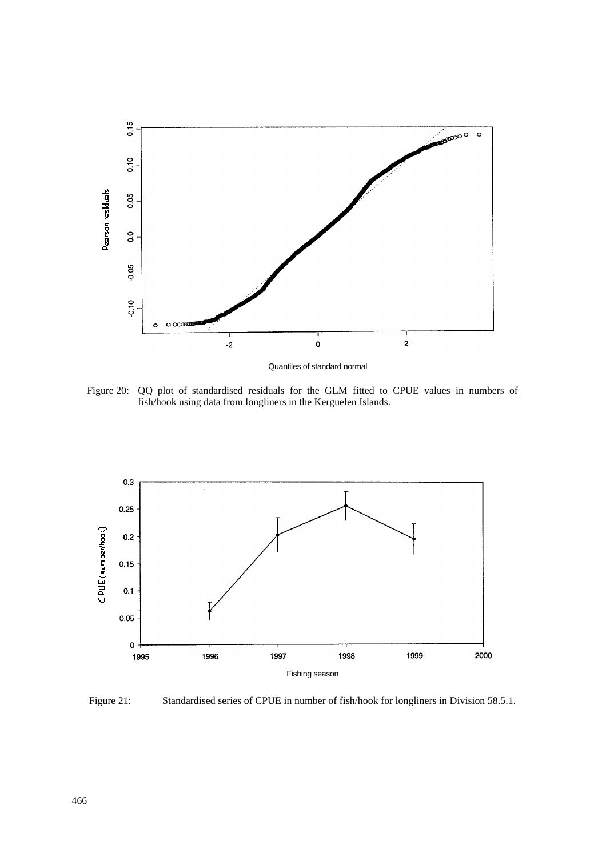

Quantiles of standard normal

Figure 20: QQ plot of standardised residuals for the GLM fitted to CPUE values in numbers of fish/hook using data from longliners in the Kerguelen Islands.



Figure 21: Standardised series of CPUE in number of fish/hook for longliners in Division 58.5.1.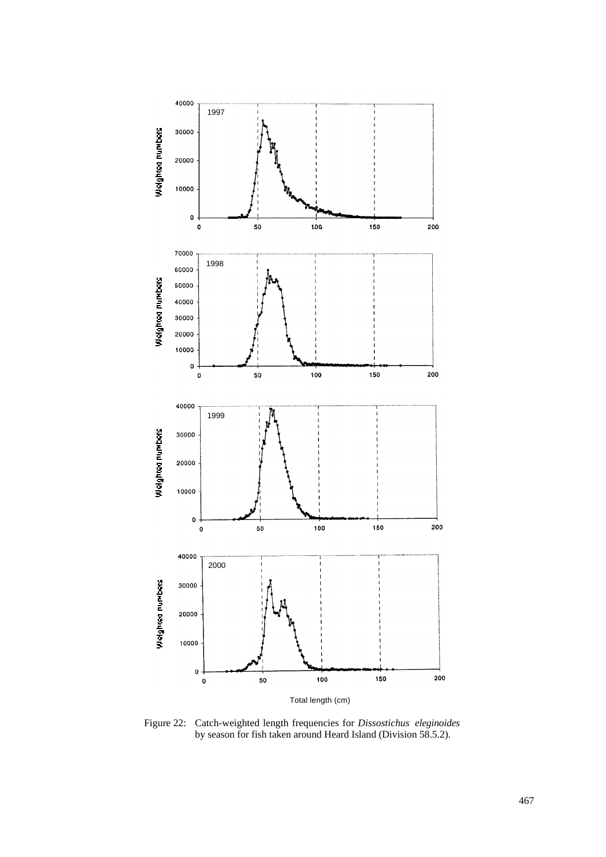

Figure 22: Catch-weighted length frequencies for *Dissostichus eleginoides* by season for fish taken around Heard Island (Division 58.5.2).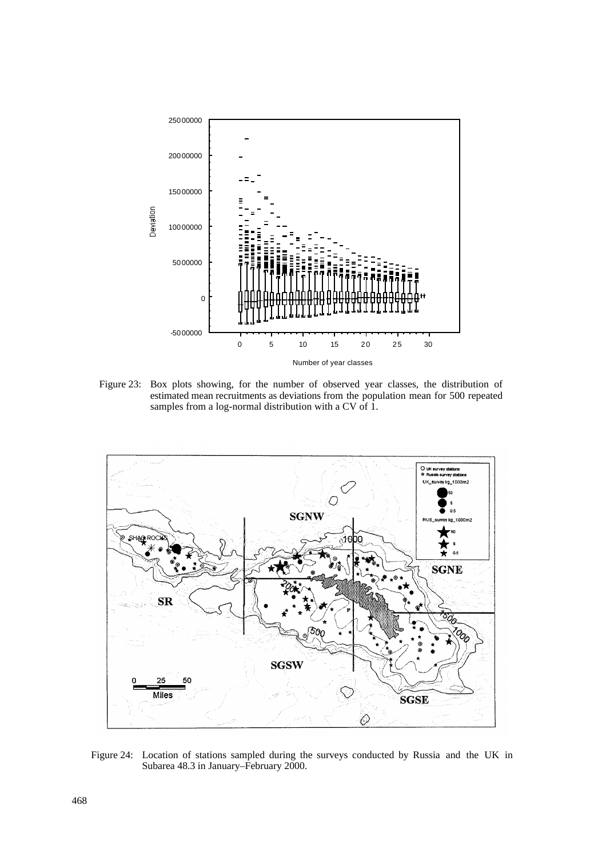

Figure 23: Box plots showing, for the number of observed year classes, the distribution of estimated mean recruitments as deviations from the population mean for 500 repeated samples from a log-normal distribution with a CV of 1.



Figure 24: Location of stations sampled during the surveys conducted by Russia and the UK in Subarea 48.3 in January–February 2000.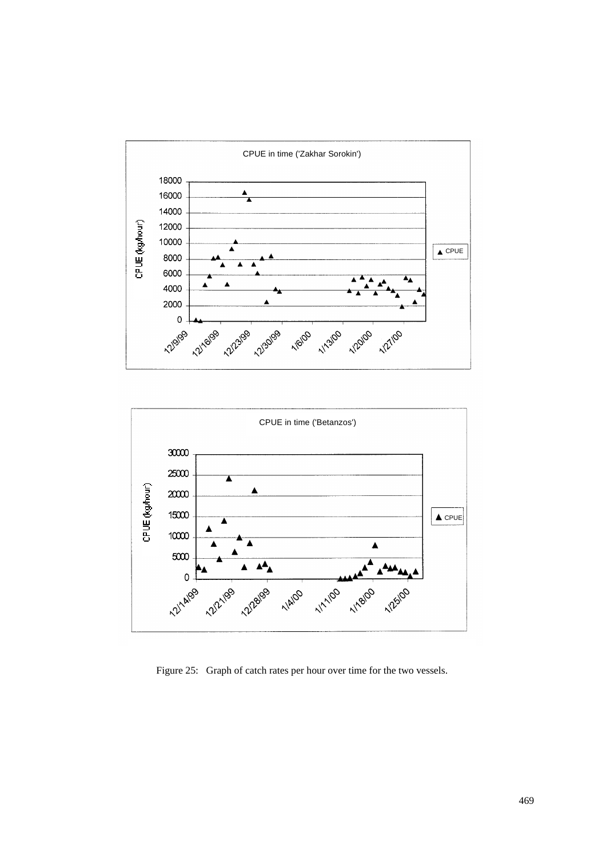



Figure 25: Graph of catch rates per hour over time for the two vessels.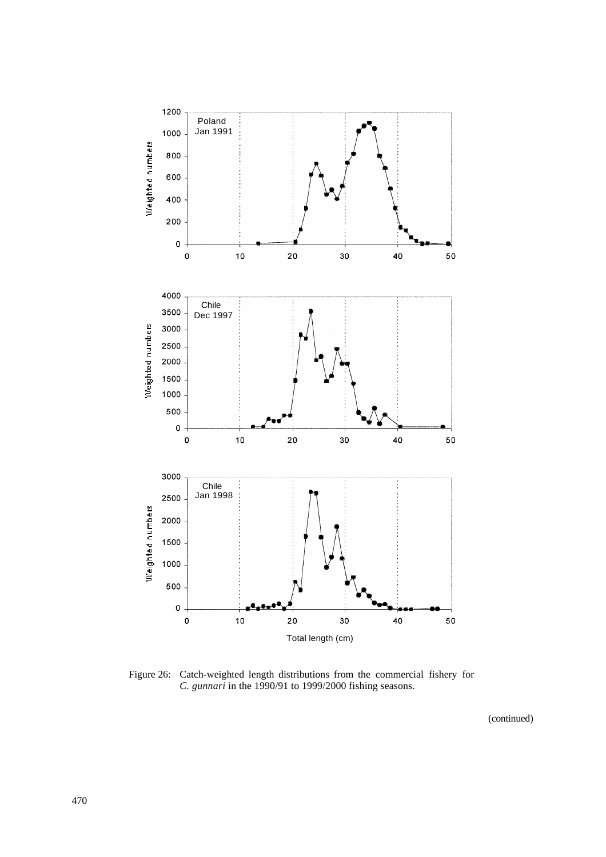

Figure 26: Catch-weighted length distributions from the commercial fishery for *C. gunnari* in the 1990/91 to 1999/2000 fishing seasons.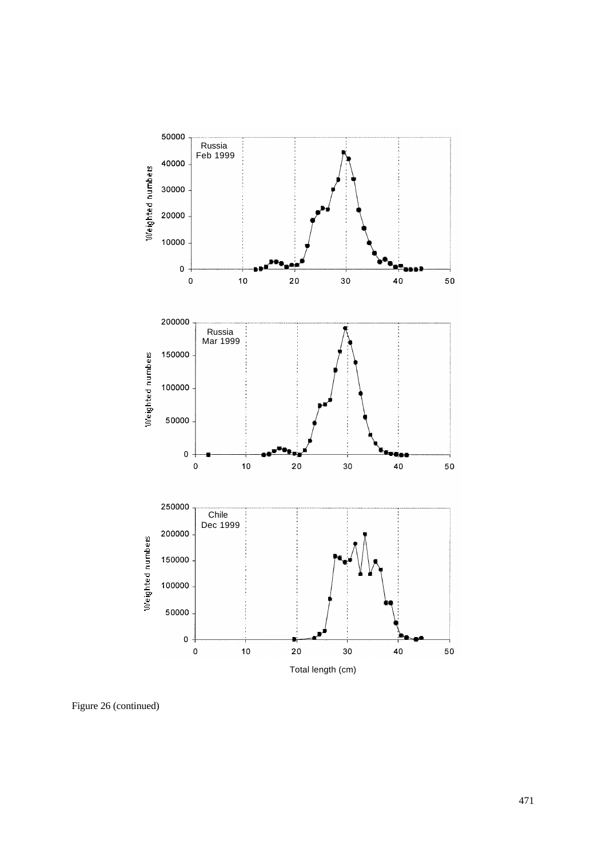

Figure 26 (continued)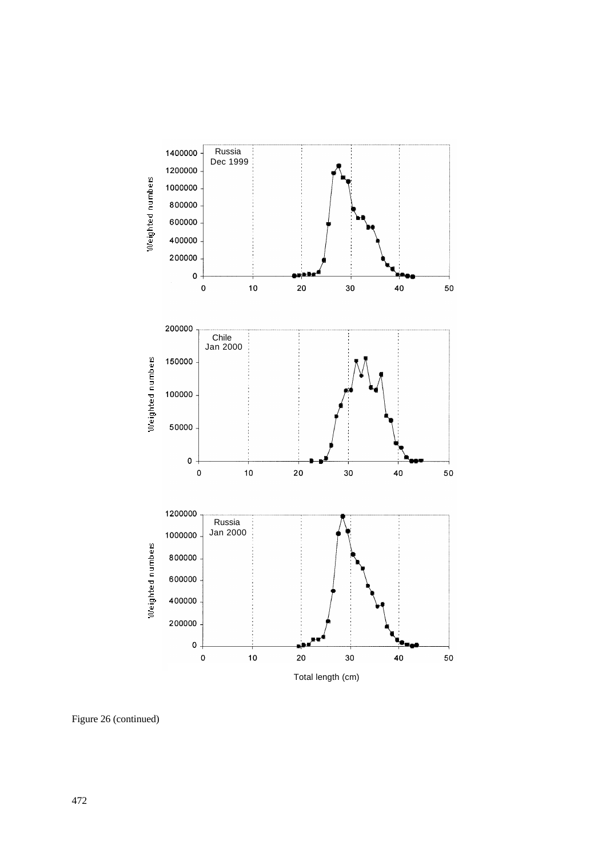

Figure 26 (continued)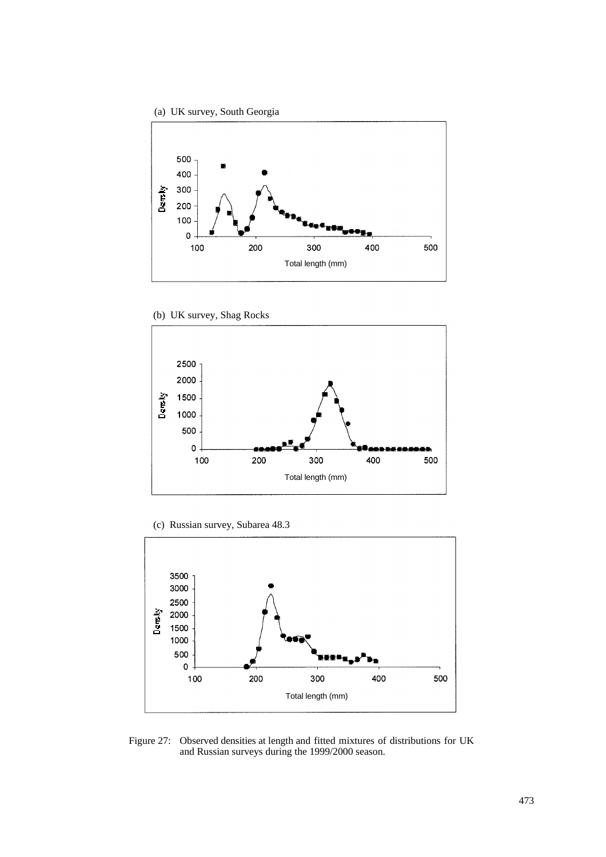



(b) UK survey, Shag Rocks



(c) Russian survey, Subarea 48.3



Figure 27: Observed densities at length and fitted mixtures of distributions for UK and Russian surveys during the 1999/2000 season.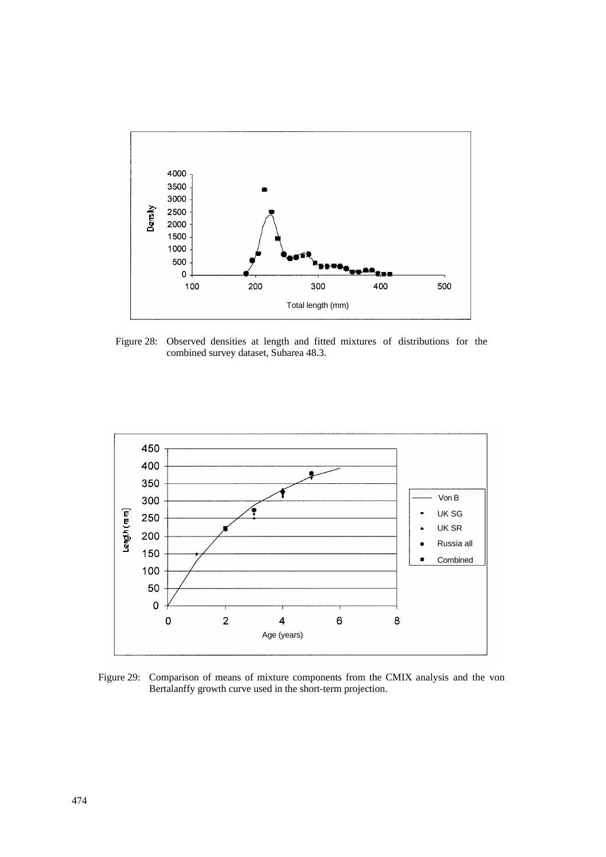

Figure 28: Observed densities at length and fitted mixtures of distributions for the combined survey dataset, Subarea 48.3.



Figure 29: Comparison of means of mixture components from the CMIX analysis and the von Bertalanffy growth curve used in the short-term projection.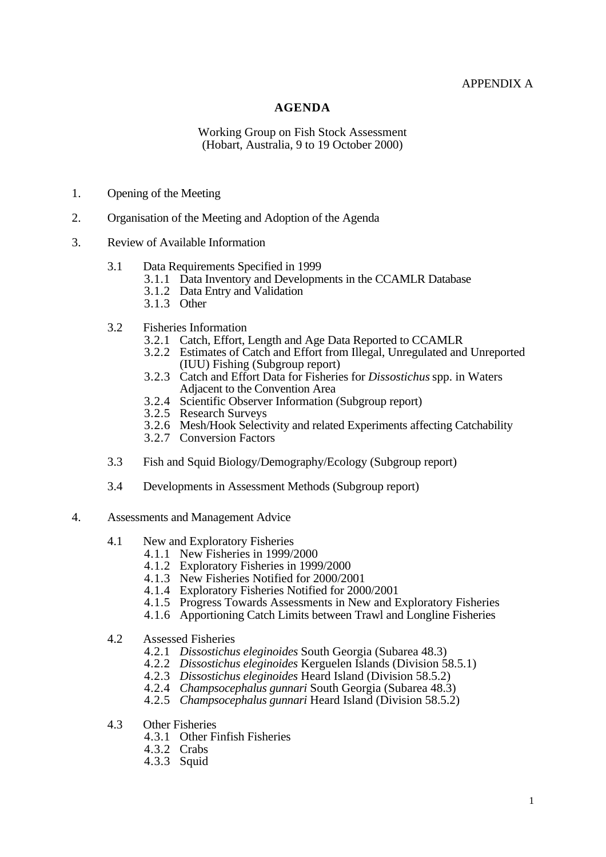## APPENDIX A

## **AGENDA**

#### Working Group on Fish Stock Assessment (Hobart, Australia, 9 to 19 October 2000)

- 1. Opening of the Meeting
- 2. Organisation of the Meeting and Adoption of the Agenda
- 3. Review of Available Information
	- 3.1 Data Requirements Specified in 1999
		- 3.1.1 Data Inventory and Developments in the CCAMLR Database
		- 3.1.2 Data Entry and Validation
		- 3.1.3 Other
	- 3.2 Fisheries Information
		- 3.2.1 Catch, Effort, Length and Age Data Reported to CCAMLR
		- 3.2.2 Estimates of Catch and Effort from Illegal, Unregulated and Unreported (IUU) Fishing (Subgroup report)
		- 3.2.3 Catch and Effort Data for Fisheries for *Dissostichus* spp. in Waters Adjacent to the Convention Area
		- 3.2.4 Scientific Observer Information (Subgroup report)
		- 3.2.5 Research Surveys
		- 3.2.6 Mesh/Hook Selectivity and related Experiments affecting Catchability
		- 3.2.7 Conversion Factors
	- 3.3 Fish and Squid Biology/Demography/Ecology (Subgroup report)
	- 3.4 Developments in Assessment Methods (Subgroup report)
- 4. Assessments and Management Advice
	- 4.1 New and Exploratory Fisheries
		- 4.1.1 New Fisheries in 1999/2000
		- 4.1.2 Exploratory Fisheries in 1999/2000
		- 4.1.3 New Fisheries Notified for 2000/2001
		- 4.1.4 Exploratory Fisheries Notified for 2000/2001
		- 4.1.5 Progress Towards Assessments in New and Exploratory Fisheries
		- 4.1.6 Apportioning Catch Limits between Trawl and Longline Fisheries
	- 4.2 Assessed Fisheries
		- 4.2.1 *Dissostichus eleginoides* South Georgia (Subarea 48.3)
		- 4.2.2 *Dissostichus eleginoides* Kerguelen Islands (Division 58.5.1)
		- 4.2.3 *Dissostichus eleginoides* Heard Island (Division 58.5.2)
		- 4.2.4 *Champsocephalus gunnari* South Georgia (Subarea 48.3)
		- 4.2.5 *Champsocephalus gunnari* Heard Island (Division 58.5.2)
	- 4.3 Other Fisheries
		- 4.3.1 Other Finfish Fisheries
		- 4.3.2 Crabs
		- 4.3.3 Squid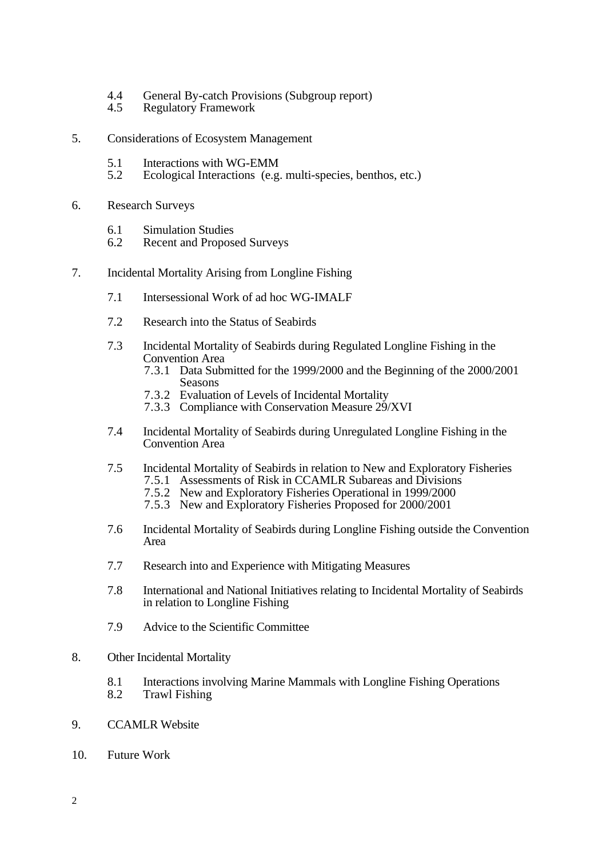- 4.4 General By-catch Provisions (Subgroup report)<br>4.5 Regulatory Framework
- **Regulatory Framework**
- 5. Considerations of Ecosystem Management
	- 5.1 Interactions with WG-EMM<br>5.2 Ecological Interactions (e.g.
	- Ecological Interactions (e.g. multi-species, benthos, etc.)
- 6. Research Surveys
	- 6.1 Simulation Studies<br>6.2 Recent and Propose
	- Recent and Proposed Surveys
- 7. Incidental Mortality Arising from Longline Fishing
	- 7.1 Intersessional Work of ad hoc WG-IMALF
	- 7.2 Research into the Status of Seabirds
	- 7.3 Incidental Mortality of Seabirds during Regulated Longline Fishing in the Convention Area
		- 7.3.1 Data Submitted for the 1999/2000 and the Beginning of the 2000/2001 Seasons
		- 7.3.2 Evaluation of Levels of Incidental Mortality
		- 7.3.3 Compliance with Conservation Measure 29/XVI
	- 7.4 Incidental Mortality of Seabirds during Unregulated Longline Fishing in the Convention Area
	- 7.5 Incidental Mortality of Seabirds in relation to New and Exploratory Fisheries
		- 7.5.1 Assessments of Risk in CCAMLR Subareas and Divisions
		- 7.5.2 New and Exploratory Fisheries Operational in 1999/2000 7.5.3 New and Exploratory Fisheries Proposed for 2000/2001
	- 7.6 Incidental Mortality of Seabirds during Longline Fishing outside the Convention Area
	- 7.7 Research into and Experience with Mitigating Measures
	- 7.8 International and National Initiatives relating to Incidental Mortality of Seabirds in relation to Longline Fishing
	- 7.9 Advice to the Scientific Committee
- 8. Other Incidental Mortality
	- 8.1 Interactions involving Marine Mammals with Longline Fishing Operations
	- 8.2 Trawl Fishing
- 9. CCAMLR Website
- 10. Future Work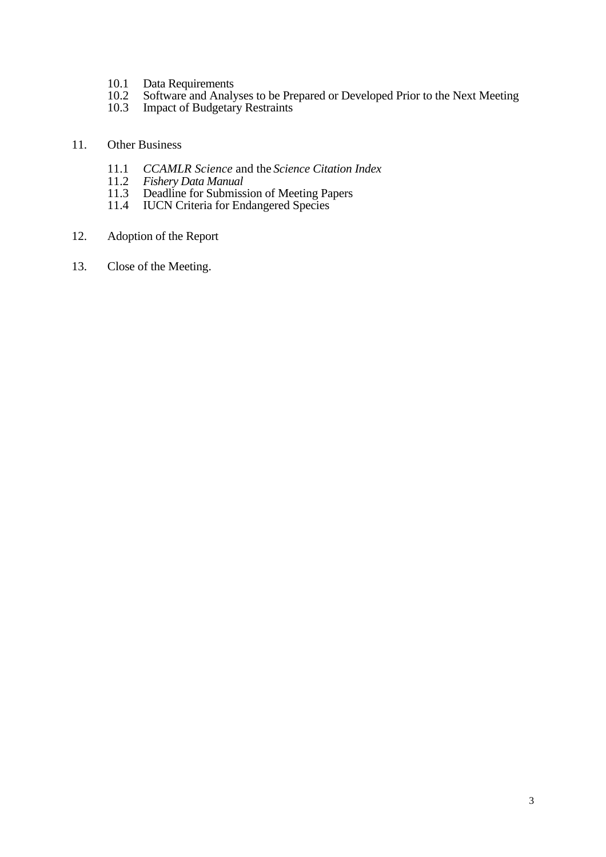- 10.1 Data Requirements<br>10.2 Software and Analy
- 10.2 Software and Analyses to be Prepared or Developed Prior to the Next Meeting
- 10.3 Impact of Budgetary Restraints

## 11. Other Business

- 11.1 *CCAMLR Science* and the *Science Citation Index*
- 11.2 *Fishery Data Manual*
- 11.3 Deadline for Submission of Meeting Papers
- 11.4 IUCN Criteria for Endangered Species
- 12. Adoption of the Report
- 13. Close of the Meeting.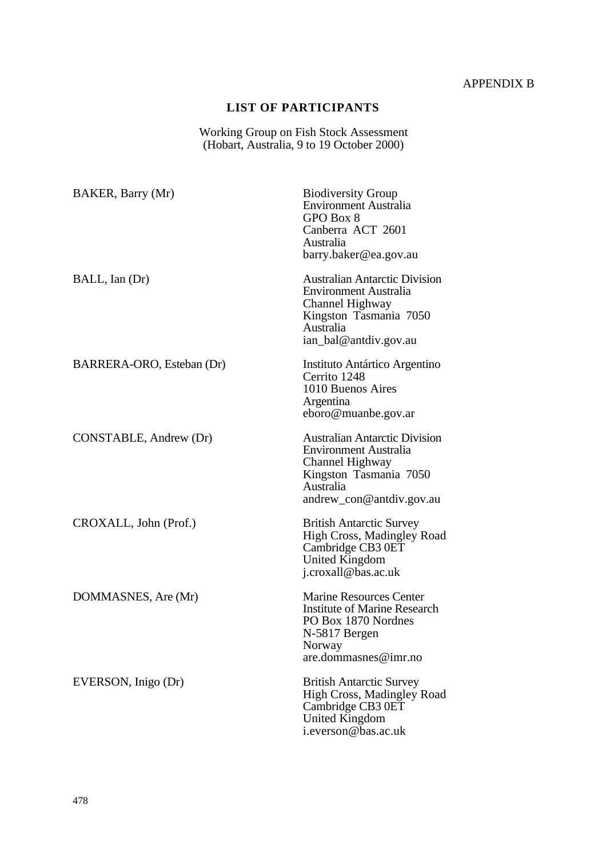# APPENDIX B

# **LIST OF PARTICIPANTS**

Working Group on Fish Stock Assessment (Hobart, Australia, 9 to 19 October 2000)

| BAKER, Barry (Mr)         | <b>Biodiversity Group</b><br><b>Environment Australia</b><br>GPO Box 8<br>Canberra ACT 2601<br>Australia<br>barry.baker@ea.gov.au                          |
|---------------------------|------------------------------------------------------------------------------------------------------------------------------------------------------------|
| BALL, Ian (Dr)            | <b>Australian Antarctic Division</b><br><b>Environment Australia</b><br>Channel Highway<br>Kingston Tasmania 7050<br>Australia<br>ian_bal@antdiv.gov.au    |
| BARRERA-ORO, Esteban (Dr) | Instituto Antártico Argentino<br>Cerrito 1248<br>1010 Buenos Aires<br>Argentina<br>eboro@muanbe.gov.ar                                                     |
| CONSTABLE, Andrew (Dr)    | <b>Australian Antarctic Division</b><br><b>Environment Australia</b><br>Channel Highway<br>Kingston Tasmania 7050<br>Australia<br>andrew_con@antdiv.gov.au |
| CROXALL, John (Prof.)     | <b>British Antarctic Survey</b><br>High Cross, Madingley Road<br>Cambridge CB3 0ET<br><b>United Kingdom</b><br>j.croxall@bas.ac.uk                         |
| DOMMASNES, Are (Mr)       | <b>Marine Resources Center</b><br><b>Institute of Marine Research</b><br>PO Box 1870 Nordnes<br>N-5817 Bergen<br>Norway<br>$are.\,dommasses@imr.no$        |
| EVERSON, Inigo (Dr)       | <b>British Antarctic Survey</b><br><b>High Cross, Madingley Road</b><br>Cambridge CB3 0ET<br>United Kingdom<br>i.everson@bas.ac.uk                         |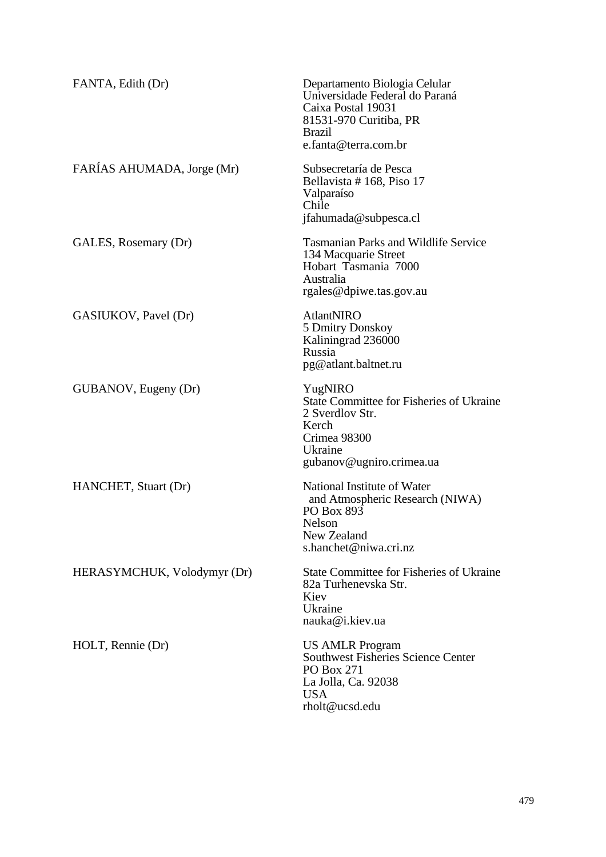| FANTA, Edith (Dr)           | Departamento Biologia Celular<br>Universidade Federal do Paraná<br>Caixa Postal 19031<br>81531-970 Curitiba, PR<br><b>Brazil</b><br>e.fanta@terra.com.br |
|-----------------------------|----------------------------------------------------------------------------------------------------------------------------------------------------------|
| FARÍAS AHUMADA, Jorge (Mr)  | Subsecretaría de Pesca<br>Bellavista #168, Piso 17<br>Valparaíso<br>Chile<br>jfahumada@subpesca.cl                                                       |
| GALES, Rosemary (Dr)        | <b>Tasmanian Parks and Wildlife Service</b><br>134 Macquarie Street<br>Hobart Tasmania 7000<br>Australia<br>rgales@dpiwe.tas.gov.au                      |
| GASIUKOV, Pavel (Dr)        | <b>AtlantNIRO</b><br>5 Dmitry Donskoy<br>Kaliningrad 236000<br>Russia<br>pg@atlant.baltnet.ru                                                            |
| GUBANOV, Eugeny (Dr)        | YugNIRO<br><b>State Committee for Fisheries of Ukraine</b><br>2 Sverdlov Str.<br>Kerch<br>Crimea 98300<br>Ukraine<br>gubanov@ugniro.crimea.ua            |
| HANCHET, Stuart (Dr)        | National Institute of Water<br>and Atmospheric Research (NIWA)<br>PO Box 893<br>Nelson<br>New Zealand<br>s.hanchet@niwa.cri.nz                           |
| HERASYMCHUK, Volodymyr (Dr) | <b>State Committee for Fisheries of Ukraine</b><br>82a Turhenevska Str.<br>Kiev<br>Ukraine<br>nauka@i.kiev.ua                                            |
| HOLT, Rennie (Dr)           | <b>US AMLR Program</b><br><b>Southwest Fisheries Science Center</b><br>PO Box 271<br>La Jolla, Ca. 92038<br><b>USA</b><br>rholt@ucsd.edu                 |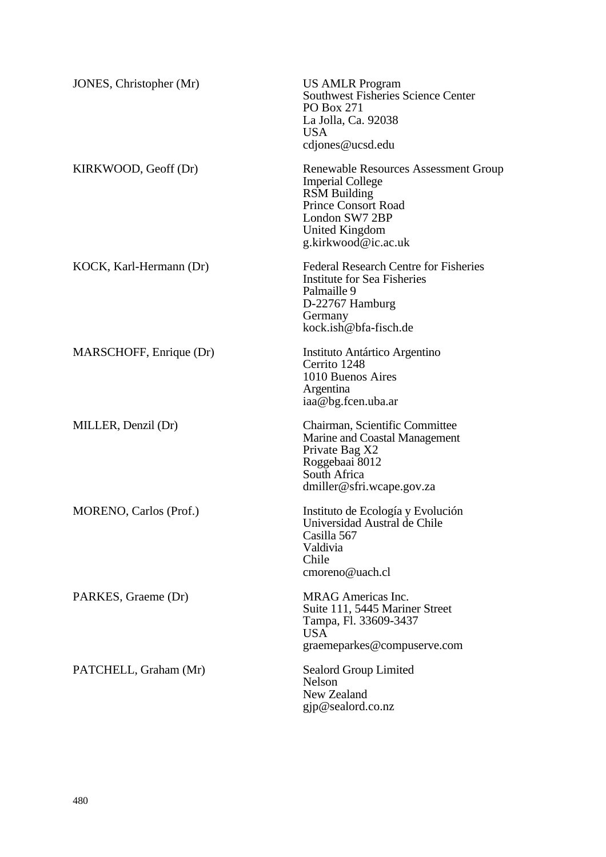| JONES, Christopher (Mr) | <b>US AMLR Program</b><br><b>Southwest Fisheries Science Center</b><br><b>PO Box 271</b><br>La Jolla, Ca. 92038<br><b>USA</b><br>cdjones@ucsd.edu                               |
|-------------------------|---------------------------------------------------------------------------------------------------------------------------------------------------------------------------------|
| KIRKWOOD, Geoff (Dr)    | Renewable Resources Assessment Group<br><b>Imperial College</b><br><b>RSM</b> Building<br><b>Prince Consort Road</b><br>London SW7 2BP<br>United Kingdom<br>g.kirkwood@ic.ac.uk |
| KOCK, Karl-Hermann (Dr) | <b>Federal Research Centre for Fisheries</b><br><b>Institute for Sea Fisheries</b><br>Palmaille 9<br>D-22767 Hamburg<br>Germany<br>kock.ish@bfa-fisch.de                        |
| MARSCHOFF, Enrique (Dr) | Instituto Antártico Argentino<br>Cerrito 1248<br>1010 Buenos Aires<br>Argentina<br>iaa@bg.fcen.uba.ar                                                                           |
| MILLER, Denzil (Dr)     | Chairman, Scientific Committee<br>Marine and Coastal Management<br>Private Bag X2<br>Roggebaai 8012<br>South Africa<br>dmiller@sfri.wcape.gov.za                                |
| MORENO, Carlos (Prof.)  | Instituto de Ecología y Evolución<br>Universidad Austral de Chile<br>Casilla 567<br>Valdivia<br>Chile<br>cmoreno@uach.cl                                                        |
| PARKES, Graeme (Dr)     | <b>MRAG</b> Americas Inc.<br>Suite 111, 5445 Mariner Street<br>Tampa, Fl. 33609-3437<br><b>USA</b><br>graemeparkes@compuserve.com                                               |
| PATCHELL, Graham (Mr)   | Sealord Group Limited<br><b>Nelson</b><br>New Zealand<br>gjp@sealord.co.nz                                                                                                      |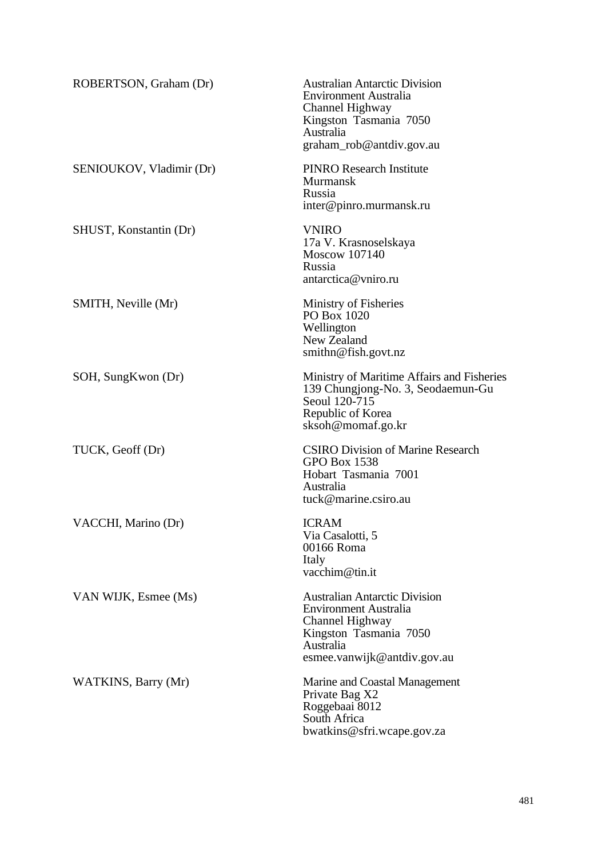| ROBERTSON, Graham (Dr)   | <b>Australian Antarctic Division</b><br><b>Environment Australia</b><br>Channel Highway<br>Kingston Tasmania 7050<br>Australia<br>graham_rob@antdiv.gov.au    |
|--------------------------|---------------------------------------------------------------------------------------------------------------------------------------------------------------|
| SENIOUKOV, Vladimir (Dr) | <b>PINRO Research Institute</b><br><b>Murmansk</b><br>Russia<br>inter@pinro.murmansk.ru                                                                       |
| SHUST, Konstantin (Dr)   | <b>VNIRO</b><br>17a V. Krasnoselskaya<br>Moscow 107140<br>Russia<br>antarctica@vniro.ru                                                                       |
| SMITH, Neville (Mr)      | Ministry of Fisheries<br>PO Box 1020<br>Wellington<br>New Zealand<br>$s$ mithn@fish.govt.nz                                                                   |
| SOH, SungKwon (Dr)       | Ministry of Maritime Affairs and Fisheries<br>139 Chungjong-No. 3, Seodaemun-Gu<br>Seoul 120-715<br>Republic of Korea<br>sksoh@momaf.go.kr                    |
| TUCK, Geoff (Dr)         | <b>CSIRO Division of Marine Research</b><br><b>GPO Box 1538</b><br>Hobart Tasmania 7001<br>Australia<br>tuck@marine.csiro.au                                  |
| VACCHI, Marino (Dr)      | <b>ICRAM</b><br>Via Casalotti, 5<br>00166 Roma<br>Italy<br>vacchim@tin.it                                                                                     |
| VAN WIJK, Esmee (Ms)     | <b>Australian Antarctic Division</b><br><b>Environment Australia</b><br>Channel Highway<br>Kingston Tasmania 7050<br>Australia<br>esmee.vanwijk@antdiv.gov.au |
| WATKINS, Barry (Mr)      | Marine and Coastal Management<br>Private Bag X2<br>Roggebaai 8012<br>South Africa<br>bwatkins@sfri.wcape.gov.za                                               |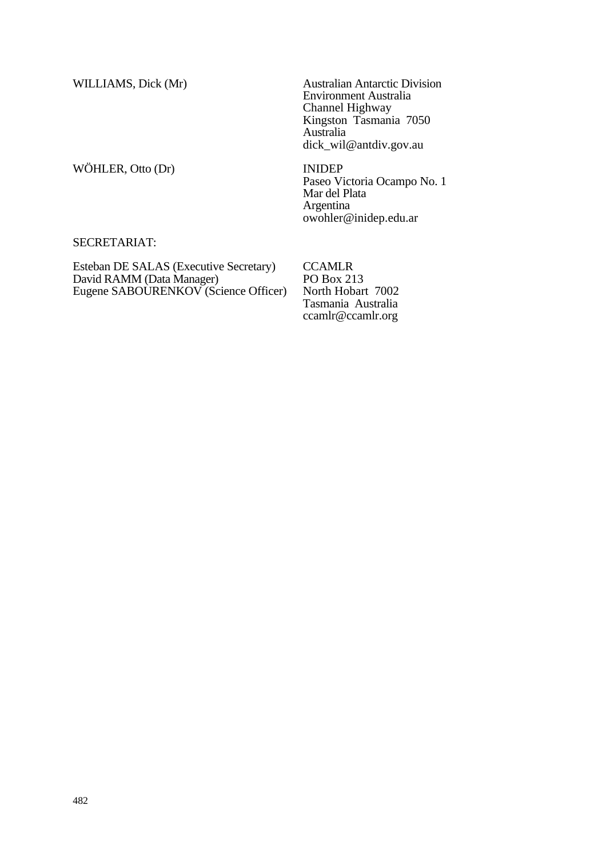WÖHLER, Otto (Dr) INIDEP

WILLIAMS, Dick (Mr) Australian Antarctic Division Environment Australia Channel Highway Kingston Tasmania 7050 Australia dick\_wil@antdiv.gov.au

> Paseo Victoria Ocampo No. 1 Mar del Plata Argentina owohler@inidep.edu.ar

## SECRETARIAT:

Esteban DE SALAS (Executive Secretary) David RAMM (Data Manager) Eugene SABOURENKOV (Science Officer)

**CCAMLR** PO Box 213 North Hobart 7002 Tasmania Australia ccamlr@ccamlr.org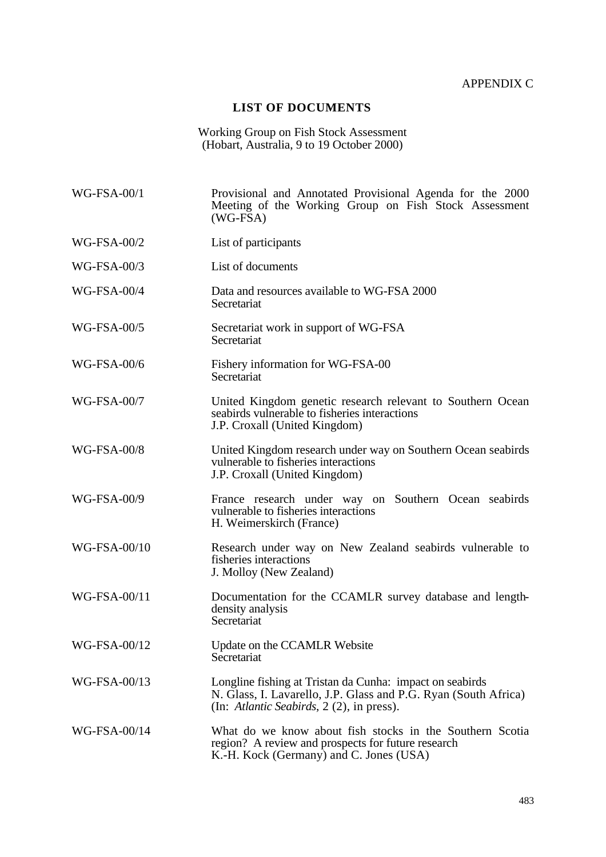### APPENDIX C

#### **LIST OF DOCUMENTS**

Working Group on Fish Stock Assessment (Hobart, Australia, 9 to 19 October 2000)

WG-FSA-00/1 Provisional and Annotated Provisional Agenda for the 2000 Meeting of the Working Group on Fish Stock Assessment  $(WG-FSA)$ WG-FSA-00/2 List of participants WG-FSA-00/3 List of documents WG-FSA-00/4 Data and resources available to WG-FSA 2000 **Secretariat** WG-FSA-00/5 Secretariat work in support of WG-FSA Secretariat WG-FSA-00/6 Fishery information for WG-FSA-00 **Secretariat** WG-FSA-00/7 United Kingdom genetic research relevant to Southern Ocean seabirds vulnerable to fisheries interactions J.P. Croxall (United Kingdom) WG-FSA-00/8 United Kingdom research under way on Southern Ocean seabirds vulnerable to fisheries interactions J.P. Croxall (United Kingdom) WG-FSA-00/9 France research under way on Southern Ocean seabirds vulnerable to fisheries interactions H. Weimerskirch (France) WG-FSA-00/10 Research under way on New Zealand seabirds vulnerable to fisheries interactions J. Molloy (New Zealand) WG-FSA-00/11 Documentation for the CCAMLR survey database and lengthdensity analysis **Secretariat** WG-FSA-00/12 Update on the CCAMLR Website **Secretariat** WG-FSA-00/13 Longline fishing at Tristan da Cunha: impact on seabirds N. Glass, I. Lavarello, J.P. Glass and P.G. Ryan (South Africa) (In: *Atlantic Seabirds*, 2 (2), in press). WG-FSA-00/14 What do we know about fish stocks in the Southern Scotia region? A review and prospects for future research K.-H. Kock (Germany) and C. Jones (USA)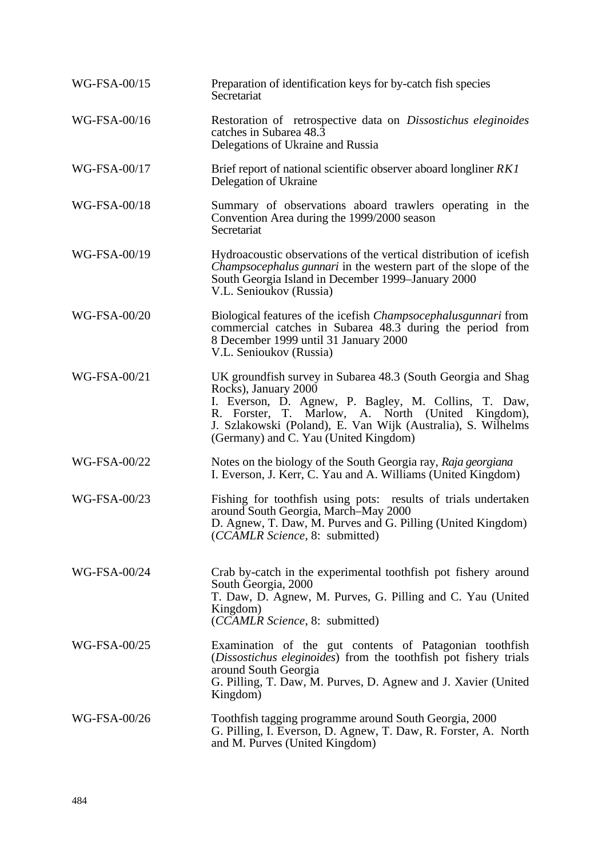| WG-FSA-00/15 | Preparation of identification keys for by-catch fish species<br>Secretariat                                                                                                                                                                                                                                |
|--------------|------------------------------------------------------------------------------------------------------------------------------------------------------------------------------------------------------------------------------------------------------------------------------------------------------------|
| WG-FSA-00/16 | Restoration of retrospective data on Dissostichus eleginoides<br>catches in Subarea 48.3<br>Delegations of Ukraine and Russia                                                                                                                                                                              |
| WG-FSA-00/17 | Brief report of national scientific observer aboard longliner RK1<br>Delegation of Ukraine                                                                                                                                                                                                                 |
| WG-FSA-00/18 | Summary of observations aboard trawlers operating in the<br>Convention Area during the 1999/2000 season<br>Secretariat                                                                                                                                                                                     |
| WG-FSA-00/19 | Hydroacoustic observations of the vertical distribution of icefish<br><i>Champsocephalus gunnari</i> in the western part of the slope of the<br>South Georgia Island in December 1999–January 2000<br>V.L. Senioukov (Russia)                                                                              |
| WG-FSA-00/20 | Biological features of the icefish <i>Champsocephalusgunnari</i> from<br>commercial catches in Subarea 48.3 during the period from<br>8 December 1999 until 31 January 2000<br>V.L. Senioukov (Russia)                                                                                                     |
| WG-FSA-00/21 | UK groundfish survey in Subarea 48.3 (South Georgia and Shag<br>Rocks), January 2000<br>I. Everson, D. Agnew, P. Bagley, M. Collins, T. Daw,<br>R. Forster, T. Marlow, A. North (United Kingdom),<br>J. Szlakowski (Poland), E. Van Wijk (Australia), S. Wilhelms<br>(Germany) and C. Yau (United Kingdom) |
| WG-FSA-00/22 | Notes on the biology of the South Georgia ray, Raja georgiana<br>I. Everson, J. Kerr, C. Yau and A. Williams (United Kingdom)                                                                                                                                                                              |
| WG-FSA-00/23 | Fishing for toothfish using pots: results of trials undertaken<br>around South Georgia, March-May 2000<br>D. Agnew, T. Daw, M. Purves and G. Pilling (United Kingdom)<br>(CCAMLR Science, 8: submitted)                                                                                                    |
| WG-FSA-00/24 | Crab by-catch in the experimental toothfish pot fishery around<br>South Georgia, 2000<br>T. Daw, D. Agnew, M. Purves, G. Pilling and C. Yau (United<br>Kingdom)<br>(CCAMLR Science, 8: submitted)                                                                                                          |
| WG-FSA-00/25 | Examination of the gut contents of Patagonian toothfish<br>(Dissostichus eleginoides) from the toothfish pot fishery trials<br>around South Georgia<br>G. Pilling, T. Daw, M. Purves, D. Agnew and J. Xavier (United<br>Kingdom)                                                                           |
| WG-FSA-00/26 | Toothfish tagging programme around South Georgia, 2000<br>G. Pilling, I. Everson, D. Agnew, T. Daw, R. Forster, A. North<br>and M. Purves (United Kingdom)                                                                                                                                                 |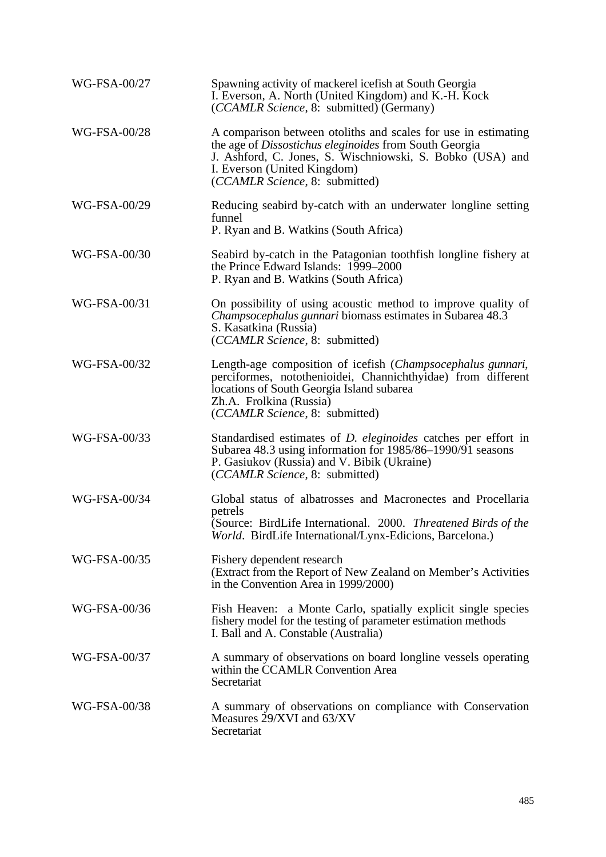| WG-FSA-00/27 | Spawning activity of mackerel icefish at South Georgia<br>I. Everson, A. North (United Kingdom) and K.-H. Kock<br>(CCAMLR Science, 8: submitted) (Germany)                                                                                             |
|--------------|--------------------------------------------------------------------------------------------------------------------------------------------------------------------------------------------------------------------------------------------------------|
| WG-FSA-00/28 | A comparison between otoliths and scales for use in estimating<br>the age of Dissostichus eleginoides from South Georgia<br>J. Ashford, C. Jones, S. Wischniowski, S. Bobko (USA) and<br>I. Everson (United Kingdom)<br>(CCAMLR Science, 8: submitted) |
| WG-FSA-00/29 | Reducing seabird by-catch with an underwater longline setting<br>funnel<br>P. Ryan and B. Watkins (South Africa)                                                                                                                                       |
| WG-FSA-00/30 | Seabird by-catch in the Patagonian toothfish longline fishery at<br>the Prince Edward Islands: 1999–2000<br>P. Ryan and B. Watkins (South Africa)                                                                                                      |
| WG-FSA-00/31 | On possibility of using acoustic method to improve quality of<br>Champsocephalus gunnari biomass estimates in Subarea 48.3<br>S. Kasatkina (Russia)<br>(CCAMLR Science, 8: submitted)                                                                  |
| WG-FSA-00/32 | Length-age composition of icefish (Champsocephalus gunnari,<br>perciformes, notothenioidei, Channichthyidae) from different<br>locations of South Georgia Island subarea<br>Zh.A. Frolkina (Russia)<br>(CCAMLR Science, 8: submitted)                  |
| WG-FSA-00/33 | Standardised estimates of <i>D. eleginoides</i> catches per effort in<br>Subarea 48.3 using information for 1985/86-1990/91 seasons<br>P. Gasiukov (Russia) and V. Bibik (Ukraine)<br>(CCAMLR Science, 8: submitted)                                   |
| WG-FSA-00/34 | Global status of albatrosses and Macronectes and Procellaria<br>petrels<br>(Source: BirdLife International. 2000. Threatened Birds of the<br>World. BirdLife International/Lynx-Edicions, Barcelona.)                                                  |
| WG-FSA-00/35 | Fishery dependent research<br>(Extract from the Report of New Zealand on Member's Activities<br>in the Convention Area in 1999/2000)                                                                                                                   |
| WG-FSA-00/36 | Fish Heaven: a Monte Carlo, spatially explicit single species<br>fishery model for the testing of parameter estimation methods<br>I. Ball and A. Constable (Australia)                                                                                 |
| WG-FSA-00/37 | A summary of observations on board longline vessels operating<br>within the CCAMLR Convention Area<br>Secretariat                                                                                                                                      |
| WG-FSA-00/38 | A summary of observations on compliance with Conservation<br>Measures 29/XVI and 63/XV<br>Secretariat                                                                                                                                                  |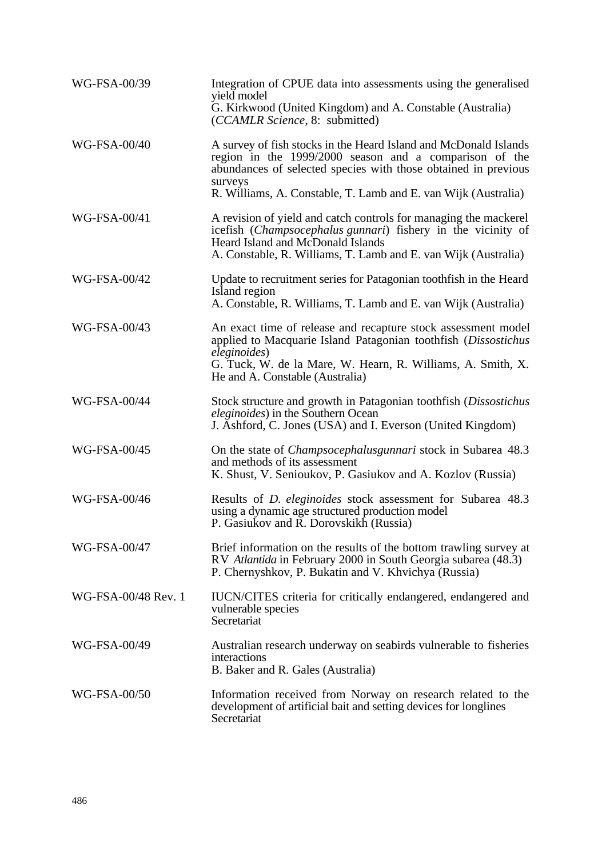| WG-FSA-00/39        | Integration of CPUE data into assessments using the generalised<br>yield model<br>G. Kirkwood (United Kingdom) and A. Constable (Australia)<br>(CCAMLR Science, 8: submitted)                                                                     |
|---------------------|---------------------------------------------------------------------------------------------------------------------------------------------------------------------------------------------------------------------------------------------------|
| WG-FSA-00/40        | A survey of fish stocks in the Heard Island and McDonald Islands<br>region in the 1999/2000 season and a comparison of the<br>abundances of selected species with those obtained in previous<br>surveys                                           |
|                     | R. Williams, A. Constable, T. Lamb and E. van Wijk (Australia)                                                                                                                                                                                    |
| WG-FSA-00/41        | A revision of yield and catch controls for managing the mackerel<br>icefish (Champsocephalus gunnari) fishery in the vicinity of<br>Heard Island and McDonald Islands<br>A. Constable, R. Williams, T. Lamb and E. van Wijk (Australia)           |
| WG-FSA-00/42        | Update to recruitment series for Patagonian toothfish in the Heard<br>Island region<br>A. Constable, R. Williams, T. Lamb and E. van Wijk (Australia)                                                                                             |
|                     |                                                                                                                                                                                                                                                   |
| WG-FSA-00/43        | An exact time of release and recapture stock assessment model<br>applied to Macquarie Island Patagonian toothfish (Dissostichus<br>eleginoides)<br>G. Tuck, W. de la Mare, W. Hearn, R. Williams, A. Smith, X.<br>He and A. Constable (Australia) |
| <b>WG-FSA-00/44</b> | Stock structure and growth in Patagonian toothfish (Dissostichus<br><i>eleginoides</i> ) in the Southern Ocean<br>J. Ashford, C. Jones (USA) and I. Everson (United Kingdom)                                                                      |
| WG-FSA-00/45        | On the state of <i>Champsocephalusgunnari</i> stock in Subarea 48.3<br>and methods of its assessment<br>K. Shust, V. Senioukov, P. Gasiukov and A. Kozlov (Russia)                                                                                |
| WG-FSA-00/46        | Results of <i>D. eleginoides</i> stock assessment for Subarea 48.3<br>using a dynamic age structured production model<br>P. Gasiukov and R. Dorovskikh (Russia)                                                                                   |
| WG-FSA-00/47        | Brief information on the results of the bottom trawling survey at<br>RV Atlantida in February 2000 in South Georgia subarea (48.3)<br>P. Chernyshkov, P. Bukatin and V. Khvichya (Russia)                                                         |
| WG-FSA-00/48 Rev. 1 | IUCN/CITES criteria for critically endangered, endangered and<br>vulnerable species<br>Secretariat                                                                                                                                                |
| WG-FSA-00/49        | Australian research underway on seabirds vulnerable to fisheries<br>interactions<br>B. Baker and R. Gales (Australia)                                                                                                                             |
| WG-FSA-00/50        | Information received from Norway on research related to the<br>development of artificial bait and setting devices for longlines<br>Secretariat                                                                                                    |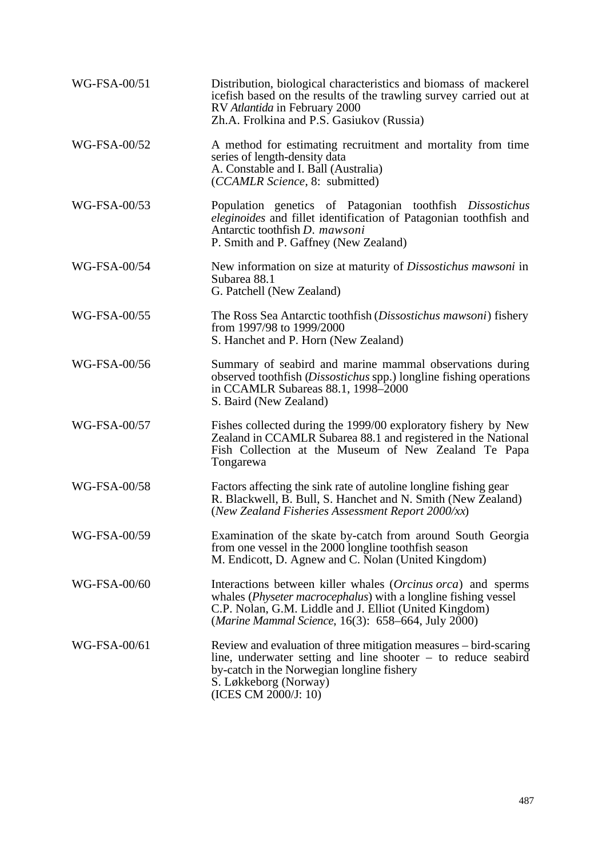| WG-FSA-00/51 | Distribution, biological characteristics and biomass of mackerel<br>icefish based on the results of the trawling survey carried out at<br>RV Atlantida in February 2000<br>Zh.A. Frolkina and P.S. Gasiukov (Russia)                                    |
|--------------|---------------------------------------------------------------------------------------------------------------------------------------------------------------------------------------------------------------------------------------------------------|
| WG-FSA-00/52 | A method for estimating recruitment and mortality from time<br>series of length-density data<br>A. Constable and I. Ball (Australia)<br>(CCAMLR Science, 8: submitted)                                                                                  |
| WG-FSA-00/53 | Population genetics of Patagonian toothfish Dissostichus<br>eleginoides and fillet identification of Patagonian toothfish and<br>Antarctic toothfish D. mawsoni<br>P. Smith and P. Gaffney (New Zealand)                                                |
| WG-FSA-00/54 | New information on size at maturity of <i>Dissostichus mawsoni</i> in<br>Subarea 88.1<br>G. Patchell (New Zealand)                                                                                                                                      |
| WG-FSA-00/55 | The Ross Sea Antarctic toothfish (Dissostichus mawsoni) fishery<br>from 1997/98 to 1999/2000<br>S. Hanchet and P. Horn (New Zealand)                                                                                                                    |
| WG-FSA-00/56 | Summary of seabird and marine mammal observations during<br>observed toothfish (Dissostichus spp.) longline fishing operations<br>in CCAMLR Subareas 88.1, 1998-2000<br>S. Baird (New Zealand)                                                          |
| WG-FSA-00/57 | Fishes collected during the 1999/00 exploratory fishery by New<br>Zealand in CCAMLR Subarea 88.1 and registered in the National<br>Fish Collection at the Museum of New Zealand Te Papa<br>Tongarewa                                                    |
| WG-FSA-00/58 | Factors affecting the sink rate of autoline longline fishing gear<br>R. Blackwell, B. Bull, S. Hanchet and N. Smith (New Zealand)<br>(New Zealand Fisheries Assessment Report 2000/xx)                                                                  |
| WG-FSA-00/59 | Examination of the skate by-catch from around South Georgia<br>from one vessel in the 2000 longline toothfish season<br>M. Endicott, D. Agnew and C. Nolan (United Kingdom)                                                                             |
| WG-FSA-00/60 | Interactions between killer whales (Orcinus orca) and sperms<br>whales ( <i>Physeter macrocephalus</i> ) with a longline fishing vessel<br>C.P. Nolan, G.M. Liddle and J. Elliot (United Kingdom)<br>(Marine Mammal Science, 16(3): 658–664, July 2000) |
| WG-FSA-00/61 | Review and evaluation of three mitigation measures – bird-scaring<br>line, underwater setting and line shooter $-$ to reduce seabird<br>by-catch in the Norwegian longline fishery<br>S. Løkkeborg (Norway)<br>(ICES CM 2000/J: 10)                     |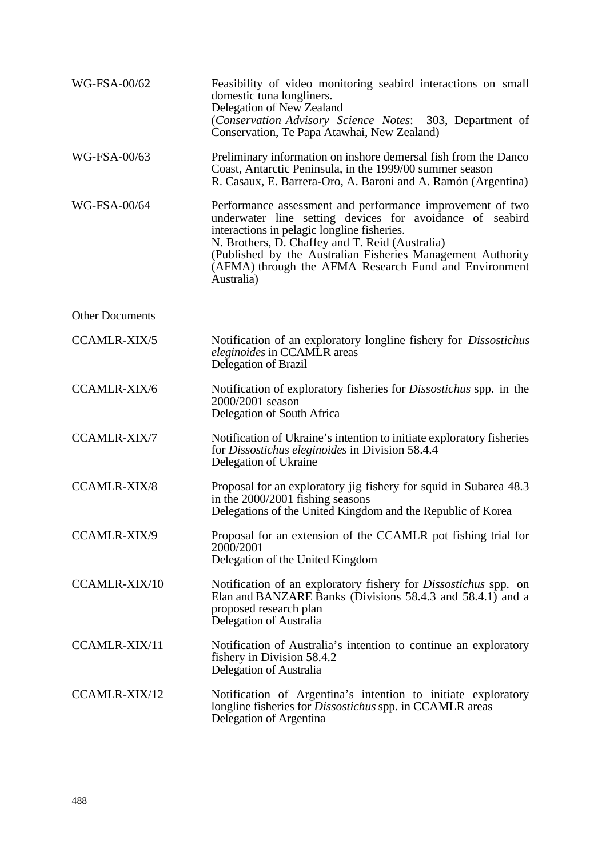| WG-FSA-00/62           | Feasibility of video monitoring seabird interactions on small<br>domestic tuna longliners.<br>Delegation of New Zealand<br>(Conservation Advisory Science Notes: 303, Department of<br>Conservation, Te Papa Atawhai, New Zealand)                                                                                                                            |
|------------------------|---------------------------------------------------------------------------------------------------------------------------------------------------------------------------------------------------------------------------------------------------------------------------------------------------------------------------------------------------------------|
| WG-FSA-00/63           | Preliminary information on inshore demersal fish from the Danco<br>Coast, Antarctic Peninsula, in the 1999/00 summer season<br>R. Casaux, E. Barrera-Oro, A. Baroni and A. Ramón (Argentina)                                                                                                                                                                  |
| WG-FSA-00/64           | Performance assessment and performance improvement of two<br>underwater line setting devices for avoidance of seabird<br>interactions in pelagic longline fisheries.<br>N. Brothers, D. Chaffey and T. Reid (Australia)<br>(Published by the Australian Fisheries Management Authority<br>(AFMA) through the AFMA Research Fund and Environment<br>Australia) |
| <b>Other Documents</b> |                                                                                                                                                                                                                                                                                                                                                               |
| <b>CCAMLR-XIX/5</b>    | Notification of an exploratory longline fishery for <i>Dissostichus</i><br><i>eleginoides</i> in CCAMLR areas<br><b>Delegation of Brazil</b>                                                                                                                                                                                                                  |
| <b>CCAMLR-XIX/6</b>    | Notification of exploratory fisheries for <i>Dissostichus</i> spp. in the<br>2000/2001 season<br>Delegation of South Africa                                                                                                                                                                                                                                   |
| <b>CCAMLR-XIX/7</b>    | Notification of Ukraine's intention to initiate exploratory fisheries<br>for Dissostichus eleginoides in Division 58.4.4<br>Delegation of Ukraine                                                                                                                                                                                                             |
| <b>CCAMLR-XIX/8</b>    | Proposal for an exploratory jig fishery for squid in Subarea 48.3<br>in the 2000/2001 fishing seasons<br>Delegations of the United Kingdom and the Republic of Korea                                                                                                                                                                                          |
| CCAMLR-XIX/9           | Proposal for an extension of the CCAMLR pot fishing trial for<br>2000/2001<br>Delegation of the United Kingdom                                                                                                                                                                                                                                                |
| CCAMLR-XIX/10          | Notification of an exploratory fishery for <i>Dissostichus</i> spp. on<br>Elan and BANZARE Banks (Divisions 58.4.3 and 58.4.1) and a<br>proposed research plan<br>Delegation of Australia                                                                                                                                                                     |
| <b>CCAMLR-XIX/11</b>   | Notification of Australia's intention to continue an exploratory<br>fishery in Division 58.4.2<br>Delegation of Australia                                                                                                                                                                                                                                     |
| <b>CCAMLR-XIX/12</b>   | Notification of Argentina's intention to initiate exploratory<br>longline fisheries for <i>Dissostichus</i> spp. in CCAMLR areas<br>Delegation of Argentina                                                                                                                                                                                                   |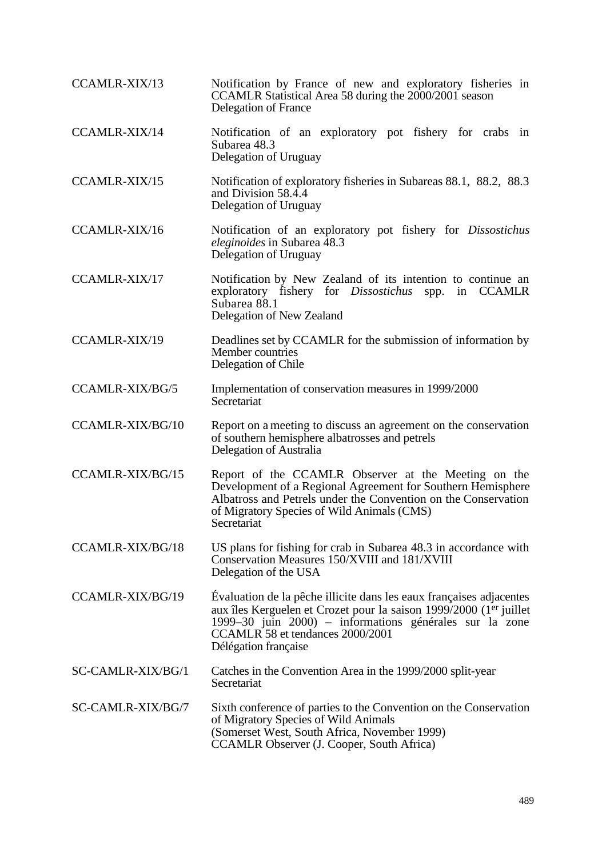| <b>CCAMLR-XIX/13</b>    | Notification by France of new and exploratory fisheries in<br>CCAMLR Statistical Area 58 during the 2000/2001 season<br>Delegation of France                                                                                                                     |  |  |  |  |  |  |
|-------------------------|------------------------------------------------------------------------------------------------------------------------------------------------------------------------------------------------------------------------------------------------------------------|--|--|--|--|--|--|
| <b>CCAMLR-XIX/14</b>    | Notification of an exploratory pot fishery for crabs in<br>Subarea 48.3<br>Delegation of Uruguay                                                                                                                                                                 |  |  |  |  |  |  |
| <b>CCAMLR-XIX/15</b>    | Notification of exploratory fisheries in Subareas 88.1, 88.2, 88.3<br>and Division 58.4.4<br>Delegation of Uruguay                                                                                                                                               |  |  |  |  |  |  |
| <b>CCAMLR-XIX/16</b>    | Notification of an exploratory pot fishery for Dissostichus<br><i>eleginoides</i> in Subarea 48.3<br>Delegation of Uruguay                                                                                                                                       |  |  |  |  |  |  |
| CCAMLR-XIX/17           | Notification by New Zealand of its intention to continue an<br>exploratory fishery for <i>Dissostichus</i><br>in CCAMLR<br>spp.<br>Subarea 88.1<br>Delegation of New Zealand                                                                                     |  |  |  |  |  |  |
| CCAMLR-XIX/19           | Deadlines set by CCAMLR for the submission of information by<br>Member countries<br>Delegation of Chile                                                                                                                                                          |  |  |  |  |  |  |
| <b>CCAMLR-XIX/BG/5</b>  | Implementation of conservation measures in 1999/2000<br>Secretariat                                                                                                                                                                                              |  |  |  |  |  |  |
| <b>CCAMLR-XIX/BG/10</b> | Report on a meeting to discuss an agreement on the conservation<br>of southern hemisphere albatrosses and petrels<br>Delegation of Australia                                                                                                                     |  |  |  |  |  |  |
| <b>CCAMLR-XIX/BG/15</b> | Report of the CCAMLR Observer at the Meeting on the<br>Development of a Regional Agreement for Southern Hemisphere<br>Albatross and Petrels under the Convention on the Conservation<br>of Migratory Species of Wild Animals (CMS)<br>Secretariat                |  |  |  |  |  |  |
| CCAMLR-XIX/BG/18        | US plans for fishing for crab in Subarea 48.3 in accordance with<br>Conservation Measures 150/XVIII and 181/XVIII<br>Delegation of the USA                                                                                                                       |  |  |  |  |  |  |
| CCAMLR-XIX/BG/19        | Évaluation de la pêche illicite dans les eaux françaises adjacentes<br>aux îles Kerguelen et Crozet pour la saison 1999/2000 (1er juillet<br>1999-30 juin 2000) - informations générales sur la zone<br>CCAMLR 58 et tendances 2000/2001<br>Délégation française |  |  |  |  |  |  |
| SC-CAMLR-XIX/BG/1       | Catches in the Convention Area in the 1999/2000 split-year<br>Secretariat                                                                                                                                                                                        |  |  |  |  |  |  |
| SC-CAMLR-XIX/BG/7       | Sixth conference of parties to the Convention on the Conservation<br>of Migratory Species of Wild Animals<br>(Somerset West, South Africa, November 1999)<br>CCAMLR Observer (J. Cooper, South Africa)                                                           |  |  |  |  |  |  |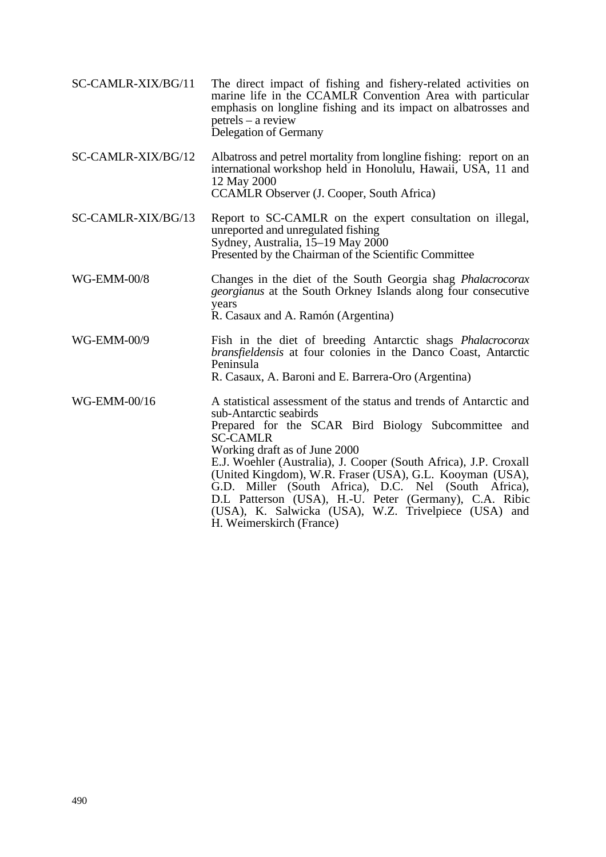| SC-CAMLR-XIX/BG/11 | The direct impact of fishing and fishery-related activities on<br>marine life in the CCAMLR Convention Area with particular<br>emphasis on longline fishing and its impact on albatrosses and<br>$petrels - a review$<br>Delegation of Germany                                                                                                                                                                                                                                                                                                |  |  |  |  |  |
|--------------------|-----------------------------------------------------------------------------------------------------------------------------------------------------------------------------------------------------------------------------------------------------------------------------------------------------------------------------------------------------------------------------------------------------------------------------------------------------------------------------------------------------------------------------------------------|--|--|--|--|--|
| SC-CAMLR-XIX/BG/12 | Albatross and petrel mortality from longline fishing: report on an<br>international workshop held in Honolulu, Hawaii, USA, 11 and<br>12 May 2000<br>CCAMLR Observer (J. Cooper, South Africa)                                                                                                                                                                                                                                                                                                                                                |  |  |  |  |  |
| SC-CAMLR-XIX/BG/13 | Report to SC-CAMLR on the expert consultation on illegal,<br>unreported and unregulated fishing<br>Sydney, Australia, 15–19 May 2000<br>Presented by the Chairman of the Scientific Committee                                                                                                                                                                                                                                                                                                                                                 |  |  |  |  |  |
| <b>WG-EMM-00/8</b> | Changes in the diet of the South Georgia shag <i>Phalacrocorax</i><br>georgianus at the South Orkney Islands along four consecutive<br>years<br>R. Casaux and A. Ramón (Argentina)                                                                                                                                                                                                                                                                                                                                                            |  |  |  |  |  |
| WG-EMM-00/9        | Fish in the diet of breeding Antarctic shags <i>Phalacrocorax</i><br>bransfieldensis at four colonies in the Danco Coast, Antarctic<br>Peninsula<br>R. Casaux, A. Baroni and E. Barrera-Oro (Argentina)                                                                                                                                                                                                                                                                                                                                       |  |  |  |  |  |
| WG-EMM-00/16       | A statistical assessment of the status and trends of Antarctic and<br>sub-Antarctic seabirds<br>Prepared for the SCAR Bird Biology Subcommittee and<br><b>SC-CAMLR</b><br>Working draft as of June 2000<br>E.J. Woehler (Australia), J. Cooper (South Africa), J.P. Croxall<br>(United Kingdom), W.R. Fraser (USA), G.L. Kooyman (USA),<br>G.D. Miller (South Africa), D.C. Nel (South Africa),<br>D.L Patterson (USA), H.-U. Peter (Germany), C.A. Ribic<br>(USA), K. Salwicka (USA), W.Z. Trivelpiece (USA) and<br>H. Weimerskirch (France) |  |  |  |  |  |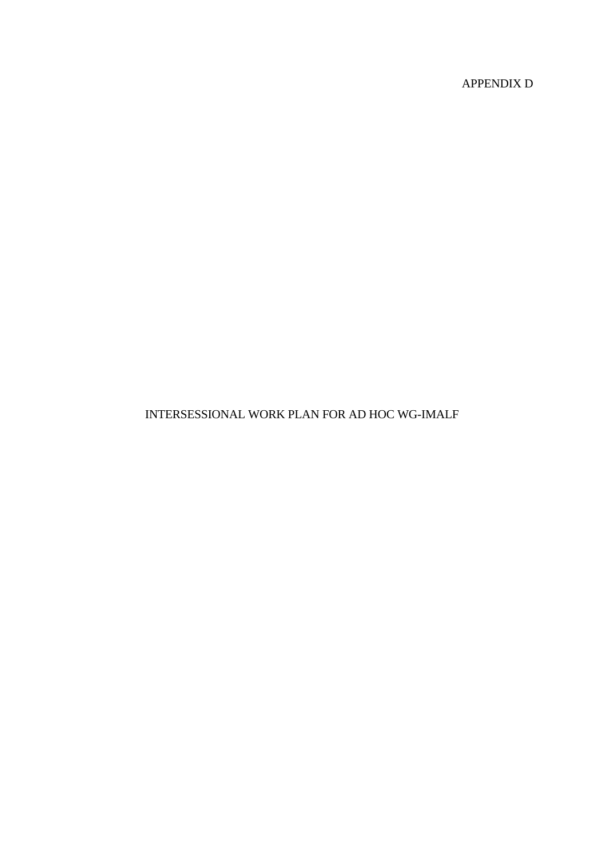APPENDIX D

# INTERSESSIONAL WORK PLAN FOR AD HOC WG-IMALF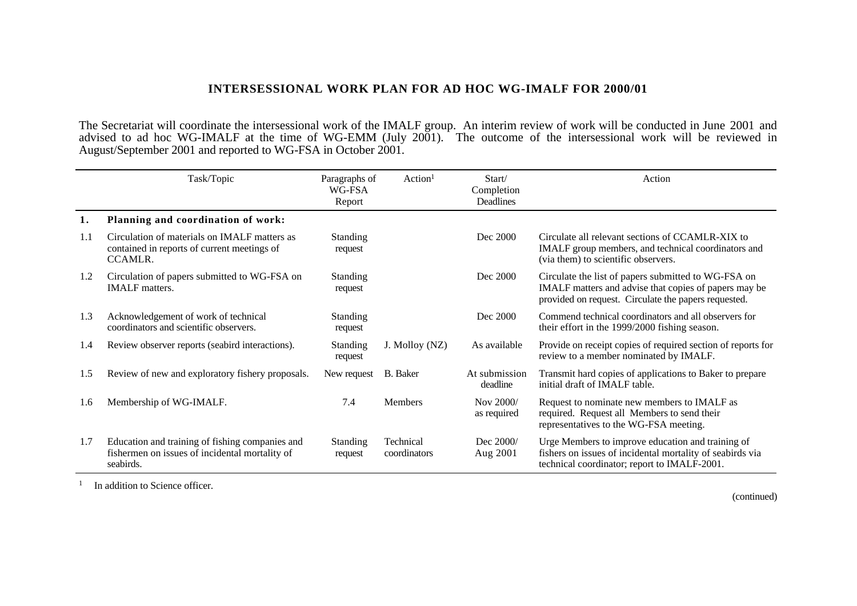## **INTERSESSIONAL WORK PLAN FOR AD HOC WG-IMALF FOR 2000/01**

The Secretariat will coordinate the intersessional work of the IMALF group. An interim review of work will be conducted in June 2001 and advised to ad hoc WG-IMALF at the time of WG-EMM (July 2001). The outcome of the intersessional work will be reviewed in August/September 2001 and reported to WG-FSA in October 2001.

|     | Task/Topic                                                                                                     | Paragraphs of<br>WG-FSA<br>Report | Action <sup>1</sup>       | Start/<br>Completion<br><b>Deadlines</b> | Action                                                                                                                                                               |
|-----|----------------------------------------------------------------------------------------------------------------|-----------------------------------|---------------------------|------------------------------------------|----------------------------------------------------------------------------------------------------------------------------------------------------------------------|
| 1.  | Planning and coordination of work:                                                                             |                                   |                           |                                          |                                                                                                                                                                      |
| 1.1 | Circulation of materials on IMALF matters as<br>contained in reports of current meetings of<br>CCAMLR.         | <b>Standing</b><br>request        |                           | Dec 2000                                 | Circulate all relevant sections of CCAMLR-XIX to<br>IMALF group members, and technical coordinators and<br>(via them) to scientific observers.                       |
| 1.2 | Circulation of papers submitted to WG-FSA on<br><b>IMALF</b> matters.                                          | <b>Standing</b><br>request        |                           | Dec 2000                                 | Circulate the list of papers submitted to WG-FSA on<br>IMALF matters and advise that copies of papers may be<br>provided on request. Circulate the papers requested. |
| 1.3 | Acknowledgement of work of technical<br>coordinators and scientific observers.                                 | <b>Standing</b><br>request        |                           | Dec 2000                                 | Commend technical coordinators and all observers for<br>their effort in the 1999/2000 fishing season.                                                                |
| 1.4 | Review observer reports (seabird interactions).                                                                | <b>Standing</b><br>request        | J. Molloy (NZ)            | As available                             | Provide on receipt copies of required section of reports for<br>review to a member nominated by IMALF.                                                               |
| 1.5 | Review of new and exploratory fishery proposals.                                                               | New request                       | B. Baker                  | At submission<br>deadline                | Transmit hard copies of applications to Baker to prepare<br>initial draft of IMALF table.                                                                            |
| 1.6 | Membership of WG-IMALF.                                                                                        | 7.4                               | <b>Members</b>            | Nov 2000/<br>as required                 | Request to nominate new members to IMALF as<br>required. Request all Members to send their<br>representatives to the WG-FSA meeting.                                 |
| 1.7 | Education and training of fishing companies and<br>fishermen on issues of incidental mortality of<br>seabirds. | Standing<br>request               | Technical<br>coordinators | Dec 2000/<br>Aug 2001                    | Urge Members to improve education and training of<br>fishers on issues of incidental mortality of seabirds via<br>technical coordinator; report to IMALF-2001.       |

<sup>1</sup> In addition to Science officer.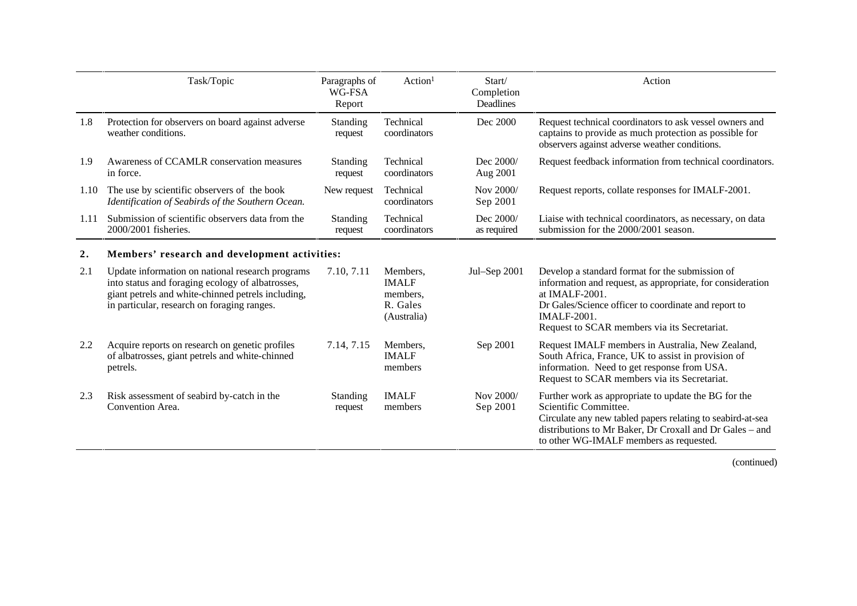|      | Task/Topic                                                                                                                                                                                                | Paragraphs of<br>WG-FSA<br>Report | Action <sup>1</sup>                                             | Start/<br>Completion<br><b>Deadlines</b> | Action                                                                                                                                                                                                                                                        |  |  |
|------|-----------------------------------------------------------------------------------------------------------------------------------------------------------------------------------------------------------|-----------------------------------|-----------------------------------------------------------------|------------------------------------------|---------------------------------------------------------------------------------------------------------------------------------------------------------------------------------------------------------------------------------------------------------------|--|--|
| 1.8  | Protection for observers on board against adverse<br>weather conditions.                                                                                                                                  | <b>Standing</b><br>request        | Technical<br>coordinators                                       | Dec 2000                                 | Request technical coordinators to ask vessel owners and<br>captains to provide as much protection as possible for<br>observers against adverse weather conditions.                                                                                            |  |  |
| 1.9  | Awareness of CCAMLR conservation measures<br>in force.                                                                                                                                                    | Standing<br>request               | Technical<br>coordinators                                       | Dec 2000/<br>Aug 2001                    | Request feedback information from technical coordinators.                                                                                                                                                                                                     |  |  |
| 1.10 | The use by scientific observers of the book<br>Identification of Seabirds of the Southern Ocean.                                                                                                          | New request                       | Technical<br>coordinators                                       | Nov 2000/<br>Sep 2001                    | Request reports, collate responses for IMALF-2001.                                                                                                                                                                                                            |  |  |
| 1.11 | Submission of scientific observers data from the<br>2000/2001 fisheries.                                                                                                                                  | Standing<br>request               | Technical<br>coordinators                                       | Dec 2000/<br>as required                 | Liaise with technical coordinators, as necessary, on data<br>submission for the 2000/2001 season.                                                                                                                                                             |  |  |
| 2.   | Members' research and development activities:                                                                                                                                                             |                                   |                                                                 |                                          |                                                                                                                                                                                                                                                               |  |  |
| 2.1  | Update information on national research programs<br>into status and foraging ecology of albatrosses,<br>giant petrels and white-chinned petrels including,<br>in particular, research on foraging ranges. | 7.10, 7.11                        | Members,<br><b>IMALF</b><br>members,<br>R. Gales<br>(Australia) | Jul-Sep 2001                             | Develop a standard format for the submission of<br>information and request, as appropriate, for consideration<br>at IMALF-2001.<br>Dr Gales/Science officer to coordinate and report to<br><b>IMALF-2001.</b><br>Request to SCAR members via its Secretariat. |  |  |
| 2.2  | Acquire reports on research on genetic profiles<br>of albatrosses, giant petrels and white-chinned<br>petrels.                                                                                            | 7.14, 7.15                        | Members,<br><b>IMALF</b><br>members                             | Sep 2001                                 | Request IMALF members in Australia, New Zealand,<br>South Africa, France, UK to assist in provision of<br>information. Need to get response from USA.<br>Request to SCAR members via its Secretariat.                                                         |  |  |
| 2.3  | Risk assessment of seabird by-catch in the<br>Convention Area.                                                                                                                                            | <b>Standing</b><br>request        | <b>IMALF</b><br>members                                         | Nov 2000/<br>Sep 2001                    | Further work as appropriate to update the BG for the<br>Scientific Committee.<br>Circulate any new tabled papers relating to seabird-at-sea<br>distributions to Mr Baker, Dr Croxall and Dr Gales - and<br>to other WG-IMALF members as requested.            |  |  |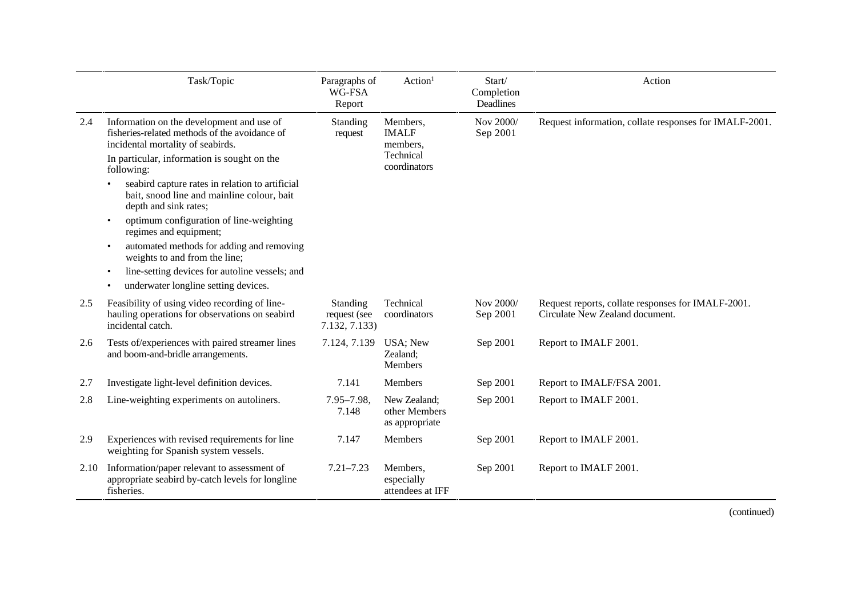|      | Task/Topic                                                                                                                          | Paragraphs of<br>WG-FSA<br>Report         | Action <sup>1</sup>                             | Start/<br>Completion<br>Deadlines | Action                                                                                |
|------|-------------------------------------------------------------------------------------------------------------------------------------|-------------------------------------------|-------------------------------------------------|-----------------------------------|---------------------------------------------------------------------------------------|
| 2.4  | Information on the development and use of<br>fisheries-related methods of the avoidance of<br>incidental mortality of seabirds.     | <b>Standing</b><br>request                | Members,<br><b>IMALF</b><br>members,            | Nov 2000/<br>Sep 2001             | Request information, collate responses for IMALF-2001.                                |
|      | In particular, information is sought on the<br>following:                                                                           |                                           | Technical<br>coordinators                       |                                   |                                                                                       |
|      | seabird capture rates in relation to artificial<br>$\bullet$<br>bait, snood line and mainline colour, bait<br>depth and sink rates; |                                           |                                                 |                                   |                                                                                       |
|      | optimum configuration of line-weighting<br>$\bullet$<br>regimes and equipment;                                                      |                                           |                                                 |                                   |                                                                                       |
|      | automated methods for adding and removing<br>$\bullet$<br>weights to and from the line;                                             |                                           |                                                 |                                   |                                                                                       |
|      | line-setting devices for autoline vessels; and<br>$\bullet$<br>underwater longline setting devices.<br>$\bullet$                    |                                           |                                                 |                                   |                                                                                       |
| 2.5  | Feasibility of using video recording of line-<br>hauling operations for observations on seabird<br>incidental catch.                | Standing<br>request (see<br>7.132, 7.133) | Technical<br>coordinators                       | Nov 2000/<br>Sep 2001             | Request reports, collate responses for IMALF-2001.<br>Circulate New Zealand document. |
| 2.6  | Tests of/experiences with paired streamer lines<br>and boom-and-bridle arrangements.                                                | 7.124, 7.139                              | USA; New<br>Zealand;<br>Members                 | Sep 2001                          | Report to IMALF 2001.                                                                 |
| 2.7  | Investigate light-level definition devices.                                                                                         | 7.141                                     | Members                                         | Sep 2001                          | Report to IMALF/FSA 2001.                                                             |
| 2.8  | Line-weighting experiments on autoliners.                                                                                           | $7.95 - 7.98$ ,<br>7.148                  | New Zealand;<br>other Members<br>as appropriate | Sep 2001                          | Report to IMALF 2001.                                                                 |
| 2.9  | Experiences with revised requirements for line<br>weighting for Spanish system vessels.                                             | 7.147                                     | Members                                         | Sep 2001                          | Report to IMALF 2001.                                                                 |
| 2.10 | Information/paper relevant to assessment of<br>appropriate seabird by-catch levels for longline<br>fisheries.                       | $7.21 - 7.23$                             | Members,<br>especially<br>attendees at IFF      | Sep 2001                          | Report to IMALF 2001.                                                                 |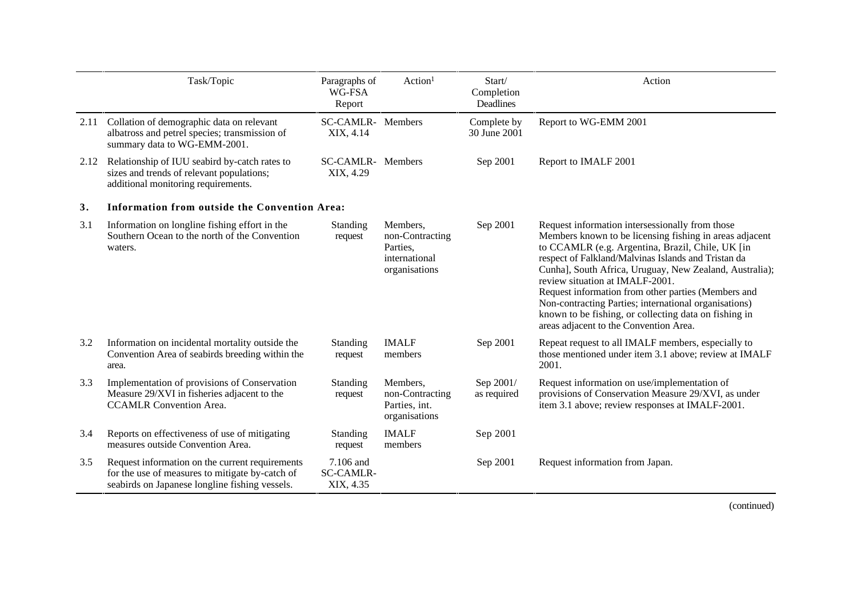|      | Task/Topic                                                                                                                                           | Paragraphs of<br>WG-FSA<br>Report          | Action <sup>1</sup>                                                       | Start/<br>Completion<br>Deadlines | Action                                                                                                                                                                                                                                                                                                                                                                                                                                                                                                                                 |
|------|------------------------------------------------------------------------------------------------------------------------------------------------------|--------------------------------------------|---------------------------------------------------------------------------|-----------------------------------|----------------------------------------------------------------------------------------------------------------------------------------------------------------------------------------------------------------------------------------------------------------------------------------------------------------------------------------------------------------------------------------------------------------------------------------------------------------------------------------------------------------------------------------|
|      | 2.11 Collation of demographic data on relevant<br>albatross and petrel species; transmission of<br>summary data to WG-EMM-2001.                      | <b>SC-CAMLR-</b><br>XIX, 4.14              | Members                                                                   | Complete by<br>30 June 2001       | Report to WG-EMM 2001                                                                                                                                                                                                                                                                                                                                                                                                                                                                                                                  |
| 2.12 | Relationship of IUU seabird by-catch rates to<br>sizes and trends of relevant populations;<br>additional monitoring requirements.                    | <b>SC-CAMLR-</b> Members<br>XIX, 4.29      |                                                                           | Sep 2001                          | Report to IMALF 2001                                                                                                                                                                                                                                                                                                                                                                                                                                                                                                                   |
| 3.   | Information from outside the Convention Area:                                                                                                        |                                            |                                                                           |                                   |                                                                                                                                                                                                                                                                                                                                                                                                                                                                                                                                        |
| 3.1  | Information on longline fishing effort in the<br>Southern Ocean to the north of the Convention<br>waters.                                            | Standing<br>request                        | Members,<br>non-Contracting<br>Parties,<br>international<br>organisations | Sep 2001                          | Request information intersessionally from those<br>Members known to be licensing fishing in areas adjacent<br>to CCAMLR (e.g. Argentina, Brazil, Chile, UK [in<br>respect of Falkland/Malvinas Islands and Tristan da<br>Cunhal, South Africa, Uruguay, New Zealand, Australia);<br>review situation at IMALF-2001.<br>Request information from other parties (Members and<br>Non-contracting Parties; international organisations)<br>known to be fishing, or collecting data on fishing in<br>areas adjacent to the Convention Area. |
| 3.2  | Information on incidental mortality outside the<br>Convention Area of seabirds breeding within the<br>area.                                          | Standing<br>request                        | <b>IMALF</b><br>members                                                   | Sep 2001                          | Repeat request to all IMALF members, especially to<br>those mentioned under item 3.1 above; review at IMALF<br>2001.                                                                                                                                                                                                                                                                                                                                                                                                                   |
| 3.3  | Implementation of provisions of Conservation<br>Measure 29/XVI in fisheries adjacent to the<br><b>CCAMLR Convention Area.</b>                        | Standing<br>request                        | Members,<br>non-Contracting<br>Parties, int.<br>organisations             | Sep 2001/<br>as required          | Request information on use/implementation of<br>provisions of Conservation Measure 29/XVI, as under<br>item 3.1 above; review responses at IMALF-2001.                                                                                                                                                                                                                                                                                                                                                                                 |
| 3.4  | Reports on effectiveness of use of mitigating<br>measures outside Convention Area.                                                                   | Standing<br>request                        | <b>IMALF</b><br>members                                                   | Sep 2001                          |                                                                                                                                                                                                                                                                                                                                                                                                                                                                                                                                        |
| 3.5  | Request information on the current requirements<br>for the use of measures to mitigate by-catch of<br>seabirds on Japanese longline fishing vessels. | 7.106 and<br><b>SC-CAMLR-</b><br>XIX, 4.35 |                                                                           | Sep 2001                          | Request information from Japan.                                                                                                                                                                                                                                                                                                                                                                                                                                                                                                        |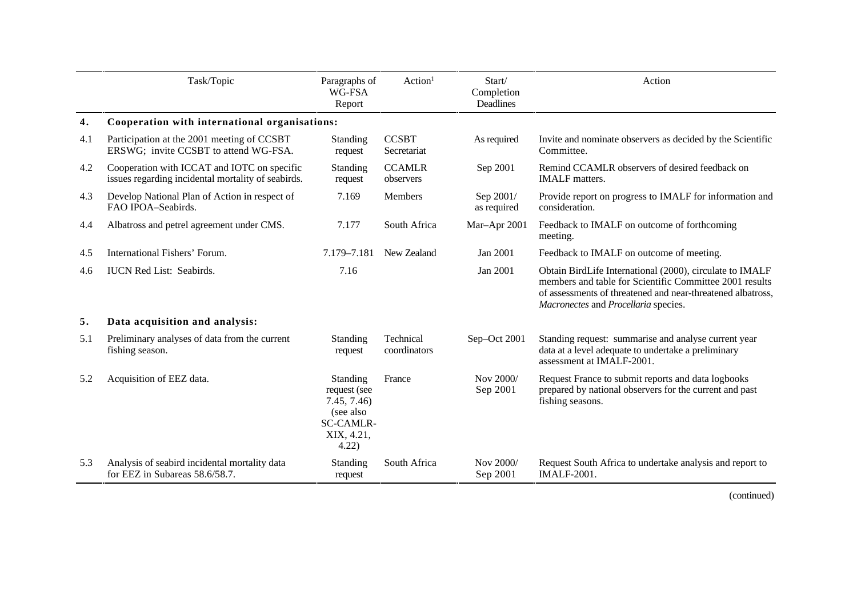|     | Task/Topic                                                                                        | Paragraphs of<br>WG-FSA<br>Report                                                              | Action <sup>1</sup>         | Start/<br>Completion<br>Deadlines | Action                                                                                                                                                                                                                     |  |  |  |  |
|-----|---------------------------------------------------------------------------------------------------|------------------------------------------------------------------------------------------------|-----------------------------|-----------------------------------|----------------------------------------------------------------------------------------------------------------------------------------------------------------------------------------------------------------------------|--|--|--|--|
| 4.  | Cooperation with international organisations:                                                     |                                                                                                |                             |                                   |                                                                                                                                                                                                                            |  |  |  |  |
| 4.1 | Participation at the 2001 meeting of CCSBT<br>ERSWG; invite CCSBT to attend WG-FSA.               | Standing<br>request                                                                            | <b>CCSBT</b><br>Secretariat | As required                       | Invite and nominate observers as decided by the Scientific<br>Committee.                                                                                                                                                   |  |  |  |  |
| 4.2 | Cooperation with ICCAT and IOTC on specific<br>issues regarding incidental mortality of seabirds. | Standing<br>request                                                                            | <b>CCAMLR</b><br>observers  | Sep 2001                          | Remind CCAMLR observers of desired feedback on<br><b>IMALF</b> matters.                                                                                                                                                    |  |  |  |  |
| 4.3 | Develop National Plan of Action in respect of<br>FAO IPOA-Seabirds.                               | 7.169                                                                                          | Members                     | Sep 2001/<br>as required          | Provide report on progress to IMALF for information and<br>consideration.                                                                                                                                                  |  |  |  |  |
| 4.4 | Albatross and petrel agreement under CMS.                                                         | 7.177                                                                                          | South Africa                | Mar-Apr 2001                      | Feedback to IMALF on outcome of forthcoming<br>meeting.                                                                                                                                                                    |  |  |  |  |
| 4.5 | International Fishers' Forum.                                                                     | 7.179-7.181                                                                                    | New Zealand                 | Jan 2001                          | Feedback to IMALF on outcome of meeting.                                                                                                                                                                                   |  |  |  |  |
| 4.6 | <b>IUCN</b> Red List: Seabirds.                                                                   | 7.16                                                                                           |                             | Jan 2001                          | Obtain BirdLife International (2000), circulate to IMALF<br>members and table for Scientific Committee 2001 results<br>of assessments of threatened and near-threatened albatross,<br>Macronectes and Procellaria species. |  |  |  |  |
| 5.  | Data acquisition and analysis:                                                                    |                                                                                                |                             |                                   |                                                                                                                                                                                                                            |  |  |  |  |
| 5.1 | Preliminary analyses of data from the current<br>fishing season.                                  | Standing<br>request                                                                            | Technical<br>coordinators   | Sep-Oct 2001                      | Standing request: summarise and analyse current year<br>data at a level adequate to undertake a preliminary<br>assessment at IMALF-2001.                                                                                   |  |  |  |  |
| 5.2 | Acquisition of EEZ data.                                                                          | Standing<br>request (see<br>7.45, 7.46<br>(see also<br><b>SC-CAMLR-</b><br>XIX, 4.21,<br>4.22) | France                      | Nov 2000/<br>Sep 2001             | Request France to submit reports and data logbooks<br>prepared by national observers for the current and past<br>fishing seasons.                                                                                          |  |  |  |  |
| 5.3 | Analysis of seabird incidental mortality data<br>for EEZ in Subareas 58.6/58.7.                   | Standing<br>request                                                                            | South Africa                | Nov 2000/<br>Sep 2001             | Request South Africa to undertake analysis and report to<br><b>IMALF-2001.</b>                                                                                                                                             |  |  |  |  |